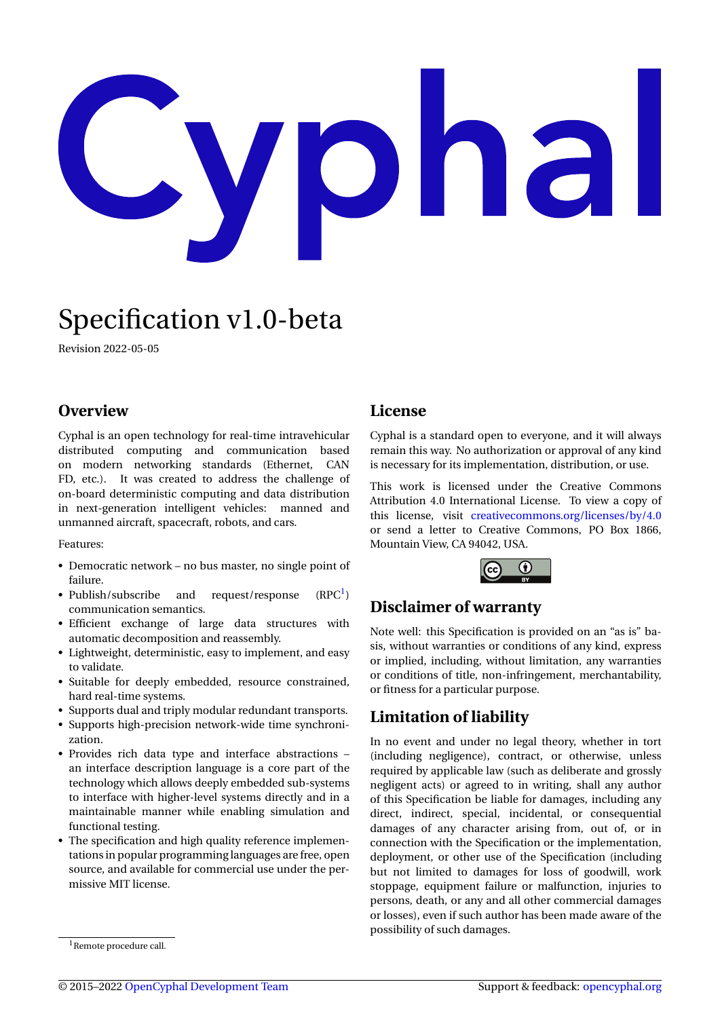# $\bigcirc$ nal **VI**

# Specification v1.0-beta

Revision 2022-05-05

# **Overview**

Cyphal is an open technology for real-time intravehicular distributed computing and communication based on modern networking standards (Ethernet, CAN FD, etc.). It was created to address the challenge of on-board deterministic computing and data distribution in next-generation intelligent vehicles: manned and unmanned aircraft, spacecraft, robots, and cars.

Features:

- Democratic network no bus master, no single point of failure.
- Publish/subscribe and request/response  $(RPC<sup>1</sup>)$ communication semantics.
- Efficient exchange of large data structures with automatic decomposition and reassembly.
- Lightweight, deterministic, easy to implement, and easy to validate.
- Suitable for deeply embedded, resource constrained, hard real-time systems.
- Supports dual and triply modular redundant transports.
- Supports high-precision network-wide time synchronization.
- Provides rich data type and interface abstractions an interface description language is a core part of the technology which allows deeply embedded sub-systems to interface with higher-level systems directly and in a maintainable manner while enabling simulation and functional testing.
- The specification and high quality reference implementations in popular programming languages are free, open source, and available for commercial use under the permissive MIT license.

# **License**

Cyphal is a standard open to everyone, and it will always remain this way. No authorization or approval of any kind is necessary for its implementation, distribution, or use.

This work is licensed under the Creative Commons Attribution 4.0 International License. To view a copy of this license, visit [creativecommons.org/licenses/by/4.0](http://creativecommons.org/licenses/by/4.0/) or send a letter to Creative Commons, PO Box 1866, Mountain View, CA 94042, USA.



# **Disclaimer of warranty**

Note well: this Specification is provided on an "as is" basis, without warranties or conditions of any kind, express or implied, including, without limitation, any warranties or conditions of title, non-infringement, merchantability, or fitness for a particular purpose.

# **Limitation of liability**

In no event and under no legal theory, whether in tort (including negligence), contract, or otherwise, unless required by applicable law (such as deliberate and grossly negligent acts) or agreed to in writing, shall any author of this Specification be liable for damages, including any direct, indirect, special, incidental, or consequential damages of any character arising from, out of, or in connection with the Specification or the implementation, deployment, or other use of the Specification (including but not limited to damages for loss of goodwill, work stoppage, equipment failure or malfunction, injuries to persons, death, or any and all other commercial damages or losses), even if such author has been made aware of the possibility of such damages.

<span id="page-0-0"></span><sup>&</sup>lt;sup>1</sup>Remote procedure call.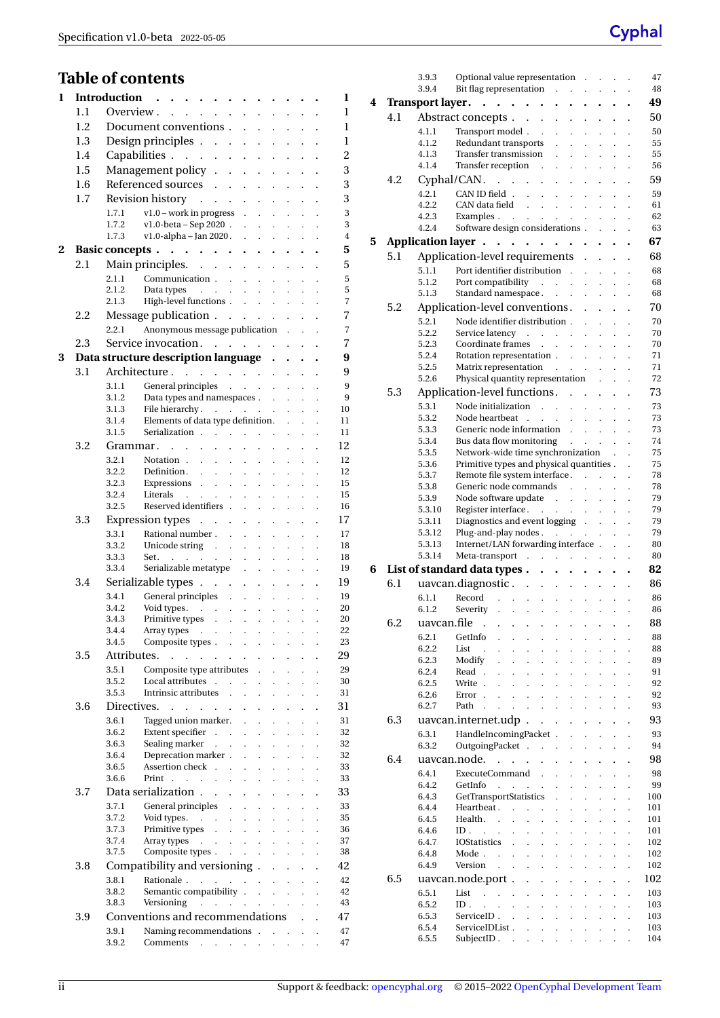# **Table of contents**

| 1 |     | <b>Introduction</b>                 |                                                         |                      |                                   |                                                           |                                              |                                              |                                                     |                                                           |                                                    |                                                   |                      |                      | 1              |
|---|-----|-------------------------------------|---------------------------------------------------------|----------------------|-----------------------------------|-----------------------------------------------------------|----------------------------------------------|----------------------------------------------|-----------------------------------------------------|-----------------------------------------------------------|----------------------------------------------------|---------------------------------------------------|----------------------|----------------------|----------------|
|   | 1.1 | Overview.                           |                                                         |                      |                                   |                                                           |                                              |                                              |                                                     |                                                           |                                                    |                                                   |                      |                      | 1              |
|   | 1.2 | Document conventions.               |                                                         |                      |                                   |                                                           |                                              |                                              | $\ddot{\phantom{a}}$                                |                                                           |                                                    |                                                   |                      |                      | 1              |
|   | 1.3 | Design principles                   |                                                         |                      |                                   |                                                           |                                              |                                              | $\ddot{\phantom{0}}$                                |                                                           |                                                    |                                                   |                      |                      | 1              |
|   | 1.4 | Capabilities                        |                                                         |                      |                                   |                                                           | $\ddot{\phantom{a}}$                         |                                              |                                                     |                                                           |                                                    |                                                   |                      |                      | $\overline{c}$ |
|   | 1.5 | Management policy.                  |                                                         |                      |                                   |                                                           |                                              |                                              |                                                     |                                                           |                                                    |                                                   |                      |                      | 3              |
|   | 1.6 | Referenced sources .                |                                                         |                      |                                   |                                                           |                                              |                                              |                                                     |                                                           |                                                    |                                                   |                      |                      | 3              |
|   | 1.7 | Revision history                    |                                                         |                      | $\sim$                            |                                                           | $\ddot{\phantom{0}}$                         |                                              | $\ddot{\phantom{a}}$                                |                                                           |                                                    |                                                   |                      |                      | 3              |
|   |     | 1.7.1                               | $v1.0$ – work in progress                               |                      |                                   |                                                           |                                              |                                              | $\sim$                                              | $\mathbf{r}$                                              |                                                    |                                                   |                      |                      | 3              |
|   |     | 1.7.2                               | $v1.0$ -beta – Sep 2020.                                |                      |                                   |                                                           |                                              |                                              | $\ddot{\phantom{0}}$                                | $\ddot{\phantom{0}}$                                      | $\ddot{\phantom{0}}$                               | $\ddot{\phantom{0}}$                              | $\ddot{\phantom{a}}$ | $\ddot{\phantom{0}}$ | 3              |
|   |     | 1.7.3                               | v1.0-alpha – Jan 2020.                                  |                      |                                   |                                                           |                                              |                                              | $\ddot{\phantom{a}}$                                |                                                           |                                                    |                                                   |                      |                      | $\overline{4}$ |
| 2 |     | <b>Basic concepts</b> .             |                                                         | $\ddot{\phantom{a}}$ | $\ddot{\phantom{0}}$<br>$\bullet$ |                                                           | $\bullet$                                    | $\ddot{\phantom{0}}$                         |                                                     |                                                           |                                                    |                                                   |                      |                      | 5              |
|   | 2.1 | Main principles. .                  |                                                         |                      |                                   |                                                           | $\sim$                                       | $\ddot{\phantom{a}}$                         | $\ddot{\phantom{0}}$                                |                                                           |                                                    |                                                   |                      |                      | 5              |
|   |     | 2.1.1                               | Communication.                                          |                      |                                   |                                                           |                                              | $\sim$                                       | $\mathbf{r}$                                        | $\mathbf{r}$                                              |                                                    |                                                   |                      |                      | 5              |
|   |     | 2.1.2                               | Data types                                              |                      |                                   | $\ddot{\phantom{a}}$                                      | $\sim$                                       | $\ddot{\phantom{a}}$                         | $\ddot{\phantom{0}}$                                | $\mathcal{L}^{\text{max}}$                                |                                                    | $\ddot{\phantom{a}}$                              |                      |                      | 5              |
|   |     | 2.1.3                               | High-level functions.                                   |                      |                                   |                                                           |                                              |                                              | $\sim$                                              | $\sim$                                                    | $\sim$                                             |                                                   |                      |                      | 7              |
|   | 2.2 | Message publication                 |                                                         |                      |                                   |                                                           |                                              |                                              | $\mathbf{r}$                                        | $\ddot{\phantom{0}}$                                      | $\ddot{\phantom{a}}$                               |                                                   |                      |                      | 7              |
|   |     | 2.2.1                               | Anonymous message publication                           |                      |                                   |                                                           |                                              |                                              |                                                     |                                                           |                                                    |                                                   |                      |                      | $\overline{7}$ |
|   | 2.3 | Service invocation.                 |                                                         |                      |                                   |                                                           |                                              |                                              |                                                     |                                                           | $\ddot{\phantom{0}}$                               |                                                   |                      |                      | 7              |
| 3 |     | Data structure description language |                                                         |                      |                                   |                                                           |                                              |                                              |                                                     |                                                           |                                                    |                                                   |                      |                      | 9              |
|   | 3.1 | Architecture                        |                                                         |                      |                                   |                                                           |                                              |                                              |                                                     |                                                           |                                                    |                                                   |                      |                      | 9              |
|   |     | 3.1.1                               | General principles .                                    |                      |                                   |                                                           |                                              |                                              | <b>Contract</b>                                     |                                                           | $\ddot{\phantom{a}}$                               | $\ddot{\phantom{a}}$                              |                      |                      | 9              |
|   |     | 3.1.2<br>3.1.3                      | Data types and namespaces<br>File hierarchy.            |                      |                                   |                                                           |                                              |                                              |                                                     |                                                           |                                                    | $\mathbb{R}^{\mathbb{Z}}$<br>$\ddot{\phantom{a}}$ | $\ddot{\phantom{a}}$ | $\ddot{\phantom{0}}$ | 9<br>10        |
|   |     | 3.1.4                               | Elements of data type definition.                       |                      |                                   |                                                           |                                              |                                              |                                                     |                                                           |                                                    |                                                   |                      |                      | 11             |
|   |     | 3.1.5                               | Serialization.                                          |                      |                                   |                                                           | $\mathcal{L}^{\mathcal{A}}$                  | $\mathbf{L}$                                 | $\ddot{\phantom{0}}$                                | $\ddot{\phantom{a}}$                                      |                                                    |                                                   |                      |                      | 11             |
|   | 3.2 | Grammar.                            |                                                         | $\sim$ 100 $\sim$    |                                   |                                                           |                                              |                                              |                                                     |                                                           |                                                    |                                                   |                      |                      | 12             |
|   |     | 3.2.1                               | Notation.                                               |                      |                                   | $\ddot{\phantom{a}}$                                      |                                              | $\overline{a}$                               |                                                     | $\ddot{\phantom{a}}$                                      | $\ddot{\phantom{a}}$                               |                                                   |                      |                      | 12             |
|   |     | 3.2.2                               | Definition.                                             |                      |                                   | $\ddot{\phantom{0}}$                                      | $\ddot{\phantom{a}}$                         | $\ddot{\phantom{a}}$                         | $\ddot{\phantom{a}}$                                | $\ddot{\phantom{0}}$                                      | $\ddot{\phantom{0}}$                               |                                                   |                      |                      | 12             |
|   |     | 3.2.3<br>3.2.4                      | Expressions.<br>Literals                                |                      |                                   |                                                           | $\sim$                                       | $\ddot{\phantom{a}}$                         | $\ddot{\phantom{a}}$                                | $\ddot{\phantom{a}}$                                      |                                                    |                                                   |                      |                      | 15<br>15       |
|   |     | 3.2.5                               | Reserved identifiers.                                   |                      |                                   |                                                           |                                              |                                              | $\ddot{\phantom{0}}$                                | $\ddot{\phantom{a}}$<br>$\ddot{\phantom{a}}$              |                                                    |                                                   |                      |                      | 16             |
|   | 3.3 | Expression types.                   |                                                         |                      |                                   |                                                           |                                              | $\ddot{\phantom{0}}$                         | $\ddot{\phantom{0}}$                                |                                                           |                                                    |                                                   |                      |                      | 17             |
|   |     | 3.3.1                               | Rational number.                                        |                      |                                   |                                                           |                                              |                                              |                                                     |                                                           |                                                    |                                                   |                      |                      | 17             |
|   |     | 3.3.2                               | Unicode string .                                        |                      |                                   |                                                           |                                              | $\ddot{\phantom{a}}$                         | $\ddot{\phantom{a}}$                                | $\ddot{\phantom{a}}$                                      |                                                    |                                                   |                      |                      | 18             |
|   |     | 3.3.3                               | Set. $\cdots$ $\cdots$                                  |                      |                                   |                                                           |                                              |                                              | $\ddot{\phantom{0}}$                                | $\ddot{\phantom{0}}$                                      | $\ddot{\phantom{0}}$                               |                                                   |                      |                      | 18             |
|   |     | 3.3.4                               | Serializable metatype .                                 |                      |                                   |                                                           |                                              |                                              |                                                     | $\ddot{\phantom{0}}$                                      |                                                    |                                                   |                      |                      | 19             |
|   | 3.4 | Serializable types                  |                                                         |                      |                                   |                                                           |                                              |                                              | $\ddot{\phantom{0}}$                                | $\ddot{\phantom{0}}$                                      |                                                    |                                                   |                      |                      | 19             |
|   |     | 3.4.1                               | General principles                                      |                      |                                   |                                                           |                                              |                                              |                                                     | $\ddot{\phantom{0}}$                                      | $\ddot{\phantom{a}}$                               | $\ddot{\phantom{a}}$                              |                      |                      | 19             |
|   |     | 3.4.2<br>3.4.3                      | Void types.<br>Primitive types .                        |                      |                                   | $\mathcal{L}^{\text{max}}$ and $\mathcal{L}^{\text{max}}$ |                                              | $\mathcal{L}^{\text{max}}$<br>$\sim$         | $\mathcal{L}^{\mathcal{L}}$<br>$\ddot{\phantom{0}}$ | $\mathcal{L}^{\text{max}}$<br>$\mathcal{L}^{\mathcal{L}}$ | $\mathcal{L}^{\text{max}}$<br>$\ddot{\phantom{0}}$ | $\ddot{\phantom{0}}$<br>$\ddot{\phantom{a}}$      | $\ddot{\phantom{0}}$ | $\ddot{\phantom{0}}$ | 20<br>20       |
|   |     | 3.4.4                               | Array types $\cdot \cdot \cdot \cdot \cdot \cdot \cdot$ |                      |                                   |                                                           |                                              |                                              |                                                     |                                                           |                                                    |                                                   |                      |                      | 22             |
|   |     | 3.4.5                               | Composite types.                                        |                      |                                   |                                                           |                                              | $\ddot{\phantom{a}}$                         |                                                     |                                                           |                                                    |                                                   |                      |                      | 23             |
|   | 3.5 | Attributes.                         |                                                         |                      |                                   |                                                           |                                              |                                              |                                                     |                                                           |                                                    |                                                   |                      |                      | 29             |
|   |     | 3.5.1                               | Composite type attributes                               |                      |                                   |                                                           |                                              |                                              |                                                     |                                                           |                                                    |                                                   |                      |                      | 29             |
|   |     | 3.5.2                               | Local attributes                                        |                      |                                   |                                                           | $\ddot{\phantom{a}}$                         |                                              |                                                     |                                                           | $\ddot{\phantom{0}}$                               | $\ddot{\phantom{0}}$                              | $\ddot{\phantom{0}}$ | $\ddot{\phantom{0}}$ | 30             |
|   |     | 3.5.3                               | Intrinsic attributes                                    |                      |                                   |                                                           |                                              |                                              |                                                     |                                                           |                                                    |                                                   |                      |                      | 31             |
|   | 3.6 | Directives.                         |                                                         |                      |                                   |                                                           |                                              |                                              |                                                     |                                                           |                                                    |                                                   |                      |                      | 31             |
|   |     | 3.6.1                               | Tagged union marker.                                    |                      |                                   |                                                           |                                              |                                              | $\ddot{\phantom{a}}$                                | $\ddot{\phantom{a}}$                                      | $\overline{a}$                                     |                                                   |                      | $\ddot{\phantom{0}}$ | 31             |
|   |     | 3.6.2<br>3.6.3                      | Extent specifier<br>Sealing marker                      |                      |                                   |                                                           | $\ddot{\phantom{a}}$                         | $\ddot{\phantom{a}}$<br>$\overline{a}$       | $\ddot{\phantom{0}}$<br>$\ddot{\phantom{0}}$        | $\ddot{\phantom{0}}$<br>$\ddot{\phantom{0}}$              | $\ddot{\phantom{0}}$<br>$\ddot{\phantom{a}}$       | $\ddot{\phantom{0}}$                              | $\ddot{\phantom{0}}$ | $\ddot{\phantom{0}}$ | 32<br>32       |
|   |     | 3.6.4                               | Deprecation marker.                                     |                      |                                   |                                                           |                                              |                                              |                                                     |                                                           |                                                    |                                                   |                      |                      | 32             |
|   |     | 3.6.5                               | Assertion check                                         |                      |                                   |                                                           |                                              | $\ddot{\phantom{0}}$                         | $\ddot{\phantom{0}}$                                | $\ddot{\phantom{0}}$                                      | $\ddot{\phantom{0}}$                               |                                                   |                      |                      | 33             |
|   |     | 3.6.6                               | Print                                                   |                      |                                   |                                                           |                                              | $\overline{a}$                               |                                                     | $\ddot{\phantom{a}}$                                      |                                                    |                                                   |                      |                      | 33             |
|   | 3.7 | Data serialization.                 |                                                         |                      |                                   |                                                           |                                              |                                              |                                                     |                                                           |                                                    |                                                   |                      |                      | 33             |
|   |     | 3.7.1                               | General principles                                      |                      |                                   |                                                           |                                              | $\ddot{\phantom{a}}$                         | $\ddot{\phantom{a}}$                                | $\overline{a}$                                            | $\ddot{\phantom{0}}$                               |                                                   |                      |                      | 33             |
|   |     | 3.7.2<br>3.7.3                      | Void types.<br>Primitive types                          |                      | $\ddot{\phantom{a}}$              |                                                           | $\ddot{\phantom{a}}$                         | $\ddot{\phantom{0}}$<br>$\ddot{\phantom{a}}$ | $\ddot{\phantom{0}}$<br>$\ddot{\phantom{a}}$        | $\ddot{\phantom{0}}$                                      | $\ddot{\phantom{0}}$<br>$\ddot{\phantom{a}}$       | $\ddot{\phantom{0}}$                              | $\ddot{\phantom{0}}$ | $\ddot{\phantom{0}}$ | 35<br>36       |
|   |     | 3.7.4                               | Array types                                             |                      | $\ddot{\phantom{a}}$              |                                                           | $\ddot{\phantom{a}}$<br>$\ddot{\phantom{0}}$ | $\ddot{\phantom{0}}$                         | $\ddot{\phantom{a}}$                                | $\ddot{\phantom{a}}$<br>$\ddot{\phantom{0}}$              | $\ddot{\phantom{0}}$                               | $\ddot{\phantom{0}}$                              | $\ddot{\phantom{0}}$ | $\ddot{\phantom{0}}$ | 37             |
|   |     | 3.7.5                               | Composite types.                                        |                      |                                   |                                                           |                                              | $\ddot{\phantom{0}}$                         | $\ddot{\phantom{0}}$                                | $\overline{a}$                                            |                                                    |                                                   |                      |                      | 38             |
|   | 3.8 | Compatibility and versioning.       |                                                         |                      |                                   |                                                           |                                              |                                              |                                                     |                                                           |                                                    |                                                   |                      |                      | 42             |
|   |     | 3.8.1                               | Rationale.                                              |                      |                                   |                                                           |                                              |                                              |                                                     |                                                           |                                                    |                                                   |                      |                      | 42             |
|   |     | 3.8.2                               | Semantic compatibility.                                 |                      |                                   |                                                           |                                              |                                              |                                                     | $\ddot{\phantom{0}}$                                      | $\ddot{\phantom{0}}$                               | $\ddot{\phantom{0}}$                              | $\ddot{\phantom{0}}$ | $\ddot{\phantom{0}}$ | 42             |
|   |     | 3.8.3                               | Versioning                                              |                      |                                   | $\sim$                                                    | $\ddot{\phantom{a}}$                         | a.                                           |                                                     | $\overline{a}$                                            | $\ddot{\phantom{0}}$                               |                                                   |                      |                      | 43             |
|   | 3.9 | Conventions and recommendations     |                                                         |                      |                                   |                                                           |                                              |                                              |                                                     |                                                           |                                                    |                                                   |                      |                      | 47             |
|   |     | 3.9.1                               | Naming recommendations                                  |                      |                                   |                                                           |                                              |                                              |                                                     | $\sim$                                                    | $\mathbf{r}$                                       |                                                   |                      |                      | 47             |
|   |     | 3.9.2                               | Comments                                                |                      |                                   |                                                           | $\ddot{\phantom{0}}$                         | $\ddot{\phantom{0}}$                         |                                                     |                                                           | $\ddot{\phantom{0}}$                               | $\ddot{\phantom{0}}$                              | $\ddot{\phantom{0}}$ |                      | 47             |

|   |     | 3.9.3<br>3.9.4           | Optional value representation .<br>Bit flag representation |                                              |                                  |                                              |                                                             |                                              |                      |                            |                      |                      | 47<br>48   |
|---|-----|--------------------------|------------------------------------------------------------|----------------------------------------------|----------------------------------|----------------------------------------------|-------------------------------------------------------------|----------------------------------------------|----------------------|----------------------------|----------------------|----------------------|------------|
| 4 |     |                          |                                                            |                                              |                                  |                                              | $\ddot{\phantom{a}}$                                        | $\ddot{\phantom{0}}$                         | $\ddot{\phantom{0}}$ |                            |                      |                      | 49         |
|   |     | Transport layer.         | $\ddot{\phantom{0}}$                                       | $\ddot{\phantom{0}}$                         | $\sim$ $\sim$                    |                                              | $\bullet$                                                   | $\bullet$                                    |                      |                            |                      |                      |            |
|   | 4.1 |                          | Abstract concepts                                          |                                              |                                  |                                              | $\ddot{\phantom{0}}$                                        | $\ddot{\phantom{0}}$                         |                      |                            |                      |                      | 50         |
|   |     | 4.1.1<br>4.1.2           | Transport model.<br>Redundant transports                   |                                              |                                  | $\ddot{\phantom{a}}$                         | $\ddot{\phantom{0}}$<br>$\overline{a}$                      | $\ddot{\phantom{a}}$                         |                      |                            |                      |                      | 50<br>55   |
|   |     | 4.1.3                    | Transfer transmission                                      |                                              |                                  |                                              | $\ddot{\phantom{0}}$                                        | $\ddot{\phantom{a}}$                         | $\ddot{\phantom{0}}$ | $\ddot{\phantom{0}}$       |                      |                      | 55         |
|   |     | 4.1.4                    | Transfer reception .                                       |                                              |                                  |                                              |                                                             |                                              |                      |                            |                      |                      | 56         |
|   | 4.2 | Cyphal/CAN.              |                                                            | $\ddotsc$                                    | $\ddot{\phantom{a}}$             |                                              |                                                             | $\ddot{\phantom{0}}$                         |                      |                            |                      |                      | 59         |
|   |     | 4.2.1                    | CAN ID field.                                              |                                              | $\overline{a}$<br>$\overline{a}$ | $\sim$                                       |                                                             | $\ddot{\phantom{a}}$                         | $\ddot{\phantom{a}}$ |                            |                      |                      | 59         |
|   |     | 4.2.2                    | CAN data field                                             |                                              | $\ddot{\phantom{a}}$             | $\mathcal{L}^{\text{max}}$ .                 |                                                             | $\ddot{\phantom{0}}$                         | $\ddot{\phantom{0}}$ | $\ddot{\phantom{0}}$       |                      |                      | 61         |
|   |     | 4.2.3                    | Examples                                                   |                                              |                                  | $\ddot{\phantom{0}}$                         | $\ddot{\phantom{0}}$                                        | $\ddot{\phantom{0}}$                         |                      |                            |                      |                      | 62         |
|   |     | 4.2.4                    | Software design considerations.                            |                                              |                                  |                                              |                                                             |                                              |                      | $\ddot{\phantom{0}}$       |                      |                      | 63         |
| 5 |     | <b>Application layer</b> |                                                            | $\ddot{\phantom{0}}$                         | $\cdots$                         |                                              |                                                             |                                              |                      |                            |                      |                      | 67         |
|   | 5.1 |                          | Application-level requirements                             |                                              |                                  |                                              |                                                             |                                              | $\ddot{\phantom{0}}$ |                            |                      |                      | 68         |
|   |     | 5.1.1<br>5.1.2           | Port identifier distribution.<br>Port compatibility        |                                              |                                  |                                              |                                                             |                                              | $\ddot{\phantom{0}}$ |                            |                      |                      | 68<br>68   |
|   |     | 5.1.3                    | Standard namespace.                                        |                                              |                                  |                                              | $\sim 10^{-11}$ .                                           |                                              | $\ddot{\phantom{0}}$ |                            |                      |                      | 68         |
|   | 5.2 |                          | Application-level conventions.                             |                                              |                                  |                                              |                                                             |                                              |                      |                            |                      |                      | 70         |
|   |     | 5.2.1                    | Node identifier distribution.                              |                                              |                                  |                                              |                                                             |                                              |                      |                            |                      |                      | 70         |
|   |     | 5.2.2                    | Service latency                                            |                                              |                                  |                                              | $\sim$<br>$\sim$                                            |                                              |                      |                            |                      |                      | 70         |
|   |     | 5.2.3                    | Coordinate frames                                          |                                              | $\sim$                           | $\ddot{\phantom{a}}$                         |                                                             | $\ddot{\phantom{a}}$                         | $\ddot{\phantom{a}}$ | $\overline{a}$             |                      |                      | 70         |
|   |     | 5.2.4                    | Rotation representation.                                   |                                              |                                  |                                              |                                                             | $\sim$                                       | $\ddot{\phantom{a}}$ |                            |                      |                      | 71         |
|   |     | 5.2.5                    | Matrix representation                                      |                                              |                                  |                                              | $\sim$                                                      | $\mathcal{L}^{\pm}$                          |                      |                            |                      |                      | 71         |
|   |     | 5.2.6                    | Physical quantity representation                           |                                              |                                  |                                              |                                                             |                                              |                      | $\ddot{\phantom{0}}$       |                      |                      | 72         |
|   | 5.3 |                          | Application-level functions.                               |                                              |                                  |                                              |                                                             |                                              |                      |                            |                      |                      | 73         |
|   |     | 5.3.1<br>5.3.2           | Node initialization<br>Node heartbeat .                    |                                              |                                  | $\sim$ $\sim$                                |                                                             |                                              |                      |                            |                      |                      | 73<br>73   |
|   |     | 5.3.3                    | Generic node information.                                  |                                              |                                  | $\mathcal{L}^{\text{max}}$                   |                                                             |                                              | $\ddot{\phantom{0}}$ | $\ddot{\phantom{a}}$       |                      |                      | 73         |
|   |     | 5.3.4                    | Bus data flow monitoring                                   |                                              |                                  |                                              |                                                             | $\ddot{\phantom{a}}$                         | $\ddot{\phantom{0}}$ | $\ddot{\phantom{0}}$       |                      |                      | 74         |
|   |     | 5.3.5                    | Network-wide time synchronization                          |                                              |                                  |                                              |                                                             |                                              |                      |                            |                      |                      | 75         |
|   |     | 5.3.6                    | Primitive types and physical quantities.                   |                                              |                                  |                                              |                                                             |                                              |                      |                            |                      |                      | 75         |
|   |     | 5.3.7                    | Remote file system interface.                              |                                              |                                  |                                              |                                                             |                                              | $\ddot{\phantom{a}}$ | $\overline{a}$             | $\ddot{\phantom{a}}$ |                      | 78         |
|   |     | 5.3.8<br>5.3.9           | Generic node commands<br>Node software update .            |                                              |                                  |                                              |                                                             | $\sim$<br>$\ddot{\phantom{0}}$               | $\ddot{\phantom{a}}$ | $\ddot{\phantom{0}}$       |                      |                      | 78<br>79   |
|   |     | 5.3.10                   | Register interface.                                        |                                              |                                  |                                              |                                                             |                                              | $\ddot{\phantom{0}}$ | $\ddot{\phantom{0}}$       | $\ddot{\phantom{0}}$ |                      | 79         |
|   |     | 5.3.11                   | Diagnostics and event logging .                            |                                              |                                  |                                              |                                                             |                                              |                      | $\mathbf{r}$               |                      |                      | 79         |
|   |     | 5.3.12                   | Plug-and-play nodes                                        |                                              |                                  |                                              |                                                             |                                              |                      | $\ddot{\phantom{0}}$       | $\ddot{\phantom{0}}$ |                      | 79         |
|   |     | 5.3.13                   | Internet/LAN forwarding interface.                         |                                              |                                  |                                              |                                                             |                                              |                      |                            |                      |                      | 80         |
|   |     | 5.3.14                   | Meta-transport                                             |                                              |                                  |                                              |                                                             |                                              |                      |                            |                      |                      | 80         |
| 6 |     |                          | List of standard data types.                               |                                              |                                  | $\bullet$                                    | $\bullet$                                                   | $\bullet$                                    |                      |                            |                      |                      | 82         |
|   | 6.1 |                          | uavcan.diagnostic                                          |                                              |                                  |                                              | <b>Contract Contract</b>                                    |                                              |                      | $\ddot{\phantom{0}}$       |                      |                      | 86         |
|   |     | 6.1.1<br>6.1.2           | Record<br>Severity                                         |                                              |                                  |                                              | $\mathbf{z} = \mathbf{z} + \mathbf{z}$ , where $\mathbf{z}$ |                                              | $\mathcal{L}^{\pm}$  | $\mathcal{L}^{\text{max}}$ | $\ddot{\phantom{0}}$ |                      | 86<br>86   |
|   | 6.2 | uavcan.file              |                                                            |                                              |                                  |                                              |                                                             |                                              |                      |                            |                      |                      | 88         |
|   |     | 6.2.1                    | $\ddot{\phantom{a}}$<br>GetInfo                            |                                              |                                  |                                              |                                                             |                                              |                      |                            |                      |                      | 88         |
|   |     | 6.2.2                    | List                                                       | $\ddot{\phantom{0}}$                         | $\ddot{\phantom{0}}$             | $\ddot{\phantom{0}}$                         | $\ddot{\phantom{0}}$                                        | $\ddot{\phantom{0}}$                         | $\ddot{\phantom{0}}$ | $\ddot{\phantom{0}}$       | $\ddot{\phantom{0}}$ | $\ddot{\phantom{0}}$ | 88         |
|   |     | 6.2.3                    | Modify                                                     |                                              |                                  |                                              | $\ddot{\phantom{0}}$                                        | $\ddot{\phantom{0}}$                         |                      |                            |                      |                      | 89         |
|   |     | 6.2.4                    | Read                                                       |                                              |                                  |                                              | $\overline{a}$                                              |                                              |                      |                            |                      |                      | 91         |
|   |     | 6.2.5                    | Write.                                                     |                                              | $\ddot{\phantom{0}}$             | $\ddot{\phantom{0}}$                         | $\ddot{\phantom{0}}$                                        | $\ddot{\phantom{0}}$                         |                      |                            |                      |                      | 92         |
|   |     | 6.2.6                    | Error<br>$\overline{a}$                                    | $\overline{a}$                               | $\overline{a}$                   | $\overline{a}$                               | $\ddot{\phantom{a}}$                                        | $\cdot$                                      | $\overline{a}$       |                            |                      |                      | 92         |
|   | 6.3 | 6.2.7                    | Path                                                       | $\ddot{\phantom{a}}$                         | $\ddot{\phantom{0}}$             | $\ddot{\phantom{0}}$                         | $\ddot{\phantom{a}}$                                        | $\ddot{\phantom{0}}$                         | $\ddot{\phantom{0}}$ | $\ddot{\phantom{0}}$       | $\ddot{\phantom{0}}$ |                      | 93<br>93   |
|   |     |                          | uavcan.internet.udp<br>HandleIncomingPacket .              |                                              |                                  |                                              | $\ddot{\phantom{0}}$                                        |                                              |                      |                            |                      |                      |            |
|   |     | 6.3.1<br>6.3.2           | OutgoingPacket.                                            |                                              |                                  | $\overline{a}$                               |                                                             |                                              |                      |                            |                      |                      | 93<br>94   |
|   | 6.4 | uavcan.node.             |                                                            | $\ddot{\phantom{a}}$<br>$\ddot{\phantom{a}}$ |                                  |                                              |                                                             | $\ddot{\phantom{a}}$                         |                      |                            |                      |                      | 98         |
|   |     | 6.4.1                    | <b>ExecuteCommand</b>                                      |                                              | $\ddot{\phantom{a}}$             |                                              | $\ddot{\phantom{a}}$                                        | $\ddot{\phantom{a}}$                         |                      |                            |                      |                      | 98         |
|   |     | 6.4.2                    | GetInfo                                                    |                                              |                                  | $\ddot{\phantom{0}}$                         | $\ddot{\phantom{0}}$                                        | $\ddot{\phantom{0}}$                         | $\ddot{\phantom{0}}$ | $\ddot{\phantom{0}}$       |                      |                      | 99         |
|   |     | 6.4.3                    | GetTransportStatistics                                     |                                              |                                  |                                              | $\overline{a}$                                              | $\ddot{\phantom{a}}$                         | $\ddot{\phantom{a}}$ | $\overline{a}$             |                      |                      | 100        |
|   |     | 6.4.4                    | Heartbeat.                                                 |                                              |                                  | $\ddot{\phantom{a}}$                         | $\ddot{\phantom{0}}$                                        | $\ddot{\phantom{a}}$                         | $\ddot{\phantom{a}}$ | $\ddot{\phantom{0}}$       | $\ddot{\phantom{a}}$ | $\ddot{\phantom{0}}$ | 101        |
|   |     | 6.4.5                    | Health.                                                    |                                              |                                  |                                              | $\ddot{\phantom{0}}$                                        |                                              |                      | $\ddot{\phantom{0}}$       |                      |                      | 101        |
|   |     | 6.4.6<br>6.4.7           | $ID$ .<br><b>IOStatistics</b>                              |                                              |                                  | $\ddot{\phantom{a}}$                         | $\ddot{\phantom{a}}$                                        | $\ddot{\phantom{a}}$                         |                      |                            |                      |                      | 101<br>102 |
|   |     | 6.4.8                    | Mode.                                                      | $\ddot{\phantom{a}}$                         | $\overline{a}$                   | $\ddot{\phantom{0}}$<br>$\ddot{\phantom{a}}$ | $\ddot{\phantom{0}}$<br>$\overline{a}$                      | $\ddot{\phantom{0}}$<br>$\ddot{\phantom{a}}$ |                      |                            |                      |                      | 102        |
|   |     | 6.4.9                    | Version                                                    |                                              | $\ddot{\phantom{0}}$             | $\ddot{\phantom{0}}$                         | $\ddot{\phantom{0}}$                                        |                                              |                      |                            |                      |                      | 102        |
|   | 6.5 |                          | uavcan.node.port.                                          |                                              |                                  |                                              |                                                             |                                              |                      |                            |                      |                      | 102        |
|   |     | 6.5.1                    | List<br>$\overline{a}$                                     |                                              |                                  |                                              |                                                             |                                              |                      |                            |                      |                      | 103        |
|   |     | 6.5.2                    | $ID$ .                                                     |                                              |                                  |                                              | $\overline{a}$                                              | $\ddot{\phantom{a}}$                         |                      | $\overline{a}$             |                      |                      | 103        |
|   |     | 6.5.3                    | ServiceID.                                                 | $\ddot{\phantom{a}}$                         | $\ddot{\phantom{a}}$             | $\ddot{\phantom{a}}$                         | $\ddot{\phantom{0}}$                                        | $\ddot{\phantom{0}}$                         | $\ddot{\phantom{0}}$ | $\ddot{\phantom{0}}$       | $\ddot{\phantom{0}}$ | $\ddot{\phantom{0}}$ | 103        |
|   |     | 6.5.4                    | ServiceIDList.                                             |                                              | $\ddot{\phantom{a}}$             | $\ddot{\phantom{a}}$                         | $\overline{a}$                                              |                                              |                      |                            |                      |                      | 103        |
|   |     | 6.5.5                    | SubjectID.                                                 | $\ddot{\phantom{a}}$                         | $\ddot{\phantom{a}}$             | $\ddot{\phantom{a}}$                         | $\ddot{\phantom{0}}$                                        | $\ddot{\phantom{0}}$                         | $\ddot{\phantom{0}}$ | $\ddot{\phantom{0}}$       | $\ddot{\phantom{0}}$ |                      | 104        |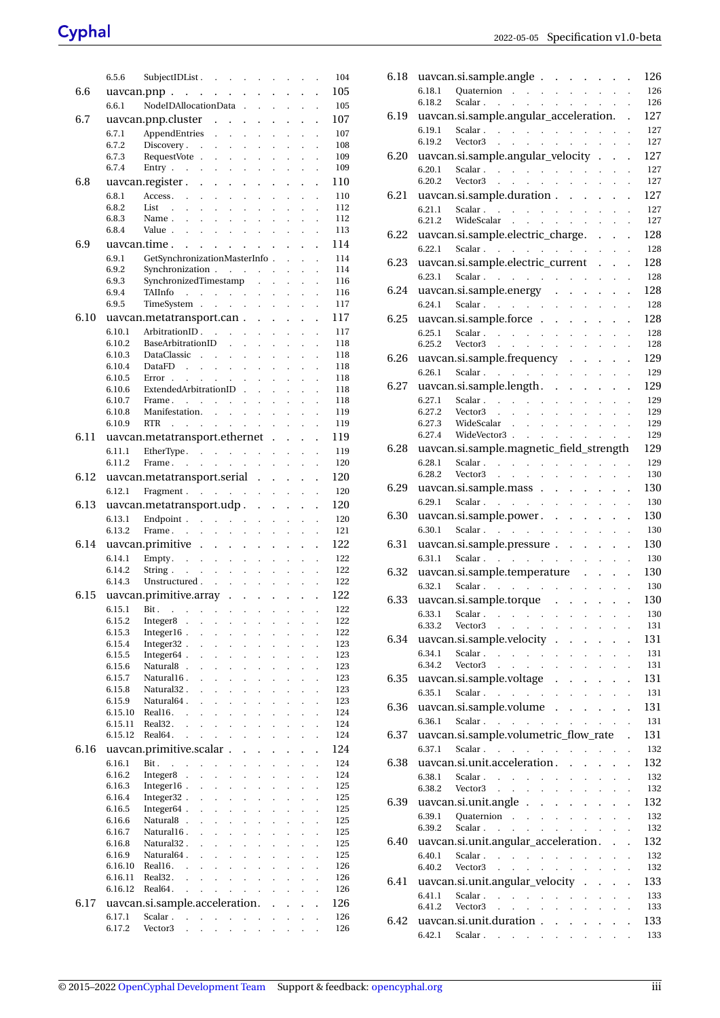# Cyphal

|      | 6.5.6   | SubjectIDList.<br><b>Contract Contract</b>                                                                                                                                                                                           |                      | 104 |
|------|---------|--------------------------------------------------------------------------------------------------------------------------------------------------------------------------------------------------------------------------------------|----------------------|-----|
| 6.6  |         | $\mathbf{1} \times \mathbf{1} \times \mathbf{1} \times \mathbf{1}$<br>uavcan.pnp. $\blacksquare$<br>$\ddot{\phantom{0}}$<br>$\ddot{\phantom{0}}$<br>$\ddot{\phantom{0}}$                                                             |                      | 105 |
|      | 6.6.1   | NodeIDAllocationData.<br>$\mathcal{L}^{\text{max}}$ .<br>$\mathcal{L}^{\text{max}}$ and $\mathcal{L}^{\text{max}}$                                                                                                                   | $\ddot{\phantom{a}}$ | 105 |
|      |         |                                                                                                                                                                                                                                      |                      |     |
| 6.7  |         | uavcan.pnp.cluster<br>$\mathbf{r} = \mathbf{r} + \mathbf{r}$ .<br>$\ddot{\phantom{0}}$<br>$\ddot{\phantom{0}}$<br>$\ddot{\phantom{0}}$<br>$\ddot{\phantom{0}}$                                                                       | $\ddot{\phantom{0}}$ | 107 |
|      | 6.7.1   | AppendEntries<br>$\mathcal{L}_{\mathcal{A}}$<br>$\mathcal{L}^{\text{max}}$<br>$\mathcal{L}_{\mathcal{A}}$<br>$\ddot{\phantom{0}}$                                                                                                    | $\ddot{\phantom{0}}$ | 107 |
|      | 6.7.2   | Discovery<br>$\mathcal{L}^{\pm}$<br>$\mathcal{L}^{\pm}$<br>$\ddot{\phantom{0}}$<br>$\ddot{\phantom{0}}$<br>$\ddot{\phantom{0}}$<br>$\ddot{\phantom{0}}$<br>$\ddot{\phantom{0}}$                                                      | $\ddot{\phantom{a}}$ | 108 |
|      | 6.7.3   | RequestVote.<br>$\ddot{\phantom{a}}$<br>$\mathcal{L}^{\mathcal{L}}$<br>$\mathcal{L}^{\text{max}}$<br>$\ddot{\phantom{0}}$<br>$\ddot{\phantom{a}}$<br>$\ddot{\phantom{a}}$<br>$\ddot{\phantom{a}}$                                    | $\ddot{\phantom{0}}$ | 109 |
|      | 6.7.4   | Entry<br>$\ddot{\phantom{a}}$<br>$\mathcal{L}^{\pm}$<br>$\ddot{\phantom{a}}$<br>$\ddot{\phantom{0}}$<br>$\ddot{\phantom{0}}$<br>$\ddot{\phantom{0}}$<br>$\ddot{\phantom{a}}$                                                         |                      | 109 |
| 6.8  |         | uavcan.register.<br>$\ddot{\phantom{a}}$<br>$\ddot{\phantom{0}}$<br>$\ddot{\phantom{0}}$<br>$\ddot{\phantom{a}}$<br>$\ddot{\phantom{a}}$<br>$\ddot{\phantom{a}}$<br>$\ddot{\phantom{0}}$                                             | $\ddot{\phantom{a}}$ | 110 |
|      |         |                                                                                                                                                                                                                                      |                      | 110 |
|      | 6.8.1   | Access.<br>$\ddot{\phantom{0}}$<br>$\ddot{\phantom{0}}$<br>$\ddot{\phantom{0}}$<br>$\ddot{\phantom{a}}$<br>$\ddot{\phantom{0}}$<br>$\ddot{\phantom{0}}$<br>$\ddot{\phantom{0}}$<br>$\ddot{\phantom{0}}$<br>$\ddot{\phantom{0}}$      | $\ddot{\phantom{a}}$ |     |
|      | 6.8.2   | List<br>$\ddot{\phantom{a}}$<br>$\ddot{\phantom{0}}$<br>$\sim$<br>$\sim$<br>$\mathbf{L}$<br>$\mathbf{L}$<br>$\ddot{\phantom{a}}$<br>$\ddot{\phantom{a}}$<br>$\ddot{\phantom{0}}$<br>$\ddot{\phantom{0}}$                             | $\ddot{\phantom{a}}$ | 112 |
|      | 6.8.3   | Name.<br>$\ddot{\phantom{a}}$<br>$\ddot{\phantom{0}}$<br>$\sim$<br>$\ddot{\phantom{a}}$<br>$\ddot{\phantom{0}}$<br>$\ddot{\phantom{a}}$<br>$\ddot{\phantom{0}}$                                                                      |                      | 112 |
|      | 6.8.4   | Value.<br>and a state of the state of the<br>$\sim$<br>$\ddot{\phantom{a}}$<br>$\ddot{\phantom{a}}$                                                                                                                                  | $\ddot{\phantom{0}}$ | 113 |
| 6.9  |         | $\mathcal{L}^{\text{max}}$<br>uavcan.time.<br>$\mathbf{r}$<br>$\ddot{\phantom{0}}$<br>$\ddot{\phantom{0}}$<br>$\ddot{\phantom{a}}$                                                                                                   |                      | 114 |
|      | 6.9.1   | GetSynchronizationMasterInfo.<br>$\mathcal{L}^{\text{max}}$                                                                                                                                                                          | $\ddot{\phantom{a}}$ | 114 |
|      | 6.9.2   | Synchronization<br>$\epsilon = 100$<br>$\ddot{\phantom{0}}$<br>$\ddot{\phantom{a}}$                                                                                                                                                  |                      | 114 |
|      | 6.9.3   | SynchronizedTimestamp<br>$\mathbf{r}$<br>$\sim$<br>$\ddot{\phantom{a}}$<br>$\ddot{\phantom{a}}$                                                                                                                                      |                      | 116 |
|      | 6.9.4   | TAIInfo<br>$\sim 100$ $\sim$<br>$\epsilon$<br>$\ddot{\phantom{a}}$<br>$\ddot{\phantom{0}}$<br>$\ddot{\phantom{a}}$                                                                                                                   | $\ddot{\phantom{0}}$ | 116 |
|      | 6.9.5   | $\mathbf{r} = \left\{ \mathbf{r} \in \mathbb{R}^d \mid \mathbf{r} \right\}$<br>TimeSystem<br>$\ddot{\phantom{0}}$<br>$\sim$<br>$\ddot{\phantom{0}}$<br>$\sim$                                                                        | $\ddot{\phantom{0}}$ | 117 |
|      |         |                                                                                                                                                                                                                                      |                      |     |
| 6.10 |         | uavcan.metatransport.can<br>$\ddot{\phantom{0}}$<br>$\ddot{\phantom{0}}$<br>$\ddot{\phantom{a}}$                                                                                                                                     | $\ddot{\phantom{0}}$ | 117 |
|      | 6.10.1  | ArbitrationID.<br>$\mathcal{L}^{\text{max}}$<br>$\mathcal{L}^{\text{max}}$                                                                                                                                                           | $\ddot{\phantom{a}}$ | 117 |
|      | 6.10.2  | BaseArbitrationID<br>$\mathbf{r}$<br>$\ddot{\phantom{0}}$<br>$\ddot{\phantom{0}}$<br>$\ddot{\phantom{0}}$<br>$\ddot{\phantom{0}}$<br>$\ddot{\phantom{0}}$                                                                            | $\ddot{\phantom{0}}$ | 118 |
|      | 6.10.3  | DataClassic<br>$\ddot{\phantom{0}}$<br>$\ddot{\phantom{0}}$<br>$\ddot{\phantom{0}}$<br>$\ddot{\phantom{a}}$<br>$\ddot{\phantom{0}}$                                                                                                  |                      | 118 |
|      | 6.10.4  | DataFD<br>$\sim$<br>$\mathcal{L}^{\pm}$<br><b>Contract Contract</b><br>$\ddot{\phantom{0}}$<br>$\ddot{\phantom{0}}$<br>$\ddot{\phantom{0}}$<br>$\ddot{\phantom{a}}$                                                                  |                      | 118 |
|      | 6.10.5  | Error.<br>$\ddot{\phantom{a}}$<br>$\ddot{\phantom{a}}$<br>$\ddot{\phantom{a}}$<br>$\sim$<br>$\ddot{\phantom{0}}$<br>$\ddot{\phantom{a}}$<br>$\sim$<br>$\sim$                                                                         |                      | 118 |
|      | 6.10.6  | ExtendedArbitrationID.<br>$\ddot{\phantom{a}}$<br>$\overline{a}$<br>$\ddot{\phantom{a}}$                                                                                                                                             |                      | 118 |
|      | 6.10.7  | Frame.<br>$\mathcal{L}^{\text{max}}$<br>$\ddot{\phantom{0}}$<br>$\ddot{\phantom{0}}$<br>$\ddot{\phantom{0}}$                                                                                                                         | $\ddot{\phantom{0}}$ | 118 |
|      | 6.10.8  | $\mathbf{r} = \mathbf{r} \cdot \mathbf{r}$ .<br>Manifestation.<br><b>Contract Contract Contract</b><br>$\sim$<br>$\mathbf{r}$<br>$\overline{a}$                                                                                      |                      | 119 |
|      | 6.10.9  | <b>RTR</b>                                                                                                                                                                                                                           |                      | 119 |
|      |         | <b>Service State</b><br>and a strategic state<br>$\ddot{\phantom{0}}$<br>$\ddot{\phantom{0}}$<br>$\ddot{\phantom{a}}$                                                                                                                | $\ddot{\phantom{0}}$ |     |
| 6.11 |         | uavcan.metatransport.ethernet .<br>$\ddot{\phantom{0}}$<br>$\ddot{\phantom{0}}$                                                                                                                                                      | $\ddot{\phantom{0}}$ | 119 |
|      | 6.11.1  | $\ddot{\phantom{0}}$                                                                                                                                                                                                                 | $\ddot{\phantom{0}}$ | 119 |
|      | 6.11.2  | $\mathcal{L}$<br>$\sim$<br>$\sim$                                                                                                                                                                                                    | $\ddot{\phantom{0}}$ | 120 |
| 6.12 |         | uavcan.metatransport.serial<br>$\mathbf{L}$                                                                                                                                                                                          | $\ddot{\phantom{0}}$ | 120 |
|      |         |                                                                                                                                                                                                                                      |                      |     |
|      | 6.12.1  | Fragment<br>$\mathcal{L}^{\text{max}}$ .<br>$\mathcal{L}^{\text{max}}$                                                                                                                                                               | $\ddot{\phantom{a}}$ | 120 |
| 6.13 |         | uavcan.metatransport.udp<br>$\mathbf{L}$<br>$\ddot{\phantom{0}}$                                                                                                                                                                     | $\ddot{\phantom{0}}$ | 120 |
|      | 6.13.1  | Endpoint<br>$\mathbf{r} = \mathbf{r} \mathbf{r}$ .<br>$\ddot{\phantom{0}}$<br>$\sim$                                                                                                                                                 | $\ddot{\phantom{a}}$ | 120 |
|      | 6.13.2  | Frame. .<br>$\mathcal{L}^{\text{max}}$ and<br>$\ddot{\phantom{0}}$<br>$\ddot{\phantom{0}}$<br>$\ddot{\phantom{0}}$<br>$\ddot{\phantom{a}}$<br>$\ddot{\phantom{a}}$<br>$\ddot{\phantom{0}}$                                           |                      | 121 |
| 6.14 |         | uavcan.primitive.                                                                                                                                                                                                                    | $\ddot{\phantom{a}}$ | 122 |
|      |         | $\ddot{\phantom{a}}$<br>$\ddot{\phantom{0}}$<br>$\ddot{\phantom{0}}$<br>$\ddot{\phantom{a}}$<br>$\ddot{\phantom{0}}$<br>$\ddot{\phantom{a}}$                                                                                         |                      |     |
|      | 6.14.1  | $\mathcal{L}^{\mathcal{L}}$<br>Empty.<br>$\ddot{\phantom{0}}$<br>$\mathcal{L}^{\pm}$<br>$\ddot{\phantom{0}}$<br>$\ddot{\phantom{0}}$<br>$\ddot{\phantom{a}}$<br>$\ddot{\phantom{0}}$                                                 | $\ddot{\phantom{a}}$ | 122 |
|      | 6.14.2  | $\mathbf{L}$<br>String.<br>$\mathcal{L}^{\mathcal{L}}$<br>$\ddot{\phantom{a}}$<br>$\ddot{\phantom{a}}$<br><b>Contract Contract</b><br>$\mathcal{L}^{\pm}$<br>$\ddot{\phantom{0}}$<br>$\ddot{\phantom{0}}$                            | $\ddot{\phantom{a}}$ | 122 |
|      | 6.14.3  | Unstructured<br>$\sim$<br>$\ddot{\phantom{0}}$<br>$\ddot{\phantom{0}}$<br>$\mathcal{L}^{\pm}$                                                                                                                                        |                      | 122 |
| 6.15 |         | uavcan.primitive.array<br>$\mathcal{L}^{\pm}$                                                                                                                                                                                        | $\ddot{\phantom{a}}$ | 122 |
|      | 6.15.1  | $\ddot{\phantom{a}}$                                                                                                                                                                                                                 |                      | 122 |
|      |         | Bit. $\cdots$ $\cdots$ $\cdots$<br>$\ddot{\phantom{0}}$<br>$\ddot{\phantom{0}}$<br>$\ddot{\phantom{0}}$<br>$\ddot{\phantom{0}}$                                                                                                      |                      |     |
|      | 6.15.2  | Integer8<br>$\ddot{\phantom{a}}$<br>$\ddot{\phantom{0}}$                                                                                                                                                                             |                      | 122 |
|      | 6.15.3  | $Integer16$ .<br>$\ddot{\phantom{a}}$<br>$\ddot{\phantom{a}}$<br>$\ddot{\phantom{a}}$<br>$\ddot{\phantom{0}}$<br>$\ddot{\phantom{0}}$<br>$\ddot{\phantom{0}}$                                                                        |                      | 122 |
|      | 6.15.4  | Integer32.<br>$\ddot{\phantom{a}}$<br>$\ddot{\phantom{a}}$<br>$\ddot{\phantom{a}}$<br>$\ddot{\phantom{a}}$<br>$\ddot{\phantom{0}}$<br>$\ddot{\phantom{a}}$<br>$\ddot{\phantom{0}}$<br>$\ddot{\phantom{a}}$                           |                      | 123 |
|      | 6.15.5  | Integer <sub>64</sub> .<br>$\ddot{\phantom{0}}$<br>$\ddot{\phantom{0}}$<br>$\ddot{\phantom{0}}$<br>$\ddot{\phantom{0}}$<br>$\ddot{\phantom{0}}$<br>$\ddot{\phantom{0}}$<br>$\ddot{\phantom{0}}$<br>$\ddot{\phantom{0}}$              | $\ddot{\phantom{0}}$ | 123 |
|      | 6.15.6  | Natural <sub>8</sub><br>$\mathbf{r}$<br>$\ddot{\phantom{a}}$<br>$\ddot{\phantom{a}}$<br>$\ddot{\phantom{a}}$<br>$\ddot{\phantom{0}}$<br>$\ddot{\phantom{a}}$<br>$\sim$<br>$\overline{a}$<br>$\ddot{\phantom{a}}$                     |                      | 123 |
|      | 6.15.7  | Natural <sub>16</sub> .<br>$\ddot{\phantom{0}}$<br>$\ddot{\phantom{0}}$<br>$\ddot{\phantom{0}}$<br>$\ddot{\phantom{0}}$<br>$\ddot{\phantom{0}}$<br>$\ddot{\phantom{0}}$<br>$\ddot{\phantom{0}}$<br>$\ddot{\phantom{0}}$              |                      | 123 |
|      | 6.15.8  | Natural32.<br>$\ddot{\phantom{a}}$<br>$\ddot{\phantom{0}}$<br>$\ddot{\phantom{a}}$<br>$\ddot{\phantom{0}}$<br>$\ddot{\phantom{a}}$<br>$\ddot{\phantom{a}}$<br>$\ddot{\phantom{a}}$<br>$\ddot{\phantom{a}}$                           | $\ddot{\phantom{0}}$ | 123 |
|      | 6.15.9  | Natural64.<br>$\overline{a}$<br>$\ddot{\phantom{a}}$<br>$\ddot{\phantom{a}}$<br>$\ddot{\phantom{a}}$<br>$\ddot{\phantom{a}}$<br>$\ddot{\phantom{a}}$<br>$\ddot{\phantom{a}}$<br>$\ddot{\phantom{0}}$                                 |                      | 123 |
|      | 6.15.10 | Real16.<br>$\overline{a}$<br>$\ddot{\phantom{0}}$<br>$\ddot{\phantom{0}}$<br>$\ddot{\phantom{0}}$<br>$\ddot{\phantom{0}}$<br>$\ddot{\phantom{0}}$<br>$\ddot{\phantom{0}}$<br>$\cdot$<br>$\ddot{\phantom{0}}$                         | $\ddot{\phantom{0}}$ | 124 |
|      | 6.15.11 | Real <sub>32</sub> .<br>$\mathbf{r}$<br>$\overline{a}$<br>$\mathbf{r}$<br>$\ddot{\phantom{a}}$<br>$\ddot{\phantom{a}}$<br>$\overline{a}$<br>$\mathbf{r}$<br>$\overline{a}$<br>$\ddot{\phantom{a}}$                                   | $\ddot{\phantom{0}}$ | 124 |
|      | 6.15.12 | Real64.<br>$\ddot{\phantom{a}}$<br>$\ddot{\phantom{0}}$<br>$\ddot{\phantom{0}}$<br>$\ddot{\phantom{a}}$<br>$\ddot{\phantom{a}}$<br>$\ddot{\phantom{0}}$<br>$\ddot{\phantom{0}}$<br>$\ddot{\phantom{0}}$<br>$\ddot{\phantom{0}}$      | $\ddot{\phantom{0}}$ | 124 |
|      |         |                                                                                                                                                                                                                                      |                      | 124 |
| 6.16 |         | uavcan.primitive.scalar.<br>$\ddot{\phantom{0}}$<br>$\ddot{\phantom{0}}$<br>$\ddot{\phantom{0}}$<br>$\ddot{\phantom{0}}$                                                                                                             | $\ddot{\phantom{0}}$ |     |
|      | 6.16.1  | Bit.<br>$\ddot{\phantom{a}}$<br>$\ddot{\phantom{0}}$<br>$\ddot{\phantom{0}}$<br>$\ddot{\phantom{0}}$<br>$\cdot$                                                                                                                      | $\ddot{\phantom{0}}$ | 124 |
|      | 6.16.2  | Integer <sub>8</sub><br>$\ddot{\phantom{a}}$<br>$\ddot{\phantom{a}}$<br>$\mathbf{r}$<br>$\ddot{\phantom{a}}$<br>$\ddot{\phantom{a}}$<br>$\ddot{\phantom{a}}$<br>$\ddot{\phantom{a}}$<br>$\ddot{\phantom{a}}$<br>$\ddot{\phantom{a}}$ | $\ddot{\phantom{0}}$ | 124 |
|      | 6.16.3  | $Integer16$ .<br>$\ddot{\phantom{0}}$<br>$\ddot{\phantom{0}}$<br>$\ddot{\phantom{0}}$<br>$\ddot{\phantom{0}}$<br>$\ddot{\phantom{0}}$<br>$\ddot{\phantom{0}}$<br>$\ddot{\phantom{a}}$<br>$\ddot{\phantom{0}}$                        | $\ddot{\phantom{0}}$ | 125 |
|      | 6.16.4  | Integer32.<br>$\ddot{\phantom{a}}$<br>$\ddot{\phantom{a}}$<br>$\ddot{\phantom{0}}$<br>$\ddot{\phantom{a}}$<br>$\ddot{\phantom{0}}$<br>$\ddot{\phantom{0}}$<br>$\ddot{\phantom{a}}$<br>$\ddot{\phantom{0}}$                           | $\ddot{\phantom{a}}$ | 125 |
|      | 6.16.5  | Integer64.<br>$\ddot{\phantom{a}}$<br>$\ddot{\phantom{a}}$<br>$\ddot{\phantom{a}}$<br>$\ddot{\phantom{a}}$<br>$\ddot{\phantom{a}}$<br>$\ddot{\phantom{a}}$<br>$\ddot{\phantom{a}}$<br>$\ddot{\phantom{0}}$                           | $\ddot{\phantom{0}}$ | 125 |
|      | 6.16.6  | Natural <sub>8</sub> .<br>$\ddot{\phantom{a}}$<br>$\ddot{\phantom{0}}$<br>$\ddot{\phantom{a}}$<br>$\ddot{\phantom{0}}$<br>$\ddot{\phantom{0}}$<br>$\ddot{\phantom{0}}$<br>$\ddot{\phantom{0}}$                                       | $\ddot{\phantom{0}}$ | 125 |
|      | 6.16.7  | Natural16.<br>$\ddot{\phantom{a}}$<br>$\ddot{\phantom{a}}$<br>$\ddot{\phantom{a}}$<br>$\ddot{\phantom{a}}$<br>$\ddot{\phantom{0}}$<br>$\ddot{\phantom{0}}$                                                                           |                      | 125 |
|      | 6.16.8  | Natural32.<br>$\ddot{\phantom{0}}$<br>$\ddot{\phantom{0}}$<br>$\ddot{\phantom{0}}$<br>$\ddot{\phantom{0}}$<br>$\ddot{\phantom{0}}$<br>$\ddot{\phantom{0}}$<br>$\ddot{\phantom{a}}$<br>$\ddot{\phantom{0}}$                           | $\ddot{\phantom{0}}$ | 125 |
|      | 6.16.9  | Natural64.<br>$\mathbf{r}$<br>$\mathbf{r}$<br>$\ddot{\phantom{a}}$<br>$\ddot{\phantom{a}}$<br>$\ddot{\phantom{a}}$<br>$\ddot{\phantom{a}}$<br>$\mathbf{r}$<br>$\ddot{\phantom{a}}$                                                   | $\overline{a}$       | 125 |
|      | 6.16.10 | Real16.<br>$\ddot{\phantom{a}}$<br>$\ddot{\phantom{a}}$<br>$\ddot{\phantom{0}}$<br>$\ddot{\phantom{0}}$<br>$\ddot{\phantom{0}}$<br>$\ddot{\phantom{a}}$<br>$\ddot{\phantom{0}}$<br>$\ddot{\phantom{0}}$<br>$\ddot{\phantom{0}}$      | $\ddot{\phantom{0}}$ | 126 |
|      | 6.16.11 | Real <sub>32</sub> .<br>$\ddot{\phantom{a}}$<br>$\ddot{\phantom{a}}$<br>$\overline{a}$<br>$\ddot{\phantom{a}}$<br>$\ddot{\phantom{0}}$<br>$\ddot{\phantom{a}}$<br>$\ddot{\phantom{a}}$                                               |                      | 126 |
|      |         | $\ddot{\phantom{0}}$<br>$\ddot{\phantom{0}}$                                                                                                                                                                                         | $\ddot{\phantom{0}}$ |     |
|      | 6.16.12 | Real64.<br>$\overline{a}$<br>$\ddot{\phantom{a}}$<br>$\ddot{\phantom{a}}$<br>$\ddot{\phantom{0}}$<br>$\ddot{\phantom{0}}$<br>$\ddot{\phantom{0}}$<br>$\ddot{\phantom{a}}$<br>$\ddot{\phantom{0}}$<br>$\ddot{\phantom{0}}$            | $\ddot{\phantom{0}}$ | 126 |
| 6.17 |         | uavcan.si.sample.acceleration.<br>$\ddot{\phantom{0}}$<br>$\ddot{\phantom{0}}$<br>$\ddot{\phantom{0}}$                                                                                                                               | $\ddot{\phantom{0}}$ | 126 |
|      | 6.17.1  | Scalar.<br>$\ddot{\phantom{a}}$<br>$\sim$<br>$\ddot{\phantom{0}}$<br>$\mathcal{L}_{\mathcal{A}}$<br>$\blacksquare$<br>$\ddot{\phantom{0}}$<br>$\mathcal{L}^{\text{max}}$                                                             | $\ddot{\phantom{0}}$ | 126 |
|      | 6.17.2  | Vector3<br>$\ddot{\phantom{a}}$<br>$\ddot{\phantom{0}}$<br>$\mathcal{L}^{\pm}$<br>$\ddot{\phantom{0}}$<br>$\ddot{\phantom{0}}$<br>$\ddot{\phantom{0}}$<br>$\ddot{\phantom{0}}$<br>$\ddot{\phantom{0}}$<br>$\ddot{\phantom{0}}$       | $\overline{a}$       | 126 |
|      |         |                                                                                                                                                                                                                                      |                      |     |

| 6.18 | uavcan.si.sample.angle                                                                                                                                                                                                                                                                                                                                                                                                                                                                                                                               | 126        |
|------|------------------------------------------------------------------------------------------------------------------------------------------------------------------------------------------------------------------------------------------------------------------------------------------------------------------------------------------------------------------------------------------------------------------------------------------------------------------------------------------------------------------------------------------------------|------------|
|      | 6.18.1<br>$\ddot{\phantom{0}}$                                                                                                                                                                                                                                                                                                                                                                                                                                                                                                                       | 126        |
|      | 6.18.2<br>$\overline{a}$                                                                                                                                                                                                                                                                                                                                                                                                                                                                                                                             | 126        |
| 6.19 | uavcan.si.sample.angular_acceleration. .                                                                                                                                                                                                                                                                                                                                                                                                                                                                                                             | 127        |
|      | 6.19.1<br>Scalar<br>$\overline{a}$                                                                                                                                                                                                                                                                                                                                                                                                                                                                                                                   | 127        |
|      | 6.19.2<br>Vector3.<br>$\sim$<br>and a state of the state<br><b>Service</b><br>$\ddot{\phantom{0}}$                                                                                                                                                                                                                                                                                                                                                                                                                                                   | 127        |
| 6.20 | uavcan.si.sample.angular_velocity                                                                                                                                                                                                                                                                                                                                                                                                                                                                                                                    | 127        |
|      | Scalar<br>Vector3<br>6.20.1<br>$\ddot{\phantom{a}}$                                                                                                                                                                                                                                                                                                                                                                                                                                                                                                  | 127        |
|      | 6.20.2<br>$\sim$                                                                                                                                                                                                                                                                                                                                                                                                                                                                                                                                     | 127        |
| 6.21 | uavcan.si.sample.duration                                                                                                                                                                                                                                                                                                                                                                                                                                                                                                                            | 127        |
|      | 6.21.1<br>Scalar<br>$\mathbb{Z}^{\mathbb{Z}^2}$<br>$\ddot{\phantom{a}}$                                                                                                                                                                                                                                                                                                                                                                                                                                                                              | 127        |
|      | WideScalar<br>6.21.2<br>$\sim$<br><b>Contract</b><br><b>Service State</b><br>$\ddot{\phantom{0}}$<br>$\ddot{\phantom{a}}$                                                                                                                                                                                                                                                                                                                                                                                                                            | 127        |
| 6.22 | uavcan.si.sample.electric_charge<br>$\ddot{\phantom{a}}$<br>$\mathbf{r}$                                                                                                                                                                                                                                                                                                                                                                                                                                                                             | 128        |
|      | Scalar $\therefore$ $\therefore$ $\therefore$ $\therefore$ $\therefore$ $\therefore$ $\therefore$ $\therefore$ $\therefore$ $\therefore$ $\therefore$ $\therefore$ $\therefore$ $\therefore$ $\therefore$ $\therefore$ $\therefore$ $\therefore$ $\therefore$ $\therefore$ $\therefore$ $\therefore$ $\therefore$ $\therefore$ $\therefore$ $\therefore$ $\therefore$ $\therefore$ $\therefore$ $\therefore$ $\therefore$ $\therefore$ $\therefore$ $\therefore$ $\therefore$ $\therefore$<br>6.22.1<br>$\ddot{\phantom{0}}$<br>$\ddot{\phantom{a}}$ | 128        |
| 6.23 | uavcan.si.sample.electric_current<br>$\ddot{\phantom{a}}$<br>$\ddot{\phantom{a}}$                                                                                                                                                                                                                                                                                                                                                                                                                                                                    | 128        |
|      | Scalar $\cdots$ $\cdots$ $\cdots$<br>6.23.1<br>$\sim$<br>$\mathcal{L}^{\pm}$<br>$\ddot{\phantom{a}}$                                                                                                                                                                                                                                                                                                                                                                                                                                                 | 128        |
| 6.24 | $\label{eq:quadrup} {\small \text{uavcan.si.sample. energy}}~~.~~.~~.~~$<br>$\mathbb{Z}^{\mathbb{Z}^2}$<br>$\ddot{\phantom{0}}$<br>$\ddot{\phantom{a}}$                                                                                                                                                                                                                                                                                                                                                                                              | 128        |
|      | 6.24.1<br>Scalar<br>$\mathcal{L}^{\mathcal{A}}$ , $\mathcal{L}^{\mathcal{A}}$ , $\mathcal{L}^{\mathcal{A}}$ , $\mathcal{L}^{\mathcal{A}}$ , $\mathcal{L}^{\mathcal{A}}$<br>$\ddot{\phantom{a}}$                                                                                                                                                                                                                                                                                                                                                      | 128        |
| 6.25 | $\mathcal{A}^{\mathcal{A}}$ , $\mathcal{A}^{\mathcal{A}}$ , $\mathcal{A}^{\mathcal{A}}$<br>uavcan.si.sample.force.<br>$\ddot{\phantom{0}}$                                                                                                                                                                                                                                                                                                                                                                                                           | 128        |
|      | 6.25.1<br>Scalar<br>$\mathbf{L}$<br>$\ddot{\phantom{a}}$                                                                                                                                                                                                                                                                                                                                                                                                                                                                                             | 128        |
|      | Vector3.<br>6.25.2<br>$\mathcal{A}=\mathcal{A}=\mathcal{A}=\mathcal{A}=\mathcal{A}=\mathcal{A}$ .<br>$\sim$<br>$\mathbf{L}^{\text{max}}$                                                                                                                                                                                                                                                                                                                                                                                                             | 128<br>129 |
| 6.26 | uavcan.si.sample.frequency.<br>$\ddot{\phantom{a}}$<br>$\ddot{\phantom{a}}$<br>$\ddot{\phantom{0}}$<br>$\ddot{\phantom{0}}$                                                                                                                                                                                                                                                                                                                                                                                                                          |            |
|      | Scalar<br>6.26.1<br>$\ddot{\phantom{0}}$<br>$\ddot{\phantom{a}}$<br>$\epsilon$<br>$\mathcal{L}^{\mathcal{L}}$                                                                                                                                                                                                                                                                                                                                                                                                                                        | 129        |
| 6.27 | uavcan.si.sample.length.<br>$\ddot{\phantom{a}}$<br>$\ddot{\phantom{0}}$<br>$\ddot{\phantom{0}}$<br>$\ddot{\phantom{0}}$<br>$\ddot{\phantom{0}}$                                                                                                                                                                                                                                                                                                                                                                                                     | 129        |
|      | Scalar<br>6.27.1<br>$\mathbf{r}$<br>$\sim$<br>$\mathbf{r}$<br>$\ddot{\phantom{a}}$<br>6.27.2<br>Vector3.                                                                                                                                                                                                                                                                                                                                                                                                                                             | 129<br>129 |
|      | $\mathcal{L}^{\mathcal{A}}$ , $\mathcal{L}^{\mathcal{A}}$ , $\mathcal{L}^{\mathcal{A}}$ , $\mathcal{L}^{\mathcal{A}}$ , $\mathcal{L}^{\mathcal{A}}$ , $\mathcal{L}^{\mathcal{A}}$<br>$\mathcal{L}^{\text{max}}$<br>$\ddot{\phantom{a}}$<br>WideScalar .<br>6.27.3<br>$\mathbf{L}$<br>$\mathbb{Z}^{\mathbb{Z}^2}$<br>$\mathcal{L}^{\text{max}}$<br>$\ddot{\phantom{a}}$                                                                                                                                                                               | 129        |
|      | $\mathcal{L}^{\mathcal{A}}(\mathcal{A})$ , $\mathcal{L}^{\mathcal{A}}(\mathcal{A})$ ,<br>6.27.4<br>WideVector3<br>$\mathcal{L}^{\text{max}}$<br>$\ddot{\phantom{0}}$<br>$\mathcal{L}^{\text{max}}$<br>$\sim 10^{-11}$<br>$\mathcal{L}^{\text{max}}$                                                                                                                                                                                                                                                                                                  | 129        |
| 6.28 | uavcan.si.sample.magnetic_field_strength                                                                                                                                                                                                                                                                                                                                                                                                                                                                                                             | 129        |
|      | 6.28.1                                                                                                                                                                                                                                                                                                                                                                                                                                                                                                                                               | 129        |
|      | 6.28.2<br>Vector3<br>$\mathcal{L}^{\text{max}}$<br>$\mathcal{L}^{\pm}$<br>$\mathbb{Z}^{\mathbb{Z}}$<br>$\ddot{\phantom{0}}$<br>$\epsilon$                                                                                                                                                                                                                                                                                                                                                                                                            | 130        |
| 6.29 | uavcan.si.sample.mass.<br>$\mathbf{L}$<br>$\ddot{\phantom{a}}$<br>$\ddot{\phantom{0}}$<br>$\ddot{\phantom{0}}$<br>$\ddot{\phantom{0}}$<br>$\ddot{\phantom{0}}$                                                                                                                                                                                                                                                                                                                                                                                       | 130        |
|      |                                                                                                                                                                                                                                                                                                                                                                                                                                                                                                                                                      |            |
|      | 6.29.1 Scalar<br>$\mathcal{L}^{\pm}$<br>$\sim$<br>$\sim$<br>$\ddot{\phantom{a}}$<br>$\ddot{\phantom{a}}$<br>$\ddot{\phantom{a}}$                                                                                                                                                                                                                                                                                                                                                                                                                     | 130        |
| 6.30 | $\ddot{\phantom{0}}$<br>$\ddot{\phantom{0}}$<br>$\ddot{\phantom{0}}$<br>$\ddot{\phantom{0}}$<br>$\ddot{\phantom{0}}$                                                                                                                                                                                                                                                                                                                                                                                                                                 | 130        |
|      | uavcan.si.sample.power. .<br>Scalar $\cdots$ $\cdots$ $\cdots$<br>6.30.1<br>$\overline{a}$                                                                                                                                                                                                                                                                                                                                                                                                                                                           | 130        |
| 6.31 | uavcan.si.sample.pressure<br>$\mathbf{L}$                                                                                                                                                                                                                                                                                                                                                                                                                                                                                                            | 130        |
|      | Scalar<br>6.31.1<br>$\ddot{\phantom{a}}$                                                                                                                                                                                                                                                                                                                                                                                                                                                                                                             | 130        |
| 6.32 | uavcan.si.sample.temperature<br>$\ddot{\phantom{0}}$                                                                                                                                                                                                                                                                                                                                                                                                                                                                                                 | 130        |
|      | 6.32.1                                                                                                                                                                                                                                                                                                                                                                                                                                                                                                                                               | 130        |
| 6.33 | Scalar<br>uavcan.si.sample.torque                                                                                                                                                                                                                                                                                                                                                                                                                                                                                                                    | 130        |
|      | 6.33.1<br>$\sim$<br>$\sim$<br>$\sim$                                                                                                                                                                                                                                                                                                                                                                                                                                                                                                                 | 130        |
|      | Scalar<br>6.33.2<br>Vector3<br>$\sim$<br><b>Service State</b><br>$\sim$<br>$\sim$<br>$\sim$<br>$\sim$<br>$\sim$                                                                                                                                                                                                                                                                                                                                                                                                                                      | 131        |
| 6.34 | uavcan.si.sample.velocity .<br>$\ddot{\phantom{0}}$<br>$\ddot{\phantom{0}}$<br>$\ddot{\phantom{0}}$<br>$\ddot{\phantom{0}}$<br>$\ddot{\phantom{a}}$                                                                                                                                                                                                                                                                                                                                                                                                  | 131        |
|      | Scalar<br>6.34.1<br>$\ddot{\phantom{a}}$                                                                                                                                                                                                                                                                                                                                                                                                                                                                                                             | 131        |
|      | Vector3<br>6.34.2<br>and the contract of the state<br>$\mathcal{L}^{\text{max}}$<br>$\mathbb{Z}^{\mathbb{Z}^{\times}}$<br>$\sim$<br>$\mathbb{Z}^{\mathbb{Z}}$<br>$\ddot{\phantom{a}}$                                                                                                                                                                                                                                                                                                                                                                | 131        |
| 6.35 | uavcan.si.sample.voltage                                                                                                                                                                                                                                                                                                                                                                                                                                                                                                                             | 131        |
|      | Scalar<br>6.35.1                                                                                                                                                                                                                                                                                                                                                                                                                                                                                                                                     | 131        |
| 6.36 | uavcan.si.sample.volume.<br>$\mathbf{1}=\mathbf{1}=\mathbf{1}=\mathbf{1}=\mathbf{1}$                                                                                                                                                                                                                                                                                                                                                                                                                                                                 | 131        |
|      | Scalar<br>6.36.1<br>$\sim$<br>$\mathbb{R}^2$<br>$\mathcal{L}$<br>$\ddot{\phantom{a}}$<br>$\ddot{\phantom{a}}$                                                                                                                                                                                                                                                                                                                                                                                                                                        | 131        |
| 6.37 | uavcan.si.sample.volumetric_flow_rate<br>$\overline{a}$                                                                                                                                                                                                                                                                                                                                                                                                                                                                                              | 131        |
|      | 6.37.1<br>$\ddot{\phantom{a}}$                                                                                                                                                                                                                                                                                                                                                                                                                                                                                                                       | 132        |
| 6.38 | Scalar $\cdots$ $\cdots$ $\cdots$<br>uavcan.si.unit.acceleration.<br>$\mathbf{r}$<br>$\mathbf{r}$<br>$\mathbf{r}$<br>$\ddot{\phantom{a}}$<br>$\overline{a}$                                                                                                                                                                                                                                                                                                                                                                                          | 132        |
|      | Scalar $\cdots$ $\cdots$ $\cdots$<br>6.38.1<br>$\mathcal{L}^{\text{max}}$<br>$\ddot{\phantom{a}}$                                                                                                                                                                                                                                                                                                                                                                                                                                                    | 132        |
|      | 6.38.2<br>Vector3<br>and a strong control of the state<br>$\mathcal{L}^{\mathcal{L}}$<br>$\ddot{\phantom{a}}$                                                                                                                                                                                                                                                                                                                                                                                                                                        | 132        |
| 6.39 | uavcan.si.unit.angle<br>$\ddot{\phantom{0}}$                                                                                                                                                                                                                                                                                                                                                                                                                                                                                                         | 132        |
|      | 6.39.1<br>Quaternion<br>$\mathbf{L}$<br>$\ddot{\phantom{0}}$                                                                                                                                                                                                                                                                                                                                                                                                                                                                                         | 132        |
|      | Scalar<br>6.39.2<br>$\sim$<br>$\mathcal{L}^{\mathcal{L}}$<br>$\mathcal{L}^{\mathcal{L}}$<br>$\mathbb{Z}^{\mathbb{Z}}$<br>$\sim$<br>$\sim$<br>$\ddot{\phantom{0}}$<br>$\sim$<br>$\ddot{\phantom{a}}$                                                                                                                                                                                                                                                                                                                                                  | 132        |
| 6.40 | uavcan.si.unit.angular_acceleration.                                                                                                                                                                                                                                                                                                                                                                                                                                                                                                                 | 132        |
|      | 6.40.1<br>Scalar<br>$\ddot{\phantom{a}}$                                                                                                                                                                                                                                                                                                                                                                                                                                                                                                             | 132        |
|      | 6.40.2<br>Vector3.<br>and a strong control of the<br>$\ddot{\phantom{0}}$<br>$\ddot{\phantom{0}}$                                                                                                                                                                                                                                                                                                                                                                                                                                                    | 132        |
| 6.41 | uavcan.si.unit.angular_velocity                                                                                                                                                                                                                                                                                                                                                                                                                                                                                                                      | 133        |
|      | Scalar $\cdots$ $\cdots$ $\cdots$<br>6.41.1<br>$\mathbb{Z}^{\mathbb{Z}^2}$<br>$\ddot{\phantom{a}}$<br>6.41.2<br>Vector3<br><b>Service</b><br>$\sim$<br>$\sim$<br>$\mathbf{r}$<br>$\sim$<br>$\overline{a}$<br><b>Service</b><br>$\sim$                                                                                                                                                                                                                                                                                                                | 133<br>133 |
| 6.42 | uavcan.si.unit.duration                                                                                                                                                                                                                                                                                                                                                                                                                                                                                                                              | 133        |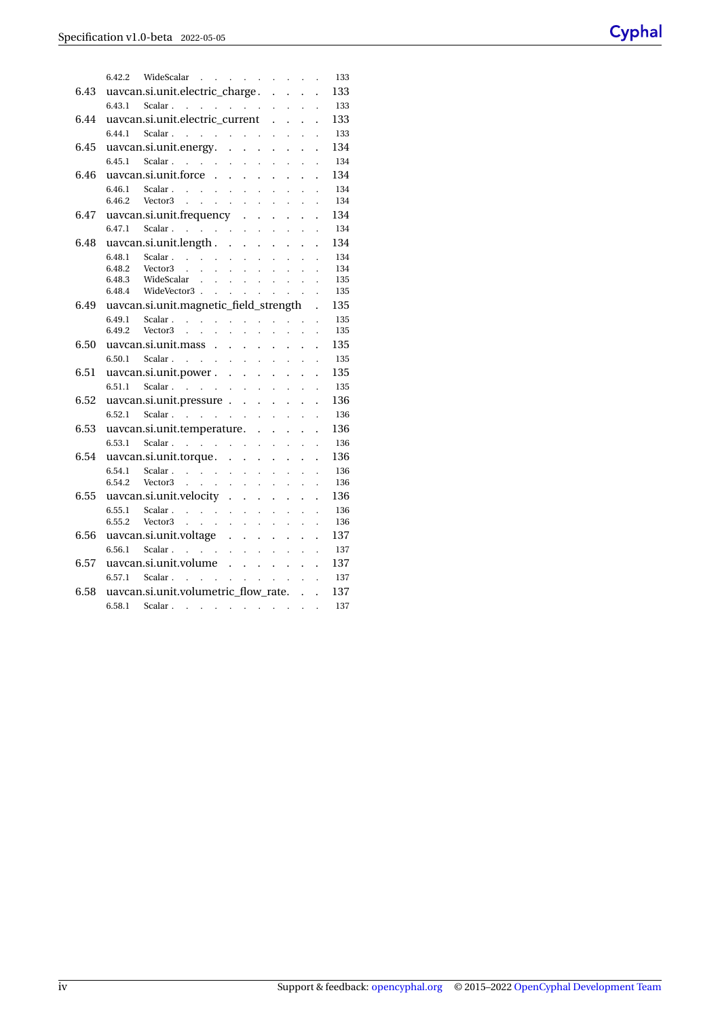| <b>Cyphal</b> |
|---------------|
|               |

|      | WideScalar<br>6.42.2                                                                                                                                                                                                                                                                                 |                                                     |                          | 133        |
|------|------------------------------------------------------------------------------------------------------------------------------------------------------------------------------------------------------------------------------------------------------------------------------------------------------|-----------------------------------------------------|--------------------------|------------|
| 6.43 | uavcan.si.unit.electric_charge.                                                                                                                                                                                                                                                                      |                                                     |                          | 133        |
|      |                                                                                                                                                                                                                                                                                                      | $\mathbf{r}$                                        |                          | 133        |
| 6.44 |                                                                                                                                                                                                                                                                                                      | $\ddot{\phantom{a}}$                                | $\ddot{\phantom{a}}$     | 133        |
|      | Scalar $\cdots$ $\cdots$ $\cdots$<br>6.44.1                                                                                                                                                                                                                                                          | $\mathcal{L}^{\text{max}}$ .                        |                          | 133        |
| 6.45 | uavcan.si.unit.energy.                                                                                                                                                                                                                                                                               |                                                     |                          | 134        |
|      | Scalar.<br>and the company of the company<br>6.45.1                                                                                                                                                                                                                                                  |                                                     |                          | 134        |
| 6.46 | uavcan.si.unit.force                                                                                                                                                                                                                                                                                 |                                                     | $\ddot{\phantom{a}}$     | 134        |
|      | 6.46.1<br>Scalar.<br>$\mathcal{A}$ and $\mathcal{A}$ are all the set of the set of $\mathcal{A}$                                                                                                                                                                                                     | $\mathbf{r}$                                        |                          | 134        |
|      | $\hat{\mathbf{r}}$                                                                                                                                                                                                                                                                                   |                                                     |                          | 134        |
| 6.47 |                                                                                                                                                                                                                                                                                                      |                                                     | $\ddot{\phantom{a}}$     | 134        |
|      |                                                                                                                                                                                                                                                                                                      |                                                     | $\mathbf{r}$             | 134        |
| 6.48 | uavcan.si.unit.length.                                                                                                                                                                                                                                                                               |                                                     |                          | 134        |
|      | Scalar<br>6.48.1                                                                                                                                                                                                                                                                                     |                                                     |                          | 134        |
|      | 6.48.2<br>Vector3<br>$\begin{array}{cccccccccc} 1 & 1 & 1 & 1 & 1 & 1 & 1 & 1 & 1 \\ 1 & 1 & 1 & 1 & 1 & 1 & 1 & 1 & 1 \\ 1 & 1 & 1 & 1 & 1 & 1 & 1 & 1 & 1 \\ \end{array}$<br>$\mathcal{L}$                                                                                                         |                                                     | $\overline{\phantom{a}}$ | 134        |
|      | WideScalar.<br>6.48.3                                                                                                                                                                                                                                                                                |                                                     |                          | 135<br>135 |
| 6.49 | WideVector3<br>6.48.4<br>uavcan.si.unit.magnetic_field_strength                                                                                                                                                                                                                                      |                                                     | $\ddot{\phantom{a}}$     | 135        |
|      | 6.49.1                                                                                                                                                                                                                                                                                               |                                                     |                          | 135        |
|      | 6.49.2                                                                                                                                                                                                                                                                                               |                                                     |                          | 135        |
| 6.50 | $u$ avcan.si.unit.mass                                                                                                                                                                                                                                                                               |                                                     | $\ddot{\phantom{a}}$     | 135        |
|      | Scalar.<br>6.50.1<br>and the contract of the contract of                                                                                                                                                                                                                                             |                                                     | $\ddot{\phantom{a}}$     | 135        |
| 6.51 | uavcan.si.unit.power                                                                                                                                                                                                                                                                                 |                                                     | $\ddot{\phantom{0}}$     | 135        |
|      | Scalar.<br>6.51.1<br>$\mathcal{L}(\mathcal{A})$ . The contribution of the contribution of $\mathcal{A}$                                                                                                                                                                                              |                                                     | $\ddot{\phantom{a}}$     | 135        |
| 6.52 | uavcan.si.unit.pressure                                                                                                                                                                                                                                                                              |                                                     |                          | 136        |
|      | Scalar.<br>De artista e<br>6.52.1<br>$\mathcal{L}^{\text{max}}$ , where $\mathcal{L}^{\text{max}}$                                                                                                                                                                                                   | $\ddot{\phantom{a}}$                                |                          | 136        |
| 6.53 | uavcan.si.unit.temperature<br>$\sim$                                                                                                                                                                                                                                                                 | $\mathbf{r}$<br>$\ddot{\phantom{a}}$                |                          | 136        |
|      | Scalar<br>6.53.1<br>$\mathbb{Z}^{\mathbb{Z}}$<br>$\ddot{\phantom{0}}$                                                                                                                                                                                                                                | $\mathcal{L}^{\mathcal{L}}$<br>$\ddot{\phantom{a}}$ | $\overline{a}$           | 136        |
| 6.54 | uavcan.si.unit.torque<br>$\mathcal{L}^{\mathcal{L}}$<br>$\ddot{\phantom{0}}$<br>$\mathbf{L}$                                                                                                                                                                                                         | $\ddot{\phantom{a}}$<br>$\mathbf{r}$                | $\ddot{\phantom{a}}$     | 136        |
|      | $\mathcal{L}^{\mathcal{A}}$ , and $\mathcal{L}^{\mathcal{A}}$ , and $\mathcal{L}^{\mathcal{A}}$<br>Scalar<br>6.54.1                                                                                                                                                                                  |                                                     | $\overline{\phantom{a}}$ | 136        |
|      | 6.54.2<br>Vector3<br>and a state of the<br>$\mathcal{L}^{\text{max}}(\mathcal{L}^{\text{max}})$<br>$\mathcal{L}^{\mathcal{L}}$                                                                                                                                                                       |                                                     | $\ddot{\phantom{a}}$     | 136        |
| 6.55 | uavcan.si.unit.velocity                                                                                                                                                                                                                                                                              |                                                     | $\ddot{\phantom{a}}$     | 136        |
|      | Scalar.<br>6.55.1<br>$\mathcal{L}_{\mathcal{A}}$<br>$\hat{\mathcal{E}}$                                                                                                                                                                                                                              |                                                     |                          | 136        |
|      | an di sebagai kecamatan di sebagai kecamatan di sebagai kecamatan di sebagai kecamatan di sebagai kecamatan di<br>Kecamatan di sebagai kecamatan di sebagai kecamatan di sebagai kecamatan di sebagai kecamatan di sebagai kecam<br>6.55.2<br>Vector3<br>$\mathbf{L} = \mathbf{L} \times \mathbf{L}$ |                                                     |                          | 136        |
| 6.56 | uavcan.si.unit.voltage                                                                                                                                                                                                                                                                               |                                                     |                          | 137        |
|      | and the contract of the contract of<br>6.56.1<br>Scalar.                                                                                                                                                                                                                                             |                                                     |                          | 137        |
| 6.57 | uavcan.si.unit.volume                                                                                                                                                                                                                                                                                |                                                     |                          | 137        |
|      | Scalar.<br>6.57.1<br>$\mathcal{A}=\mathcal{A}=\mathcal{A}=\mathcal{A}=\mathcal{A}=\mathcal{A}=\mathcal{A}$ .                                                                                                                                                                                         |                                                     | $\ddot{\phantom{a}}$     | 137        |
| 6.58 | uavcan.si.unit.volumetric_flow_rate. .                                                                                                                                                                                                                                                               |                                                     | $\ddot{\phantom{a}}$     | 137        |
|      | Scalar.<br>6.58.1<br>$\mathcal{A}$ . The second contribution of the second second                                                                                                                                                                                                                    |                                                     |                          | 137        |
|      |                                                                                                                                                                                                                                                                                                      |                                                     |                          |            |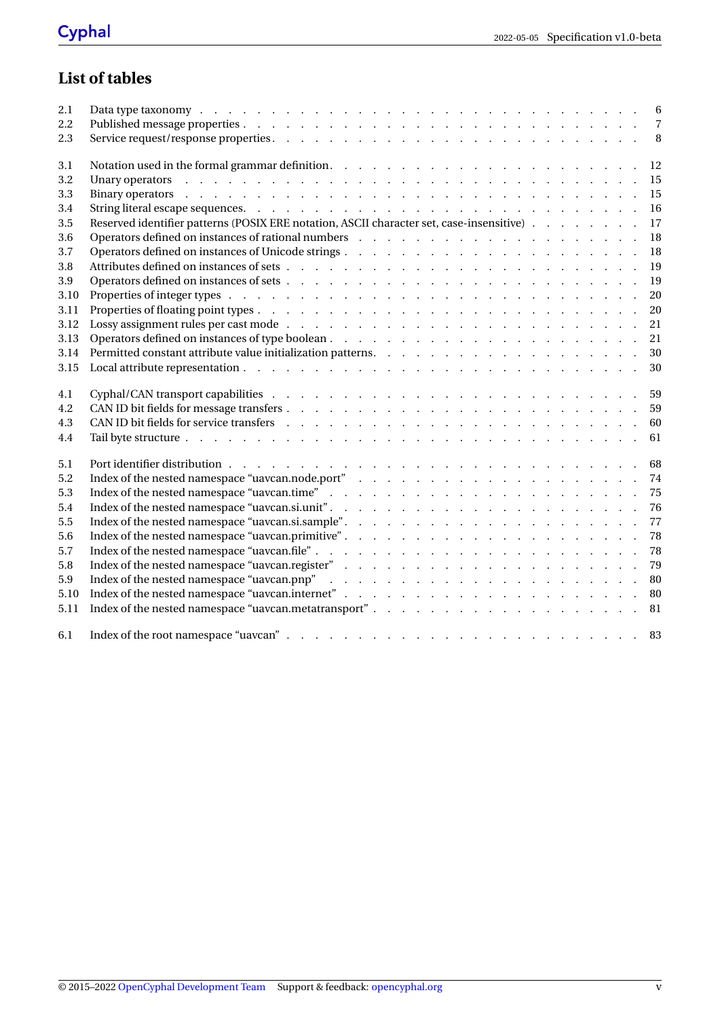# **List of tables**

| 2.1<br>2.2<br>2.3 | Data type taxonomy respectively and the contract of the contract of the contract of the contract of the contract of the contract of the contract of the contract of the contract of the contract of the contract of the contra |  |  |  |  | 6<br>$\overline{7}$<br>8 |
|-------------------|--------------------------------------------------------------------------------------------------------------------------------------------------------------------------------------------------------------------------------|--|--|--|--|--------------------------|
| 3.1               |                                                                                                                                                                                                                                |  |  |  |  | <sup>12</sup>            |
| 3.2               | Unary operators (Alberta Alberta Alberta Alberta Alberta Alberta Alberta Alberta Alberta Alberta Alberta Alberta Alberta Alberta Alberta Alberta Alberta Alberta Alberta Alberta Alberta Alberta Alberta Alberta Alberta Alber |  |  |  |  | <sup>15</sup>            |
| 3.3               | Binary operators (b) and (b) and (b) and (b) and (b) and (b) and (b) and (b) and (b) and (b) and (b) and (b) and (b) and (b) and (b) and (b) and (b) and (b) and (b) and (b) and (b) and (b) and (b) and (b) and (b) and (b) a |  |  |  |  | 15                       |
| 3.4               |                                                                                                                                                                                                                                |  |  |  |  | 16                       |
| 3.5               | Reserved identifier patterns (POSIX ERE notation, ASCII character set, case-insensitive)                                                                                                                                       |  |  |  |  | 17                       |
| 3.6               |                                                                                                                                                                                                                                |  |  |  |  | 18                       |
| 3.7               |                                                                                                                                                                                                                                |  |  |  |  | 18                       |
| 3.8               |                                                                                                                                                                                                                                |  |  |  |  | 19                       |
| 3.9               |                                                                                                                                                                                                                                |  |  |  |  | 19                       |
| 3.10              |                                                                                                                                                                                                                                |  |  |  |  | 20                       |
| 3.11              |                                                                                                                                                                                                                                |  |  |  |  | 20                       |
| 3.12              |                                                                                                                                                                                                                                |  |  |  |  | 21                       |
| 3.13              |                                                                                                                                                                                                                                |  |  |  |  | 21                       |
| 3.14              |                                                                                                                                                                                                                                |  |  |  |  | 30                       |
| 3.15              |                                                                                                                                                                                                                                |  |  |  |  | 30                       |
| 4.1               |                                                                                                                                                                                                                                |  |  |  |  | 59                       |
| 4.2               |                                                                                                                                                                                                                                |  |  |  |  | 59                       |
|                   |                                                                                                                                                                                                                                |  |  |  |  |                          |
| 4.3               |                                                                                                                                                                                                                                |  |  |  |  | 60                       |
| 4.4               |                                                                                                                                                                                                                                |  |  |  |  | 61                       |
| 5.1               |                                                                                                                                                                                                                                |  |  |  |  | 68                       |
| 5.2               |                                                                                                                                                                                                                                |  |  |  |  | 74                       |
| 5.3               |                                                                                                                                                                                                                                |  |  |  |  | 75                       |
| 5.4               |                                                                                                                                                                                                                                |  |  |  |  | 76                       |
| 5.5               |                                                                                                                                                                                                                                |  |  |  |  | 77                       |
| 5.6               |                                                                                                                                                                                                                                |  |  |  |  | 78                       |
| 5.7               |                                                                                                                                                                                                                                |  |  |  |  | 78                       |
| 5.8               |                                                                                                                                                                                                                                |  |  |  |  | 79                       |
| 5.9               |                                                                                                                                                                                                                                |  |  |  |  | 80                       |
| 5.10              | Index of the nested namespace "uavcan.internet"                                                                                                                                                                                |  |  |  |  | 80                       |
| 5.11              |                                                                                                                                                                                                                                |  |  |  |  | 81                       |
| 6.1               |                                                                                                                                                                                                                                |  |  |  |  |                          |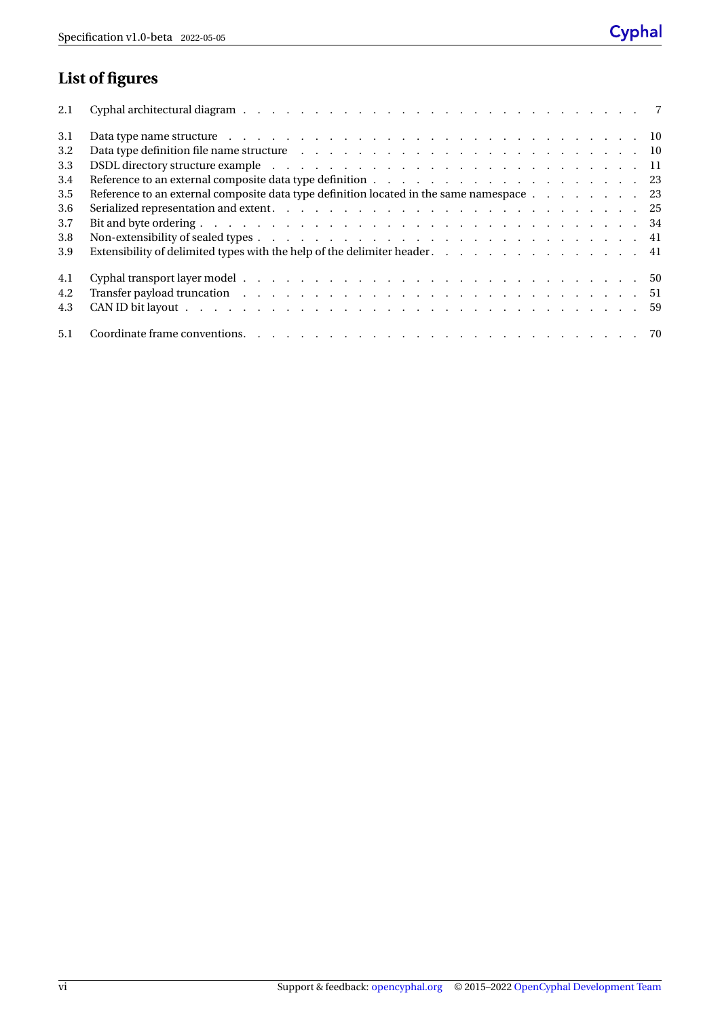# **List of figures**

| 2.1 |                                                                                                                                                                                                                                |
|-----|--------------------------------------------------------------------------------------------------------------------------------------------------------------------------------------------------------------------------------|
| 3.1 |                                                                                                                                                                                                                                |
| 3.2 | Data type definition file name structure response to reference the contract of the structure response to the contract of the contract of the contract of the contract of the contract of the contract of the contract of the c |
| 3.3 |                                                                                                                                                                                                                                |
| 3.4 |                                                                                                                                                                                                                                |
| 3.5 | Reference to an external composite data type definition located in the same namespace 23                                                                                                                                       |
| 3.6 |                                                                                                                                                                                                                                |
| 3.7 |                                                                                                                                                                                                                                |
| 3.8 |                                                                                                                                                                                                                                |
| 3.9 | Extensibility of delimited types with the help of the delimiter header. 41                                                                                                                                                     |
| 4.1 |                                                                                                                                                                                                                                |
| 4.2 | Transfer payload truncation (b) in the contract of the contract of the contract of the contract of the contract of the contract of the contract of the contract of the contract of the contract of the contract of the contrac |
| 4.3 |                                                                                                                                                                                                                                |
| 5.1 |                                                                                                                                                                                                                                |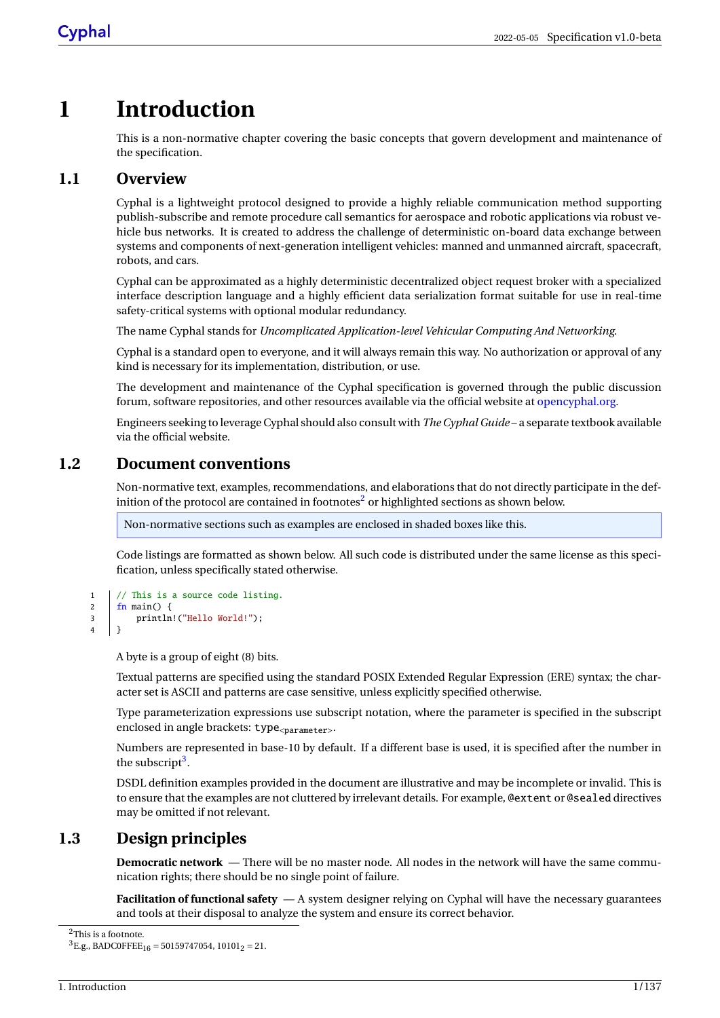# <span id="page-6-0"></span>**1 Introduction**

This is a non-normative chapter covering the basic concepts that govern development and maintenance of the specification.

## <span id="page-6-1"></span>**1.1 Overview**

Cyphal is a lightweight protocol designed to provide a highly reliable communication method supporting publish-subscribe and remote procedure call semantics for aerospace and robotic applications via robust vehicle bus networks. It is created to address the challenge of deterministic on-board data exchange between systems and components of next-generation intelligent vehicles: manned and unmanned aircraft, spacecraft, robots, and cars.

Cyphal can be approximated as a highly deterministic decentralized object request broker with a specialized interface description language and a highly efficient data serialization format suitable for use in real-time safety-critical systems with optional modular redundancy.

The name Cyphal stands for *Uncomplicated Application-level Vehicular Computing And Networking*.

Cyphal is a standard open to everyone, and it will always remain this way. No authorization or approval of any kind is necessary for its implementation, distribution, or use.

The development and maintenance of the Cyphal specification is governed through the public discussion forum, software repositories, and other resources available via the official website at [opencyphal.org.](http://opencyphal.org)

Engineers seeking to leverage Cyphal should also consult with *The Cyphal Guide* – a separate textbook available via the official website.

# <span id="page-6-2"></span>**1.2 Document conventions**

Non-normative text, examples, recommendations, and elaborations that do not directly participate in the def-inition of the protocol are contained in footnotes<sup>[2](#page-6-4)</sup> or highlighted sections as shown below.

Non-normative sections such as examples are enclosed in shaded boxes like this.

Code listings are formatted as shown below. All such code is distributed under the same license as this specification, unless specifically stated otherwise.

```
1 | // This is a source code listing.
2 \int fn main() {
3 println!("Hello World!");
4 \mid \}
```
A byte is a group of eight (8) bits.

Textual patterns are specified using the standard POSIX Extended Regular Expression (ERE) syntax; the character set is ASCII and patterns are case sensitive, unless explicitly specified otherwise.

Type parameterization expressions use subscript notation, where the parameter is specified in the subscript enclosed in angle brackets: type<sub><parameter></sub>.

Numbers are represented in base-10 by default. If a different base is used, it is specified after the number in the subscript $3$ .

DSDL definition examples provided in the document are illustrative and may be incomplete or invalid. This is to ensure that the examples are not cluttered by irrelevant details. For example, @extent or @sealed directives may be omitted if not relevant.

# <span id="page-6-3"></span>**1.3 Design principles**

**Democratic network** — There will be no master node. All nodes in the network will have the same communication rights; there should be no single point of failure.

**Facilitation of functional safety** — A system designer relying on Cyphal will have the necessary guarantees and tools at their disposal to analyze the system and ensure its correct behavior.

<span id="page-6-4"></span><sup>2</sup>This is a footnote.

<span id="page-6-5"></span> ${}^{3}E.$ g., BADC0FFEE<sub>16</sub> = 50159747054, 10101<sub>2</sub> = 21.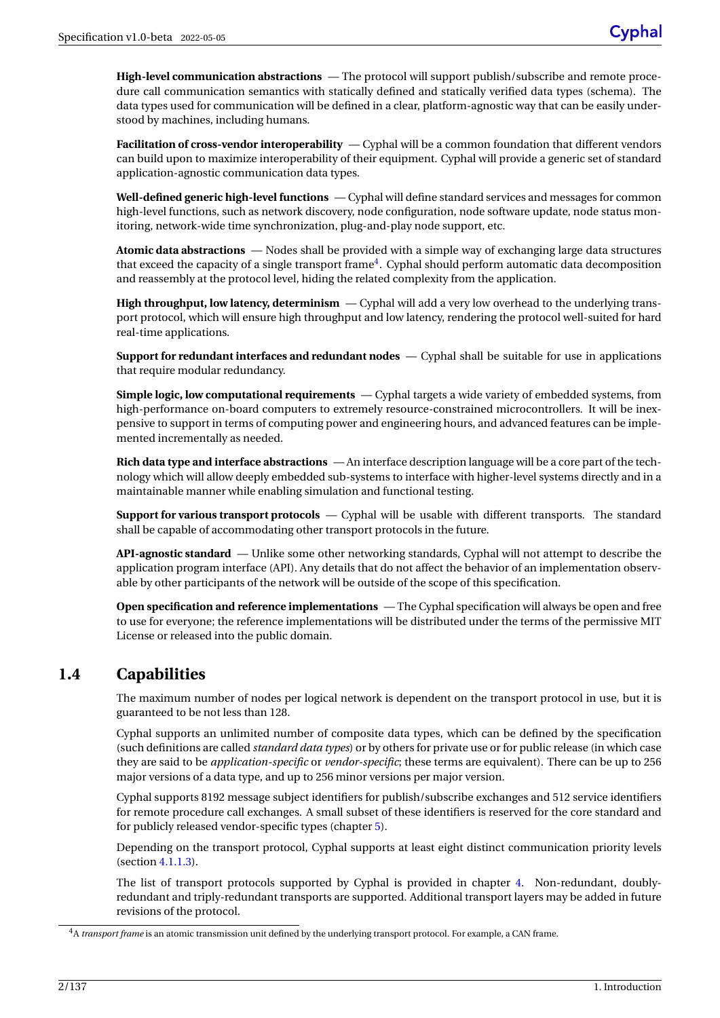**High-level communication abstractions** — The protocol will support publish/subscribe and remote procedure call communication semantics with statically defined and statically verified data types (schema). The data types used for communication will be defined in a clear, platform-agnostic way that can be easily understood by machines, including humans.

**Facilitation of cross-vendor interoperability** — Cyphal will be a common foundation that different vendors can build upon to maximize interoperability of their equipment. Cyphal will provide a generic set of standard application-agnostic communication data types.

**Well-defined generic high-level functions** — Cyphal will define standard services and messages for common high-level functions, such as network discovery, node configuration, node software update, node status monitoring, network-wide time synchronization, plug-and-play node support, etc.

**Atomic data abstractions** — Nodes shall be provided with a simple way of exchanging large data structures that exceed the capacity of a single transport frame<sup>[4](#page-7-1)</sup>. Cyphal should perform automatic data decomposition and reassembly at the protocol level, hiding the related complexity from the application.

**High throughput, low latency, determinism** — Cyphal will add a very low overhead to the underlying transport protocol, which will ensure high throughput and low latency, rendering the protocol well-suited for hard real-time applications.

**Support for redundant interfaces and redundant nodes** — Cyphal shall be suitable for use in applications that require modular redundancy.

**Simple logic, low computational requirements** — Cyphal targets a wide variety of embedded systems, from high-performance on-board computers to extremely resource-constrained microcontrollers. It will be inexpensive to support in terms of computing power and engineering hours, and advanced features can be implemented incrementally as needed.

**Rich data type and interface abstractions** — An interface description language will be a core part of the technology which will allow deeply embedded sub-systems to interface with higher-level systems directly and in a maintainable manner while enabling simulation and functional testing.

**Support for various transport protocols** — Cyphal will be usable with different transports. The standard shall be capable of accommodating other transport protocols in the future.

**API-agnostic standard** — Unlike some other networking standards, Cyphal will not attempt to describe the application program interface (API). Any details that do not affect the behavior of an implementation observable by other participants of the network will be outside of the scope of this specification.

**Open specification and reference implementations** — The Cyphal specification will always be open and free to use for everyone; the reference implementations will be distributed under the terms of the permissive MIT License or released into the public domain.

# <span id="page-7-0"></span>**1.4 Capabilities**

The maximum number of nodes per logical network is dependent on the transport protocol in use, but it is guaranteed to be not less than 128.

Cyphal supports an unlimited number of composite data types, which can be defined by the specification (such definitions are called *standard data types*) or by others for private use or for public release (in which case they are said to be *application-specific* or *vendor-specific*; these terms are equivalent). There can be up to 256 major versions of a data type, and up to 256 minor versions per major version.

Cyphal supports 8192 message subject identifiers for publish/subscribe exchanges and 512 service identifiers for remote procedure call exchanges. A small subset of these identifiers is reserved for the core standard and for publicly released vendor-specific types (chapter [5\)](#page-72-0).

Depending on the transport protocol, Cyphal supports at least eight distinct communication priority levels (section [4.1.1.3\)](#page-57-0).

The list of transport protocols supported by Cyphal is provided in chapter [4.](#page-54-0) Non-redundant, doublyredundant and triply-redundant transports are supported. Additional transport layers may be added in future revisions of the protocol.

<span id="page-7-1"></span><sup>4</sup>A *transport frame* is an atomic transmission unit defined by the underlying transport protocol. For example, a CAN frame.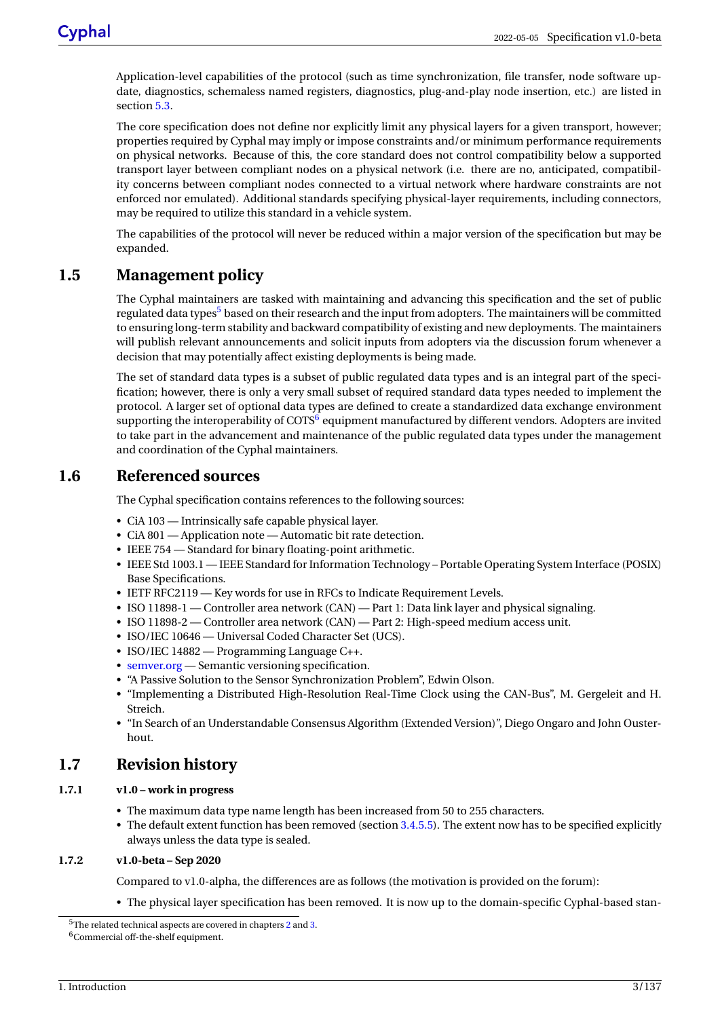Application-level capabilities of the protocol (such as time synchronization, file transfer, node software update, diagnostics, schemaless named registers, diagnostics, plug-and-play node insertion, etc.) are listed in section [5.3.](#page-78-0)

The core specification does not define nor explicitly limit any physical layers for a given transport, however; properties required by Cyphal may imply or impose constraints and/or minimum performance requirements on physical networks. Because of this, the core standard does not control compatibility below a supported transport layer between compliant nodes on a physical network (i.e. there are no, anticipated, compatibility concerns between compliant nodes connected to a virtual network where hardware constraints are not enforced nor emulated). Additional standards specifying physical-layer requirements, including connectors, may be required to utilize this standard in a vehicle system.

The capabilities of the protocol will never be reduced within a major version of the specification but may be expanded.

# <span id="page-8-0"></span>**1.5 Management policy**

The Cyphal maintainers are tasked with maintaining and advancing this specification and the set of public regulated data types<sup>[5](#page-8-5)</sup> based on their research and the input from adopters. The maintainers will be committed to ensuring long-term stability and backward compatibility of existing and new deployments. The maintainers will publish relevant announcements and solicit inputs from adopters via the discussion forum whenever a decision that may potentially affect existing deployments is being made.

The set of standard data types is a subset of public regulated data types and is an integral part of the specification; however, there is only a very small subset of required standard data types needed to implement the protocol. A larger set of optional data types are defined to create a standardized data exchange environment supporting the interoperability of COTS $^6$  $^6$  equipment manufactured by different vendors. Adopters are invited to take part in the advancement and maintenance of the public regulated data types under the management and coordination of the Cyphal maintainers.

# <span id="page-8-1"></span>**1.6 Referenced sources**

The Cyphal specification contains references to the following sources:

- CiA 103 Intrinsically safe capable physical layer.
- CiA 801 Application note Automatic bit rate detection.
- IEEE 754 Standard for binary floating-point arithmetic.
- IEEE Std 1003.1 IEEE Standard for Information Technology Portable Operating System Interface (POSIX) Base Specifications.
- IETF RFC2119 Key words for use in RFCs to Indicate Requirement Levels.
- ISO 11898-1 Controller area network (CAN) Part 1: Data link layer and physical signaling.
- ISO 11898-2 Controller area network (CAN) Part 2: High-speed medium access unit.
- ISO/IEC 10646 Universal Coded Character Set (UCS).
- ISO/IEC 14882 Programming Language C++.
- [semver.org](http://semver.org) Semantic versioning specification.
- "A Passive Solution to the Sensor Synchronization Problem", Edwin Olson.
- "Implementing a Distributed High-Resolution Real-Time Clock using the CAN-Bus", M. Gergeleit and H. Streich.
- "In Search of an Understandable Consensus Algorithm (Extended Version)", Diego Ongaro and John Ousterhout.

# <span id="page-8-2"></span>**1.7 Revision history**

- <span id="page-8-3"></span>**1.7.1 v1.0 – work in progress**
	- The maximum data type name length has been increased from 50 to 255 characters.
	- The default extent function has been removed (section [3.4.5.5\)](#page-29-0). The extent now has to be specified explicitly always unless the data type is sealed.

#### <span id="page-8-4"></span>**1.7.2 v1.0-beta – Sep 2020**

Compared to v1.0-alpha, the differences are as follows (the motivation is provided on the forum):

• The physical layer specification has been removed. It is now up to the domain-specific Cyphal-based stan-

<span id="page-8-5"></span> $5$ The related technical aspects are covered in chapters [2](#page-10-0) and [3.](#page-14-0)

<span id="page-8-6"></span><sup>6</sup>Commercial off-the-shelf equipment.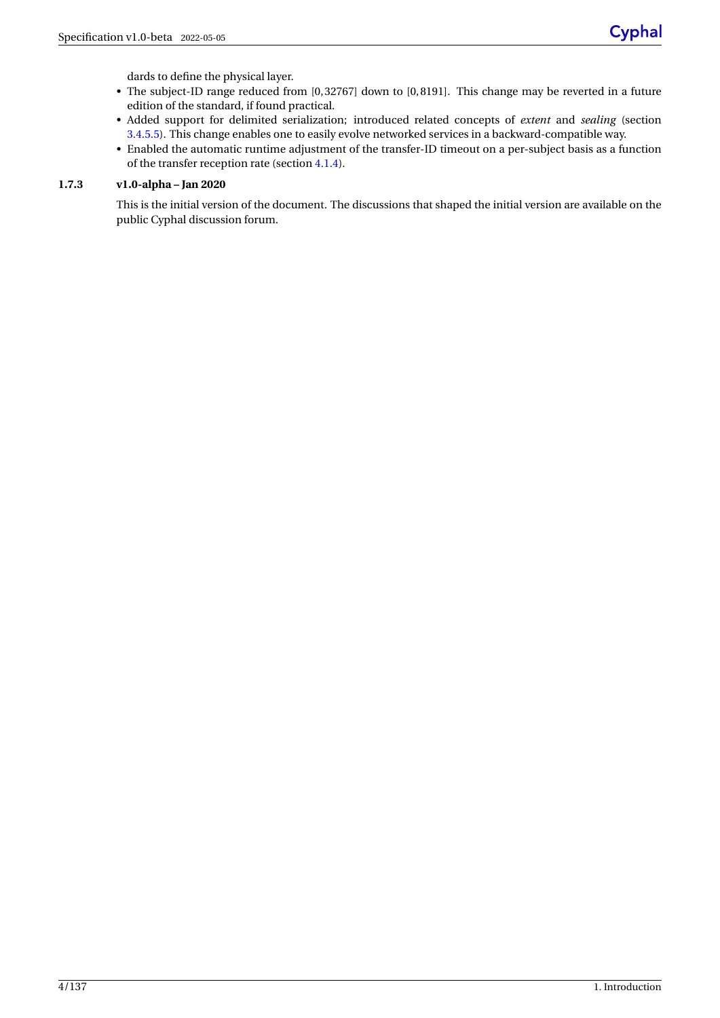dards to define the physical layer.

- The subject-ID range reduced from [0,32767] down to [0,8191]. This change may be reverted in a future edition of the standard, if found practical.
- Added support for delimited serialization; introduced related concepts of *extent* and *sealing* (section [3.4.5.5\)](#page-29-0). This change enables one to easily evolve networked services in a backward-compatible way.
- Enabled the automatic runtime adjustment of the transfer-ID timeout on a per-subject basis as a function of the transfer reception rate (section [4.1.4\)](#page-61-0).

#### <span id="page-9-0"></span>**1.7.3 v1.0-alpha – Jan 2020**

This is the initial version of the document. The discussions that shaped the initial version are available on the public Cyphal discussion forum.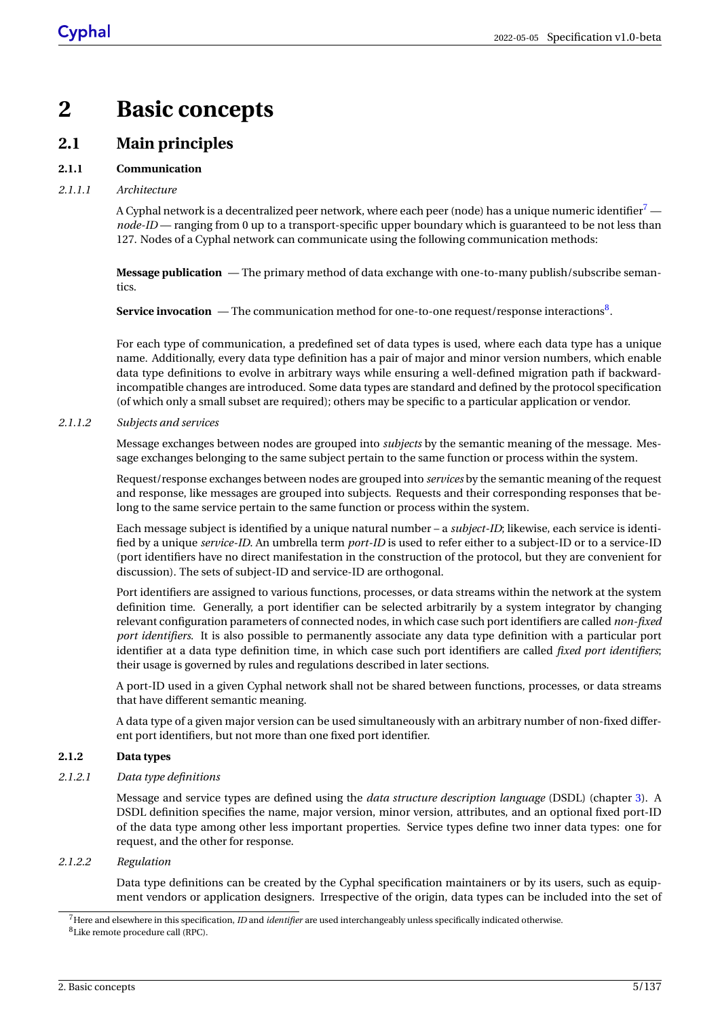# <span id="page-10-0"></span>**2 Basic concepts**

# <span id="page-10-1"></span>**2.1 Main principles**

#### <span id="page-10-2"></span>**2.1.1 Communication**

#### *2.1.1.1 Architecture*

A Cyphal network is a decentralized peer network, where each peer (node) has a unique numeric identifier<sup>[7](#page-10-4)</sup> *node-ID* — ranging from 0 up to a transport-specific upper boundary which is guaranteed to be not less than 127. Nodes of a Cyphal network can communicate using the following communication methods:

**Message publication** — The primary method of data exchange with one-to-many publish/subscribe semantics.

**Service invocation** — The communication method for one-to-one request/response interactions<sup>[8](#page-10-5)</sup>.

For each type of communication, a predefined set of data types is used, where each data type has a unique name. Additionally, every data type definition has a pair of major and minor version numbers, which enable data type definitions to evolve in arbitrary ways while ensuring a well-defined migration path if backwardincompatible changes are introduced. Some data types are standard and defined by the protocol specification (of which only a small subset are required); others may be specific to a particular application or vendor.

#### <span id="page-10-6"></span>*2.1.1.2 Subjects and services*

Message exchanges between nodes are grouped into *subjects* by the semantic meaning of the message. Message exchanges belonging to the same subject pertain to the same function or process within the system.

Request/response exchanges between nodes are grouped into *services* by the semantic meaning of the request and response, like messages are grouped into subjects. Requests and their corresponding responses that belong to the same service pertain to the same function or process within the system.

Each message subject is identified by a unique natural number – a *subject-ID*; likewise, each service is identified by a unique *service-ID*. An umbrella term *port-ID* is used to refer either to a subject-ID or to a service-ID (port identifiers have no direct manifestation in the construction of the protocol, but they are convenient for discussion). The sets of subject-ID and service-ID are orthogonal.

Port identifiers are assigned to various functions, processes, or data streams within the network at the system definition time. Generally, a port identifier can be selected arbitrarily by a system integrator by changing relevant configuration parameters of connected nodes, in which case such port identifiers are called *non-fixed port identifiers*. It is also possible to permanently associate any data type definition with a particular port identifier at a data type definition time, in which case such port identifiers are called *fixed port identifiers*; their usage is governed by rules and regulations described in later sections.

A port-ID used in a given Cyphal network shall not be shared between functions, processes, or data streams that have different semantic meaning.

A data type of a given major version can be used simultaneously with an arbitrary number of non-fixed different port identifiers, but not more than one fixed port identifier.

#### <span id="page-10-3"></span>**2.1.2 Data types**

#### *2.1.2.1 Data type definitions*

Message and service types are defined using the *data structure description language* (DSDL) (chapter [3\)](#page-14-0). A DSDL definition specifies the name, major version, minor version, attributes, and an optional fixed port-ID of the data type among other less important properties. Service types define two inner data types: one for request, and the other for response.

#### *2.1.2.2 Regulation*

Data type definitions can be created by the Cyphal specification maintainers or by its users, such as equipment vendors or application designers. Irrespective of the origin, data types can be included into the set of

<span id="page-10-5"></span><span id="page-10-4"></span><sup>7</sup>Here and elsewhere in this specification, *ID* and *identifier* are used interchangeably unless specifically indicated otherwise. <sup>8</sup>Like remote procedure call (RPC).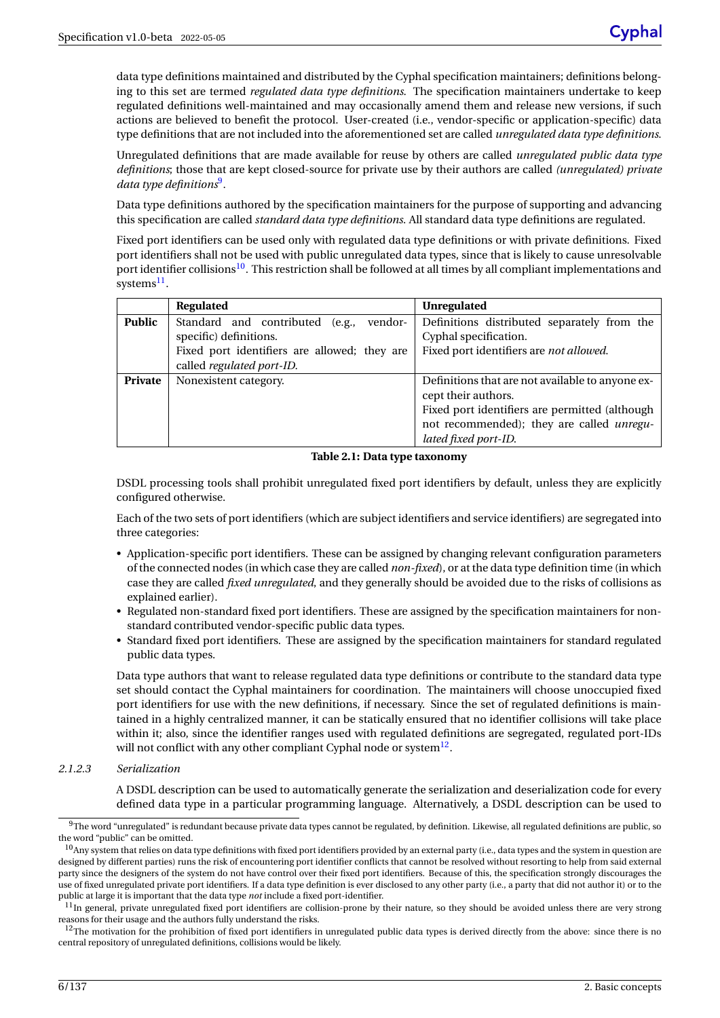data type definitions maintained and distributed by the Cyphal specification maintainers; definitions belonging to this set are termed *regulated data type definitions*. The specification maintainers undertake to keep regulated definitions well-maintained and may occasionally amend them and release new versions, if such actions are believed to benefit the protocol. User-created (i.e., vendor-specific or application-specific) data type definitions that are not included into the aforementioned set are called *unregulated data type definitions*.

Unregulated definitions that are made available for reuse by others are called *unregulated public data type definitions*; those that are kept closed-source for private use by their authors are called *(unregulated) private data type definitions*[9](#page-11-1) .

Data type definitions authored by the specification maintainers for the purpose of supporting and advancing this specification are called *standard data type definitions*. All standard data type definitions are regulated.

Fixed port identifiers can be used only with regulated data type definitions or with private definitions. Fixed port identifiers shall not be used with public unregulated data types, since that is likely to cause unresolvable port identifier collisions<sup>[10](#page-11-2)</sup>. This restriction shall be followed at all times by all compliant implementations and systems<sup>[11](#page-11-3)</sup>.

|               | Regulated                                     | <b>Unregulated</b>                               |
|---------------|-----------------------------------------------|--------------------------------------------------|
| <b>Public</b> | Standard and contributed<br>vendor-<br>(e.g., | Definitions distributed separately from the      |
|               | specific) definitions.                        | Cyphal specification.                            |
|               | Fixed port identifiers are allowed; they are  | Fixed port identifiers are not allowed.          |
|               | called regulated port-ID.                     |                                                  |
| Private       | Nonexistent category.                         | Definitions that are not available to anyone ex- |
|               |                                               | cept their authors.                              |
|               |                                               | Fixed port identifiers are permitted (although   |
|               |                                               | not recommended); they are called unregu-        |
|               |                                               | lated fixed port-ID.                             |

<span id="page-11-0"></span>**Table 2.1: Data type taxonomy**

DSDL processing tools shall prohibit unregulated fixed port identifiers by default, unless they are explicitly configured otherwise.

Each of the two sets of port identifiers (which are subject identifiers and service identifiers) are segregated into three categories:

- Application-specific port identifiers. These can be assigned by changing relevant configuration parameters of the connected nodes (in which case they are called *non-fixed*), or at the data type definition time (in which case they are called *fixed unregulated*, and they generally should be avoided due to the risks of collisions as explained earlier).
- Regulated non-standard fixed port identifiers. These are assigned by the specification maintainers for nonstandard contributed vendor-specific public data types.
- Standard fixed port identifiers. These are assigned by the specification maintainers for standard regulated public data types.

Data type authors that want to release regulated data type definitions or contribute to the standard data type set should contact the Cyphal maintainers for coordination. The maintainers will choose unoccupied fixed port identifiers for use with the new definitions, if necessary. Since the set of regulated definitions is maintained in a highly centralized manner, it can be statically ensured that no identifier collisions will take place within it; also, since the identifier ranges used with regulated definitions are segregated, regulated port-IDs will not conflict with any other compliant Cyphal node or system $^{12}.$  $^{12}.$  $^{12}.$ 

*2.1.2.3 Serialization*

A DSDL description can be used to automatically generate the serialization and deserialization code for every defined data type in a particular programming language. Alternatively, a DSDL description can be used to

<span id="page-11-1"></span> $9$ The word "unregulated" is redundant because private data types cannot be regulated, by definition. Likewise, all regulated definitions are public, so the word "public" can be omitted.

<span id="page-11-2"></span> $10$ Any system that relies on data type definitions with fixed port identifiers provided by an external party (i.e., data types and the system in question are designed by different parties) runs the risk of encountering port identifier conflicts that cannot be resolved without resorting to help from said external party since the designers of the system do not have control over their fixed port identifiers. Because of this, the specification strongly discourages the use of fixed unregulated private port identifiers. If a data type definition is ever disclosed to any other party (i.e., a party that did not author it) or to the public at large it is important that the data type *not* include a fixed port-identifier.

<span id="page-11-3"></span><sup>&</sup>lt;sup>11</sup>In general, private unregulated fixed port identifiers are collision-prone by their nature, so they should be avoided unless there are very strong reasons for their usage and the authors fully understand the risks.

<span id="page-11-4"></span><sup>&</sup>lt;sup>12</sup>The motivation for the prohibition of fixed port identifiers in unregulated public data types is derived directly from the above: since there is no central repository of unregulated definitions, collisions would be likely.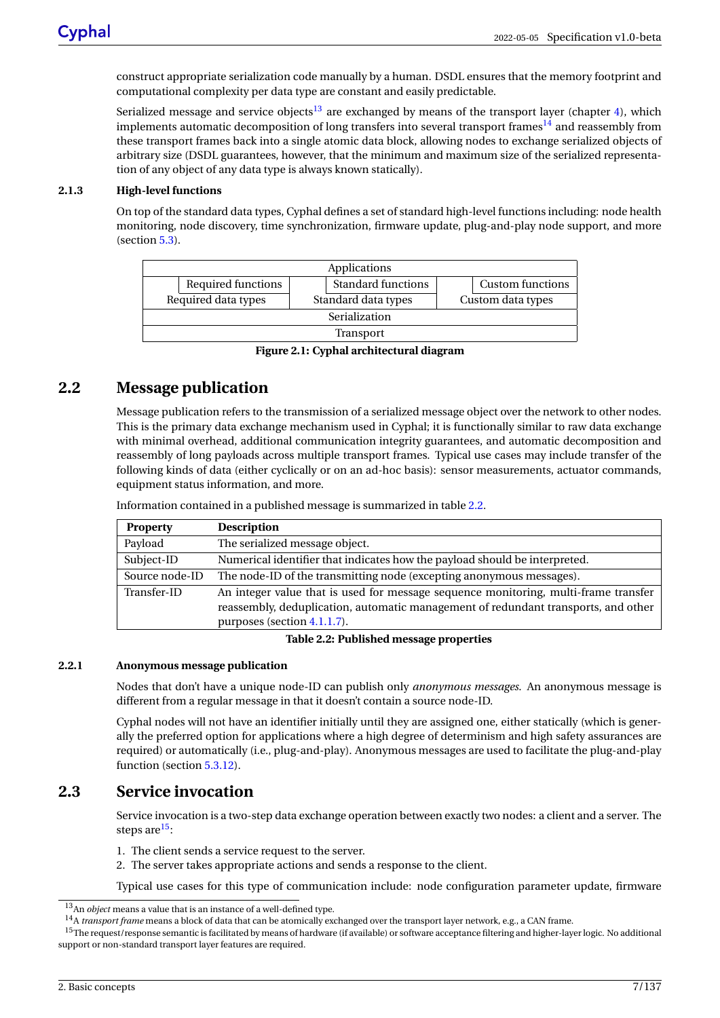construct appropriate serialization code manually by a human. DSDL ensures that the memory footprint and computational complexity per data type are constant and easily predictable.

Serialized message and service objects<sup>[13](#page-12-6)</sup> are exchanged by means of the transport layer (chapter [4\)](#page-54-0), which implements automatic decomposition of long transfers into several transport frames<sup>[14](#page-12-7)</sup> and reassembly from these transport frames back into a single atomic data block, allowing nodes to exchange serialized objects of arbitrary size (DSDL guarantees, however, that the minimum and maximum size of the serialized representation of any object of any data type is always known statically).

#### <span id="page-12-5"></span><span id="page-12-0"></span>**2.1.3 High-level functions**

On top of the standard data types, Cyphal defines a set of standard high-level functions including: node health monitoring, node discovery, time synchronization, firmware update, plug-and-play node support, and more (section [5.3\)](#page-78-0).

| Applications        |                           |                         |  |  |  |  |  |
|---------------------|---------------------------|-------------------------|--|--|--|--|--|
| Required functions  | <b>Standard functions</b> | <b>Custom functions</b> |  |  |  |  |  |
| Required data types | Standard data types       | Custom data types       |  |  |  |  |  |
|                     | Serialization             |                         |  |  |  |  |  |
| <b>Transport</b>    |                           |                         |  |  |  |  |  |

**Figure 2.1: Cyphal architectural diagram**

# <span id="page-12-1"></span>**2.2 Message publication**

Message publication refers to the transmission of a serialized message object over the network to other nodes. This is the primary data exchange mechanism used in Cyphal; it is functionally similar to raw data exchange with minimal overhead, additional communication integrity guarantees, and automatic decomposition and reassembly of long payloads across multiple transport frames. Typical use cases may include transfer of the following kinds of data (either cyclically or on an ad-hoc basis): sensor measurements, actuator commands, equipment status information, and more.

Information contained in a published message is summarized in table [2.2.](#page-12-1)

| <b>Property</b> | <b>Description</b>                                                                                                                                                                                       |
|-----------------|----------------------------------------------------------------------------------------------------------------------------------------------------------------------------------------------------------|
| Payload         | The serialized message object.                                                                                                                                                                           |
| Subject-ID      | Numerical identifier that indicates how the payload should be interpreted.                                                                                                                               |
| Source node-ID  | The node-ID of the transmitting node (excepting anonymous messages).                                                                                                                                     |
| Transfer-ID     | An integer value that is used for message sequence monitoring, multi-frame transfer<br>reassembly, deduplication, automatic management of redundant transports, and other<br>purposes (section 4.1.1.7). |

#### <span id="page-12-4"></span>**Table 2.2: Published message properties**

#### <span id="page-12-2"></span>**2.2.1 Anonymous message publication**

Nodes that don't have a unique node-ID can publish only *anonymous messages*. An anonymous message is different from a regular message in that it doesn't contain a source node-ID.

Cyphal nodes will not have an identifier initially until they are assigned one, either statically (which is generally the preferred option for applications where a high degree of determinism and high safety assurances are required) or automatically (i.e., plug-and-play). Anonymous messages are used to facilitate the plug-and-play function (section [5.3.12\)](#page-84-3).

## <span id="page-12-3"></span>**2.3 Service invocation**

Service invocation is a two-step data exchange operation between exactly two nodes: a client and a server. The steps are  $15$ :

- 1. The client sends a service request to the server.
- 2. The server takes appropriate actions and sends a response to the client.

Typical use cases for this type of communication include: node configuration parameter update, firmware

<span id="page-12-9"></span><span id="page-12-6"></span><sup>13</sup>An *object* means a value that is an instance of a well-defined type.

<span id="page-12-8"></span><span id="page-12-7"></span><sup>14</sup>A *transport frame* means a block of data that can be atomically exchanged over the transport layer network, e.g., a CAN frame.

<sup>&</sup>lt;sup>15</sup>The request/response semantic is facilitated by means of hardware (if available) or software acceptance filtering and higher-layer logic. No additional support or non-standard transport layer features are required.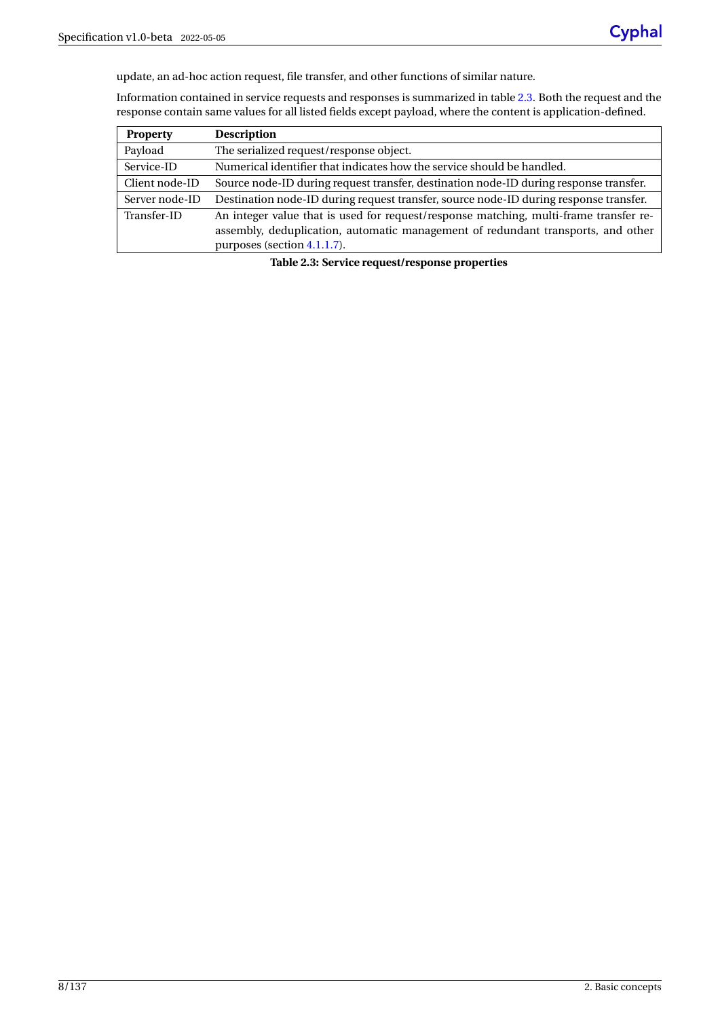update, an ad-hoc action request, file transfer, and other functions of similar nature.

Information contained in service requests and responses is summarized in table [2.3.](#page-12-9) Both the request and the response contain same values for all listed fields except payload, where the content is application-defined.

| <b>Property</b> | <b>Description</b>                                                                    |
|-----------------|---------------------------------------------------------------------------------------|
| Payload         | The serialized request/response object.                                               |
| Service-ID      | Numerical identifier that indicates how the service should be handled.                |
| Client node-ID  | Source node-ID during request transfer, destination node-ID during response transfer. |
| Server node-ID  | Destination node-ID during request transfer, source node-ID during response transfer. |
| Transfer-ID     | An integer value that is used for request/response matching, multi-frame transfer re- |
|                 | assembly, deduplication, automatic management of redundant transports, and other      |
|                 | purposes (section 4.1.1.7).                                                           |

<span id="page-13-0"></span>**Table 2.3: Service request/response properties**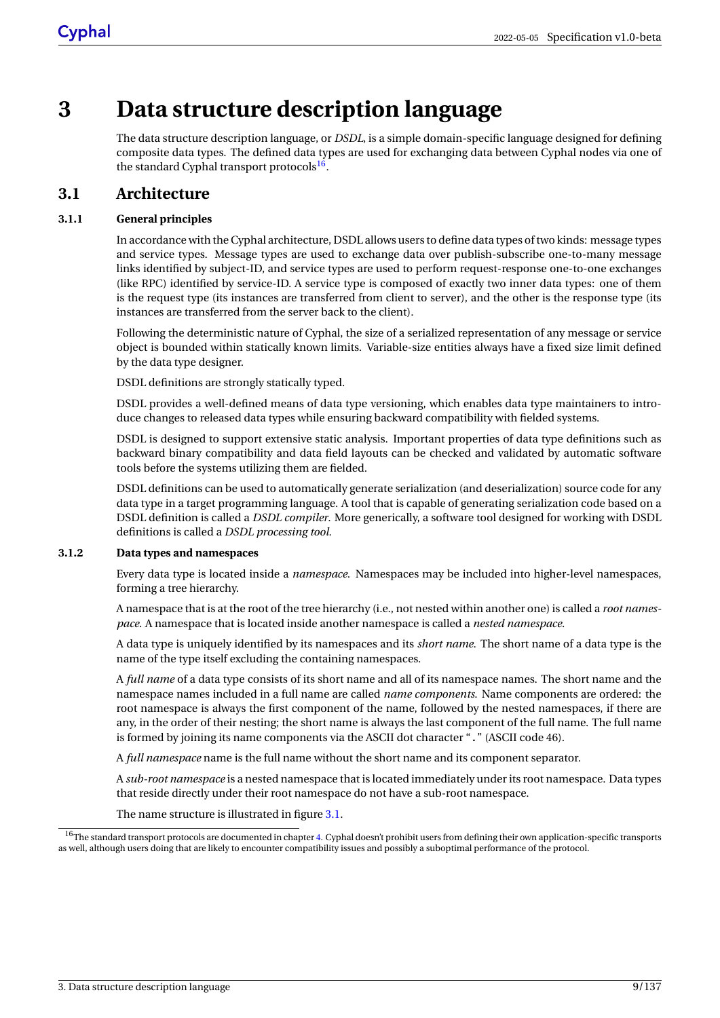# <span id="page-14-0"></span>**3 Data structure description language**

The data structure description language, or *DSDL*, is a simple domain-specific language designed for defining composite data types. The defined data types are used for exchanging data between Cyphal nodes via one of the standard Cyphal transport protocols<sup>[16](#page-14-4)</sup>.

# <span id="page-14-1"></span>**3.1 Architecture**

#### <span id="page-14-2"></span>**3.1.1 General principles**

In accordance with the Cyphal architecture, DSDL allows users to define data types of two kinds: message types and service types. Message types are used to exchange data over publish-subscribe one-to-many message links identified by subject-ID, and service types are used to perform request-response one-to-one exchanges (like RPC) identified by service-ID. A service type is composed of exactly two inner data types: one of them is the request type (its instances are transferred from client to server), and the other is the response type (its instances are transferred from the server back to the client).

Following the deterministic nature of Cyphal, the size of a serialized representation of any message or service object is bounded within statically known limits. Variable-size entities always have a fixed size limit defined by the data type designer.

DSDL definitions are strongly statically typed.

DSDL provides a well-defined means of data type versioning, which enables data type maintainers to introduce changes to released data types while ensuring backward compatibility with fielded systems.

DSDL is designed to support extensive static analysis. Important properties of data type definitions such as backward binary compatibility and data field layouts can be checked and validated by automatic software tools before the systems utilizing them are fielded.

DSDL definitions can be used to automatically generate serialization (and deserialization) source code for any data type in a target programming language. A tool that is capable of generating serialization code based on a DSDL definition is called a *DSDL compiler*. More generically, a software tool designed for working with DSDL definitions is called a *DSDL processing tool*.

#### <span id="page-14-3"></span>**3.1.2 Data types and namespaces**

Every data type is located inside a *namespace*. Namespaces may be included into higher-level namespaces, forming a tree hierarchy.

A namespace that is at the root of the tree hierarchy (i.e., not nested within another one) is called a *root namespace*. A namespace that is located inside another namespace is called a *nested namespace*.

A data type is uniquely identified by its namespaces and its *short name*. The short name of a data type is the name of the type itself excluding the containing namespaces.

A *full name* of a data type consists of its short name and all of its namespace names. The short name and the namespace names included in a full name are called *name components*. Name components are ordered: the root namespace is always the first component of the name, followed by the nested namespaces, if there are any, in the order of their nesting; the short name is always the last component of the full name. The full name is formed by joining its name components via the ASCII dot character "." (ASCII code 46).

A *full namespace* name is the full name without the short name and its component separator.

A *sub-root namespace* is a nested namespace that is located immediately under its root namespace. Data types that reside directly under their root namespace do not have a sub-root namespace.

The name structure is illustrated in figure [3.1.](#page-15-1)

<span id="page-14-4"></span><sup>&</sup>lt;sup>16</sup>The standard transport protocols are documented in chapter [4.](#page-54-0) Cyphal doesn't prohibit users from defining their own application-specific transports as well, although users doing that are likely to encounter compatibility issues and possibly a suboptimal performance of the protocol.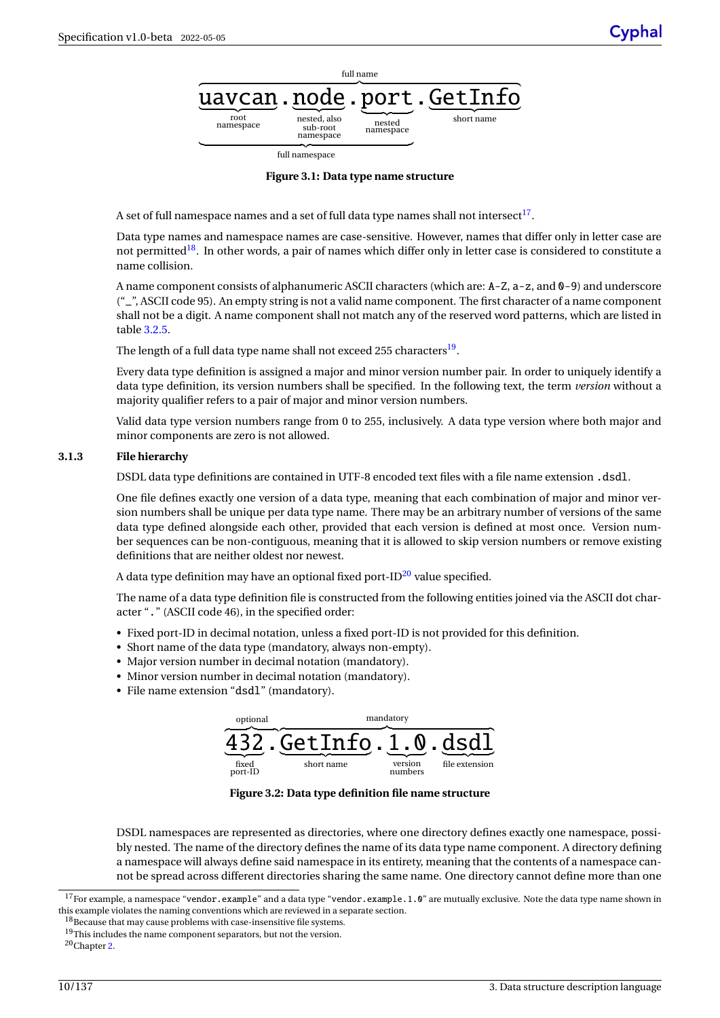#### <span id="page-15-1"></span>full name  $\underbrace{\overbrace{\text{uavcan}}}_{\text{root}}$ .  $\underbrace{\overbrace{\text{node}}}_{\text{present name}}$ .  $\underbrace{\overbrace{\text{GetInfo}}}_{\text{short name}}$ uavcan root namespace node nested, also sub-root namespace port. nested namespace short name

full namespace

**Figure 3.1: Data type name structure**

A set of full namespace names and a set of full data type names shall not intersect $^{17}.$  $^{17}.$  $^{17}.$ 

Data type names and namespace names are case-sensitive. However, names that differ only in letter case are not permitted<sup>[18](#page-15-4)</sup>. In other words, a pair of names which differ only in letter case is considered to constitute a name collision.

A name component consists of alphanumeric ASCII characters (which are: A-Z, a-z, and 0-9) and underscore ("\_", ASCII code 95). An empty string is not a valid name component. The first character of a name component shall not be a digit. A name component shall not match any of the reserved word patterns, which are listed in table [3.2.5.](#page-21-0)

The length of a full data type name shall not exceed 255 characters $^{\rm 19}.$  $^{\rm 19}.$  $^{\rm 19}.$ 

Every data type definition is assigned a major and minor version number pair. In order to uniquely identify a data type definition, its version numbers shall be specified. In the following text, the term *version* without a majority qualifier refers to a pair of major and minor version numbers.

Valid data type version numbers range from 0 to 255, inclusively. A data type version where both major and minor components are zero is not allowed.

#### <span id="page-15-0"></span>**3.1.3 File hierarchy**

DSDL data type definitions are contained in UTF-8 encoded text files with a file name extension .dsdl.

One file defines exactly one version of a data type, meaning that each combination of major and minor version numbers shall be unique per data type name. There may be an arbitrary number of versions of the same data type defined alongside each other, provided that each version is defined at most once. Version number sequences can be non-contiguous, meaning that it is allowed to skip version numbers or remove existing definitions that are neither oldest nor newest.

A data type definition may have an optional fixed port-ID<sup>[20](#page-15-6)</sup> value specified.

The name of a data type definition file is constructed from the following entities joined via the ASCII dot character "." (ASCII code 46), in the specified order:

- Fixed port-ID in decimal notation, unless a fixed port-ID is not provided for this definition.
- Short name of the data type (mandatory, always non-empty).
- Major version number in decimal notation (mandatory).
- Minor version number in decimal notation (mandatory).
- <span id="page-15-2"></span>• File name extension "dsdl" (mandatory).



**Figure 3.2: Data type definition file name structure**

DSDL namespaces are represented as directories, where one directory defines exactly one namespace, possibly nested. The name of the directory defines the name of its data type name component. A directory defining a namespace will always define said namespace in its entirety, meaning that the contents of a namespace cannot be spread across different directories sharing the same name. One directory cannot define more than one

<span id="page-15-3"></span> $17$  For example, a namespace "vendor.example" and a data type "vendor.example.1.0" are mutually exclusive. Note the data type name shown in this example violates the naming conventions which are reviewed in a separate section.

<span id="page-15-4"></span> $^{18}$  Because that may cause problems with case-insensitive file systems.

<span id="page-15-5"></span> $^{19}\mathrm{This}$  includes the name component separators, but not the version.

<span id="page-15-6"></span><sup>20</sup>Chapter [2.](#page-10-0)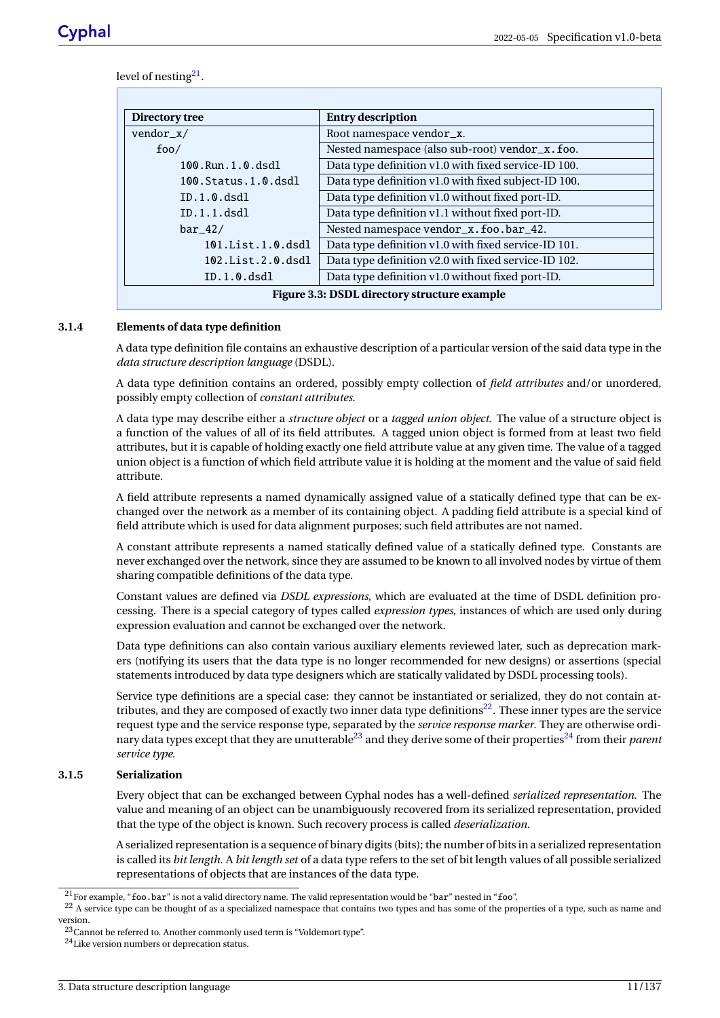level of nesting<sup>[21](#page-16-3)</sup>.

<span id="page-16-2"></span>

| Directory tree                                                                     | <b>Entry description</b>                             |  |  |
|------------------------------------------------------------------------------------|------------------------------------------------------|--|--|
| $v$ endor $_x$ /                                                                   | Root namespace vendor_x.                             |  |  |
| $f$ oo/                                                                            | Nested namespace (also sub-root) vendor_x.foo.       |  |  |
| Data type definition v1.0 with fixed service-ID 100.<br>100.Run.1.0.dsdl           |                                                      |  |  |
| Data type definition v1.0 with fixed subject-ID 100.<br>$100.S$ tatus. $1.0.d$ sdl |                                                      |  |  |
| ID.1.0. dsd1                                                                       | Data type definition v1.0 without fixed port-ID.     |  |  |
| ID.1.1. dsd1                                                                       | Data type definition v1.1 without fixed port-ID.     |  |  |
| $bar_42/$                                                                          | Nested namespace vendor_x.foo.bar_42.                |  |  |
| 101. List. 1.0. dsdl                                                               | Data type definition v1.0 with fixed service-ID 101. |  |  |
| 102. List. 2.0. dsdl                                                               | Data type definition v2.0 with fixed service-ID 102. |  |  |
| Data type definition v1.0 without fixed port-ID.<br>ID.1.0. dsd1                   |                                                      |  |  |
| Figure 3.3: DSDL directory structure example                                       |                                                      |  |  |

#### <span id="page-16-0"></span>**3.1.4 Elements of data type definition**

A data type definition file contains an exhaustive description of a particular version of the said data type in the *data structure description language* (DSDL).

A data type definition contains an ordered, possibly empty collection of *field attributes* and/or unordered, possibly empty collection of *constant attributes*.

A data type may describe either a *structure object* or a *tagged union object*. The value of a structure object is a function of the values of all of its field attributes. A tagged union object is formed from at least two field attributes, but it is capable of holding exactly one field attribute value at any given time. The value of a tagged union object is a function of which field attribute value it is holding at the moment and the value of said field attribute.

A field attribute represents a named dynamically assigned value of a statically defined type that can be exchanged over the network as a member of its containing object. A padding field attribute is a special kind of field attribute which is used for data alignment purposes; such field attributes are not named.

A constant attribute represents a named statically defined value of a statically defined type. Constants are never exchanged over the network, since they are assumed to be known to all involved nodes by virtue of them sharing compatible definitions of the data type.

Constant values are defined via *DSDL expressions*, which are evaluated at the time of DSDL definition processing. There is a special category of types called *expression types*, instances of which are used only during expression evaluation and cannot be exchanged over the network.

Data type definitions can also contain various auxiliary elements reviewed later, such as deprecation markers (notifying its users that the data type is no longer recommended for new designs) or assertions (special statements introduced by data type designers which are statically validated by DSDL processing tools).

Service type definitions are a special case: they cannot be instantiated or serialized, they do not contain attributes, and they are composed of exactly two inner data type definitions $^{22}$  $^{22}$  $^{22}$ . These inner types are the service request type and the service response type, separated by the *service response marker*. They are otherwise ordi-nary data types except that they are unutterable<sup>[23](#page-16-5)</sup> and they derive some of their properties<sup>[24](#page-16-6)</sup> from their *parent service type*.

#### <span id="page-16-1"></span>**3.1.5 Serialization**

Every object that can be exchanged between Cyphal nodes has a well-defined *serialized representation*. The value and meaning of an object can be unambiguously recovered from its serialized representation, provided that the type of the object is known. Such recovery process is called *deserialization*.

A serialized representation is a sequence of binary digits (bits); the number of bits in a serialized representation is called its *bit length*. A *bit length set* of a data type refers to the set of bit length values of all possible serialized representations of objects that are instances of the data type.

<span id="page-16-4"></span><span id="page-16-3"></span> $21$  For example, "foo.bar" is not a valid directory name. The valid representation would be "bar" nested in "foo".

<sup>&</sup>lt;sup>22</sup> A service type can be thought of as a specialized namespace that contains two types and has some of the properties of a type, such as name and version.

<span id="page-16-5"></span><sup>23</sup>Cannot be referred to. Another commonly used term is "Voldemort type".

<span id="page-16-6"></span><sup>&</sup>lt;sup>24</sup> Like version numbers or deprecation status.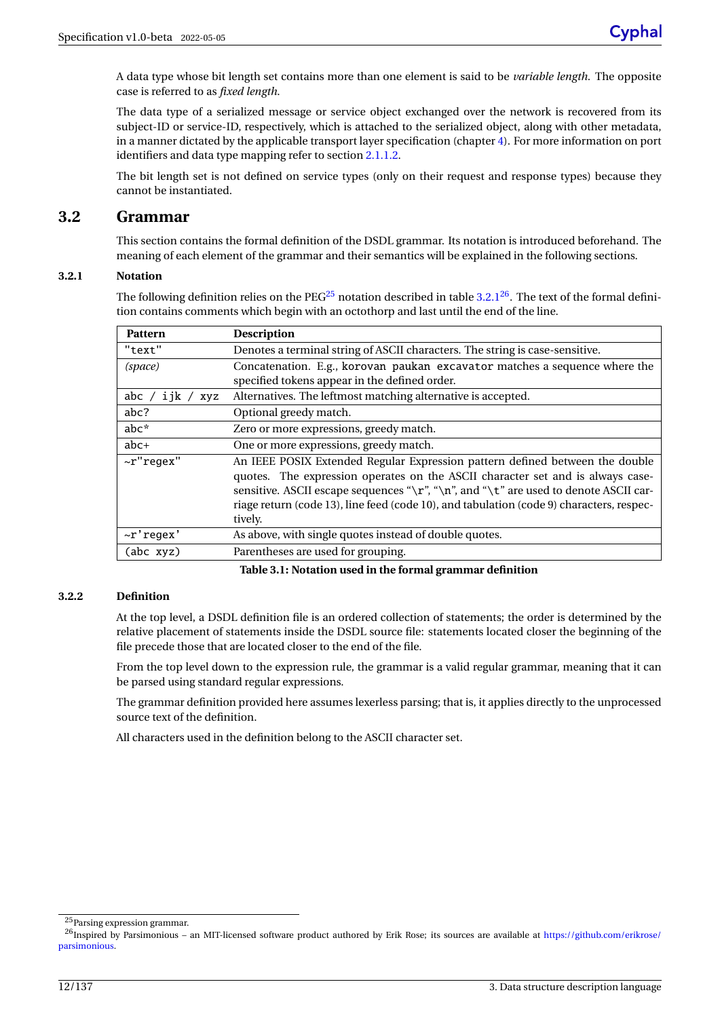A data type whose bit length set contains more than one element is said to be *variable length*. The opposite case is referred to as *fixed length*.

The data type of a serialized message or service object exchanged over the network is recovered from its subject-ID or service-ID, respectively, which is attached to the serialized object, along with other metadata, in a manner dictated by the applicable transport layer specification (chapter [4\)](#page-54-0). For more information on port identifiers and data type mapping refer to section [2.1.1.2.](#page-10-6)

The bit length set is not defined on service types (only on their request and response types) because they cannot be instantiated.

### <span id="page-17-0"></span>**3.2 Grammar**

This section contains the formal definition of the DSDL grammar. Its notation is introduced beforehand. The meaning of each element of the grammar and their semantics will be explained in the following sections.

#### <span id="page-17-1"></span>**3.2.1 Notation**

The following definition relies on the PEG<sup>[25](#page-17-4)</sup> notation described in table  $3.2.1^{26}$  $3.2.1^{26}$  $3.2.1^{26}$  $3.2.1^{26}$ . The text of the formal definition contains comments which begin with an octothorp and last until the end of the line.

| <b>Pattern</b>     | <b>Description</b>                                                                       |
|--------------------|------------------------------------------------------------------------------------------|
| "text"             | Denotes a terminal string of ASCII characters. The string is case-sensitive.             |
| (space)            | Concatenation. E.g., korovan paukan excavator matches a sequence where the               |
|                    | specified tokens appear in the defined order.                                            |
| abc / ijk /<br>xyz | Alternatives. The leftmost matching alternative is accepted.                             |
| abc?               | Optional greedy match.                                                                   |
| $abc*$             | Zero or more expressions, greedy match.                                                  |
| $abc+$             | One or more expressions, greedy match.                                                   |
| $\sim$ r" regex"   | An IEEE POSIX Extended Regular Expression pattern defined between the double             |
|                    | quotes. The expression operates on the ASCII character set and is always case-           |
|                    | sensitive. ASCII escape sequences "\r", "\n", and "\t" are used to denote ASCII car-     |
|                    | riage return (code 13), line feed (code 10), and tabulation (code 9) characters, respec- |
|                    | tively.                                                                                  |
| $\sim$ r' regex'   | As above, with single quotes instead of double quotes.                                   |
| (abc xyz)          | Parentheses are used for grouping.                                                       |

#### <span id="page-17-3"></span>**Table 3.1: Notation used in the formal grammar definition**

#### <span id="page-17-2"></span>**3.2.2 Definition**

At the top level, a DSDL definition file is an ordered collection of statements; the order is determined by the relative placement of statements inside the DSDL source file: statements located closer the beginning of the file precede those that are located closer to the end of the file.

From the top level down to the expression rule, the grammar is a valid regular grammar, meaning that it can be parsed using standard regular expressions.

The grammar definition provided here assumes lexerless parsing; that is, it applies directly to the unprocessed source text of the definition.

All characters used in the definition belong to the ASCII character set.

<span id="page-17-5"></span><span id="page-17-4"></span> $\overline{^{25}}$  Parsing expression grammar.

<sup>&</sup>lt;sup>26</sup>Inspired by Parsimonious – an MIT-licensed software product authored by Erik Rose; its sources are available at [https://github.com/erikrose/](https://github.com/erikrose/parsimonious) [parsimonious.](https://github.com/erikrose/parsimonious)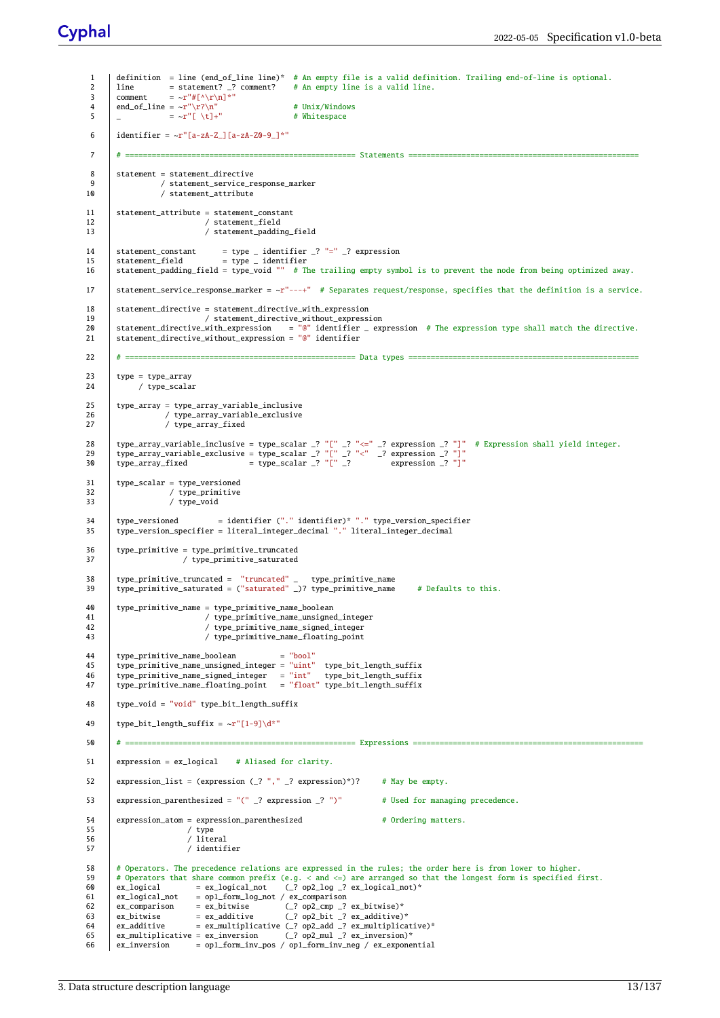```
1 definition = line (end_of_line line)* # An empty file is a valid definition. Trailing end-of-line is optional.<br>2 line = statement? _? comment? # An empty line is a valid line.<br>3 comment = ~r"#[^\r\n]*"
 4 end_of_line = \alpha r''\sqrt{r^2\ln^n} # Unix/Windows<br>5 = \alpha r''\lceil \sqrt{t}\rceil + 1 # Whitespace
                                                               # Whitespace
 6 identifier = \sim r"[a-zA-Z_][a-zA-Z0-9_]*"
 7 # ==================================================== Statements ====================================================
 8 statement = statement directive
9 / statement_service_response_marker<br>10 / statement attribute
                       / statement_attribute
11 statement_attribute = statement_constant
12 / statement field
13 / statement_padding_field
14 statement_constant = type _ identifier \begin{array}{r} 14 \\ -3 \end{array} = type _ identifier
                                        = type = identifier
16 statement_padding_field = type_void "" # The trailing empty symbol is to prevent the node from being optimized away.
17 statement_service_response_marker = -r^{\prime\prime} ---+" # Separates request/response, specifies that the definition is a service.
18 statement_directive = statement_directive_with_expression<br>19 / statement directive without express
19 / statement_directive_without_expression<br>20 statement directive with expression \frac{m}{a} identifier exp
20 statement_directive_with_expression = "@" identifier _ expression # The expression type shall match the directive.
21 statement_directive_without_expression = "@" identifier
22 # ==================================================== Data types ====================================================
23 type = type_array<br>24 / type scala
               / type_scalar
25 type_array = type_array_variable_inclusive<br>26 / type array variable exclusive
                      / type_array_variable_exclusive
27 | / type array fixed
type_array_variable_inclusive = type_scalar _? "[" _? "<=" _? expression _? "]" # Expression shall yield integer.<br>29     type_array_variable_exclusive = type_scalar _? "[" _? "<" _? expression _? "]"<br>30    type_array_fixed
31 type_scalar = type_versioned
32 / type_primitive
33 / type_void
34 type_versioned = identifier ("." identifier)* "." type_version_specifier
35 type_version_specifier = literal_integer_decimal "." literal_integer_decimal
36 type_primitive = type_primitive_truncated<br>37 / type primitive saturated
                             37 / type_primitive_saturated
38 type_primitive_truncated = "truncated" _ type_primitive_name
39 type_primitive_saturated = ("saturated" _)? type_primitive_name # Defaults to this.
40 type_primitive_name = type_primitive_name_boolean<br>41 / type primitive name unsigne
41 / type_primitive_name_unsigned_integer<br>42 / type_primitive_name_unsigned_integer
                                    42 / type_primitive_name_signed_integer
43 / type_primitive_name_floating_point
44 type_primitive_name_boolean = "bool"<br>45 type primitive name unsigned integer = "uint"
45 type_primitive_name_unsigned_integer = "uint" type_bit_length_suffix
46 type_primitive_name_signed_integer = "int" type_bit_length_suffix
47 type_primitive_name_floating_point = "float" type_bit_length_suffix
48 type_void = "void" type_bit_length_suffix
49 type_bit_length_suffix = \sim r''[1-9]\dagger^*"
50 # ==================================================== Expressions ====================================================
51 expression = ex_logical # Aliased for clarity.
52 expression_list = (expression (2 \n\cdot \cdot \cdot \cdot 2) expression)*)? # May be empty.
53 expression_parenthesized = "(" _? expression _? ")" # Used for managing precedence.
54 expression_atom = expression_parenthesized # Ordering matters.
55 / type
56 / literal
57 / identifier
58 \# Operators. The precedence relations are expressed in the rules; the order here is from lower to higher.<br>59 \# Operators that share common prefix (e.g. < and <= ) are arranged so that the longest form is specifie
59 # Operators that share common prefix (e.g. < and <=) are arranged so that the longest form is specified first.<br>60 ex_logical = ex_logical_not (_? op2_log _? ex_logical_not)*
61 \begin{array}{rcl} \mathsf{61} & \mathsf{ex\_logical\_not} & = \mathsf{op1\_form\_log\_not} \ / \mathsf{ex\_comparison} \\ \mathsf{ex\_comparison} & = \mathsf{ex\_bitwise} \end{array} (2) op2_cmp _?
62 ex_comparison = ex_bitwise (_? op2_cmp _? ex_bitwise)*
63 ex_bitwise = ex_additive (_? op2_bit _? ex_additive)*
64 ex_additive = ex_multiplicative (_? op2_add _? ex_multiplicative)*
65 ex_multiplicative = ex_inversion (\ge op2_mul \ge ex_inversion)*
66 ex_inversion = op1_form_inv_pos / op1_form_inv_neg / ex_exponential
```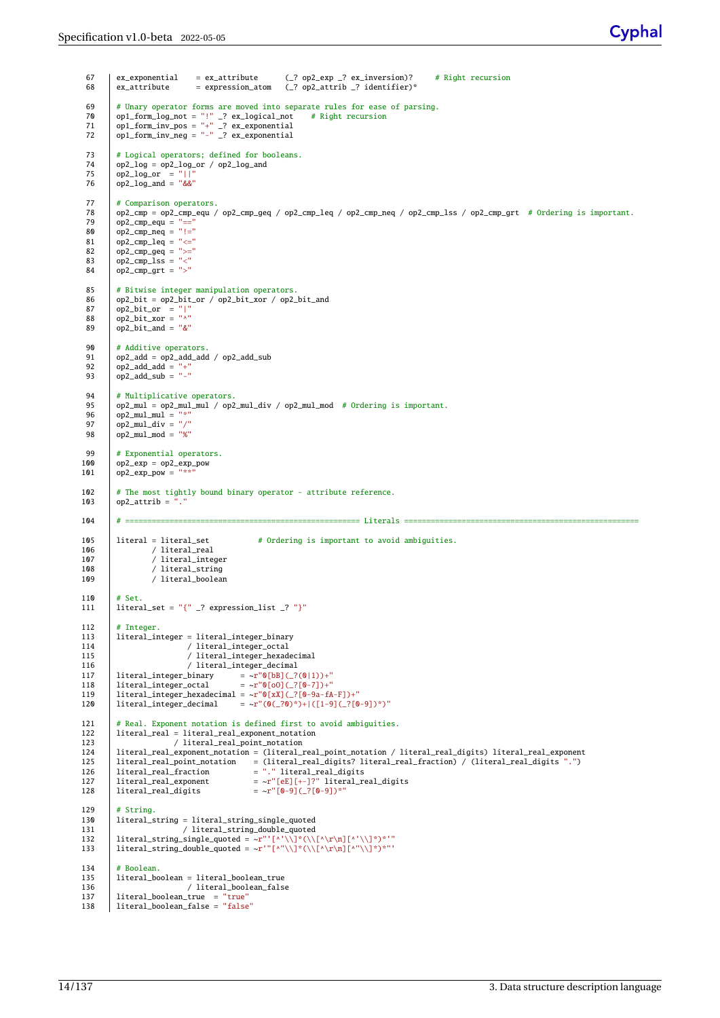67 ex\_exponential = ex\_attribute (\_? op2\_exp \_? ex\_inversion)? # Right recursion 68 ex\_attribute = expression\_atom (\_? op2\_attrib \_? identifier)\* 69 # Unary operator forms are moved into separate rules for ease of parsing.<br>70 op1\_form\_log\_not = "!" \_? ex\_logical\_not # Right recursion<br>71 op1\_form\_inv\_nos = "+" \_? ex\_exponential<br>72 op1\_form\_inv\_neg = "-" \_? ex\_exponen 73 # Logical operators; defined for booleans. 74 op2\_log = op2\_log\_or / op2\_log\_and 75  $\log_2 \log_2 \text{ or } = 76$  op2  $\log_2 \text{ and } =$  $op2\_\_log\_\_and = "&$ 77 # Comparison operators. 78 op2\_cmp = op2\_cmp\_equ / op2\_cmp\_geq / op2\_cmp\_leq / op2\_cmp\_neq / op2\_cmp\_lss / op2\_cmp\_grt # Ordering is important.  $79$  op2\_cmp\_equ =  $\begin{array}{c} 79 \\ 80 \end{array}$  op2 cmp neq =  $\begin{array}{c} \hline \end{array}$  $op2_{comp\_neg} = " !="$ 81 op2\_cmp\_leq = "<="<br>82 on2\_cmp\_geq = ">=" 82  $op2cmp\_geq = "->="$ <br>83  $op2cmp\_lss = "<-"$ 84  $\log_{2}m_{\text{grt}} =$  ">" 85  $\#$  Bitwise integer manipulation operators.<br>86  $\log_2$ bit = op2\_bit\_or / op2\_bit\_xor / op2\_bit\_and 87 op2\_bit\_or = "|" 88 op2\_bit\_xor = "^" 89  $\log 2$ -bit\_and = "&" 90 | # Additive operators 91 op2\_add = op2\_add\_add / op2\_add\_sub<br>92 op2 add add = "+" 92 op2\_add\_add = "+" 93 op2\_add\_sub = "-" 94 # Multiplicative operators.<br>95 002 mul = 002 mul mul / 002 95  $\begin{bmatrix} \text{op2_mull = } 92 \text{mul} \text{mul} \end{bmatrix}$  / op2\_mul\_div / op2\_mul\_mod # Ordering is important.  $op2_mull_mul = "$ 97  $\log 2$ -mul\_div = "/"<br>98  $\log 2$  mul mod = "%"  $op2_mul_mod = "%$ " 99 | # Exponential operators. 100  $\log 2_{\exp} = \log 2_{\exp_{\exp}}$ <br>101  $\log 2_{\exp_{\exp}} = \frac{\log 2}{\pi}$ op $2$  exp pow  $=$ 102 # The most tightly bound binary operator - attribute reference. 103 |  $op2_$ 104 # ===================================================== Literals ===================================================== 105 literal = literal\_set # Ordering is important to avoid ambiguities.<br>106 / literal\_real 106 / literal\_real 107 / literal\_integer 108 / literal\_string<br>109 / literal\_boolear / literal boolean 110 | # Set. 111 | literal\_set = "{"  $\angle$ ? expression\_list  $\angle$ ? "}" 112  $\#$  Integer. 113 literal\_integer = literal\_integer\_binary 114 / literal\_integer\_octal<br>115 / literal integer hexad 115 / literal\_integer\_hexadecimal<br>116 / literal\_integer\_decimal 116  $\begin{array}{|l|l|} \hline \end{array}$  / literal\_integer\_decimal<br>117 literal integer binary =  $\sim r''$  (FbB) (?) 117 literal\_integer\_binary = ~r"0[bB](\_?(0|1))+" 118 | literal\_integer\_octal = ~r"0[oO](\_?[0-7])+"<br>119 | literal\_integer\_hexadecimal = ~r"0[xX](\_?[0-9a-fA-F])+" 120 literal\_integer\_decimal =  $~\sim r''(0(-?0)*) + |([1-9](-?0-9])*)$ " 121 # Real. Exponent notation is defined first to avoid ambiguities.<br>122 **Iiteral\_real = literal\_real\_exponent\_notation** 122  $\begin{array}{|l|l|}\n1122 & \text{literal} = literal\_real\_exponent\_notation \\
\hline\n1133 & \text{litoral real} = name\n\end{array}$ 123 / literal\_real\_point\_notation<br>124 literal real exponent notation = (literal 1 124 literal\_real\_exponent\_notation = (literal\_real\_point\_notation / literal\_real\_digits) literal\_real\_exponent 125 literal\_real\_point\_notation = (literal\_real\_digits? literal\_real\_fraction) / (literal\_real\_digits ".") 126 literal\_real\_fraction = "." literal\_real\_digits 127 literal\_real\_exponent = ~r"[eE][+-]?" literal\_real\_digits  $128$  literal\_real\_digits =  $\sim r''[0-9](-?[0-9])*"$ 129  $\#$  String. 130 literal\_string = literal\_string\_single\_quoted<br>131 / literal\_string\_double\_quoted = ~r"'[^'\\]\*(\\[^\r\n][^'\\]\*)\*'"<br>133 literal\_string\_double\_quoted = ~r"'[^"\\]\*(\\[^\r\n][^"\\]\*)\*''  $\begin{array}{|c|c|c|}\n 134 & # Boolean. \\
 \hline\n 135 & 1 \text{iteral} \n\end{array}$ 135 literal\_boolean = literal\_boolean\_true 136 / literal\_boolean\_false 137 literal\_boolean\_true = "true" 138 literal\_boolean\_false = "false"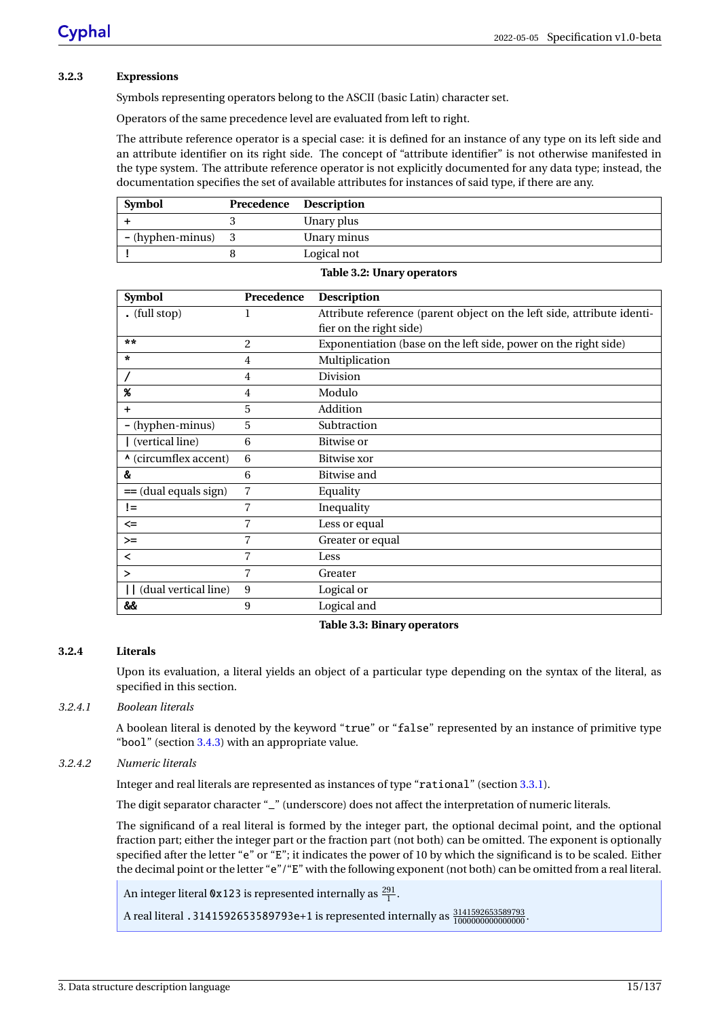#### <span id="page-20-0"></span>**3.2.3 Expressions**

Symbols representing operators belong to the ASCII (basic Latin) character set.

Operators of the same precedence level are evaluated from left to right.

The attribute reference operator is a special case: it is defined for an instance of any type on its left side and an attribute identifier on its right side. The concept of "attribute identifier" is not otherwise manifested in the type system. The attribute reference operator is not explicitly documented for any data type; instead, the documentation specifies the set of available attributes for instances of said type, if there are any.

| Symbol             | Precedence Description |
|--------------------|------------------------|
|                    | Unary plus             |
| - (hyphen-minus) 3 | Unary minus            |
|                    | Logical not            |

#### <span id="page-20-2"></span>**Table 3.2: Unary operators**

| <b>Symbol</b>           | Precedence     | <b>Description</b>                                                     |
|-------------------------|----------------|------------------------------------------------------------------------|
| $.$ (full stop)         | 1              | Attribute reference (parent object on the left side, attribute identi- |
|                         |                | fier on the right side)                                                |
| $**$                    | 2              | Exponentiation (base on the left side, power on the right side)        |
| *                       | 4              | Multiplication                                                         |
|                         | 4              | <b>Division</b>                                                        |
| $\boldsymbol{\%}$       | $\overline{4}$ | Modulo                                                                 |
| +                       | 5              | Addition                                                               |
| - (hyphen-minus)        | 5              | Subtraction                                                            |
| (vertical line)         | 6              | Bitwise or                                                             |
| Circumflex accent)      | 6              | Bitwise xor                                                            |
| &                       | 6              | Bitwise and                                                            |
| $==$ (dual equals sign) | 7              | Equality                                                               |
| $!=$                    | 7              | Inequality                                                             |
| $\leq$                  | 7              | Less or equal                                                          |
| $>=$                    | 7              | Greater or equal                                                       |
| ≺                       |                | Less                                                                   |
| >                       |                | Greater                                                                |
| (dual vertical line)    | 9              | Logical or                                                             |
| <u>&amp;&amp;</u>       | 9              | Logical and                                                            |

#### <span id="page-20-3"></span>**Table 3.3: Binary operators**

#### <span id="page-20-1"></span>**3.2.4 Literals**

Upon its evaluation, a literal yields an object of a particular type depending on the syntax of the literal, as specified in this section.

#### *3.2.4.1 Boolean literals*

A boolean literal is denoted by the keyword "true" or "false" represented by an instance of primitive type "bool" (section [3.4.3\)](#page-25-1) with an appropriate value.

#### *3.2.4.2 Numeric literals*

Integer and real literals are represented as instances of type "rational" (section [3.3.1\)](#page-22-1).

The digit separator character " " (underscore) does not affect the interpretation of numeric literals.

The significand of a real literal is formed by the integer part, the optional decimal point, and the optional fraction part; either the integer part or the fraction part (not both) can be omitted. The exponent is optionally specified after the letter "e" or "E"; it indicates the power of 10 by which the significand is to be scaled. Either the decimal point or the letter "e"/"E" with the following exponent (not both) can be omitted from a real literal.

An integer literal  $\mathbf{0} \times 123$  is represented internally as  $\frac{291}{1}$ .

A real literal .3141592653589793e+1 is represented internally as <sup>3141592653589793</sup> <sup>1000000000000000</sup> .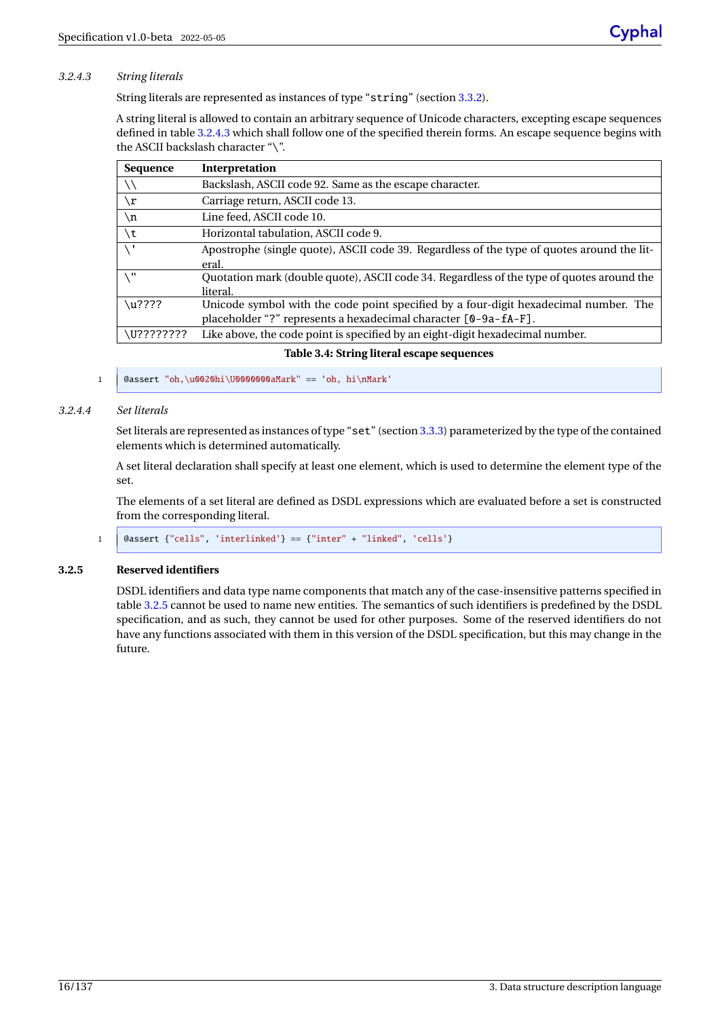#### <span id="page-21-2"></span>*3.2.4.3 String literals*

String literals are represented as instances of type "string" (section [3.3.2\)](#page-23-0).

A string literal is allowed to contain an arbitrary sequence of Unicode characters, excepting escape sequences defined in table [3.2.4.3](#page-21-2) which shall follow one of the specified therein forms. An escape sequence begins with the ASCII backslash character "\".

| <b>Sequence</b> | Interpretation                                                                             |
|-----------------|--------------------------------------------------------------------------------------------|
|                 | Backslash, ASCII code 92. Same as the escape character.                                    |
| \r              | Carriage return, ASCII code 13.                                                            |
| \n              | Line feed, ASCII code 10.                                                                  |
| \t              | Horizontal tabulation, ASCII code 9.                                                       |
| s n             | Apostrophe (single quote), ASCII code 39. Regardless of the type of quotes around the lit- |
|                 | eral.                                                                                      |
| Ħ               | Quotation mark (double quote), ASCII code 34. Regardless of the type of quotes around the  |
|                 | literal.                                                                                   |
| $\u$ ????       | Unicode symbol with the code point specified by a four-digit hexadecimal number. The       |
|                 | placeholder "?" represents a hexadecimal character [0-9a-fA-F].                            |
| \U????????      | Like above, the code point is specified by an eight-digit hexadecimal number.              |

#### <span id="page-21-1"></span>**Table 3.4: String literal escape sequences**

1 @assert "oh,\u0020hi\U0000000aMark" == 'oh, hi\nMark'

#### *3.2.4.4 Set literals*

Set literals are represented as instances of type "set" (section [3.3.3\)](#page-23-1) parameterized by the type of the contained elements which is determined automatically.

A set literal declaration shall specify at least one element, which is used to determine the element type of the set.

The elements of a set literal are defined as DSDL expressions which are evaluated before a set is constructed from the corresponding literal.

1 @assert {"cells", 'interlinked'} == {"inter" + "linked", 'cells'}

#### <span id="page-21-0"></span>**3.2.5 Reserved identifiers**

DSDL identifiers and data type name components that match any of the case-insensitive patterns specified in table [3.2.5](#page-21-0) cannot be used to name new entities. The semantics of such identifiers is predefined by the DSDL specification, and as such, they cannot be used for other purposes. Some of the reserved identifiers do not have any functions associated with them in this version of the DSDL specification, but this may change in the future.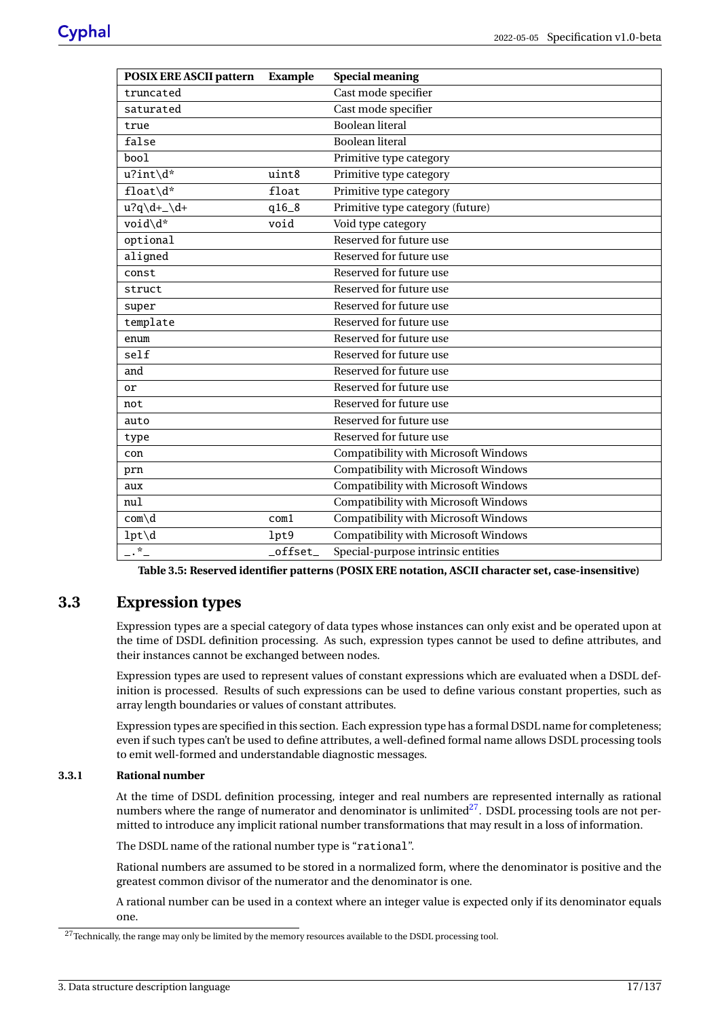| <b>POSIX ERE ASCII pattern</b>                      | <b>Example</b>             | <b>Special meaning</b>               |
|-----------------------------------------------------|----------------------------|--------------------------------------|
| truncated                                           |                            | Cast mode specifier                  |
| saturated                                           |                            | Cast mode specifier                  |
| true                                                |                            | <b>Boolean</b> literal               |
| false                                               |                            | <b>Boolean literal</b>               |
| bool                                                |                            | Primitive type category              |
| $u?int\backslash d^*$                               | uint8                      | Primitive type category              |
| float\d*                                            | float                      | Primitive type category              |
| $u?q\ddot{d}$ +_ $\ddot{d}$ +                       | q16_8                      | Primitive type category (future)     |
| void\d*                                             | void                       | Void type category                   |
| optional                                            |                            | Reserved for future use              |
| aligned                                             |                            | Reserved for future use              |
| const                                               |                            | Reserved for future use              |
| struct                                              |                            | Reserved for future use              |
| super                                               |                            | Reserved for future use              |
| template                                            |                            | Reserved for future use              |
| enum                                                |                            | Reserved for future use              |
| self                                                |                            | Reserved for future use              |
| and                                                 |                            | Reserved for future use              |
| or                                                  |                            | Reserved for future use              |
| not                                                 |                            | Reserved for future use              |
| auto                                                |                            | Reserved for future use              |
| type                                                |                            | Reserved for future use              |
| con                                                 |                            | Compatibility with Microsoft Windows |
| prn                                                 |                            | Compatibility with Microsoft Windows |
| aux                                                 |                            | Compatibility with Microsoft Windows |
| nul                                                 |                            | Compatibility with Microsoft Windows |
| com\d                                               | com1                       | Compatibility with Microsoft Windows |
| $1pt\backslash d$                                   | lpt9                       | Compatibility with Microsoft Windows |
| $\overline{\phantom{a}}$ . $\overline{\phantom{a}}$ | $_{\rm \_offset_{\rm \_}}$ | Special-purpose intrinsic entities   |

<span id="page-22-2"></span>**Table 3.5: Reserved identifier patterns (POSIX ERE notation, ASCII character set, case-insensitive)**

# <span id="page-22-0"></span>**3.3 Expression types**

Expression types are a special category of data types whose instances can only exist and be operated upon at the time of DSDL definition processing. As such, expression types cannot be used to define attributes, and their instances cannot be exchanged between nodes.

Expression types are used to represent values of constant expressions which are evaluated when a DSDL definition is processed. Results of such expressions can be used to define various constant properties, such as array length boundaries or values of constant attributes.

Expression types are specified in this section. Each expression type has a formal DSDL name for completeness; even if such types can't be used to define attributes, a well-defined formal name allows DSDL processing tools to emit well-formed and understandable diagnostic messages.

#### <span id="page-22-1"></span>**3.3.1 Rational number**

At the time of DSDL definition processing, integer and real numbers are represented internally as rational numbers where the range of numerator and denominator is unlimited $27$ . DSDL processing tools are not permitted to introduce any implicit rational number transformations that may result in a loss of information.

The DSDL name of the rational number type is "rational".

Rational numbers are assumed to be stored in a normalized form, where the denominator is positive and the greatest common divisor of the numerator and the denominator is one.

A rational number can be used in a context where an integer value is expected only if its denominator equals one.

<span id="page-22-3"></span> $27$ Technically, the range may only be limited by the memory resources available to the DSDL processing tool.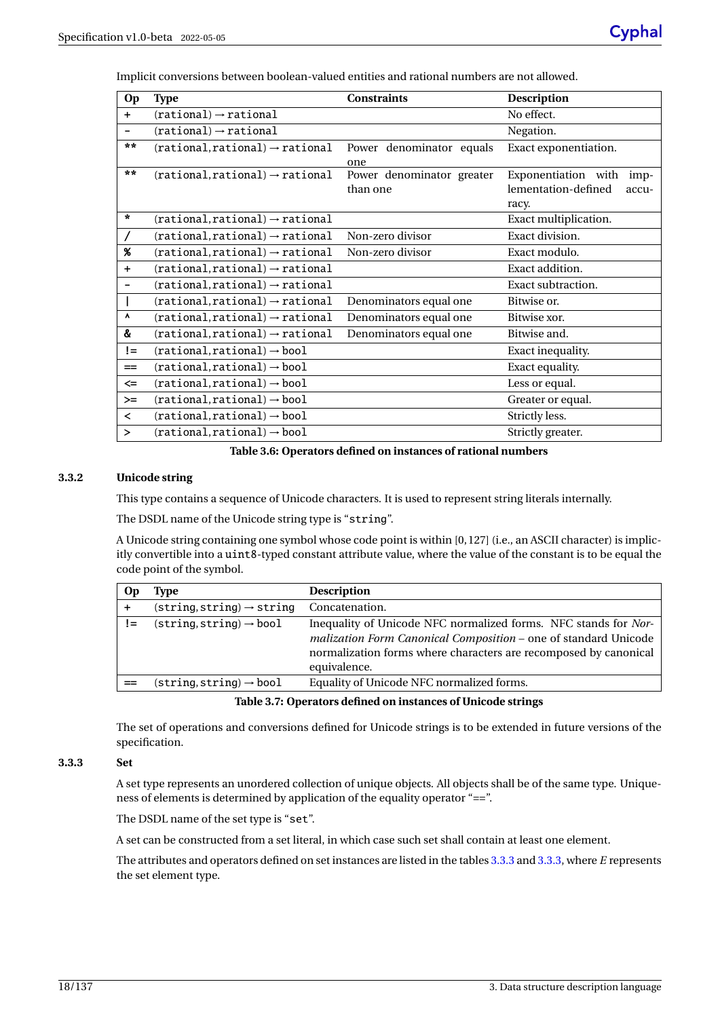Implicit conversions between boolean-valued entities and rational numbers are not allowed.

| <b>Op</b>                | <b>Type</b>                                 | <b>Constraints</b>                    | <b>Description</b>                                                   |
|--------------------------|---------------------------------------------|---------------------------------------|----------------------------------------------------------------------|
| $\ddot{}$                | $(rational) \rightarrow rational$           |                                       | No effect.                                                           |
|                          | $(rational) \rightarrow rational$           |                                       | Negation.                                                            |
| $**$                     | $(rational, rational) \rightarrow rational$ | Power denominator equals<br>one       | Exact exponentiation.                                                |
| $**$                     | $(rational, rational) \rightarrow rational$ | Power denominator greater<br>than one | Exponentiation with<br>imp-<br>lementation-defined<br>accu-<br>racy. |
| $\star$                  | $(rational, rational) \rightarrow rational$ |                                       | Exact multiplication.                                                |
|                          | $(rational, rational) \rightarrow rational$ | Non-zero divisor                      | Exact division.                                                      |
| %                        | $(rational, rational) \rightarrow rational$ | Non-zero divisor                      | Exact modulo.                                                        |
| $\ddot{}$                | $(rational, rational) \rightarrow rational$ |                                       | Exact addition.                                                      |
|                          | $(rational, rational) \rightarrow rational$ |                                       | Exact subtraction.                                                   |
|                          | $(rational, rational) \rightarrow rational$ | Denominators equal one                | Bitwise or.                                                          |
| ٨                        | $(rational, rational) \rightarrow rational$ | Denominators equal one                | Bitwise xor.                                                         |
| &                        | $(rational, rational) \rightarrow rational$ | Denominators equal one                | Bitwise and.                                                         |
| $!=$                     | $(rational, rational) \rightarrow bool$     |                                       | Exact inequality.                                                    |
| $==$                     | $(rational, rational) \rightarrow bool$     |                                       | Exact equality.                                                      |
| <=                       | $(rational, rational) \rightarrow bool$     |                                       | Less or equal.                                                       |
| $>=$                     | $(rational, rational) \rightarrow bool$     |                                       | Greater or equal.                                                    |
| $\overline{\phantom{a}}$ | $(rational, rational) \rightarrow bool$     |                                       | Strictly less.                                                       |
| $\,>\,$                  | $(rational, rational) \rightarrow bool$     |                                       | Strictly greater.                                                    |

<span id="page-23-2"></span>**Table 3.6: Operators defined on instances of rational numbers**

#### <span id="page-23-0"></span>**3.3.2 Unicode string**

This type contains a sequence of Unicode characters. It is used to represent string literals internally.

The DSDL name of the Unicode string type is "string".

A Unicode string containing one symbol whose code point is within [0, 127] (i.e., an ASCII character) is implicitly convertible into a uint8-typed constant attribute value, where the value of the constant is to be equal the code point of the symbol.

| <b>Op</b> | Type                                                       | <b>Description</b>                                                                                                                                                                                                     |
|-----------|------------------------------------------------------------|------------------------------------------------------------------------------------------------------------------------------------------------------------------------------------------------------------------------|
|           | $(\text{string}, \text{string}) \rightarrow \text{string}$ | Concatenation.                                                                                                                                                                                                         |
| !=        | $(\text{string}, \text{string}) \rightarrow \text{bool}$   | Inequality of Unicode NFC normalized forms. NFC stands for Nor-<br>malization Form Canonical Composition - one of standard Unicode<br>normalization forms where characters are recomposed by canonical<br>equivalence. |
|           | $(\text{string}, \text{string}) \rightarrow \text{bool}$   | Equality of Unicode NFC normalized forms.                                                                                                                                                                              |

<span id="page-23-3"></span>**Table 3.7: Operators defined on instances of Unicode strings**

The set of operations and conversions defined for Unicode strings is to be extended in future versions of the specification.

#### <span id="page-23-1"></span>**3.3.3 Set**

A set type represents an unordered collection of unique objects. All objects shall be of the same type. Uniqueness of elements is determined by application of the equality operator "==".

The DSDL name of the set type is "set".

A set can be constructed from a set literal, in which case such set shall contain at least one element.

The attributes and operators defined on set instances are listed in the tables [3.3.3](#page-23-1) and [3.3.3,](#page-24-3) where *E* represents the set element type.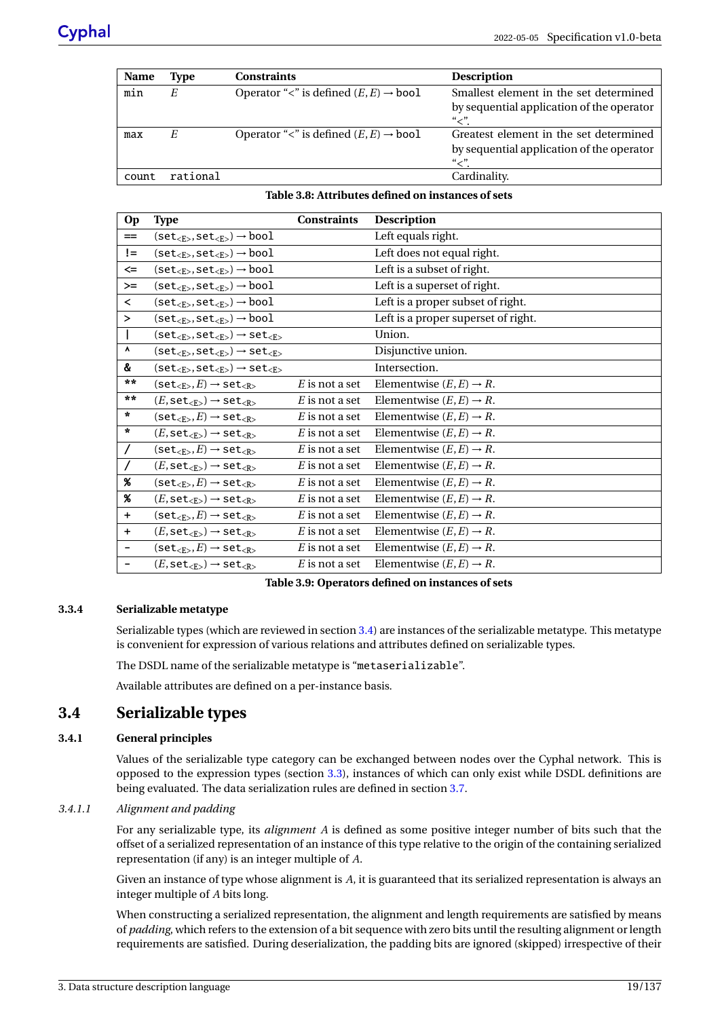| Name  | Type     | <b>Constraints</b>                                | <b>Description</b>                        |
|-------|----------|---------------------------------------------------|-------------------------------------------|
| min   | E        | Operator "<" is defined $(E, E) \rightarrow$ bool | Smallest element in the set determined    |
|       |          |                                                   | by sequential application of the operator |
|       |          |                                                   | $\lq\lq\lq\lq\lq$                         |
| max   | E        | Operator "<" is defined $(E, E) \rightarrow$ bool | Greatest element in the set determined    |
|       |          |                                                   | by sequential application of the operator |
|       |          |                                                   | $\lq\lq\lq\lq\lq$                         |
| count | rational |                                                   | Cardinality.                              |

#### <span id="page-24-3"></span>**Table 3.8: Attributes defined on instances of sets**

| Op                       | <b>Type</b>                                                                                        | <b>Constraints</b>        | Description                          |
|--------------------------|----------------------------------------------------------------------------------------------------|---------------------------|--------------------------------------|
| $==$                     | $(set_{\langle E \rangle}, set_{\langle E \rangle}) \rightarrow bool$                              |                           | Left equals right.                   |
| $!=$                     | $(set_{\langle E \rangle}, set_{\langle E \rangle}) \rightarrow bool$                              |                           | Left does not equal right.           |
| $\leq$                   | $(set_{\langle E \rangle}, set_{\langle E \rangle}) \rightarrow bool$                              |                           | Left is a subset of right.           |
| $>=$                     | $(set_{\langle E \rangle}, set_{\langle E \rangle}) \rightarrow bool$                              |                           | Left is a superset of right.         |
| $\overline{\phantom{0}}$ | $(set_{\langle E \rangle}, set_{\langle E \rangle}) \rightarrow bool$                              |                           | Left is a proper subset of right.    |
| $\geq$                   | $(set_{\langle E \rangle}, set_{\langle E \rangle}) \rightarrow bool$                              |                           | Left is a proper superset of right.  |
|                          | $(set_{\langle E \rangle}, set_{\langle E \rangle}) \rightarrow set_{\langle E \rangle}$           |                           | Union.                               |
| ٨                        | $(set_{\langle E \rangle}, set_{\langle E \rangle}) \rightarrow set_{\langle E \rangle}$           |                           | Disjunctive union.                   |
| &                        | $(set_{\langle E \rangle}, set_{\langle E \rangle}) \rightarrow set_{\langle E \rangle}$           |                           | Intersection.                        |
| $\star\star$             | $(\texttt{set}_{\leq E>} , E) \rightarrow \texttt{set}_{\leq R>}$                                  | $\mathcal E$ is not a set | Elementwise $(E, E) \rightarrow R$ . |
| $**$                     | $(E, \text{set}_{\leq E>} ) \rightarrow \text{set}_{\leq R>}$                                      | $E$ is not a set          | Elementwise $(E, E) \rightarrow R$ . |
| $\star$                  | $(\texttt{set}_{\leq E>} , E) \rightarrow \texttt{set}_{\leq R>}$                                  | $E$ is not a set          | Elementwise $(E, E) \rightarrow R$ . |
| $\boldsymbol{\pi}$       | $(E, \texttt{set}_{\leq E>} ) \rightarrow \texttt{set}_{\leq R>}$                                  | E is not a set            | Elementwise $(E, E) \rightarrow R$ . |
| $\prime$                 | $(\texttt{set}_{\langle \texttt{F}\rangle},E)\rightarrow \texttt{set}_{\langle \texttt{R}\rangle}$ | $E$ is not a set          | Elementwise $(E, E) \rightarrow R$ . |
| $\prime$                 | $(E, \texttt{set}_{\leq E>} ) \rightarrow \texttt{set}_{\leq R>}$                                  | $E$ is not a set          | Elementwise $(E, E) \rightarrow R$ . |
| %                        | $(\texttt{set}_{\langle E \rangle}, E) \rightarrow \texttt{set}_{\langle R \rangle}$               | E is not a set            | Elementwise $(E, E) \rightarrow R$ . |
| X                        | $(E, \text{set}_{\leq E>} ) \rightarrow \text{set}_{\leq R>}$                                      | E is not a set            | Elementwise $(E, E) \rightarrow R$ . |
| $\ddot{}$                | $(\texttt{set}_{\langle E \rangle}, E) \rightarrow \texttt{set}_{\langle R \rangle}$               | $E$ is not a set          | Elementwise $(E, E) \rightarrow R$ . |
| $\ddot{}$                | $(E, \text{set}_{\leq E>} ) \rightarrow \text{set}_{\leq R>}$                                      | E is not a set            | Elementwise $(E, E) \rightarrow R$ . |
| $\overline{\phantom{a}}$ | $(\texttt{set}_{\langle E \rangle}, E) \rightarrow \texttt{set}_{\langle R \rangle}$               | $E$ is not a set          | Elementwise $(E, E) \rightarrow R$ . |
| -                        | $(E, \text{set}_{\langle E \rangle}) \rightarrow \text{set}_{\langle R \rangle}$                   | $E$ is not a set          | Elementwise $(E, E) \rightarrow R$ . |

#### <span id="page-24-4"></span>**Table 3.9: Operators defined on instances of sets**

#### <span id="page-24-0"></span>**3.3.4 Serializable metatype**

Serializable types (which are reviewed in section [3.4\)](#page-24-1) are instances of the serializable metatype. This metatype is convenient for expression of various relations and attributes defined on serializable types.

The DSDL name of the serializable metatype is "metaserializable".

Available attributes are defined on a per-instance basis.

## <span id="page-24-1"></span>**3.4 Serializable types**

#### <span id="page-24-2"></span>**3.4.1 General principles**

Values of the serializable type category can be exchanged between nodes over the Cyphal network. This is opposed to the expression types (section [3.3\)](#page-22-0), instances of which can only exist while DSDL definitions are being evaluated. The data serialization rules are defined in section [3.7.](#page-38-2)

#### <span id="page-24-5"></span>*3.4.1.1 Alignment and padding*

For any serializable type, its *alignment A* is defined as some positive integer number of bits such that the offset of a serialized representation of an instance of this type relative to the origin of the containing serialized representation (if any) is an integer multiple of *A*.

Given an instance of type whose alignment is *A*, it is guaranteed that its serialized representation is always an integer multiple of *A* bits long.

When constructing a serialized representation, the alignment and length requirements are satisfied by means of *padding*, which refers to the extension of a bit sequence with zero bits until the resulting alignment or length requirements are satisfied. During deserialization, the padding bits are ignored (skipped) irrespective of their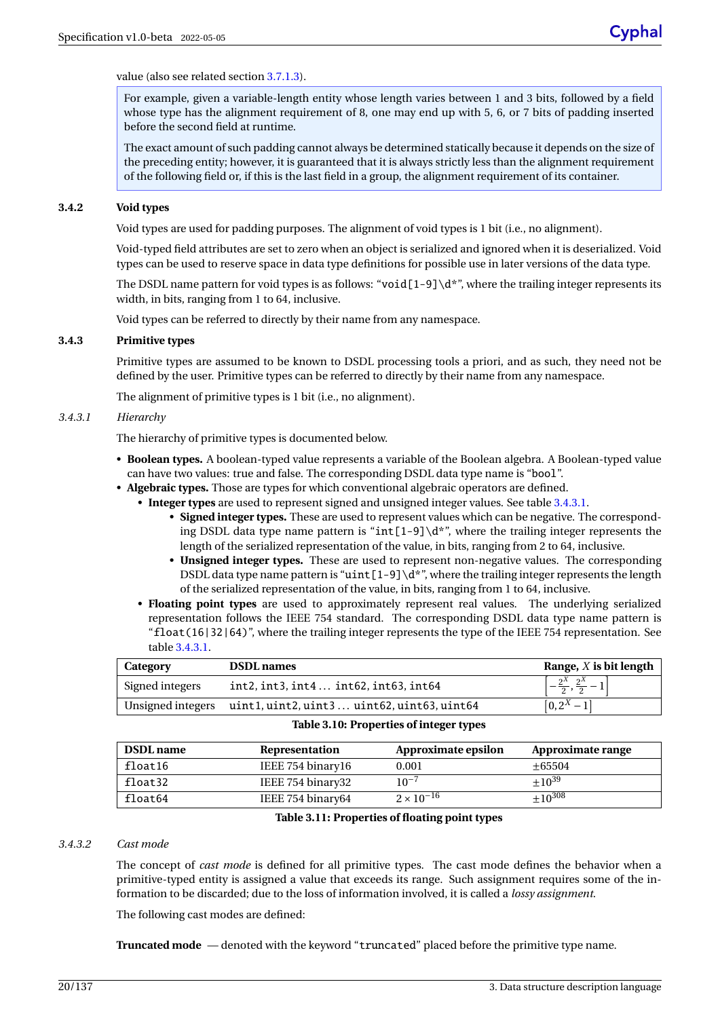value (also see related section [3.7.1.3\)](#page-39-1).

For example, given a variable-length entity whose length varies between 1 and 3 bits, followed by a field whose type has the alignment requirement of 8, one may end up with 5, 6, or 7 bits of padding inserted before the second field at runtime.

The exact amount of such padding cannot always be determined statically because it depends on the size of the preceding entity; however, it is guaranteed that it is always strictly less than the alignment requirement of the following field or, if this is the last field in a group, the alignment requirement of its container.

#### <span id="page-25-0"></span>**3.4.2 Void types**

Void types are used for padding purposes. The alignment of void types is 1 bit (i.e., no alignment).

Void-typed field attributes are set to zero when an object is serialized and ignored when it is deserialized. Void types can be used to reserve space in data type definitions for possible use in later versions of the data type.

The DSDL name pattern for void types is as follows: "void[1-9]\d\*", where the trailing integer represents its width, in bits, ranging from 1 to 64, inclusive.

Void types can be referred to directly by their name from any namespace.

#### <span id="page-25-1"></span>**3.4.3 Primitive types**

Primitive types are assumed to be known to DSDL processing tools a priori, and as such, they need not be defined by the user. Primitive types can be referred to directly by their name from any namespace.

The alignment of primitive types is 1 bit (i.e., no alignment).

#### <span id="page-25-4"></span>*3.4.3.1 Hierarchy*

The hierarchy of primitive types is documented below.

- **Boolean types.** A boolean-typed value represents a variable of the Boolean algebra. A Boolean-typed value can have two values: true and false. The corresponding DSDL data type name is "bool".
- **Algebraic types.** Those are types for which conventional algebraic operators are defined.
	- **Integer types** are used to represent signed and unsigned integer values. See table [3.4.3.1.](#page-25-4)
		- **Signed integer types.** These are used to represent values which can be negative. The corresponding DSDL data type name pattern is "int  $[1-9]\d*$ ", where the trailing integer represents the length of the serialized representation of the value, in bits, ranging from 2 to 64, inclusive.
		- **Unsigned integer types.** These are used to represent non-negative values. The corresponding DSDL data type name pattern is "uint [1-9]\d\*", where the trailing integer represents the length of the serialized representation of the value, in bits, ranging from 1 to 64, inclusive.
	- **Floating point types** are used to approximately represent real values. The underlying serialized representation follows the IEEE 754 standard. The corresponding DSDL data type name pattern is "float(16|32|64)", where the trailing integer represents the type of the IEEE 754 representation. See table [3.4.3.1.](#page-25-2)

| Category        | <b>DSDL</b> names                                            | Range, $X$ is bit length                      |
|-----------------|--------------------------------------------------------------|-----------------------------------------------|
| Signed integers | $int2, int3, int4 int62, int63, int64$                       | $\left[-\frac{2^X}{2},\frac{2^X}{2}-1\right]$ |
|                 | Unsigned integers uint1, uint2, uint3 uint62, uint63, uint64 | $[0, 2^X - 1]$                                |

#### <span id="page-25-2"></span>**Table 3.10: Properties of integer types**

| <b>DSDL</b> name | <b>Representation</b> | Approximate epsilon | Approximate range |
|------------------|-----------------------|---------------------|-------------------|
| float16          | IEEE 754 binary16     | 0.001               | $\pm 65504$       |
| float32          | IEEE 754 binary32     | $10^{-7}$           | $+10^{39}$        |
| float64          | IEEE 754 binary64     | $2 \times 10^{-16}$ | $+10^{308}$       |

#### <span id="page-25-3"></span>**Table 3.11: Properties of floating point types**

#### <span id="page-25-5"></span>*3.4.3.2 Cast mode*

The concept of *cast mode* is defined for all primitive types. The cast mode defines the behavior when a primitive-typed entity is assigned a value that exceeds its range. Such assignment requires some of the information to be discarded; due to the loss of information involved, it is called a *lossy assignment*.

The following cast modes are defined:

**Truncated mode** — denoted with the keyword "truncated" placed before the primitive type name.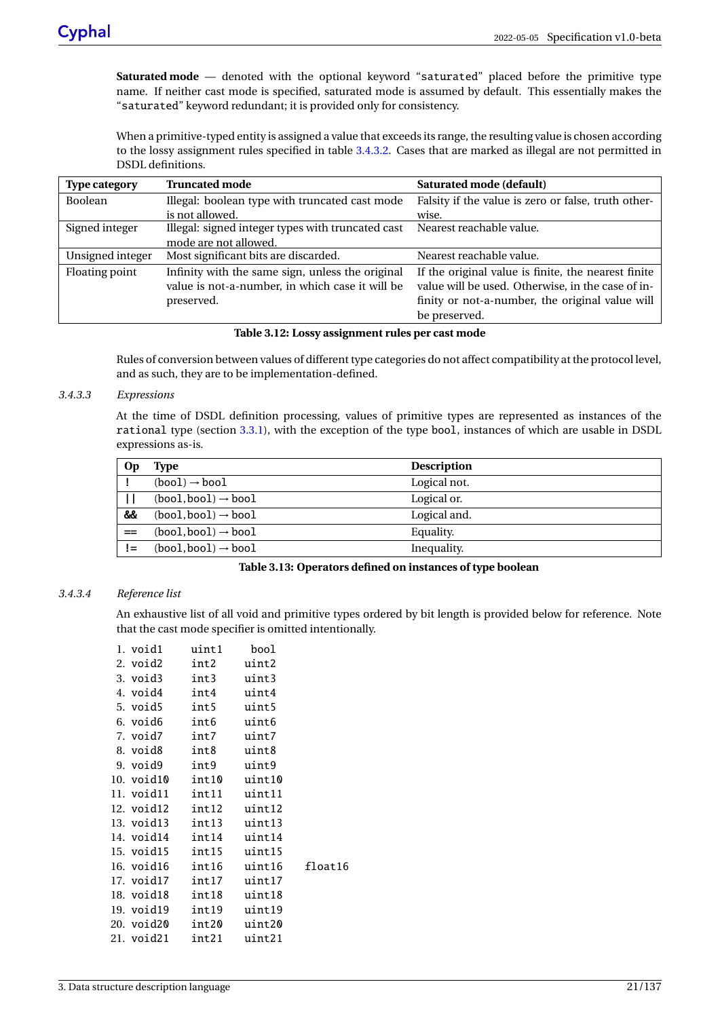**Saturated mode** — denoted with the optional keyword "saturated" placed before the primitive type name. If neither cast mode is specified, saturated mode is assumed by default. This essentially makes the "saturated" keyword redundant; it is provided only for consistency.

When a primitive-typed entity is assigned a value that exceeds its range, the resulting value is chosen according to the lossy assignment rules specified in table [3.4.3.2.](#page-25-5) Cases that are marked as illegal are not permitted in DSDL definitions.

| <b>Type category</b> | <b>Truncated mode</b>                             | Saturated mode (default)                            |
|----------------------|---------------------------------------------------|-----------------------------------------------------|
| Boolean              | Illegal: boolean type with truncated cast mode    | Falsity if the value is zero or false, truth other- |
|                      | is not allowed.                                   | wise.                                               |
| Signed integer       | Illegal: signed integer types with truncated cast | Nearest reachable value.                            |
|                      | mode are not allowed.                             |                                                     |
| Unsigned integer     | Most significant bits are discarded.              | Nearest reachable value.                            |
| Floating point       | Infinity with the same sign, unless the original  | If the original value is finite, the nearest finite |
|                      | value is not-a-number, in which case it will be   | value will be used. Otherwise, in the case of in-   |
|                      | preserved.                                        | finity or not-a-number, the original value will     |
|                      |                                                   | be preserved.                                       |

<span id="page-26-0"></span>**Table 3.12: Lossy assignment rules per cast mode**

Rules of conversion between values of different type categories do not affect compatibility at the protocol level, and as such, they are to be implementation-defined.

#### *3.4.3.3 Expressions*

At the time of DSDL definition processing, values of primitive types are represented as instances of the rational type (section [3.3.1\)](#page-22-1), with the exception of the type bool, instances of which are usable in DSDL expressions as-is.

|                   | Type                            | <b>Description</b> |
|-------------------|---------------------------------|--------------------|
|                   | $(bool) \rightarrow bool$       | Logical not.       |
|                   | $(bool, bool) \rightarrow bool$ | Logical or.        |
| <u>&amp;&amp;</u> | $(bool, bool) \rightarrow bool$ | Logical and.       |
| $==$              | $(bool, bool) \rightarrow bool$ | Equality.          |
| ! =               | $(bool, bool) \rightarrow bool$ | Inequality.        |

#### <span id="page-26-1"></span>**Table 3.13: Operators defined on instances of type boolean**

#### *3.4.3.4 Reference list*

An exhaustive list of all void and primitive types ordered by bit length is provided below for reference. Note that the cast mode specifier is omitted intentionally.

| 1. void1 uint1          | bool                            |  |
|-------------------------|---------------------------------|--|
| 2. void2 int2 uint2     |                                 |  |
| 3. void3 int3 uint3     |                                 |  |
| 4. void4 int4 uint4     |                                 |  |
| 5. void5 int5 uint5     |                                 |  |
| 6. void6 int6 uint6     |                                 |  |
| 7. void7 int7 uint7     |                                 |  |
| 8. void8 int8 uint8     |                                 |  |
| 9. void9 int9 uint9     |                                 |  |
| 10. void10 int10 uint10 |                                 |  |
| 11. void11 int11 uint11 |                                 |  |
| 12. void12 int12 uint12 |                                 |  |
| 13. void13 int13 uint13 |                                 |  |
| 14. void14 int14 uint14 |                                 |  |
| 15. void15 int15 uint15 |                                 |  |
|                         | 16. void16 int16 uint16 float16 |  |
| 17. void17 int17 uint17 |                                 |  |
| 18. void18 int18 uint18 |                                 |  |
| 19. void19 int19 uint19 |                                 |  |
| 20. void20 int20 uint20 |                                 |  |
| 21. void21 int21 uint21 |                                 |  |
|                         |                                 |  |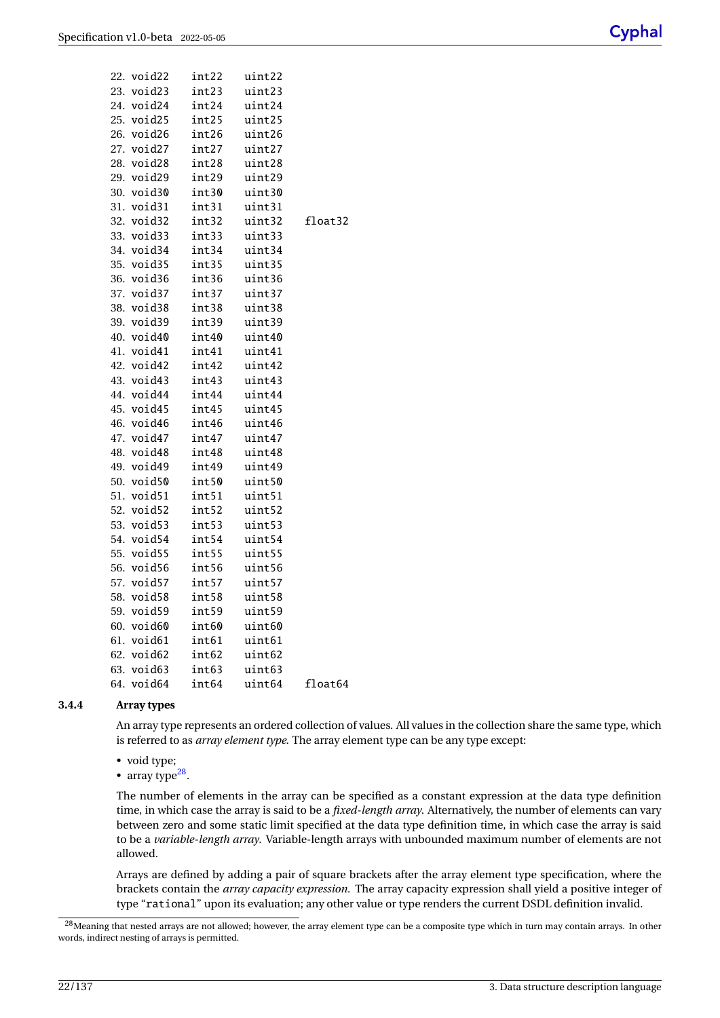| 22. void22 | int22 | uint22 |         |
|------------|-------|--------|---------|
| 23. void23 | int23 | uint23 |         |
| 24. void24 | int24 | uint24 |         |
| 25. void25 | int25 | uint25 |         |
| 26. void26 | int26 | uint26 |         |
| 27. void27 | int27 | uint27 |         |
| 28. void28 | int28 | uint28 |         |
| 29. void29 | int29 | uint29 |         |
| 30. void30 | int30 | uint30 |         |
| 31. void31 | int31 | uint31 |         |
| 32. void32 | int32 | uint32 | float32 |
| 33. void33 | int33 | uint33 |         |
| 34. void34 | int34 | uint34 |         |
| 35. void35 | int35 | uint35 |         |
| 36. void36 | int36 | uint36 |         |
| 37. void37 | int37 | uint37 |         |
| 38. void38 | int38 | uint38 |         |
| 39. void39 | int39 | uint39 |         |
| 40. void40 | int40 | uint40 |         |
| 41. void41 | int41 | uint41 |         |
| 42. void42 | int42 | uint42 |         |
| 43. void43 | int43 | uint43 |         |
| 44. void44 | int44 | uint44 |         |
| 45. void45 | int45 | uint45 |         |
| 46. void46 | int46 | uint46 |         |
| 47. void47 | int47 | uint47 |         |
| 48. void48 | int48 | uint48 |         |
| 49. void49 | int49 | uint49 |         |
| 50. void50 | int50 | uint50 |         |
| 51. void51 | int51 | uint51 |         |
| 52. void52 | int52 | uint52 |         |
| 53. void53 | int53 | uint53 |         |
| 54. void54 | int54 | uint54 |         |
| 55. void55 | int55 | uint55 |         |
| 56. void56 | int56 | uint56 |         |
| 57. void57 | int57 | uint57 |         |
| 58. void58 | int58 | uint58 |         |
| 59. void59 | int59 | uint59 |         |
| 60. void60 | int60 | uint60 |         |
| 61. void61 | int61 | uint61 |         |
| 62. void62 | int62 | uint62 |         |
| 63. void63 | int63 | uint63 |         |
| 64. void64 | int64 | uint64 | float64 |
|            |       |        |         |

#### <span id="page-27-0"></span>**3.4.4 Array types**

An array type represents an ordered collection of values. All values in the collection share the same type, which is referred to as *array element type*. The array element type can be any type except:

- void type;
- array type $^{28}$  $^{28}$  $^{28}$ .

The number of elements in the array can be specified as a constant expression at the data type definition time, in which case the array is said to be a *fixed-length array*. Alternatively, the number of elements can vary between zero and some static limit specified at the data type definition time, in which case the array is said to be a *variable-length array*. Variable-length arrays with unbounded maximum number of elements are not allowed.

Arrays are defined by adding a pair of square brackets after the array element type specification, where the brackets contain the *array capacity expression*. The array capacity expression shall yield a positive integer of type "rational" upon its evaluation; any other value or type renders the current DSDL definition invalid.

<span id="page-27-1"></span><sup>&</sup>lt;sup>28</sup>Meaning that nested arrays are not allowed; however, the array element type can be a composite type which in turn may contain arrays. In other words, indirect nesting of arrays is permitted.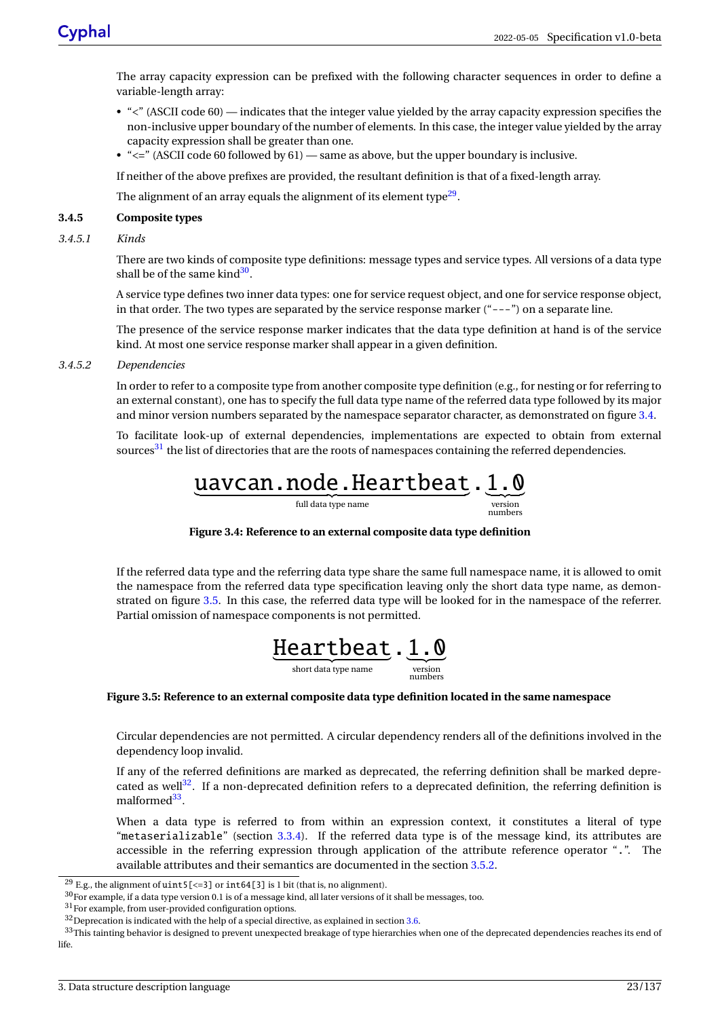The array capacity expression can be prefixed with the following character sequences in order to define a variable-length array:

- "<" (ASCII code 60) indicates that the integer value yielded by the array capacity expression specifies the non-inclusive upper boundary of the number of elements. In this case, the integer value yielded by the array capacity expression shall be greater than one.
- $\leq$  " $\leq$ " (ASCII code 60 followed by 61) same as above, but the upper boundary is inclusive.

If neither of the above prefixes are provided, the resultant definition is that of a fixed-length array.

The alignment of an array equals the alignment of its element type $^{29}\cdot$  $^{29}\cdot$  $^{29}\cdot$ 

#### <span id="page-28-0"></span>**3.4.5 Composite types**

*3.4.5.1 Kinds*

There are two kinds of composite type definitions: message types and service types. All versions of a data type shall be of the same kind<sup>[30](#page-28-4)</sup>.

A service type defines two inner data types: one for service request object, and one for service response object, in that order. The two types are separated by the service response marker ("---") on a separate line.

The presence of the service response marker indicates that the data type definition at hand is of the service kind. At most one service response marker shall appear in a given definition.

*3.4.5.2 Dependencies*

In order to refer to a composite type from another composite type definition (e.g., for nesting or for referring to an external constant), one has to specify the full data type name of the referred data type followed by its major and minor version numbers separated by the namespace separator character, as demonstrated on figure [3.4.](#page-28-1)

<span id="page-28-1"></span>To facilitate look-up of external dependencies, implementations are expected to obtain from external sources<sup>[31](#page-28-5)</sup> the list of directories that are the roots of namespaces containing the referred dependencies.



numbers

**Figure 3.4: Reference to an external composite data type definition**

If the referred data type and the referring data type share the same full namespace name, it is allowed to omit the namespace from the referred data type specification leaving only the short data type name, as demonstrated on figure [3.5.](#page-28-2) In this case, the referred data type will be looked for in the namespace of the referrer. Partial omission of namespace components is not permitted.



#### <span id="page-28-2"></span>**Figure 3.5: Reference to an external composite data type definition located in the same namespace**

Circular dependencies are not permitted. A circular dependency renders all of the definitions involved in the dependency loop invalid.

If any of the referred definitions are marked as deprecated, the referring definition shall be marked depre-cated as well<sup>[32](#page-28-6)</sup>. If a non-deprecated definition refers to a deprecated definition, the referring definition is malformed<sup>[33](#page-28-7)</sup>.

When a data type is referred to from within an expression context, it constitutes a literal of type "metaserializable" (section [3.3.4\)](#page-24-0). If the referred data type is of the message kind, its attributes are accessible in the referring expression through application of the attribute reference operator ".". The available attributes and their semantics are documented in the section [3.5.2.](#page-35-0)

<span id="page-28-3"></span><sup>&</sup>lt;sup>29</sup> E.g., the alignment of uint  $5$  [<=3] or int  $64$  [3] is 1 bit (that is, no alignment).

<span id="page-28-4"></span><sup>30</sup>For example, if a data type version 0.1 is of a message kind, all later versions of it shall be messages, too.

<span id="page-28-5"></span><sup>31</sup>For example, from user-provided configuration options.

<span id="page-28-7"></span><span id="page-28-6"></span> $32$  Deprecation is indicated with the help of a special directive, as explained in section [3.6.](#page-36-1)

<sup>33</sup>This tainting behavior is designed to prevent unexpected breakage of type hierarchies when one of the deprecated dependencies reaches its end of life.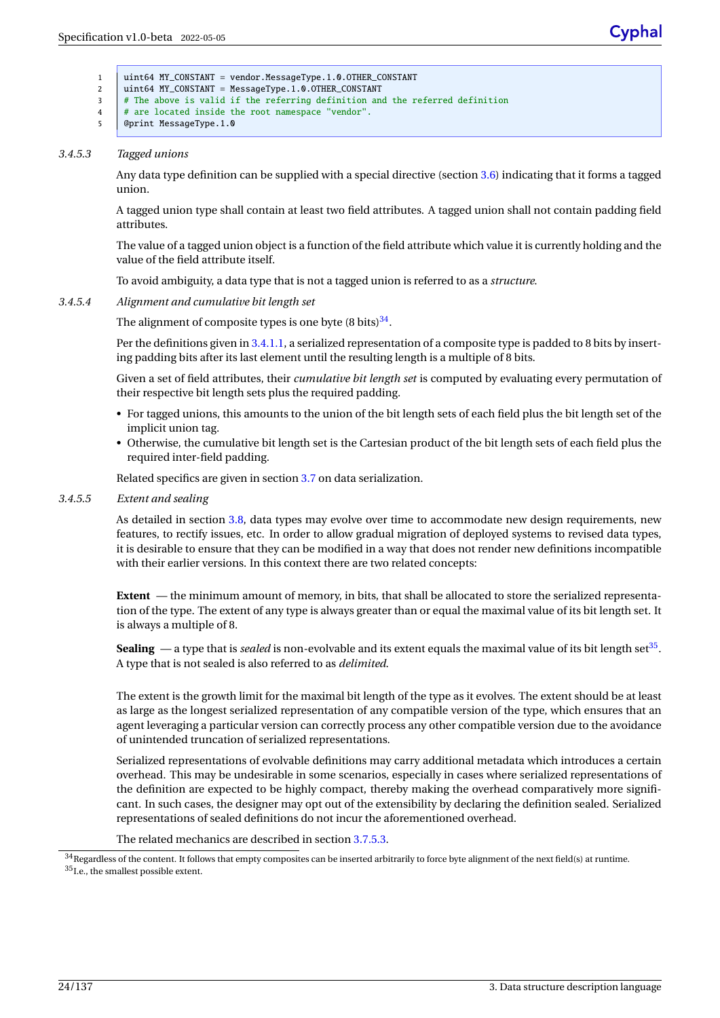1 uint64 MY\_CONSTANT = vendor.MessageType.1.0.OTHER\_CONSTANT 2 | uint64 MY\_CONSTANT = MessageType.1.0.OTHER\_CONSTANT  $3$   $#$  The above is valid if the referring definition and the referred definition 4 | # are located inside the root namespace "vendor". 5 | @print MessageType.1.0

#### *3.4.5.3 Tagged unions*

Any data type definition can be supplied with a special directive (section [3.6\)](#page-36-1) indicating that it forms a tagged union.

A tagged union type shall contain at least two field attributes. A tagged union shall not contain padding field attributes.

The value of a tagged union object is a function of the field attribute which value it is currently holding and the value of the field attribute itself.

To avoid ambiguity, a data type that is not a tagged union is referred to as a *structure*.

<span id="page-29-3"></span>*3.4.5.4 Alignment and cumulative bit length set*

The alignment of composite types is one byte (8 bits) $^{34}.$  $^{34}.$  $^{34}.$ 

Per the definitions given in [3.4.1.1,](#page-24-5) a serialized representation of a composite type is padded to 8 bits by inserting padding bits after its last element until the resulting length is a multiple of 8 bits.

Given a set of field attributes, their *cumulative bit length set* is computed by evaluating every permutation of their respective bit length sets plus the required padding.

- For tagged unions, this amounts to the union of the bit length sets of each field plus the bit length set of the implicit union tag.
- Otherwise, the cumulative bit length set is the Cartesian product of the bit length sets of each field plus the required inter-field padding.

Related specifics are given in section [3.7](#page-38-2) on data serialization.

#### <span id="page-29-0"></span>*3.4.5.5 Extent and sealing*

As detailed in section [3.8,](#page-47-0) data types may evolve over time to accommodate new design requirements, new features, to rectify issues, etc. In order to allow gradual migration of deployed systems to revised data types, it is desirable to ensure that they can be modified in a way that does not render new definitions incompatible with their earlier versions. In this context there are two related concepts:

**Extent** — the minimum amount of memory, in bits, that shall be allocated to store the serialized representation of the type. The extent of any type is always greater than or equal the maximal value of its bit length set. It is always a multiple of 8.

**Sealing** — a type that is *sealed* is non-evolvable and its extent equals the maximal value of its bit length set $^{35}$  $^{35}$  $^{35}$ . A type that is not sealed is also referred to as *delimited*.

The extent is the growth limit for the maximal bit length of the type as it evolves. The extent should be at least as large as the longest serialized representation of any compatible version of the type, which ensures that an agent leveraging a particular version can correctly process any other compatible version due to the avoidance of unintended truncation of serialized representations.

Serialized representations of evolvable definitions may carry additional metadata which introduces a certain overhead. This may be undesirable in some scenarios, especially in cases where serialized representations of the definition are expected to be highly compact, thereby making the overhead comparatively more significant. In such cases, the designer may opt out of the extensibility by declaring the definition sealed. Serialized representations of sealed definitions do not incur the aforementioned overhead.

The related mechanics are described in section [3.7.5.3.](#page-45-0)

<span id="page-29-2"></span><span id="page-29-1"></span><sup>&</sup>lt;sup>34</sup>Regardless of the content. It follows that empty composites can be inserted arbitrarily to force byte alignment of the next field(s) at runtime. <sup>35</sup>I.e., the smallest possible extent.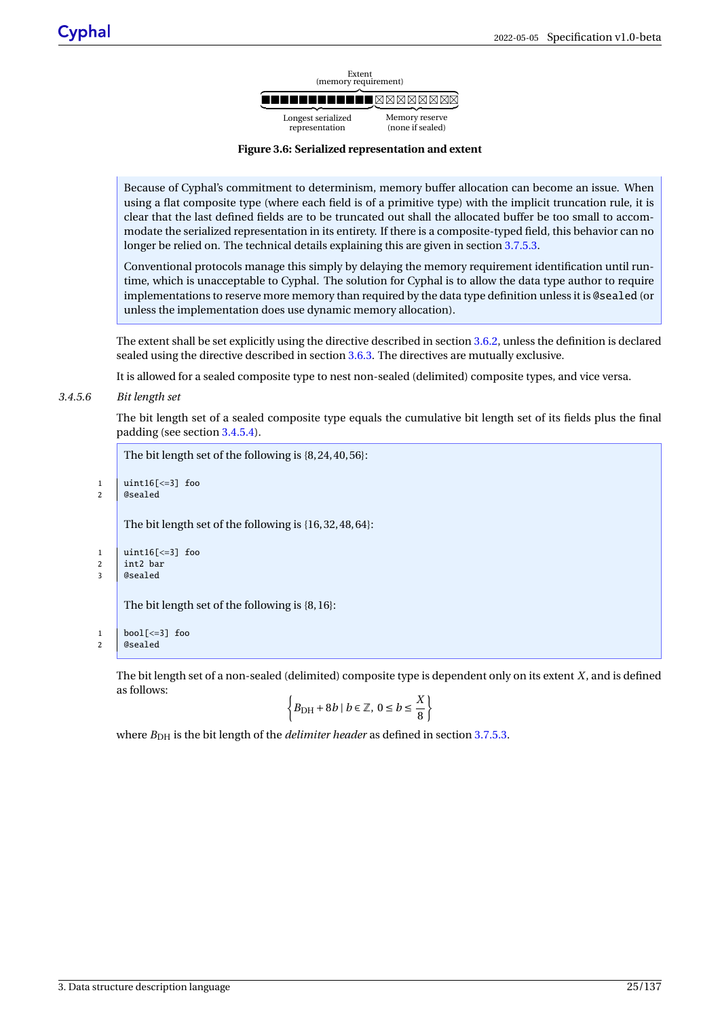# Extent (memory requirement)

**THE BULLET BRAKK RRA** 

Longest serialized representation

Memory reserve (none if sealed)

#### **Figure 3.6: Serialized representation and extent**

<span id="page-30-0"></span>Because of Cyphal's commitment to determinism, memory buffer allocation can become an issue. When using a flat composite type (where each field is of a primitive type) with the implicit truncation rule, it is clear that the last defined fields are to be truncated out shall the allocated buffer be too small to accommodate the serialized representation in its entirety. If there is a composite-typed field, this behavior can no longer be relied on. The technical details explaining this are given in section [3.7.5.3.](#page-45-0)

Conventional protocols manage this simply by delaying the memory requirement identification until runtime, which is unacceptable to Cyphal. The solution for Cyphal is to allow the data type author to require implementations to reserve more memory than required by the data type definition unless it is @sealed (or unless the implementation does use dynamic memory allocation).

The extent shall be set explicitly using the directive described in section [3.6.2,](#page-37-0) unless the definition is declared sealed using the directive described in section [3.6.3.](#page-37-1) The directives are mutually exclusive.

It is allowed for a sealed composite type to nest non-sealed (delimited) composite types, and vice versa.

#### *3.4.5.6 Bit length set*

The bit length set of a sealed composite type equals the cumulative bit length set of its fields plus the final padding (see section [3.4.5.4\)](#page-29-3).

The bit length set of the following is {8, 24, 40, 56}:

```
1 \quad \text{limit} 16\text{K}=31 foo
2 @sealed
```
The bit length set of the following is {16, 32, 48, 64}:

```
1 | uint16[<=3] foo
2 \int int2 bar
```

```
3 @sealed
```
The bit length set of the following is {8, 16}:

```
1 | bool[\leq=3] foo
2 @sealed
```
The bit length set of a non-sealed (delimited) composite type is dependent only on its extent *X*, and is defined as follows:

$$
\left\{B_{\mathrm{DH}}+8\,b\mid b\in\mathbb{Z},\,0\leq b\leq\frac{X}{8}\right\}
$$

where  $B_{\text{DH}}$  is the bit length of the *delimiter header* as defined in section [3.7.5.3.](#page-45-0)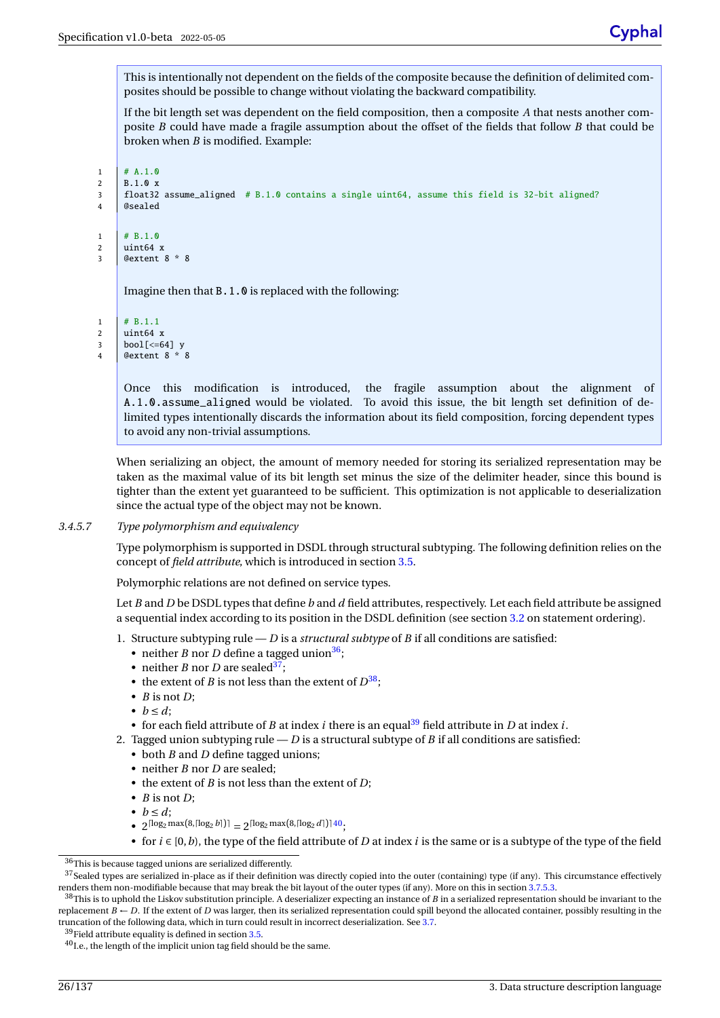This is intentionally not dependent on the fields of the composite because the definition of delimited composites should be possible to change without violating the backward compatibility.

If the bit length set was dependent on the field composition, then a composite *A* that nests another composite *B* could have made a fragile assumption about the offset of the fields that follow *B* that could be broken when *B* is modified. Example:

```
1 + A.1.02 \vert B.1.0 x \vert3 float32 assume_aligned # B.1.0 contains a single uint64, assume this field is 32-bit aligned?
4 @sealed
1 \t# B.1.02 \int uint 64 x
3 @extent 8 * 8
     Imagine then that B.1.0 is replaced with the following:
1 + B.1.1
```

```
2 \vert uint 64 x
\frac{3}{5} bool[<=64] y
4 @extent 8 * 8
```
Once this modification is introduced, the fragile assumption about the alignment of A.1.0.assume\_aligned would be violated. To avoid this issue, the bit length set definition of delimited types intentionally discards the information about its field composition, forcing dependent types to avoid any non-trivial assumptions.

When serializing an object, the amount of memory needed for storing its serialized representation may be taken as the maximal value of its bit length set minus the size of the delimiter header, since this bound is tighter than the extent yet guaranteed to be sufficient. This optimization is not applicable to deserialization since the actual type of the object may not be known.

#### *3.4.5.7 Type polymorphism and equivalency*

Type polymorphism is supported in DSDL through structural subtyping. The following definition relies on the concept of *field attribute*, which is introduced in section [3.5.](#page-34-0)

Polymorphic relations are not defined on service types.

Let *B* and *D* be DSDL types that define *b* and *d* field attributes, respectively. Let each field attribute be assigned a sequential index according to its position in the DSDL definition (see section [3.2](#page-17-0) on statement ordering).

1. Structure subtyping rule — *D* is a *structural subtype* of *B* if all conditions are satisfied:

- neither *B* nor *D* define a tagged union<sup>[36](#page-31-0)</sup>;
- neither *B* nor *D* are sealed<sup>[37](#page-31-1)</sup>;
- the extent of *B* is not less than the extent of  $D^{38}$  $D^{38}$  $D^{38}$ ;
- *B* is not *D*;
- $b \leq d$ ;
- for each field attribute of *B* at index *i* there is an equal<sup>[39](#page-31-3)</sup> field attribute in *D* at index *i*.
- 2. Tagged union subtyping rule *D* is a structural subtype of *B* if all conditions are satisfied:
	- both *B* and *D* define tagged unions:
	- neither *B* nor *D* are sealed;
	- the extent of *B* is not less than the extent of *D*;
	- *B* is not *D*;
	- $b \leq d$ ;
	- $2^{\lceil \log_2 \max(8, \lceil \log_2 b \rceil) \rceil} = 2^{\lceil \log_2 \max(8, \lceil \log_2 d \rceil) \rceil 40}$  $2^{\lceil \log_2 \max(8, \lceil \log_2 b \rceil) \rceil} = 2^{\lceil \log_2 \max(8, \lceil \log_2 d \rceil) \rceil 40}$  $2^{\lceil \log_2 \max(8, \lceil \log_2 b \rceil) \rceil} = 2^{\lceil \log_2 \max(8, \lceil \log_2 d \rceil) \rceil 40}$
	- for  $i \in [0, b)$ , the type of the field attribute of *D* at index *i* is the same or is a subtype of the type of the field

<span id="page-31-1"></span><span id="page-31-0"></span> $\rm{^{36}This}$  is because tagged unions are serialized differently.

<sup>&</sup>lt;sup>37</sup>Sealed types are serialized in-place as if their definition was directly copied into the outer (containing) type (if any). This circumstance effectively renders them non-modifiable because that may break the bit layout of the outer types (if any). More on this in section [3.7.5.3.](#page-45-0)

<span id="page-31-2"></span><sup>38</sup>This is to uphold the Liskov substitution principle. A deserializer expecting an instance of *B* in a serialized representation should be invariant to the replacement  $B \leftarrow D$ . If the extent of *D* was larger, then its serialized representation could spill beyond the allocated container, possibly resulting in the truncation of the following data, which in turn could result in incorrect deserialization. See [3.7.](#page-38-2)

<span id="page-31-3"></span> $^{39}\mathrm{Field}$  attribute equality is defined in section [3.5.](#page-34-0)

<span id="page-31-4"></span> $^{40}$  I.e., the length of the implicit union tag field should be the same.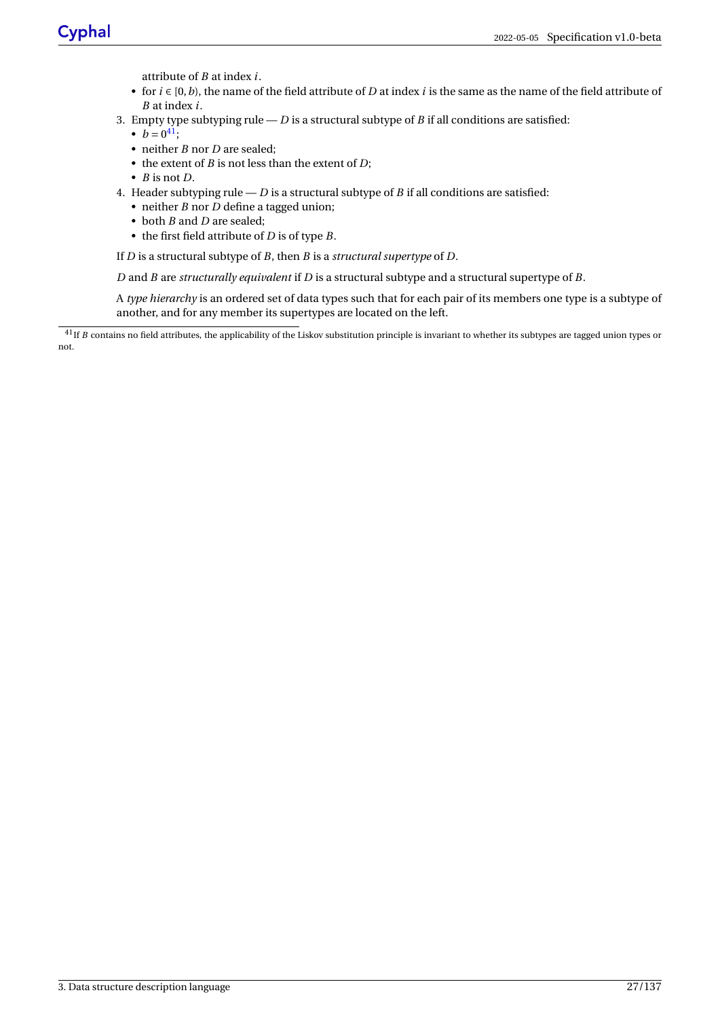attribute of *B* at index *i*.

- for *i* ∈ [0,*b*), the name of the field attribute of *D* at index *i* is the same as the name of the field attribute of *B* at index *i*.
- 3. Empty type subtyping rule *D* is a structural subtype of *B* if all conditions are satisfied:
	- $b = 0^{41}$  $b = 0^{41}$  $b = 0^{41}$ ;
	- neither *B* nor *D* are sealed;
	- the extent of *B* is not less than the extent of *D*;
	- *B* is not *D*.
- 4. Header subtyping rule *D* is a structural subtype of *B* if all conditions are satisfied:
	- neither *B* nor *D* define a tagged union;
	- both *B* and *D* are sealed;
	- the first field attribute of *D* is of type *B*.

If *D* is a structural subtype of *B*, then *B* is a *structural supertype* of *D*.

*D* and *B* are *structurally equivalent* if *D* is a structural subtype and a structural supertype of *B*.

A *type hierarchy* is an ordered set of data types such that for each pair of its members one type is a subtype of another, and for any member its supertypes are located on the left.

<span id="page-32-0"></span><sup>&</sup>lt;sup>41</sup>If *B* contains no field attributes, the applicability of the Liskov substitution principle is invariant to whether its subtypes are tagged union types or not.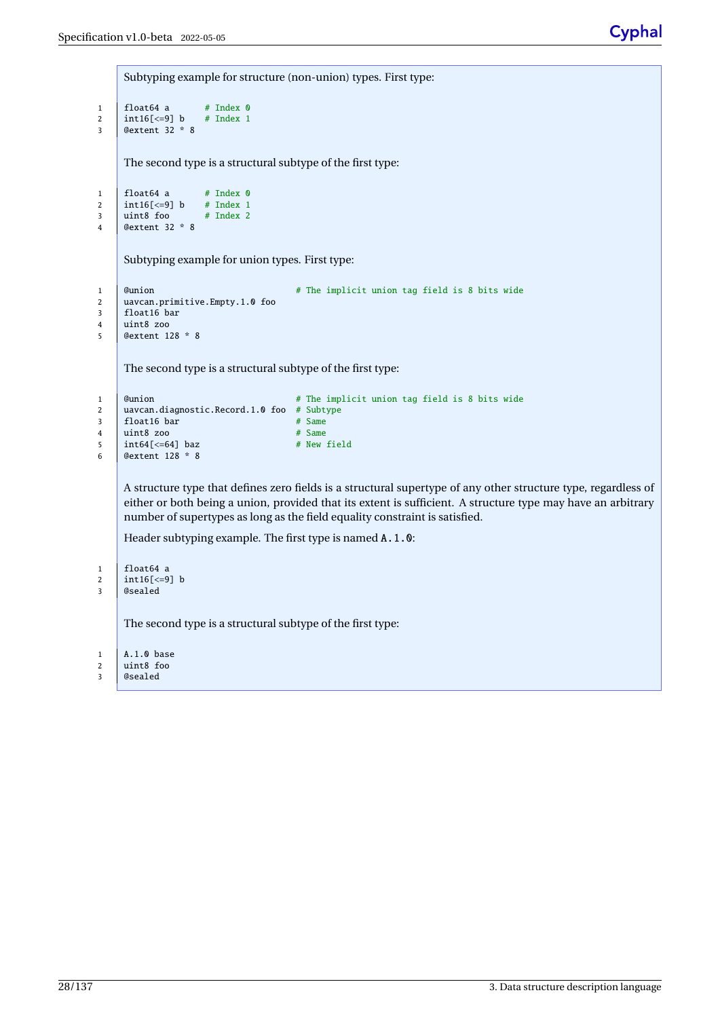Subtyping example for structure (non-union) types. First type: 1 | float64 a  $\#$  Index 0 2  $int16[<=9]$  b # Index 1 3 @extent 32 \* 8 The second type is a structural subtype of the first type: 1  $\left| \begin{array}{ccc} 1 & \text{float64 a} \\ \text{int16} <=9 \end{array} \right|$  b # Index 0 2  $int16[<=9]$  b # Index 1  $3 \text{ units}$  60 # Index 2 4 @extent 32 \* 8 Subtyping example for union types. First type: 1 | @union # The implicit union tag field is 8 bits wide 2 | uavcan.primitive.Empty.1.0 foo 3 float16 bar  $4 \quad \text{uint8 } \text{zoo}$ 5 @extent 128 \* 8 The second type is a structural subtype of the first type: 1 | @union # The implicit union tag field is 8 bits wide 2 | uavcan.diagnostic.Record.1.0 foo # Subtype 3 float16 bar # Same 4 uint8 zoo  $\qquad$  # Same<br>5 int64[<=64] baz # New field 5  $\int$  int64 $\left[ \left( <=64 \right]$  baz 6 @extent 128 \* 8 A structure type that defines zero fields is a structural supertype of any other structure type, regardless of either or both being a union, provided that its extent is sufficient. A structure type may have an arbitrary number of supertypes as long as the field equality constraint is satisfied. Header subtyping example. The first type is named A.1.0:  $1$  | float64 a 2 |  $int16[<=9]$  b 3 @sealed The second type is a structural subtype of the first type:  $1$  A.1.0 base 2  $|$  uint 8 foo 3 @sealed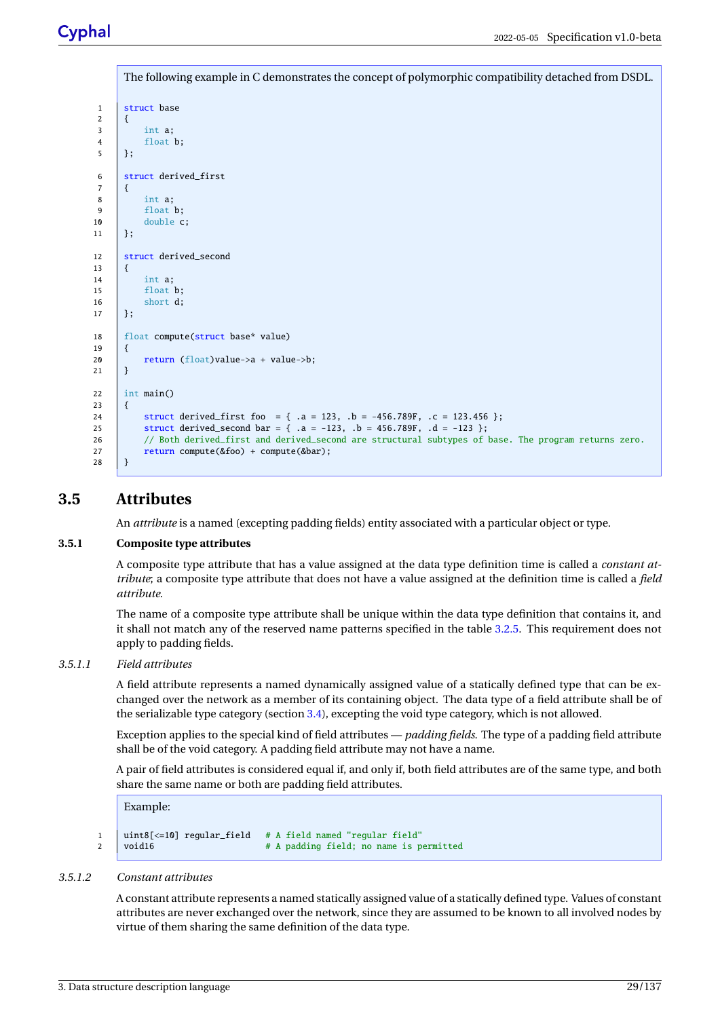The following example in C demonstrates the concept of polymorphic compatibility detached from DSDL. 1 | struct base  $2 \mid \{$  $\overline{3}$  int a; 4 float b;  $5 \mid \}$ ; 6 struct derived\_first  $7 \mid$  { 8 int a; 9 float b;  $10$  double  $c$ ;  $11$  }; 12 struct derived second  $13 \mid \{$ 14 int a; 15 float b; 16 short d;  $17 \mid \}$ : 18 | float compute(struct base\* value)  $19$  { 20 return (float)value->a + value->b;<br>21 } 21 } 22  $int \, \text{main}$ () 23  $\left| \right|$ 24 struct derived\_first foo = { .a = 123, .b = -456.789F, .c = 123.456 }; 25 struct derived\_second bar = {  $.a = -123$ ,  $.b = 456.789F$ ,  $.d = -123$  }; 26 // Both derived\_first and derived\_second are structural subtypes of base. The program returns zero. 27 return compute(&foo) + compute(&bar);<br>28 } 28 }

## <span id="page-34-0"></span>**3.5 Attributes**

An *attribute* is a named (excepting padding fields) entity associated with a particular object or type.

#### <span id="page-34-1"></span>**3.5.1 Composite type attributes**

A composite type attribute that has a value assigned at the data type definition time is called a *constant attribute*; a composite type attribute that does not have a value assigned at the definition time is called a *field attribute*.

The name of a composite type attribute shall be unique within the data type definition that contains it, and it shall not match any of the reserved name patterns specified in the table [3.2.5.](#page-21-0) This requirement does not apply to padding fields.

#### *3.5.1.1 Field attributes*

A field attribute represents a named dynamically assigned value of a statically defined type that can be exchanged over the network as a member of its containing object. The data type of a field attribute shall be of the serializable type category (section [3.4\)](#page-24-1), excepting the void type category, which is not allowed.

Exception applies to the special kind of field attributes — *padding fields*. The type of a padding field attribute shall be of the void category. A padding field attribute may not have a name.

A pair of field attributes is considered equal if, and only if, both field attributes are of the same type, and both share the same name or both are padding field attributes.

Example:

```
1 uint8[<=10] regular_field # A field named "regular field"
2 void16 \# A padding field; no name is permitted
```
#### <span id="page-34-2"></span>*3.5.1.2 Constant attributes*

A constant attribute represents a named statically assigned value of a statically defined type. Values of constant attributes are never exchanged over the network, since they are assumed to be known to all involved nodes by virtue of them sharing the same definition of the data type.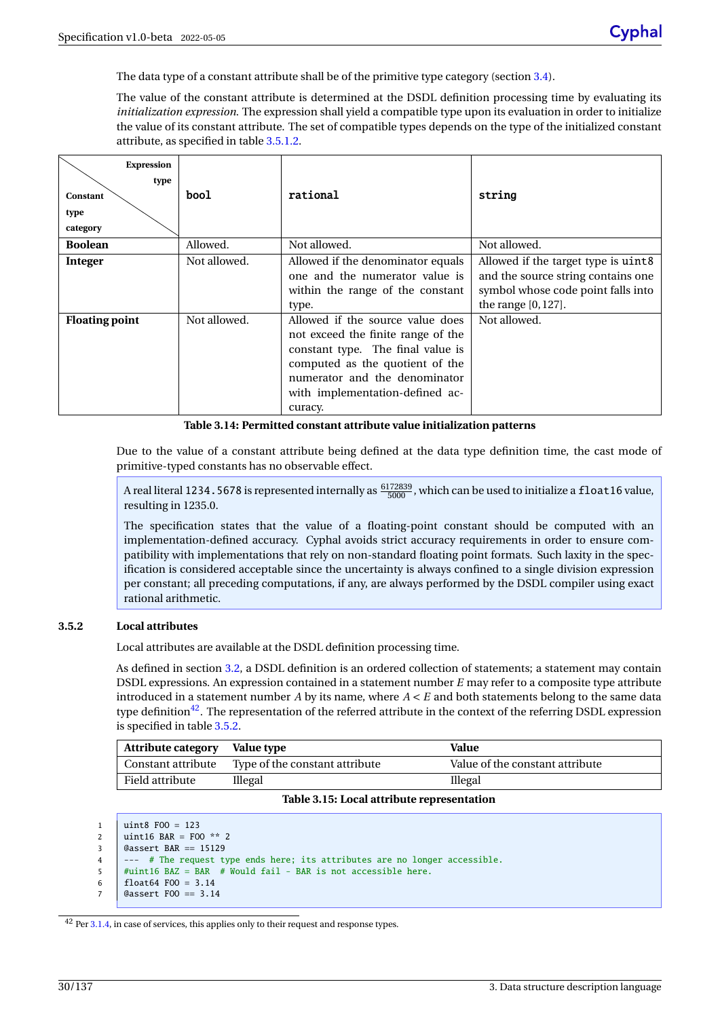The data type of a constant attribute shall be of the primitive type category (section [3.4\)](#page-24-1).

The value of the constant attribute is determined at the DSDL definition processing time by evaluating its *initialization expression*. The expression shall yield a compatible type upon its evaluation in order to initialize the value of its constant attribute. The set of compatible types depends on the type of the initialized constant attribute, as specified in table [3.5.1.2.](#page-34-2)

| <b>Expression</b>                    |              |                                                                                                                                                                                                                               |                                                                                                                                           |
|--------------------------------------|--------------|-------------------------------------------------------------------------------------------------------------------------------------------------------------------------------------------------------------------------------|-------------------------------------------------------------------------------------------------------------------------------------------|
| type<br>Constant<br>type<br>category | bool         | rational                                                                                                                                                                                                                      | string                                                                                                                                    |
| <b>Boolean</b>                       | Allowed.     | Not allowed.                                                                                                                                                                                                                  | Not allowed.                                                                                                                              |
| Integer                              | Not allowed. | Allowed if the denominator equals<br>one and the numerator value is<br>within the range of the constant<br>type.                                                                                                              | Allowed if the target type is uint8<br>and the source string contains one<br>symbol whose code point falls into<br>the range $[0, 127]$ . |
| <b>Floating point</b>                | Not allowed. | Allowed if the source value does<br>not exceed the finite range of the<br>constant type. The final value is<br>computed as the quotient of the<br>numerator and the denominator<br>with implementation-defined ac-<br>curacy. | Not allowed.                                                                                                                              |

<span id="page-35-1"></span>**Table 3.14: Permitted constant attribute value initialization patterns**

Due to the value of a constant attribute being defined at the data type definition time, the cast mode of primitive-typed constants has no observable effect.

A real literal 1234 . 5678 is represented internally as  $\frac{6172839}{5000}$ , which can be used to initialize a <code>float16</code> value, resulting in 1235.0.

The specification states that the value of a floating-point constant should be computed with an implementation-defined accuracy. Cyphal avoids strict accuracy requirements in order to ensure compatibility with implementations that rely on non-standard floating point formats. Such laxity in the specification is considered acceptable since the uncertainty is always confined to a single division expression per constant; all preceding computations, if any, are always performed by the DSDL compiler using exact rational arithmetic.

#### <span id="page-35-0"></span>**3.5.2 Local attributes**

Local attributes are available at the DSDL definition processing time.

As defined in section [3.2,](#page-17-0) a DSDL definition is an ordered collection of statements; a statement may contain DSDL expressions. An expression contained in a statement number *E* may refer to a composite type attribute introduced in a statement number *A* by its name, where *A* < *E* and both statements belong to the same data type definition<sup>[42](#page-35-3)</sup>. The representation of the referred attribute in the context of the referring DSDL expression is specified in table [3.5.2.](#page-35-0)

| Attribute category Value type |                                                   | Value                           |
|-------------------------------|---------------------------------------------------|---------------------------------|
|                               | Constant attribute Type of the constant attribute | Value of the constant attribute |
| Field attribute `             | Illegal                                           | Illegal                         |

#### <span id="page-35-2"></span>**Table 3.15: Local attribute representation**

| 1   uint8 F00 = 123                                                                  |
|--------------------------------------------------------------------------------------|
| 2   uint16 BAR = F00 $**$ 2                                                          |
| 3   $Q$ assert BAR == 15129                                                          |
| 4 $\vert$ --- # The request type ends here; its attributes are no longer accessible. |
| 5   $\#$ uint16 BAZ = BAR $\#$ Would fail - BAR is not accessible here.              |
| 6   float 64 FOO = $3.14$                                                            |
| 7   @assert F00 == $3.14$                                                            |

<span id="page-35-3"></span><sup>&</sup>lt;sup>42</sup> Per [3.1.4,](#page-16-0) in case of services, this applies only to their request and response types.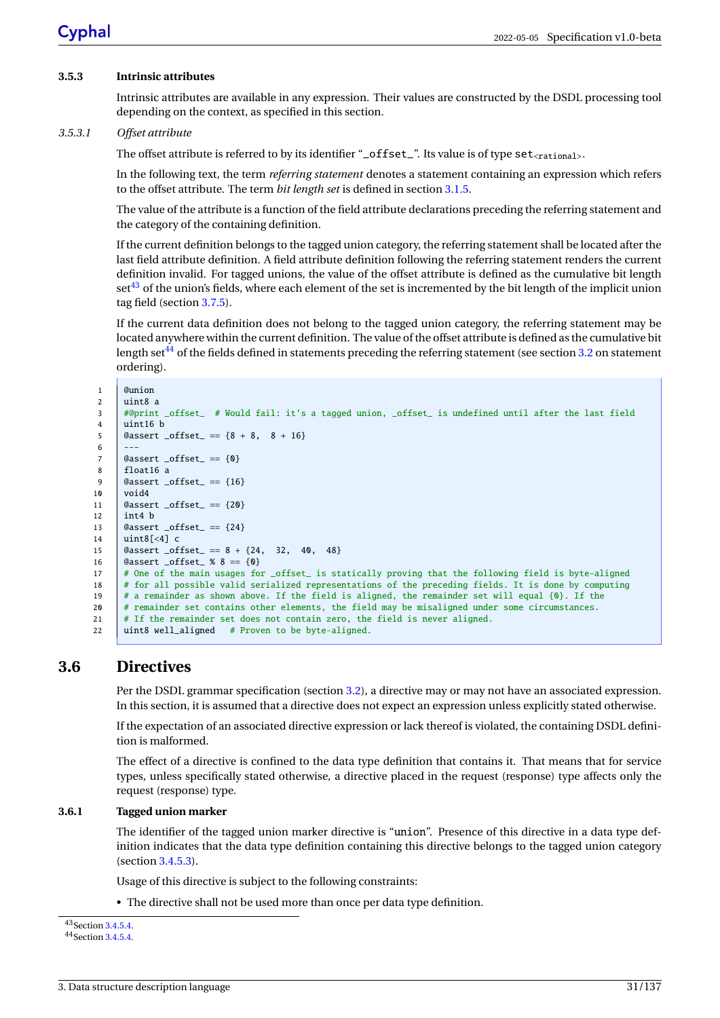# **3.5.3 Intrinsic attributes**

Intrinsic attributes are available in any expression. Their values are constructed by the DSDL processing tool depending on the context, as specified in this section.

*3.5.3.1 Offset attribute*

The offset attribute is referred to by its identifier "\_offset\_". Its value is of type set<sub> $\epsilon$ rational</sub>.

In the following text, the term *referring statement* denotes a statement containing an expression which refers to the offset attribute. The term *bit length set* is defined in section [3.1.5.](#page-16-0)

The value of the attribute is a function of the field attribute declarations preceding the referring statement and the category of the containing definition.

If the current definition belongs to the tagged union category, the referring statement shall be located after the last field attribute definition. A field attribute definition following the referring statement renders the current definition invalid. For tagged unions, the value of the offset attribute is defined as the cumulative bit length set<sup>[43](#page-36-0)</sup> of the union's fields, where each element of the set is incremented by the bit length of the implicit union tag field (section [3.7.5\)](#page-43-0).

If the current data definition does not belong to the tagged union category, the referring statement may be located anywhere within the current definition. The value of the offset attribute is defined as the cumulative bit length set<sup>[44](#page-36-1)</sup> of the fields defined in statements preceding the referring statement (see section [3.2](#page-17-0) on statement ordering).

```
1 @union
2 \vert uint 8 a
3 #@print _offset_ # Would fail: it's a tagged union, _offset_ is undefined until after the last field
4 uint16 b
5 @assert _{\text{offset}} = \{8 + 8, 8 + 16\}6 -7 \quad @assert _offset_ == \{0\}8 float16 a
9 \theta @assert _offset_ == {16}
10 void4
11 @assert _offset_ == {20}
12 int4 b
13 \vert @assert _offset_ == {24}
14 uint8[<4] c
15 @assert _offset_ == 8 + \{24, 32, 40, 48\}16 \Big| @assert _offset_ % 8 == {0}
17 # One of the main usages for _offset_ is statically proving that the following field is byte-aligned
18 # for all possible valid serialized representations of the preceding fields. It is done by computing
19 # a remainder as shown above. If the field is aligned, the remainder set will equal \{0\}. If the
20 # remainder set contains other elements, the field may be misaligned under some circumstances.
21 # If the remainder set does not contain zero, the field is never aligned.
22 | uint8 well_aligned # Proven to be byte-aligned.
```
# <span id="page-36-2"></span>**3.6 Directives**

Per the DSDL grammar specification (section [3.2\)](#page-17-0), a directive may or may not have an associated expression. In this section, it is assumed that a directive does not expect an expression unless explicitly stated otherwise.

If the expectation of an associated directive expression or lack thereof is violated, the containing DSDL definition is malformed.

The effect of a directive is confined to the data type definition that contains it. That means that for service types, unless specifically stated otherwise, a directive placed in the request (response) type affects only the request (response) type.

## **3.6.1 Tagged union marker**

The identifier of the tagged union marker directive is "union". Presence of this directive in a data type definition indicates that the data type definition containing this directive belongs to the tagged union category (section [3.4.5.3\)](#page-29-0).

Usage of this directive is subject to the following constraints:

• The directive shall not be used more than once per data type definition.

<span id="page-36-0"></span><sup>43</sup>Section [3.4.5.4.](#page-29-1)

<span id="page-36-1"></span><sup>44</sup>Section [3.4.5.4.](#page-29-1)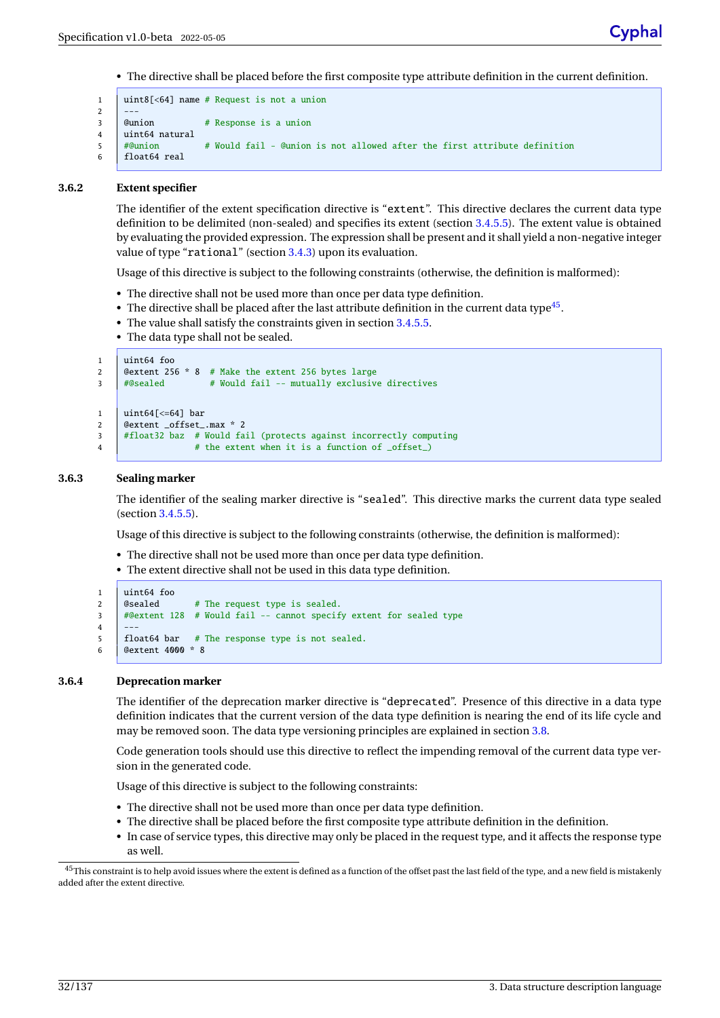• The directive shall be placed before the first composite type attribute definition in the current definition.

```
1 uint8[<64] name # Request is not a union
\overline{2}3 @union # Response is a union
4 uint64 natural
5 #@union # Would fail - @union is not allowed after the first attribute definition
6 float64 real
```
### **3.6.2 Extent specifier**

The identifier of the extent specification directive is "extent". This directive declares the current data type definition to be delimited (non-sealed) and specifies its extent (section [3.4.5.5\)](#page-29-2). The extent value is obtained by evaluating the provided expression. The expression shall be present and it shall yield a non-negative integer value of type "rational" (section [3.4.3\)](#page-25-0) upon its evaluation.

Usage of this directive is subject to the following constraints (otherwise, the definition is malformed):

- The directive shall not be used more than once per data type definition.
- $\bullet$  The directive shall be placed after the last attribute definition in the current data type<sup>[45](#page-37-0)</sup>.
- The value shall satisfy the constraints given in section [3.4.5.5.](#page-29-2)
- The data type shall not be sealed.

```
1 uint64 foo
2 @extent 256 * 8 # Make the extent 256 bytes large
3 #@sealed # Would fail -- mutually exclusive directives
1 | uint64[<=64] bar
2 @extent _offset_.max * 2
3 #float32 baz # Would fail (protects against incorrectly computing
4 # the extent when it is a function of _offset_)
```
### **3.6.3 Sealing marker**

The identifier of the sealing marker directive is "sealed". This directive marks the current data type sealed (section [3.4.5.5\)](#page-29-2).

Usage of this directive is subject to the following constraints (otherwise, the definition is malformed):

- The directive shall not be used more than once per data type definition.
- The extent directive shall not be used in this data type definition.

```
1 \quad uint 64 foo
2 \sqrt{a} @sealed # The request type is sealed.
3 #@extent 128 # Would fail -- cannot specify extent for sealed type
\overline{4}5 float64 bar # The response type is not sealed.
6 @extent 4000 * 8
```
### **3.6.4 Deprecation marker**

The identifier of the deprecation marker directive is "deprecated". Presence of this directive in a data type definition indicates that the current version of the data type definition is nearing the end of its life cycle and may be removed soon. The data type versioning principles are explained in section [3.8.](#page-47-0)

Code generation tools should use this directive to reflect the impending removal of the current data type version in the generated code.

Usage of this directive is subject to the following constraints:

- The directive shall not be used more than once per data type definition.
- The directive shall be placed before the first composite type attribute definition in the definition.
- In case of service types, this directive may only be placed in the request type, and it affects the response type as well.

<span id="page-37-0"></span> $^{45}\rm{This}$  constraint is to help avoid issues where the extent is defined as a function of the offset past the last field of the type, and a new field is mistakenly added after the extent directive.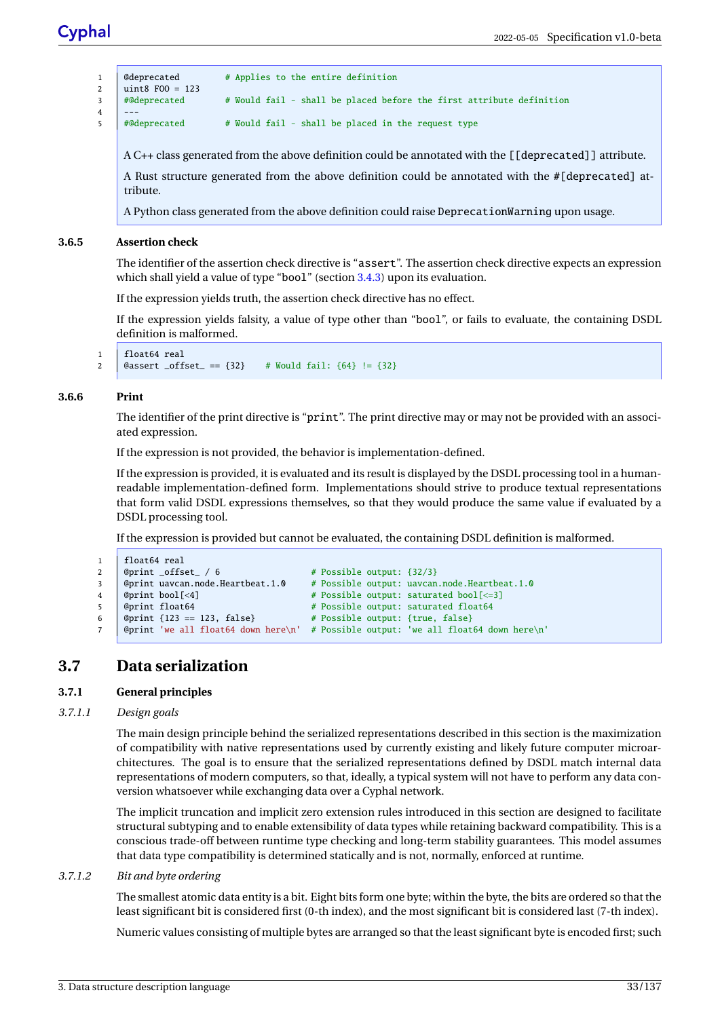```
1 @deprecated # Applies to the entire definition
2 | uint8 F00 = 1233 #@deprecated # Would fail - shall be placed before the first attribute definition
4 \mid \quad --\frac{40}{40} + \frac{40}{40} + \frac{40}{40} = \frac{40}{40} + \frac{40}{40} + \frac{40}{40} + \frac{40}{40} + \frac{40}{40} + \frac{40}{40} + \frac{40}{40} + \frac{40}{40} + \frac{40}{40} + \frac{40}{40} + \frac{40}{40} + \frac{40}{40} + \frac{40}{40}
```
A C++ class generated from the above definition could be annotated with the [[deprecated]] attribute.

A Rust structure generated from the above definition could be annotated with the #[deprecated] attribute.

A Python class generated from the above definition could raise DeprecationWarning upon usage.

### **3.6.5 Assertion check**

The identifier of the assertion check directive is "assert". The assertion check directive expects an expression which shall yield a value of type "bool" (section [3.4.3\)](#page-25-0) upon its evaluation.

If the expression yields truth, the assertion check directive has no effect.

If the expression yields falsity, a value of type other than "bool", or fails to evaluate, the containing DSDL definition is malformed.

```
1 \mid float 64 real
2 @assert _offset_ == \{32\} # Would fail: \{64\} != \{32\}
```
### **3.6.6 Print**

The identifier of the print directive is "print". The print directive may or may not be provided with an associated expression.

If the expression is not provided, the behavior is implementation-defined.

If the expression is provided, it is evaluated and its result is displayed by the DSDL processing tool in a humanreadable implementation-defined form. Implementations should strive to produce textual representations that form valid DSDL expressions themselves, so that they would produce the same value if evaluated by a DSDL processing tool.

If the expression is provided but cannot be evaluated, the containing DSDL definition is malformed.

```
1 float64 real
2 | @print _{\text{offset}} / 6 \# Possible output: {32/3}
3 @print uavcan.node.Heartbeat.1.0 # Possible output: uavcan.node.Heartbeat.1.0
4 | @print bool[<4] # Possible output: saturated bool[<=3]
5 @print float64 # Possible output: saturated float64
6 | @print {123 == 123, false} # Possible output: {true, false}7 @print 'we all float64 down here\n' # Possible output: 'we all float64 down here\n'
```
# <span id="page-38-0"></span>**3.7 Data serialization**

## **3.7.1 General principles**

### *3.7.1.1 Design goals*

The main design principle behind the serialized representations described in this section is the maximization of compatibility with native representations used by currently existing and likely future computer microarchitectures. The goal is to ensure that the serialized representations defined by DSDL match internal data representations of modern computers, so that, ideally, a typical system will not have to perform any data conversion whatsoever while exchanging data over a Cyphal network.

The implicit truncation and implicit zero extension rules introduced in this section are designed to facilitate structural subtyping and to enable extensibility of data types while retaining backward compatibility. This is a conscious trade-off between runtime type checking and long-term stability guarantees. This model assumes that data type compatibility is determined statically and is not, normally, enforced at runtime.

### *3.7.1.2 Bit and byte ordering*

The smallest atomic data entity is a bit. Eight bits form one byte; within the byte, the bits are ordered so that the least significant bit is considered first (0-th index), and the most significant bit is considered last (7-th index).

Numeric values consisting of multiple bytes are arranged so that the least significant byte is encoded first; such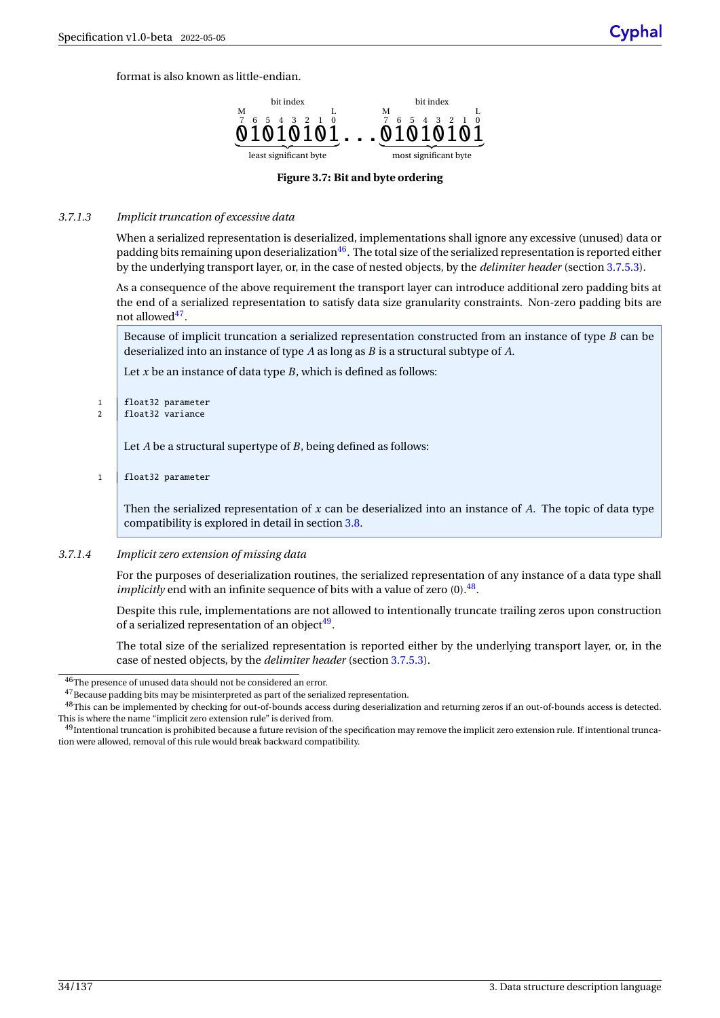format is also known as little-endian.



### **Figure 3.7: Bit and byte ordering**

### <span id="page-39-4"></span>*3.7.1.3 Implicit truncation of excessive data*

When a serialized representation is deserialized, implementations shall ignore any excessive (unused) data or padding bits remaining upon deserialization<sup>[46](#page-39-0)</sup>. The total size of the serialized representation is reported either by the underlying transport layer, or, in the case of nested objects, by the *delimiter header* (section [3.7.5.3\)](#page-45-0).

As a consequence of the above requirement the transport layer can introduce additional zero padding bits at the end of a serialized representation to satisfy data size granularity constraints. Non-zero padding bits are not allowed<sup>[47](#page-39-1)</sup>.

Because of implicit truncation a serialized representation constructed from an instance of type *B* can be deserialized into an instance of type *A* as long as *B* is a structural subtype of *A*.

Let *x* be an instance of data type *B*, which is defined as follows:

- 1 float32 parameter
- 2 float32 variance

Let *A* be a structural supertype of *B*, being defined as follows:

1 | float32 parameter

Then the serialized representation of *x* can be deserialized into an instance of *A*. The topic of data type compatibility is explored in detail in section [3.8.](#page-47-0)

### <span id="page-39-5"></span>*3.7.1.4 Implicit zero extension of missing data*

For the purposes of deserialization routines, the serialized representation of any instance of a data type shall implicitly end with an infinite sequence of bits with a value of zero (0).<sup>[48](#page-39-2)</sup>.

Despite this rule, implementations are not allowed to intentionally truncate trailing zeros upon construction of a serialized representation of an object<sup>[49](#page-39-3)</sup>.

The total size of the serialized representation is reported either by the underlying transport layer, or, in the case of nested objects, by the *delimiter header* (section [3.7.5.3\)](#page-45-0).

<span id="page-39-0"></span> $\overline{^{46}\text{The presence of unused data should not be considered an error.}}$ 

<span id="page-39-2"></span><span id="page-39-1"></span> $47$ Because padding bits may be misinterpreted as part of the serialized representation.

<sup>&</sup>lt;sup>48</sup>This can be implemented by checking for out-of-bounds access during deserialization and returning zeros if an out-of-bounds access is detected. This is where the name "implicit zero extension rule" is derived from.

<span id="page-39-3"></span><sup>&</sup>lt;sup>49</sup>Intentional truncation is prohibited because a future revision of the specification may remove the implicit zero extension rule. If intentional truncation were allowed, removal of this rule would break backward compatibility.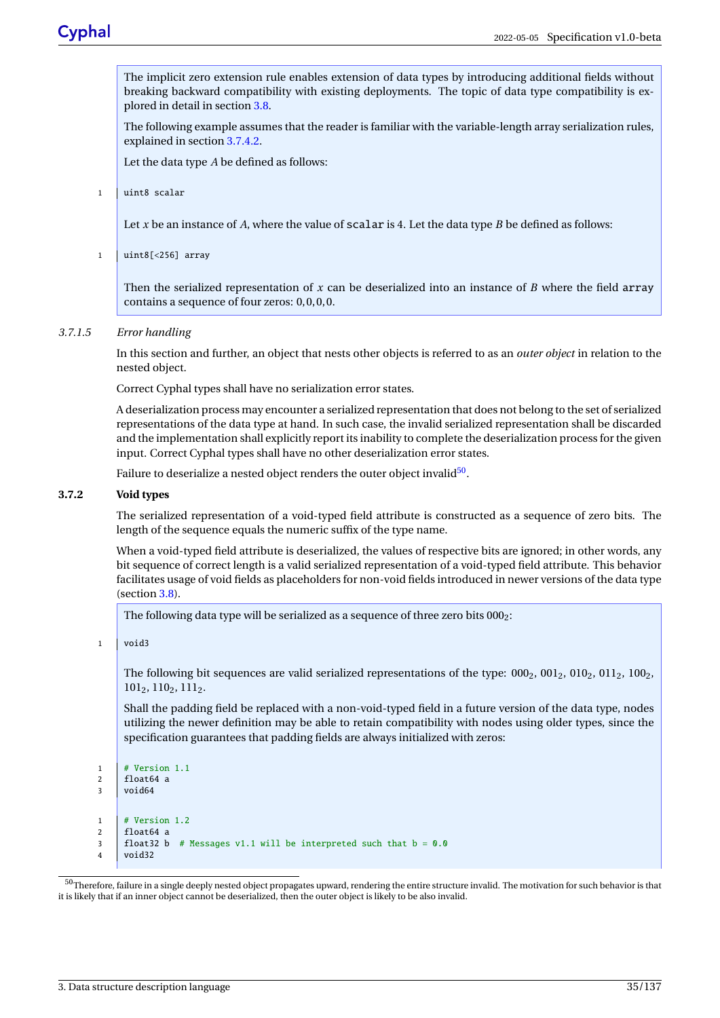The implicit zero extension rule enables extension of data types by introducing additional fields without breaking backward compatibility with existing deployments. The topic of data type compatibility is explored in detail in section [3.8.](#page-47-0)

The following example assumes that the reader is familiar with the variable-length array serialization rules, explained in section [3.7.4.2.](#page-42-0)

Let the data type *A* be defined as follows:

1 uint8 scalar

Let *x* be an instance of *A*, where the value of scalar is 4. Let the data type *B* be defined as follows:

1 uint8[<256] array

Then the serialized representation of  $x$  can be deserialized into an instance of  $B$  where the field array contains a sequence of four zeros: 0, 0, 0, 0.

## <span id="page-40-1"></span>*3.7.1.5 Error handling*

In this section and further, an object that nests other objects is referred to as an *outer object* in relation to the nested object.

Correct Cyphal types shall have no serialization error states.

A deserialization process may encounter a serialized representation that does not belong to the set of serialized representations of the data type at hand. In such case, the invalid serialized representation shall be discarded and the implementation shall explicitly report its inability to complete the deserialization process for the given input. Correct Cyphal types shall have no other deserialization error states.

Failure to deserialize a nested object renders the outer object invalid $^{50}.$  $^{50}.$  $^{50}.$ 

## **3.7.2 Void types**

The serialized representation of a void-typed field attribute is constructed as a sequence of zero bits. The length of the sequence equals the numeric suffix of the type name.

When a void-typed field attribute is deserialized, the values of respective bits are ignored; in other words, any bit sequence of correct length is a valid serialized representation of a void-typed field attribute. This behavior facilitates usage of void fields as placeholders for non-void fields introduced in newer versions of the data type (section [3.8\)](#page-47-0).

The following data type will be serialized as a sequence of three zero bits  $000<sub>2</sub>$ :

 $1$  void3

The following bit sequences are valid serialized representations of the type:  $000<sub>2</sub>$ ,  $010<sub>2</sub>$ ,  $010<sub>2</sub>$ ,  $011<sub>2</sub>$ ,  $100<sub>2</sub>$ , 1012, 1102, 1112.

Shall the padding field be replaced with a non-void-typed field in a future version of the data type, nodes utilizing the newer definition may be able to retain compatibility with nodes using older types, since the specification guarantees that padding fields are always initialized with zeros:

```
1 \quad 4 Version 1.1
2 \vert float 64 a
3 \text{ void64}1 # Version 1.2
2  float 64 a
\frac{3}{100} float32 b # Messages v1.1 will be interpreted such that b = 0.0
4 void32
```
<span id="page-40-0"></span> $^{50}\rm{Therefore},$  failure in a single deeply nested object propagates upward, rendering the entire structure invalid. The motivation for such behavior is that it is likely that if an inner object cannot be deserialized, then the outer object is likely to be also invalid.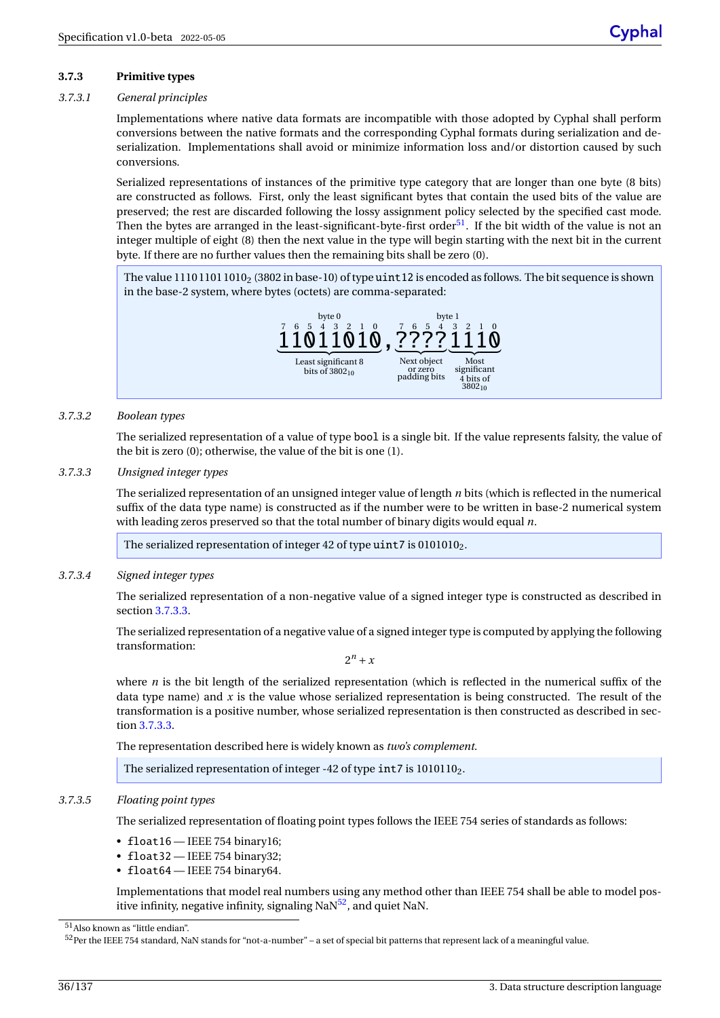## **3.7.3 Primitive types**

## *3.7.3.1 General principles*

Implementations where native data formats are incompatible with those adopted by Cyphal shall perform conversions between the native formats and the corresponding Cyphal formats during serialization and deserialization. Implementations shall avoid or minimize information loss and/or distortion caused by such conversions.

Serialized representations of instances of the primitive type category that are longer than one byte (8 bits) are constructed as follows. First, only the least significant bytes that contain the used bits of the value are preserved; the rest are discarded following the lossy assignment policy selected by the specified cast mode. Then the bytes are arranged in the least-significant-byte-first order<sup>[51](#page-41-0)</sup>. If the bit width of the value is not an integer multiple of eight (8) then the next value in the type will begin starting with the next bit in the current byte. If there are no further values then the remaining bits shall be zero (0).

The value 1110 1101 1010<sub>2</sub> (3802 in base-10) of type uint 12 is encoded as follows. The bit sequence is shown in the base-2 system, where bytes (octets) are comma-separated:



## *3.7.3.2 Boolean types*

The serialized representation of a value of type bool is a single bit. If the value represents falsity, the value of the bit is zero (0); otherwise, the value of the bit is one (1).

<span id="page-41-1"></span>*3.7.3.3 Unsigned integer types*

The serialized representation of an unsigned integer value of length *n* bits (which is reflected in the numerical suffix of the data type name) is constructed as if the number were to be written in base-2 numerical system with leading zeros preserved so that the total number of binary digits would equal *n*.

The serialized representation of integer 42 of type  $uint7$  is  $0101010_2$ .

### *3.7.3.4 Signed integer types*

The serialized representation of a non-negative value of a signed integer type is constructed as described in section [3.7.3.3.](#page-41-1)

The serialized representation of a negative value of a signed integer type is computed by applying the following transformation:

 $2^n + x$ 

where  $n$  is the bit length of the serialized representation (which is reflected in the numerical suffix of the data type name) and x is the value whose serialized representation is being constructed. The result of the transformation is a positive number, whose serialized representation is then constructed as described in section [3.7.3.3.](#page-41-1)

The representation described here is widely known as *two's complement*.

The serialized representation of integer -42 of type int7 is 1010110<sub>2</sub>.

## *3.7.3.5 Floating point types*

The serialized representation of floating point types follows the IEEE 754 series of standards as follows:

- float16 IEEE 754 binary16;
- float32 IEEE 754 binary32;
- float64 IEEE 754 binary64.

Implementations that model real numbers using any method other than IEEE 754 shall be able to model positive infinity, negative infinity, signaling  $\text{Na} \text{N}^{52}$  $\text{Na} \text{N}^{52}$  $\text{Na} \text{N}^{52}$ , and quiet NaN.

<span id="page-41-0"></span><sup>51</sup>Also known as "little endian".

<span id="page-41-2"></span><sup>52</sup>Per the IEEE 754 standard, NaN stands for "not-a-number" – a set of special bit patterns that represent lack of a meaningful value.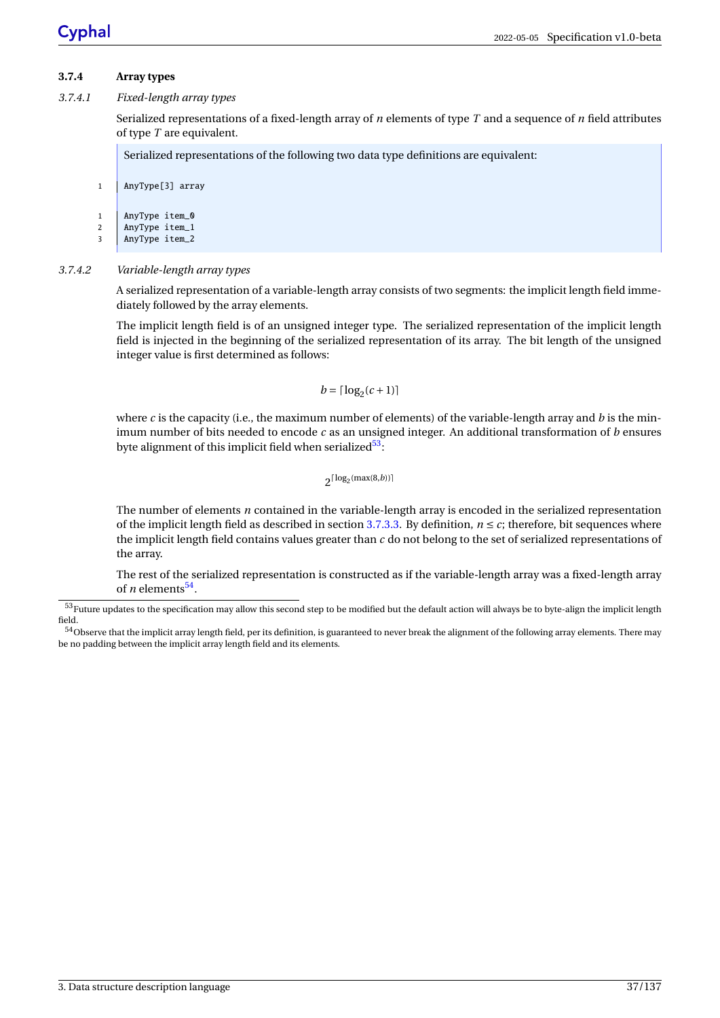# **3.7.4 Array types**

## *3.7.4.1 Fixed-length array types*

Serialized representations of a fixed-length array of *n* elements of type *T* and a sequence of *n* field attributes of type *T* are equivalent.

Serialized representations of the following two data type definitions are equivalent:

```
1 AnyType[3] array
```
1 AnyType item\_0 2 AnyType item\_1

3 AnyType item\_2

# <span id="page-42-0"></span>*3.7.4.2 Variable-length array types*

A serialized representation of a variable-length array consists of two segments: the implicit length field immediately followed by the array elements.

The implicit length field is of an unsigned integer type. The serialized representation of the implicit length field is injected in the beginning of the serialized representation of its array. The bit length of the unsigned integer value is first determined as follows:

$$
b = \lceil \log_2(c+1) \rceil
$$

where *c* is the capacity (i.e., the maximum number of elements) of the variable-length array and *b* is the minimum number of bits needed to encode *c* as an unsigned integer. An additional transformation of *b* ensures byte alignment of this implicit field when serialized $53$ :

# $2^{\lceil \log_2(\max(8,b)) \rceil}$

The number of elements *n* contained in the variable-length array is encoded in the serialized representation of the implicit length field as described in section [3.7.3.3.](#page-41-1) By definition,  $n \leq c$ ; therefore, bit sequences where the implicit length field contains values greater than *c* do not belong to the set of serialized representations of the array.

The rest of the serialized representation is constructed as if the variable-length array was a fixed-length array of *n* elements<sup>[54](#page-42-2)</sup>.

<span id="page-42-1"></span><sup>&</sup>lt;sup>53</sup>Future updates to the specification may allow this second step to be modified but the default action will always be to byte-align the implicit length field.

<span id="page-42-2"></span><sup>&</sup>lt;sup>54</sup>Observe that the implicit array length field, per its definition, is guaranteed to never break the alignment of the following array elements. There may be no padding between the implicit array length field and its elements.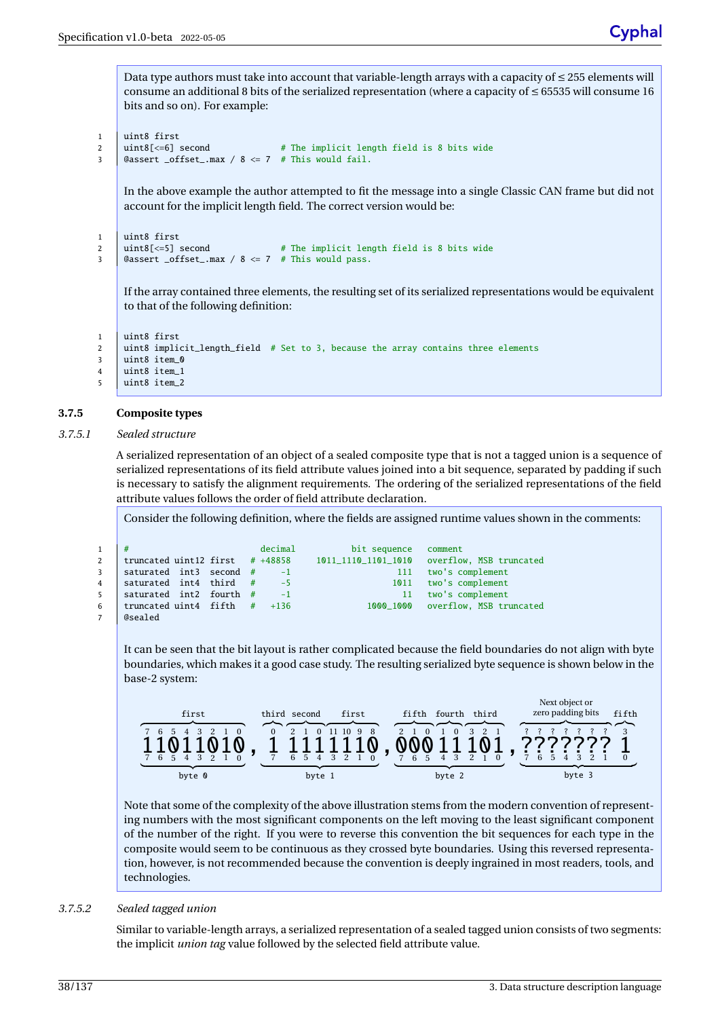Data type authors must take into account that variable-length arrays with a capacity of ≤ 255 elements will consume an additional 8 bits of the serialized representation (where a capacity of  $\leq 65535$  will consume 16 bits and so on). For example:

```
1 uint8 first
2 | uint8[<=6] second # The implicit length field is 8 bits wide
3 | @assert _offset_.max / 8 \le 7 # This would fail.
```
In the above example the author attempted to fit the message into a single Classic CAN frame but did not account for the implicit length field. The correct version would be:

```
1 uint8 first
2 | uint8[\leq=5] second \qquad # The implicit length field is 8 bits wide
3 | \text{Qassert } \text{\_offset } \text{.max} / 8 <= 7 # This would pass.
```
If the array contained three elements, the resulting set of its serialized representations would be equivalent to that of the following definition:

```
1 uint8 first
2 uint8 implicit_length_field # Set to 3, because the array contains three elements
3 uint8 item \Omega4 uint 8 item 1
5 \quad uint 8 item 2
```
## <span id="page-43-0"></span>**3.7.5 Composite types**

### *3.7.5.1 Sealed structure*

A serialized representation of an object of a sealed composite type that is not a tagged union is a sequence of serialized representations of its field attribute values joined into a bit sequence, separated by padding if such is necessary to satisfy the alignment requirements. The ordering of the serialized representations of the field attribute values follows the order of field attribute declaration.

Consider the following definition, where the fields are assigned runtime values shown in the comments:

| $1 \quad$ | #                                         |  | decimal | bit sequence comment |                                                                                 |
|-----------|-------------------------------------------|--|---------|----------------------|---------------------------------------------------------------------------------|
|           |                                           |  |         |                      | 2   truncated uint12 first # +48858 1011_1110_1101_1010 overflow, MSB truncated |
|           | 3   saturated int3 second $#$ -1          |  |         | $-111$               | two's complement                                                                |
|           | 4   saturated int4 third $#$ -5           |  |         |                      | 1011 two's complement                                                           |
|           | 5   saturated int2 fourth $#$ -1          |  |         |                      | 11 two's complement                                                             |
|           | 6   truncated uint4 $\text{fifth}$ # +136 |  |         |                      | 1000_1000 overflow, MSB truncated                                               |
|           | 7 <i>G</i> sealed                         |  |         |                      |                                                                                 |

It can be seen that the bit layout is rather complicated because the field boundaries do not align with byte boundaries, which makes it a good case study. The resulting serialized byte sequence is shown below in the base-2 system:



Note that some of the complexity of the above illustration stems from the modern convention of representing numbers with the most significant components on the left moving to the least significant component of the number of the right. If you were to reverse this convention the bit sequences for each type in the composite would seem to be continuous as they crossed byte boundaries. Using this reversed representation, however, is not recommended because the convention is deeply ingrained in most readers, tools, and technologies.

### *3.7.5.2 Sealed tagged union*

Similar to variable-length arrays, a serialized representation of a sealed tagged union consists of two segments: the implicit *union tag* value followed by the selected field attribute value.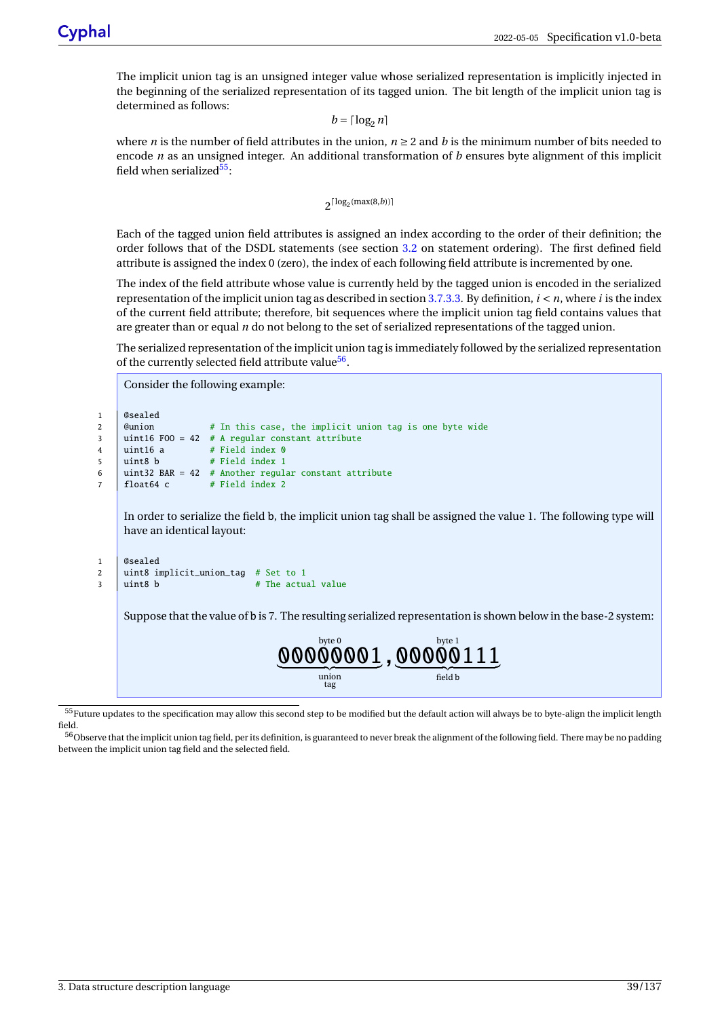The implicit union tag is an unsigned integer value whose serialized representation is implicitly injected in the beginning of the serialized representation of its tagged union. The bit length of the implicit union tag is determined as follows:

 $b = \lfloor \log_2 n \rfloor$ 

where *n* is the number of field attributes in the union,  $n \geq 2$  and *b* is the minimum number of bits needed to encode *n* as an unsigned integer. An additional transformation of *b* ensures byte alignment of this implicit field when serialized $55$ :

 $2^{\lceil \log_2(\max(8,b)) \rceil}$ 

Each of the tagged union field attributes is assigned an index according to the order of their definition; the order follows that of the DSDL statements (see section [3.2](#page-17-0) on statement ordering). The first defined field attribute is assigned the index 0 (zero), the index of each following field attribute is incremented by one.

The index of the field attribute whose value is currently held by the tagged union is encoded in the serialized representation of the implicit union tag as described in section [3.7.3.3.](#page-41-1) By definition, *i* < *n*, where *i* is the index of the current field attribute; therefore, bit sequences where the implicit union tag field contains values that are greater than or equal *n* do not belong to the set of serialized representations of the tagged union.

The serialized representation of the implicit union tag is immediately followed by the serialized representation of the currently selected field attribute value<sup>[56](#page-44-1)</sup>.

Consider the following example:

```
1 @sealed
2 | Cunion # In this case, the implicit union tag is one byte wide
3 | uint16 FOO = 42 # A regular constant attribute
4 uint16 a # Field index 0
5 uint8 b \# Field index 1
6 | uint32 BAR = 42 # Another regular constant attribute
7 float64 c # Field index 2
```
In order to serialize the field b, the implicit union tag shall be assigned the value 1. The following type will have an identical layout:

```
1 @sealed
2 | uint8 implicit_union_tag # Set to 1
3 uint8 b \# The actual value
```
Suppose that the value of b is 7. The resulting serialized representation is shown below in the base-2 system:



<span id="page-44-0"></span><sup>55</sup>Future updates to the specification may allow this second step to be modified but the default action will always be to byte-align the implicit length field.

<span id="page-44-1"></span><sup>56</sup>Observe that the implicit union tag field, per its definition, is guaranteed to never break the alignment of the following field. There may be no padding between the implicit union tag field and the selected field.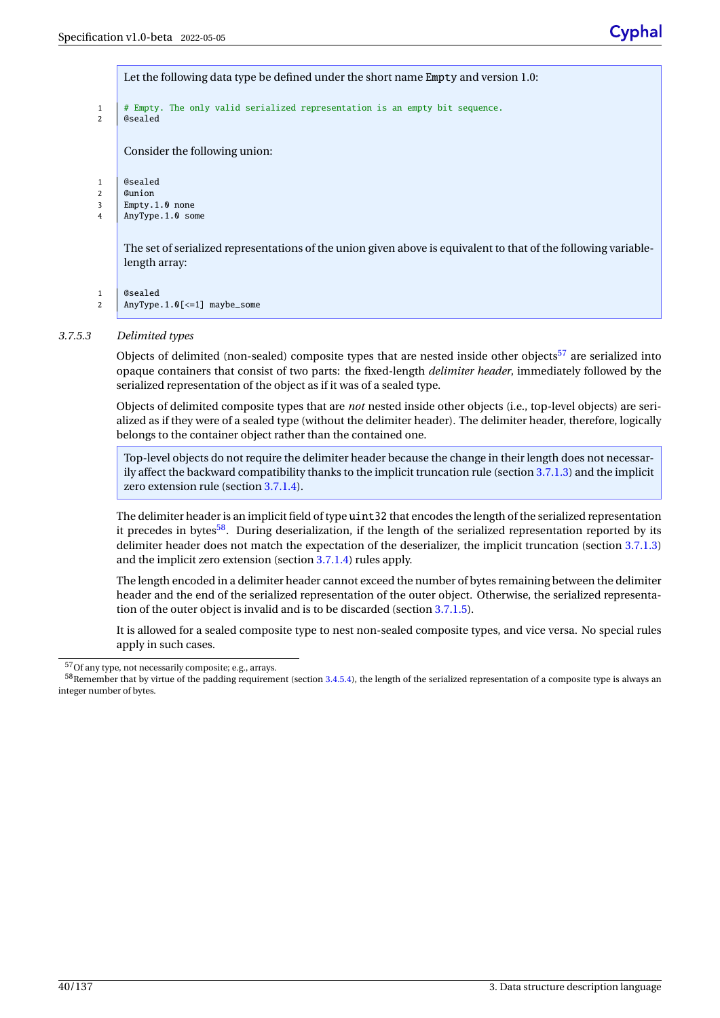Let the following data type be defined under the short name Empty and version 1.0:

1 # Empty. The only valid serialized representation is an empty bit sequence.

```
2 @sealed
```
Consider the following union:

1 @sealed 2 @union  $3$  Empty.1.0 none 4 AnyType.1.0 some

> The set of serialized representations of the union given above is equivalent to that of the following variablelength array:

1 @sealed

2 | AnyType.1.0[<=1] maybe\_some

# <span id="page-45-0"></span>*3.7.5.3 Delimited types*

Objects of delimited (non-sealed) composite types that are nested inside other objects<sup>[57](#page-45-1)</sup> are serialized into opaque containers that consist of two parts: the fixed-length *delimiter header*, immediately followed by the serialized representation of the object as if it was of a sealed type.

Objects of delimited composite types that are *not* nested inside other objects (i.e., top-level objects) are serialized as if they were of a sealed type (without the delimiter header). The delimiter header, therefore, logically belongs to the container object rather than the contained one.

Top-level objects do not require the delimiter header because the change in their length does not necessarily affect the backward compatibility thanks to the implicit truncation rule (section [3.7.1.3\)](#page-39-4) and the implicit zero extension rule (section [3.7.1.4\)](#page-39-5).

The delimiter header is an implicit field of type uint32 that encodes the length of the serialized representation it precedes in bytes<sup>[58](#page-45-2)</sup>. During deserialization, if the length of the serialized representation reported by its delimiter header does not match the expectation of the deserializer, the implicit truncation (section [3.7.1.3\)](#page-39-4) and the implicit zero extension (section [3.7.1.4\)](#page-39-5) rules apply.

The length encoded in a delimiter header cannot exceed the number of bytes remaining between the delimiter header and the end of the serialized representation of the outer object. Otherwise, the serialized representation of the outer object is invalid and is to be discarded (section [3.7.1.5\)](#page-40-1).

It is allowed for a sealed composite type to nest non-sealed composite types, and vice versa. No special rules apply in such cases.

<span id="page-45-2"></span><span id="page-45-1"></span> $57$ Of any type, not necessarily composite; e.g., arrays.

 $58$ Remember that by virtue of the padding requirement (section [3.4.5.4\)](#page-29-1), the length of the serialized representation of a composite type is always an integer number of bytes.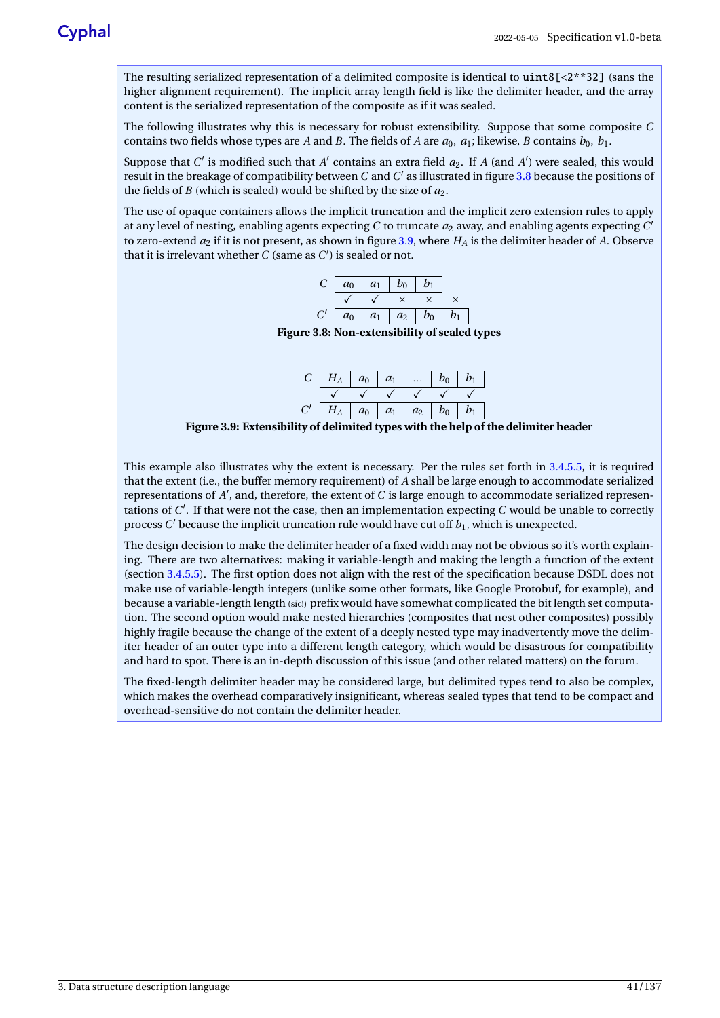The resulting serialized representation of a delimited composite is identical to  $uint8[\langle 2**32]$  (sans the higher alignment requirement). The implicit array length field is like the delimiter header, and the array content is the serialized representation of the composite as if it was sealed.

The following illustrates why this is necessary for robust extensibility. Suppose that some composite *C* contains two fields whose types are *A* and *B*. The fields of *A* are  $a_0$ ,  $a_1$ ; likewise, *B* contains  $b_0$ ,  $b_1$ .

Suppose that  $C'$  is modified such that  $A'$  contains an extra field  $a_2$ . If  $A$  (and  $A'$ ) were sealed, this would result in the breakage of compatibility between *C* and *C'* as illustrated in figure [3.8](#page-46-0) because the positions of the fields of *B* (which is sealed) would be shifted by the size of *a*2.

<span id="page-46-0"></span>The use of opaque containers allows the implicit truncation and the implicit zero extension rules to apply at any level of nesting, enabling agents expecting *C* to truncate  $a_2$  away, and enabling agents expecting *C*<sup>2</sup> to zero-extend *a*<sup>2</sup> if it is not present, as shown in figure [3.9,](#page-46-1) where *H<sup>A</sup>* is the delimiter header of *A*. Observe that it is irrelevant whether  $\overline{C}$  (same as  $C'$ ) is sealed or not.

| $C \mid a_0 \mid a_1 \mid b_0 \mid b_1$           |  |  |
|---------------------------------------------------|--|--|
|                                                   |  |  |
| $C' \mid a_0 \mid a_1 \mid a_2 \mid b_0 \mid b_1$ |  |  |

**Figure 3.8: Non-extensibility of sealed types**

| $C \mid H_A \mid a_0 \mid a_1 \mid  \mid b_0 \mid b_1 \mid$                                   |  |                                                                               |  |
|-----------------------------------------------------------------------------------------------|--|-------------------------------------------------------------------------------|--|
|                                                                                               |  | $\checkmark$ $\checkmark$ $\checkmark$ $\checkmark$ $\checkmark$ $\checkmark$ |  |
| $C' \begin{array}{ c c c c c } \hline H_A & a_0 & a_1 & a_2 & b_0 & b_1 \ \hline \end{array}$ |  |                                                                               |  |

<span id="page-46-1"></span>**Figure 3.9: Extensibility of delimited types with the help of the delimiter header**

*C*

This example also illustrates why the extent is necessary. Per the rules set forth in [3.4.5.5,](#page-29-2) it is required that the extent (i.e., the buffer memory requirement) of *A* shall be large enough to accommodate serialized representations of *A'*, and, therefore, the extent of *C* is large enough to accommodate serialized representations of  $C'$ . If that were not the case, then an implementation expecting  $C$  would be unable to correctly process  $C'$  because the implicit truncation rule would have cut off  $b_1$ , which is unexpected.

The design decision to make the delimiter header of a fixed width may not be obvious so it's worth explaining. There are two alternatives: making it variable-length and making the length a function of the extent (section [3.4.5.5\)](#page-29-2). The first option does not align with the rest of the specification because DSDL does not make use of variable-length integers (unlike some other formats, like Google Protobuf, for example), and because a variable-length length (sic!) prefix would have somewhat complicated the bit length set computation. The second option would make nested hierarchies (composites that nest other composites) possibly highly fragile because the change of the extent of a deeply nested type may inadvertently move the delimiter header of an outer type into a different length category, which would be disastrous for compatibility and hard to spot. There is an in-depth discussion of this issue (and other related matters) on the forum.

The fixed-length delimiter header may be considered large, but delimited types tend to also be complex, which makes the overhead comparatively insignificant, whereas sealed types that tend to be compact and overhead-sensitive do not contain the delimiter header.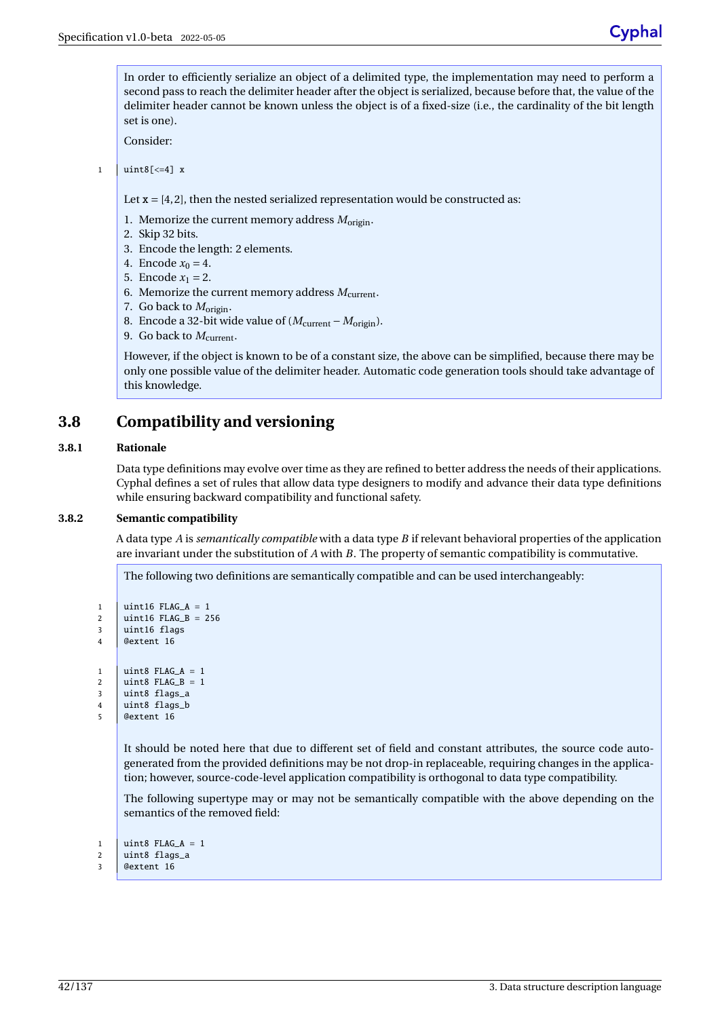In order to efficiently serialize an object of a delimited type, the implementation may need to perform a second pass to reach the delimiter header after the object is serialized, because before that, the value of the delimiter header cannot be known unless the object is of a fixed-size (i.e., the cardinality of the bit length set is one).

Consider:

1  $\vert$  uint8[<=4] x

Let  $\mathbf{x} = [4, 2]$ , then the nested serialized representation would be constructed as:

1. Memorize the current memory address  $M_{\text{origin}}$ .

- 2. Skip 32 bits.
- 3. Encode the length: 2 elements.
- 4. Encode  $x_0 = 4$ .
- 5. Encode  $x_1 = 2$ .
- 6. Memorize the current memory address  $M_{\text{current}}$ .
- 7. Go back to *M*origin.
- 8. Encode a 32-bit wide value of  $(M_{\text{current}} M_{\text{origin}})$ .
- 9. Go back to *M*<sub>current</sub>.

However, if the object is known to be of a constant size, the above can be simplified, because there may be only one possible value of the delimiter header. Automatic code generation tools should take advantage of this knowledge.

# <span id="page-47-0"></span>**3.8 Compatibility and versioning**

## **3.8.1 Rationale**

Data type definitions may evolve over time as they are refined to better address the needs of their applications. Cyphal defines a set of rules that allow data type designers to modify and advance their data type definitions while ensuring backward compatibility and functional safety.

## **3.8.2 Semantic compatibility**

A data type *A* is *semantically compatible* with a data type *B* if relevant behavioral properties of the application are invariant under the substitution of *A* with *B*. The property of semantic compatibility is commutative.

The following two definitions are semantically compatible and can be used interchangeably:

```
1 | uint16 FLAG_A = 1
2 | uint16 FLAG B = 256
3 uint16 flags
4 @extent 16
1 | uint8 FLAG_A = 1
2 | uint8 FLAG_B = 13 uint8 flags_a
4 uint8 flags_b
5 @extent 16
     It should be noted here that due to different set of field and constant attributes, the source code auto-
     generated from the provided definitions may be not drop-in replaceable, requiring changes in the applica-
     tion; however, source-code-level application compatibility is orthogonal to data type compatibility.
     The following supertype may or may not be semantically compatible with the above depending on the
     semantics of the removed field:
```

```
1 uint8 FLAG A = 12 uint8 flags_a
3 @extent 16
```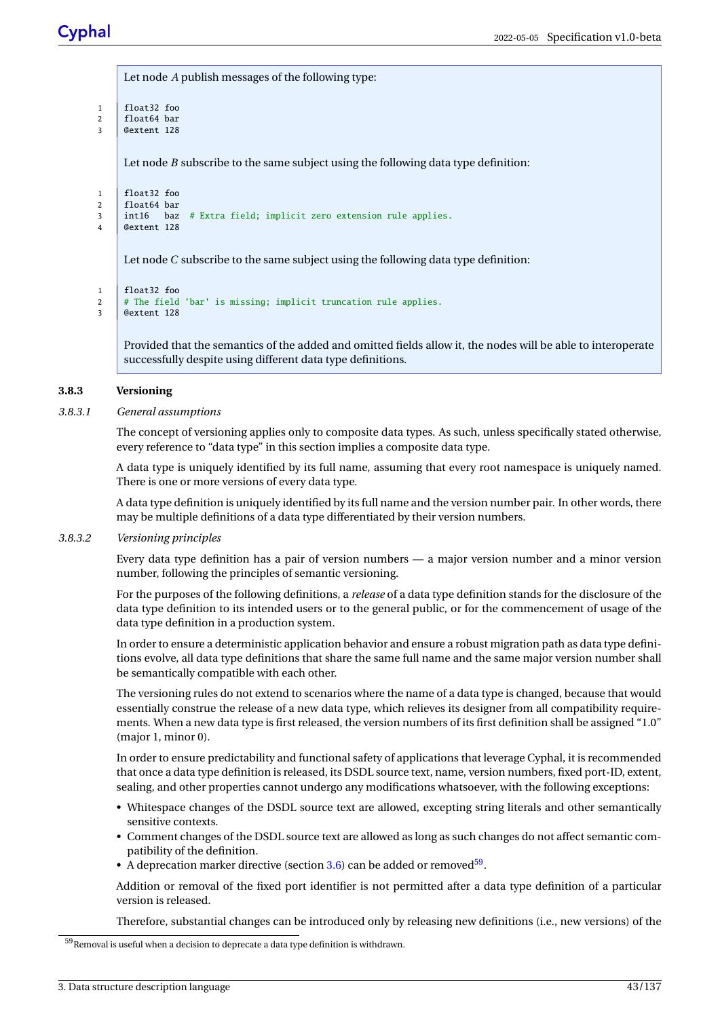Let node *A* publish messages of the following type:

```
1 | float32 foo
```
2 |  $fla$ t $64$  bar  $\frac{1}{2}$   $\frac{1}{28}$ 

Let node *B* subscribe to the same subject using the following data type definition:

```
1 float32 foo
2 float64 bar
3 int16 baz # Extra field; implicit zero extension rule applies.
4 @extent 128
```
Let node *C* subscribe to the same subject using the following data type definition:

```
1 float32 foo
2 # The field 'bar' is missing; implicit truncation rule applies.
3 @extent 128
```
Provided that the semantics of the added and omitted fields allow it, the nodes will be able to interoperate successfully despite using different data type definitions.

# **3.8.3 Versioning**

## *3.8.3.1 General assumptions*

The concept of versioning applies only to composite data types. As such, unless specifically stated otherwise, every reference to "data type" in this section implies a composite data type.

A data type is uniquely identified by its full name, assuming that every root namespace is uniquely named. There is one or more versions of every data type.

A data type definition is uniquely identified by its full name and the version number pair. In other words, there may be multiple definitions of a data type differentiated by their version numbers.

## *3.8.3.2 Versioning principles*

Every data type definition has a pair of version numbers — a major version number and a minor version number, following the principles of semantic versioning.

For the purposes of the following definitions, a *release* of a data type definition stands for the disclosure of the data type definition to its intended users or to the general public, or for the commencement of usage of the data type definition in a production system.

In order to ensure a deterministic application behavior and ensure a robust migration path as data type definitions evolve, all data type definitions that share the same full name and the same major version number shall be semantically compatible with each other.

The versioning rules do not extend to scenarios where the name of a data type is changed, because that would essentially construe the release of a new data type, which relieves its designer from all compatibility requirements. When a new data type is first released, the version numbers of its first definition shall be assigned "1.0" (major 1, minor 0).

In order to ensure predictability and functional safety of applications that leverage Cyphal, it is recommended that once a data type definition is released, its DSDL source text, name, version numbers, fixed port-ID, extent, sealing, and other properties cannot undergo any modifications whatsoever, with the following exceptions:

- Whitespace changes of the DSDL source text are allowed, excepting string literals and other semantically sensitive contexts.
- Comment changes of the DSDL source text are allowed as long as such changes do not affect semantic compatibility of the definition.
- A deprecation marker directive (section  $3.6$ ) can be added or removed $59$ .

Addition or removal of the fixed port identifier is not permitted after a data type definition of a particular version is released.

Therefore, substantial changes can be introduced only by releasing new definitions (i.e., new versions) of the

<span id="page-48-0"></span> $^{59}\mathrm{Removal}$  is useful when a decision to deprecate a data type definition is withdrawn.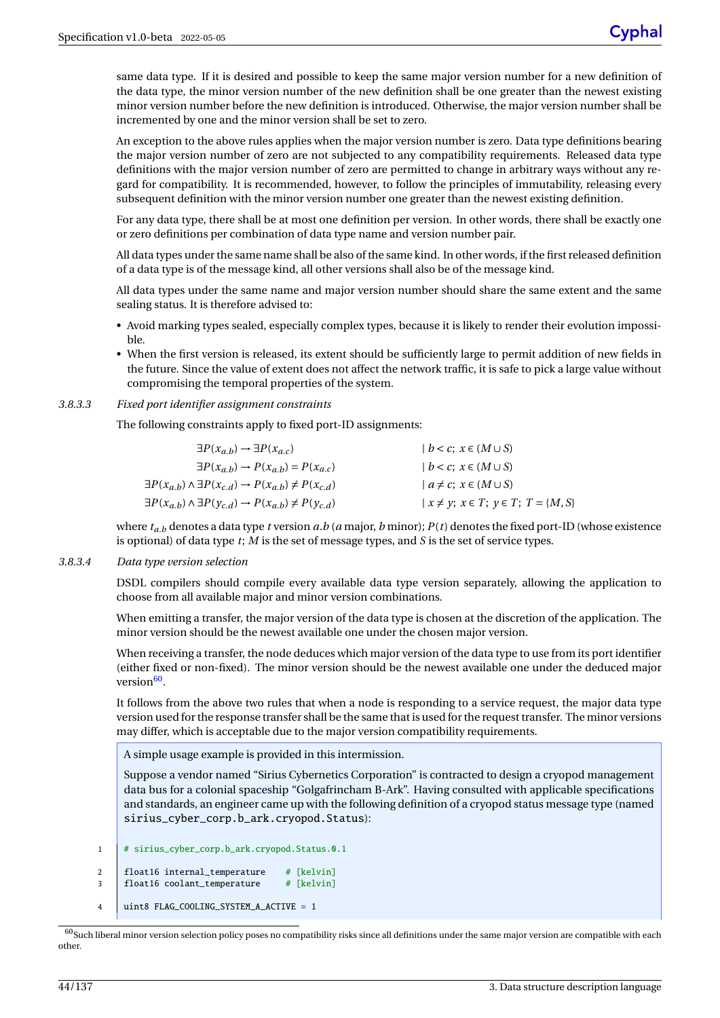same data type. If it is desired and possible to keep the same major version number for a new definition of the data type, the minor version number of the new definition shall be one greater than the newest existing minor version number before the new definition is introduced. Otherwise, the major version number shall be incremented by one and the minor version shall be set to zero.

An exception to the above rules applies when the major version number is zero. Data type definitions bearing the major version number of zero are not subjected to any compatibility requirements. Released data type definitions with the major version number of zero are permitted to change in arbitrary ways without any regard for compatibility. It is recommended, however, to follow the principles of immutability, releasing every subsequent definition with the minor version number one greater than the newest existing definition.

For any data type, there shall be at most one definition per version. In other words, there shall be exactly one or zero definitions per combination of data type name and version number pair.

All data types under the same name shall be also of the same kind. In other words, if the first released definition of a data type is of the message kind, all other versions shall also be of the message kind.

All data types under the same name and major version number should share the same extent and the same sealing status. It is therefore advised to:

- Avoid marking types sealed, especially complex types, because it is likely to render their evolution impossible.
- When the first version is released, its extent should be sufficiently large to permit addition of new fields in the future. Since the value of extent does not affect the network traffic, it is safe to pick a large value without compromising the temporal properties of the system.

## *3.8.3.3 Fixed port identifier assignment constraints*

The following constraints apply to fixed port-ID assignments:

| $\exists P(x_{a,b}) \rightarrow \exists P(x_{a,c})$                                  | $ b < c$ ; $x \in (M \cup S)$                       |
|--------------------------------------------------------------------------------------|-----------------------------------------------------|
| $\exists P(x_{a,b}) \rightarrow P(x_{a,b}) = P(x_{a,c})$                             | $ b < c$ ; $x \in (M \cup S)$                       |
| $\exists P(x_{a,b}) \land \exists P(x_{c,d}) \rightarrow P(x_{a,b}) \neq P(x_{c,d})$ | $a \neq c$ ; $x \in (M \cup S)$                     |
| $\exists P(x_{a,b}) \land \exists P(y_{c,d}) \rightarrow P(x_{a,b}) \neq P(y_{c,d})$ | $x \neq y$ ; $x \in T$ ; $y \in T$ ; $T = \{M, S\}$ |

where  $t_a$ <sub>*b*</sub> denotes a data type *t* version *a*.*b* (*a* major, *b* minor);  $P(t)$  denotes the fixed port-ID (whose existence is optional) of data type *t*; *M* is the set of message types, and *S* is the set of service types.

## *3.8.3.4 Data type version selection*

DSDL compilers should compile every available data type version separately, allowing the application to choose from all available major and minor version combinations.

When emitting a transfer, the major version of the data type is chosen at the discretion of the application. The minor version should be the newest available one under the chosen major version.

When receiving a transfer, the node deduces which major version of the data type to use from its port identifier (either fixed or non-fixed). The minor version should be the newest available one under the deduced major version<sup>[60](#page-49-0)</sup>.

It follows from the above two rules that when a node is responding to a service request, the major data type version used for the response transfer shall be the same that is used for the request transfer. The minor versions may differ, which is acceptable due to the major version compatibility requirements.

A simple usage example is provided in this intermission.

Suppose a vendor named "Sirius Cybernetics Corporation" is contracted to design a cryopod management data bus for a colonial spaceship "Golgafrincham B-Ark". Having consulted with applicable specifications and standards, an engineer came up with the following definition of a cryopod status message type (named sirius\_cyber\_corp.b\_ark.cryopod.Status):

```
1 | # sirius_cyber_corp.b_ark.cryopod.Status.0.1
```

```
2 \int float16 internal temperature # [kelvin]
```

```
3 | float16 coolant_temperature # [kelvin]
```
4 uint8 FLAG\_COOLING\_SYSTEM\_A\_ACTIVE = 1

<span id="page-49-0"></span> $^{60}\rm{Such}$  liberal minor version selection policy poses no compatibility risks since all definitions under the same major version are compatible with each other.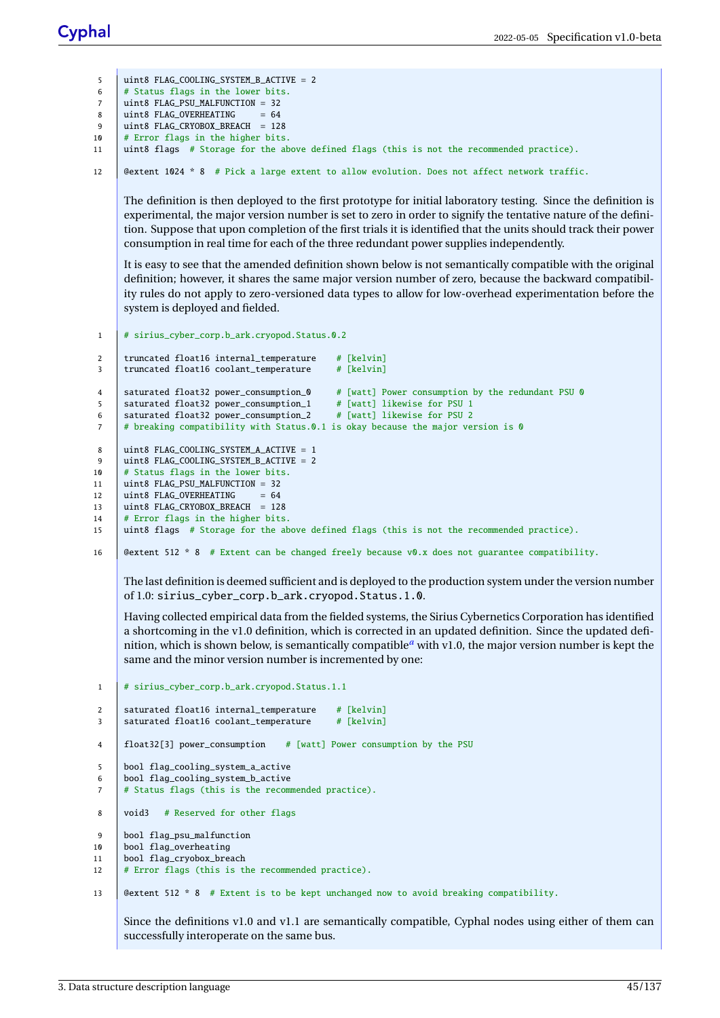```
5 uint8 FLAG COOLING SYSTEM B ACTIVE = 2
6 \# Status flags in the lower bits.
7 \text{ units} + 8 \text{ F}LAC PSULMALFUNCTION = 32
8 | uint8 FLAG_OVERHEATING = 649 uint8 FLAG_CRYOBOX_BREACH = 128
10 | # Error flags in the higher bits.
11 uint8 flags # Storage for the above defined flags (this is not the recommended practice).
12 @extent 1024 * 8 # Pick a large extent to allow evolution. Does not affect network traffic.
      The definition is then deployed to the first prototype for initial laboratory testing. Since the definition is
      experimental, the major version number is set to zero in order to signify the tentative nature of the defini-
      tion. Suppose that upon completion of the first trials it is identified that the units should track their power
      consumption in real time for each of the three redundant power supplies independently.
      It is easy to see that the amended definition shown below is not semantically compatible with the original
      definition; however, it shares the same major version number of zero, because the backward compatibil-
      ity rules do not apply to zero-versioned data types to allow for low-overhead experimentation before the
      system is deployed and fielded.
1 # sirius_cyber_corp.b_ark.cryopod.Status.0.2
2 truncated float16 internal_temperature # [kelvin]
3 truncated float16 coolant_temperature # [kelvin]
4 saturated float32 power_consumption_0 # [watt] Power consumption by the redundant PSU 0
5 saturated float32 power_consumption_1 # [watt] likewise for PSU 1<br>6 saturated float32 power_consumption_2 # [watt] likewise for PSU 2
6 saturated float32 power_consumption_2
7 # breaking compatibility with Status.0.1 is okay because the major version is 0
8 uint8 FLAG_COOLING_SYSTEM_A_ACTIVE = 1
9 | uint8 FLAG_COOLING_SYSTEM_B_ACTIVE = 2
10 # Status flags in the lower bits.
11 | uint8 FLAG PSU MALFUNCTION = 32
12 | uint8 FLAG_OVERHEATING = 6413 | uint8 FLAG_CRYOBOX_BREACH = 128
14 # Error \text{ flags in the higher bits.}15 uint8 flags # Storage for the above defined flags (this is not the recommended practice).
```

```
16 @extent 512 * 8 # Extent can be changed freely because v0.x does not guarantee compatibility.
```
The last definition is deemed sufficient and is deployed to the production system under the version number of 1.0: sirius\_cyber\_corp.b\_ark.cryopod.Status.1.0.

Having collected empirical data from the fielded systems, the Sirius Cybernetics Corporation has identified a shortcoming in the v1.0 definition, which is corrected in an updated definition. Since the updated definition, which is shown below, is semantically compatible*[a](#page-51-0)* with v1.0, the major version number is kept the same and the minor version number is incremented by one:

```
1 | # sirius_cyber_corp.b_ark.cryopod.Status.1.1
2 saturated float16 internal temperature # [kelvin]
3 | saturated float16 coolant_temperature # [kelvin]
4 float32[3] power_consumption # [watt] Power consumption by the PSU
5 bool flag_cooling_system_a_active
6 bool flag_cooling_system_b_active
7 \mid # Status flags (this is the recommended practice).
8 void3 # Reserved for other flags
9 bool flag_psu_malfunction
10 bool flag_overheating
11 bool flag_cryobox_breach
12 # Error \, flags \, (this \, is \, the \, recommended \, practice).13 @extent 512 * 8 # Extent is to be kept unchanged now to avoid breaking compatibility.
```
Since the definitions v1.0 and v1.1 are semantically compatible, Cyphal nodes using either of them can successfully interoperate on the same bus.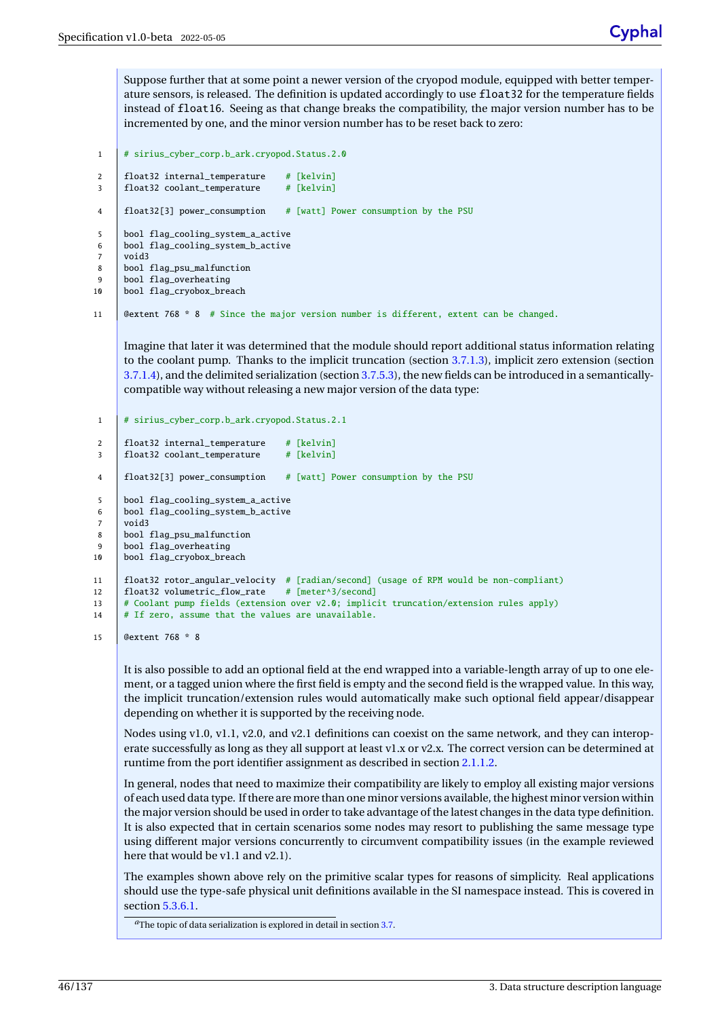Suppose further that at some point a newer version of the cryopod module, equipped with better temperature sensors, is released. The definition is updated accordingly to use float32 for the temperature fields instead of float16. Seeing as that change breaks the compatibility, the major version number has to be incremented by one, and the minor version number has to be reset back to zero:

```
1 # sirius_cyber_corp.b_ark.cryopod.Status.2.0
2 | float32 internal_temperature # [kelvin]
3 float32 coolant_temperature # [kelvin]
4 float32[3] power_consumption # [watt] Power consumption by the PSU
5 bool flag_cooling_system_a_active
6 bool flag_cooling_system_b_active
7 void3
8 bool flag_psu_malfunction
9 bool flag_overheating
10 bool flag_cryobox_breach
11 @extent 768 * 8 # Since the major version number is different, extent can be changed.
```
Imagine that later it was determined that the module should report additional status information relating to the coolant pump. Thanks to the implicit truncation (section [3.7.1.3\)](#page-39-4), implicit zero extension (section [3.7.1.4\)](#page-39-5), and the delimited serialization (section [3.7.5.3\)](#page-45-0), the new fields can be introduced in a semanticallycompatible way without releasing a new major version of the data type:

```
1 | # sirius_cyber_corp.b_ark.cryopod.Status.2.1
2 float32 internal_temperature # [kelvin]
3 | float32 coolant_temperature # [kelvin]
4 float32[3] power_consumption # [watt] Power consumption by the PSU
5 bool flag_cooling_system_a_active
6 bool flag_cooling_system_b_active<br>7 void3
     void3
8 bool flag_psu_malfunction
9 | bool flag_overheating
10 bool flag_cryobox_breach
11 float32 rotor_angular_velocity # [radian/second] (usage of RPM would be non-compliant)
12 | float32 volumetric_flow_rate # [meter^3/second]
13 # Coolant pump fields (extension over v2.0; implicit truncation/extension rules apply)
14 # If zero, assume that the values are unavailable.
```
15 @extent 768 \* 8

It is also possible to add an optional field at the end wrapped into a variable-length array of up to one element, or a tagged union where the first field is empty and the second field is the wrapped value. In this way, the implicit truncation/extension rules would automatically make such optional field appear/disappear depending on whether it is supported by the receiving node.

Nodes using v1.0, v1.1, v2.0, and v2.1 definitions can coexist on the same network, and they can interoperate successfully as long as they all support at least v1.x or v2.x. The correct version can be determined at runtime from the port identifier assignment as described in section [2.1.1.2.](#page-10-0)

In general, nodes that need to maximize their compatibility are likely to employ all existing major versions of each used data type. If there are more than one minor versions available, the highest minor version within the major version should be used in order to take advantage of the latest changes in the data type definition. It is also expected that in certain scenarios some nodes may resort to publishing the same message type using different major versions concurrently to circumvent compatibility issues (in the example reviewed here that would be v1.1 and v2.1).

The examples shown above rely on the primitive scalar types for reasons of simplicity. Real applications should use the type-safe physical unit definitions available in the SI namespace instead. This is covered in section [5.3.6.1.](#page-80-0)

<span id="page-51-0"></span>*<sup>a</sup>*The topic of data serialization is explored in detail in section [3.7.](#page-38-0)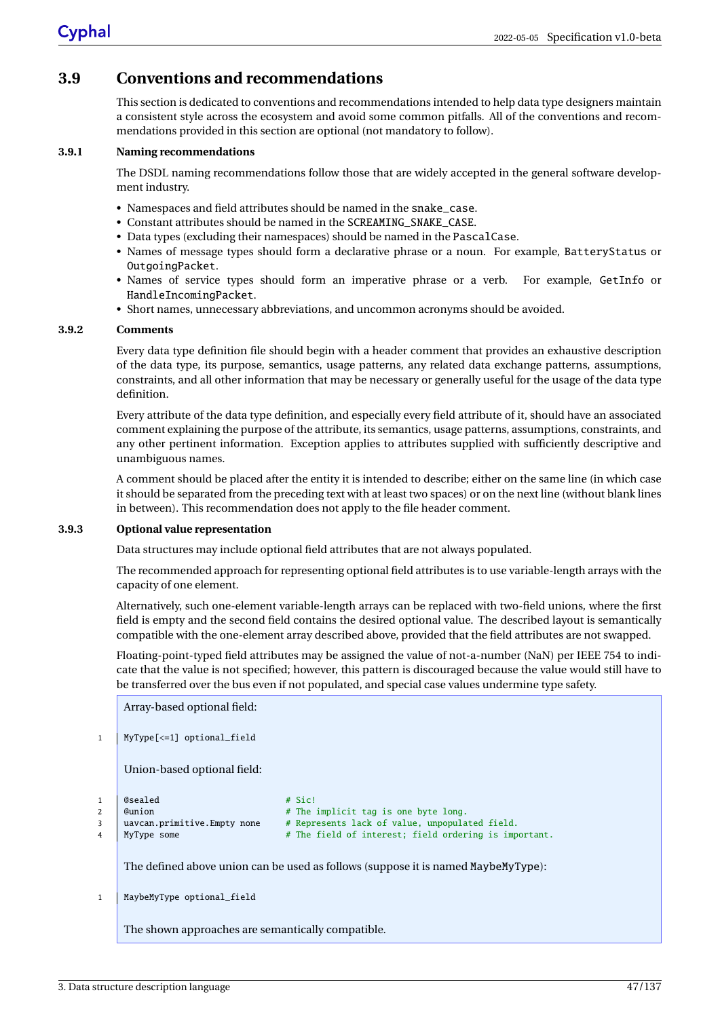# **3.9 Conventions and recommendations**

This section is dedicated to conventions and recommendations intended to help data type designers maintain a consistent style across the ecosystem and avoid some common pitfalls. All of the conventions and recommendations provided in this section are optional (not mandatory to follow).

## **3.9.1 Naming recommendations**

The DSDL naming recommendations follow those that are widely accepted in the general software development industry.

- Namespaces and field attributes should be named in the snake\_case.
- Constant attributes should be named in the SCREAMING\_SNAKE\_CASE.
- Data types (excluding their namespaces) should be named in the PascalCase.
- Names of message types should form a declarative phrase or a noun. For example, BatteryStatus or OutgoingPacket.
- Names of service types should form an imperative phrase or a verb. For example, GetInfo or HandleIncomingPacket.
- Short names, unnecessary abbreviations, and uncommon acronyms should be avoided.

## **3.9.2 Comments**

Every data type definition file should begin with a header comment that provides an exhaustive description of the data type, its purpose, semantics, usage patterns, any related data exchange patterns, assumptions, constraints, and all other information that may be necessary or generally useful for the usage of the data type definition.

Every attribute of the data type definition, and especially every field attribute of it, should have an associated comment explaining the purpose of the attribute, its semantics, usage patterns, assumptions, constraints, and any other pertinent information. Exception applies to attributes supplied with sufficiently descriptive and unambiguous names.

A comment should be placed after the entity it is intended to describe; either on the same line (in which case it should be separated from the preceding text with at least two spaces) or on the next line (without blank lines in between). This recommendation does not apply to the file header comment.

## **3.9.3 Optional value representation**

Data structures may include optional field attributes that are not always populated.

The recommended approach for representing optional field attributes is to use variable-length arrays with the capacity of one element.

Alternatively, such one-element variable-length arrays can be replaced with two-field unions, where the first field is empty and the second field contains the desired optional value. The described layout is semantically compatible with the one-element array described above, provided that the field attributes are not swapped.

Floating-point-typed field attributes may be assigned the value of not-a-number (NaN) per IEEE 754 to indicate that the value is not specified; however, this pattern is discouraged because the value would still have to be transferred over the bus even if not populated, and special case values undermine type safety.

```
Array-based optional field:
1 MyType[<=1] optional_field
    Union-based optional field:
1 @sealed # Sic!
2 | Cunion # The implicit tag is one byte long.
3 uavcan.primitive.Empty none # Represents lack of value, unpopulated field.
4 MyType some \# The field of interest; field ordering is important.
    The defined above union can be used as follows (suppose it is named MaybeMyType):
1 | MaybeMyType optional_field
    The shown approaches are semantically compatible.
```
3. Data structure description language 47/137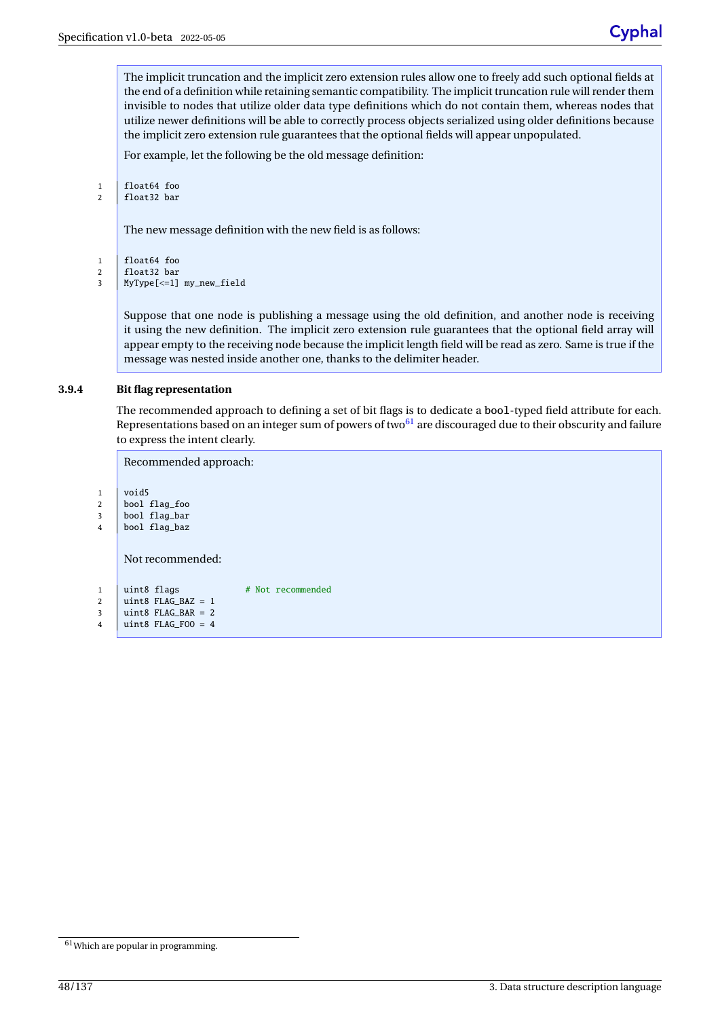The implicit truncation and the implicit zero extension rules allow one to freely add such optional fields at the end of a definition while retaining semantic compatibility. The implicit truncation rule will render them invisible to nodes that utilize older data type definitions which do not contain them, whereas nodes that utilize newer definitions will be able to correctly process objects serialized using older definitions because the implicit zero extension rule guarantees that the optional fields will appear unpopulated.

For example, let the following be the old message definition:

- 1 | float64 foo
- 2 float32 bar

The new message definition with the new field is as follows:

```
1 | float64 foo
```
- 2 float32 bar
- 3 MyType[<=1] my\_new\_field

Suppose that one node is publishing a message using the old definition, and another node is receiving it using the new definition. The implicit zero extension rule guarantees that the optional field array will appear empty to the receiving node because the implicit length field will be read as zero. Same is true if the message was nested inside another one, thanks to the delimiter header.

## **3.9.4 Bit flag representation**

The recommended approach to defining a set of bit flags is to dedicate a bool-typed field attribute for each. Representations based on an integer sum of powers of two $61$  are discouraged due to their obscurity and failure to express the intent clearly.

```
Recommended approach:
1 void5
2 bool flag_foo
3 bool flag_bar
4 bool flag_baz
    Not recommended:
1 uint8 flags # Not recommended
2 | uint8 FLAG_BAZ = 13 \text{ units } FLAG_BAR = 2
```
4 | uint8 FLAG\_F00 =  $4$ 

<span id="page-53-0"></span> $61$ Which are popular in programming.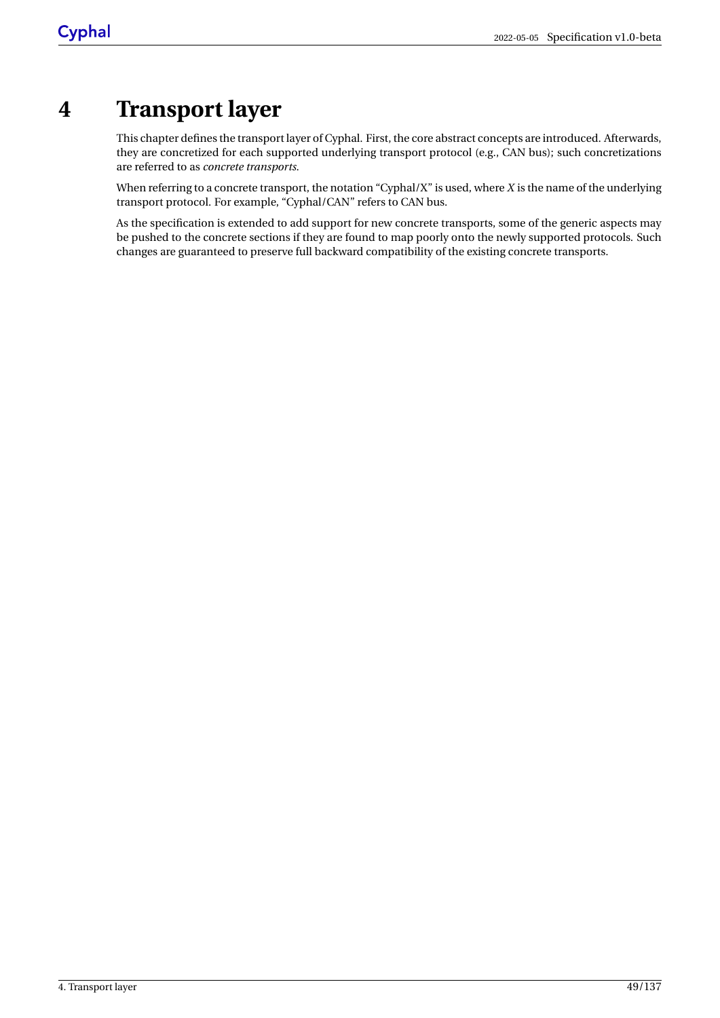# **4 Transport layer**

This chapter defines the transport layer of Cyphal. First, the core abstract concepts are introduced. Afterwards, they are concretized for each supported underlying transport protocol (e.g., CAN bus); such concretizations are referred to as *concrete transports*.

When referring to a concrete transport, the notation "Cyphal/X" is used, where *X* is the name of the underlying transport protocol. For example, "Cyphal/CAN" refers to CAN bus.

As the specification is extended to add support for new concrete transports, some of the generic aspects may be pushed to the concrete sections if they are found to map poorly onto the newly supported protocols. Such changes are guaranteed to preserve full backward compatibility of the existing concrete transports.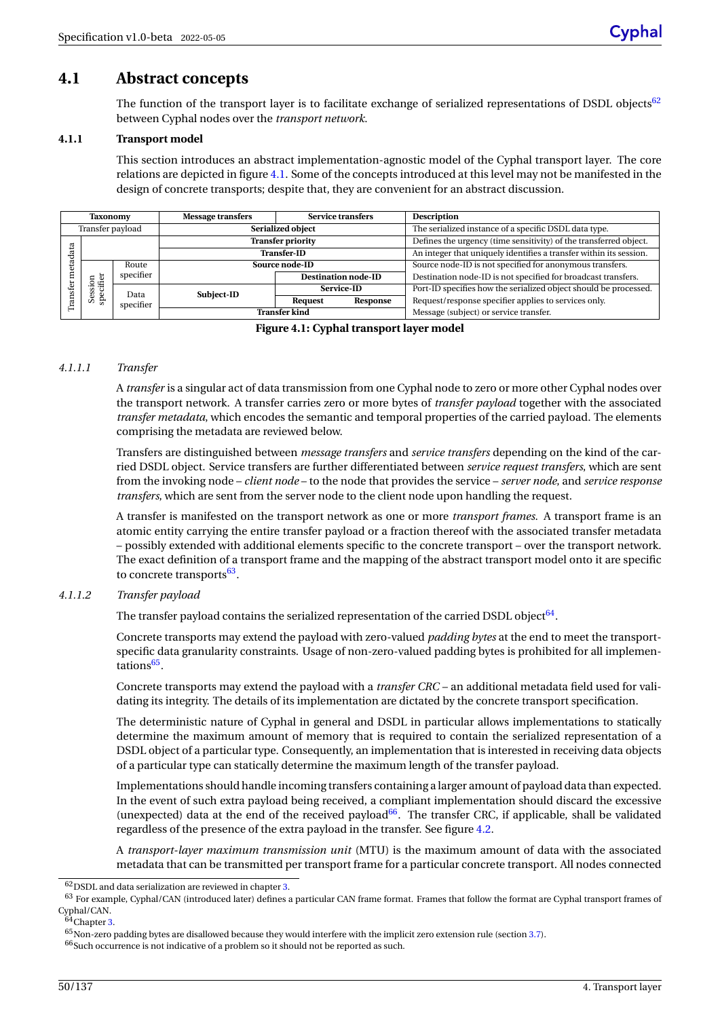# **4.1 Abstract concepts**

The function of the transport layer is to facilitate exchange of serialized representations of DSDL objects $62$ between Cyphal nodes over the *transport network*.

# **4.1.1 Transport model**

This section introduces an abstract implementation-agnostic model of the Cyphal transport layer. The core relations are depicted in figure [4.1.](#page-55-1) Some of the concepts introduced at this level may not be manifested in the design of concrete transports; despite that, they are convenient for an abstract discussion.

<span id="page-55-1"></span>

|   | <b>Taxonomy</b>      |           | <b>Message transfers</b> |                                   | <b>Service transfers</b> | <b>Description</b>                                                 |  |  |  |  |
|---|----------------------|-----------|--------------------------|-----------------------------------|--------------------------|--------------------------------------------------------------------|--|--|--|--|
|   | Transfer payload     |           |                          | <b>Serialized object</b>          |                          | The serialized instance of a specific DSDL data type.              |  |  |  |  |
| ᢍ |                      |           |                          | <b>Transfer priority</b>          |                          | Defines the urgency (time sensitivity) of the transferred object.  |  |  |  |  |
| ā |                      |           |                          | <b>Transfer-ID</b>                |                          | An integer that uniquely identifies a transfer within its session. |  |  |  |  |
| ā |                      | Route     |                          | Source node-ID                    |                          | Source node-ID is not specified for anonymous transfers.           |  |  |  |  |
|   | Session<br>specifier | specifier |                          | <b>Destination node-ID</b>        |                          | Destination node-ID is not specified for broadcast transfers.      |  |  |  |  |
| छ |                      | Data      | Subject-ID               |                                   | Service-ID               | Port-ID specifies how the serialized object should be processed.   |  |  |  |  |
| ≅ |                      | specifier |                          | <b>Request</b><br><b>Response</b> |                          | Request/response specifier applies to services only.               |  |  |  |  |
|   |                      |           |                          | <b>Transfer kind</b>              |                          | Message (subject) or service transfer.                             |  |  |  |  |

**Figure 4.1: Cyphal transport layer model**

# *4.1.1.1 Transfer*

A *transfer* is a singular act of data transmission from one Cyphal node to zero or more other Cyphal nodes over the transport network. A transfer carries zero or more bytes of *transfer payload* together with the associated *transfer metadata*, which encodes the semantic and temporal properties of the carried payload. The elements comprising the metadata are reviewed below.

Transfers are distinguished between *message transfers* and *service transfers* depending on the kind of the carried DSDL object. Service transfers are further differentiated between *service request transfers*, which are sent from the invoking node – *client node* – to the node that provides the service – *server node*, and *service response transfers*, which are sent from the server node to the client node upon handling the request.

A transfer is manifested on the transport network as one or more *transport frames*. A transport frame is an atomic entity carrying the entire transfer payload or a fraction thereof with the associated transfer metadata – possibly extended with additional elements specific to the concrete transport – over the transport network. The exact definition of a transport frame and the mapping of the abstract transport model onto it are specific to concrete transports<sup>[63](#page-55-2)</sup>.

# <span id="page-55-6"></span>*4.1.1.2 Transfer payload*

The transfer payload contains the serialized representation of the carried DSDL object $^{64}.$  $^{64}.$  $^{64}.$ 

Concrete transports may extend the payload with zero-valued *padding bytes* at the end to meet the transportspecific data granularity constraints. Usage of non-zero-valued padding bytes is prohibited for all implemen-tations<sup>[65](#page-55-4)</sup>.

Concrete transports may extend the payload with a *transfer CRC* – an additional metadata field used for validating its integrity. The details of its implementation are dictated by the concrete transport specification.

The deterministic nature of Cyphal in general and DSDL in particular allows implementations to statically determine the maximum amount of memory that is required to contain the serialized representation of a DSDL object of a particular type. Consequently, an implementation that is interested in receiving data objects of a particular type can statically determine the maximum length of the transfer payload.

Implementations should handle incoming transfers containing a larger amount of payload data than expected. In the event of such extra payload being received, a compliant implementation should discard the excessive (unexpected) data at the end of the received payload $^{66}$  $^{66}$  $^{66}$ . The transfer CRC, if applicable, shall be validated regardless of the presence of the extra payload in the transfer. See figure [4.2.](#page-56-0)

A *transport-layer maximum transmission unit* (MTU) is the maximum amount of data with the associated metadata that can be transmitted per transport frame for a particular concrete transport. All nodes connected

<span id="page-55-0"></span><sup>62</sup>DSDL and data serialization are reviewed in chapter [3.](#page-14-0)

<span id="page-55-2"></span><sup>63</sup> For example, Cyphal/CAN (introduced later) defines a particular CAN frame format. Frames that follow the format are Cyphal transport frames of

<span id="page-55-3"></span>Cyphal/CAN.<br><sup>64</sup>Chapter [3.](#page-14-0)

<span id="page-55-4"></span> $65$  Non-zero padding bytes are disallowed because they would interfere with the implicit zero extension rule (section [3.7\)](#page-38-0).

<span id="page-55-5"></span><sup>66</sup>Such occurrence is not indicative of a problem so it should not be reported as such.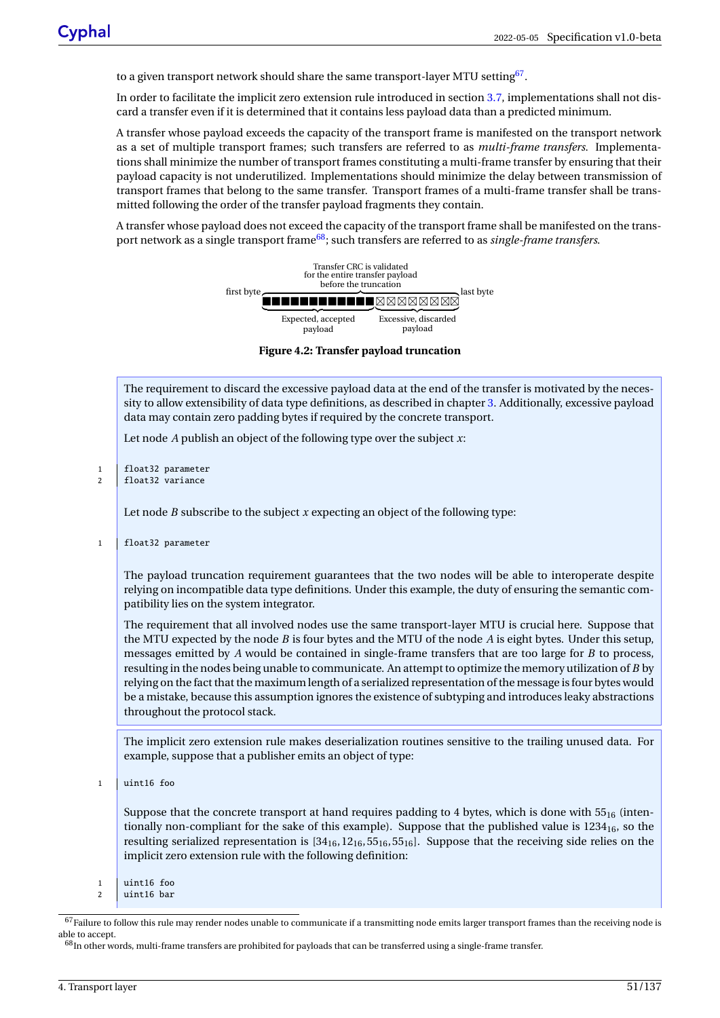to a given transport network should share the same transport-layer MTU setting<sup>[67](#page-56-1)</sup>.

In order to facilitate the implicit zero extension rule introduced in section [3.7,](#page-38-0) implementations shall not discard a transfer even if it is determined that it contains less payload data than a predicted minimum.

A transfer whose payload exceeds the capacity of the transport frame is manifested on the transport network as a set of multiple transport frames; such transfers are referred to as *multi-frame transfers*. Implementations shall minimize the number of transport frames constituting a multi-frame transfer by ensuring that their payload capacity is not underutilized. Implementations should minimize the delay between transmission of transport frames that belong to the same transfer. Transport frames of a multi-frame transfer shall be transmitted following the order of the transfer payload fragments they contain.

<span id="page-56-0"></span>A transfer whose payload does not exceed the capacity of the transport frame shall be manifested on the trans-port network as a single transport frame<sup>[68](#page-56-2)</sup>; such transfers are referred to as *single-frame transfers*.



**Figure 4.2: Transfer payload truncation**

The requirement to discard the excessive payload data at the end of the transfer is motivated by the necessity to allow extensibility of data type definitions, as described in chapter [3.](#page-14-0) Additionally, excessive payload data may contain zero padding bytes if required by the concrete transport.

Let node *A* publish an object of the following type over the subject *x*:

Let node *B* subscribe to the subject *x* expecting an object of the following type:

1 float32 parameter

The payload truncation requirement guarantees that the two nodes will be able to interoperate despite relying on incompatible data type definitions. Under this example, the duty of ensuring the semantic compatibility lies on the system integrator.

The requirement that all involved nodes use the same transport-layer MTU is crucial here. Suppose that the MTU expected by the node *B* is four bytes and the MTU of the node *A* is eight bytes. Under this setup, messages emitted by *A* would be contained in single-frame transfers that are too large for *B* to process, resulting in the nodes being unable to communicate. An attempt to optimize the memory utilization of *B* by relying on the fact that the maximum length of a serialized representation of the message is four bytes would be a mistake, because this assumption ignores the existence of subtyping and introduces leaky abstractions throughout the protocol stack.

The implicit zero extension rule makes deserialization routines sensitive to the trailing unused data. For example, suppose that a publisher emits an object of type:

 $1$  uint16 foo

Suppose that the concrete transport at hand requires padding to 4 bytes, which is done with  $55_{16}$  (intentionally non-compliant for the sake of this example). Suppose that the published value is  $1234_{16}$ , so the resulting serialized representation is  $[34_{16}, 12_{16}, 55_{16}, 55_{16}]$ . Suppose that the receiving side relies on the implicit zero extension rule with the following definition:

- $1 \quad$ uint $16 \quad$ foo
- $2 \text{uint16}$

<sup>1 |</sup> float32 parameter

<sup>2</sup> float32 variance

<span id="page-56-1"></span> $^{67}$  Failure to follow this rule may render nodes unable to communicate if a transmitting node emits larger transport frames than the receiving node is able to accept.

<span id="page-56-2"></span><sup>&</sup>lt;sup>68</sup>In other words, multi-frame transfers are prohibited for payloads that can be transferred using a single-frame transfer.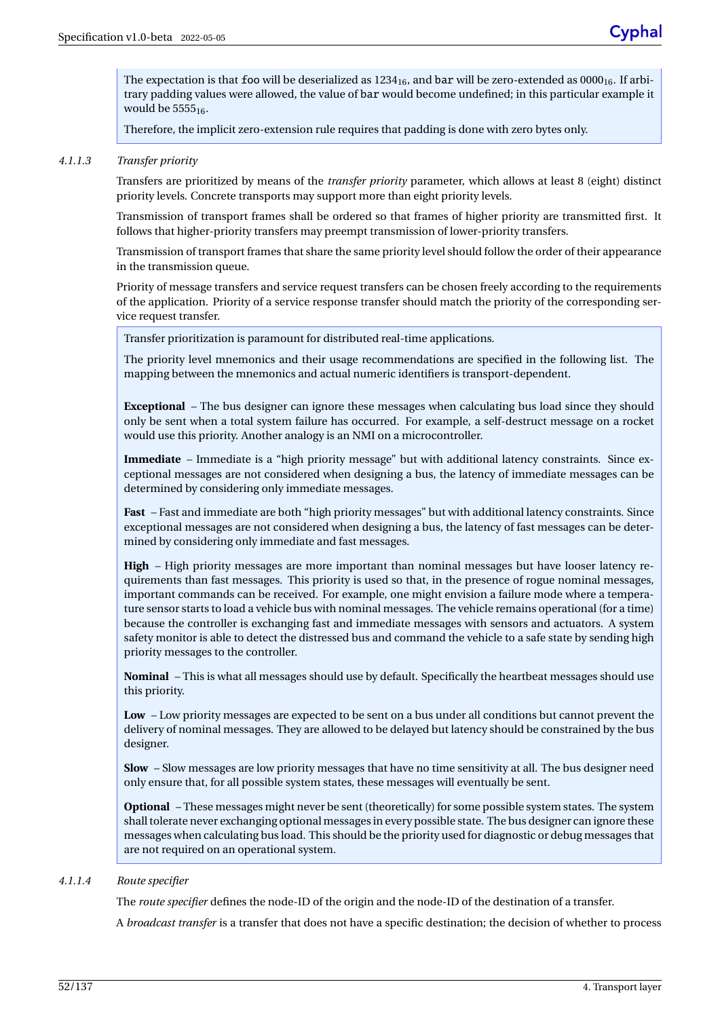The expectation is that foo will be deserialized as  $1234_{16}$ , and bar will be zero-extended as  $0000_{16}$ . If arbitrary padding values were allowed, the value of bar would become undefined; in this particular example it would be  $5555_{16}$ .

Therefore, the implicit zero-extension rule requires that padding is done with zero bytes only.

## <span id="page-57-0"></span>*4.1.1.3 Transfer priority*

Transfers are prioritized by means of the *transfer priority* parameter, which allows at least 8 (eight) distinct priority levels. Concrete transports may support more than eight priority levels.

Transmission of transport frames shall be ordered so that frames of higher priority are transmitted first. It follows that higher-priority transfers may preempt transmission of lower-priority transfers.

Transmission of transport frames that share the same priority level should follow the order of their appearance in the transmission queue.

Priority of message transfers and service request transfers can be chosen freely according to the requirements of the application. Priority of a service response transfer should match the priority of the corresponding service request transfer.

Transfer prioritization is paramount for distributed real-time applications.

The priority level mnemonics and their usage recommendations are specified in the following list. The mapping between the mnemonics and actual numeric identifiers is transport-dependent.

**Exceptional** – The bus designer can ignore these messages when calculating bus load since they should only be sent when a total system failure has occurred. For example, a self-destruct message on a rocket would use this priority. Another analogy is an NMI on a microcontroller.

**Immediate** – Immediate is a "high priority message" but with additional latency constraints. Since exceptional messages are not considered when designing a bus, the latency of immediate messages can be determined by considering only immediate messages.

**Fast** – Fast and immediate are both "high priority messages" but with additional latency constraints. Since exceptional messages are not considered when designing a bus, the latency of fast messages can be determined by considering only immediate and fast messages.

**High** – High priority messages are more important than nominal messages but have looser latency requirements than fast messages. This priority is used so that, in the presence of rogue nominal messages, important commands can be received. For example, one might envision a failure mode where a temperature sensor starts to load a vehicle bus with nominal messages. The vehicle remains operational (for a time) because the controller is exchanging fast and immediate messages with sensors and actuators. A system safety monitor is able to detect the distressed bus and command the vehicle to a safe state by sending high priority messages to the controller.

**Nominal** – This is what all messages should use by default. Specifically the heartbeat messages should use this priority.

**Low** – Low priority messages are expected to be sent on a bus under all conditions but cannot prevent the delivery of nominal messages. They are allowed to be delayed but latency should be constrained by the bus designer.

**Slow** – Slow messages are low priority messages that have no time sensitivity at all. The bus designer need only ensure that, for all possible system states, these messages will eventually be sent.

**Optional** – These messages might never be sent (theoretically) for some possible system states. The system shall tolerate never exchanging optional messages in every possible state. The bus designer can ignore these messages when calculating bus load. This should be the priority used for diagnostic or debug messages that are not required on an operational system.

## <span id="page-57-1"></span>*4.1.1.4 Route specifier*

The *route specifier* defines the node-ID of the origin and the node-ID of the destination of a transfer.

A *broadcast transfer* is a transfer that does not have a specific destination; the decision of whether to process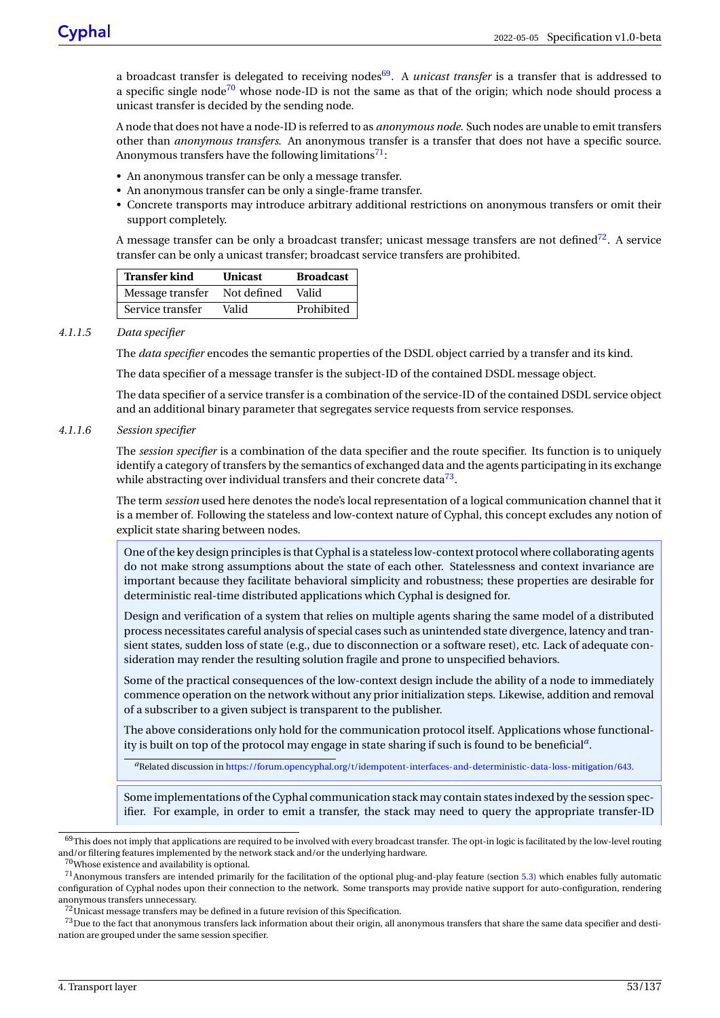a broadcast transfer is delegated to receiving nodes<sup>[69](#page-58-0)</sup>. A *unicast transfer* is a transfer that is addressed to a specific single node<sup>[70](#page-58-1)</sup> whose node-ID is not the same as that of the origin; which node should process a unicast transfer is decided by the sending node.

A node that does not have a node-ID is referred to as *anonymous node*. Such nodes are unable to emit transfers other than *anonymous transfers*. An anonymous transfer is a transfer that does not have a specific source. Anonymous transfers have the following limitations<sup>[71](#page-58-2)</sup>:

- An anonymous transfer can be only a message transfer.
- An anonymous transfer can be only a single-frame transfer.
- Concrete transports may introduce arbitrary additional restrictions on anonymous transfers or omit their support completely.

A message transfer can be only a broadcast transfer; unicast message transfers are not defined $72$ . A service transfer can be only a unicast transfer; broadcast service transfers are prohibited.

| <b>Transfer kind</b> | <b>Unicast</b> | <b>Broadcast</b> |
|----------------------|----------------|------------------|
| Message transfer     | Not defined    | Valid            |
| Service transfer     | Valid          | Prohibited       |

## *4.1.1.5 Data specifier*

The *data specifier* encodes the semantic properties of the DSDL object carried by a transfer and its kind.

The data specifier of a message transfer is the subject-ID of the contained DSDL message object.

The data specifier of a service transfer is a combination of the service-ID of the contained DSDL service object and an additional binary parameter that segregates service requests from service responses.

### <span id="page-58-6"></span>*4.1.1.6 Session specifier*

The *session specifier* is a combination of the data specifier and the route specifier. Its function is to uniquely identify a category of transfers by the semantics of exchanged data and the agents participating in its exchange while abstracting over individual transfers and their concrete data $^{73}.$  $^{73}.$  $^{73}.$ 

The term *session* used here denotes the node's local representation of a logical communication channel that it is a member of. Following the stateless and low-context nature of Cyphal, this concept excludes any notion of explicit state sharing between nodes.

One of the key design principles is that Cyphal is a stateless low-context protocol where collaborating agents do not make strong assumptions about the state of each other. Statelessness and context invariance are important because they facilitate behavioral simplicity and robustness; these properties are desirable for deterministic real-time distributed applications which Cyphal is designed for.

Design and verification of a system that relies on multiple agents sharing the same model of a distributed process necessitates careful analysis of special cases such as unintended state divergence, latency and transient states, sudden loss of state (e.g., due to disconnection or a software reset), etc. Lack of adequate consideration may render the resulting solution fragile and prone to unspecified behaviors.

Some of the practical consequences of the low-context design include the ability of a node to immediately commence operation on the network without any prior initialization steps. Likewise, addition and removal of a subscriber to a given subject is transparent to the publisher.

The above considerations only hold for the communication protocol itself. Applications whose functionality is built on top of the protocol may engage in state sharing if such is found to be beneficial*[a](#page-58-5)* .

<span id="page-58-5"></span>*<sup>a</sup>*Related discussion in [https://forum.opencyphal.org/t/idempotent-interfaces-and-deterministic-data-loss-mitigation/643.](https://forum.opencyphal.org/t/idempotent-interfaces-and-deterministic-data-loss-mitigation/643)

Some implementations of the Cyphal communication stack may contain states indexed by the session specifier. For example, in order to emit a transfer, the stack may need to query the appropriate transfer-ID

 $71$ Anonymous transfers are intended primarily for the facilitation of the optional plug-and-play feature (section [5.3\)](#page-78-0) which enables fully automatic configuration of Cyphal nodes upon their connection to the network. Some transports may provide native support for auto-configuration, rendering anonymous transfers unnecessary.

<span id="page-58-0"></span> $69$ This does not imply that applications are required to be involved with every broadcast transfer. The opt-in logic is facilitated by the low-level routing and/or filtering features implemented by the network stack and/or the underlying hardware.

<span id="page-58-2"></span><span id="page-58-1"></span><sup>70</sup>Whose existence and availability is optional.

<span id="page-58-4"></span><span id="page-58-3"></span> $72$ Unicast message transfers may be defined in a future revision of this Specification.

 $^{73}$ Due to the fact that anonymous transfers lack information about their origin, all anonymous transfers that share the same data specifier and destination are grouped under the same session specifier.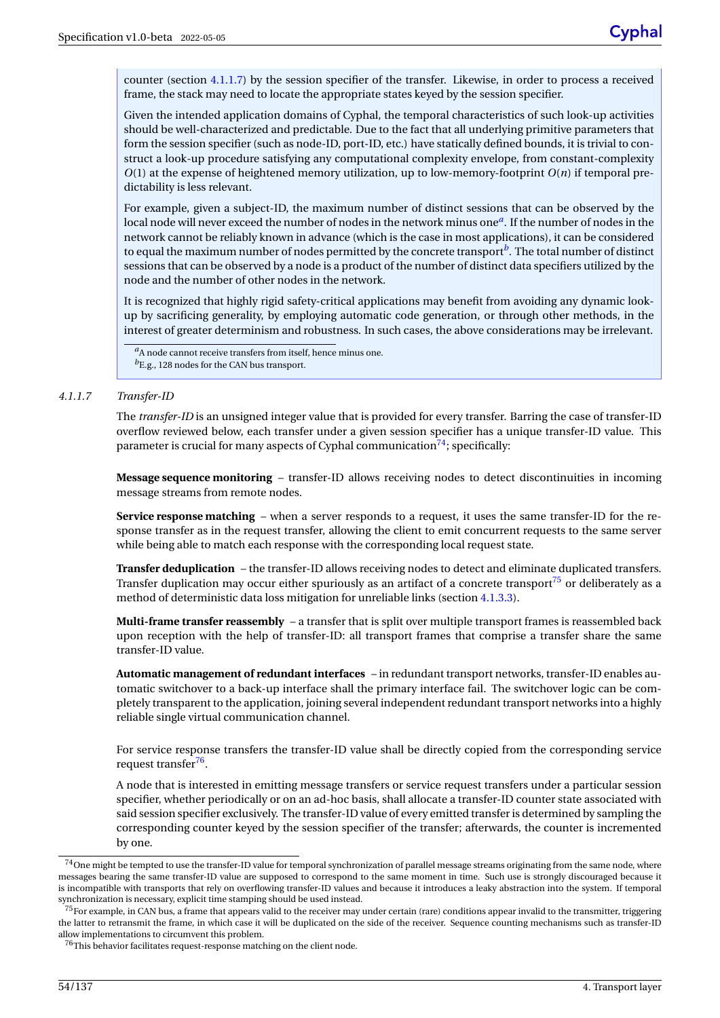counter (section [4.1.1.7\)](#page-59-0) by the session specifier of the transfer. Likewise, in order to process a received frame, the stack may need to locate the appropriate states keyed by the session specifier.

Given the intended application domains of Cyphal, the temporal characteristics of such look-up activities should be well-characterized and predictable. Due to the fact that all underlying primitive parameters that form the session specifier (such as node-ID, port-ID, etc.) have statically defined bounds, it is trivial to construct a look-up procedure satisfying any computational complexity envelope, from constant-complexity *O*(1) at the expense of heightened memory utilization, up to low-memory-footprint *O*(*n*) if temporal predictability is less relevant.

For example, given a subject-ID, the maximum number of distinct sessions that can be observed by the local node will never exceed the number of nodes in the network minus one*[a](#page-59-1)* . If the number of nodes in the network cannot be reliably known in advance (which is the case in most applications), it can be considered to equal the maximum num[b](#page-59-2)er of nodes permitted by the concrete transport<sup>b</sup>. The total number of distinct sessions that can be observed by a node is a product of the number of distinct data specifiers utilized by the node and the number of other nodes in the network.

It is recognized that highly rigid safety-critical applications may benefit from avoiding any dynamic lookup by sacrificing generality, by employing automatic code generation, or through other methods, in the interest of greater determinism and robustness. In such cases, the above considerations may be irrelevant.

# <span id="page-59-0"></span>*4.1.1.7 Transfer-ID*

The *transfer-ID* is an unsigned integer value that is provided for every transfer. Barring the case of transfer-ID overflow reviewed below, each transfer under a given session specifier has a unique transfer-ID value. This parameter is crucial for many aspects of Cyphal communication<sup>[74](#page-59-3)</sup>; specifically:

**Message sequence monitoring** – transfer-ID allows receiving nodes to detect discontinuities in incoming message streams from remote nodes.

**Service response matching** – when a server responds to a request, it uses the same transfer-ID for the response transfer as in the request transfer, allowing the client to emit concurrent requests to the same server while being able to match each response with the corresponding local request state.

**Transfer deduplication** – the transfer-ID allows receiving nodes to detect and eliminate duplicated transfers. Transfer duplication may occur either spuriously as an artifact of a concrete transport<sup>[75](#page-59-4)</sup> or deliberately as a method of deterministic data loss mitigation for unreliable links (section [4.1.3.3\)](#page-61-0).

**Multi-frame transfer reassembly** – a transfer that is split over multiple transport frames is reassembled back upon reception with the help of transfer-ID: all transport frames that comprise a transfer share the same transfer-ID value.

**Automatic management of redundant interfaces** – in redundant transport networks, transfer-ID enables automatic switchover to a back-up interface shall the primary interface fail. The switchover logic can be completely transparent to the application, joining several independent redundant transport networks into a highly reliable single virtual communication channel.

For service response transfers the transfer-ID value shall be directly copied from the corresponding service request transfer<sup>[76](#page-59-5)</sup>.

A node that is interested in emitting message transfers or service request transfers under a particular session specifier, whether periodically or on an ad-hoc basis, shall allocate a transfer-ID counter state associated with said session specifier exclusively. The transfer-ID value of every emitted transfer is determined by sampling the corresponding counter keyed by the session specifier of the transfer; afterwards, the counter is incremented by one.

<span id="page-59-1"></span>*<sup>a</sup>*A node cannot receive transfers from itself, hence minus one.

<span id="page-59-2"></span>*<sup>b</sup>*E.g., 128 nodes for the CAN bus transport.

<span id="page-59-3"></span> $^{74}$ One might be tempted to use the transfer-ID value for temporal synchronization of parallel message streams originating from the same node, where messages bearing the same transfer-ID value are supposed to correspond to the same moment in time. Such use is strongly discouraged because it is incompatible with transports that rely on overflowing transfer-ID values and because it introduces a leaky abstraction into the system. If temporal synchronization is necessary, explicit time stamping should be used instead.

<span id="page-59-4"></span> $^{75}$ For example, in CAN bus, a frame that appears valid to the receiver may under certain (rare) conditions appear invalid to the transmitter, triggering the latter to retransmit the frame, in which case it will be duplicated on the side of the receiver. Sequence counting mechanisms such as transfer-ID allow implementations to circumvent this problem.

<span id="page-59-5"></span><sup>&</sup>lt;sup>76</sup>This behavior facilitates request-response matching on the client node.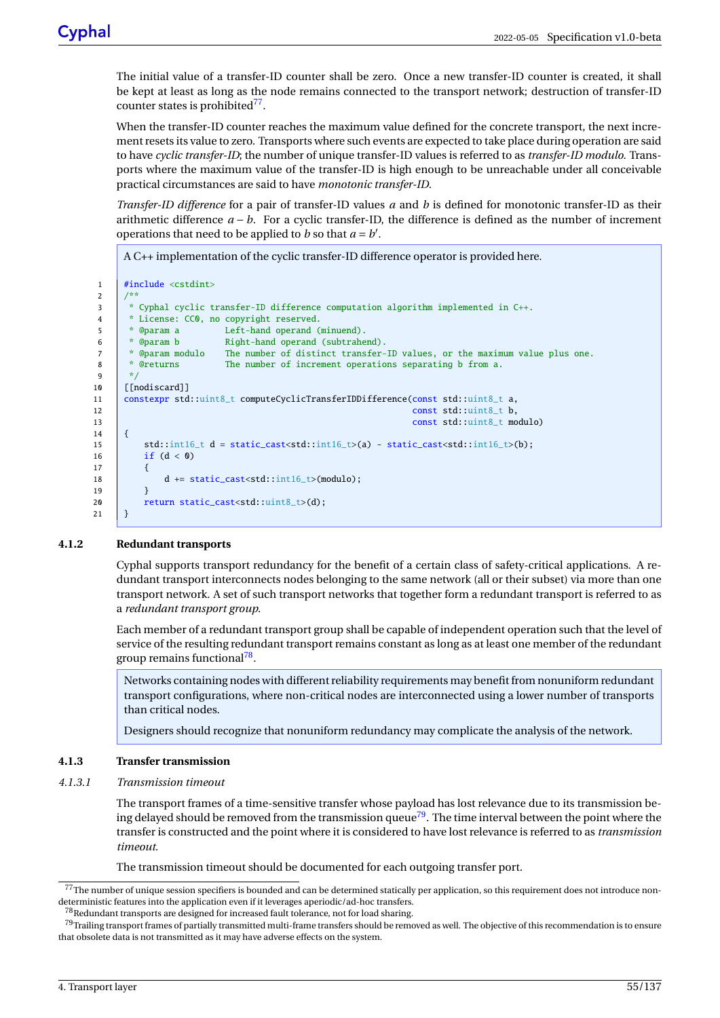The initial value of a transfer-ID counter shall be zero. Once a new transfer-ID counter is created, it shall be kept at least as long as the node remains connected to the transport network; destruction of transfer-ID counter states is prohibited<sup>[77](#page-60-0)</sup>.

When the transfer-ID counter reaches the maximum value defined for the concrete transport, the next increment resets its value to zero. Transports where such events are expected to take place during operation are said to have *cyclic transfer-ID*; the number of unique transfer-ID values is referred to as *transfer-ID modulo*. Transports where the maximum value of the transfer-ID is high enough to be unreachable under all conceivable practical circumstances are said to have *monotonic transfer-ID*.

*Transfer-ID difference* for a pair of transfer-ID values *a* and *b* is defined for monotonic transfer-ID as their arithmetic difference *a* − *b*. For a cyclic transfer-ID, the difference is defined as the number of increment operations that need to be applied to *b* so that  $a = b'$ .

A C++ implementation of the cyclic transfer-ID difference operator is provided here.

```
1 \parallel #include <cstdint>
\overline{2}3 * Cyphal cyclic transfer-ID difference computation algorithm implemented in C++.
4 * License: CCO, no copyright reserved.
5 * @param a Left-hand operand (minuend).
6 * @param b Right-hand operand (subtrahend).
7 * @param modulo The number of distinct transfer-ID values, or the maximum value plus one.
8 * @returns The number of increment operations separating b from a.
9 */
10 | [[nodiscard]]
11 constexpr std::uint8_t computeCyclicTransferIDDifference(const std::uint8_t a,
12 const std::uint8 t b,
13 const std::uint8_t modulo)
14 \mid \{15 std::int16_t d = static_cast<std::int16_t>(a) - static_cast<std::int16_t>(b);
16 \mathbf{if} \quad (\mathbf{d} < \mathbf{0})17 {
18 d \leftarrow \text{static\_cast} < \text{int16\_t} > \text{(modulo)};
19 }
20 return static_cast<std::uint8_t>(d);
21 \quad | \}
```
## **4.1.2 Redundant transports**

Cyphal supports transport redundancy for the benefit of a certain class of safety-critical applications. A redundant transport interconnects nodes belonging to the same network (all or their subset) via more than one transport network. A set of such transport networks that together form a redundant transport is referred to as a *redundant transport group*.

Each member of a redundant transport group shall be capable of independent operation such that the level of service of the resulting redundant transport remains constant as long as at least one member of the redundant group remains functional<sup>[78](#page-60-1)</sup>.

Networks containing nodes with different reliability requirements may benefit from nonuniform redundant transport configurations, where non-critical nodes are interconnected using a lower number of transports than critical nodes.

Designers should recognize that nonuniform redundancy may complicate the analysis of the network.

### **4.1.3 Transfer transmission**

*4.1.3.1 Transmission timeout*

The transport frames of a time-sensitive transfer whose payload has lost relevance due to its transmission be-ing delayed should be removed from the transmission queue<sup>[79](#page-60-2)</sup>. The time interval between the point where the transfer is constructed and the point where it is considered to have lost relevance is referred to as *transmission timeout*.

The transmission timeout should be documented for each outgoing transfer port.

<span id="page-60-0"></span><sup>&</sup>lt;sup>77</sup>The number of unique session specifiers is bounded and can be determined statically per application, so this requirement does not introduce nondeterministic features into the application even if it leverages aperiodic/ad-hoc transfers.

<span id="page-60-2"></span><span id="page-60-1"></span><sup>78</sup>Redundant transports are designed for increased fault tolerance, not for load sharing.

 $^{79}$ Trailing transport frames of partially transmitted multi-frame transfers should be removed as well. The objective of this recommendation is to ensure that obsolete data is not transmitted as it may have adverse effects on the system.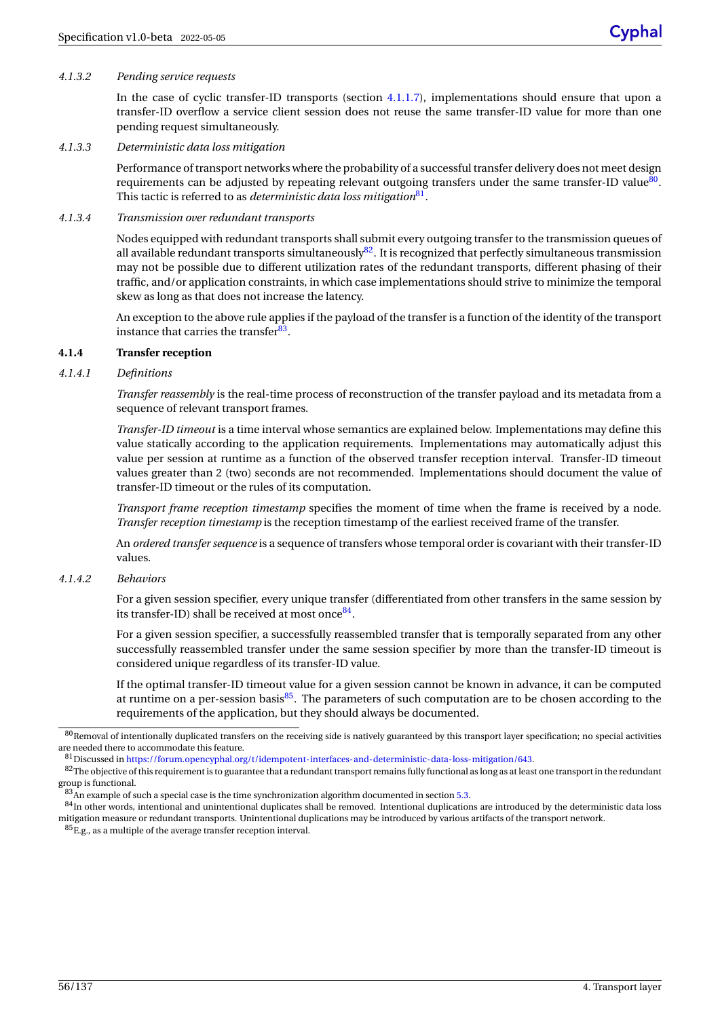## *4.1.3.2 Pending service requests*

In the case of cyclic transfer-ID transports (section [4.1.1.7\)](#page-59-0), implementations should ensure that upon a transfer-ID overflow a service client session does not reuse the same transfer-ID value for more than one pending request simultaneously.

### <span id="page-61-0"></span>*4.1.3.3 Deterministic data loss mitigation*

Performance of transport networks where the probability of a successful transfer delivery does not meet design requirements can be adjusted by repeating relevant outgoing transfers under the same transfer-ID value<sup>[80](#page-61-1)</sup>. This tactic is referred to as *deterministic data loss mitigation*[81](#page-61-2) .

## *4.1.3.4 Transmission over redundant transports*

Nodes equipped with redundant transports shall submit every outgoing transfer to the transmission queues of all available redundant transports simultaneously<sup>[82](#page-61-3)</sup>. It is recognized that perfectly simultaneous transmission may not be possible due to different utilization rates of the redundant transports, different phasing of their traffic, and/or application constraints, in which case implementations should strive to minimize the temporal skew as long as that does not increase the latency.

An exception to the above rule applies if the payload of the transfer is a function of the identity of the transport instance that carries the transfer<sup>[83](#page-61-4)</sup>.

### **4.1.4 Transfer reception**

### *4.1.4.1 Definitions*

*Transfer reassembly* is the real-time process of reconstruction of the transfer payload and its metadata from a sequence of relevant transport frames.

*Transfer-ID timeout* is a time interval whose semantics are explained below. Implementations may define this value statically according to the application requirements. Implementations may automatically adjust this value per session at runtime as a function of the observed transfer reception interval. Transfer-ID timeout values greater than 2 (two) seconds are not recommended. Implementations should document the value of transfer-ID timeout or the rules of its computation.

*Transport frame reception timestamp* specifies the moment of time when the frame is received by a node. *Transfer reception timestamp* is the reception timestamp of the earliest received frame of the transfer.

An *ordered transfer sequence* is a sequence of transfers whose temporal order is covariant with their transfer-ID values.

### *4.1.4.2 Behaviors*

For a given session specifier, every unique transfer (differentiated from other transfers in the same session by its transfer-ID) shall be received at most once<sup>[84](#page-61-5)</sup>.

For a given session specifier, a successfully reassembled transfer that is temporally separated from any other successfully reassembled transfer under the same session specifier by more than the transfer-ID timeout is considered unique regardless of its transfer-ID value.

If the optimal transfer-ID timeout value for a given session cannot be known in advance, it can be computed at runtime on a per-session basis<sup>[85](#page-61-6)</sup>. The parameters of such computation are to be chosen according to the requirements of the application, but they should always be documented.

<span id="page-61-1"></span> $80$ Removal of intentionally duplicated transfers on the receiving side is natively guaranteed by this transport layer specification; no special activities are needed there to accommodate this feature.

<span id="page-61-2"></span><sup>81</sup>Discussed in [https://forum.opencyphal.org/t/idempotent-interfaces-and-deterministic-data-loss-mitigation/643.](https://forum.opencyphal.org/t/idempotent-interfaces-and-deterministic-data-loss-mitigation/643)

<span id="page-61-3"></span><sup>82</sup> The objective of this requirement is to guarantee that a redundant transport remains fully functional as long as at least one transport in the redundant group is functional.

<span id="page-61-4"></span> $83\text{ Ån}$  example of such a special case is the time synchronization algorithm documented in section [5.3.](#page-78-0)

<span id="page-61-5"></span><sup>84</sup>In other words, intentional and unintentional duplicates shall be removed. Intentional duplications are introduced by the deterministic data loss mitigation measure or redundant transports. Unintentional duplications may be introduced by various artifacts of the transport network.

<span id="page-61-6"></span> ${}^{85}E.g.,$  as a multiple of the average transfer reception interval.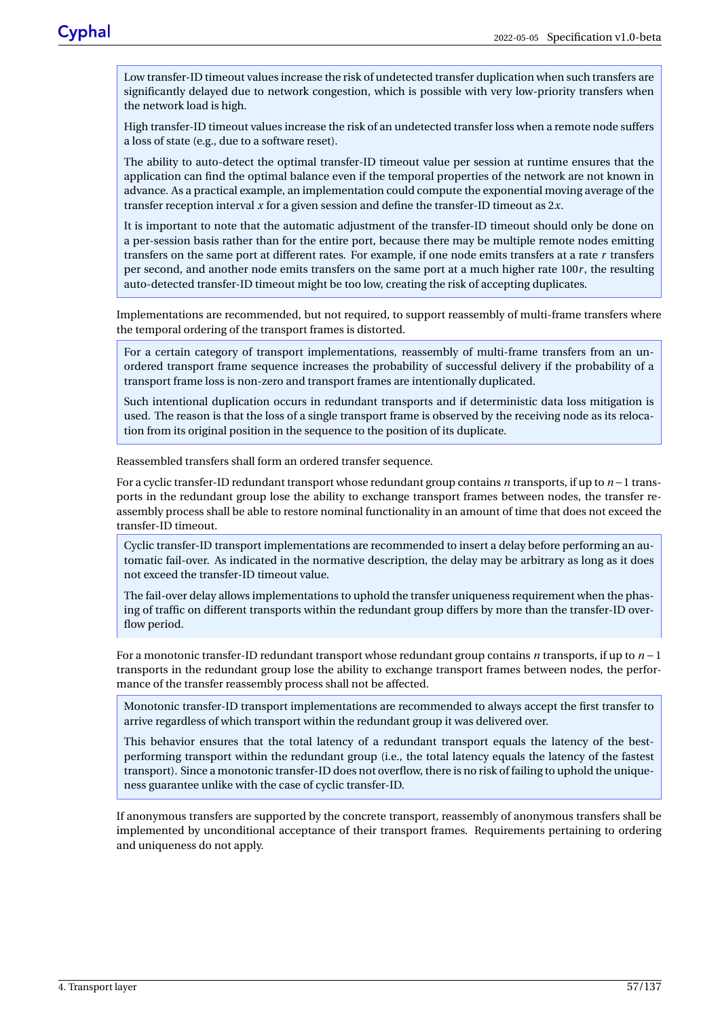Low transfer-ID timeout values increase the risk of undetected transfer duplication when such transfers are significantly delayed due to network congestion, which is possible with very low-priority transfers when the network load is high.

High transfer-ID timeout values increase the risk of an undetected transfer loss when a remote node suffers a loss of state (e.g., due to a software reset).

The ability to auto-detect the optimal transfer-ID timeout value per session at runtime ensures that the application can find the optimal balance even if the temporal properties of the network are not known in advance. As a practical example, an implementation could compute the exponential moving average of the transfer reception interval *x* for a given session and define the transfer-ID timeout as 2*x*.

It is important to note that the automatic adjustment of the transfer-ID timeout should only be done on a per-session basis rather than for the entire port, because there may be multiple remote nodes emitting transfers on the same port at different rates. For example, if one node emits transfers at a rate *r* transfers per second, and another node emits transfers on the same port at a much higher rate 100*r* , the resulting auto-detected transfer-ID timeout might be too low, creating the risk of accepting duplicates.

Implementations are recommended, but not required, to support reassembly of multi-frame transfers where the temporal ordering of the transport frames is distorted.

For a certain category of transport implementations, reassembly of multi-frame transfers from an unordered transport frame sequence increases the probability of successful delivery if the probability of a transport frame loss is non-zero and transport frames are intentionally duplicated.

Such intentional duplication occurs in redundant transports and if deterministic data loss mitigation is used. The reason is that the loss of a single transport frame is observed by the receiving node as its relocation from its original position in the sequence to the position of its duplicate.

Reassembled transfers shall form an ordered transfer sequence.

For a cyclic transfer-ID redundant transport whose redundant group contains *n* transports, if up to *n*−1 transports in the redundant group lose the ability to exchange transport frames between nodes, the transfer reassembly process shall be able to restore nominal functionality in an amount of time that does not exceed the transfer-ID timeout.

Cyclic transfer-ID transport implementations are recommended to insert a delay before performing an automatic fail-over. As indicated in the normative description, the delay may be arbitrary as long as it does not exceed the transfer-ID timeout value.

The fail-over delay allows implementations to uphold the transfer uniqueness requirement when the phasing of traffic on different transports within the redundant group differs by more than the transfer-ID overflow period.

For a monotonic transfer-ID redundant transport whose redundant group contains *n* transports, if up to *n* −1 transports in the redundant group lose the ability to exchange transport frames between nodes, the performance of the transfer reassembly process shall not be affected.

Monotonic transfer-ID transport implementations are recommended to always accept the first transfer to arrive regardless of which transport within the redundant group it was delivered over.

This behavior ensures that the total latency of a redundant transport equals the latency of the bestperforming transport within the redundant group (i.e., the total latency equals the latency of the fastest transport). Since a monotonic transfer-ID does not overflow, there is no risk of failing to uphold the uniqueness guarantee unlike with the case of cyclic transfer-ID.

If anonymous transfers are supported by the concrete transport, reassembly of anonymous transfers shall be implemented by unconditional acceptance of their transport frames. Requirements pertaining to ordering and uniqueness do not apply.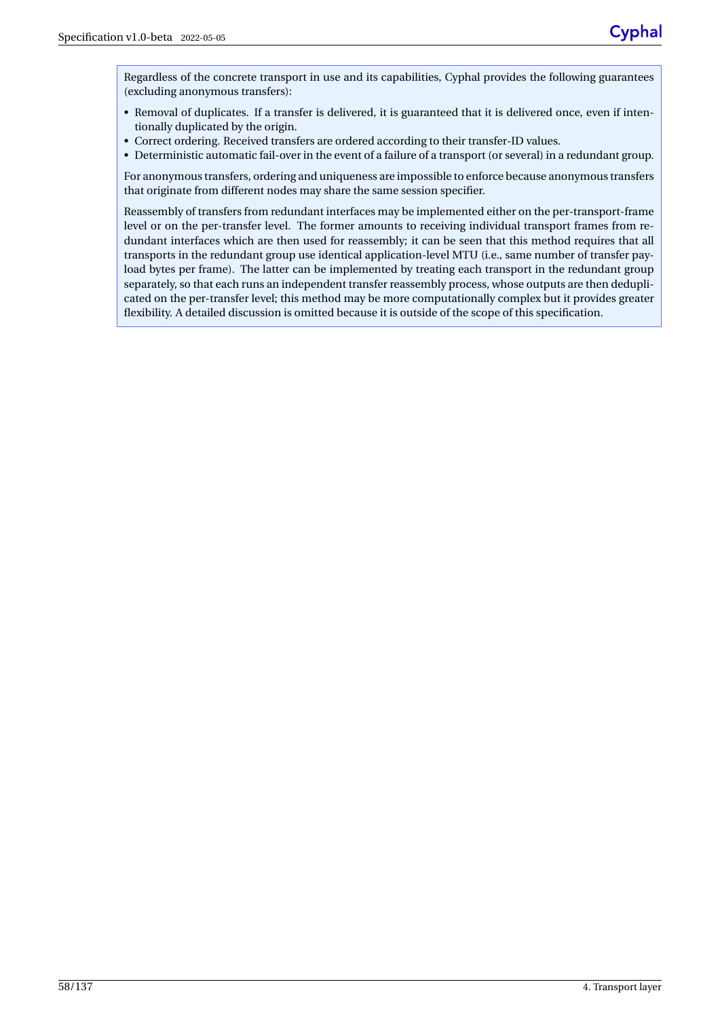Regardless of the concrete transport in use and its capabilities, Cyphal provides the following guarantees (excluding anonymous transfers):

- Removal of duplicates. If a transfer is delivered, it is guaranteed that it is delivered once, even if intentionally duplicated by the origin.
- Correct ordering. Received transfers are ordered according to their transfer-ID values.
- Deterministic automatic fail-over in the event of a failure of a transport (or several) in a redundant group.

For anonymous transfers, ordering and uniqueness are impossible to enforce because anonymous transfers that originate from different nodes may share the same session specifier.

Reassembly of transfers from redundant interfaces may be implemented either on the per-transport-frame level or on the per-transfer level. The former amounts to receiving individual transport frames from redundant interfaces which are then used for reassembly; it can be seen that this method requires that all transports in the redundant group use identical application-level MTU (i.e., same number of transfer payload bytes per frame). The latter can be implemented by treating each transport in the redundant group separately, so that each runs an independent transfer reassembly process, whose outputs are then deduplicated on the per-transfer level; this method may be more computationally complex but it provides greater flexibility. A detailed discussion is omitted because it is outside of the scope of this specification.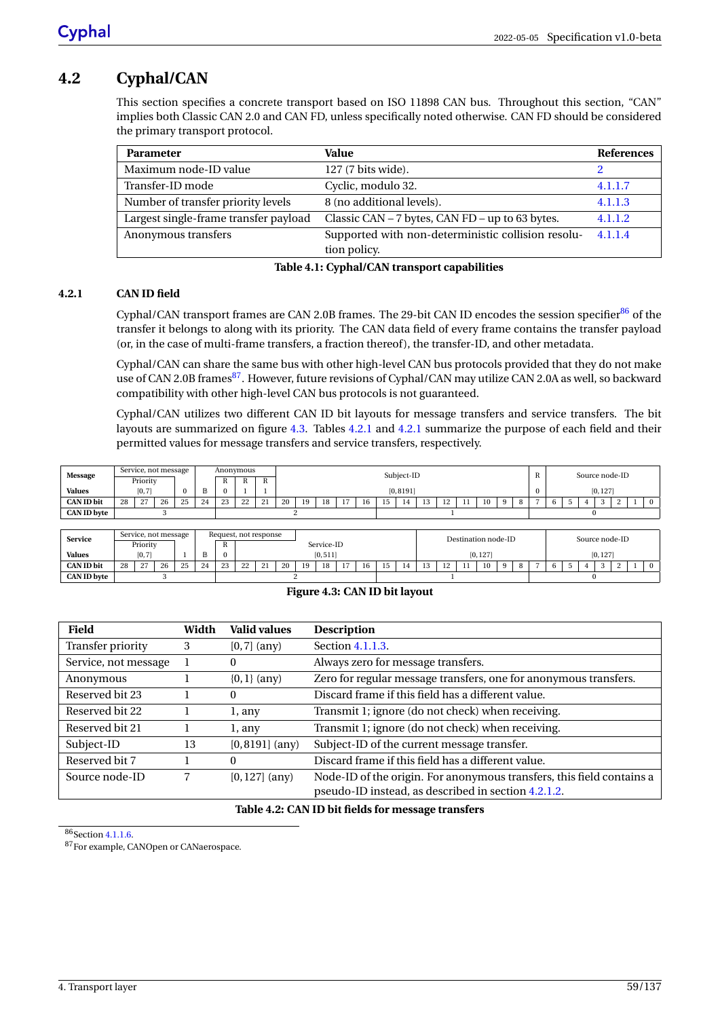# **4.2 Cyphal/CAN**

This section specifies a concrete transport based on ISO 11898 CAN bus. Throughout this section, "CAN" implies both Classic CAN 2.0 and CAN FD, unless specifically noted otherwise. CAN FD should be considered the primary transport protocol.

| <b>Parameter</b>                      | Value                                              | <b>References</b> |
|---------------------------------------|----------------------------------------------------|-------------------|
| Maximum node-ID value                 | 127 (7 bits wide).                                 |                   |
| Transfer-ID mode                      | Cyclic, modulo 32.                                 | 4.1.1.7           |
| Number of transfer priority levels    | 8 (no additional levels).                          | 4.1.1.3           |
| Largest single-frame transfer payload | Classic CAN – 7 bytes, CAN FD – up to 63 bytes.    | 4.1.1.2           |
| Anonymous transfers                   | Supported with non-deterministic collision resolu- | 4.1.1.4           |
|                                       | tion policy.                                       |                   |

## **Table 4.1: Cyphal/CAN transport capabilities**

# **4.2.1 CAN ID field**

Cyphal/CAN transport frames are CAN 2.0B frames. The 29-bit CAN ID encodes the session specifier<sup>[86](#page-64-0)</sup> of the transfer it belongs to along with its priority. The CAN data field of every frame contains the transfer payload (or, in the case of multi-frame transfers, a fraction thereof ), the transfer-ID, and other metadata.

Cyphal/CAN can share the same bus with other high-level CAN bus protocols provided that they do not make use of CAN 2.0B frames<sup>[87](#page-64-1)</sup>. However, future revisions of Cyphal/CAN may utilize CAN 2.0A as well, so backward compatibility with other high-level CAN bus protocols is not guaranteed.

Cyphal/CAN utilizes two different CAN ID bit layouts for message transfers and service transfers. The bit layouts are summarized on figure [4.3.](#page-64-2) Tables [4.2.1](#page-64-2) and [4.2.1](#page-64-3) summarize the purpose of each field and their permitted values for message transfers and service transfers, respectively.

<span id="page-64-2"></span>

| Message            |    | Service, not message |    |    |    | Anonymous    |                       |                  |    | Subject-ID                                                                                                                 |  |  |  |  |           |  |  |  | $\mathbb{R}$ | Source node-ID |          |  |  |  |          |  |  |
|--------------------|----|----------------------|----|----|----|--------------|-----------------------|------------------|----|----------------------------------------------------------------------------------------------------------------------------|--|--|--|--|-----------|--|--|--|--------------|----------------|----------|--|--|--|----------|--|--|
|                    |    | Priority             |    |    |    | $\mathbf{u}$ | $\mathbf{u}$          | $\bf{u}$         |    |                                                                                                                            |  |  |  |  |           |  |  |  |              |                |          |  |  |  |          |  |  |
| <b>Values</b>      |    | [0, 7]               |    |    |    |              |                       |                  |    |                                                                                                                            |  |  |  |  | [0, 8191] |  |  |  |              |                | $\Omega$ |  |  |  | [0, 127] |  |  |
| <b>CAN ID bit</b>  | 28 | 27                   | 26 | 25 | 24 | າາ<br>نت     | $\Omega$<br><u>__</u> | 21<br><u>. .</u> | 20 | 9<br>10<br>19<br>$\sim$ $\sim$<br>$\sim$ $\sim$<br>$\sim$ $\sim$<br>$\sim$ $\sim$<br>18<br>16<br>12<br>$\overline{1}$<br>- |  |  |  |  |           |  |  |  |              |                |          |  |  |  |          |  |  |
| <b>CAN ID byte</b> |    |                      |    |    |    |              |                       |                  |    |                                                                                                                            |  |  |  |  |           |  |  |  |              |                |          |  |  |  |          |  |  |

| <b>Service</b>     |    |          | Service, not message |    |    | Request, not response |                |  |    |          |            |  |    |  |          |                    |  | Destination node-ID |  |  |          | Source node-ID |  |  |  |  |  |  |
|--------------------|----|----------|----------------------|----|----|-----------------------|----------------|--|----|----------|------------|--|----|--|----------|--------------------|--|---------------------|--|--|----------|----------------|--|--|--|--|--|--|
|                    |    | Priority |                      |    |    |                       |                |  |    |          | Service-ID |  |    |  |          |                    |  |                     |  |  |          |                |  |  |  |  |  |  |
| Values             |    | [0, 7]   |                      |    |    |                       |                |  |    | [0, 511] |            |  |    |  | [0, 127] |                    |  |                     |  |  | [0, 127] |                |  |  |  |  |  |  |
| <b>CAN ID bit</b>  | 28 | 27<br>∼  | 26                   | 25 | 24 | $\Omega$<br>سے        | $\Omega$<br>ے۔ |  | 20 | 10       | 10<br>10.  |  | 16 |  |          | 10<br>$\mathbf{a}$ |  |                     |  |  |          |                |  |  |  |  |  |  |
| <b>CAN ID byte</b> |    |          |                      |    |    |                       |                |  |    |          |            |  |    |  |          |                    |  |                     |  |  |          |                |  |  |  |  |  |  |

# **Figure 4.3: CAN ID bit layout**

| <b>Field</b>         | Width | <b>Valid values</b> | <b>Description</b>                                                    |
|----------------------|-------|---------------------|-----------------------------------------------------------------------|
| Transfer priority    | 3     | $[0, 7]$ (any)      | Section 4.1.1.3.                                                      |
| Service, not message |       | 0                   | Always zero for message transfers.                                    |
| Anonymous            |       | ${0, 1}$ (any)      | Zero for regular message transfers, one for anonymous transfers.      |
| Reserved bit 23      |       | 0                   | Discard frame if this field has a different value.                    |
| Reserved bit 22      |       | 1, any              | Transmit 1; ignore (do not check) when receiving.                     |
| Reserved bit 21      |       | 1, any              | Transmit 1; ignore (do not check) when receiving.                     |
| Subject-ID           | 13    | $[0, 8191]$ (any)   | Subject-ID of the current message transfer.                           |
| Reserved bit 7       |       | 0                   | Discard frame if this field has a different value.                    |
| Source node-ID       |       | $[0, 127]$ (any)    | Node-ID of the origin. For anonymous transfers, this field contains a |
|                      |       |                     | pseudo-ID instead, as described in section 4.2.1.2.                   |

## <span id="page-64-3"></span>**Table 4.2: CAN ID bit fields for message transfers**

<span id="page-64-0"></span>86 Section [4.1.1.6.](#page-58-6)

<span id="page-64-1"></span><sup>87</sup>For example, CANOpen or CANaerospace.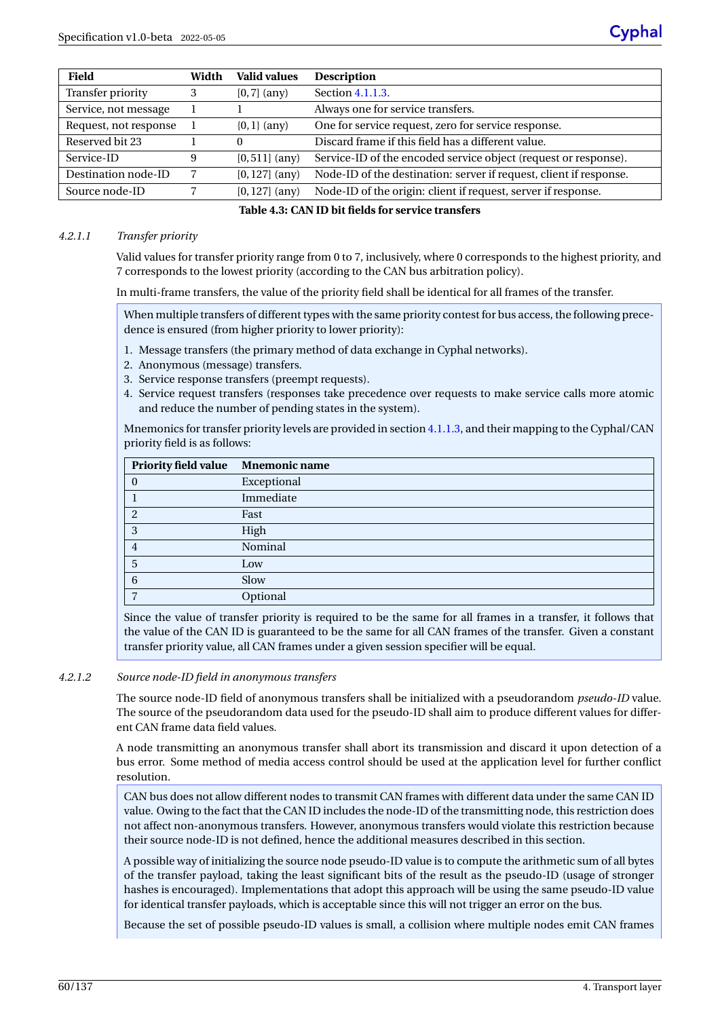| Field                 | Width | Valid values     | <b>Description</b>                                                 |
|-----------------------|-------|------------------|--------------------------------------------------------------------|
| Transfer priority     | 3     | $[0, 7]$ (any)   | Section 4.1.1.3.                                                   |
| Service, not message  |       |                  | Always one for service transfers.                                  |
| Request, not response |       | ${0, 1}$ (any)   | One for service request, zero for service response.                |
| Reserved bit 23       |       | 0                | Discard frame if this field has a different value.                 |
| Service-ID            | 9     | $[0, 511]$ (any) | Service-ID of the encoded service object (request or response).    |
| Destination node-ID   |       | $[0, 127]$ (any) | Node-ID of the destination: server if request, client if response. |
| Source node-ID        |       | $[0, 127]$ (any) | Node-ID of the origin: client if request, server if response.      |

**Table 4.3: CAN ID bit fields for service transfers**

## *4.2.1.1 Transfer priority*

Valid values for transfer priority range from 0 to 7, inclusively, where 0 corresponds to the highest priority, and 7 corresponds to the lowest priority (according to the CAN bus arbitration policy).

In multi-frame transfers, the value of the priority field shall be identical for all frames of the transfer.

When multiple transfers of different types with the same priority contest for bus access, the following precedence is ensured (from higher priority to lower priority):

- 1. Message transfers (the primary method of data exchange in Cyphal networks).
- 2. Anonymous (message) transfers.
- 3. Service response transfers (preempt requests).
- 4. Service request transfers (responses take precedence over requests to make service calls more atomic and reduce the number of pending states in the system).

Mnemonics for transfer priority levels are provided in section [4.1.1.3,](#page-57-0) and their mapping to the Cyphal/CAN priority field is as follows:

| Priority field value Mnemonic name |             |
|------------------------------------|-------------|
| $\bf{0}$                           | Exceptional |
|                                    | Immediate   |
| 2                                  | Fast        |
| 3                                  | High        |
| 4                                  | Nominal     |
| 5                                  | Low         |
| 6                                  | Slow        |
|                                    | Optional    |

Since the value of transfer priority is required to be the same for all frames in a transfer, it follows that the value of the CAN ID is guaranteed to be the same for all CAN frames of the transfer. Given a constant transfer priority value, all CAN frames under a given session specifier will be equal.

## <span id="page-65-0"></span>*4.2.1.2 Source node-ID field in anonymous transfers*

The source node-ID field of anonymous transfers shall be initialized with a pseudorandom *pseudo-ID* value. The source of the pseudorandom data used for the pseudo-ID shall aim to produce different values for different CAN frame data field values.

A node transmitting an anonymous transfer shall abort its transmission and discard it upon detection of a bus error. Some method of media access control should be used at the application level for further conflict resolution.

CAN bus does not allow different nodes to transmit CAN frames with different data under the same CAN ID value. Owing to the fact that the CAN ID includes the node-ID of the transmitting node, this restriction does not affect non-anonymous transfers. However, anonymous transfers would violate this restriction because their source node-ID is not defined, hence the additional measures described in this section.

A possible way of initializing the source node pseudo-ID value is to compute the arithmetic sum of all bytes of the transfer payload, taking the least significant bits of the result as the pseudo-ID (usage of stronger hashes is encouraged). Implementations that adopt this approach will be using the same pseudo-ID value for identical transfer payloads, which is acceptable since this will not trigger an error on the bus.

Because the set of possible pseudo-ID values is small, a collision where multiple nodes emit CAN frames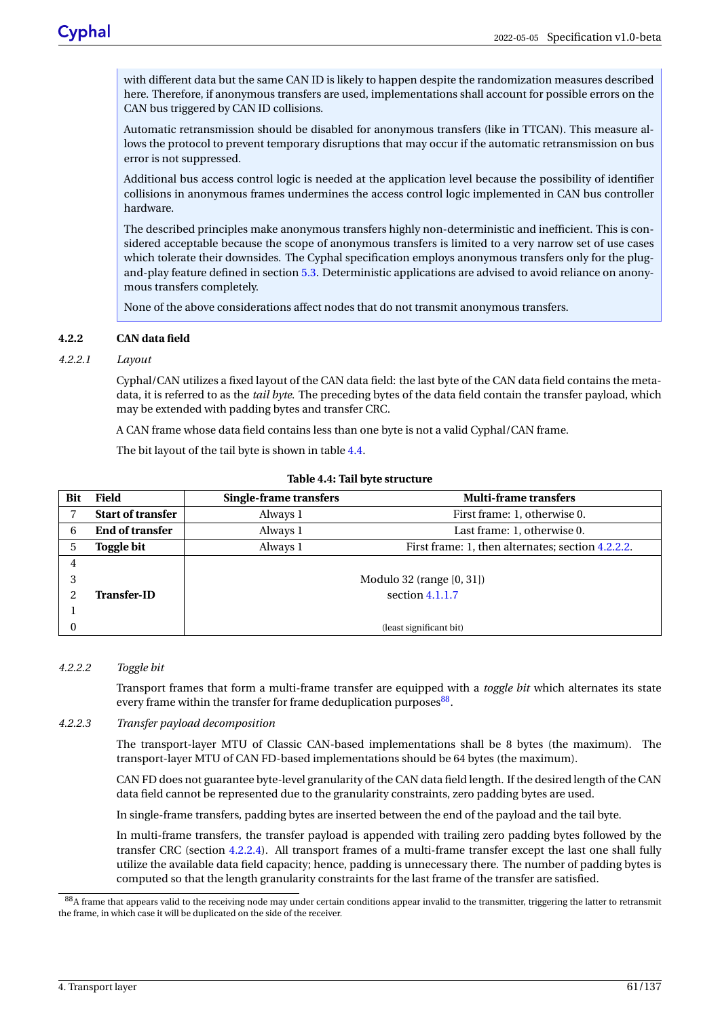with different data but the same CAN ID is likely to happen despite the randomization measures described here. Therefore, if anonymous transfers are used, implementations shall account for possible errors on the CAN bus triggered by CAN ID collisions.

Automatic retransmission should be disabled for anonymous transfers (like in TTCAN). This measure allows the protocol to prevent temporary disruptions that may occur if the automatic retransmission on bus error is not suppressed.

Additional bus access control logic is needed at the application level because the possibility of identifier collisions in anonymous frames undermines the access control logic implemented in CAN bus controller hardware.

The described principles make anonymous transfers highly non-deterministic and inefficient. This is considered acceptable because the scope of anonymous transfers is limited to a very narrow set of use cases which tolerate their downsides. The Cyphal specification employs anonymous transfers only for the plugand-play feature defined in section [5.3.](#page-78-0) Deterministic applications are advised to avoid reliance on anonymous transfers completely.

None of the above considerations affect nodes that do not transmit anonymous transfers.

# **4.2.2 CAN data field**

## *4.2.2.1 Layout*

Cyphal/CAN utilizes a fixed layout of the CAN data field: the last byte of the CAN data field contains the metadata, it is referred to as the *tail byte*. The preceding bytes of the data field contain the transfer payload, which may be extended with padding bytes and transfer CRC.

A CAN frame whose data field contains less than one byte is not a valid Cyphal/CAN frame.

The bit layout of the tail byte is shown in table [4.4.](#page-66-0)

<span id="page-66-0"></span>

| Bit | <b>Field</b>             | Single-frame transfers | <b>Multi-frame transfers</b>                      |
|-----|--------------------------|------------------------|---------------------------------------------------|
|     | <b>Start of transfer</b> | Always 1               | First frame: 1, otherwise 0.                      |
| 6   | <b>End of transfer</b>   | Always 1               | Last frame: 1, otherwise 0.                       |
| 5   | <b>Toggle bit</b>        | Always 1               | First frame: 1, then alternates; section 4.2.2.2. |
| 4   |                          |                        |                                                   |
| 3   |                          |                        | Modulo 32 (range [0, 31])                         |
|     | <b>Transfer-ID</b>       |                        | section $4.1.1.7$                                 |
|     |                          |                        |                                                   |
|     |                          |                        | (least significant bit)                           |

### **Table 4.4: Tail byte structure**

## <span id="page-66-1"></span>*4.2.2.2 Toggle bit*

Transport frames that form a multi-frame transfer are equipped with a *toggle bit* which alternates its state every frame within the transfer for frame deduplication purposes<sup>[88](#page-66-2)</sup>.

## *4.2.2.3 Transfer payload decomposition*

The transport-layer MTU of Classic CAN-based implementations shall be 8 bytes (the maximum). The transport-layer MTU of CAN FD-based implementations should be 64 bytes (the maximum).

CAN FD does not guarantee byte-level granularity of the CAN data field length. If the desired length of the CAN data field cannot be represented due to the granularity constraints, zero padding bytes are used.

In single-frame transfers, padding bytes are inserted between the end of the payload and the tail byte.

In multi-frame transfers, the transfer payload is appended with trailing zero padding bytes followed by the transfer CRC (section [4.2.2.4\)](#page-67-0). All transport frames of a multi-frame transfer except the last one shall fully utilize the available data field capacity; hence, padding is unnecessary there. The number of padding bytes is computed so that the length granularity constraints for the last frame of the transfer are satisfied.

<span id="page-66-2"></span> $88A$  frame that appears valid to the receiving node may under certain conditions appear invalid to the transmitter, triggering the latter to retransmit the frame, in which case it will be duplicated on the side of the receiver.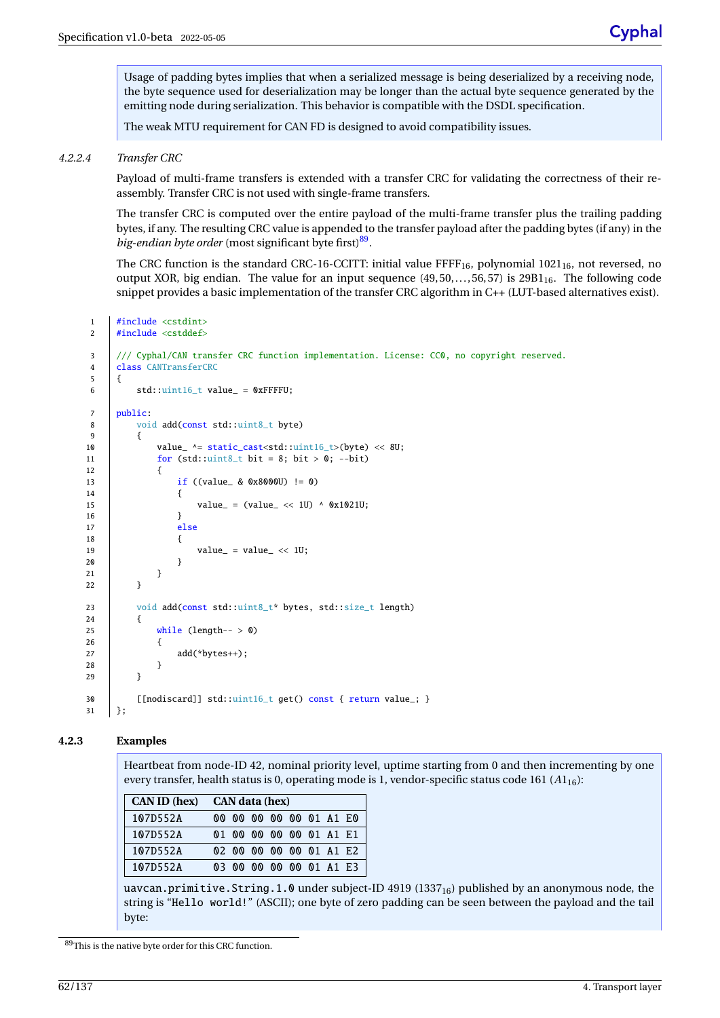Usage of padding bytes implies that when a serialized message is being deserialized by a receiving node, the byte sequence used for deserialization may be longer than the actual byte sequence generated by the emitting node during serialization. This behavior is compatible with the DSDL specification.

The weak MTU requirement for CAN FD is designed to avoid compatibility issues.

## <span id="page-67-0"></span>*4.2.2.4 Transfer CRC*

Payload of multi-frame transfers is extended with a transfer CRC for validating the correctness of their reassembly. Transfer CRC is not used with single-frame transfers.

The transfer CRC is computed over the entire payload of the multi-frame transfer plus the trailing padding bytes, if any. The resulting CRC value is appended to the transfer payload after the padding bytes (if any) in the big-endian byte order (most significant byte first)<sup>[89](#page-67-1)</sup>.

The CRC function is the standard CRC-16-CCITT: initial value FFFF<sub>16</sub>, polynomial  $1021_{16}$ , not reversed, no output XOR, big endian. The value for an input sequence  $(49, 50, \ldots, 56, 57)$  is  $29B1_{16}$ . The following code snippet provides a basic implementation of the transfer CRC algorithm in C++ (LUT-based alternatives exist).

```
1 | #include <cstdint>
2 #include <cstddef>
3 /// Cyphal/CAN transfer CRC function implementation. License: CC0, no copyright reserved.
4 class CANTransferCRC
5 \mid \{6 stat:uint16_t value_ = 0xFFFFU;7 public:
8 void add(const std::uint8_t byte)
9 {
10 value_ ^= static_cast<std::uint16_t>(byte) << 8U;
11 for (std::uint8_t bit = 8; bit > 0; --bit)12 {
13 if ((value_ & 0x8000U) != 0)
14 {
15 value_ = (value_ << 1U) ^ 0x1021U;
16 }
17 else
18 {
19 | value_ = value_ << 1U;
20 }
21 }
22 }
23 void add(const std::uint8_t* bytes, std::size_t length)
24 {
25 while (length-- > 0)
26 {
27 add("bytes++);
28 }
29 }
30 [[nodiscard]] std::uint16_t get() const { return value_; }
31 \quad | \quad 3:
```
### **4.2.3 Examples**

Heartbeat from node-ID 42, nominal priority level, uptime starting from 0 and then incrementing by one every transfer, health status is 0, operating mode is 1, vendor-specific status code 161 ( $A1_{16}$ ):

| CAN ID (hex) | CAN data (hex) |  |  |  |  |  |                         |  |  |
|--------------|----------------|--|--|--|--|--|-------------------------|--|--|
| 107D552A     |                |  |  |  |  |  | 00 00 00 00 00 01 A1 E0 |  |  |
| 107D552A     |                |  |  |  |  |  | 01 00 00 00 00 01 A1 E1 |  |  |
| 107D552A     |                |  |  |  |  |  | 02 00 00 00 00 01 A1 E2 |  |  |
| 107D552A     |                |  |  |  |  |  | 03 00 00 00 00 01 A1 E3 |  |  |

uavcan.primitive.String.1.0 under subject-ID 4919 (1337<sub>16</sub>) published by an anonymous node, the string is "Hello world!" (ASCII); one byte of zero padding can be seen between the payload and the tail byte:

<span id="page-67-1"></span><sup>89</sup>This is the native byte order for this CRC function.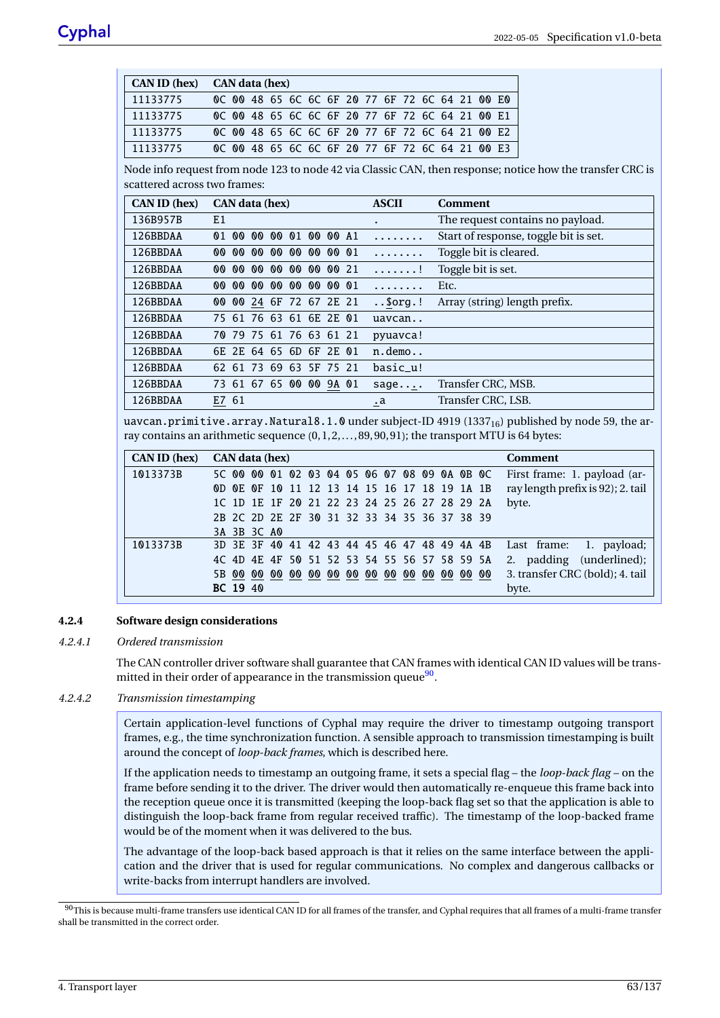| CAN ID (hex) CAN data (hex) |  |  |  |                                                 |  |  |  |                                                 |
|-----------------------------|--|--|--|-------------------------------------------------|--|--|--|-------------------------------------------------|
| 11133775                    |  |  |  | QC QQ 48 65 6C 6C 6F 2Q 77 6F 72 6C 64 21 QQ EQ |  |  |  |                                                 |
| 11133775                    |  |  |  | OC 00 48 65 6C 6C 6F 20 77 6F 72 6C 64 21 00 E1 |  |  |  |                                                 |
| 11133775                    |  |  |  | QC QQ 48 65 6C 6C 6F 2Q 77 6F 72 6C 64 21 QQ E2 |  |  |  |                                                 |
| 11133775                    |  |  |  |                                                 |  |  |  | OC 00 48 65 6C 6C 6F 20 77 6F 72 6C 64 21 00 E3 |

Node info request from node 123 to node 42 via Classic CAN, then response; notice how the transfer CRC is scattered across two frames:

| CAN ID (hex) | CAN data (hex)                                                  | <b>ASCII</b> | <b>Comment</b>                        |
|--------------|-----------------------------------------------------------------|--------------|---------------------------------------|
| 136B957B     | E1                                                              |              | The request contains no payload.      |
| 126BBDAA     | 00<br>00<br>00<br>00<br>00 A1<br>$\mathbf{0}1$<br>$\mathsf{N}1$ | .            | Start of response, toggle bit is set. |
| 126BBDAA     | <b>00 00</b><br><b>00 01</b><br>00<br>00<br>00<br>00            | .            | Toggle bit is cleared.                |
| 126BBDAA     | 00<br>00<br><b>00 00</b><br><b>00 21</b><br>00<br>00            | . !          | Toggle bit is set.                    |
| 126BBDAA     | 00<br>00<br>00<br><b>00 01</b><br>00<br>00<br>00                | .            | Etc.                                  |
| 126BBDAA     | 24 6F 72 67 2E 21<br>00<br>00                                   | $. .5$ org.! | Array (string) length prefix.         |
| 126BBDAA     | 75 61 76 63 61 6E 2E 01                                         | uavcan       |                                       |
| 126BBDAA     | 70 79 75 61 76 63 61 21                                         | pyuavca!     |                                       |
| 126BBDAA     | 6E 2E 64 65 6D 6F<br>2E 01                                      | $n.demo.$ .  |                                       |
| 126BBDAA     | 62 61 73 69 63 5F 75 21                                         | basic u!     |                                       |
| 126BBDAA     | 61 67 65 00 00<br>9A 01<br>73.                                  | sage         | Transfer CRC, MSB.                    |
| 126BBDAA     | E7 61                                                           | . a          | Transfer CRC, LSB.                    |

uavcan.primitive.array.Natural8.1.0 under subject-ID 4919 (1337<sub>16</sub>) published by node 59, the array contains an arithmetic sequence  $(0, 1, 2, \ldots, 89, 90, 91)$ ; the transport MTU is 64 bytes:

| <b>CAN ID (hex)</b> | CAN data (hex)                                                                          | Comment                                     |  |  |  |
|---------------------|-----------------------------------------------------------------------------------------|---------------------------------------------|--|--|--|
| 1013373B            | 5C 00 00 01 02 03 04 05 06 07 08 09 0A 0B 0C                                            | First frame: 1. payload (ar-                |  |  |  |
|                     | 0D OE OF 10 11 12 13 14 15 16 17 18 19 1A 1B                                            | ray length prefix is 92; 2. tail            |  |  |  |
|                     | 1C 1D 1E 1F 20 21 22 23 24 25 26 27 28 29 2A                                            | byte.                                       |  |  |  |
|                     | 2B 2C 2D 2E 2F 30 31 32 33 34 35 36 37 38 39                                            |                                             |  |  |  |
|                     | 3A 3B 3C AO                                                                             |                                             |  |  |  |
| 1013373B            | 3D 3E 3F 40 41 42 43 44 45 46 47 48 49 4A 4B                                            | Last frame:<br>$\overline{1}$ .<br>payload; |  |  |  |
|                     | 4C 4D 4E 4F 50 51 52 53 54 55 56 57 58 59 5A                                            | (underlined);<br>2. padding                 |  |  |  |
|                     | 00<br>00<br>00<br>00<br>00<br>00<br>5B 00<br>00<br>00<br><b>00 00</b><br>00<br>00<br>00 | 3. transfer CRC (bold); 4. tail             |  |  |  |
|                     | BC 19 40                                                                                | byte.                                       |  |  |  |

## **4.2.4 Software design considerations**

## *4.2.4.1 Ordered transmission*

The CAN controller driver software shall guarantee that CAN frames with identical CAN ID values will be transmitted in their order of appearance in the transmission queue $^{90}.$  $^{90}.$  $^{90}.$ 

# *4.2.4.2 Transmission timestamping*

Certain application-level functions of Cyphal may require the driver to timestamp outgoing transport frames, e.g., the time synchronization function. A sensible approach to transmission timestamping is built around the concept of *loop-back frames*, which is described here.

If the application needs to timestamp an outgoing frame, it sets a special flag – the *loop-back flag* – on the frame before sending it to the driver. The driver would then automatically re-enqueue this frame back into the reception queue once it is transmitted (keeping the loop-back flag set so that the application is able to distinguish the loop-back frame from regular received traffic). The timestamp of the loop-backed frame would be of the moment when it was delivered to the bus.

The advantage of the loop-back based approach is that it relies on the same interface between the application and the driver that is used for regular communications. No complex and dangerous callbacks or write-backs from interrupt handlers are involved.

<span id="page-68-0"></span> $90$ This is because multi-frame transfers use identical CAN ID for all frames of the transfer, and Cyphal requires that all frames of a multi-frame transfer shall be transmitted in the correct order.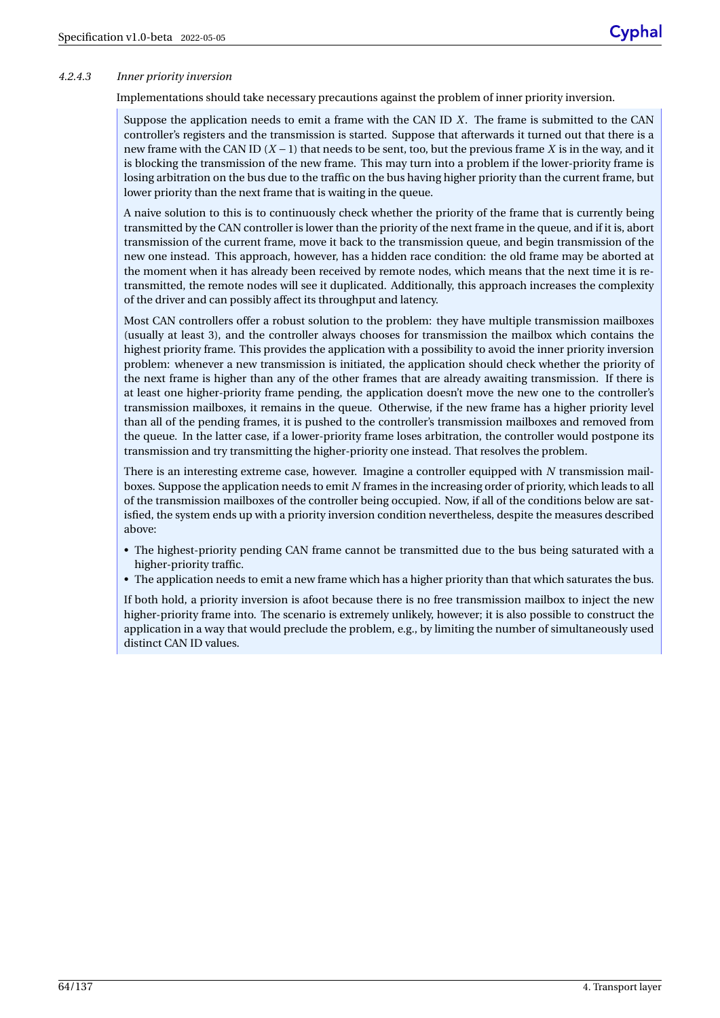# *4.2.4.3 Inner priority inversion*

Implementations should take necessary precautions against the problem of inner priority inversion.

Suppose the application needs to emit a frame with the CAN ID *X*. The frame is submitted to the CAN controller's registers and the transmission is started. Suppose that afterwards it turned out that there is a new frame with the CAN ID (*X* −1) that needs to be sent, too, but the previous frame *X* is in the way, and it is blocking the transmission of the new frame. This may turn into a problem if the lower-priority frame is losing arbitration on the bus due to the traffic on the bus having higher priority than the current frame, but lower priority than the next frame that is waiting in the queue.

A naive solution to this is to continuously check whether the priority of the frame that is currently being transmitted by the CAN controller is lower than the priority of the next frame in the queue, and if it is, abort transmission of the current frame, move it back to the transmission queue, and begin transmission of the new one instead. This approach, however, has a hidden race condition: the old frame may be aborted at the moment when it has already been received by remote nodes, which means that the next time it is retransmitted, the remote nodes will see it duplicated. Additionally, this approach increases the complexity of the driver and can possibly affect its throughput and latency.

Most CAN controllers offer a robust solution to the problem: they have multiple transmission mailboxes (usually at least 3), and the controller always chooses for transmission the mailbox which contains the highest priority frame. This provides the application with a possibility to avoid the inner priority inversion problem: whenever a new transmission is initiated, the application should check whether the priority of the next frame is higher than any of the other frames that are already awaiting transmission. If there is at least one higher-priority frame pending, the application doesn't move the new one to the controller's transmission mailboxes, it remains in the queue. Otherwise, if the new frame has a higher priority level than all of the pending frames, it is pushed to the controller's transmission mailboxes and removed from the queue. In the latter case, if a lower-priority frame loses arbitration, the controller would postpone its transmission and try transmitting the higher-priority one instead. That resolves the problem.

There is an interesting extreme case, however. Imagine a controller equipped with *N* transmission mailboxes. Suppose the application needs to emit *N* frames in the increasing order of priority, which leads to all of the transmission mailboxes of the controller being occupied. Now, if all of the conditions below are satisfied, the system ends up with a priority inversion condition nevertheless, despite the measures described above:

- The highest-priority pending CAN frame cannot be transmitted due to the bus being saturated with a higher-priority traffic.
- The application needs to emit a new frame which has a higher priority than that which saturates the bus.

If both hold, a priority inversion is afoot because there is no free transmission mailbox to inject the new higher-priority frame into. The scenario is extremely unlikely, however; it is also possible to construct the application in a way that would preclude the problem, e.g., by limiting the number of simultaneously used distinct CAN ID values.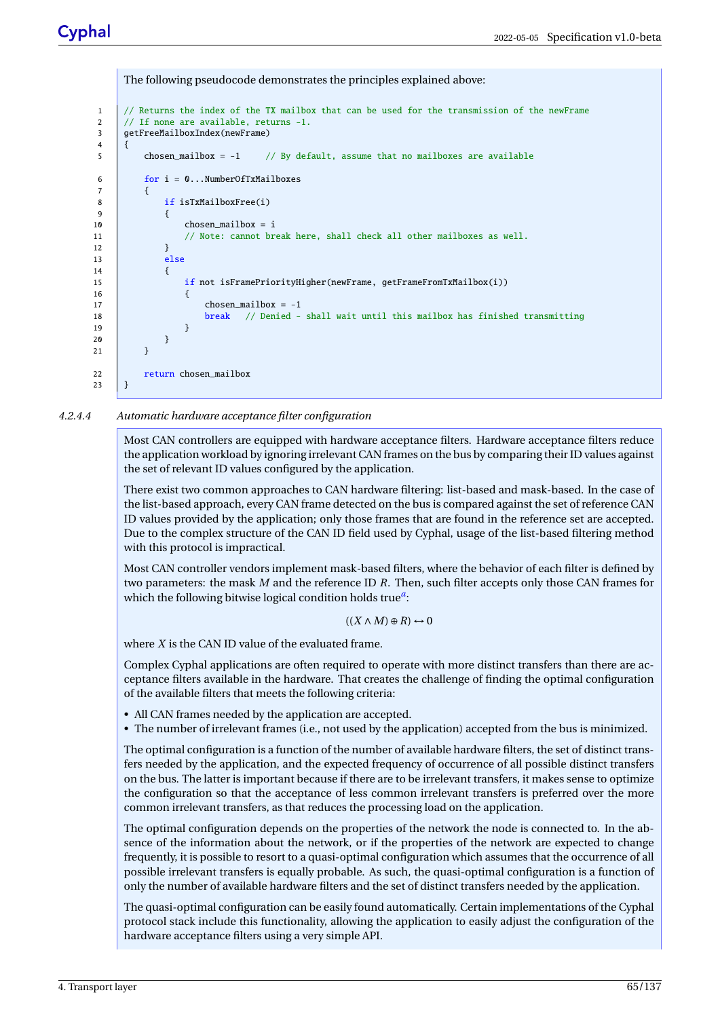The following pseudocode demonstrates the principles explained above:

```
1 // Returns the index of the TX mailbox that can be used for the transmission of the newFrame
2 \frac{1}{1} // If none are available, returns -1.
3 detFreeMailboxIndex(newFrame)
\overline{4}5 chosen_mailbox = -1 \frac{1}{2} // By default, assume that no mailboxes are available
6 for i = 0...NumberOfTxMailboxes7 {
8 if isTxMailboxFree(i)
 9 {
10 chosen mailbox = i
11 // Note: cannot break here, shall check all other mailboxes as well.
12 }
13 else
14 {
15 if not isFramePriorityHigher(newFrame, getFrameFromTxMailbox(i))
16 {
17 \vert chosen_mailbox = -1
18 break // Denied - shall wait until this mailbox has finished transmitting
19 }
20 }
21 \quad \boxed{} \quad 322 Preturn chosen mailbox
23 \vert }
```
### *4.2.4.4 Automatic hardware acceptance filter configuration*

Most CAN controllers are equipped with hardware acceptance filters. Hardware acceptance filters reduce the application workload by ignoring irrelevant CAN frames on the bus by comparing their ID values against the set of relevant ID values configured by the application.

There exist two common approaches to CAN hardware filtering: list-based and mask-based. In the case of the list-based approach, every CAN frame detected on the bus is compared against the set of reference CAN ID values provided by the application; only those frames that are found in the reference set are accepted. Due to the complex structure of the CAN ID field used by Cyphal, usage of the list-based filtering method with this protocol is impractical.

Most CAN controller vendors implement mask-based filters, where the behavior of each filter is defined by two parameters: the mask *M* and the reference ID *R*. Then, such filter accepts only those CAN frames for which the following bitwise logical condition holds true*[a](#page-71-0)* :

 $((X \land M) ⊕ R)$  ↔ 0

where *X* is the CAN ID value of the evaluated frame.

Complex Cyphal applications are often required to operate with more distinct transfers than there are acceptance filters available in the hardware. That creates the challenge of finding the optimal configuration of the available filters that meets the following criteria:

- All CAN frames needed by the application are accepted.
- The number of irrelevant frames (i.e., not used by the application) accepted from the bus is minimized.

The optimal configuration is a function of the number of available hardware filters, the set of distinct transfers needed by the application, and the expected frequency of occurrence of all possible distinct transfers on the bus. The latter is important because if there are to be irrelevant transfers, it makes sense to optimize the configuration so that the acceptance of less common irrelevant transfers is preferred over the more common irrelevant transfers, as that reduces the processing load on the application.

The optimal configuration depends on the properties of the network the node is connected to. In the absence of the information about the network, or if the properties of the network are expected to change frequently, it is possible to resort to a quasi-optimal configuration which assumes that the occurrence of all possible irrelevant transfers is equally probable. As such, the quasi-optimal configuration is a function of only the number of available hardware filters and the set of distinct transfers needed by the application.

The quasi-optimal configuration can be easily found automatically. Certain implementations of the Cyphal protocol stack include this functionality, allowing the application to easily adjust the configuration of the hardware acceptance filters using a very simple API.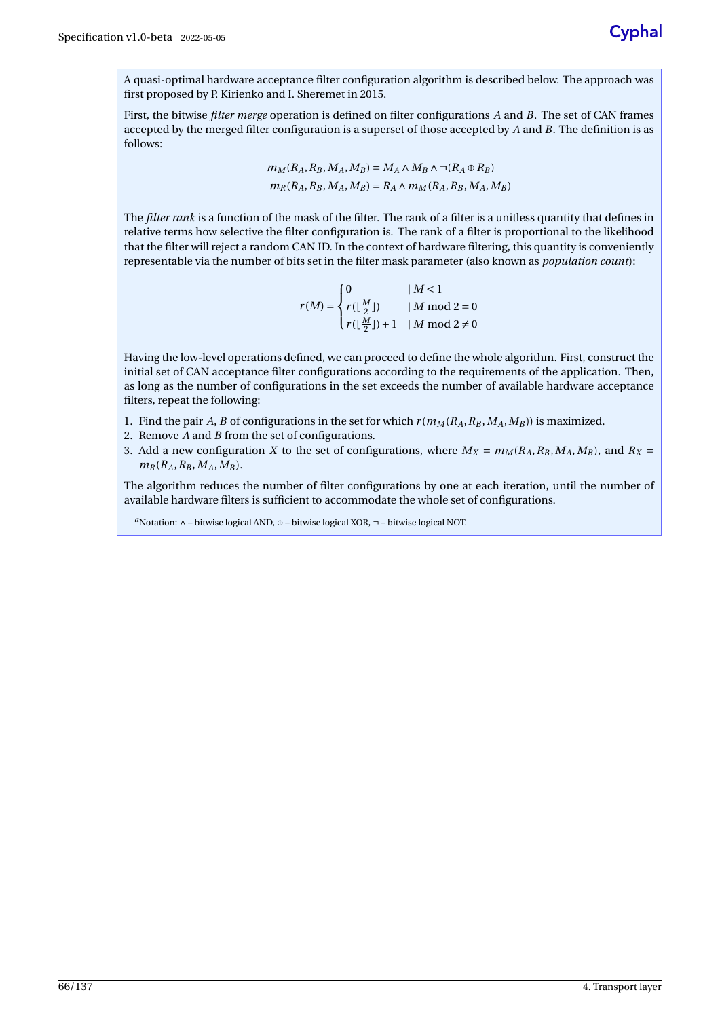A quasi-optimal hardware acceptance filter configuration algorithm is described below. The approach was first proposed by P. Kirienko and I. Sheremet in 2015.

First, the bitwise *filter merge* operation is defined on filter configurations *A* and *B*. The set of CAN frames accepted by the merged filter configuration is a superset of those accepted by *A* and *B*. The definition is as follows:

$$
m_M(R_A, R_B, M_A, M_B) = M_A \wedge M_B \wedge \neg (R_A \oplus R_B)
$$
  

$$
m_R(R_A, R_B, M_A, M_B) = R_A \wedge m_M(R_A, R_B, M_A, M_B)
$$

The *filter rank* is a function of the mask of the filter. The rank of a filter is a unitless quantity that defines in relative terms how selective the filter configuration is. The rank of a filter is proportional to the likelihood that the filter will reject a random CAN ID. In the context of hardware filtering, this quantity is conveniently representable via the number of bits set in the filter mask parameter (also known as *population count*):

$$
r(M) = \begin{cases} 0 & |M < 1 \\ r(\lfloor \frac{M}{2} \rfloor) & |M \mod 2 = 0 \\ r(\lfloor \frac{M}{2} \rfloor) + 1 & |M \mod 2 \neq 0 \end{cases}
$$

Having the low-level operations defined, we can proceed to define the whole algorithm. First, construct the initial set of CAN acceptance filter configurations according to the requirements of the application. Then, as long as the number of configurations in the set exceeds the number of available hardware acceptance filters, repeat the following:

- 1. Find the pair *A*, *B* of configurations in the set for which  $r(m_M(R_A, R_B, M_A, M_B))$  is maximized.
- 2. Remove *A* and *B* from the set of configurations.
- 3. Add a new configuration *X* to the set of configurations, where  $M_X = m_M(R_A, R_B, M_A, M_B)$ , and  $R_X = m_A$  $m_R(R_A, R_B, M_A, M_B)$ .

The algorithm reduces the number of filter configurations by one at each iteration, until the number of available hardware filters is sufficient to accommodate the whole set of configurations.

<span id="page-71-0"></span>*<sup>a</sup>*Notation: ∧ – bitwise logical AND, ⊕ – bitwise logical XOR, ¬ – bitwise logical NOT.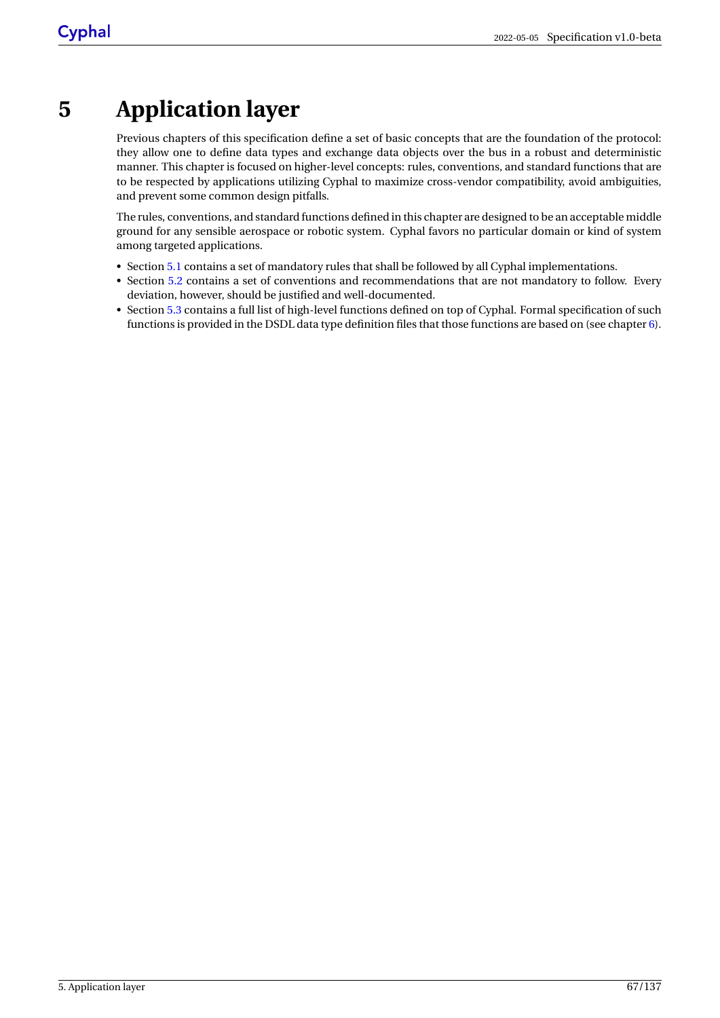# **5 Application layer**

Previous chapters of this specification define a set of basic concepts that are the foundation of the protocol: they allow one to define data types and exchange data objects over the bus in a robust and deterministic manner. This chapter is focused on higher-level concepts: rules, conventions, and standard functions that are to be respected by applications utilizing Cyphal to maximize cross-vendor compatibility, avoid ambiguities, and prevent some common design pitfalls.

The rules, conventions, and standard functions defined in this chapter are designed to be an acceptable middle ground for any sensible aerospace or robotic system. Cyphal favors no particular domain or kind of system among targeted applications.

- Section [5.1](#page-73-0) contains a set of mandatory rules that shall be followed by all Cyphal implementations.
- Section [5.2](#page-75-0) contains a set of conventions and recommendations that are not mandatory to follow. Every deviation, however, should be justified and well-documented.
- Section [5.3](#page-78-0) contains a full list of high-level functions defined on top of Cyphal. Formal specification of such functions is provided in the DSDL data type definition files that those functions are based on (see chapter [6\)](#page-87-0).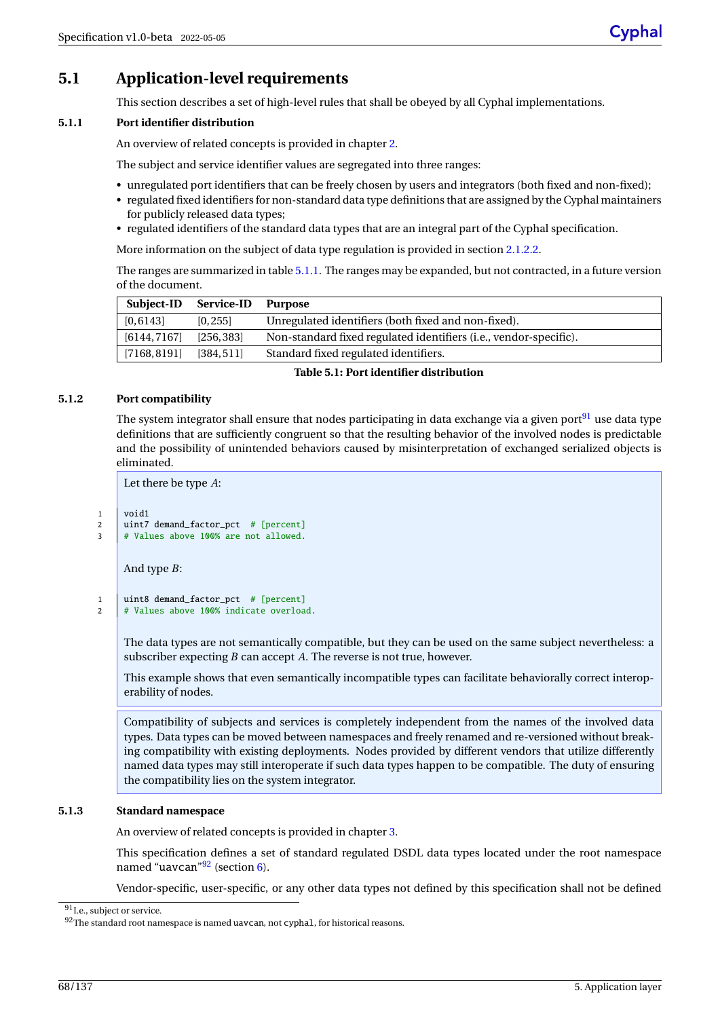# <span id="page-73-0"></span>**5.1 Application-level requirements**

This section describes a set of high-level rules that shall be obeyed by all Cyphal implementations.

# <span id="page-73-1"></span>**5.1.1 Port identifier distribution**

An overview of related concepts is provided in chapter [2.](#page-10-0)

The subject and service identifier values are segregated into three ranges:

- unregulated port identifiers that can be freely chosen by users and integrators (both fixed and non-fixed);
- regulated fixed identifiers for non-standard data type definitions that are assigned by the Cyphal maintainers for publicly released data types;
- regulated identifiers of the standard data types that are an integral part of the Cyphal specification.

More information on the subject of data type regulation is provided in section [2.1.2.2.](#page-10-1)

The ranges are summarized in table [5.1.1.](#page-73-1) The ranges may be expanded, but not contracted, in a future version of the document.

| Subject-ID   | <b>Service-ID</b> | Purpose                                                           |
|--------------|-------------------|-------------------------------------------------------------------|
| [0, 6143]    | [0, 255]          | Unregulated identifiers (both fixed and non-fixed).               |
| [6144, 7167] | [256, 383]        | Non-standard fixed regulated identifiers (i.e., vendor-specific). |
| [7168, 8191] | [384, 511]        | Standard fixed regulated identifiers.                             |

### **Table 5.1: Port identifier distribution**

## **5.1.2 Port compatibility**

The system integrator shall ensure that nodes participating in data exchange via a given port $91$  use data type definitions that are sufficiently congruent so that the resulting behavior of the involved nodes is predictable and the possibility of unintended behaviors caused by misinterpretation of exchanged serialized objects is eliminated.

```
Let there be type A:
```

```
1 void1
2 | uint7 demand_factor_pct # [percent]
3 # Values above 100% are not allowed.
    And type B:
1 | uint8 demand_factor_pct # [percent]
     # Values above 100% indicate overload.
```
The data types are not semantically compatible, but they can be used on the same subject nevertheless: a subscriber expecting *B* can accept *A*. The reverse is not true, however.

This example shows that even semantically incompatible types can facilitate behaviorally correct interoperability of nodes.

Compatibility of subjects and services is completely independent from the names of the involved data types. Data types can be moved between namespaces and freely renamed and re-versioned without breaking compatibility with existing deployments. Nodes provided by different vendors that utilize differently named data types may still interoperate if such data types happen to be compatible. The duty of ensuring the compatibility lies on the system integrator.

## **5.1.3 Standard namespace**

An overview of related concepts is provided in chapter [3.](#page-14-0)

This specification defines a set of standard regulated DSDL data types located under the root namespace named "uavcan"<sup>[92](#page-73-3)</sup> (section [6\)](#page-87-0).

Vendor-specific, user-specific, or any other data types not defined by this specification shall not be defined

<span id="page-73-2"></span><sup>&</sup>lt;sup>91</sup> I.e., subject or service.

<span id="page-73-3"></span> $92$ The standard root namespace is named uavcan, not cyphal, for historical reasons.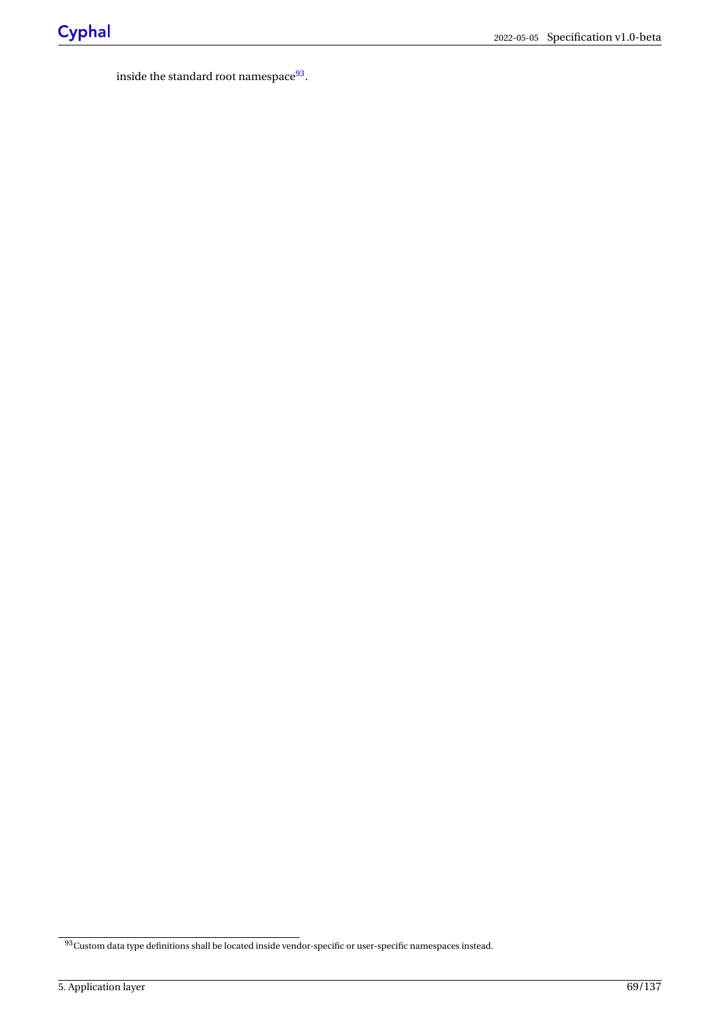inside the standard root namespace<sup>[93](#page-74-0)</sup>.

<span id="page-74-0"></span> $\overline{^{93}$ Custom data type definitions shall be located inside vendor-specific or user-specific namespaces instead.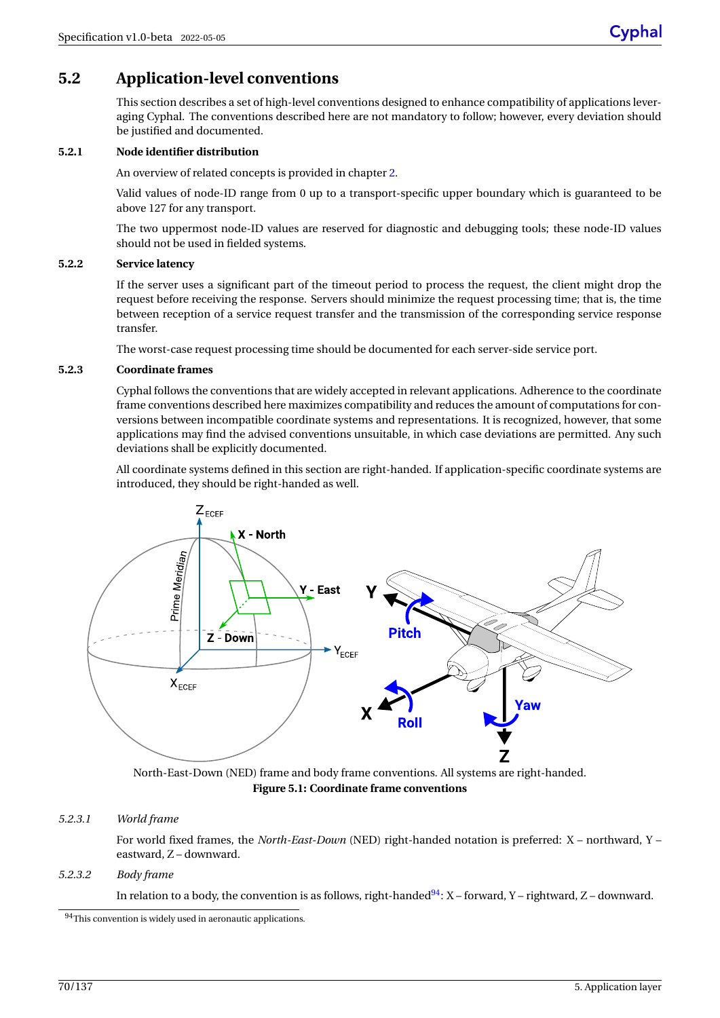# <span id="page-75-0"></span>**5.2 Application-level conventions**

This section describes a set of high-level conventions designed to enhance compatibility of applications leveraging Cyphal. The conventions described here are not mandatory to follow; however, every deviation should be justified and documented.

# **5.2.1 Node identifier distribution**

An overview of related concepts is provided in chapter [2.](#page-10-0)

Valid values of node-ID range from 0 up to a transport-specific upper boundary which is guaranteed to be above 127 for any transport.

The two uppermost node-ID values are reserved for diagnostic and debugging tools; these node-ID values should not be used in fielded systems.

## **5.2.2 Service latency**

If the server uses a significant part of the timeout period to process the request, the client might drop the request before receiving the response. Servers should minimize the request processing time; that is, the time between reception of a service request transfer and the transmission of the corresponding service response transfer.

The worst-case request processing time should be documented for each server-side service port.

### **5.2.3 Coordinate frames**

Cyphal follows the conventions that are widely accepted in relevant applications. Adherence to the coordinate frame conventions described here maximizes compatibility and reduces the amount of computations for conversions between incompatible coordinate systems and representations. It is recognized, however, that some applications may find the advised conventions unsuitable, in which case deviations are permitted. Any such deviations shall be explicitly documented.

All coordinate systems defined in this section are right-handed. If application-specific coordinate systems are introduced, they should be right-handed as well.



North-East-Down (NED) frame and body frame conventions. All systems are right-handed. **Figure 5.1: Coordinate frame conventions**

# *5.2.3.1 World frame*

For world fixed frames, the *North-East-Down* (NED) right-handed notation is preferred: X – northward, Y – eastward, Z – downward.

## *5.2.3.2 Body frame*

In relation to a body, the convention is as follows, right-handed<sup>[94](#page-75-1)</sup>:  $X$  – forward, Y – rightward, Z – downward.

<span id="page-75-1"></span> $\overline{^{94}}$  This convention is widely used in aeronautic applications.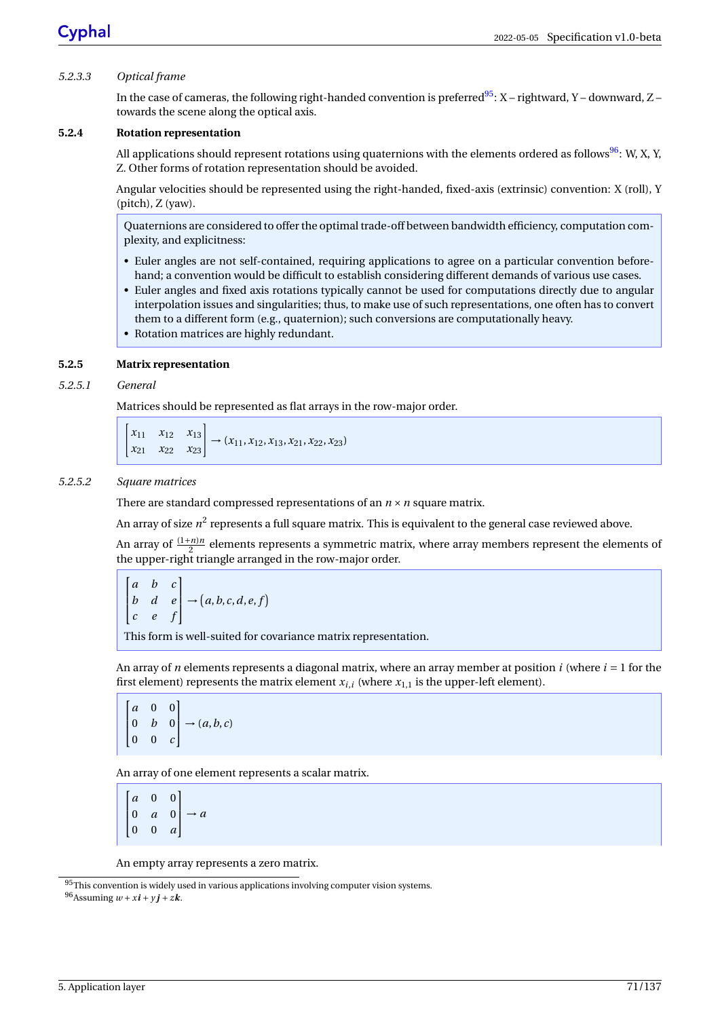# *5.2.3.3 Optical frame*

In the case of cameras, the following right-handed convention is preferred<sup>[95](#page-76-0)</sup>: X – rightward, Y – downward, Z – towards the scene along the optical axis.

## **5.2.4 Rotation representation**

All applications should represent rotations using quaternions with the elements ordered as follows<sup>[96](#page-76-1)</sup>: W, X, Y, Z. Other forms of rotation representation should be avoided.

Angular velocities should be represented using the right-handed, fixed-axis (extrinsic) convention: X (roll), Y (pitch), Z (yaw).

Quaternions are considered to offer the optimal trade-off between bandwidth efficiency, computation complexity, and explicitness:

- Euler angles are not self-contained, requiring applications to agree on a particular convention beforehand; a convention would be difficult to establish considering different demands of various use cases.
- Euler angles and fixed axis rotations typically cannot be used for computations directly due to angular interpolation issues and singularities; thus, to make use of such representations, one often has to convert them to a different form (e.g., quaternion); such conversions are computationally heavy.
- Rotation matrices are highly redundant.

# **5.2.5 Matrix representation**

## *5.2.5.1 General*

Matrices should be represented as flat arrays in the row-major order.

 $\lceil$ *x*<sup>11</sup> *x*<sup>12</sup> *x*<sup>13</sup>  $\begin{bmatrix} x_{11} & x_{12} & x_{13} \\ x_{21} & x_{22} & x_{23} \end{bmatrix}$  $\rightarrow$  ( $x_{11}, x_{12}, x_{13}, x_{21}, x_{22}, x_{23}$ )

# *5.2.5.2 Square matrices*

There are standard compressed representations of an *n* ×*n* square matrix.

An array of size  $n^2$  represents a full square matrix. This is equivalent to the general case reviewed above.

An array of  $\frac{(1+n)n}{2}$  elements represents a symmetric matrix, where array members represent the elements of the upper-right triangle arranged in the row-major order.

$$
\begin{bmatrix} a & b & c \\ b & d & e \\ c & e & f \end{bmatrix} \rightarrow (a, b, c, d, e, f)
$$

This form is well-suited for covariance matrix representation.

An array of *n* elements represents a diagonal matrix, where an array member at position *i* (where *i* = 1 for the first element) represents the matrix element  $x_{i,i}$  (where  $x_{1,1}$  is the upper-left element).

 $\overline{1}$  $\vert$ *a* 0 0 0 *b* 0 0 0 *c* 1  $\rightarrow$  (*a*,*b*,*c*)

An array of one element represents a scalar matrix.

 $\overline{1}$  $\begin{vmatrix} 0 & a & 0 \\ 0 & 0 & a \end{vmatrix}$   $\rightarrow$  *a*  $\overline{1}$ *a* 0 0 0 *a* 1

An empty array represents a zero matrix.

<span id="page-76-0"></span> $95$ This convention is widely used in various applications involving computer vision systems.

<span id="page-76-1"></span> $96$ Assuming  $w + x\mathbf{i} + y\mathbf{j} + z\mathbf{k}$ .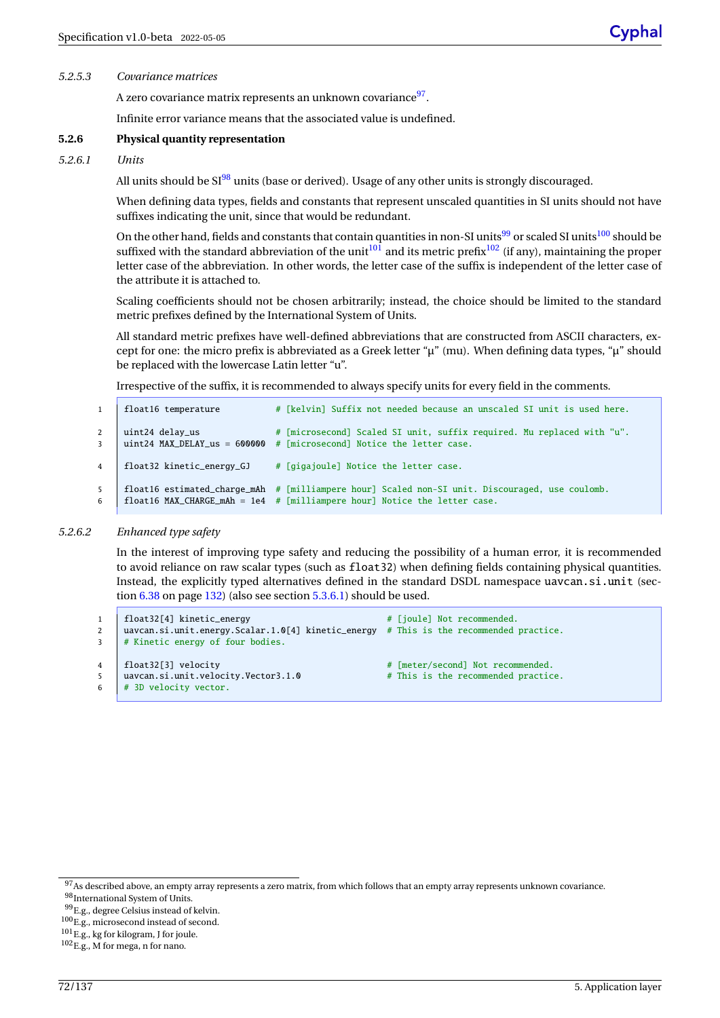## *5.2.5.3 Covariance matrices*

A zero covariance matrix represents an unknown covariance $^{97}.$  $^{97}.$  $^{97}.$ 

Infinite error variance means that the associated value is undefined.

## **5.2.6 Physical quantity representation**

### *5.2.6.1 Units*

All units should be  $SI^{98}$  $SI^{98}$  $SI^{98}$  units (base or derived). Usage of any other units is strongly discouraged.

When defining data types, fields and constants that represent unscaled quantities in SI units should not have suffixes indicating the unit, since that would be redundant.

On the other hand, fields and constants that contain quantities in non-SI units<sup>[99](#page-77-2)</sup> or scaled SI units<sup>[100](#page-77-3)</sup> should be suffixed with the standard abbreviation of the unit<sup>[101](#page-77-4)</sup> and its metric prefix<sup>[102](#page-77-5)</sup> (if any), maintaining the proper letter case of the abbreviation. In other words, the letter case of the suffix is independent of the letter case of the attribute it is attached to.

Scaling coefficients should not be chosen arbitrarily; instead, the choice should be limited to the standard metric prefixes defined by the International System of Units.

All standard metric prefixes have well-defined abbreviations that are constructed from ASCII characters, except for one: the micro prefix is abbreviated as a Greek letter " $\mu$ " (mu). When defining data types, " $\mu$ " should be replaced with the lowercase Latin letter "u".

Irrespective of the suffix, it is recommended to always specify units for every field in the comments.

|         | float16 temperature       | # [kelvin] Suffix not needed because an unscaled SI unit is used here.                                                                                                         |
|---------|---------------------------|--------------------------------------------------------------------------------------------------------------------------------------------------------------------------------|
| 3       | uint24 delay_us           | # [microsecond] Scaled SI unit, suffix required. Mu replaced with "u".<br>$uint24$ MAX_DELAY_us = 600000 # [microsecond] Notice the letter case.                               |
| 4       | float32 kinetic_energy_GJ | # [gigajoule] Notice the letter case.                                                                                                                                          |
| 5.<br>6 |                           | float16 estimated_charge_mAh # [milliampere hour] Scaled non-SI unit. Discouraged, use coulomb.<br>float16 MAX_CHARGE_mAh = $1e4$ # [milliampere hour] Notice the letter case. |

### *5.2.6.2 Enhanced type safety*

In the interest of improving type safety and reducing the possibility of a human error, it is recommended to avoid reliance on raw scalar types (such as float32) when defining fields containing physical quantities. Instead, the explicitly typed alternatives defined in the standard DSDL namespace uavcan.si.unit (section [6.38](#page-137-0) on page [132\)](#page-137-0) (also see section [5.3.6.1\)](#page-80-0) should be used.

```
1 float32[4] kinetic_energy # [joule] Not recommended.
2 uavcan.si.unit.energy.Scalar.1.0[4] kinetic_energy # This is the recommended practice.<br># Kinetic energy of four bodies.
    # Kinetic energy of four bodies.
4 float32[3] velocity # [meter/second] Not recommended.
5 uavcan.si.unit.velocity.Vector3.1.0 # This is the recommended practice.
6 # 3D velocity vector.
```
<span id="page-77-1"></span><sup>98</sup>International System of Units.

<span id="page-77-0"></span><sup>&</sup>lt;sup>97</sup>As described above, an empty array represents a zero matrix, from which follows that an empty array represents unknown covariance.

<span id="page-77-2"></span><sup>99</sup>E.g., degree Celsius instead of kelvin.

<span id="page-77-3"></span><sup>100</sup>E.g., microsecond instead of second.

<span id="page-77-4"></span><sup>101</sup>E.g., kg for kilogram, J for joule.

<span id="page-77-5"></span><sup>102</sup>E.g., M for mega, n for nano.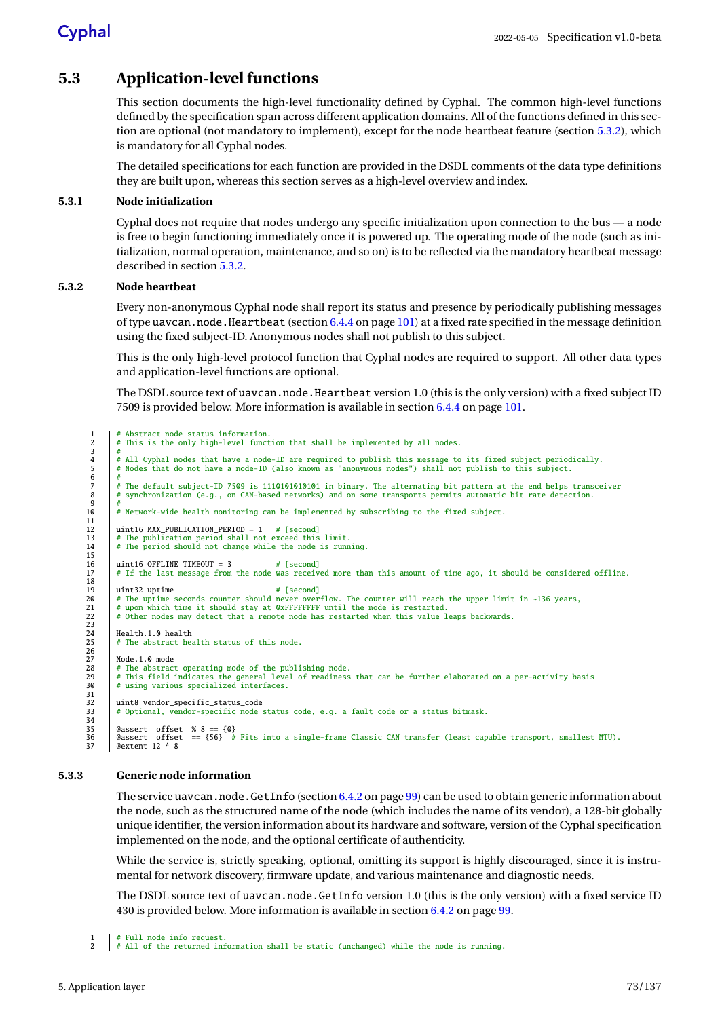# <span id="page-78-0"></span>**5.3 Application-level functions**

This section documents the high-level functionality defined by Cyphal. The common high-level functions defined by the specification span across different application domains. All of the functions defined in this section are optional (not mandatory to implement), except for the node heartbeat feature (section [5.3.2\)](#page-78-1), which is mandatory for all Cyphal nodes.

The detailed specifications for each function are provided in the DSDL comments of the data type definitions they are built upon, whereas this section serves as a high-level overview and index.

### **5.3.1 Node initialization**

Cyphal does not require that nodes undergo any specific initialization upon connection to the bus — a node is free to begin functioning immediately once it is powered up. The operating mode of the node (such as initialization, normal operation, maintenance, and so on) is to be reflected via the mandatory heartbeat message described in section [5.3.2.](#page-78-1)

## <span id="page-78-1"></span>**5.3.2 Node heartbeat**

 $\frac{3}{4}$ 

 $\frac{8}{9}$ <br>10

 $\begin{array}{c} 11 \\ 12 \end{array}$ 

 $15$ <br> $16$ 

18

 $\frac{22}{23}$ <br> $\frac{24}{25}$ 

 $rac{26}{27}$ 

 $\frac{31}{32}$ 

34<br>35

Every non-anonymous Cyphal node shall report its status and presence by periodically publishing messages of type uavcan.node.Heartbeat (section [6.4.4](#page-106-0) on page [101\)](#page-106-0) at a fixed rate specified in the message definition using the fixed subject-ID. Anonymous nodes shall not publish to this subject.

This is the only high-level protocol function that Cyphal nodes are required to support. All other data types and application-level functions are optional.

The DSDL source text of uavcan.node.Heartbeat version 1.0 (this is the only version) with a fixed subject ID 7509 is provided below. More information is available in section [6.4.4](#page-106-0) on page [101.](#page-106-0)

```
1 # Abstract node status information.<br>2 # This is the only high-level funct
             This is the only high-level function that shall be implemented by all nodes.
  4 # All Cyphal nodes that have a node-ID are required to publish this message to its fixed subject periodically.
5 # Nodes that do not have a node-ID (also known as "anonymous nodes") shall not publish to this subject.
 \begin{array}{c|c} 6 & \# \\ 7 & \# \end{array}\frac{a}{f} The default subject-ID 7509 is 1110101010101 in binary. The alternating bit pattern at the end helps transceiver \frac{a}{f} synchronization (e.g., on CAN-based networks) and on some transports permits automatic b
             8 # synchronization (e.g., on CAN-based networks) and on some transports permits automatic bit rate detection.
           # Network-wide health monitoring can be implemented by subscribing to the fixed subject.
12 uint16 MAX_PUBLICATION_PERIOD = 1 # [second]<br>13 # The publication period shall not exceed this<br>14 # The period should not change while the node
13 | # The publication period shall not exceed this limit.<br>14 | # The period should not change while the node is running.
16 uint16 OFFLINE_TIMEOUT = 3 # [second]<br>17 # If the last message from the node was receiv
           # If the last message from the node was received more than this amount of time ago, it should be considered offline.
19 uint32 uptime # [second]<br>
20 # The uptime seconds counter should never over<br>
21 # upon which time it should stay at 0xFFFFFFFF
20 # The uptime seconds counter should never overflow. The counter will reach the upper limit in ~136 years,
21 # upon which time it should stay at 0xFFFFFFFF until the node is restarted.
           # Other nodes may detect that a remote node has restarted when this value leaps backwards.
          Health.1.0 health
           # The abstract health status of this node.
27 Mode.1.0 mode<br>28 # The abstrac
28 # The abstract operating mode of the publishing node.<br>
29 # This field indicates the general level of readiness<br>
30 # using various specialized interfaces.
29 # This field indicates the general level of readiness that can be further elaborated on a per-activity basis
30 # using various specialized interfaces.
32 uint8 vendor_specific_status_code<br>33 # Optional. vendor-specific node
           # Optional, vendor-specific node status code, e.g. a fault code or a status bitmask.
35 @assert _offset_ % 8 == {0}<br>36 @assert offset == {56} #
36 @assert _offset_ == {56} # Fits into a single-frame Classic CAN transfer (least capable transport, smallest MTU).
          Qextent 12 * R
```
## **5.3.3 Generic node information**

The service uavcan.node.GetInfo (section [6.4.2](#page-104-0) on page [99\)](#page-104-0) can be used to obtain generic information about the node, such as the structured name of the node (which includes the name of its vendor), a 128-bit globally unique identifier, the version information about its hardware and software, version of the Cyphal specification implemented on the node, and the optional certificate of authenticity.

While the service is, strictly speaking, optional, omitting its support is highly discouraged, since it is instrumental for network discovery, firmware update, and various maintenance and diagnostic needs.

The DSDL source text of uavcan.node.GetInfo version 1.0 (this is the only version) with a fixed service ID 430 is provided below. More information is available in section [6.4.2](#page-104-0) on page [99.](#page-104-0)

```
\frac{1}{7} \frac{1}{4} \frac{1}{10} \frac{1}{10} \frac{1}{10} \frac{1}{10} \frac{1}{10} \frac{1}{10} \frac{1}{10} \frac{1}{10} \frac{1}{10} \frac{1}{10} \frac{1}{10} \frac{1}{10} \frac{1}{10} \frac{1}{10} \frac{1}{10} \frac{1}{10} \frac{1}{10} \frac{1}{10} \frac
```
2 # All of the returned information shall be static (unchanged) while the node is running.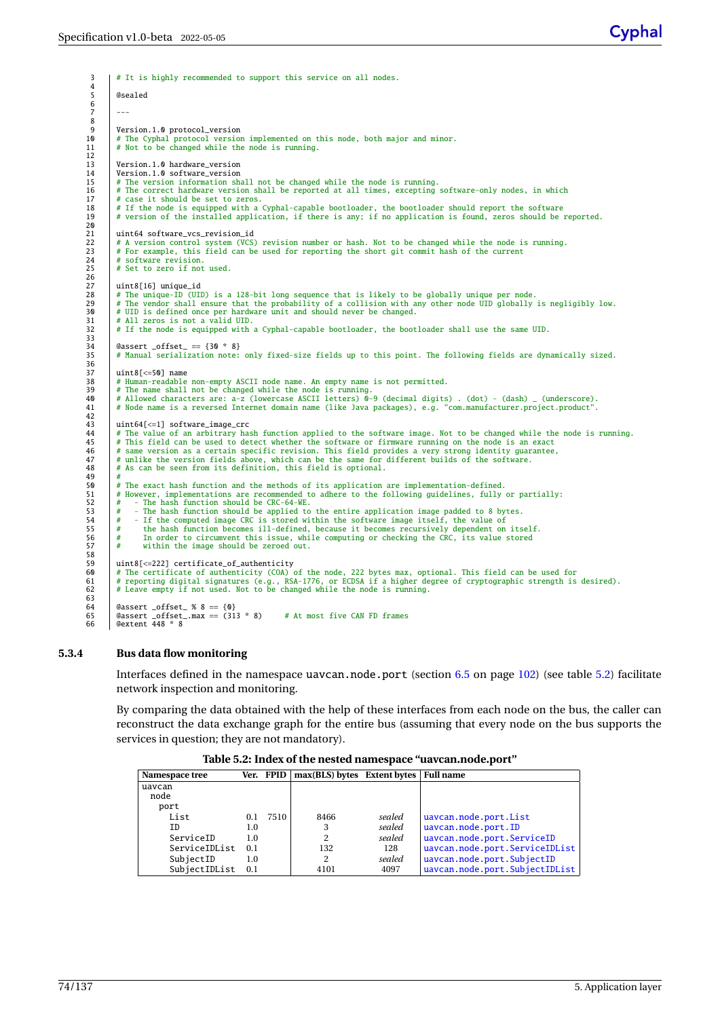# It is highly recommended to support this service on all nodes.  $\frac{4}{5}$ @sealed  $\begin{array}{c|c} 6 & \phantom{0} \\ 7 & \phantom{0} \\ \end{array}$  $\frac{8}{9}$ 9 Version.1.0 protocol\_version<br>10 # The Cyphal protocol version<br>11 # Not to be changed while the 10 # The Cyphal protocol version implemented on this node, both major and minor. 11 # Not to be changed while the node is running.  $\frac{12}{13}$ <br> $\frac{13}{14}$ Version.1.0 hardware\_version 14 | Version.1.0 software\_version<br>15 # The version information sh 15 # The version information shall not be changed while the node is running. 16 # The correct hardware version shall be reported at all times, excepting software-only nodes, in which 17 # case it should be set to zeros. 18 # If the node is equipped with a Cyphal-capable bootloader, the bootloader should report the software 19 # version of the installed application, if there is any; if no application is found, zeros should be reported.  $\begin{array}{c} 20 \\ 21 \end{array}$ 21 uint64 software\_vcs\_revision\_id<br>
22 # A version control system (VCS)<br>
23 # For example, this field can be 22 # A version control system (VCS) revision number or hash. Not to be changed while the node is running. 23 # For example, this field can be used for reporting the short git commit hash of the current 24 # software revision. 25 # Set to zero if not used.  $\frac{24}{25}$ <br> $\frac{25}{26}$ 27  $\left| \begin{array}{c} \text{uint8[16]} \text{ unique_id} \\ \text{# The unique-ID (UI)} \end{array} \right.$ # The unique-ID (UID) is a 128-bit long sequence that is likely to be globally unique per node.<br>29 # The vendor shall ensure that the probability of a collision with any other node UID globally is negligibly low.<br>30 # UID 31 # All zeros is not a valid UID. 32 # If the node is equipped with a Cyphal-capable bootloader, the bootloader shall use the same UID. 33 34 @assert \_offset\_ == {30 \* 8} 35 # Manual serialization note: only fixed-size fields up to this point. The following fields are dynamically sized. 36<br>37 37  $\left[\frac{\text{uint8}[-50]}{\text{num}}\right]$  name # Human-readable non-empty ASCII node name. An empty name is not permitted.<br>40 # The name shall not be changed while the node is running.<br>41 # Allowed characters are: a-z (lowercase ASCII letters) 0-9 (decimal digits) . (d  $42$ <br> $43$ <br> $44$ 43 uint64[<=1] software\_image\_crc 44 # The value of an arbitrary hash function applied to the software image. Not to be changed while the node is running. 45 # This field can be used to detect whether the software or firmware running on the node is an exact 46 # same version as a certain specific revision. This field provides a very strong identity guarantee, 47 # unlike the version fields above, which can be the same for different builds of the software.<br>48 # As can be seen from its definition, this field is optional. 48 # As can be seen from its definition, this field is optional. 49<br>50<br>51 The exact hash function and the methods of its application are implementation-defined. 4 However, implementations are recommended to adhere to the following guidelines, fully or partially:<br>52 # - The hash function should be CRC-64-WE.<br>53 # - The hash function should be applied to the entire application image 4 - If the computed image CRC is stored within the software image itself, the value of<br>
4 the hash function becomes ill-defined, because it becomes recursively dependent on itself.<br>
4 In order to circumvent this issue, whi 57<br>58<br>59  $\begin{array}{ll}\n 69 & \text{uint8} \{ <=222\} \text{ certificate_of_} \text{authenticity} \\
 60 & \text{# re certificate of authenticity} \quad \text{f(COA)} \quad \text{of the node, 222 bytes max, optional. This field can be used for} \\
 61 & \text{# reporting digitial signatures (e.g., RSA-1776, or ECDSA if a higher degree of cryptographic strength is desired).} \\
 62 & \text{# Leave empty if not used. Not to be changed while the node is running.}\n \end{array}$ 63 64 @assert \_offset\_ % 8 == {0} 65 @assert \_offset\_.max == (313 \* 8) # At most five CAN FD frames 66 @extent 448 \* 8

## **5.3.4 Bus data flow monitoring**

Interfaces defined in the namespace uavcan.node.port (section [6.5](#page-107-0) on page [102\)](#page-107-0) (see table [5.2\)](#page-79-0) facilitate network inspection and monitoring.

By comparing the data obtained with the help of these interfaces from each node on the bus, the caller can reconstruct the data exchange graph for the entire bus (assuming that every node on the bus supports the services in question; they are not mandatory).

| Namespace tree |     |      | Ver. FPID   max(BLS) bytes Extent bytes   Full name |        |                                |
|----------------|-----|------|-----------------------------------------------------|--------|--------------------------------|
| uavcan         |     |      |                                                     |        |                                |
| node           |     |      |                                                     |        |                                |
| port           |     |      |                                                     |        |                                |
| List           |     | 7510 | 8466                                                | sealed | uavcan.node.port.List          |
| ΙD             | 1.0 |      | 3                                                   | sealed | uavcan.node.port.ID            |
| ServiceID      | 1.0 |      | 2                                                   | sealed | uavcan.node.port.ServiceID     |
| ServiceIDList  | 0.1 |      | 132                                                 | 128    | uavcan.node.port.ServiceIDList |
| SubjectID      | 1.0 |      | 2                                                   | sealed | uavcan.node.port.SubjectID     |
| SubjectIDList  | 0.1 |      | 4101                                                | 4097   | uavcan.node.port.SubjectIDList |

### <span id="page-79-0"></span>**Table 5.2: Index of the nested namespace "uavcan.node.port"**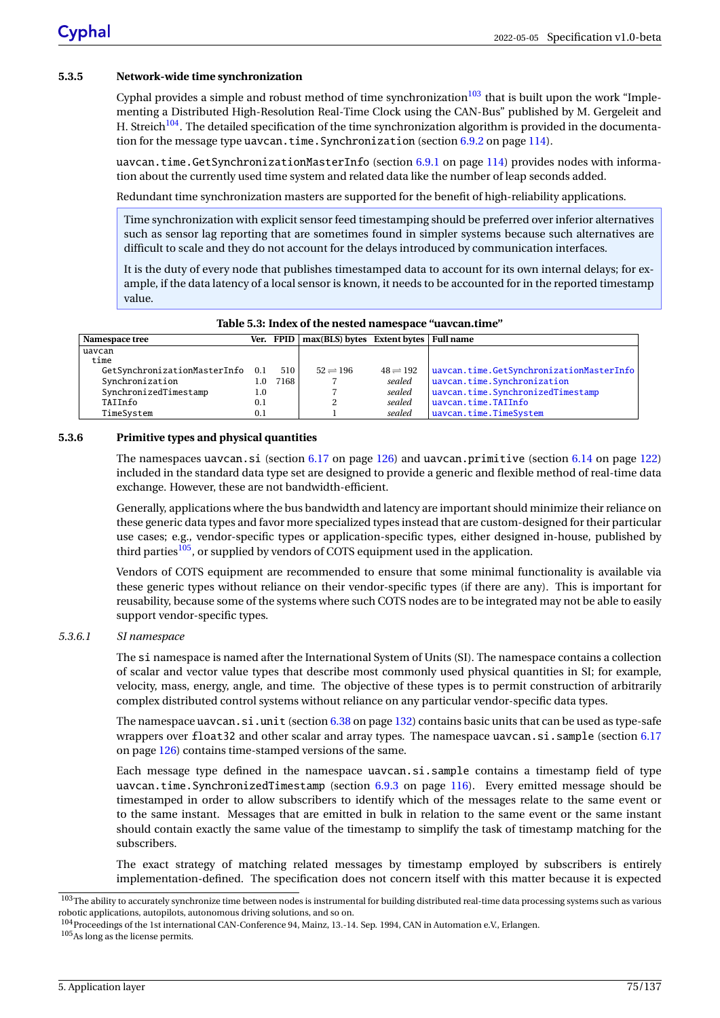# **5.3.5 Network-wide time synchronization**

Cyphal provides a simple and robust method of time synchronization $103$  that is built upon the work "Implementing a Distributed High-Resolution Real-Time Clock using the CAN-Bus" published by M. Gergeleit and H. Streich<sup>[104](#page-80-2)</sup>. The detailed specification of the time synchronization algorithm is provided in the documenta-tion for the message type uavcan.time. Synchronization (section [6.9.2](#page-119-0) on page [114\)](#page-119-0).

uavcan.time.GetSynchronizationMasterInfo (section [6.9.1](#page-119-1) on page [114\)](#page-119-1) provides nodes with information about the currently used time system and related data like the number of leap seconds added.

Redundant time synchronization masters are supported for the benefit of high-reliability applications.

Time synchronization with explicit sensor feed timestamping should be preferred over inferior alternatives such as sensor lag reporting that are sometimes found in simpler systems because such alternatives are difficult to scale and they do not account for the delays introduced by communication interfaces.

It is the duty of every node that publishes timestamped data to account for its own internal delays; for example, if the data latency of a local sensor is known, it needs to be accounted for in the reported timestamp value.

## **Table 5.3: Index of the nested namespace "uavcan.time"**

|         | 510                              | $52 \rightleftharpoons 196$ | $48 \rightleftharpoons 192$ | uavcan.time.GetSynchronizationMasterInfo            |
|---------|----------------------------------|-----------------------------|-----------------------------|-----------------------------------------------------|
| 1.0     |                                  |                             | sealed                      | uavcan.time.Synchronization                         |
| $1.0\,$ |                                  |                             | sealed                      | uavcan.time.SynchronizedTimestamp                   |
| 0.1     |                                  |                             | sealed                      | uavcan.time.TAIInfo                                 |
| 0.1     |                                  |                             | sealed                      | uavcan.time.TimeSystem                              |
|         | GetSynchronizationMasterInfo 0.1 |                             | 7168                        | Ver. FPID   max(BLS) bytes Extent bytes   Full name |

### **5.3.6 Primitive types and physical quantities**

The namespaces uavcan.si (section [6.17](#page-131-0) on page [126\)](#page-131-0) and uavcan.primitive (section [6.14](#page-127-0) on page [122\)](#page-127-0) included in the standard data type set are designed to provide a generic and flexible method of real-time data exchange. However, these are not bandwidth-efficient.

Generally, applications where the bus bandwidth and latency are important should minimize their reliance on these generic data types and favor more specialized types instead that are custom-designed for their particular use cases; e.g., vendor-specific types or application-specific types, either designed in-house, published by third parties $105$ , or supplied by vendors of COTS equipment used in the application.

Vendors of COTS equipment are recommended to ensure that some minimal functionality is available via these generic types without reliance on their vendor-specific types (if there are any). This is important for reusability, because some of the systems where such COTS nodes are to be integrated may not be able to easily support vendor-specific types.

# <span id="page-80-0"></span>*5.3.6.1 SI namespace*

The si namespace is named after the International System of Units (SI). The namespace contains a collection of scalar and vector value types that describe most commonly used physical quantities in SI; for example, velocity, mass, energy, angle, and time. The objective of these types is to permit construction of arbitrarily complex distributed control systems without reliance on any particular vendor-specific data types.

The namespace uavcan.si.unit (section [6.38](#page-137-0) on page [132\)](#page-137-0) contains basic units that can be used as type-safe wrappers over float 32 and other scalar and array types. The namespace uavcan.si.sample (section [6.17](#page-131-0) on page [126\)](#page-131-0) contains time-stamped versions of the same.

Each message type defined in the namespace uavcan.si.sample contains a timestamp field of type uavcan.time.SynchronizedTimestamp (section [6.9.3](#page-121-0) on page [116\)](#page-121-0). Every emitted message should be timestamped in order to allow subscribers to identify which of the messages relate to the same event or to the same instant. Messages that are emitted in bulk in relation to the same event or the same instant should contain exactly the same value of the timestamp to simplify the task of timestamp matching for the subscribers.

The exact strategy of matching related messages by timestamp employed by subscribers is entirely implementation-defined. The specification does not concern itself with this matter because it is expected

<span id="page-80-1"></span> $^{103}$  The ability to accurately synchronize time between nodes is instrumental for building distributed real-time data processing systems such as various robotic applications, autopilots, autonomous driving solutions, and so on.

<span id="page-80-2"></span><sup>104</sup>Proceedings of the 1st international CAN-Conference 94, Mainz, 13.-14. Sep. 1994, CAN in Automation e.V., Erlangen.

<span id="page-80-3"></span><sup>105</sup>As long as the license permits.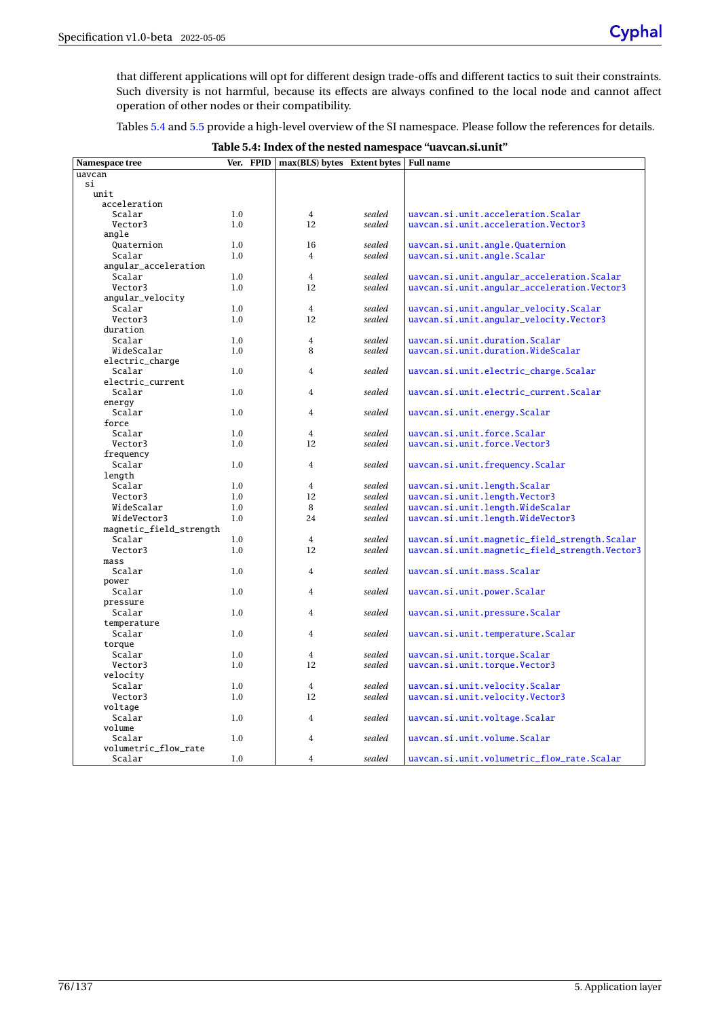that different applications will opt for different design trade-offs and different tactics to suit their constraints. Such diversity is not harmful, because its effects are always confined to the local node and cannot affect operation of other nodes or their compatibility.

Tables [5.4](#page-81-0) and [5.5](#page-82-0) provide a high-level overview of the SI namespace. Please follow the references for details.

<span id="page-81-0"></span>**Table 5.4: Index of the nested namespace "uavcan.si.unit"**

| Namespace tree          |     | Ver. FPID   max(BLS) bytes Extent bytes |        | <b>Full name</b>                               |
|-------------------------|-----|-----------------------------------------|--------|------------------------------------------------|
| uavcan                  |     |                                         |        |                                                |
| si                      |     |                                         |        |                                                |
| unit                    |     |                                         |        |                                                |
| acceleration            |     |                                         |        |                                                |
| Scalar                  | 1.0 | $\overline{4}$                          | sealed | uavcan.si.unit.acceleration.Scalar             |
| Vector3                 | 1.0 | 12                                      | sealed | uavcan.si.unit.acceleration.Vector3            |
| angle                   |     |                                         |        |                                                |
| Quaternion              | 1.0 | 16                                      | sealed | uavcan.si.unit.angle.Quaternion                |
| Scalar                  | 1.0 | $\overline{4}$                          | sealed | uavcan.si.unit.angle.Scalar                    |
| angular_acceleration    |     |                                         |        |                                                |
| Scalar                  | 1.0 | $\overline{4}$                          | sealed | uavcan.si.unit.angular_acceleration.Scalar     |
| Vector3                 | 1.0 | 12                                      | sealed | uavcan.si.unit.angular_acceleration.Vector3    |
| angular_velocity        |     |                                         |        |                                                |
| Scalar                  | 1.0 | $\overline{4}$                          | sealed | uavcan.si.unit.angular_velocity.Scalar         |
| Vector3                 | 1.0 | 12                                      | sealed | uavcan.si.unit.angular_velocity.Vector3        |
| duration                |     |                                         |        |                                                |
| Scalar                  | 1.0 | 4                                       | sealed | uavcan.si.unit.duration.Scalar                 |
| WideScalar              | 1.0 | 8                                       | sealed | uavcan.si.unit.duration.WideScalar             |
| electric_charge         |     |                                         |        |                                                |
| Scalar                  | 1.0 | $\overline{4}$                          | sealed | uavcan.si.unit.electric_charge.Scalar          |
| electric_current        |     |                                         |        |                                                |
| Scalar                  | 1.0 | 4                                       | sealed | uavcan.si.unit.electric current.Scalar         |
| energy                  |     |                                         |        |                                                |
| Scalar                  | 1.0 | 4                                       | sealed | uavcan.si.unit.energy.Scalar                   |
| force                   |     |                                         |        |                                                |
| Scalar                  | 1.0 | $\overline{4}$                          | sealed | uavcan.si.unit.force.Scalar                    |
| Vector3                 | 1.0 | 12                                      | sealed | uavcan.si.unit.force.Vector3                   |
| frequency               |     |                                         |        |                                                |
| Scalar                  | 1.0 | $\overline{4}$                          | sealed | uavcan.si.unit.frequency.Scalar                |
| length                  |     |                                         |        |                                                |
| Scalar                  | 1.0 | $\overline{4}$                          | sealed |                                                |
|                         |     |                                         |        | uavcan.si.unit.length.Scalar                   |
| Vector3                 | 1.0 | 12                                      | sealed | uavcan.si.unit.length.Vector3                  |
| WideScalar              | 1.0 | 8                                       | sealed | uavcan.si.unit.length.WideScalar               |
| WideVector3             | 1.0 | 24                                      | sealed | uavcan.si.unit.length.WideVector3              |
| magnetic_field_strength |     |                                         |        |                                                |
| Scalar                  | 1.0 | $\overline{4}$                          | sealed | uavcan.si.unit.magnetic_field_strength.Scalar  |
| Vector3                 | 1.0 | 12                                      | sealed | uavcan.si.unit.magnetic_field_strength.Vector3 |
| mass                    |     |                                         |        |                                                |
| Scalar                  | 1.0 | 4                                       | sealed | uavcan.si.unit.mass.Scalar                     |
| power                   |     |                                         |        |                                                |
| Scalar                  | 1.0 | 4                                       | sealed | uavcan.si.unit.power.Scalar                    |
| pressure                |     |                                         |        |                                                |
| Scalar                  | 1.0 | $\overline{4}$                          | sealed | uavcan.si.unit.pressure.Scalar                 |
| temperature             |     |                                         |        |                                                |
| Scalar                  | 1.0 | $\overline{4}$                          | sealed | uavcan.si.unit.temperature.Scalar              |
| torque                  |     |                                         |        |                                                |
| Scalar                  | 1.0 | $\overline{4}$                          | sealed | uavcan.si.unit.torque.Scalar                   |
| Vector3                 | 1.0 | 12                                      | sealed | uavcan.si.unit.torque.Vector3                  |
| velocity                |     |                                         |        |                                                |
| Scalar                  | 1.0 | $\overline{4}$                          | sealed | uavcan.si.unit.velocity.Scalar                 |
| Vector3                 | 1.0 | 12                                      | sealed | uavcan.si.unit.velocity.Vector3                |
| voltage                 |     |                                         |        |                                                |
| Scalar                  | 1.0 | 4                                       | sealed | uavcan.si.unit.voltage.Scalar                  |
| volume                  |     |                                         |        |                                                |
| Scalar                  | 1.0 | 4                                       | sealed | uavcan.si.unit.volume.Scalar                   |
| volumetric_flow_rate    |     |                                         |        |                                                |
| Scalar                  | 1.0 | 4                                       | sealed | uavcan.si.unit.volumetric_flow_rate.Scalar     |
|                         |     |                                         |        |                                                |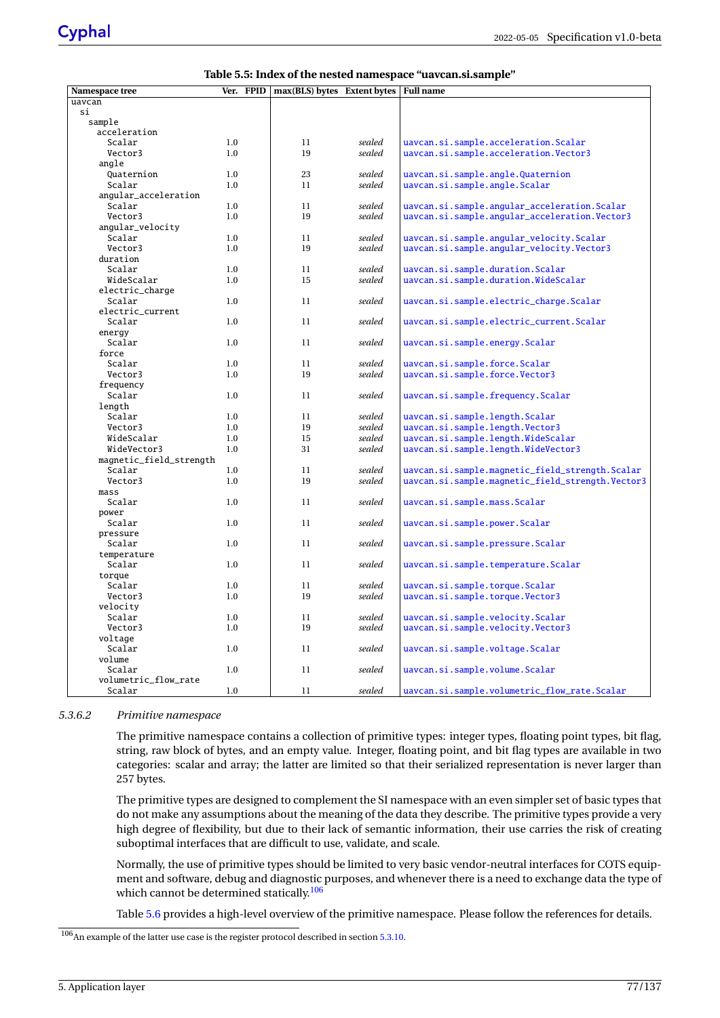| Namespace tree                    |     | Ver. FPID $\vert$ max(BLS) bytes Extent bytes |        | <b>Full name</b>                                 |
|-----------------------------------|-----|-----------------------------------------------|--------|--------------------------------------------------|
| uavcan                            |     |                                               |        |                                                  |
| si                                |     |                                               |        |                                                  |
| sample                            |     |                                               |        |                                                  |
| acceleration                      |     |                                               |        |                                                  |
| Scalar                            | 1.0 | 11                                            | sealed | uavcan.si.sample.acceleration.Scalar             |
| Vector3                           | 1.0 | 19                                            | sealed | uavcan.si.sample.acceleration.Vector3            |
| angle                             |     |                                               |        |                                                  |
| Quaternion                        | 1.0 | 23                                            | sealed | uavcan.si.sample.angle.Quaternion                |
| Scalar                            | 1.0 | 11                                            | sealed | uavcan.si.sample.angle.Scalar                    |
| angular_acceleration              |     |                                               |        |                                                  |
| Scalar                            | 1.0 | 11                                            | sealed | uavcan.si.sample.angular_acceleration.Scalar     |
| Vector3                           | 1.0 | 19                                            | sealed | uavcan.si.sample.angular_acceleration.Vector3    |
| angular_velocity                  |     |                                               |        |                                                  |
| Scalar                            | 1.0 | 11                                            | sealed | uavcan.si.sample.angular_velocity.Scalar         |
| Vector3                           | 1.0 | 19                                            | sealed | uavcan.si.sample.angular_velocity.Vector3        |
| duration                          |     |                                               |        |                                                  |
| Scalar                            | 1.0 | 11                                            | sealed | uavcan.si.sample.duration.Scalar                 |
| WideScalar                        | 1.0 | 15                                            | sealed | uavcan.si.sample.duration.WideScalar             |
| electric_charge                   |     |                                               |        |                                                  |
| Scalar                            | 1.0 | 11                                            | sealed | uavcan.si.sample.electric_charge.Scalar          |
| electric_current                  |     |                                               |        |                                                  |
| Scalar                            | 1.0 | 11                                            | sealed | uavcan.si.sample.electric_current.Scalar         |
| energy                            |     |                                               |        |                                                  |
| Scalar                            | 1.0 | 11                                            | sealed | uavcan.si.sample.energy.Scalar                   |
| force                             |     |                                               |        |                                                  |
| Scalar                            | 1.0 | 11                                            | sealed | uavcan.si.sample.force.Scalar                    |
| Vector3                           | 1.0 | 19                                            | sealed | uavcan.si.sample.force.Vector3                   |
| frequency                         |     |                                               |        |                                                  |
| Scalar                            | 1.0 | 11                                            | sealed | uavcan.si.sample.frequency.Scalar                |
| length                            |     |                                               |        |                                                  |
| Scalar                            | 1.0 | 11                                            | sealed | uavcan.si.sample.length.Scalar                   |
| Vector3                           | 1.0 | 19                                            | sealed | uavcan.si.sample.length.Vector3                  |
| WideScalar                        | 1.0 | 15                                            | sealed | uavcan.si.sample.length.WideScalar               |
| WideVector3                       | 1.0 | 31                                            | sealed | uavcan.si.sample.length.WideVector3              |
|                                   |     |                                               |        |                                                  |
| magnetic_field_strength<br>Scalar | 1.0 | 11                                            |        |                                                  |
|                                   |     |                                               | sealed | uavcan.si.sample.magnetic_field_strength.Scalar  |
| Vector3                           | 1.0 | 19                                            | sealed | uavcan.si.sample.magnetic_field_strength.Vector3 |
| mass                              |     |                                               |        |                                                  |
| Scalar                            | 1.0 | 11                                            | sealed | uavcan.si.sample.mass.Scalar                     |
| power                             |     |                                               |        |                                                  |
| Scalar                            | 1.0 | 11                                            | sealed | uavcan.si.sample.power.Scalar                    |
| pressure                          |     |                                               |        |                                                  |
| Scalar                            | 1.0 | 11                                            | sealed | uavcan.si.sample.pressure.Scalar                 |
| temperature                       |     |                                               |        |                                                  |
| Scalar                            | 1.0 | 11                                            | sealed | uavcan.si.sample.temperature.Scalar              |
| torque                            |     |                                               |        |                                                  |
| Scalar                            | 1.0 | 11                                            | sealed | uavcan.si.sample.torque.Scalar                   |
| Vector3                           | 1.0 | 19                                            | sealed | uavcan.si.sample.torque.Vector3                  |
| velocity                          |     |                                               |        |                                                  |
| Scalar                            | 1.0 | 11                                            | sealed | uavcan.si.sample.velocity.Scalar                 |
| Vector3                           | 1.0 | 19                                            | sealed | uavcan.si.sample.velocity.Vector3                |
| voltage                           |     |                                               |        |                                                  |
| Scalar                            | 1.0 | 11                                            | sealed | uavcan.si.sample.voltage.Scalar                  |
| volume                            |     |                                               |        |                                                  |
| Scalar                            | 1.0 | 11                                            | sealed | uavcan.si.sample.volume.Scalar                   |
| volumetric_flow_rate              |     |                                               |        |                                                  |
| Scalar                            | 1.0 | 11                                            | sealed | uavcan.si.sample.volumetric_flow_rate.Scalar     |

<span id="page-82-0"></span>**Table 5.5: Index of the nested namespace "uavcan.si.sample"**

## *5.3.6.2 Primitive namespace*

The primitive namespace contains a collection of primitive types: integer types, floating point types, bit flag, string, raw block of bytes, and an empty value. Integer, floating point, and bit flag types are available in two categories: scalar and array; the latter are limited so that their serialized representation is never larger than 257 bytes.

The primitive types are designed to complement the SI namespace with an even simpler set of basic types that do not make any assumptions about the meaning of the data they describe. The primitive types provide a very high degree of flexibility, but due to their lack of semantic information, their use carries the risk of creating suboptimal interfaces that are difficult to use, validate, and scale.

Normally, the use of primitive types should be limited to very basic vendor-neutral interfaces for COTS equipment and software, debug and diagnostic purposes, and whenever there is a need to exchange data the type of which cannot be determined statically.<sup>[106](#page-82-1)</sup>

Table [5.6](#page-83-0) provides a high-level overview of the primitive namespace. Please follow the references for details.

<span id="page-82-1"></span><sup>106&</sup>lt;sub>An example of the latter use case is the register protocol described in section [5.3.10.](#page-84-0)</sub>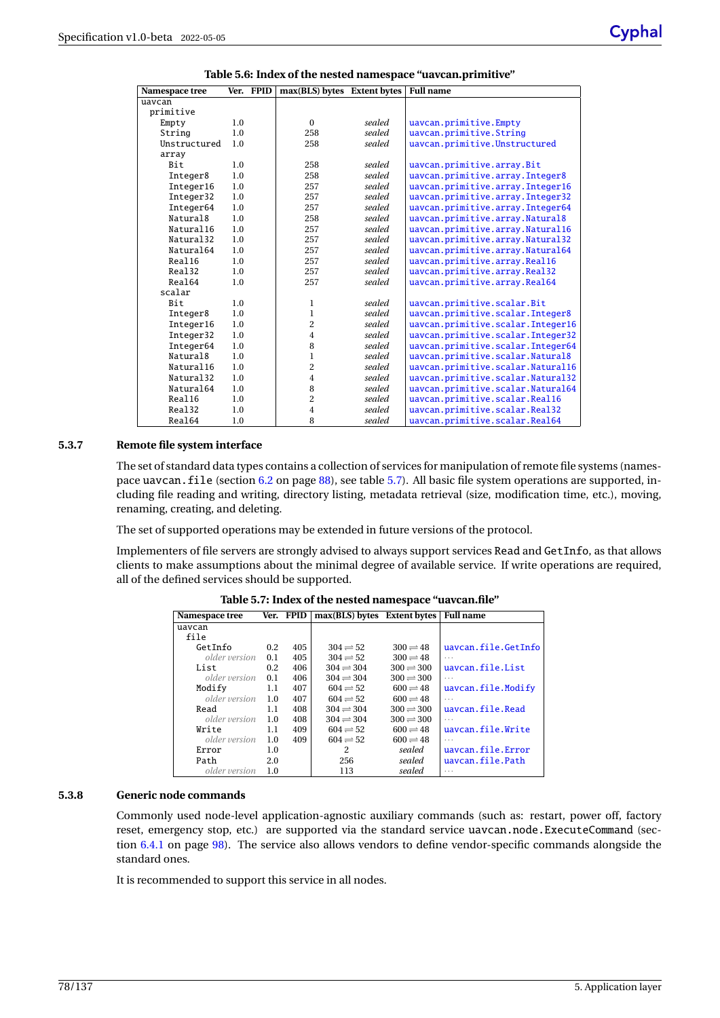| Namespace tree |     | Ver. FPID | $max(BLS)$ bytes Extent bytes |        | <b>Full name</b>                  |
|----------------|-----|-----------|-------------------------------|--------|-----------------------------------|
| uavcan         |     |           |                               |        |                                   |
| primitive      |     |           |                               |        |                                   |
| Empty          | 1.0 |           | $\mathbf{0}$                  | sealed | uavcan.primitive.Empty            |
| String         | 1.0 |           | 258                           | sealed | uavcan.primitive.String           |
| Unstructured   | 1.0 |           | 258                           | sealed | uavcan.primitive.Unstructured     |
| array          |     |           |                               |        |                                   |
| Bit            | 1.0 |           | 258                           | sealed | uavcan.primitive.array.Bit        |
| Integer8       | 1.0 |           | 258                           | sealed | uavcan.primitive.array.Integer8   |
| Integer16      | 1.0 |           | 257                           | sealed | uavcan.primitive.array.Integer16  |
| Integer32      | 1.0 |           | 257                           | sealed | uavcan.primitive.array.Integer32  |
| Integer64      | 1.0 |           | 257                           | sealed | uavcan.primitive.array.Integer64  |
| Natural8       | 1.0 |           | 258                           | sealed | uavcan.primitive.array.Natural8   |
| Natural16      | 1.0 |           | 257                           | sealed | uavcan.primitive.array.Natural16  |
| Natural32      | 1.0 |           | 257                           | sealed | uavcan.primitive.array.Natural32  |
| Natural64      | 1.0 |           | 257                           | sealed | uavcan.primitive.array.Natural64  |
| Real16         | 1.0 |           | 257                           | sealed | uavcan.primitive.array.Real16     |
| Real32         | 1.0 |           | 257                           | sealed | uavcan.primitive.array.Real32     |
| Real64         | 1.0 |           | 257                           | sealed | uavcan.primitive.array.Real64     |
| scalar         |     |           |                               |        |                                   |
| Bit            | 1.0 |           | 1                             | sealed | uavcan.primitive.scalar.Bit       |
| Integer8       | 1.0 |           | 1                             | sealed | uavcan.primitive.scalar.Integer8  |
| Integer16      | 1.0 |           | $\overline{c}$                | sealed | uavcan.primitive.scalar.Integer16 |
| Integer32      | 1.0 |           | $\overline{4}$                | sealed | uavcan.primitive.scalar.Integer32 |
| Integer64      | 1.0 |           | 8                             | sealed | uavcan.primitive.scalar.Integer64 |
| Natural8       | 1.0 |           | 1                             | sealed | uavcan.primitive.scalar.Natural8  |
| Natural16      | 1.0 |           | $\overline{c}$                | sealed | uavcan.primitive.scalar.Natural16 |
| Natural32      | 1.0 |           | $\overline{4}$                | sealed | uavcan.primitive.scalar.Natural32 |
| Natural64      | 1.0 |           | 8                             | sealed | uavcan.primitive.scalar.Natural64 |
| Real16         | 1.0 |           | $\overline{c}$                | sealed | uavcan.primitive.scalar.Real16    |
| Real32         | 1.0 |           | $\overline{4}$                | sealed | uavcan.primitive.scalar.Real32    |
| Real64         | 1.0 |           | 8                             | sealed | uavcan.primitive.scalar.Real64    |

<span id="page-83-0"></span>

### <span id="page-83-2"></span>**5.3.7 Remote file system interface**

The set of standard data types contains a collection of services for manipulation of remote file systems (names-pace uavcan. file (section [6.2](#page-93-0) on page [88\)](#page-93-0), see table [5.7\)](#page-83-1). All basic file system operations are supported, including file reading and writing, directory listing, metadata retrieval (size, modification time, etc.), moving, renaming, creating, and deleting.

The set of supported operations may be extended in future versions of the protocol.

Implementers of file servers are strongly advised to always support services Read and GetInfo, as that allows clients to make assumptions about the minimal degree of available service. If write operations are required, all of the defined services should be supported.

| Namespace tree       |     | Ver. FPID | max(BLS) bytes Extent bytes  |                              | <b>Full name</b>     |
|----------------------|-----|-----------|------------------------------|------------------------------|----------------------|
| uavcan               |     |           |                              |                              |                      |
| file                 |     |           |                              |                              |                      |
| GetTnfo              | 0.2 | 405       | $304 \rightleftharpoons 52$  | $300 \rightleftharpoons 48$  | uavcan.file.GetInfo  |
| older version        | 0.1 | 405       | $304 \rightleftharpoons 52$  | $300 \rightleftharpoons 48$  | $\sim$ $\sim$        |
| List                 | 0.2 | 406       | $304 \rightleftharpoons 304$ | $300 \rightleftharpoons 300$ | uavcan.file.List     |
| <i>older version</i> | 0.1 | 406       | $304 \rightleftharpoons 304$ | $300 \rightleftharpoons 300$ | $\cdots$             |
| Modify               | 1.1 | 407       | $604 \rightleftharpoons 52$  | $600 \rightleftharpoons 48$  | uavcan.file.Modify   |
| older version        | 1.0 | 407       | $604 \rightleftharpoons 52$  | $600 \rightleftharpoons 48$  | $\cdots$             |
| Read                 | 1.1 | 408       | $304 \rightleftharpoons 304$ | $300 \rightleftharpoons 300$ | uavcan.file.Read     |
| <i>older</i> version | 1.0 | 408       | $304 \rightleftharpoons 304$ | $300 \rightleftharpoons 300$ | $\cdots$             |
| Write                | 1.1 | 409       | $604 \rightleftharpoons 52$  | $600 \rightleftharpoons 48$  | uavcan.file.Write    |
| <i>older</i> version | 1.0 | 409       | $604 \rightleftharpoons 52$  | $600 \rightleftharpoons 48$  | $\cdots$             |
| Error                | 1.0 |           | 2                            | sealed                       | uavcan.file.Error    |
| Path                 | 2.0 |           | 256                          | sealed                       | uavcan.file.Path     |
| <i>older</i> version | 1.0 |           | 113                          | sealed                       | $\sim$ $\sim$ $\sim$ |

<span id="page-83-1"></span>**Table 5.7: Index of the nested namespace "uavcan.file"**

### <span id="page-83-3"></span>**5.3.8 Generic node commands**

Commonly used node-level application-agnostic auxiliary commands (such as: restart, power off, factory reset, emergency stop, etc.) are supported via the standard service uavcan.node.ExecuteCommand (section [6.4.1](#page-103-0) on page [98\)](#page-103-0). The service also allows vendors to define vendor-specific commands alongside the standard ones.

It is recommended to support this service in all nodes.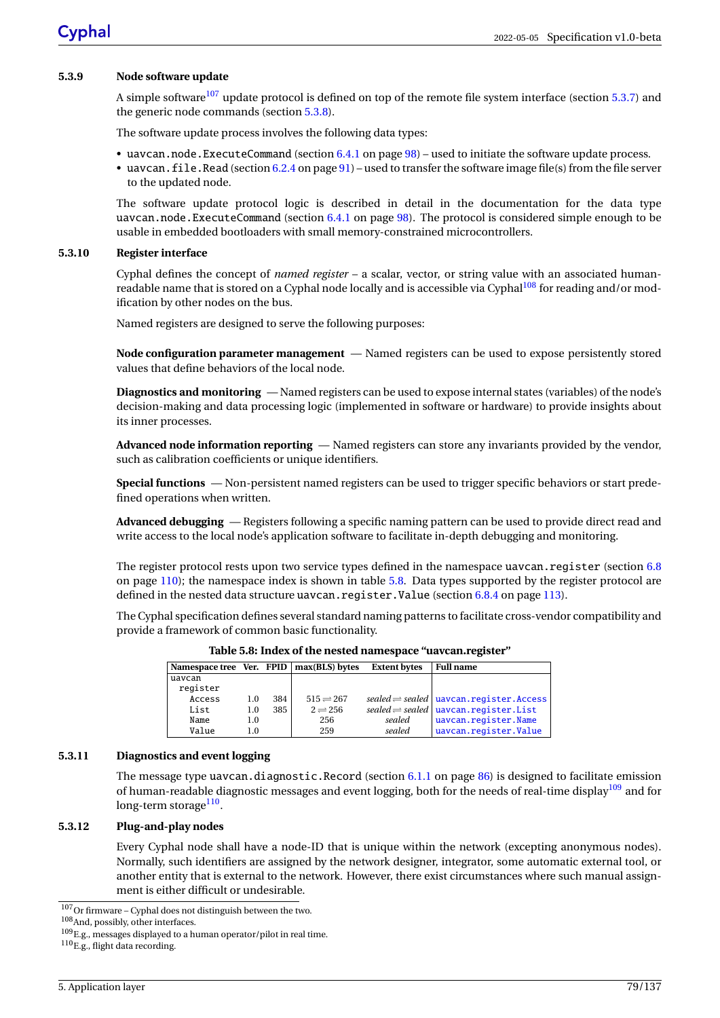## **5.3.9 Node software update**

A simple software<sup>[107](#page-84-1)</sup> update protocol is defined on top of the remote file system interface (section [5.3.7\)](#page-83-2) and the generic node commands (section [5.3.8\)](#page-83-3).

The software update process involves the following data types:

- uavcan.node.ExecuteCommand (section [6.4.1](#page-103-0) on page [98\)](#page-103-0) used to initiate the software update process.
- uavcan.file.Read (section [6.2.4](#page-96-0) on page [91\)](#page-96-0) used to transfer the software image file(s) from the file server to the updated node.

The software update protocol logic is described in detail in the documentation for the data type uavcan.node.ExecuteCommand (section [6.4.1](#page-103-0) on page [98\)](#page-103-0). The protocol is considered simple enough to be usable in embedded bootloaders with small memory-constrained microcontrollers.

## <span id="page-84-0"></span>**5.3.10 Register interface**

Cyphal defines the concept of *named register* – a scalar, vector, or string value with an associated human-readable name that is stored on a Cyphal node locally and is accessible via Cyphal<sup>[108](#page-84-2)</sup> for reading and/or modification by other nodes on the bus.

Named registers are designed to serve the following purposes:

**Node configuration parameter management** — Named registers can be used to expose persistently stored values that define behaviors of the local node.

**Diagnostics and monitoring** — Named registers can be used to expose internal states (variables) of the node's decision-making and data processing logic (implemented in software or hardware) to provide insights about its inner processes.

**Advanced node information reporting** — Named registers can store any invariants provided by the vendor, such as calibration coefficients or unique identifiers.

**Special functions** — Non-persistent named registers can be used to trigger specific behaviors or start predefined operations when written.

**Advanced debugging** — Registers following a specific naming pattern can be used to provide direct read and write access to the local node's application software to facilitate in-depth debugging and monitoring.

The register protocol rests upon two service types defined in the namespace uavcan.register (section [6.8](#page-115-0) on page [110\)](#page-115-0); the namespace index is shown in table [5.8.](#page-84-3) Data types supported by the register protocol are defined in the nested data structure uavcan.register.Value (section [6.8.4](#page-118-0) on page [113\)](#page-118-0).

The Cyphal specification defines several standard naming patterns to facilitate cross-vendor compatibility and provide a framework of common basic functionality.

| Namespace tree Ver. FPID $\vert$ max(BLS) bytes |     |     |                              | <b>Extent bytes</b> | <b>Full name</b>                                               |
|-------------------------------------------------|-----|-----|------------------------------|---------------------|----------------------------------------------------------------|
| uavcan                                          |     |     |                              |                     |                                                                |
| register                                        |     |     |                              |                     |                                                                |
| Access                                          | 1.0 | 384 | $515 \rightleftharpoons 267$ |                     | $sealed \rightleftharpoons sealed \mid$ uavcan.register.Access |
| List                                            | 1.0 | 385 | $2 \rightleftharpoons 256$   |                     | sealed $\rightleftharpoons$ sealed   uavcan.register. List     |
| Name                                            | 1.0 |     | 256                          | sealed              | uavcan.register.Name                                           |
| Value                                           | 1.0 |     | 259                          | sealed              | uavcan.register.Value                                          |

<span id="page-84-3"></span>**Table 5.8: Index of the nested namespace "uavcan.register"**

### **5.3.11 Diagnostics and event logging**

The message type uavcan.diagnostic.Record (section  $6.1.1$  on page  $86$ ) is designed to facilitate emission of human-readable diagnostic messages and event logging, both for the needs of real-time display<sup>[109](#page-84-4)</sup> and for long-term storage<sup>[110](#page-84-5)</sup>.

## **5.3.12 Plug-and-play nodes**

Every Cyphal node shall have a node-ID that is unique within the network (excepting anonymous nodes). Normally, such identifiers are assigned by the network designer, integrator, some automatic external tool, or another entity that is external to the network. However, there exist circumstances where such manual assignment is either difficult or undesirable.

<span id="page-84-1"></span> $107$ Or firmware – Cyphal does not distinguish between the two.

<span id="page-84-2"></span><sup>108</sup>And, possibly, other interfaces.

<span id="page-84-4"></span><sup>109</sup>E.g., messages displayed to a human operator/pilot in real time.

<span id="page-84-5"></span> $110E.g., flight data recording.$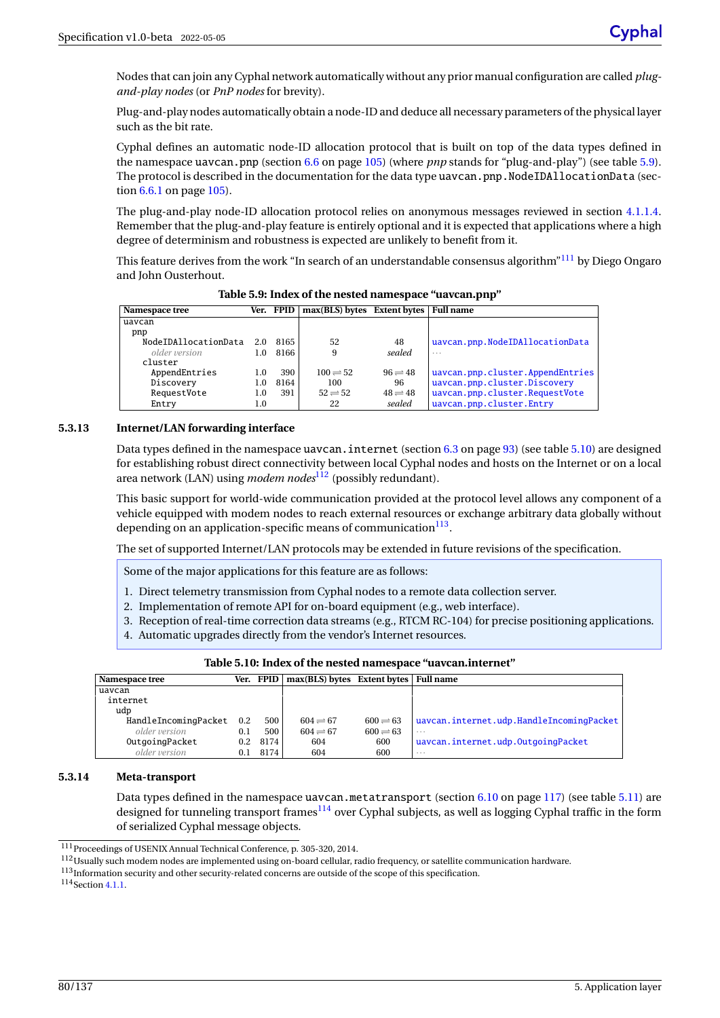Nodes that can join any Cyphal network automatically without any prior manual configuration are called *plugand-play nodes* (or *PnP nodes* for brevity).

Plug-and-play nodes automatically obtain a node-ID and deduce all necessary parameters of the physical layer such as the bit rate.

Cyphal defines an automatic node-ID allocation protocol that is built on top of the data types defined in the namespace uavcan.pnp (section [6.6](#page-110-0) on page [105\)](#page-110-0) (where *pnp* stands for "plug-and-play") (see table [5.9\)](#page-85-0). The protocol is described in the documentation for the data type uavcan.pnp.NodeIDAllocationData (section [6.6.1](#page-110-1) on page [105\)](#page-110-1).

The plug-and-play node-ID allocation protocol relies on anonymous messages reviewed in section [4.1.1.4.](#page-57-0) Remember that the plug-and-play feature is entirely optional and it is expected that applications where a high degree of determinism and robustness is expected are unlikely to benefit from it.

This feature derives from the work "In search of an understandable consensus algorithm"<sup>[111](#page-85-1)</sup> by Diego Ongaro and John Ousterhout.

| Namespace tree       |     | Ver. FPID | $max(BLS)$ bytes Extent bytes   Full name |                            |                                  |
|----------------------|-----|-----------|-------------------------------------------|----------------------------|----------------------------------|
| uavcan               |     |           |                                           |                            |                                  |
| pnp                  |     |           |                                           |                            |                                  |
| NodeIDAllocationData | 2.0 | 8165      | 52                                        | 48                         | uavcan.pnp.NodeIDAllocationData  |
| <i>older version</i> | 1.0 | 8166      | 9                                         | sealed                     | $\cdots$                         |
| cluster              |     |           |                                           |                            |                                  |
| AppendEntries        | 1.0 | 390       | $100 \rightleftharpoons 52$               | $96 \rightleftharpoons 48$ | uavcan.pnp.cluster.AppendEntries |
| Discovery            | 1.0 | 8164      | 100                                       | 96                         | uavcan.pnp.cluster.Discovery     |
| RequestVote          | 1.0 | 391       | $52 \rightleftharpoons 52$                | $48 \rightleftharpoons 48$ | uavcan.pnp.cluster.RequestVote   |
| Entry                | 1.0 |           | 22                                        | sealed                     | uavcan.pnp.cluster.Entry         |

<span id="page-85-0"></span>**Table 5.9: Index of the nested namespace "uavcan.pnp"**

### **5.3.13 Internet/LAN forwarding interface**

Data types defined in the namespace uavcan.internet (section [6.3](#page-98-1) on page [93\)](#page-98-1) (see table [5.10\)](#page-85-2) are designed for establishing robust direct connectivity between local Cyphal nodes and hosts on the Internet or on a local area network (LAN) using *modem nodes*[112](#page-85-3) (possibly redundant).

This basic support for world-wide communication provided at the protocol level allows any component of a vehicle equipped with modem nodes to reach external resources or exchange arbitrary data globally without depending on an application-specific means of communication<sup>[113](#page-85-4)</sup>.

The set of supported Internet/LAN protocols may be extended in future revisions of the specification.

Some of the major applications for this feature are as follows:

- 1. Direct telemetry transmission from Cyphal nodes to a remote data collection server.
- 2. Implementation of remote API for on-board equipment (e.g., web interface).
- 3. Reception of real-time correction data streams (e.g., RTCM RC-104) for precise positioning applications.
- 4. Automatic upgrades directly from the vendor's Internet resources.

| Table 5.10: Index of the nested namespace uavcan.miernet |     |           |                                                 |                             |                                          |  |  |
|----------------------------------------------------------|-----|-----------|-------------------------------------------------|-----------------------------|------------------------------------------|--|--|
| Namespace tree                                           |     | Ver. FPID | $max(BLS)$ bytes Extent bytes $\vert$ Full name |                             |                                          |  |  |
| uavcan                                                   |     |           |                                                 |                             |                                          |  |  |
| internet                                                 |     |           |                                                 |                             |                                          |  |  |
| udp                                                      |     |           |                                                 |                             |                                          |  |  |
| HandleIncomingPacket                                     | 0.2 | 500       | $604 \rightleftharpoons 67$                     | $600 \rightleftharpoons 63$ | uavcan.internet.udp.HandleIncomingPacket |  |  |
| older version                                            | 0.1 | 500       | $604 \rightleftharpoons 67$                     | $600 \rightleftharpoons 63$ | $\cdots$                                 |  |  |
| OutgoingPacket                                           | 0.2 | 8174      | 604                                             | 600                         | uavcan.internet.udp.OutgoingPacket       |  |  |
| older version                                            | 0.1 | 8174      | 604                                             | 600                         | $\cdots$                                 |  |  |

# <span id="page-85-2"></span>**Table 5.10: Index of the nested namespace "uavcan.internet"**

### **5.3.14 Meta-transport**

Data types defined in the namespace uavcan.metatransport (section [6.10](#page-122-1) on page [117\)](#page-122-1) (see table [5.11\)](#page-86-0) are designed for tunneling transport frames<sup>[114](#page-85-5)</sup> over Cyphal subjects, as well as logging Cyphal traffic in the form of serialized Cyphal message objects.

<span id="page-85-1"></span> $\overline{^{111}$ Proceedings of USENIX Annual Technical Conference, p. 305-320, 2014.

<span id="page-85-3"></span><sup>112</sup>Usually such modem nodes are implemented using on-board cellular, radio frequency, or satellite communication hardware.

<span id="page-85-4"></span><sup>113</sup>Information security and other security-related concerns are outside of the scope of this specification.

<span id="page-85-5"></span><sup>114</sup>Section [4.1.1.](#page-55-0)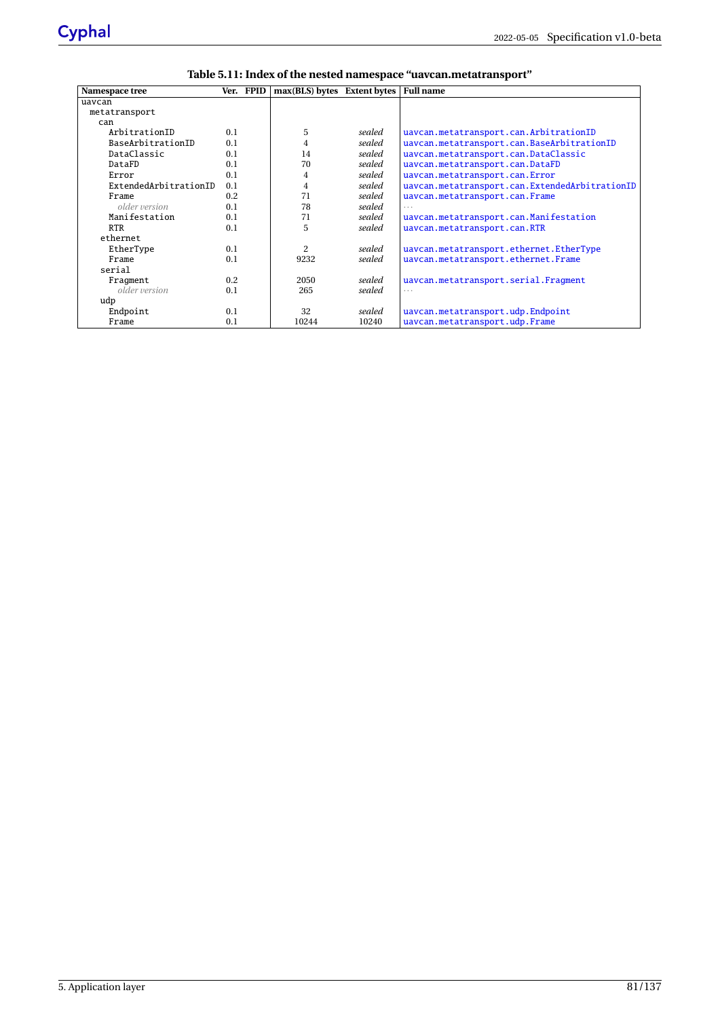| Namespace tree        |     | Ver. FPID | $max(BLS)$ bytes Extent bytes |        | <b>Full name</b>                               |
|-----------------------|-----|-----------|-------------------------------|--------|------------------------------------------------|
| uavcan                |     |           |                               |        |                                                |
| metatransport         |     |           |                               |        |                                                |
| can                   |     |           |                               |        |                                                |
| ArbitrationID         | 0.1 |           | 5                             | sealed | uavcan.metatransport.can.ArbitrationID         |
| BaseArbitrationID     | 0.1 |           | 4                             | sealed | uavcan.metatransport.can.BaseArbitrationID     |
| DataClassic           | 0.1 |           | 14                            | sealed | uavcan.metatransport.can.DataClassic           |
| DataFD                | 0.1 |           | 70                            | sealed | uavcan.metatransport.can.DataFD                |
| Error                 | 0.1 |           | 4                             | sealed | uavcan.metatransport.can.Error                 |
| ExtendedArbitrationID | 0.1 |           | 4                             | sealed | uavcan.metatransport.can.ExtendedArbitrationID |
| Frame                 | 0.2 |           | 71                            | sealed | uavcan.metatransport.can.Frame                 |
| older version         | 0.1 |           | 78                            | sealed | $\cdots$                                       |
| Manifestation         | 0.1 |           | 71                            | sealed | uavcan.metatransport.can.Manifestation         |
| <b>RTR</b>            | 0.1 |           | 5                             | sealed | uavcan.metatransport.can.RTR                   |
| ethernet              |     |           |                               |        |                                                |
| EtherType             | 0.1 |           | 2                             | sealed | uavcan.metatransport.ethernet.EtherType        |
| Frame                 | 0.1 |           | 9232                          | sealed | uavcan.metatransport.ethernet.Frame            |
| serial                |     |           |                               |        |                                                |
| Fragment              | 0.2 |           | 2050                          | sealed | uavcan.metatransport.serial.Fragment           |
| <i>older version</i>  | 0.1 |           | 265                           | sealed | $\cdots$                                       |
| udp                   |     |           |                               |        |                                                |
| Endpoint              | 0.1 |           | 32                            | sealed | uavcan.metatransport.udp.Endpoint              |
| Frame                 | 0.1 |           | 10244                         | 10240  | uavcan.metatransport.udp.Frame                 |

<span id="page-86-0"></span>**Table 5.11: Index of the nested namespace "uavcan.metatransport"**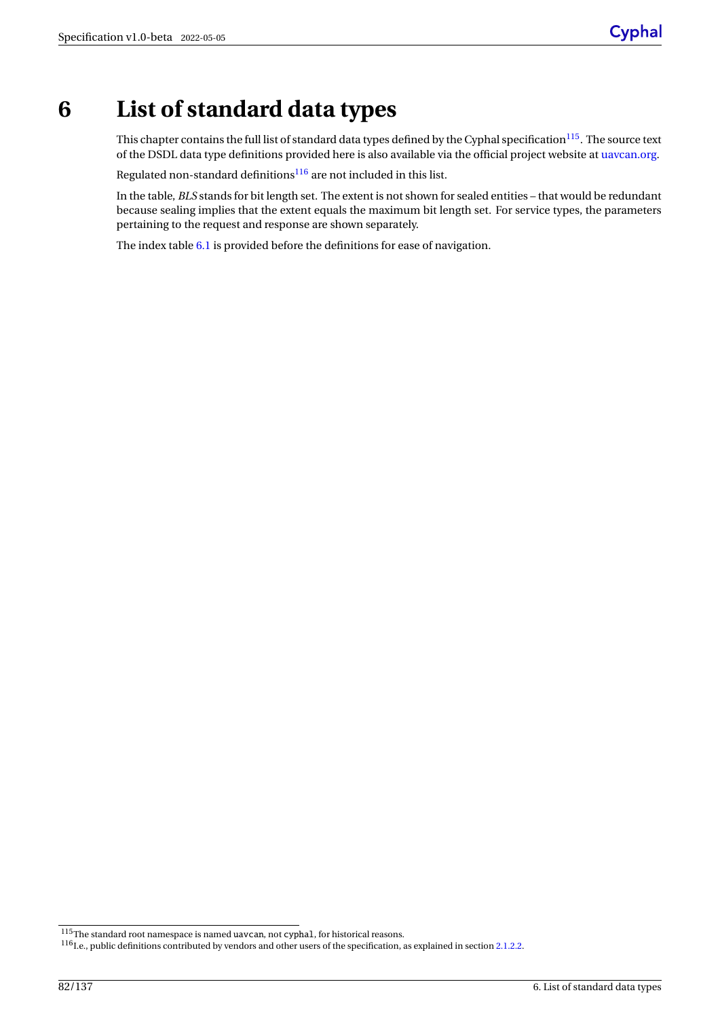# <span id="page-87-0"></span>**6 List of standard data types**

This chapter contains the full list of standard data types defined by the Cyphal specification<sup>[115](#page-87-1)</sup>. The source text of the DSDL data type definitions provided here is also available via the official project website at [uavcan.org.](http://uavcan.org)

Regulated non-standard definitions<sup>[116](#page-87-2)</sup> are not included in this list.

In the table, *BLS* stands for bit length set. The extent is not shown for sealed entities – that would be redundant because sealing implies that the extent equals the maximum bit length set. For service types, the parameters pertaining to the request and response are shown separately.

The index table [6.1](#page-88-0) is provided before the definitions for ease of navigation.

<span id="page-87-1"></span><sup>115</sup>The standard root namespace is named uavcan, not cyphal, for historical reasons.

<span id="page-87-2"></span><sup>116&</sup>lt;sub>I.e.</sub>, public definitions contributed by vendors and other users of the specification, as explained in section [2.1.2.2.](#page-10-1)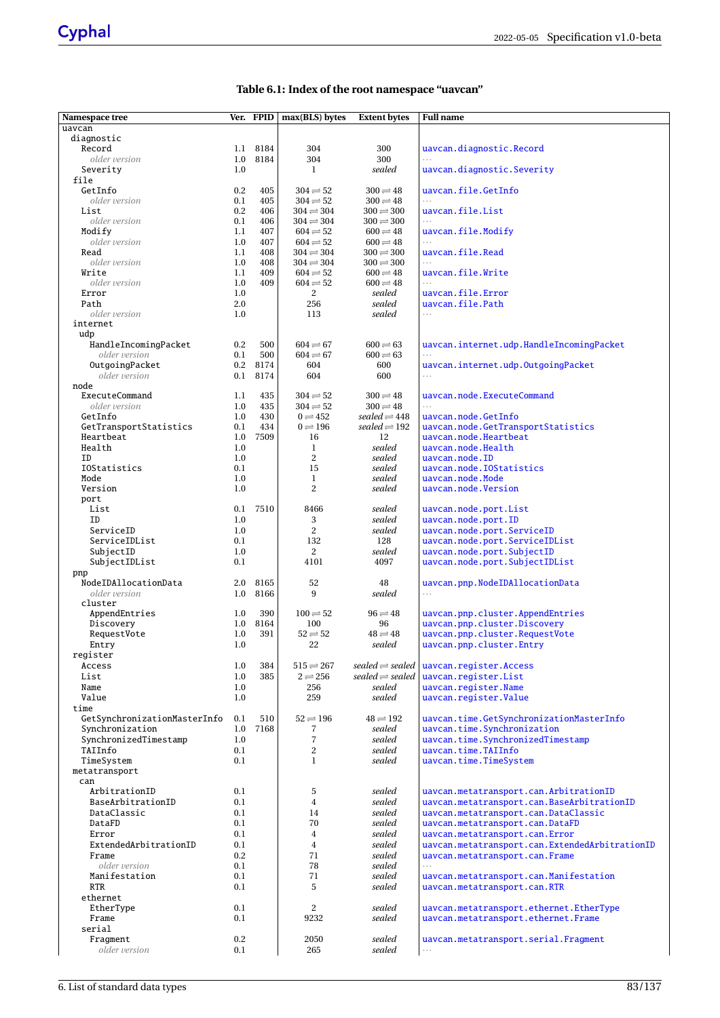# <span id="page-88-0"></span>**Table 6.1: Index of the root namespace "uavcan"**

| Namespace tree                     |            | Ver. FPID  | max(BLS) bytes                                              | <b>Extent bytes</b>                                         | <b>Full name</b>                                                                   |
|------------------------------------|------------|------------|-------------------------------------------------------------|-------------------------------------------------------------|------------------------------------------------------------------------------------|
| uavcan                             |            |            |                                                             |                                                             |                                                                                    |
| diagnostic<br>Record               | 1.1        | 8184       | 304                                                         | 300                                                         | uavcan.diagnostic.Record                                                           |
| <i>older</i> version               | 1.0        | 8184       | 304                                                         | 300                                                         |                                                                                    |
| Severity                           | 1.0        |            | $\mathbf{1}$                                                | sealed                                                      | uavcan.diagnostic.Severity                                                         |
| file                               |            |            |                                                             |                                                             |                                                                                    |
| GetInfo<br>older version           | 0.2<br>0.1 | 405<br>405 | $304 \rightleftharpoons 52$<br>$304 \rightleftharpoons 52$  | $300 \rightleftharpoons 48$<br>$300 \rightleftharpoons 48$  | uavcan.file.GetInfo                                                                |
| List                               | 0.2        | 406        | $304 \rightleftharpoons 304$                                | $300 \rightleftharpoons 300$                                | uavcan.file.List                                                                   |
| older version                      | 0.1        | 406        | $304 \rightleftharpoons 304$                                | $300 \rightleftharpoons 300$                                |                                                                                    |
| Modify                             | 1.1        | 407        | $604 \rightleftharpoons 52$                                 | $600 \rightleftharpoons 48$                                 | uavcan.file.Modify                                                                 |
| older version<br>Read              | 1.0<br>1.1 | 407<br>408 | $604 \rightleftharpoons 52$<br>$304 \rightleftharpoons 304$ | $600 \rightleftharpoons 48$<br>$300 \rightleftharpoons 300$ | $\cdots$<br>uavcan.file.Read                                                       |
| older version                      | 1.0        | 408        | $304 \rightleftharpoons 304$                                | $300 \rightleftharpoons 300$                                | $\sim$                                                                             |
| Write                              | 1.1        | 409        | $604 \rightleftharpoons 52$                                 | $600 \rightleftharpoons 48$                                 | uavcan.file.Write                                                                  |
| older version                      | 1.0        | 409        | $604 \rightleftharpoons 52$                                 | $600 \rightleftharpoons 48$                                 | $\cdots$                                                                           |
| Error<br>Path                      | 1.0<br>2.0 |            | 2<br>256                                                    | sealed<br>sealed                                            | uavcan.file.Error<br>uavcan.file.Path                                              |
| older version                      | 1.0        |            | 113                                                         | sealed                                                      | $\cdots$                                                                           |
| internet                           |            |            |                                                             |                                                             |                                                                                    |
| udp<br>HandleIncomingPacket        | 0.2        | 500        | $604 \rightleftharpoons 67$                                 | $600 \rightleftharpoons 63$                                 | uavcan.internet.udp.HandleIncomingPacket                                           |
| older version                      | 0.1        | 500        | $604 \rightleftharpoons 67$                                 | $600 \rightleftharpoons 63$                                 | $\cdots$                                                                           |
| OutgoingPacket                     | $0.2\,$    | 8174       | 604                                                         | 600                                                         | uavcan.internet.udp.OutgoingPacket                                                 |
| older version                      | 0.1        | 8174       | 604                                                         | 600                                                         | $\cdots$                                                                           |
| node<br>ExecuteCommand             | 1.1        | 435        | $304 \rightleftharpoons 52$                                 | $300 \rightleftharpoons 48$                                 | uavcan.node.ExecuteCommand                                                         |
| older version                      | 1.0        | 435        | $304 \rightleftharpoons 52$                                 | $300 \rightleftharpoons 48$                                 | $\cdots$                                                                           |
| GetInfo                            | 1.0        | 430        | $0 \rightleftharpoons 452$                                  | sealed $\rightleftharpoons$ 448                             | uavcan.node.GetInfo                                                                |
| GetTransportStatistics             | 0.1        | 434        | $0 \rightleftharpoons 196$                                  | sealed $\rightleftharpoons$ 192                             | uavcan.node.GetTransportStatistics                                                 |
| Heartbeat<br>Health                | 1.0<br>1.0 | 7509       | 16<br>$\mathbf{1}$                                          | 12<br>sealed                                                | uavcan.node.Heartbeat<br>uavcan.node.Health                                        |
| ID                                 | 1.0        |            | 2                                                           | sealed                                                      | uavcan.node.ID                                                                     |
| IOStatistics                       | 0.1        |            | 15                                                          | sealed                                                      | uavcan.node.IOStatistics                                                           |
| Mode                               | 1.0        |            | 1                                                           | sealed                                                      | uavcan.node.Mode                                                                   |
| Version<br>port                    | 1.0        |            | 2                                                           | sealed                                                      | uavcan.node.Version                                                                |
| List                               | 0.1        | 7510       | 8466                                                        | sealed                                                      | uavcan.node.port.List                                                              |
| ID                                 | 1.0        |            | 3                                                           | sealed                                                      | uavcan.node.port.ID                                                                |
| ServiceID                          | 1.0        |            | 2                                                           | sealed                                                      | uavcan.node.port.ServiceID                                                         |
| ServiceIDList<br>SubjectID         | 0.1<br>1.0 |            | 132<br>2                                                    | 128<br>sealed                                               | uavcan.node.port.ServiceIDList<br>uavcan.node.port.SubjectID                       |
| SubjectIDList                      | 0.1        |            | 4101                                                        | 4097                                                        | uavcan.node.port.SubjectIDList                                                     |
| pnp                                |            |            |                                                             |                                                             |                                                                                    |
| NodeIDAllocationData               | 2.0        | 8165       | 52                                                          | 48                                                          | uavcan.pnp.NodeIDAllocationData                                                    |
| older version<br>cluster           | 1.0        | 8166       | 9                                                           | sealed                                                      | $\cdots$                                                                           |
| AppendEntries                      | 1.0        | 390        | $100 \rightleftharpoons 52$                                 | $96 \rightleftharpoons 48$                                  | uavcan.pnp.cluster.AppendEntries                                                   |
| Discovery                          | 1.0        | 8164       | 100                                                         | 96                                                          | uavcan.pnp.cluster.Discovery                                                       |
| RequestVote                        | 1.0        | 391        | $52 \rightleftharpoons 52$                                  | $48 \rightleftharpoons 48$                                  | uavcan.pnp.cluster.RequestVote                                                     |
| Entry<br>register                  | 1.0        |            | 22                                                          | sealed                                                      | uavcan.pnp.cluster.Entry                                                           |
| Access                             | 1.0        | 384        | $515 \rightleftharpoons 267$                                | sealed $\rightleftharpoons$ sealed                          | uavcan.register.Access                                                             |
| List                               | 1.0        | 385        | $2 \rightleftharpoons 256$                                  | sealed $\rightleftharpoons$ sealed                          | uavcan.register.List                                                               |
| Name                               | 1.0        |            | 256                                                         | sealed                                                      | uavcan.register.Name                                                               |
| Value<br>time                      | 1.0        |            | 259                                                         | sealed                                                      | uavcan.register.Value                                                              |
| GetSynchronizationMasterInfo       | 0.1        | 510        | $52 \rightleftharpoons 196$                                 | $48 \rightleftharpoons 192$                                 | uavcan.time.GetSynchronizationMasterInfo                                           |
| Synchronization                    | 1.0        | 7168       | 7                                                           | sealed                                                      | uavcan.time.Synchronization                                                        |
| SynchronizedTimestamp              | 1.0        |            | $\overline{7}$<br>$\overline{2}$                            | sealed<br>sealed                                            | uavcan.time.SynchronizedTimestamp<br>uavcan.time.TAIInfo                           |
| TAIInfo<br>TimeSystem              | 0.1<br>0.1 |            | $\mathbf{1}$                                                | sealed                                                      | uavcan.time.TimeSystem                                                             |
| metatransport                      |            |            |                                                             |                                                             |                                                                                    |
| can                                |            |            |                                                             |                                                             |                                                                                    |
| ArbitrationID<br>BaseArbitrationID | 0.1        |            | 5                                                           | sealed<br>sealed                                            | uavcan.metatransport.can.ArbitrationID                                             |
| DataClassic                        | 0.1<br>0.1 |            | $\overline{4}$<br>14                                        | sealed                                                      | uavcan.metatransport.can.BaseArbitrationID<br>uavcan.metatransport.can.DataClassic |
| DataFD                             | 0.1        |            | 70                                                          | sealed                                                      | uavcan.metatransport.can.DataFD                                                    |
| Error                              | 0.1        |            | 4                                                           | sealed                                                      | uavcan.metatransport.can.Error                                                     |
| ExtendedArbitrationID<br>Frame     | 0.1<br>0.2 |            | 4<br>71                                                     | sealed<br>sealed                                            | uavcan.metatransport.can.ExtendedArbitrationID                                     |
| older version                      | 0.1        |            | 78                                                          | sealed                                                      | uavcan.metatransport.can.Frame<br>$\ldots$                                         |
| Manifestation                      | 0.1        |            | 71                                                          | sealed                                                      | uavcan.metatransport.can.Manifestation                                             |
| <b>RTR</b>                         | 0.1        |            | 5                                                           | sealed                                                      | uavcan.metatransport.can.RTR                                                       |
| ethernet                           |            |            |                                                             |                                                             |                                                                                    |
| EtherType<br>Frame                 | 0.1<br>0.1 |            | 2<br>9232                                                   | sealed<br>sealed                                            | uavcan.metatransport.ethernet.EtherType<br>uavcan.metatransport.ethernet.Frame     |
| serial                             |            |            |                                                             |                                                             |                                                                                    |
| Fragment                           | 0.2        |            | 2050                                                        | sealed                                                      | uavcan.metatransport.serial.Fragment                                               |
| older version                      | 0.1        |            | 265                                                         | sealed                                                      | $\cdots$                                                                           |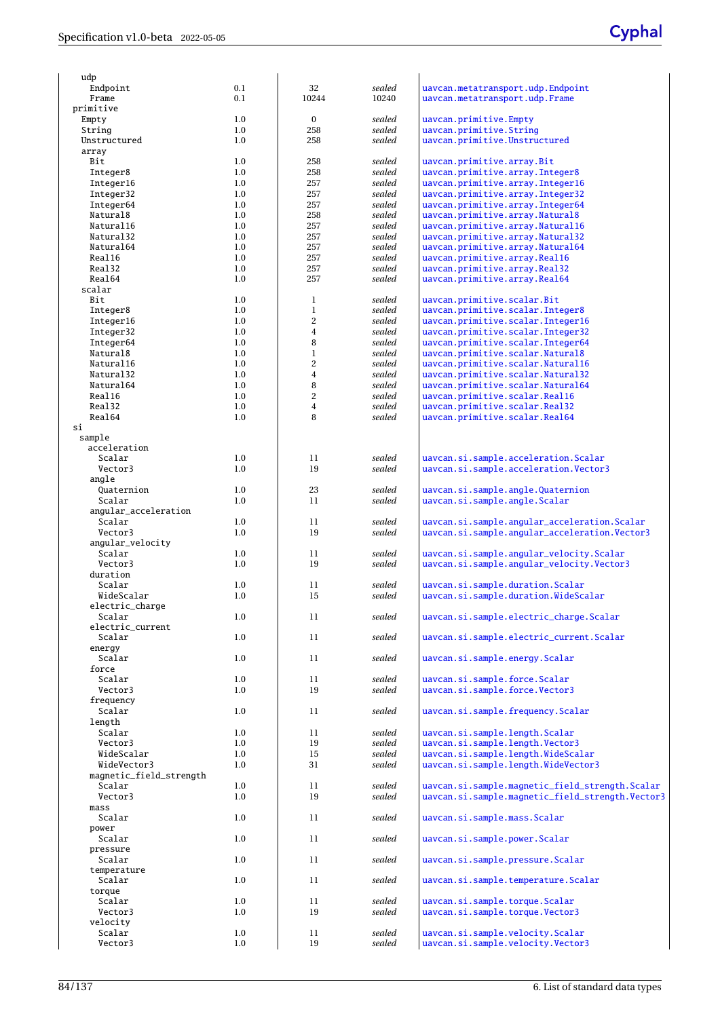| udp                        |            |                |                  |                                                                     |
|----------------------------|------------|----------------|------------------|---------------------------------------------------------------------|
| Endpoint                   | 0.1        | 32             | sealed           | uavcan.metatransport.udp.Endpoint                                   |
| Frame                      | 0.1        | 10244          | 10240            | uavcan.metatransport.udp.Frame                                      |
| primitive                  |            |                |                  |                                                                     |
| Empty                      | 1.0        | $\bf{0}$       | sealed<br>sealed | uavcan.primitive.Empty                                              |
| String<br>Unstructured     | 1.0<br>1.0 | 258<br>258     | sealed           | uavcan.primitive.String<br>uavcan.primitive.Unstructured            |
| array                      |            |                |                  |                                                                     |
| Bit                        | 1.0        | 258            | sealed           | uavcan.primitive.array.Bit                                          |
| Integer8                   | 1.0        | 258            | sealed           | uavcan.primitive.array.Integer8                                     |
| Integer16                  | 1.0        | 257            | sealed           | uavcan.primitive.array.Integer16                                    |
| Integer32                  | 1.0        | 257            | sealed           | uavcan.primitive.array.Integer32                                    |
| Integer64                  | 1.0        | 257            | sealed           | uavcan.primitive.array.Integer64                                    |
| Natural8                   | 1.0        | 258            | sealed           | uavcan.primitive.array.Natural8                                     |
| Natural16                  | 1.0        | 257            | sealed           | uavcan.primitive.array.Natural16                                    |
| Natural32                  | 1.0        | 257            | sealed           | uavcan.primitive.array.Natural32                                    |
| Natural64<br>Real16        | 1.0        | 257            | sealed<br>sealed | uavcan.primitive.array.Natural64                                    |
| Real32                     | 1.0<br>1.0 | 257<br>257     | sealed           | uavcan.primitive.array.Real16<br>uavcan.primitive.array.Real32      |
| Real64                     | 1.0        | 257            | sealed           | uavcan.primitive.array.Real64                                       |
| scalar                     |            |                |                  |                                                                     |
| Bit                        | 1.0        | $\mathbf{1}$   | sealed           | uavcan.primitive.scalar.Bit                                         |
| Integer8                   | 1.0        | $\mathbf{1}$   | sealed           | uavcan.primitive.scalar.Integer8                                    |
| Integer16                  | 1.0        | $\overline{c}$ | sealed           | uavcan.primitive.scalar.Integer16                                   |
| Integer32                  | 1.0        | $\overline{4}$ | sealed           | uavcan.primitive.scalar.Integer32                                   |
| Integer64                  | 1.0        | 8              | sealed           | uavcan.primitive.scalar.Integer64                                   |
| Natural8                   | 1.0        | $\mathbf{1}$   | sealed           | uavcan.primitive.scalar.Natural8                                    |
| Natural16                  | 1.0        | $\overline{c}$ | sealed           | uavcan.primitive.scalar.Natural16                                   |
| Natural32<br>Natural64     | 1.0        | 4<br>8         | sealed<br>sealed | uavcan.primitive.scalar.Natural32                                   |
| Real16                     | 1.0<br>1.0 | $\overline{c}$ | sealed           | uavcan.primitive.scalar.Natural64<br>uavcan.primitive.scalar.Real16 |
| Real32                     | 1.0        | $\overline{4}$ | sealed           | uavcan.primitive.scalar.Real32                                      |
| Real64                     | 1.0        | 8              | sealed           | uavcan.primitive.scalar.Real64                                      |
| si                         |            |                |                  |                                                                     |
| sample                     |            |                |                  |                                                                     |
| acceleration               |            |                |                  |                                                                     |
| Scalar                     | 1.0        | 11             | sealed           | uavcan.si.sample.acceleration.Scalar                                |
| Vector3                    | 1.0        | 19             | sealed           | uavcan.si.sample.acceleration.Vector3                               |
| angle<br>Quaternion        | 1.0        | 23             | sealed           |                                                                     |
| Scalar                     | 1.0        | 11             | sealed           | uavcan.si.sample.angle.Quaternion<br>uavcan.si.sample.angle.Scalar  |
| angular_acceleration       |            |                |                  |                                                                     |
| Scalar                     | 1.0        | 11             | sealed           | uavcan.si.sample.angular_acceleration.Scalar                        |
| Vector3                    | 1.0        | 19             | sealed           | uavcan.si.sample.angular_acceleration.Vector3                       |
| angular_velocity           |            |                |                  |                                                                     |
| Scalar                     | 1.0        | 11             | sealed           | uavcan.si.sample.angular_velocity.Scalar                            |
| Vector3                    | 1.0        | 19             | sealed           | uavcan.si.sample.angular_velocity.Vector3                           |
| duration                   |            |                |                  |                                                                     |
| Scalar                     | 1.0        | 11             | sealed           | uavcan.si.sample.duration.Scalar                                    |
| WideScalar                 | 1.0        | 15             | sealed           | uavcan.si.sample.duration.WideScalar                                |
| electric_charge            |            |                | $\emph{scaled}$  | uavcan.si.sample.electric_charge.Scalar                             |
| Scalar<br>electric_current | 1.0        | 11             |                  |                                                                     |
| Scalar                     | 1.0        | 11             | sealed           | uavcan.si.sample.electric_current.Scalar                            |
| energy                     |            |                |                  |                                                                     |
| Scalar                     | 1.0        | 11             | sealed           | uavcan.si.sample.energy.Scalar                                      |
| force                      |            |                |                  |                                                                     |
| Scalar                     | 1.0        | 11             | sealed           | uavcan.si.sample.force.Scalar                                       |
| Vector3                    | 1.0        | 19             | sealed           | uavcan.si.sample.force.Vector3                                      |
| frequency<br>Scalar        | 1.0        | 11             | sealed           | uavcan.si.sample.frequency.Scalar                                   |
| length                     |            |                |                  |                                                                     |
| Scalar                     | 1.0        | 11             | sealed           | uavcan.si.sample.length.Scalar                                      |
| Vector3                    | 1.0        | 19             | sealed           | uavcan.si.sample.length.Vector3                                     |
| WideScalar                 | 1.0        | 15             | sealed           | uavcan.si.sample.length.WideScalar                                  |
| WideVector3                | 1.0        | 31             | sealed           | uavcan.si.sample.length.WideVector3                                 |
| magnetic_field_strength    |            |                |                  |                                                                     |
| Scalar                     | 1.0        | 11             | sealed           | uavcan.si.sample.magnetic_field_strength.Scalar                     |
| Vector3                    | 1.0        | 19             | sealed           | uavcan.si.sample.magnetic_field_strength.Vector3                    |
| mass                       |            |                |                  |                                                                     |
| Scalar                     | 1.0        | 11             | sealed           | uavcan.si.sample.mass.Scalar                                        |
| power<br>Scalar            | 1.0        | 11             | sealed           | uavcan.si.sample.power.Scalar                                       |
| pressure                   |            |                |                  |                                                                     |
| Scalar                     | 1.0        | 11             | sealed           | uavcan.si.sample.pressure.Scalar                                    |
| temperature                |            |                |                  |                                                                     |
| Scalar                     | 1.0        | 11             | sealed           | uavcan.si.sample.temperature.Scalar                                 |
| torque                     |            |                |                  |                                                                     |
| Scalar                     | 1.0        | 11             | sealed           | uavcan.si.sample.torque.Scalar                                      |
| Vector3                    | 1.0        | 19             | sealed           | uavcan.si.sample.torque.Vector3                                     |
| velocity                   |            |                |                  |                                                                     |
| Scalar                     | 1.0        | 11             | sealed           | uavcan.si.sample.velocity.Scalar                                    |
| Vector3                    | 1.0        | 19             | sealed           | uavcan.si.sample.velocity.Vector3                                   |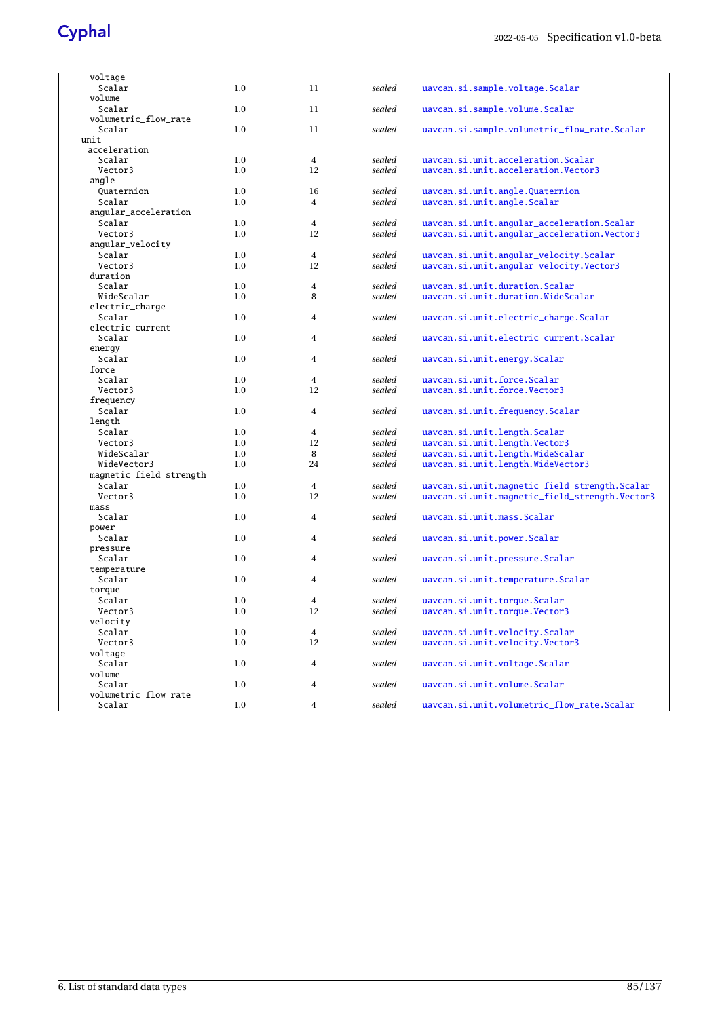| voltage<br>Scalar       | 1.0        | 11                   | sealed |                                                |
|-------------------------|------------|----------------------|--------|------------------------------------------------|
| volume                  |            |                      |        | uavcan.si.sample.voltage.Scalar                |
| Scalar                  | 1.0        | 11                   | sealed | uavcan.si.sample.volume.Scalar                 |
| volumetric_flow_rate    |            |                      |        |                                                |
| Scalar                  | 1.0        | 11                   | sealed |                                                |
| unit                    |            |                      |        | uavcan.si.sample.volumetric_flow_rate.Scalar   |
| acceleration            |            |                      |        |                                                |
| Scalar                  | 1.0        | 4                    | sealed | uavcan.si.unit.acceleration.Scalar             |
| Vector3                 | 1.0        | 12                   | sealed | uavcan.si.unit.acceleration.Vector3            |
| angle                   |            |                      |        |                                                |
| Ouaternion              |            |                      | sealed |                                                |
| Scalar                  | 1.0<br>1.0 | 16<br>$\overline{4}$ | sealed | uavcan.si.unit.angle.Quaternion                |
|                         |            |                      |        | uavcan.si.unit.angle.Scalar                    |
| angular_acceleration    |            |                      |        |                                                |
| Scalar                  | 1.0        | 4                    | sealed | uavcan.si.unit.angular_acceleration.Scalar     |
| Vector3                 | 1.0        | 12                   | sealed | uavcan.si.unit.angular_acceleration.Vector3    |
| angular_velocity        |            |                      |        |                                                |
| Scalar                  | 1.0        | 4                    | sealed | uavcan.si.unit.angular_velocity.Scalar         |
| Vector3                 | 1.0        | 12                   | sealed | uavcan.si.unit.angular_velocity.Vector3        |
| duration                |            |                      |        |                                                |
| Scalar                  | 1.0        | 4                    | sealed | uavcan.si.unit.duration.Scalar                 |
| WideScalar              | 1.0        | 8                    | sealed | uavcan.si.unit.duration.WideScalar             |
| electric_charge         |            |                      |        |                                                |
| Scalar                  | 1.0        | $\overline{4}$       | sealed | uavcan.si.unit.electric_charge.Scalar          |
| electric_current        |            |                      |        |                                                |
| Scalar                  | 1.0        | $\overline{4}$       | sealed | uavcan.si.unit.electric_current.Scalar         |
| energy                  |            |                      |        |                                                |
| Scalar                  | 1.0        | $\overline{4}$       | sealed | uavcan.si.unit.energy.Scalar                   |
| force                   |            |                      |        |                                                |
| Scalar                  | 1.0        | 4                    | sealed | uavcan.si.unit.force.Scalar                    |
| Vector3                 | 1.0        | 12                   | sealed | uavcan.si.unit.force.Vector3                   |
| frequency               |            |                      |        |                                                |
| Scalar                  | 1.0        | 4                    | sealed | uavcan.si.unit.frequency.Scalar                |
| length                  |            |                      |        |                                                |
| Scalar                  | 1.0        | 4                    | sealed | uavcan.si.unit.length.Scalar                   |
| Vector3                 | 1.0        | 12                   | sealed | uavcan.si.unit.length.Vector3                  |
| WideScalar              | 1.0        | 8                    | sealed | uavcan.si.unit.length.WideScalar               |
| WideVector3             | 1.0        | 24                   | sealed | uavcan.si.unit.length.WideVector3              |
| magnetic_field_strength |            |                      |        |                                                |
| Scalar                  | 1.0        | 4                    | sealed | uavcan.si.unit.magnetic_field_strength.Scalar  |
| Vector3                 | 1.0        | 12                   | sealed | uavcan.si.unit.magnetic_field_strength.Vector3 |
| mass                    |            |                      |        |                                                |
| Scalar                  | 1.0        | 4                    | sealed | uavcan.si.unit.mass.Scalar                     |
| power                   |            |                      |        |                                                |
| Scalar                  | 1.0        | $\overline{4}$       | sealed | uavcan.si.unit.power.Scalar                    |
| pressure                |            |                      |        |                                                |
| Scalar                  | 1.0        | 4                    | sealed | uavcan.si.unit.pressure.Scalar                 |
| temperature             |            |                      |        |                                                |
| Scalar                  | 1.0        | 4                    | sealed | uavcan.si.unit.temperature.Scalar              |
| torque                  |            |                      |        |                                                |
| Scalar                  | 1.0        | 4                    | sealed | uavcan.si.unit.torque.Scalar                   |
| Vector3                 | $1.0\,$    | 12                   | sealed | uavcan.si.unit.torque.Vector3                  |
| velocity                |            |                      |        |                                                |
| Scalar                  | 1.0        | 4                    | sealed | uavcan.si.unit.velocity.Scalar                 |
| Vector3                 | 1.0        | 12                   | sealed | uavcan.si.unit.velocity.Vector3                |
| voltage                 |            |                      |        |                                                |
| Scalar                  | 1.0        | 4                    | sealed | uavcan.si.unit.voltage.Scalar                  |
| volume                  |            |                      |        |                                                |
| Scalar                  | 1.0        | 4                    | sealed | uavcan.si.unit.volume.Scalar                   |
| volumetric_flow_rate    |            |                      |        |                                                |
| Scalar                  | 1.0        | $\overline{4}$       | sealed | uavcan.si.unit.volumetric_flow_rate.Scalar     |
|                         |            |                      |        |                                                |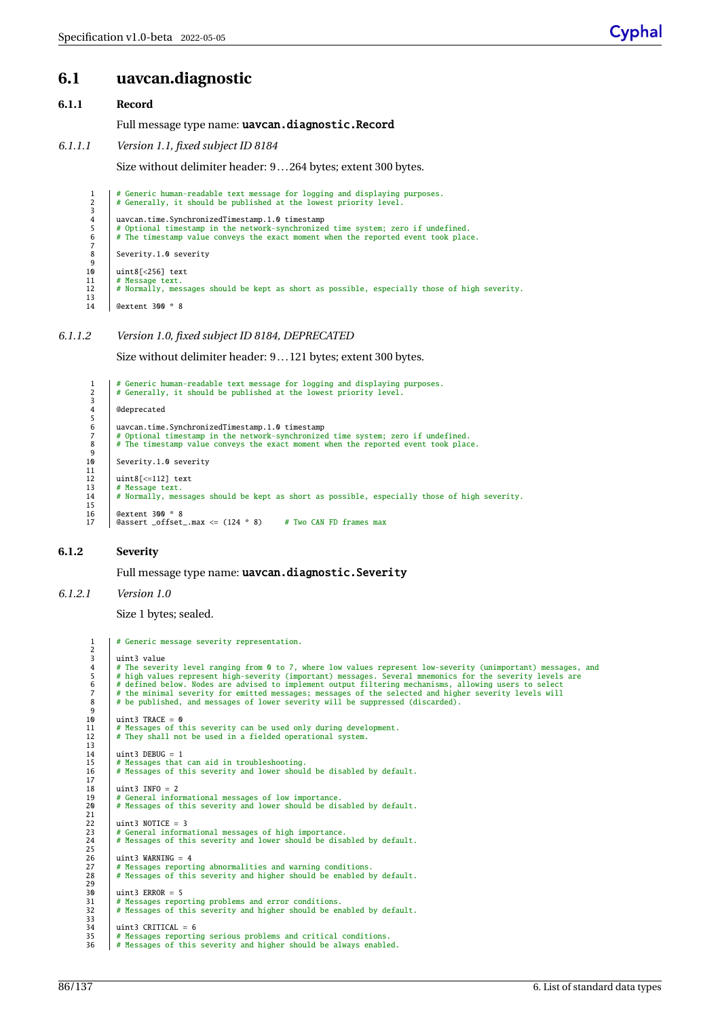# **6.1 uavcan.diagnostic**

### <span id="page-91-0"></span>**6.1.1 Record**

Full message type name: uavcan.diagnostic.Record

*6.1.1.1 Version 1.1, fixed subject ID 8184*

Size without delimiter header: 9... 264 bytes; extent 300 bytes.

1 # Generic human-readable text message for logging and displaying purposes.<br>2 # Generally it should be published at the lowest priority level # Generally, it should be published at the lowest priority level 3 uavcan.time.SynchronizedTimestamp.1.0 timestamp 5 # Optional timestamp in the network-synchronized time system; zero if undefined. 6 # The timestamp value conveys the exact moment when the reported event took place. 7 Severity.1.0 severity  $\begin{array}{c} 8 \\ 9 \\ 10 \end{array}$ 10  $\left[\begin{array}{c} \text{uint8} [\leq 256] \text{ text} \\ \text{if } \text{Message text} \end{array}\right]$ 11 # Message text. 12 # Normally, messages should be kept as short as possible, especially those of high severity.  $\frac{1}{1}$ 14 @extent 300 \* 8

## *6.1.1.2 Version 1.0, fixed subject ID 8184, DEPRECATED*

Size without delimiter header: 9... 121 bytes; extent 300 bytes.

1 # Generic human-readable text message for logging and displaying purposes.<br>2 # Generally, it should be published at the lowest priority level. # Generally, it should be published at the lowest priority level  $\overline{3}$ **@deprecated**  $45678$ uavcan.time.SynchronizedTimestamp.1.0 timestamp 7 # Optional timestamp in the network-synchronized time system; zero if undefined. 8 # The timestamp value conveys the exact moment when the reported event took place.  $\frac{9}{10}$ Severity.1.0 severity  $\frac{11}{12}$  $uint8[<=112]$  text # Message text 14 # Normally, messages should be kept as short as possible, especially those of high severity.  $\frac{15}{16}$ 16  $@$ extent 300  $*$  8<br>17  $@$ assert offset  $\text{Qasser}$   $\text{Coker}$   $\text{Coker}$   $\text{Coker}$   $\text{Coker}$   $\text{Coker}$   $\text{Coker}$   $\text{Coker}$   $\text{Coker}$   $\text{Coker}$   $\text{Coker}$   $\text{Coker}$   $\text{Coker}$   $\text{Coker}$   $\text{Coker}$   $\text{Coker}$   $\text{Coker}$   $\text{Coker}$   $\text{Coker}$   $\text{Coker}$   $\text{Coker}$   $\text{Coker}$   $\text{Coker}$   $\text{Coker}$   $\text{C$ 

<span id="page-91-1"></span>**6.1.2 Severity**

Full message type name: uavcan.diagnostic.Severity

*6.1.2.1 Version 1.0*

Size 1 bytes; sealed.

```
1 | # Generic message severity representation.
  2
              uint3 value
   # The severity level ranging from 0 to 7, where low values represent low-severity (unimportant) messages, and<br># high values represent high-severity (important) messages. Several mnemonics for the severity levels are<br># defi
\frac{3}{4}<br>\frac{4}{5}<br>\frac{5}{6}<br>\frac{6}{7}<br>\frac{8}{9}<br>\frac{9}{10}10 uint3 TRACE = 0
11 # Messages of this severity can be used only during development.
12 # They shall not be used in a fielded operational system.
\begin{bmatrix} 11 \\ 12 \\ 13 \\ 14 \\ 15 \end{bmatrix}uint3 DEBUG = 115 # Messages that can aid in troubleshooting.
16 # Messages of this severity and lower should be disabled by default.
\frac{17}{18}18 \begin{array}{c|c} \n 18 \n 19 \n 70 \n 19 \n 19 \n 10 \n 10 \n 11 \n 101 \n 1101 \n 120 \n 131 \n 14 \n 14 \n 151 \n 161 \n 171 \n 181 \n 191 \n 101 \n 101 \n 1101 \n 101 \n 1101 \n 101 \n 1101 \n 111 \n 101 \n 111 \n 101 \n 111 \n 101 \n 111 \n 101 \n 111 \n 119 # General informational messages of low importance.
20 # Messages of this severity and lower should be disabled by default.
21<br>22<br>23\nuint3 NOTICE = 3
23 # General informational messages of high importance.<br>24 # Messages of this severity and lower should be disa
               24 # Messages of this severity and lower should be disabled by default.
\begin{array}{c} 25 \\ 26 \\ 27 \end{array}uint3 WARNING = 4
               27 # Messages reporting abnormalities and warning conditions.
               28 # Messages of this severity and higher should be enabled by default.
28<br>29<br>30
\begin{array}{c|c}\n30 & \text{uint3 ERROR} = 5 \\
31 & \text{\# Message Step0}\n\end{array}31 # Messages reporting problems and error conditions.
32 # Messages of this severity and higher should be enabled by default.
33
\begin{array}{c|c} 34 & \text{uint3 CRITICAL} = 6 \\ 35 & \text{\# Message S reporti:} \end{array}35 # Messages reporting serious problems and critical conditions.
36 # Messages of this severity and higher should be always enabled.
```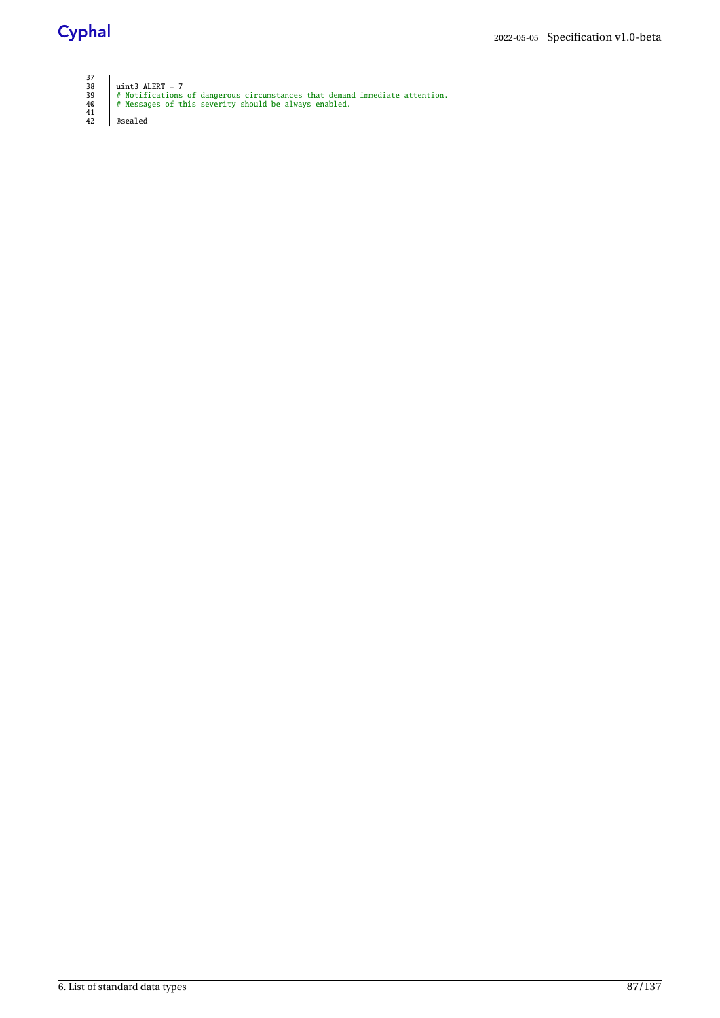# Cyphal

| 37 |                                                                                |
|----|--------------------------------------------------------------------------------|
| 38 | uint3 ALERT = $7$                                                              |
| 39 | $\#$ Notifications of dangerous circumstances that demand immediate attention. |
| 40 | # Messages of this severity should be always enabled.                          |
| 41 |                                                                                |
| 42 | @sealed                                                                        |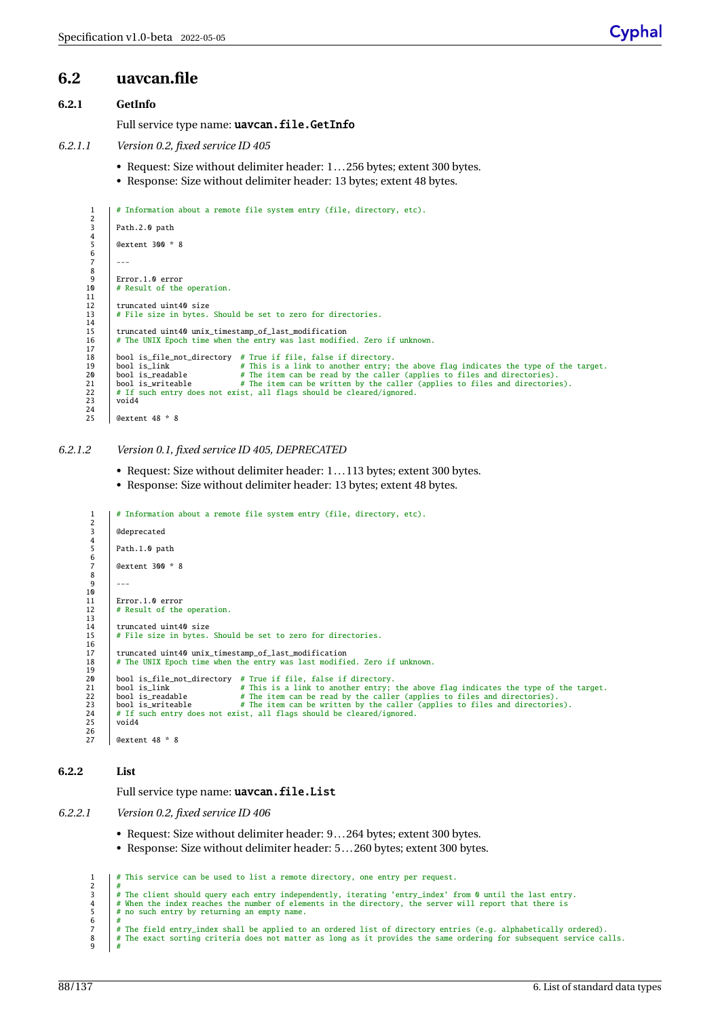# <span id="page-93-0"></span>**6.2 uavcan.file**

## <span id="page-93-1"></span>**6.2.1 GetInfo**

Full service type name: uavcan.file.GetInfo

- *6.2.1.1 Version 0.2, fixed service ID 405*
	- Request: Size without delimiter header: 1... 256 bytes; extent 300 bytes.
	- Response: Size without delimiter header: 13 bytes; extent 48 bytes.

```
# Information about a remote file system entry (file, directory, etc).
 \begin{array}{c} 1 \\ 2 \\ 3 \end{array}Path.2.0 path
 \frac{4}{5}5 @extent 300 * 8
  \begin{array}{c|c} 6 & \phantom{0} \\ 7 & \phantom{0} \\ \end{array}\frac{8}{9}\begin{array}{c|c} 9 & \text{Error.1.0 error} \\ 10 & \text{# Result of the} \end{array}# Result of the operation.
11<br>12truncated uint40 size
             # File size in bytes. Should be set to zero for directories.
\frac{13}{14}<br>\frac{14}{15}<br>\frac{16}{16}15 truncated uint40 unix_timestamp_of_last_modification
16 # The UNIX Epoch time when the entry was last modified. Zero if unknown.
17<br>18<br>19
 bool is_file_not_directory # True if file, false if directory.<br>
19 bool is_link is a link to another entry; the above flag indicates the type of the target.<br>
20 bool is_readable # The item can be read by the caller (applie
22 \# If such entry does not exist, all flags should be cleared/ignored.<br>23 \# 1f such entry does not exist, all flags should be cleared/ignored.
             23 void4
\frac{24}{25}25 @extent 48 * 8
```
*6.2.1.2 Version 0.1, fixed service ID 405, DEPRECATED*

- Request: Size without delimiter header: 1... 113 bytes; extent 300 bytes.
- Response: Size without delimiter header: 13 bytes; extent 48 bytes.

```
1 | # Information about a remote file system entry (file, directory, etc).
 2
           @deprecated
 \frac{3}{4}Path.1.0 path
  6
           7 @extent 300 * 8
  8
  9 ---
10<br>11Error.1.0 error
           # Result of the operation.
12<br>13<br>14<br>1514 truncated uint40 size
15 # File size in bytes. Should be set to zero for directories.
\frac{16}{17}17 truncated uint40 unix_timestamp_of_last_modification<br>18 # The UNIX Epoch time when the entry was last modifi
           18 # The UNIX Epoch time when the entry was last modified. Zero if unknown.
19<br>2020 bool is_file_not_directory # True if file, false if directory.<br>21 bool is_link # This is a link to another entry;<br>22 bool is_readable # The item can be read by the calle
bool is_link # This is a link to another entry; the above flag indicates the type of the target.<br>
22 bool is_readable # The item can be read by the caller (applies to files and directories).<br>
24 # If such entry does not ex
25 void4
rac{26}{27}@extent 48 * 8
```
### <span id="page-93-2"></span>**6.2.2 List**

Full service type name: uavcan.file.List

- *6.2.2.1 Version 0.2, fixed service ID 406*
	- Request: Size without delimiter header: 9... 264 bytes; extent 300 bytes.
	- Response: Size without delimiter header: 5... 260 bytes; extent 300 bytes.

```
1 | # This service can be used to list a remote directory, one entry per request.
\frac{1}{2}3 # The client should query each entry independently, iterating 'entry_index' from 0 until the last entry.
4 # When the index reaches the number of elements in the directory, the server will report that there is # no such entry by returning an empty name.
      # no such entry by returning an empty name.
rac{6}{7}7 # The field entry_index shall be applied to an ordered list of directory entries (e.g. alphabetically ordered).
        The exact sorting criteria does not matter as long as it provides the same ordering for subsequent service calls.
\frac{8}{9}
```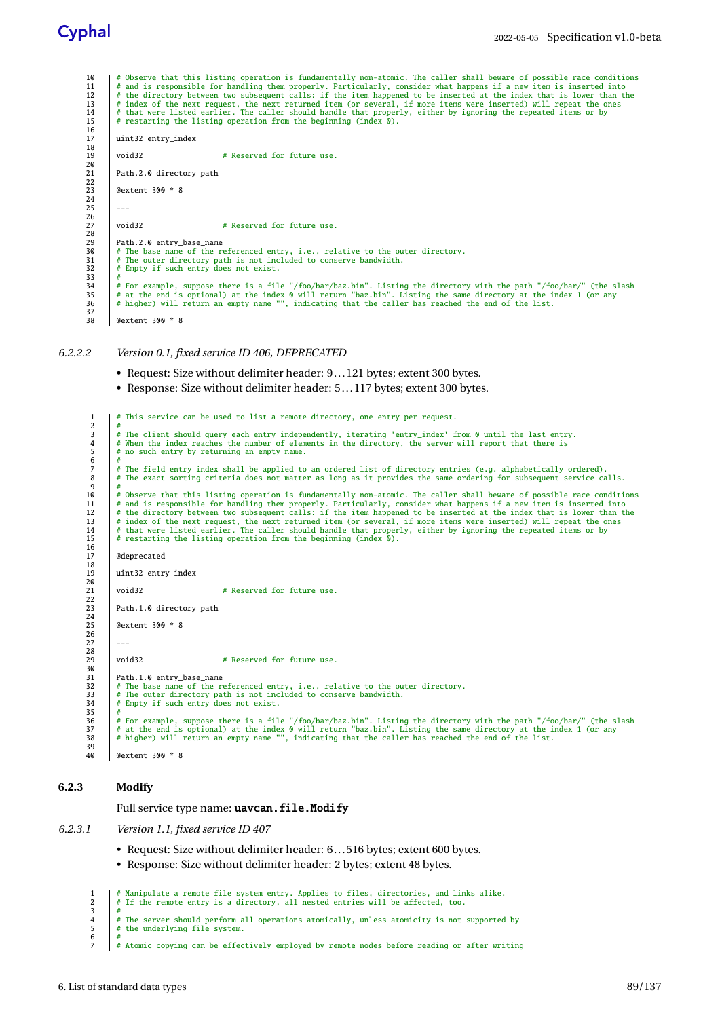4 Observe that this listing operation is fundamentally non-atomic. The caller shall beware of possible race conditions<br>11 # and is responsible for handling them properly. Particularly, consider what happens if a new item i 4 index of the next request, the next returned item (or several, if more items were inserted) will repeat the ones<br>14 | # that were listed earlier. The caller should handle that properly, either by ignoring the repeated it 13 # index of the next request, the next returned item (or several,<br>
# that were listed earlier. The caller should handle that proper<br>
# restarting the listing operation from the beginning (index 0).  $\frac{15}{16}$ uint32 entry\_index 17<br>18<br>18<br>19 19 void32 # Reserved for future use.  $\frac{20}{21}$ Path.2.0 directory path 22  $@$ extent  $300 * 8$ 24 25 --- 26 void32  $#$  Reserved for future use. 27<br>28<br>29<br>29<br>30 Path.2.0 entry\_base\_name 30 # The base name of the referenced entry, i.e., relative to the outer directory. 31 | # The outer directory path is not included to conserve bandwidth.<br>32 | # Empty if such entry does not exist. 33 # # For example, suppose there is a file "/foo/bar/baz.bin". Listing the directory with the path "/foo/bar/" (the slash # at the end is optional) at the index 0 will return "baz.bin". Listing the same directory at the index  $\frac{37}{38}$ 38 @extent 300 \* 8

*6.2.2.2 Version 0.1, fixed service ID 406, DEPRECATED*

- Request: Size without delimiter header: 9... 121 bytes; extent 300 bytes.
- Response: Size without delimiter header: 5... 117 bytes; extent 300 bytes.

1 | # This service can be used to list a remote directory, one entry per request.  $\frac{2}{3}$ 3 # The client should query each entry independently, iterating 'entry\_index' from 0 until the last entry. 4 # When the index reaches the number of elements in the directory, the server will report that there is # no such entry by returning an empty name.  $45678$ # The field entry\_index shall be applied to an ordered list of directory entries (e.g. alphabetically ordered).<br>8 | # The exact sorting criteria does not matter as long as it provides the same ordering for subsequent servi  $\frac{9}{10}$ <sup>#</sup> Observe that this listing operation is fundamentally non-atomic. The caller shall beware of possible race conditions<br>
<sup>#</sup> and is responsible for handling them properly. Particularly, consider what happens if a new item # and is responsible for handling them properly. Particularly, consider what happens if a new item is inserted into<br>12 # the directory between two subsequent calls: if the item happened to be inserted at the index that is 4 index of the next request, the next returned item (or several, if more items were inserted) will repeat the ones<br>14 # that were listed earlier. The caller should handle that properly, either by ignoring the repeated item  $\frac{16}{17}$ **@deprecated** 18 uint32 entry\_index  $\frac{19}{20}$ <br>21 21 void32 # Reserved for future use. 22 Path.1.0 directory path  $23$ <br> $24$ <br> $25$ 25 @extent 300 \* 8  $rac{26}{27}$  $\overline{a}$  $\frac{28}{29}$ void32 **# Reserved for future use.**  $\frac{30}{31}$  $\begin{array}{c|c} 31 & \text{Path.1.0 entry\_base_name} \\ 32 & \text{# The base name of the r} \end{array}$ 32 . The base name of the referenced entry, i.e., relative to the outer directory.<br>  $\#$  The base name of the referenced entry, i.e., relative to the outer directory. 33 # The outer directory path is not included to conserve bandwidth. 34 # Empty if such entry does not exist.  $35$   $36$ # For example, suppose there is a file "/foo/bar/baz.bin". Listing the directory with the path "/foo/bar/" (the slash<br>37 # at the end is optional) at the index 0 will return "baz.bin". Listing the same directory at the ind 39<br>40 40 @extent 300 \* 8

# <span id="page-94-0"></span>**6.2.3 Modify**

Full service type name: uavcan.file.Modify

*6.2.3.1 Version 1.1, fixed service ID 407*

- Request: Size without delimiter header: 6... 516 bytes; extent 600 bytes.
- Response: Size without delimiter header: 2 bytes; extent 48 bytes.

1 # Manipulate a remote file system entry. Applies to files, directories, and links alike. 2 # If the remote entry is a directory, all nested entries will be affected, too.

- $\begin{array}{c|c}\n2 & # \\
3 & # \\
4 & # \\
\end{array}$  $\frac{4}{5}$   $\frac{4}{7}$  The server should perform all operations atomically, unless atomicity is not supported by
	- the underlying file system.
	- # Atomic copying can be effectively employed by remote nodes before reading or after writing

 $rac{6}{7}$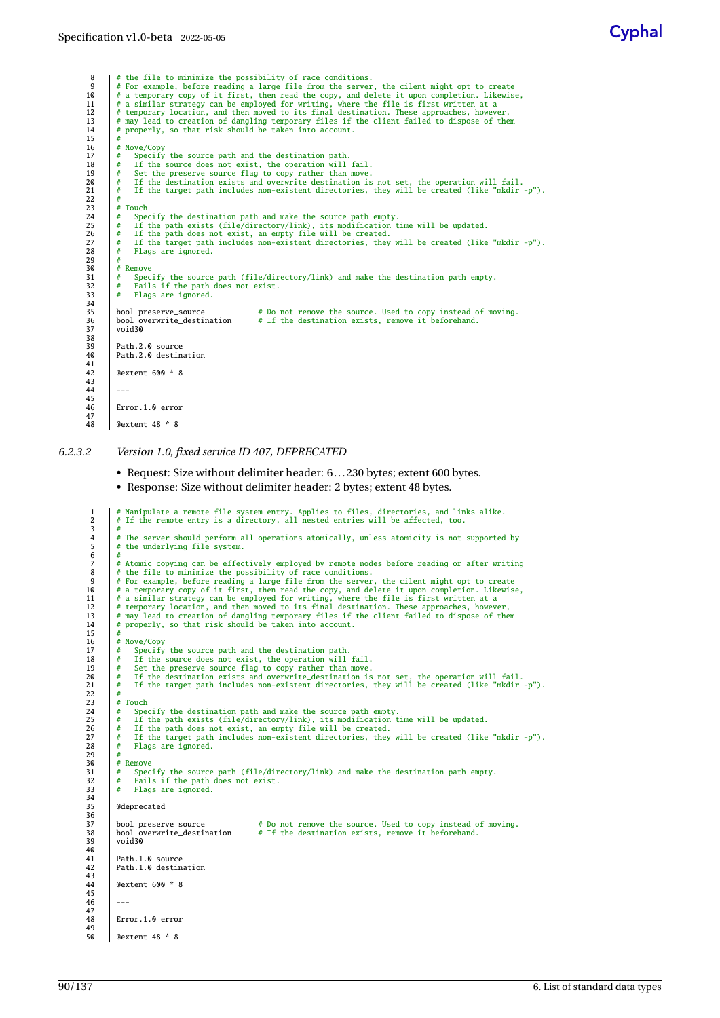8 | # the file to minimize the possibility of race conditions.<br>9 | # For example, before reading a large file from the server, the cilent might opt to create<br>10 | # a temporary copy of it first, then read the copy, and del 11 # a similar strategy can be employed for writing, where the file is first written at a 12 # temporary location, and then moved to its final destination. These approaches, however, 13 # may lead to creation of dangling temporary files if the client failed to dispose of them 14 # properly, so that risk should be taken into account.  $\overline{15}$ 16 # Move/Copy<br>17 # Specify 17 # Specify the source path and the destination path.<br>
18 # If the source does not exist, the operation will<br>
19 # Set the preserve\_source flag to copy rather than 18 | # If the source does not exist, the operation will fail.<br>19 | # Set the preserve\_source flag to copy rather than move. 20 # If the destination exists and overwrite\_destination is not set, the operation will fail. 21 # If the target path includes non-existent directories, they will be created (like "mkdir -p").  $\frac{22}{23}$  $\begin{array}{c|c}\n\text{23} & \text{#} & \text{Touch} \\
\text{24} & \text{#} & \text{Spe}\n\end{array}$ Specify the destination path and make the source path empty. 25 # If the path exists (file/directory/link), its modification time will be updated. 26 # If the path does not exist, an empty file will be created. 27 # If the target path includes non-existent directories, they will be created (like "mkdir -p"). 28 # Flags are ignored.  $\frac{29}{30}$ 30 # Remove<br>31 # Spec 31 # Specify the source path (file/directory/link) and make the destination path empty. 32 # Fails if the path does not exist. 33 # Flags are ignored. 34 35 bool preserve\_source # Do not remove the source. Used to copy instead of moving.<br>36 bool overwrite\_destination # If the destination exists, remove it beforehand.<br>37 void30 # If the destination exists, remove it beforehand. bool overwrite\_destination<br>void30 38 39 Path.2.0 source 40 Path.2.0 destination 41 42 @extent 600 \* 8 43  $44.4$ 45 46 Error.1.0 error  $\frac{47}{48}$ 48 @extent 48 \* 8 *6.2.3.2 Version 1.0, fixed service ID 407, DEPRECATED* • Request: Size without delimiter header: 6... 230 bytes; extent 600 bytes. • Response: Size without delimiter header: 2 bytes; extent 48 bytes. 1 # Manipulate a remote file system entry. Applies to files, directories, and links alike. 2 # If the remote entry is a directory, all nested entries will be affected, too.  $\frac{3}{4}$ 4 # The server should perform all operations atomically, unless atomicity is not supported by the underlying file system.  $\begin{array}{c} 5 \\ 6 \\ 7 \end{array}$  $\begin{array}{c}7 \ \ \ \ \end{array}$  # Atomic copying can be effectively employed by remote nodes before reading or after writing # the file to minimize the possibility of race conditions.<br>9 # For example, before reading a large file from 4 # the file to minimize the possibility of race conditions.<br>
4 # For example, before reading a large file from the server, the cilent might opt to create<br>
4 a temporary copy of it first, then read the copy, and delete it  $15$ <br> $16$ 16 # Move/Copy<br>17 # Specify<br>18 # If the

```
# Specify the source path and the destination path.<br>18 # If the source does not exist, the operation will fail.<br>19 # Set the preserve_source flag to copy rather than move.<br>20 # If the destination exists and overwrite_desti
21 # If the target path includes non-existent directories, they will be created (like "mkdir -p").
\begin{array}{c} 22 \\ 23 \end{array}23 # Touch<br>
24 # Spe<br>
25 # If
# Specify the destination path and make the source path empty.<br>25 # If the path exists (file/directory/link), its modification time will be updated.<br>26 # If the path does not exist, an empty file will be created.<br>27 # If t
28 # Flags are ignored.
29<br>30
30 # Remove<br>31 # Spec<br>32 # Fail
31 # Specify the source path (file/directory/link) and make the destination path empty.
32 # Fails if the path does not exist.
            # Flags are ignored.
33<br>34<br>35
            @deprecated
36<br>37
37 bool preserve_source # Do not remove the source. Used to copy instead of moving.<br>38 bool overwrite_destination # If the destination exists, remove it beforehand.<br>39 void30
            bool overwrite_destination # If the destination exists, remove it beforehand.
            \overline{v} void30
\frac{40}{41}\begin{array}{c|c} 41 & \text{Path.1.0 source} \\ 42 & \text{Path.1.0 destin} \end{array}Path.1.0 destination
\frac{43}{44}@extent 600 * R45
46 - -\frac{47}{48}48 Error.1.0 error
```

```
49<br>50
         Gextent 48 * 8
```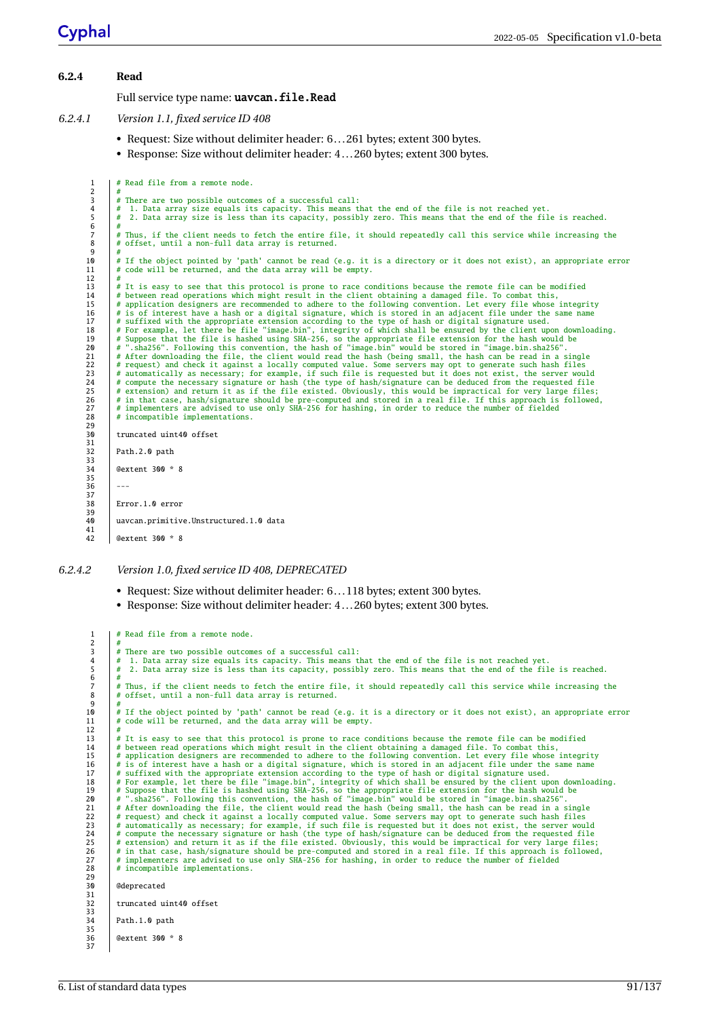<span id="page-96-0"></span>

| 6.2.4                                                                                                                                                                                                  | Read                                                                                                                                                                                                                                                                                                                                                                                                                                                                                                                                                                                                                                                                                                                                                                                                                                                                                                                                                                                                                                                                                                                                                                                                                                                                                                                                                                                                                                                                                                                                                                                                                                                                                                                                                                                                                                                                                                                                                                                                                                                                                                                                                                                                                                                                                                                                                                                                                                                                                   |
|--------------------------------------------------------------------------------------------------------------------------------------------------------------------------------------------------------|----------------------------------------------------------------------------------------------------------------------------------------------------------------------------------------------------------------------------------------------------------------------------------------------------------------------------------------------------------------------------------------------------------------------------------------------------------------------------------------------------------------------------------------------------------------------------------------------------------------------------------------------------------------------------------------------------------------------------------------------------------------------------------------------------------------------------------------------------------------------------------------------------------------------------------------------------------------------------------------------------------------------------------------------------------------------------------------------------------------------------------------------------------------------------------------------------------------------------------------------------------------------------------------------------------------------------------------------------------------------------------------------------------------------------------------------------------------------------------------------------------------------------------------------------------------------------------------------------------------------------------------------------------------------------------------------------------------------------------------------------------------------------------------------------------------------------------------------------------------------------------------------------------------------------------------------------------------------------------------------------------------------------------------------------------------------------------------------------------------------------------------------------------------------------------------------------------------------------------------------------------------------------------------------------------------------------------------------------------------------------------------------------------------------------------------------------------------------------------------|
|                                                                                                                                                                                                        | Full service type name: uavcan. file. Read                                                                                                                                                                                                                                                                                                                                                                                                                                                                                                                                                                                                                                                                                                                                                                                                                                                                                                                                                                                                                                                                                                                                                                                                                                                                                                                                                                                                                                                                                                                                                                                                                                                                                                                                                                                                                                                                                                                                                                                                                                                                                                                                                                                                                                                                                                                                                                                                                                             |
| 6.2.4.1                                                                                                                                                                                                | Version 1.1, fixed service ID 408                                                                                                                                                                                                                                                                                                                                                                                                                                                                                                                                                                                                                                                                                                                                                                                                                                                                                                                                                                                                                                                                                                                                                                                                                                                                                                                                                                                                                                                                                                                                                                                                                                                                                                                                                                                                                                                                                                                                                                                                                                                                                                                                                                                                                                                                                                                                                                                                                                                      |
|                                                                                                                                                                                                        | • Request: Size without delimiter header: 6261 bytes; extent 300 bytes.<br>• Response: Size without delimiter header: 4260 bytes; extent 300 bytes.                                                                                                                                                                                                                                                                                                                                                                                                                                                                                                                                                                                                                                                                                                                                                                                                                                                                                                                                                                                                                                                                                                                                                                                                                                                                                                                                                                                                                                                                                                                                                                                                                                                                                                                                                                                                                                                                                                                                                                                                                                                                                                                                                                                                                                                                                                                                    |
| 1<br>2<br>3<br>4<br>5<br>6<br>$\overline{7}$<br>8<br>9<br>10<br>11<br>12<br>13<br>14<br>15<br>16<br>17<br>18<br>19<br>20<br>21<br>22<br>23<br>24<br>25<br>26<br>27<br>28<br>29<br>30<br>31<br>32<br>33 | # Read file from a remote node.<br>#<br># There are two possible outcomes of a successful call:<br># 1. Data array size equals its capacity. This means that the end of the file is not reached yet.<br># 2. Data array size is less than its capacity, possibly zero. This means that the end of the file is reached.<br># Thus, if the client needs to fetch the entire file, it should repeatedly call this service while increasing the<br># offset, until a non-full data array is returned.<br># If the object pointed by 'path' cannot be read (e.g. it is a directory or it does not exist), an appropriate error<br># code will be returned, and the data array will be empty.<br># It is easy to see that this protocol is prone to race conditions because the remote file can be modified<br># between read operations which might result in the client obtaining a damaged file. To combat this,<br># application designers are recommended to adhere to the following convention. Let every file whose integrity<br># is of interest have a hash or a digital signature, which is stored in an adjacent file under the same name<br># suffixed with the appropriate extension according to the type of hash or digital signature used.<br># For example, let there be file "image.bin", integrity of which shall be ensured by the client upon downloading.<br># Suppose that the file is hashed using SHA-256, so the appropriate file extension for the hash would be<br># ".sha256". Following this convention, the hash of "image.bin" would be stored in "image.bin.sha256".<br># After downloading the file, the client would read the hash (being small, the hash can be read in a single<br># request) and check it against a locally computed value. Some servers may opt to generate such hash files<br># automatically as necessary; for example, if such file is requested but it does not exist, the server would<br># compute the necessary signature or hash (the type of hash/signature can be deduced from the requested file<br># extension) and return it as if the file existed. Obviously, this would be impractical for very large files;<br># in that case, hash/signature should be pre-computed and stored in a real file. If this approach is followed,<br># implementers are advised to use only SHA-256 for hashing, in order to reduce the number of fielded<br># incompatible implementations.<br>truncated uint40 offset<br>Path.2.0 path |
| 34<br>35<br>36                                                                                                                                                                                         | @extent 300 * 8<br>$---$                                                                                                                                                                                                                                                                                                                                                                                                                                                                                                                                                                                                                                                                                                                                                                                                                                                                                                                                                                                                                                                                                                                                                                                                                                                                                                                                                                                                                                                                                                                                                                                                                                                                                                                                                                                                                                                                                                                                                                                                                                                                                                                                                                                                                                                                                                                                                                                                                                                               |
| 37<br>38                                                                                                                                                                                               | Error.1.0 error                                                                                                                                                                                                                                                                                                                                                                                                                                                                                                                                                                                                                                                                                                                                                                                                                                                                                                                                                                                                                                                                                                                                                                                                                                                                                                                                                                                                                                                                                                                                                                                                                                                                                                                                                                                                                                                                                                                                                                                                                                                                                                                                                                                                                                                                                                                                                                                                                                                                        |
| 39<br>40<br>41                                                                                                                                                                                         | uavcan.primitive.Unstructured.1.0 data                                                                                                                                                                                                                                                                                                                                                                                                                                                                                                                                                                                                                                                                                                                                                                                                                                                                                                                                                                                                                                                                                                                                                                                                                                                                                                                                                                                                                                                                                                                                                                                                                                                                                                                                                                                                                                                                                                                                                                                                                                                                                                                                                                                                                                                                                                                                                                                                                                                 |
| 42                                                                                                                                                                                                     | @extent 300 * 8                                                                                                                                                                                                                                                                                                                                                                                                                                                                                                                                                                                                                                                                                                                                                                                                                                                                                                                                                                                                                                                                                                                                                                                                                                                                                                                                                                                                                                                                                                                                                                                                                                                                                                                                                                                                                                                                                                                                                                                                                                                                                                                                                                                                                                                                                                                                                                                                                                                                        |

*6.2.4.2 Version 1.0, fixed service ID 408, DEPRECATED*

- Request: Size without delimiter header: 6... 118 bytes; extent 300 bytes.
- Response: Size without delimiter header: 4... 260 bytes; extent 300 bytes.

# Read file from a remote node.

```
\begin{array}{c} 1 \\ 2 \\ 3 \end{array}3 # There are two possible outcomes of a successful call:<br>4 # 1. Data array size equals its capacity. This means t<br>5 # 2. Data array size is less than its capacity, possib
  4 # 1. Data array size equals its capacity. This means that the end of the file is not reached yet.
5 # 2. Data array size is less than its capacity, possibly zero. This means that the end of the file is reached.
 \frac{6}{7}\frac{2}{r} Thus, if the client needs to fetch the entire file, it should repeatedly call this service while increasing the
            8 # offset, until a non-full data array is returned.
\frac{8}{9}<br>10
10 # If the object pointed by 'path' cannot be read (e.g. it is a directory or it does not exist), an appropriate error
11 # code will be returned, and the data array will be empty.
\frac{11}{12}<br>\frac{12}{13}13 # It is easy to see that this protocol is prone to race conditions because the remote file can be modified
14 # between read operations which might result in the client obtaining a damaged file. To combat this,
4 application designers are recommended to adhere to the following convention. Let every file whose integrity<br>16 # is of interest have a hash or a digital signature, which is stored in an adjacent file under the same name<br>
# For example, let there be file "image.bin", integrity of which shall be ensured by the client upon downloading.<br>
# Suppose that the file is hashed using SHA-256, so the appropriate file extension for the hash would be<br>
#
27 # implementers are advised to use only SHA-256 for hashing, in order to reduce the number of fielded
28 # incompatible implementations.
rac{29}{30}@deprecated
31
32 truncated uint40 offset
33
34 Path.1.0 path
35
            36 @extent 300 * 8
36<br>37
```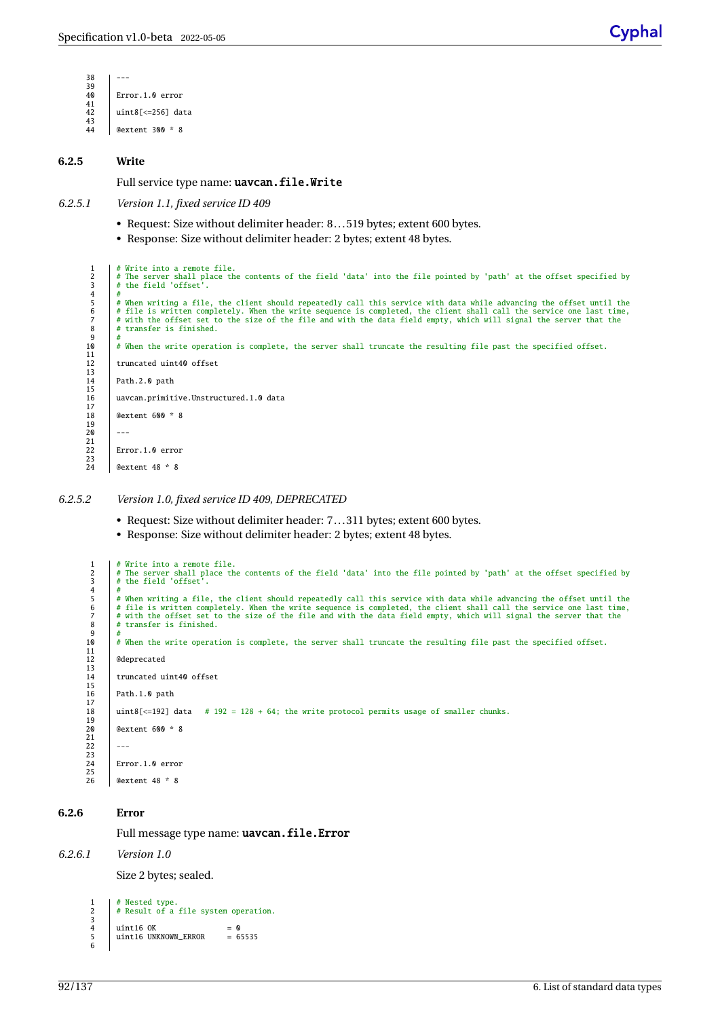- 38 --- 39 40 Error.1.0 error  $41$ <br> $42$ uint8[<=256] data
- $\frac{43}{44}$ 44 @extent 300 \* 8

### <span id="page-97-0"></span>**6.2.5 Write**

Full service type name: uavcan.file.Write

- *6.2.5.1 Version 1.1, fixed service ID 409*
	- Request: Size without delimiter header: 8... 519 bytes; extent 600 bytes.
	- Response: Size without delimiter header: 2 bytes; extent 48 bytes.

1  $\#$  Write into a remote file.<br>2  $\#$  The server shall place the The server shall place the contents of the field 'data' into the file pointed by 'path' at the offset specified by the field 'offset'.  $\begin{array}{c|c}\n3 & # \\
4 & # \\
5 & # \\
\end{array}$ When writing a file, the client should repeatedly call this service with data while advancing the offset until the # file is written completely. When the write sequence is completed, the client shall call the service one last time,<br>7 # with the offset set to the size of the file and with the data field empty, which will signal the serv 8 # transfer is finished.  $6789$ # When the write operation is complete, the server shall truncate the resulting file past the specified offset.  $10$ <br> $11$ <br> $12$ truncated uint40 offset  $\frac{13}{14}$ Path.2.0 path  $15$ <br> $16$ uavcan.primitive.Unstructured.1.0 data  $\frac{17}{18}$ 18 @extent 600 \* 8 19 20 --- 21 Error.1.0 error  $\frac{22}{23}$ <br> $\frac{23}{24}$ @extent  $48 * 8$ 

*6.2.5.2 Version 1.0, fixed service ID 409, DEPRECATED*

- Request: Size without delimiter header: 7... 311 bytes; extent 600 bytes.
- Response: Size without delimiter header: 2 bytes; extent 48 bytes.

```
1 # Write into a remote file.<br>
2 # The server shall place th<br>
3 # the field 'offset'.
  2 | # The server shall place the contents of the field 'data' into the file pointed by 'path' at the offset specified by<br>3 | # the field 'offset'.
 4/5<br>6
  # When writing a file, the client should repeatedly call this service with data while advancing the offset until the<br>6 # file is written completely. When the write sequence is completed, the client shall call the service o
  7 # with the offset set to the size of the file and with the data field empty, which will signal the server that the
8 # transfer is finished.
789<br>10\frac{1}{2} When the write operation is complete, the server shall truncate the resulting file past the specified offset.
11
12 @deprecated
13
         truncated uint40 offset
14<br>15Path.1.0 path
\frac{16}{17}<br>18
         uint8[<=192] data # 192 = 128 + 64; the write protocol permits usage of smaller chunks.
19
         @extent 600 * 8\frac{20}{21}\frac{1}{2}23
         Error.1.0 error
2526 @extent 48 * 8
```
# <span id="page-97-1"></span>**6.2.6 Error**

Full message type name: uavcan.file.Error

*6.2.6.1 Version 1.0*

Size 2 bytes; sealed.

1  $\parallel$  # Nested type.<br>2  $\parallel$  # Result of a # Result of a file system operation.  $\overline{3}$  $uint16 OK$  = 0<br> $uint16 UNKNOWN\_ERROR$  = 65535 uint16 UNKNOWN\_ERROR  $\begin{array}{c} 4 \\ 5 \\ 6 \end{array}$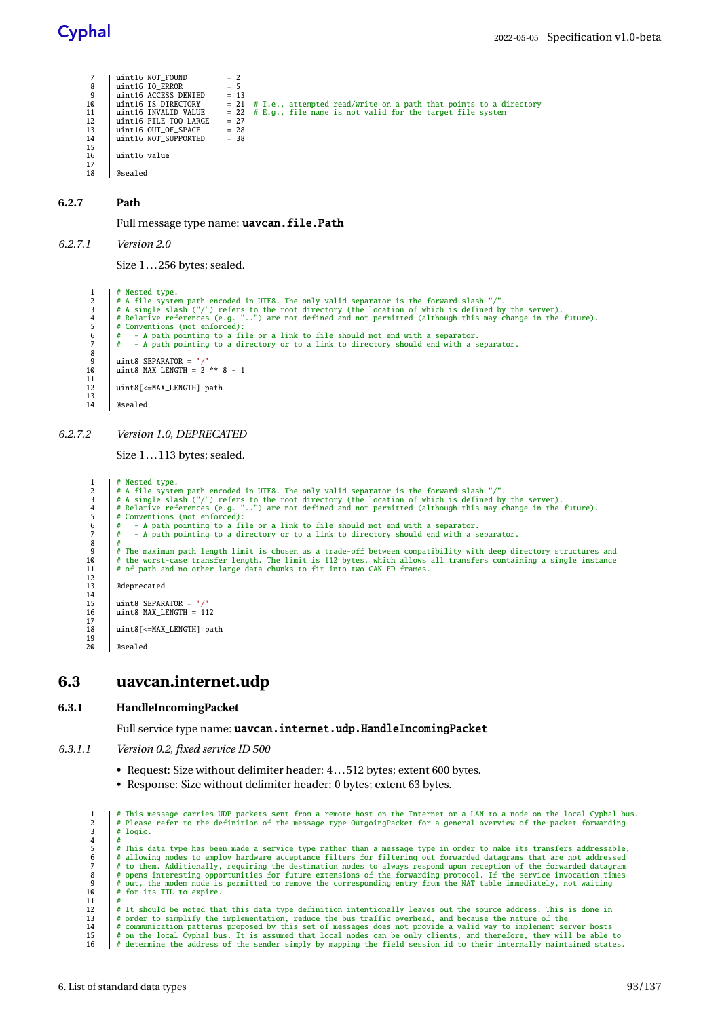```
7 | uint16 NOT_FOUND = 2<br>8 | uint16 IO_ERROR = 5
9 uint16 ACCESS_DENIED = 13<br>10 uint16 IS_DIRECTORY = 21<br>11 uint16 INVALID_VALUE = 22
10 | uint16 IS_DIRECTORY = 21 # I.e., attempted read/write on a path that points to a directory<br>11 | uint16 INVALID_VALUE = 22 # E.g., file name is not valid for the target file system
12 uint16 FILE_TOO_LARGE = 27
13 uint16 OUT_OF_SPACE = 28
14 uint16 NOT_SUPPORTED = 38
\frac{15}{16}uint16 value
17
```
@sealed

<span id="page-98-0"></span>**6.2.7 Path**

Full message type name: uavcan.file.Path

```
6.2.7.1 Version 2.0
```
Size 1... 256 bytes; sealed.

```
\begin{array}{c|c} 1 & # \text{ Nested type.} \\ 2 & # A file syste \end{array}# A file system path encoded in UTF8. The only valid separator is the forward slash "/".<br>3      # A single slash ("/") refers to the root directory (the location of which is defined by the server).<br>4      # Relative refere
 4 # Relative references (e.g. "<br>5 # Conventions (not enforced):<br>6 # - A path pointing to a fi
                     A path pointing to a file or a link to file should not end with a separator.
            7 # - A path pointing to a directory or to a link to directory should end with a separator.
 \begin{array}{c} 7 \\ 8 \\ 9 \end{array}9 uint8 SEPARATOR = '/'
10 uint8 MAX_LENGTH = 2 ** 8 - 1
11
12 | uint8[<=MAX_LENGTH] path
\frac{13}{14}@sealed
```
### *6.2.7.2 Version 1.0, DEPRECATED*

Size 1... 113 bytes; sealed.

```
1 # Nested type.<br>2 # A file syste<br>3 # A single sla
  # A file system path encoded in UTF8. The only valid separator is the forward slash "/".<br># A single slash ("/") refers to the root directory (the location of which is defined by the server).<br># Relative references (e.g. "..
  6 # - A path pointing to a file or a link to file should not end with a separator.
7 # - A path pointing to a directory or to a link to directory should end with a separator.
 \frac{8}{9}form the maximum path length limit is chosen as a trade-off between compatibility with deep directory structures and<br>10 ft the worst-case transfer length. The limit is 112 bytes, which allows all transfers containing a sin
            # of path and no other large data chunks to fit into two CAN FD frames.
\frac{11}{12}@deprecated
13<br>14<br>1515 uint8 SEPARATOR = '/'
16 uint8 MAX_LENGTH = 112
\frac{17}{18}uint8[<=MAX_LENGTH] path
\frac{19}{20}@sealed
```
# <span id="page-98-1"></span>**6.3 uavcan.internet.udp**

### <span id="page-98-2"></span>**6.3.1 HandleIncomingPacket**

Full service type name: uavcan.internet.udp.HandleIncomingPacket

- *6.3.1.1 Version 0.2, fixed service ID 500*
	- Request: Size without delimiter header: 4... 512 bytes; extent 600 bytes.
	- Response: Size without delimiter header: 0 bytes; extent 63 bytes.

```
4 This message carries UDP packets sent from a remote host on the Internet or a LAN to a node on the local Cyphal bus.<br>
4 Please refer to the definition of the message type OutgoingPacket for a general overview of the pack
           # Please refer to the definition of the message type OutgoingPacket for a general overview of the packet forwarding
          # logic.
 \frac{4}{5}<sup>1</sup> # This data type has been made a service type rather than a message type in order to make its transfers addressable,<br><sup>1</sup> # allowing nodes to employ hardware acceptance filters for filtering out forwarded datagrams that
  4 allowing nodes to employ hardware acceptance filters for filtering out forwarded datagrams that are not addressed<br>4 to them. Additionally, requiring the destination nodes to always respond upon reception of the forwarded
9 # out, the modem node is permitted to remove the corresponding entry from the NAT table immediately, not waiting
10 # for its TTL to expire.
\frac{11}{12}<sup>11</sup> \mu It should be noted that this data type definition intentionally leaves out the source address. This is done in<br>13 \mu order to simplify the implementation reduce the bus traffic overhead, and because the pature
# order to simplify the implementation, reduce the bus traffic overhead, and because the nature of the<br>14 # communication patterns proposed by this set of messages does not provide a valid way to implement server hosts<br>15 
           16 # determine the address of the sender simply by mapping the field session_id to their internally maintained states.
```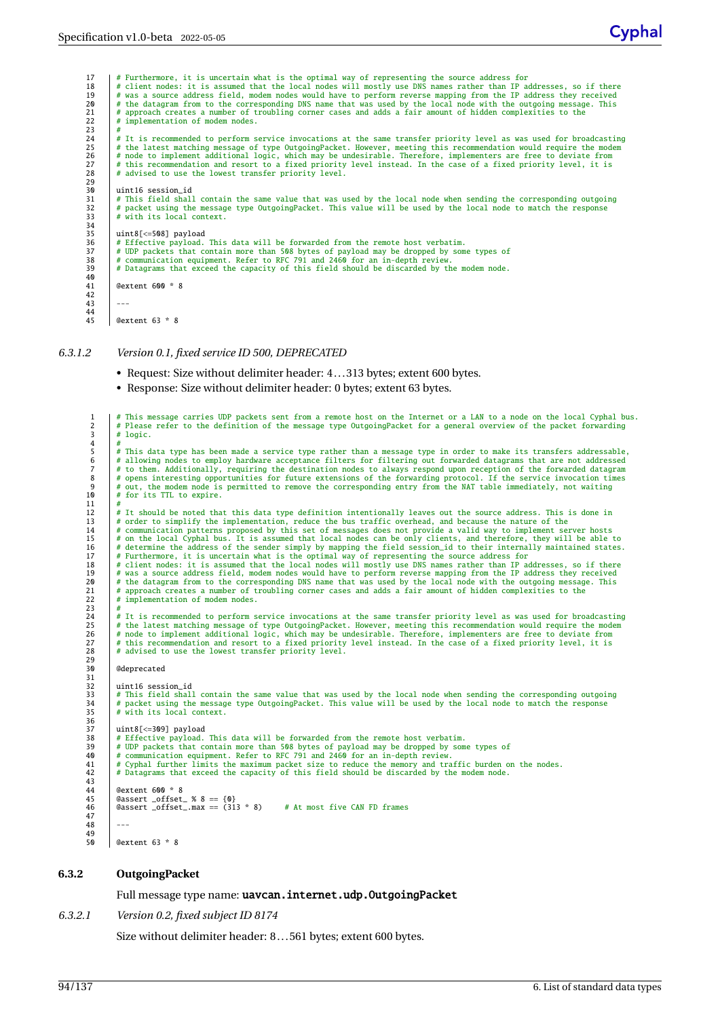17 # Furthermore, it is uncertain what is the optimal way of representing the source address for 18 # client nodes: it is assumed that the local nodes will mostly use DNS names rather than IP addresses, so if there 19 # was a source address field, modem nodes would have to perform reverse mapping from the IP address they received<br>
20 # the datagram from to the corresponding DNS name that was used by the local node with the outgoing m % 20 yet the datagram from to the corresponding DNS name that was used by the local node with the outgoing message. This<br>21 yet approach creates a number of troubling corner cases and adds a fair amount of hidden complexit # implementation of modem nodes. 22<br>23<br>24<br>25 # It is recommended to perform service invocations at the same transfer priority level as was used for broadcasting<br>25 # the latest matching message of type OutgoingPacket. However, meeting this recommendation would re 27  $#$  this recommendation and resort to a fixed priority level instead. In the case of a fixed priority level, it is<br>28  $#$  advised to use the lowest transfer priority level. 29<br>30 30 uint16 session\_id<br>31 # This field shall<br>32 # packet using the # This field shall contain the same value that was used by the local node when sending the corresponding outgoing<br>32 | # packet using the message type OutgoingPacket. This value will be used by the local node to match the  $33$  # with its local context. 34 35 uint8[<=508] payload<br>36 # Effective payload. 36 # Effective payload. This data will be forwarded from the remote host verbatim. 37 # UDP packets that contain more than 508 bytes of payload may be dropped by some types of 38 # communication equipment. Refer to RFC 791 and 2460 for an in-depth review. 39 # Datagrams that exceed the capacity of this field should be discarded by the modem node. 40 41 @extent 600 \* 8 42 43 --- 44 45 @extent 63 \* 8

### *6.3.1.2 Version 0.1, fixed service ID 500, DEPRECATED*

- Request: Size without delimiter header: 4... 313 bytes; extent 600 bytes.
- Response: Size without delimiter header: 0 bytes; extent 63 bytes.

<sup>1</sup> # This message carries UDP packets sent from a remote host on the Internet or a LAN to a node on the local Cyphal bus.<br><sup>2</sup> # Please refer to the definition of the message type OutgoingPacket for a general overview of t # Please refer to the definition of the message type OutgoingPacket for a general overview of the packet forwarding  $3 1 0 0 1 0$ 4 # # This data type has been made a service type rather than a message type in order to make its transfers addressable,<br># allowing nodes to employ hardware acceptance filters for filtering out forwarded datagrams that are not 10  $\#$  for its TTL to expire.<br>11  $\#$ # It should be noted that this data type definition intentionally leaves out the source address. This is done in<br>
# order to simplify the implementation, reduce the bus traffic overhead, and because the nature of the<br>
# co 22 # implementation of modem nodes.  $\frac{23}{24}$ # It is recommended to perform service invocations at the same transfer priority level as was used for broadcasting<br>25 # the latest matching message of type OutgoingPacket. However, meeting this recommendation would requir # advised to use the lowest transfer priority level.  $28$ <br> $29$ <br> $30$ **@deprecated** 31<br>32 32  $\begin{array}{|l|} \hline \text{uint16 session_id} \\ \hline \text{33} & \text{# This field shall} \end{array}$ # This field shall contain the same value that was used by the local node when sending the corresponding outgoing<br>34 # packet using the message type OutgoingPacket. This value will be used by the local node to match the 35 # with its local context.  $\frac{36}{37}$ uint8[<=309] payload # Effective payload. This data will be forwarded from the remote host verbatim.<br>40 # UDP packets that contain more than 508 bytes of payload may be dropped by some types of<br>41 # Communication equipment. Refer to RFC 791 an # Datagrams that exceed the capacity of this field should be discarded by the modem node.  $42$ <br> $43$ <br> $44$ <br> $45$ 44 @extent 600 \* 8 45 @assert \_offset\_ % 8 == {0} 46 @assert \_offset\_.max == (313 \* 8) # At most five CAN FD frames 47  $-48$ 49<br>50 Gextent  $63 * 8$ 

### <span id="page-99-0"></span>**6.3.2 OutgoingPacket**

Full message type name: uavcan.internet.udp.OutgoingPacket

*6.3.2.1 Version 0.2, fixed subject ID 8174*

Size without delimiter header: 8... 561 bytes; extent 600 bytes.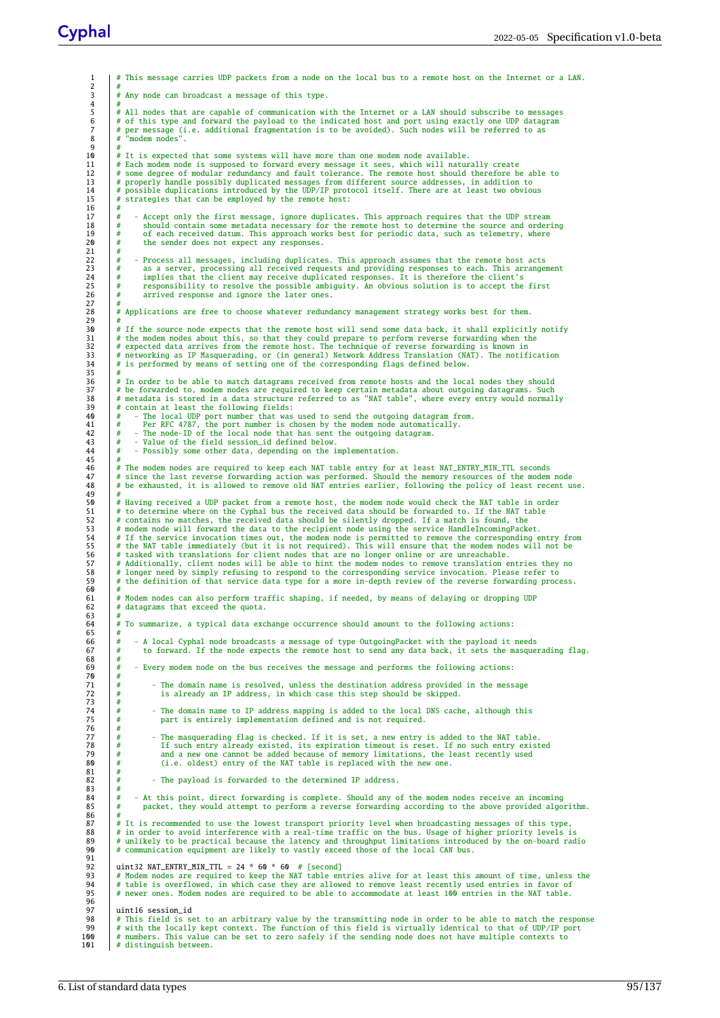|                                 | # This message carries UDP packets from a node on the local bus to a remote host on the Internet or a LAN.                                                                                                                                                                                                                                                                                                                                                                                                                                                                                                                                                                                                                                                                                                                                                                                                                                                                                                                                                         |
|---------------------------------|--------------------------------------------------------------------------------------------------------------------------------------------------------------------------------------------------------------------------------------------------------------------------------------------------------------------------------------------------------------------------------------------------------------------------------------------------------------------------------------------------------------------------------------------------------------------------------------------------------------------------------------------------------------------------------------------------------------------------------------------------------------------------------------------------------------------------------------------------------------------------------------------------------------------------------------------------------------------------------------------------------------------------------------------------------------------|
|                                 | # Any node can broadcast a message of this type.                                                                                                                                                                                                                                                                                                                                                                                                                                                                                                                                                                                                                                                                                                                                                                                                                                                                                                                                                                                                                   |
|                                 | # All nodes that are capable of communication with the Internet or a LAN should subscribe to messages<br># of this type and forward the payload to the indicated host and port using exactly one UDP datagram<br># per message (i.e. additional fragmentation is to be avoided). Such nodes will be referred to as<br># "modem nodes".                                                                                                                                                                                                                                                                                                                                                                                                                                                                                                                                                                                                                                                                                                                             |
| #                               | # It is expected that some systems will have more than one modem node available.<br># Each modem node is supposed to forward every message it sees, which will naturally create<br># some degree of modular redundancy and fault tolerance. The remote host should therefore be able to<br># properly handle possibly duplicated messages from different source addresses, in addition to<br># possible duplications introduced by the UDP/IP protocol itself. There are at least two obvious<br># strategies that can be employed by the remote host:                                                                                                                                                                                                                                                                                                                                                                                                                                                                                                             |
| #<br>#<br>#<br>#                | - Accept only the first message, ignore duplicates. This approach requires that the UDP stream<br>should contain some metadata necessary for the remote host to determine the source and ordering<br>of each received datum. This approach works best for periodic data, such as telemetry, where<br>the sender does not expect any responses.                                                                                                                                                                                                                                                                                                                                                                                                                                                                                                                                                                                                                                                                                                                     |
| #<br>#<br>#<br>#<br>#<br>#<br># | - Process all messages, including duplicates. This approach assumes that the remote host acts<br>as a server, processing all received requests and providing responses to each. This arrangement<br>implies that the client may receive duplicated responses. It is therefore the client's<br>responsibility to resolve the possible ambiguity. An obvious solution is to accept the first<br>arrived response and ignore the later ones.                                                                                                                                                                                                                                                                                                                                                                                                                                                                                                                                                                                                                          |
|                                 | # Applications are free to choose whatever redundancy management strategy works best for them.                                                                                                                                                                                                                                                                                                                                                                                                                                                                                                                                                                                                                                                                                                                                                                                                                                                                                                                                                                     |
|                                 | # If the source node expects that the remote host will send some data back, it shall explicitly notify<br># the modem nodes about this, so that they could prepare to perform reverse forwarding when the<br># expected data arrives from the remote host. The technique of reverse forwarding is known in<br># networking as IP Masquerading, or (in general) Network Address Translation (NAT). The notification<br># is performed by means of setting one of the corresponding flags defined below.                                                                                                                                                                                                                                                                                                                                                                                                                                                                                                                                                             |
| #<br>#<br>#                     | # In order to be able to match datagrams received from remote hosts and the local nodes they should<br># be forwarded to, modem nodes are required to keep certain metadata about outgoing datagrams. Such<br># metadata is stored in a data structure referred to as "NAT table", where every entry would normally<br># contain at least the following fields:<br>- The local UDP port number that was used to send the outgoing datagram from.<br>Per RFC 4787, the port number is chosen by the modem node automatically.<br>- The node-ID of the local node that has sent the outgoing datagram.<br>- Value of the field session_id defined below.                                                                                                                                                                                                                                                                                                                                                                                                             |
| #                               | - Possibly some other data, depending on the implementation.                                                                                                                                                                                                                                                                                                                                                                                                                                                                                                                                                                                                                                                                                                                                                                                                                                                                                                                                                                                                       |
|                                 | # The modem nodes are required to keep each NAT table entry for at least NAT_ENTRY_MIN_TTL seconds<br># since the last reverse forwarding action was performed. Should the memory resources of the modem node<br># be exhausted, it is allowed to remove old NAT entries earlier, following the policy of least recent use.                                                                                                                                                                                                                                                                                                                                                                                                                                                                                                                                                                                                                                                                                                                                        |
|                                 | # Having received a UDP packet from a remote host, the modem node would check the NAT table in order<br># to determine where on the Cyphal bus the received data should be forwarded to. If the NAT table<br># contains no matches, the received data should be silently dropped. If a match is found, the<br># modem node will forward the data to the recipient node using the service HandleIncomingPacket.<br># If the service invocation times out, the modem node is permitted to remove the corresponding entry from<br># the NAT table immediately (but it is not required). This will ensure that the modem nodes will not be<br># tasked with translations for client nodes that are no longer online or are unreachable.<br># Additionally, client nodes will be able to hint the modem nodes to remove translation entries they no<br># longer need by simply refusing to respond to the corresponding service invocation. Please refer to<br># the definition of that service data type for a more in-depth review of the reverse forwarding process. |
| #                               | # Modem nodes can also perform traffic shaping, if needed, by means of delaying or dropping UDP<br># datagrams that exceed the quota.                                                                                                                                                                                                                                                                                                                                                                                                                                                                                                                                                                                                                                                                                                                                                                                                                                                                                                                              |
|                                 | # To summarize, a typical data exchange occurrence should amount to the following actions:                                                                                                                                                                                                                                                                                                                                                                                                                                                                                                                                                                                                                                                                                                                                                                                                                                                                                                                                                                         |
| #<br>#                          | - A local Cyphal node broadcasts a message of type OutgoingPacket with the payload it needs<br>to forward. If the node expects the remote host to send any data back, it sets the masquerading flag.                                                                                                                                                                                                                                                                                                                                                                                                                                                                                                                                                                                                                                                                                                                                                                                                                                                               |
| #<br>#                          | - Every modem node on the bus receives the message and performs the following actions:                                                                                                                                                                                                                                                                                                                                                                                                                                                                                                                                                                                                                                                                                                                                                                                                                                                                                                                                                                             |
| #<br>#<br>#                     | - The domain name is resolved, unless the destination address provided in the message<br>is already an IP address, in which case this step should be skipped.                                                                                                                                                                                                                                                                                                                                                                                                                                                                                                                                                                                                                                                                                                                                                                                                                                                                                                      |
| #<br>#<br>#                     | - The domain name to IP address mapping is added to the local DNS cache, although this<br>part is entirely implementation defined and is not required.                                                                                                                                                                                                                                                                                                                                                                                                                                                                                                                                                                                                                                                                                                                                                                                                                                                                                                             |
| #<br>#<br>#<br>#<br>#           | - The masquerading flag is checked. If it is set, a new entry is added to the NAT table.<br>If such entry already existed, its expiration timeout is reset. If no such entry existed<br>and a new one cannot be added because of memory limitations, the least recently used<br>(i.e. oldest) entry of the NAT table is replaced with the new one.                                                                                                                                                                                                                                                                                                                                                                                                                                                                                                                                                                                                                                                                                                                 |
| #<br>#                          | - The payload is forwarded to the determined IP address.                                                                                                                                                                                                                                                                                                                                                                                                                                                                                                                                                                                                                                                                                                                                                                                                                                                                                                                                                                                                           |
| #<br>#<br>#                     | - At this point, direct forwarding is complete. Should any of the modem nodes receive an incoming<br>packet, they would attempt to perform a reverse forwarding according to the above provided algorithm.                                                                                                                                                                                                                                                                                                                                                                                                                                                                                                                                                                                                                                                                                                                                                                                                                                                         |
|                                 | # It is recommended to use the lowest transport priority level when broadcasting messages of this type,<br># in order to avoid interference with a real-time traffic on the bus. Usage of higher priority levels is<br># unlikely to be practical because the latency and throughput limitations introduced by the on-board radio<br># communication equipment are likely to vastly exceed those of the local CAN bus.                                                                                                                                                                                                                                                                                                                                                                                                                                                                                                                                                                                                                                             |
|                                 | uint32 NAT_ENTRY_MIN_TTL = 24 $*$ 60 $*$ 60 # [second]<br># Modem nodes are required to keep the NAT table entries alive for at least this amount of time, unless the<br># table is overflowed, in which case they are allowed to remove least recently used entries in favor of<br># newer ones. Modem nodes are required to be able to accommodate at least 100 entries in the NAT table.                                                                                                                                                                                                                                                                                                                                                                                                                                                                                                                                                                                                                                                                        |
|                                 | uint16 session_id<br># This field is set to an arbitrary value by the transmitting node in order to be able to match the response<br># with the locally kept context. The function of this field is virtually identical to that of UDP/IP port<br># numbers. This value can be set to zero safely if the sending node does not have multiple contexts to<br># distinguish between.                                                                                                                                                                                                                                                                                                                                                                                                                                                                                                                                                                                                                                                                                 |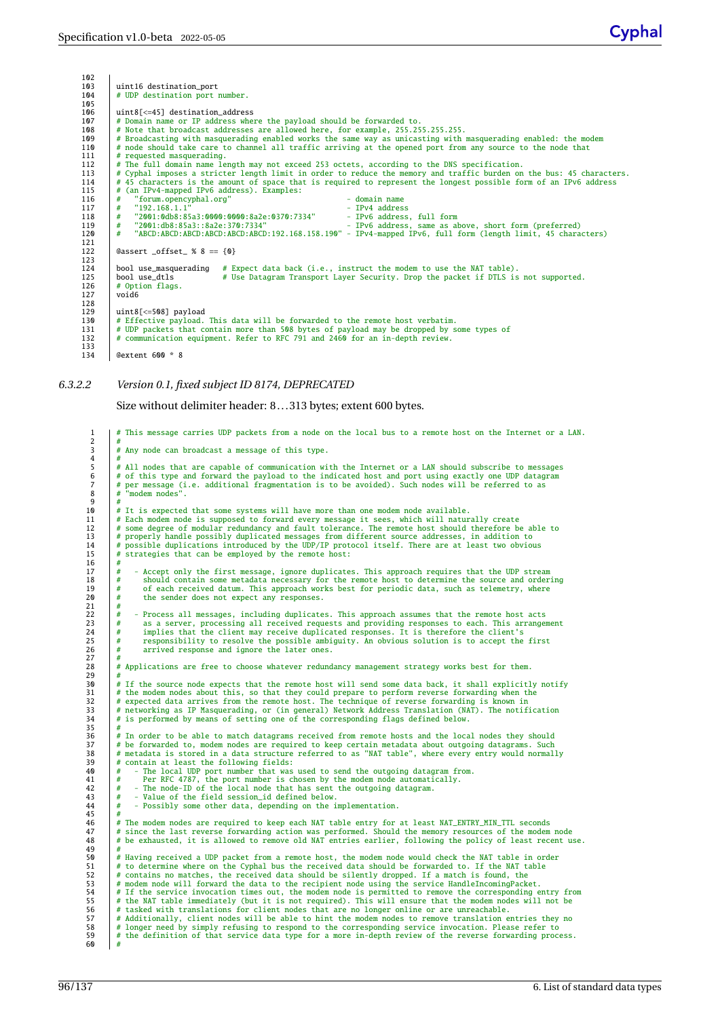| 102 |                                                                                                                      |
|-----|----------------------------------------------------------------------------------------------------------------------|
| 103 | uint16 destination_port                                                                                              |
| 104 | # UDP destination port number.                                                                                       |
| 105 |                                                                                                                      |
| 106 | $uint8$ $<=45$ ] destination_address                                                                                 |
| 107 | # Domain name or IP address where the payload should be forwarded to.                                                |
| 108 | # Note that broadcast addresses are allowed here, for example, 255.255.255.255.                                      |
| 109 | # Broadcasting with masquerading enabled works the same way as unicasting with masquerading enabled: the modem       |
| 110 | # node should take care to channel all traffic arriving at the opened port from any source to the node that          |
| 111 | # requested masquerading.                                                                                            |
| 112 | # The full domain name length may not exceed 253 octets, according to the DNS specification.                         |
| 113 | # Cyphal imposes a stricter length limit in order to reduce the memory and traffic burden on the bus: 45 characters. |
| 114 | # 45 characters is the amount of space that is required to represent the longest possible form of an IPv6 address    |
| 115 | # (an IPv4-mapped IPv6 address). Examples:                                                                           |
| 116 | "forum.opencyphal.org"<br>- domain name                                                                              |
| 117 | "192.168.1.1"<br>- IPv4 address<br>#                                                                                 |
| 118 | "2001:0db8:85a3:0000:0000:8a2e:0370:7334" - IPv6 address, full form                                                  |
| 119 | #<br>"2001:db8:85a3::8a2e:370:7334" - IPv6 address, same as above, short form (preferred)                            |
| 120 | "ABCD:ABCD:ABCD:ABCD:ABCD:ABCD:192.168.158.190" - IPv4-mapped IPv6, full form (length limit, 45 characters)<br>#     |
| 121 |                                                                                                                      |
| 122 | @assert offset $% 8 == 10$                                                                                           |
| 123 |                                                                                                                      |
| 124 | bool use_masquerading<br># Expect data back (i.e., instruct the modem to use the NAT table).                         |
| 125 | bool use dtls<br># Use Datagram Transport Layer Security. Drop the packet if DTLS is not supported.                  |
| 126 | # Option flags.                                                                                                      |
| 127 | void6                                                                                                                |
| 128 |                                                                                                                      |
| 129 | uint8[<=508] payload                                                                                                 |
| 130 | # Effective payload. This data will be forwarded to the remote host verbatim.                                        |
| 131 | # UDP packets that contain more than 508 bytes of payload may be dropped by some types of                            |
| 132 | # communication equipment. Refer to RFC 791 and 2460 for an in-depth review.                                         |
| 133 |                                                                                                                      |
| 134 | @extent 600 * 8                                                                                                      |
|     |                                                                                                                      |

# *6.3.2.2 Version 0.1, fixed subject ID 8174, DEPRECATED*

Size without delimiter header: 8... 313 bytes; extent 600 bytes.

| 1<br>2                           | # This message carries UDP packets from a node on the local bus to a remote host on the Internet or a LAN.                                                                                                                                                                                                                                                                                                                                                                                             |
|----------------------------------|--------------------------------------------------------------------------------------------------------------------------------------------------------------------------------------------------------------------------------------------------------------------------------------------------------------------------------------------------------------------------------------------------------------------------------------------------------------------------------------------------------|
| 3<br>4                           | # Any node can broadcast a message of this type.                                                                                                                                                                                                                                                                                                                                                                                                                                                       |
| 5                                | # All nodes that are capable of communication with the Internet or a LAN should subscribe to messages                                                                                                                                                                                                                                                                                                                                                                                                  |
| 6                                | # of this type and forward the payload to the indicated host and port using exactly one UDP datagram                                                                                                                                                                                                                                                                                                                                                                                                   |
| $\overline{7}$                   | # per message (i.e. additional fragmentation is to be avoided). Such nodes will be referred to as                                                                                                                                                                                                                                                                                                                                                                                                      |
| 8                                | # "modem nodes".                                                                                                                                                                                                                                                                                                                                                                                                                                                                                       |
| 9                                | # It is expected that some systems will have more than one modem node available.                                                                                                                                                                                                                                                                                                                                                                                                                       |
| 10                               | # Each modem node is supposed to forward every message it sees, which will naturally create                                                                                                                                                                                                                                                                                                                                                                                                            |
| 11                               | # some degree of modular redundancy and fault tolerance. The remote host should therefore be able to                                                                                                                                                                                                                                                                                                                                                                                                   |
| 12                               | # properly handle possibly duplicated messages from different source addresses, in addition to                                                                                                                                                                                                                                                                                                                                                                                                         |
| 13                               | # possible duplications introduced by the UDP/IP protocol itself. There are at least two obvious                                                                                                                                                                                                                                                                                                                                                                                                       |
| 14                               | strategies that can be employed by the remote host:                                                                                                                                                                                                                                                                                                                                                                                                                                                    |
| 15                               | #                                                                                                                                                                                                                                                                                                                                                                                                                                                                                                      |
| 16<br>17<br>18<br>19<br>20<br>21 | #<br>#<br>- Accept only the first message, ignore duplicates. This approach requires that the UDP stream<br>#<br>should contain some metadata necessary for the remote host to determine the source and ordering<br>#<br>of each received datum. This approach works best for periodic data, such as telemetry, where<br>#<br>the sender does not expect any responses.<br>#                                                                                                                           |
| 22<br>23<br>24<br>25<br>26       | #<br>- Process all messages, including duplicates. This approach assumes that the remote host acts<br>as a server, processing all received requests and providing responses to each. This arrangement<br>#<br>#<br>implies that the client may receive duplicated responses. It is therefore the client's<br>#<br>responsibility to resolve the possible ambiguity. An obvious solution is to accept the first<br>#<br>arrived response and ignore the later ones.                                     |
| 27<br>28<br>29                   | # Applications are free to choose whatever redundancy management strategy works best for them.                                                                                                                                                                                                                                                                                                                                                                                                         |
| 30<br>31<br>32<br>33<br>34<br>35 | # If the source node expects that the remote host will send some data back, it shall explicitly notify<br># the modem nodes about this, so that they could prepare to perform reverse forwarding when the<br># expected data arrives from the remote host. The technique of reverse forwarding is known in<br># networking as IP Masquerading, or (in general) Network Address Translation (NAT). The notification<br># is performed by means of setting one of the corresponding flags defined below. |
| 36                               | # In order to be able to match datagrams received from remote hosts and the local nodes they should                                                                                                                                                                                                                                                                                                                                                                                                    |
| 37                               | # be forwarded to, modem nodes are required to keep certain metadata about outgoing datagrams. Such                                                                                                                                                                                                                                                                                                                                                                                                    |
| 38                               | # metadata is stored in a data structure referred to as "NAT table", where every entry would normally                                                                                                                                                                                                                                                                                                                                                                                                  |
| 39                               | contain at least the following fields:                                                                                                                                                                                                                                                                                                                                                                                                                                                                 |
| 40<br>41<br>42<br>43             | - The local UDP port number that was used to send the outgoing datagram from.<br>Per RFC 4787, the port number is chosen by the modem node automatically.<br>#<br>- The node-ID of the local node that has sent the outgoing datagram.<br>- Value of the field session_id defined below.                                                                                                                                                                                                               |
| 44                               | - Possibly some other data, depending on the implementation.                                                                                                                                                                                                                                                                                                                                                                                                                                           |
| 45                               | #                                                                                                                                                                                                                                                                                                                                                                                                                                                                                                      |
| 46                               | # The modem nodes are required to keep each NAT table entry for at least NAT_ENTRY_MIN_TTL seconds                                                                                                                                                                                                                                                                                                                                                                                                     |
| 47                               | # since the last reverse forwarding action was performed. Should the memory resources of the modem node                                                                                                                                                                                                                                                                                                                                                                                                |
| 48                               | # be exhausted, it is allowed to remove old NAT entries earlier, following the policy of least recent use.                                                                                                                                                                                                                                                                                                                                                                                             |
| 49                               | #                                                                                                                                                                                                                                                                                                                                                                                                                                                                                                      |
| 50                               | # Having received a UDP packet from a remote host, the modem node would check the NAT table in order                                                                                                                                                                                                                                                                                                                                                                                                   |
| 51                               | # to determine where on the Cyphal bus the received data should be forwarded to. If the NAT table                                                                                                                                                                                                                                                                                                                                                                                                      |
| 52                               | # contains no matches, the received data should be silently dropped. If a match is found, the                                                                                                                                                                                                                                                                                                                                                                                                          |
| 53                               | # modem node will forward the data to the recipient node using the service HandleIncomingPacket.                                                                                                                                                                                                                                                                                                                                                                                                       |
| 54                               | # If the service invocation times out, the modem node is permitted to remove the corresponding entry from                                                                                                                                                                                                                                                                                                                                                                                              |
| 55                               | # the NAT table immediately (but it is not required). This will ensure that the modem nodes will not be                                                                                                                                                                                                                                                                                                                                                                                                |
| 56                               | # tasked with translations for client nodes that are no longer online or are unreachable.                                                                                                                                                                                                                                                                                                                                                                                                              |
| 57                               | # Additionally, client nodes will be able to hint the modem nodes to remove translation entries they no                                                                                                                                                                                                                                                                                                                                                                                                |
| 58                               | # longer need by simply refusing to respond to the corresponding service invocation. Please refer to                                                                                                                                                                                                                                                                                                                                                                                                   |
| 59                               | # the definition of that service data type for a more in-depth review of the reverse forwarding process.                                                                                                                                                                                                                                                                                                                                                                                               |
| 60                               | #                                                                                                                                                                                                                                                                                                                                                                                                                                                                                                      |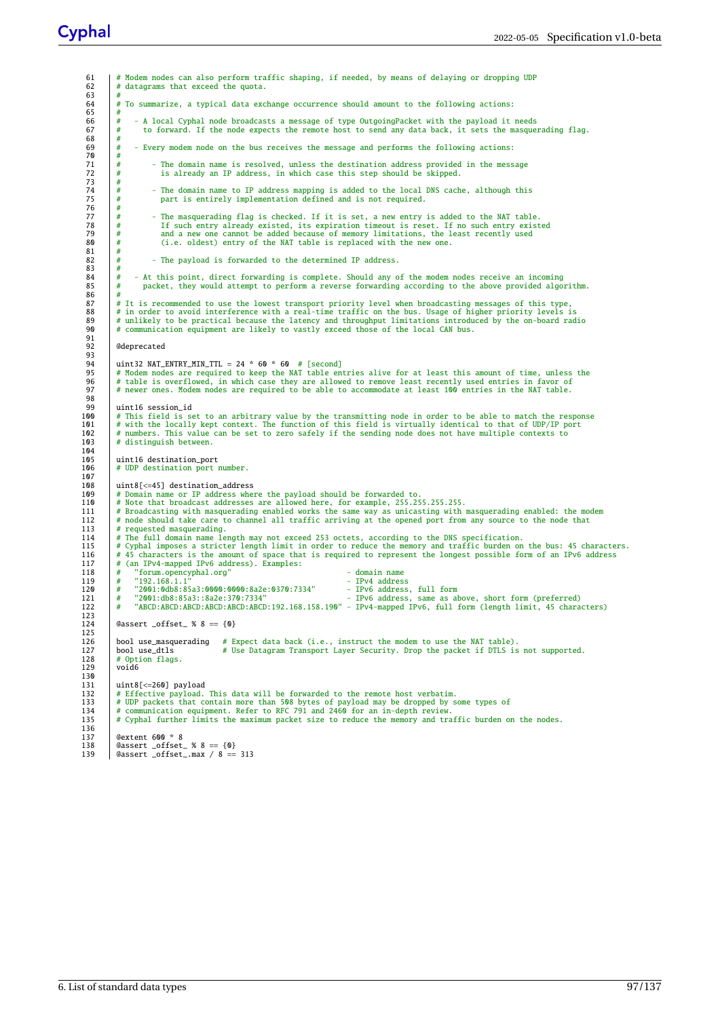61 # Modem nodes can also perform traffic shaping, if needed, by means of delaying or dropping UDP 62 # datagrams that exceed the quota. 63 # # To summarize, a typical data exchange occurrence should amount to the following actions:  $\begin{array}{c|c}\n 64 & \# \\
 65 & \# \\
 66 & \# \\
 67 & \# \\
 \end{array}$ 66 # - A local Cyphal node broadcasts a message of type OutgoingPacket with the payload it needs 67 # to forward. If the node expects the remote host to send any data back, it sets the masquerading flag. 68 #  $69$   $\#$  - Every modem node on the bus receives the message and performs the following actions: 70<br>71<br>72 71 # - The domain name is resolved, unless the destination address provided in the message 72 # is already an IP address, in which case this step should be skipped.  $\begin{array}{c|c} 73 & \# \\ 74 & \# \end{array}$  $\frac{m}{t}$  - The domain name to IP address mapping is added to the local DNS cache, although this  $\frac{m}{t}$  nart is entirely implementation defined and is not required part is entirely implementation defined and is not required.  $\begin{array}{c|c}\n75 & \# \\
76 & \# \\
77 & \# \\
\end{array}$ <sup>#</sup> - The masquerading flag is checked. If it is set, a new entry is added to the NAT table.<br>
78 # If such entry already existed, its expiration timeout is reset. If no such entry exist<br>
79 # and a new one cannot be added 78 # If such entry already existed, its expiration timeout is reset. If no such entry existed 79 # and a new one cannot be added because of memory limitations, the least recently used 80 # (i.e. oldest) entry of the NAT table is replaced with the new one.  $\frac{81}{81}$ - The payload is forwarded to the determined IP address.  $\begin{array}{c|c}\n 82 & # \\
 83 & # \\
 84 & # \\
 \end{array}$  $\begin{array}{c|c} 84 & # & - \text{At this point, direct forwarding is complete. Should any of the modem nodes receive an incoming packet, they would attempt to perform a reverse forwarding according to the above provided also.} \end{array}$ packet, they would attempt to perform a reverse forwarding according to the above provided algorithm. 86<br>87 87 | # It is recommended to use the lowest transport priority level when broadcasting messages of this type,<br>88 | # in order to avoid interference with a real-time traffic on the bus. Usage of higher priority levels is 89 # unlikely to be practical because the latency and throughput limitations introduced by the on-board radio 90 # communication equipment are likely to vastly exceed those of the local CAN bus. 91 92 **@deprecated** 93 94 uint32 NAT\_ENTRY\_MIN\_TTL = 24 \* 60 \* 60 # [second] 95 # Modem nodes are required to keep the NAT table entries alive for at least this amount of time, unless the 96 # table is overflowed, in which case they are allowed to remove least recently used entries in favor of 97 # newer ones. Modem nodes are required to be able to accommodate at least 100 entries in the NAT table. 98 99 | uint16 session\_id<br>100 | # This field is se 4 This field is set to an arbitrary value by the transmitting node in order to be able to match the response<br>101 # with the locally kept context. The function of this field is virtually identical to that of UDP/IP port<br>102 103 # distinguish between.  $104$ <br> $105$ 105 uint16 destination\_port<br>106 # UDP destination port # UDP destination port number. 107<br>108 108  $\mu$  uint8[ $\leq$ =45] destination\_address<br>109  $\#$  Domain name or IP address when a dependent name or IP address where the payload should be forwarded to.<br>110 # Note that broadcast addresses are allowed here, for example, 255.255.255.255.<br>111 # Broadcasting with masquerading enabled works the same way 113 # requested masquerading.<br>114 # The full domain name le 114 # The full domain name length may not exceed 253 octets, according to the DNS specification.<br>115 # Cyphal imposes a stricter length limit in order to reduce the memory and traffic burden on # Cyphal imposes a stricter length limit in order to reduce the memory and traffic burden on the bus: 45 characters.<br>116 # 45 characters is the amount of space that is required to represent the longest possible form of an 117 # 15 cm and the call of the distribution of space channels:<br>118 # "forum opencyphel org" 118 # "forum.opencyphal.org" - domain name 119 # "192.168.1.1" - IPv4 address 120 # "2001:0db8:85a3:0000:0000:8a2e:0370:7334" - IPv6 address, full form 121 # "2001:db8:85a3::8a2e:370:7334" - IPv6 address, same as above, short form (preferred) 122 # "ABCD:ABCD:ABCD:ABCD:ABCD:ABCD:192.168.158.190" - IPv4-mapped IPv6, full form (length limit, 45 characters) 123  $\texttt{Qassert}\_\texttt{offset}\_\texttt{\%}\$  ==  $\{\texttt{0}\}$ 125 126 bool use\_masquerading # Expect data back (i.e., instruct the modem to use the NAT table). 127 bool use\_dtls # Use Datagram Transport Layer Security. Drop the packet if DTLS is not supported. 128 # Option flags.<br>129 | void6 void<sub>6</sub> 130<br>131 131 uint8[<=260] payload 132 # Effective payload. This data will be forwarded to the remote host verbatim. 133 # UDP packets that contain more than 508 bytes of payload may be dropped by some types of 134 # communication equipment. Refer to RFC 791 and 2460 for an in-depth review. 135 # Cyphal further limits the maximum packet size to reduce the memory and traffic burden on the nodes. 136 137 | @extent 600 \* 8<br>138 | @assert \_offset 138 @assert \_offset\_ % 8 == {0} 139 @assert \_offset\_.max / 8 == 313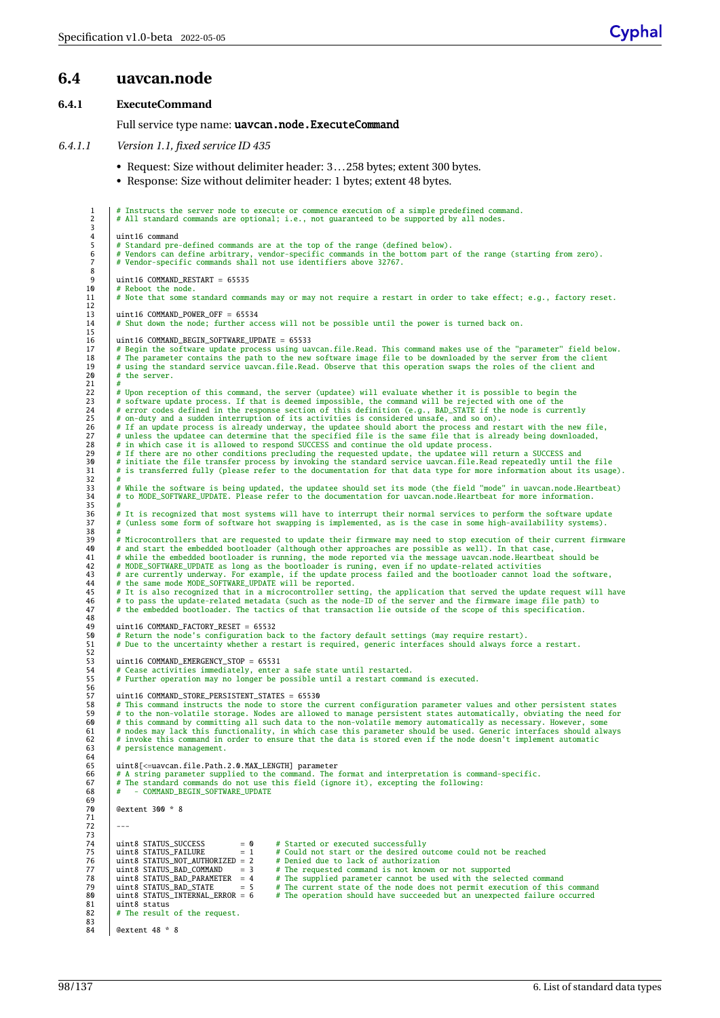# **6.4 uavcan.node**

### <span id="page-103-0"></span>**6.4.1 ExecuteCommand**

Full service type name: uavcan.node.ExecuteCommand

- *6.4.1.1 Version 1.1, fixed service ID 435*
	- Request: Size without delimiter header: 3... 258 bytes; extent 300 bytes.
	- Response: Size without delimiter header: 1 bytes; extent 48 bytes.

```
<sup>1</sup> # Instructs the server node to execute or commence execution of a simple predefined command.<br><sup>2</sup> # All standard commands are optional: i.e., not quaranteed to be supported by all nodes.
           # All standard commands are optional; i.e., not guaranteed to be supported by all nodes.
 \frac{3}{4}\begin{array}{c|c} 4 & \text{uint16 command} \\ 5 & \text{# Standard tree} \end{array}# Standard pre-defined commands are at the top of the range (defined below).<br>6 # Vendors can define arbitrary, vendor-specific commands in the bottom part of the range (starting from zero).<br>7 # Vendor-specific commands sha
 \begin{array}{c} 6 \\ 7 \\ 8 \\ 9 \end{array}9 uint16 COMMAND_RESTART = 65535<br>10 # Reboot the node.
10 + Reboot the node.<br>11 \# Note that some s
           # Note that some standard commands may or may not require a restart in order to take effect; e.g., factory reset.
\frac{12}{13}uint16 COMMAND POWER OFF = 6553414 # Shut down the node; further access will not be possible until the power is turned back on.
\frac{15}{16}16 uint16 COMMAND_BEGIN_SOFTWARE_UPDATE = 65533<br>17 # Begin the software update process using uaw
17 # Begin the software update process using uavcan.file.Read. This command makes use of the "parameter" field below.<br>
18 # The parameter contains the path to the new software image file to be downloaded by the server from
# The parameter contains the path to the new software image file to be downloaded by the server from the client<br>19 # using the standard service uavcan.file.Read. Observe that this operation swaps the roles of the client an
20 # the server.
\frac{21}{22}# Upon reception of this command, the server (updatee) will evaluate whether it is possible to begin the<br>
# software update process. If that is deemed impossible, the communal will be rejected with one of the<br>
# error code
# If there are no other conditions precluding the requested update, the updatee will return a SUCCESS and<br>30 # initiate the file transfer process by invoking the standard service uavcan.file.Read repeatedly until the file<br>
324 While the software is being updated, the updatee should set its mode (the field "mode" in uavcan.node.Heartbeat)<br>34 # to MODE_SOFTWARE_UPDATE. Please refer to the documentation for uavcan.node.Heartbeat for more informat
35 36<sup>36</sup> # It is recognized that most systems will have to interrupt their normal services to perform the software update<br><sup>37</sup> # (unless some form of software hot swapping is implemented, as is the case in some high-availabili
           # (unless some form of software hot swapping is implemented, as is the case in some high-availability systems).
38<br>39
\frac{39}{4} # Microcontrollers that are requested to update their firmware may need to stop execution of their current firmware
40 # and start the embedded bootloader (although other approaches are possible as well). In that case,<br>41 # while the embedded bootloader is running, the mode reported via the message uavcan.node.Heartbeat should be<br>42 # M
42 # MODE_SOFTWARE_UPDATE as long as the bootloader is runing, even if no update-related activities<br>44 # are currently underway. For example, if the update process failed and the bootloader cannot load the software,<br>45 # I
# the same mode MODE_SOFTWARE_UPDATE will be reported.<br>45 # It is also recognized that in a microcontroller setting, the application that served the update request will have<br>46 # to pass the update-related metadata (such 
48<br>49<br>5049 uint16 COMMAND_FACTORY_RESET = 65532
50 # Return the node's configuration back to the factory default settings (may require restart).
51 # Due to the uncertainty whether a restart is required, generic interfaces should always force a restart.
52<br>53<br>54
           uint16 COMMAND_EMERGENCY_STOP = 65531
            54 # Cease activities immediately, enter a safe state until restarted.
           55 # Further operation may no longer be possible until a restart command is executed.
55<br>56<br>57
57 uint16 COMMAND_STORE_PERSISTENT_STATES = 65530<br>
\# This command instructs the node to store the<br>
\# to the non-volatile storage. Nodes are allow
4 This command instructs the node to store the current configuration parameter values and other persistent states # to the non-volatile storage. Nodes are allowed to manage persistent states automatically, obviating the ne
63 # persistence management.
64<br>65<br>66
65 uint8[<=uavcan.file.Path.2.0.MAX_LENGTH] parameter
66 # A string parameter supplied to the command. The format and interpretation is command-specific.
67 # The standard commands do not use this field (ignore it), excepting the following:
68 # - COMMAND_BEGIN_SOFTWARE_UPDATE
69
70 @extent 300 * 8
\frac{1}{71}72 ---
73
74 uint8 STATUS_SUCCESS = 0 # Started or executed successfully
75 uint8 STATUS_FAILURE = 1 # Could not start or the desired outcome could not be reached
76 uint8 STATUS_NOT_AUTHORIZED = 2 # Denied due to lack of authorization
77 uint8 STATUS_BAD_COMMAND = 3 # The requested command is not known or not supported
78 uint8 STATUS_BAD_PARAMETER = 4 # The supplied parameter cannot be used with the selected command<br>79 uint8 STATUS_BAD_STATE = 5 # The supplied parameter cannot be used with the selected command<br>80 uint8 STATUS_INTERNAL_
79 uint8 STATUS_BAD_STATE = 5 # The current state of the node does not permit execution of this command
80 uint8 STATUS_INTERNAL_ERROR = 6 # The operation should have succeeded but an unexpected failure occurred
81 uint8 status
82 # The result of the request.
83
           @extent 48 * 8
```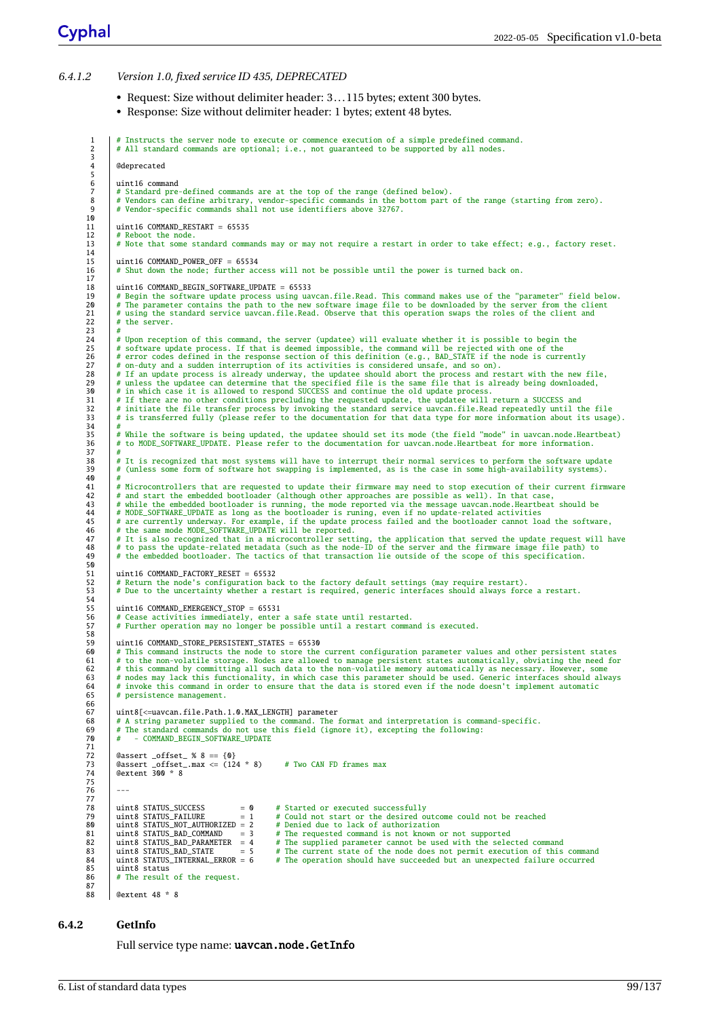## *6.4.1.2 Version 1.0, fixed service ID 435, DEPRECATED*

- Request: Size without delimiter header: 3... 115 bytes; extent 300 bytes.
- Response: Size without delimiter header: 1 bytes; extent 48 bytes.

```
1 # Instructs the server node to execute or commence execution of a simple predefined command.<br>2 # All standard commands are optional; i.e., not guaranteed to be supported by all nodes.
            # All standard commands are optional; i.e., not guaranteed to be supported by all nodes.
 3
            @deprecated
 \begin{array}{c} 5 \\ 6 \end{array}6 uint16 command<br>7 # Standard pre<br>8 # Vendors can
  7 # Standard pre-defined commands are at the top of the range (defined below).
8 # Vendors can define arbitrary, vendor-specific commands in the bottom part of the range (starting from zero).
 9 # Vendor-specific commands shall not use identifiers above 32767.
10<br>1111 uint16 COMMAND_RESTART = 65535<br>12 # Reboot the node.
12 # Reboot the node.<br>13 # Note that some s
            13 # Note that some standard commands may or may not require a restart in order to take effect; e.g., factory reset.
\frac{14}{15}15 uint16 COMMAND_POWER_OFF = 65534<br>16 # Shut down the node: further acc
            # Shut down the node; further access will not be possible until the power is turned back on.
\frac{17}{18}18 uint16 COMMAND_BEGIN_SOFTWARE_UPDATE = 65533<br>19 # Begin the software update process using ua
4 Begin the software update process using uavcan.file.Read. This command makes use of the "parameter" field below.<br>20 # The parameter contains the path to the new software image file to be downloaded by the server from the
^{23}_{24}# Upon reception of this command, the server (updatee) will evaluate whether it is possible to begin the<br>
# software update process. If that is deemed impossible, the communal will be rejected with one of the<br>
# error code
<sup>31</sup> # If there are no other conditions precluding the requested update, the updatee will return a SUCCESS and<br><sup>32</sup> # initiate the file transfer process by invoking the standard service uavcan file Read repeatedly until ti
4 initiate the file transfer process by invoking the standard service uavcan.file.Read repeatedly until the file<br>33 # is transferred fully (please refer to the documentation for that data type for more information about it
33<br>34<br>35# While the software is being updated, the updatee should set its mode (the field "mode" in uavcan.node.Heartbeat)<br>36 # to MODE_SOFTWARE_UPDATE. Please refer to the documentation for uavcan.node.Heartbeat for more informat
\frac{37}{38}\frac{4}{38} \frac{4}{38} It is recognized that most systems will have to interrupt their normal services to perform the software update<br>39 \frac{4}{38} (unless some form of software hot swapping is implemented, as is the case 
            # (unless some form of software hot swapping is implemented, as is the case in some high-availability systems).
40<br>4141 # Microcontrollers that are requested to update their firmware may need to stop execution of their current firmware<br>42 # and start the embedded bootloader (although other approaches are possible as well). In that case,
42 # and start the embedded bootloader (although other approaches are possible as well). In that case,<br>43 # while the embedded bootloader is running, the mode reported via the message uavcan.node.Heartbeat should be<br>45 # M
47 | # It is also recognized that in a microcontroller setting, the application that served the update request will have<br>48 | # to pass the update-related metadata (such as the node-ID of the server and the firmware image 
            49 # the embedded bootloader. The tactics of that transaction lie outside of the scope of this specification.
49<br>50<br>51<br>52uint16 COMMAND_FACTORY_RESET = 65532
52 # Return the node's configuration back to the factory default settings (may require restart).
53 # Due to the uncertainty whether a restart is required, generic interfaces should always force a restart.
54<br>55
55 uint16 COMMAND_EMERGENCY_STOP = 65531<br>56 # Cease activities immediately, enter
56 # Cease activities immediately, enter a safe state until restarted.
            57 # Further operation may no longer be possible until a restart command is executed.
58<br>59
\begin{array}{c|c} 59 \overline{59} & \text{uint16} \end{array} COMMAND_STORE_PERSISTENT_STATES = 65530 \# This command instructs the node to store the
40 # This command instructs the node to store the current configuration parameter values and other persistent states # to the non-volatile storage. Nodes are allowed to manage persistent states automatically, obviating the
4 to the non-volatile storage. Nodes are allowed to manage persistent states automatically, obviating the need for<br>62 # this command by committing all such data to the non-volatile memory automatically as necessary. Howeve
# nodes may lack this functionality, in which case this parameter should be used. Generic interfaces should always<br>64    # invoke this command in order to ensure that the data is stored even if the node doesn't implement a
65 # persistence management.
66<br>67
67 uint8[<=uavcan.file.Path.1.0.MAX_LENGTH] parameter # A string parameter supplied to the command. The # The standard commands do not use this field (ign
68 # A string parameter supplied to the command. The format and interpretation is command-specific.
69 # The standard commands do not use this field (ignore it), excepting the following:
            # - COMMAND_BEGIN_SOFTWARE_UPDATE
70<br>71<br>72<br>73
72 @assert _offset_ % 8 == {0}
73 @assert _offset_.max <= (124 * 8) # Two CAN FD frames max
            74 @extent 300 * 8
\frac{74}{75}7677
78 uint8 STATUS_SUCCESS = 0 # Started or executed successfully<br>79 uint8 STATUS_FAILURE = 1 # Could not start or the desired o<br>80 uint8 STATUS_NOT_AUTHORIZED = 2 # Denied due to lack of authorizat
79 uint8 STATUS_FAILURE = 1 # Could not start or the desired outcome could not be reached
80 uint8 STATUS_NOT_AUTHORIZED = 2 # Denied due to lack of authorization
81 uint8 STATUS_BAD_COMMAND = 3 # The requested command is not known or not supported
82 uint8 STATUS_BAD_PARAMETER = 4 # The supplied parameter cannot be used with the selected command
83 uint8 STATUS_BAD_STATE = 5 # The current state of the node does not permit execution of this command<br>84 uint8 STATUS_INTERNAL_ERROR = 6 # The operation should have succeeded but an unexpected failure occurred<br>85 uint8 s
                                                                         # The operation should have succeeded but an unexpected failure occurred
\begin{array}{|l|l|} \hline 85 & \text{uint8 status} \\ \hline 86 & \text{# The result} \hline \end{array}# The result of the request.
87<br>88@extent 48 * 8
```
### <span id="page-104-0"></span>**6.4.2 GetInfo**

Full service type name: uavcan.node.GetInfo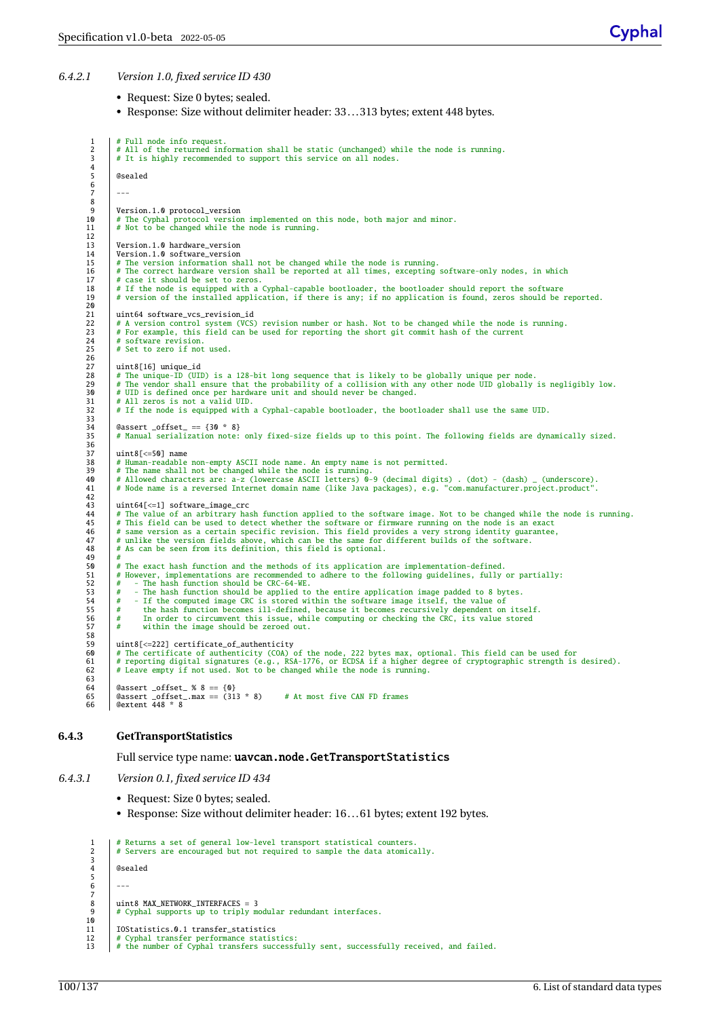### *6.4.2.1 Version 1.0, fixed service ID 430*

- Request: Size 0 bytes; sealed.
- Response: Size without delimiter header: 33... 313 bytes; extent 448 bytes.

```
1 # Full node info request.
2 # All of the returned information shall be static (unchanged) while the node is running.
 3 | # It is highly recommended to support this service on all nodes.
 \frac{4}{5}@sealed
  \begin{array}{c|c} 6 & \phantom{0} \\ 7 & \phantom{0} \\ \end{array}8
\overline{9} Version.1.0 protocol_version<br>10 # The Cyphal protocol version
10 # The Cyphal protocol version implemented on this node, both major and minor.<br>11 # Not to be changed while the node is running.
            # Not to be changed while the node is running.
12<br>1313 | Version.1.0 hardware_version<br>14 | Version.1.0 software_version
14 Version.1.0 software_version<br>15 # The version information sh
15 # The version information shall not be changed while the node is running.
16 # The correct hardware version shall be reported at all times, excepting software-only nodes, in which
17 | # case it should be set to zeros.<br>18 | # If the node is equipped with a Cyphal-capable bootloader, the bootloader should report the software<br>19 | # version of the installed application, if there is any; if no applicat
\frac{20}{21}21 uint64 software_vcs_revision_id<br>22 # A version control system (VCS)
22 # A version control system (VCS) revision number or hash. Not to be changed while the node is running.
23 # For example, this field can be used for reporting the short git commit hash of the current
24 # software revision.<br>25 # Set to zero if not
            # Software fevision:<br># Set to zero if not used.
26
27 \begin{array}{|c|c|c|c|}\n\hline\n228 & # The unique-ID (UI) \end{array}28 # The unique-ID (UID) is a 128-bit long sequence that is likely to be globally unique per node.
29 # The vendor shall ensure that the probability of a collision with any other node UID globally is negligibly low.
30 # UID is defined once per hardware unit and should never be changed.<br>31 # All zeros is not a valid UID.
\begin{array}{c|c|c|c|c} 31 & # All zeros is not a valid UID. & \end{array}<br>32 # If the node is equipped with a
            32 # If the node is equipped with a Cyphal-capable bootloader, the bootloader shall use the same UID.
33<br>34<br>3534 @assert _offset_ == {30 * 8}
35 # Manual serialization note: only fixed-size fields up to this point. The following fields are dynamically sized.
36<br>37
\begin{array}{|l|l|}\n 37 & \text{uint8} <=50 \text{ ] name} \\
 38 & \text{# Human-readable} \\
 \end{array}% 38 | # Human-readable non-empty ASCII node name. An empty name is not permitted.<br>39 | # The name shall not be changed while the node is running.<br>40 | # Allowed characters are: a-z (lowercase ASCII letters) 0-9 (decimal d
41 # Node name is a reversed Internet domain name (like Java packages), e.g. "com.manufacturer.project.product".
\frac{42}{43}wint64[<=1] software_image_crc<br>
# The value of an arbitrary hash function applied to the software image. Not to be changed while the node is running.<br>
# This field can be used to detect whether the software or firmware run
48 # As can be seen from its definition, this field is optional.
49<br>50<br>51
            # The exact hash function and the methods of its application are implementation-defined.
51 # However, implementations are recommended to adhere to the following guidelines, fully or partially:<br>52 # - The hash function should be CRC-64-WE.<br>54 # - The hash function should be applied to the entire application i
4 the hash function becomes ill-defined, because it becomes recursively dependent on itself.<br>56 # In order to circumvent this issue, while computing or checking the CRC, its value stored<br>57 # within the image should be zer
57<br>58<br>59
uint8[<=222] certificate_of_authenticity<br>
− 4 The certificate of authenticity (COA) of the node, 222 bytes max, optional. This field can be used for<br>
51 + reporting digital signatures (e.g., RSA-1776, or ECDSA if a higher
            # Leave empty if not used. Not to be changed while the node is running.
62<br>63<br>64<br>6564 @assert _offset_ % 8 == {0}
65 @assert _offset_.max == (313 * 8) # At most five CAN FD frames
66 @extent 448 * 8
```
### <span id="page-105-0"></span>**6.4.3 GetTransportStatistics**

Full service type name: **uavcan.node.GetTransportStatistics** 

- *6.4.3.1 Version 0.1, fixed service ID 434*
	- Request: Size 0 bytes; sealed.
	- Response: Size without delimiter header: 16... 61 bytes; extent 192 bytes.

```
1 # Returns a set of general low-level transport statistical counters<br>2 # Servers are encouraged but not required to sample the data atomic.
           2 # Servers are encouraged but not required to sample the data atomically.
 \frac{3}{4}@sealed
  \begin{array}{c|c} 5 & \phantom{0} \\ 6 & \phantom{0} \end{array}\begin{bmatrix} 7 \\ 8 \\ 9 \end{bmatrix}uint8 MAX NETWORK INTERFACES = 3# Cyphal supports up to triply modular redundant interfaces.
10<br>1111 IOStatistics.0.1 transfer_statistics<br>12 # Cyphal transfer performance statis
12 # Cyphal transfer performance statistics:
13 # the number of Cyphal transfers successfully sent, successfully received, and failed.
```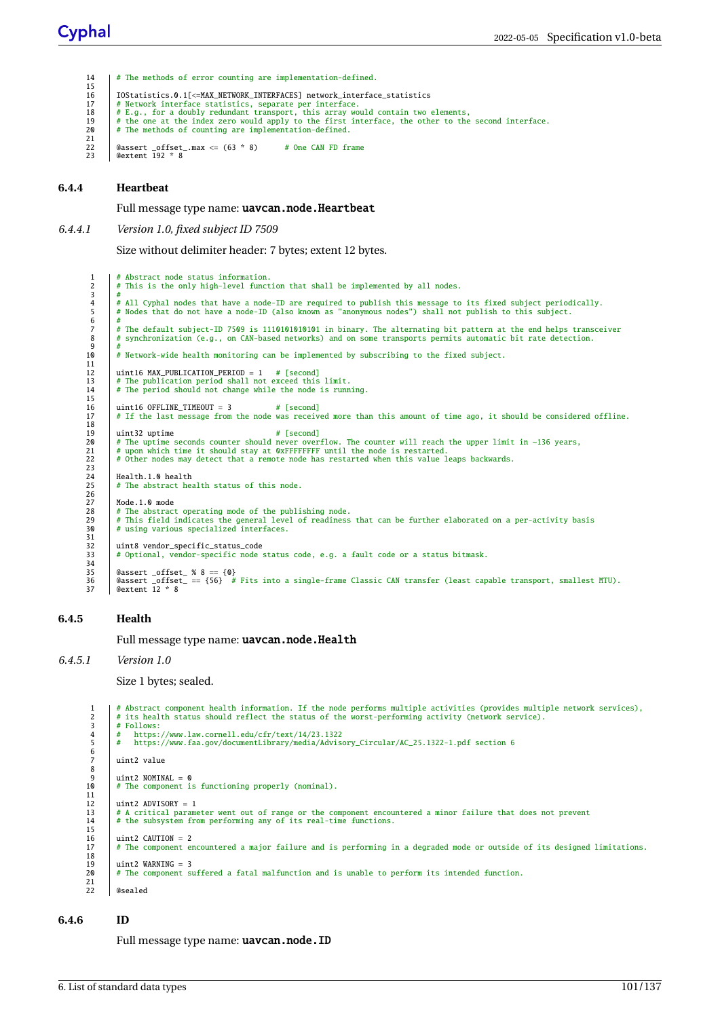14 | # The methods of error counting are implementation-defined.  $\begin{array}{c} 15 \\ 16 \end{array}$ 16 IOStatistics.0.1[<=MAX\_NETWORK\_INTERFACES] network\_interface\_statistics<br>
17 # Network interface statistics, separate per interface.<br>
18 # E.g., for a doubly redundant transport, this array would contain two # Network interface statistics, separate per interface.<br>
18 # E.g., for a doubly redundant transport, this array would contain two elements,<br>
19 # the one at the index zero would apply to the first interface, the other to  $\overline{21}$ 22  $\begin{array}{|l|l|}\n22 & \text{dassert offset...max} <=(63 * 8) \\
\hline\n23 & \text{d extract 192 * 8}\n\end{array}$  # One CAN FD frame 23 @extent 192 \* 8

### <span id="page-106-0"></span>**6.4.4 Heartbeat**

Full message type name: uavcan.node.Heartbeat

*6.4.4.1 Version 1.0, fixed subject ID 7509*

Size without delimiter header: 7 bytes; extent 12 bytes.

1 | # Abstract node status information.<br>2 | # This is the only high-level function that shall be implemented by all nodes. 3 # 4 # All Cyphal nodes that have a node-ID are required to publish this message to its fixed subject periodically. 5 # Nodes that do not have a node-ID (also known as "anonymous nodes") shall not publish to this subject.  $\begin{array}{c} 6 \\ 7 \end{array}$ 7 # The default subject-ID 7509 is 1110101010101 in binary. The alternating bit pattern at the end helps transceiver 8 # synchronization (e.g., on CAN-based networks) and on some transports permits automatic bit rate detection.  $\begin{array}{c} 8 \\ 9 \\ 10 \end{array}$ # Network-wide health monitoring can be implemented by subscribing to the fixed subject.  $\begin{array}{c} 11 \\ 12 \end{array}$ 12 uint16 MAX\_PUBLICATION\_PERIOD = 1  $\#$  [second]<br>13  $\#$  The publication period shall not exceed this 13 | # The publication period shall not exceed this limit.<br>14 | # The period should not change while the node is running.  $\frac{15}{16}$ 16 uint16 OFFLINE\_TIMEOUT = 3 # [second]<br>17 # If the last message from the node was receiv 17 # If the last message from the node was received more than this amount of time ago, it should be considered offline.  $\frac{18}{19}$ 19 uint32 uptime # [second] 20 # The uptime seconds counter should never overflow. The counter will reach the upper limit in ~136 years, 21 # upon which time it should stay at 0xFFFFFFFF until the node is restarted. 21 # upon which time it should stay at 0xFFFFFFFF until the node is restarted.<br>
22 # Other nodes may detect that a remote node has restarted when this value leaps backwards.  $23$ <br> $24$ <br> $25$ Health.1.0 health cardniiv heard.<br>The abstract health status of this node. 26 27 Mode.1.0 mode<br>28  $\#$  The abstract 28 # The abstract operating mode of the publishing node.<br>29 # This field indicates the general level of readiness 29 # This field indicates the general level of readiness that can be further elaborated on a per-activity basis 30 # using various specialized interfaces. 31 32 uint8 vendor\_specific\_status\_code<br>33 # Optional vendor-specific node 33 # Optional, vendor-specific node status code, e.g. a fault code or a status bitmask.  $34$ <br> $35$ 35 @assert \_offset\_ % 8 == {0} 36 @assert \_offset\_ == {56} # Fits into a single-frame Classic CAN transfer (least capable transport, smallest MTU). 37 @extent 12 \* 8

## <span id="page-106-1"></span>**6.4.5 Health**

Full message type name: uavcan.node.Health

#### *6.4.5.1 Version 1.0*

Size 1 bytes; sealed.

```
1 # Abstract component health information. If the node performs multiple activities (provides multiple network services),
2 # its health status should reflect the status of the worst-performing activity (network service).
        # Follows:
             4 # https://www.law.cornell.edu/cfr/text/14/23.1322
             5 # https://www.faa.gov/documentLibrary/media/Advisory_Circular/AC_25.1322-1.pdf section 6
 6
        uint2 value
 8
        uint2 NOMINAL = 0# The component is functioning properly (nominal).
10<br>11<br>1212 uint2 ADVISORY = 1<br>13 \# A critical parameters
        # A critical parameter went out of range or the component encountered a minor failure that does not prevent
        14 # the subsystem from performing any of its real-time functions.
14<br>15<br>16uint2 CAUTION = 2# The component encountered a major failure and is performing in a degraded mode or outside of its designed limitations.
\frac{17}{18}<br>18
19 | uint2 WARNING = \frac{3}{20} | # The component s
        20 # The component suffered a fatal malfunction and is unable to perform its intended function.
\frac{21}{22}@sealed
```
#### <span id="page-106-2"></span>**6.4.6 ID**

Full message type name: uavcan.node.ID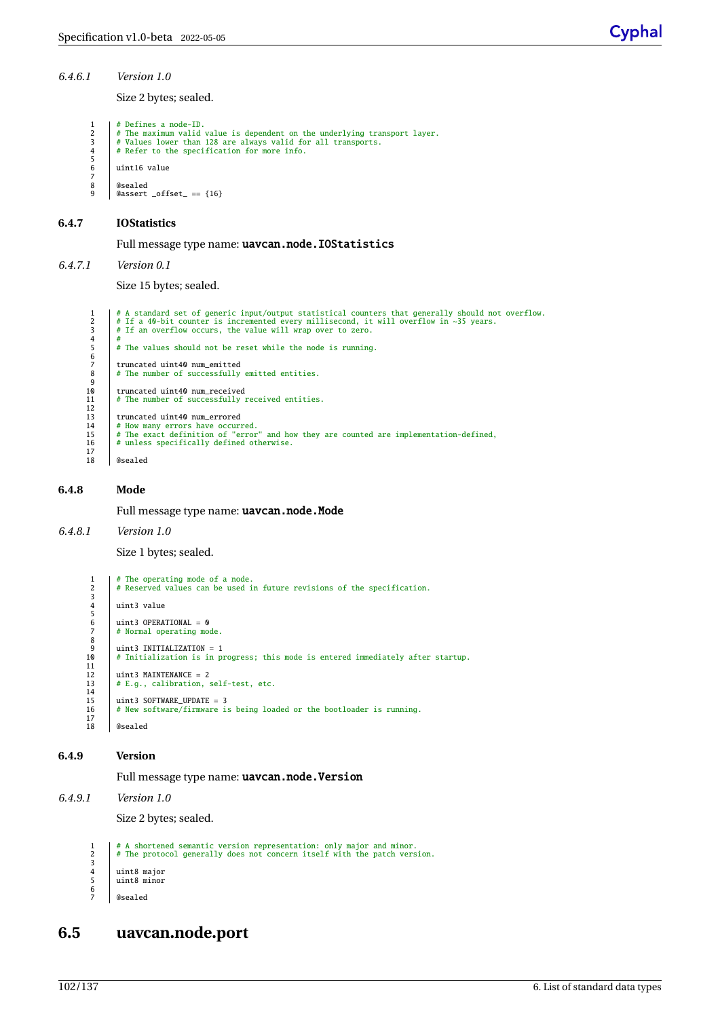### *6.4.6.1 Version 1.0*

Size 2 bytes; sealed.

```
1 # Defines a node-ID.<br>2 # The maximum valid value is dependent on the underlying transport layer.
      3 # Values lower than 128 are always valid for all transports.
      4 # Refer to the specification for more info.
      uint16 value
8 @sealed
9 @assert _offset_ == {16}
```
### <span id="page-107-1"></span>**6.4.7 IOStatistics**

 $\begin{array}{c} 3 \\ 4 \\ 5 \\ 6 \end{array}$ 

 $\frac{8}{9}$ 

Full message type name: uavcan.node.IOStatistics

*6.4.7.1 Version 0.1*

Size 15 bytes; sealed.

```
<sup>1</sup> # A standard set of generic input/output statistical counters that generally should not overflow.<br>
<sup>2</sup> # If a 40-bit counter is incremented every millisecond, it will overflow in ~35 years.<br>
<sup>3</sup> # If an overflow occur
  2 # If a 40-bit counter is incremented every millisecond, it will overflow in ~35 years.
3 # If an overflow occurs, the value will wrap over to zero.
 \overline{4}# The values should not be reset while the node is running.
  6
  7 | truncated uint40 num_emitted<br>8 | # The number of successfully emitted entities.
  9
\begin{array}{c|c} 10 & \text{truncated unit40 num\_received} \\ 11 & \text{# The number of successfully} \end{array}# The number of successfully received entities.
\begin{array}{c} 12 \\ 13 \end{array}13 truncated uint40 num_errored<br>14 # How many errors have occur:<br>15 # The exact definition of "e:
14 | # How many errors have occurred.<br>15 | # The exact definition of "error" and how they are counted are implementation-defined,
             16 # unless specifically defined otherwise.
\frac{16}{17}18 @sealed
```
### <span id="page-107-2"></span>**6.4.8 Mode**

Full message type name: uavcan.node.Mode

#### *6.4.8.1 Version 1.0*

Size 1 bytes; sealed.

```
1 # The operating mode of a node.<br>2 # Reserved values can be used i
        # Reserved values can be used in future revisions of the specification.
 3
        uint3 value
 5
        uint3 OPERATIONAL = \theta# Normal operating mode.
 8
        uint3 INITIALIZATION = 1
        # Initialization is in progress; this mode is entered immediately after startup.
11
12 uint3 MAINTENANCE = 2<br>13 \# E.g., calibration.
        # E.g., calibration, self-test, etc.
\frac{14}{15}15 uint3 SOFTWARE_UPDATE = 3<br>16 # New software/firmware is
        16 # New software/firmware is being loaded or the bootloader is running.
\frac{17}{18}18 @sealed
```
### <span id="page-107-3"></span>**6.4.9 Version**

Full message type name: uavcan.node.Version

*6.4.9.1 Version 1.0*

Size 2 bytes; sealed.

```
1 # A shortened semantic version representation: only major and minor.<br>2 # The protocol generally does not concern itself with the patch vers
          2 # The protocol generally does not concern itself with the patch version.
\begin{array}{c} 3 \\ 4 \\ 5 \end{array}4 uint8 major
5 uint8 minor
\frac{6}{7}7 @sealed
```
# <span id="page-107-0"></span>**6.5 uavcan.node.port**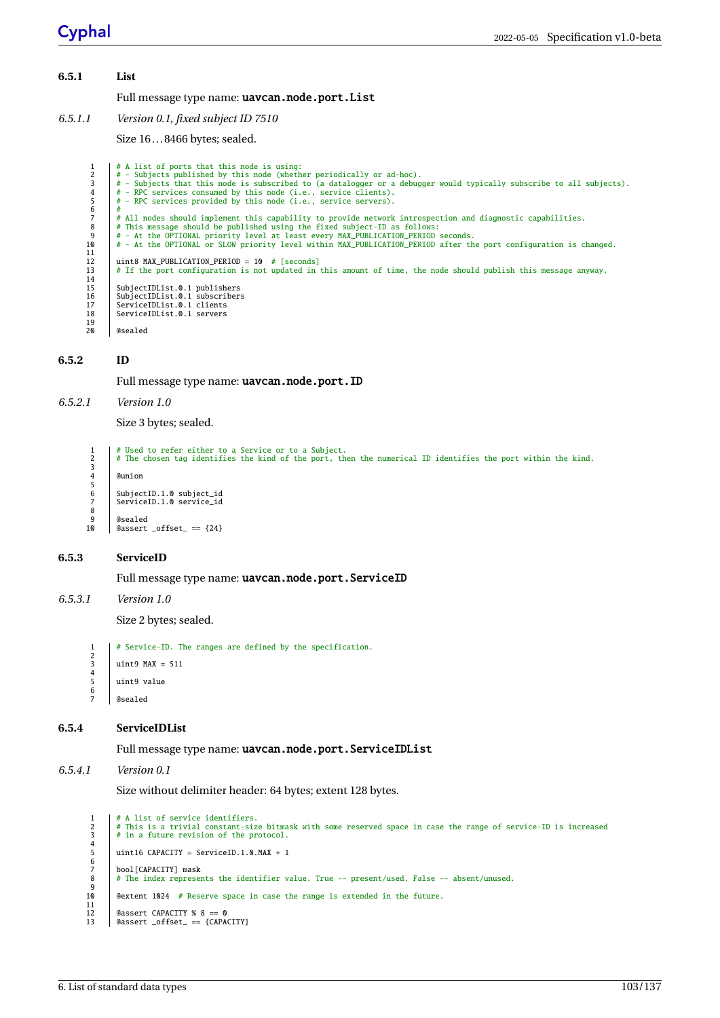# **6.5.1 List** Full message type name: uavcan.node.port.List *6.5.1.1 Version 0.1, fixed subject ID 7510* Size 16... 8466 bytes; sealed.

1  $\#$  A list of ports that this node is using:<br>2  $\#$  - Subjects published by this node (wheth 4 - Subjects published by this node (whether periodically or ad-hoc).<br>
4 - Subjects that this node is subscribed to (a datalogger or a debugger would typically subscribe to all subjects).<br>
4 - RPC services consumed by this  $3456789$ # All nodes should implement this capability to provide network introspection and diagnostic capabilities.<br>
9 # This message should be published using the fixed subject-ID as follows:<br>
9 # - At the OPTIONAL priority level  $10$ <br> $11$ <br> $12$ <br> $13$ 12 uint8 MAX\_PUBLICATION\_PERIOD = 10 # [seconds] 13 # If the port configuration is not updated in this amount of time, the node should publish this message anyway.  $\frac{14}{15}$ 15 SubjectIDList.0.1 publishers<br>16 SubjectIDList.0.1 subscribers 16 SubjectIDList.0.1 subscribers 17 ServiceIDList.0.1 clients 18 ServiceIDList.0.1 servers  $\frac{19}{20}$ 20 @sealed

#### **6.5.2 ID**

5

8

 $\frac{1}{2}$ 

 $\begin{array}{c} 3 \\ 4 \\ 5 \end{array}$ 

 $\frac{6}{7}$ 

Full message type name: uavcan.node.port.ID

#### *6.5.2.1 Version 1.0*

Size 3 bytes; sealed.

1 # Used to refer either to a Service or to a Subject. 2 # The chosen tag identifies the kind of the port, then the numerical ID identifies the port within the kind.  $\frac{3}{4}$  $Q$ union SubjectID.1.0 subject id 7 ServiceID.1.0 service\_id 9 *@sealed*<br>10 *@assert*  $0$ assert \_offset\_ == {24}

#### **6.5.3 ServiceID**

Full message type name: uavcan.node.port.ServiceID

*6.5.3.1 Version 1.0*

Size 2 bytes; sealed.

# Service-ID. The ranges are defined by the specification. uint9 MAX =  $511$ uint9 value 7 @sealed

#### **6.5.4 ServiceIDList**

Full message type name: uavcan.node.port.ServiceIDList

*6.5.4.1 Version 0.1*

Size without delimiter header: 64 bytes; extent 128 bytes.

1 # A list of service identifiers.<br>
2 # This is a trivial constant-siz<br>
3 # in a future revision of the pr 2 # This is a trivial constant-size bitmask with some reserved space in case the range of service-ID is increased 3 # in a future revision of the protocol.  $\frac{4}{5}$ uint16 CAPACITY = ServiceID.1.0.MAX + 1  $\begin{array}{c} 6 \\ 7 \\ 8 \end{array}$ 7 bool[CAPACITY] mask 8 # The index represents the identifier value. True -- present/used. False -- absent/unused.  $\frac{9}{10}$ 10 @extent 1024 # Reserve space in case the range is extended in the future. 11 12 @assert CAPACITY % 8 == 0 13 @assert \_offset\_ == {CAPACITY}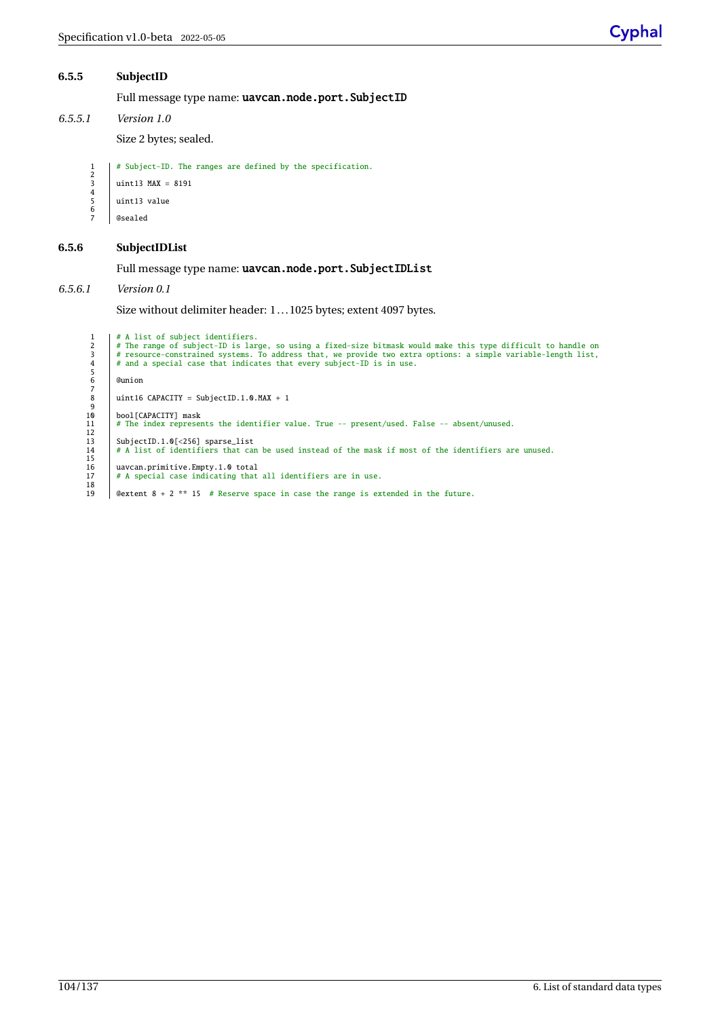#### **6.5.5 SubjectID**

Full message type name: uavcan.node.port.SubjectID

*6.5.5.1 Version 1.0*

Size 2 bytes; sealed.

1 | # Subject-ID. The ranges are defined by the specification.

- 2 uint13  $MAX = 8191$
- 4 uint13 value
- $\frac{6}{7}$ 7 @sealed
- **6.5.6 SubjectIDList**

## Full message type name: uavcan.node.port.SubjectIDList

#### *6.5.6.1 Version 0.1*

Size without delimiter header: 1... 1025 bytes; extent 4097 bytes.

# A list of subject identifiers.<br>
# The range of subject-ID is large, so using a fixed-size bitmask would make this type difficult to handle on<br>
# resource-constrained systems. To address that, we provide two extra options 5 6 @union 7  $uint16$  CAPACITY = SubjectID.1.0.MAX + 1 9 bool[CAPACITY] mask # The index represents the identifier value. True -- present/used. False -- absent/unused.  $\frac{13}{11}$ 13 SubjectID.1.0[<256] sparse\_list 14 # A list of identifiers that can be used instead of the mask if most of the identifiers are unused. 13<br>13<br>14<br>15<br>16<br>17 16 uavcan.primitive.Empty.1.0 total 17 # A special case indicating that all identifiers are in use.  $\frac{18}{18}$ @extent  $8 + 2$  \*\* 15 # Reserve space in case the range is extended in the future.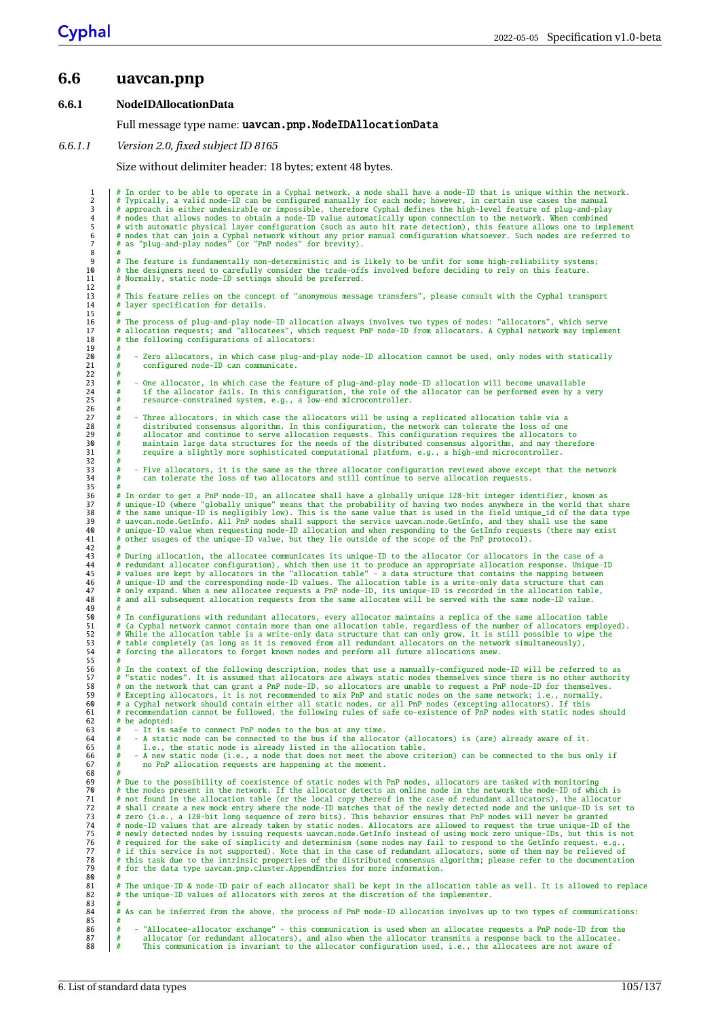### **6.6 uavcan.pnp**

#### **6.6.1 NodeIDAllocationData**

Full message type name: uavcan.pnp.NodeIDAllocationData

#### *6.6.1.1 Version 2.0, fixed subject ID 8165*

Size without delimiter header: 18 bytes; extent 48 bytes.

# In order to be able to operate in a Cyphal network, a node shall have a node-ID that is unique within the network.<br>2 # Typically, a valid node-ID can be configured manually for each node; however, in certain use cases th # nodes that allows nodes to obtain a node-ID value automatically upon connection to the network. When combined<br>5 # with automatic physical layer configuration (such as auto bit rate detection), this feature allows one to 6 # nodes that can join a Cyphal network without any prior manual configuration whatsoever. Such nodes are referred to 7 # as "plug-and-play nodes" (or "PnP nodes" for brevity). 8<br>9  $\frac{4}{7}$  The feature is fundamentally non-deterministic and is likely to be unfit for some high-reliability systems;<br>10 # the designers need to carefully consider the trade-offs involved before deciding to rely on this f 10 # the designers need to carefully consider the trade-offs involved before deciding to rely on this feature. 11 # Normally, static node-ID settings should be preferred.  $\begin{array}{c|c}\n 12 & \# \\
 13 & \# \n\end{array}$ 13 | # This feature relies on the concept of "anonymous message transfers", please consult with the Cyphal transport # laver specification for details. 14 # layer specification for details.  $15$ <br> $16$ # The process of plug-and-play node-ID allocation always involves two types of nodes: "allocators", which serve<br>17 Hallocation requests; and "allocatees", which request PnP node-ID from allocators. A Cyphal network may imp 18 # the following configurations of allocators:  $\frac{19}{20}$ <br>21 20 # - Zero allocators, in which case plug-and-play node-ID allocation cannot be used, only nodes with statically 21 # configured node-ID can communicate.  $\begin{array}{c} 22 \\ 23 \end{array}$ 23 # - One allocator, in which case the feature of plug-and-play node-ID allocation will become unavailable 24 # if the allocator fails. In this configuration, the role of the allocator can be performed even by a very 25 # resource-constrained system, e.g., a low-end microcontroller.  $\frac{26}{27}$ 4 - Three allocators, in which case the allocators will be using a replicated allocation table via a<br>29 # distributed consensus algorithm. In this configuration, the network can tolerate the loss of one<br>29 # allocator and 31 # require a slightly more sophisticated computational platform, e.g., a high-end microcontroller. 32<br>33 33 # - Five allocators, it is the same as the three allocator configuration reviewed above except that the network 34 # can tolerate the loss of two allocators and still continue to serve allocation requests.  $34$ <br> $35$ <br> $36$ # In order to get a PnP node-ID, an allocatee shall have a globally unique 128-bit integer identifier, known as<br>37 # unique-ID (where "globally unique" means that the probability of having two nodes anywhere in the world t # uavcan.node.GetInfo. All PnP nodes shall support the service uavcan.node.GetInfo, and they shall use the same<br>40 # unique-ID value when requesting node-ID allocation and when responding to the GetInfo requests (there may  $41$ <br> $42$ <br> $43$ 43 # During allocation, the allocatee communicates its unique-ID to the allocator (or allocators in the case of a<br>44 # redundant allocator configuration), which then use it to produce an appropriate allocation response. Un # redundant allocator configuration), which then use it to produce an appropriate allocation response. Unique-ID<br>45 # values are kept by allocators in the "allocation table" - a data structure that contains the mapping 46 # unique-ID and the corresponding node-ID values. The allocation table is a write-only data structure that can<br>47 # only expand. When a new allocatee requests a PnP node-ID, its unique-ID is recorded in the allocation t 48 # and all subsequent allocation requests from the same allocatee will be served with the same node-ID value.  $48$ <br> $49$ <br> $50$ # In configurations with redundant allocators, every allocator maintains a replica of the same allocation table<br>51 # (a Cyphal network cannot contain more than one allocation table, regardless of the number of allocators e 54 # forcing the allocators to forget known nodes and perform all future allocations anew.  $\frac{55}{56}$ <sup>4</sup> In the context of the following description, nodes that use a manually-configured node-ID will be referred to as<br>
<sup>4</sup> "static nodes". It is assumed that allocators are always static nodes themselves since there is no # "static nodes". It is assumed that allocators are always static nodes themselves since there is no other authority<br>
# on the network that can grant a PnP node-ID, so allocators are unable to request a PnP node-ID for the 4 a commendation cannot be followed, the following rules of safe co-existence of PnP nodes with static nodes should<br>
4 be adopted:<br>
4 - It is safe to connect PnP nodes to the bus at any time. # be adopted: 63  $\frac{4}{x}$  - It is safe to connect PnP nodes to the bus at any time.<br>64  $\frac{4}{x}$  - A static node can be connected to the bus if the allocation of the static node is already listed in the allocation 64  $\#$  - A static node can be connected to the bus if the allocator (allocators) is (are) already aware of it.<br>65  $\#$  I.e., the static node is already listed in the allocation table.<br>67  $\#$  - A new static node (i.e., a  $68$ <br> $69$ <br> $70$ 4 Due to the possibility of coexistence of static nodes with PnP nodes, allocators are tasked with monitoring<br>TO # the nodes present in the network. If the allocator detects an online node in the network the node-ID of whi # not found in the allocation table (or the local copy thereof in the case of redundant allocators), the allocator<br>
72 # shall create a new mock entry where the node-ID matches that of the newly detected node and the uniqu 4 node-ID values that are already taken by static nodes. Allocators are allowed to request the true unique-ID of the<br>
4 node-ID values that are already taken by static nodes. Allocators are allowed to request the true uniq # required for the sake of simplicity and determinism (some nodes may fail to respond to the GetInfo request, e.g.,<br>
→ # if this service is not supported). Note that in the case of redundant allocators, some of them may b 80<br>81 81  $\frac{1}{2}$  The unique-ID & node-ID pair of each allocator shall be kept in the allocation table as well. It is allowed to replace<br>82  $\frac{1}{4}$  the unique-ID values of allocators with zeros at the discretion of the imple 82 # the unique-ID values of allocators with zeros at the discretion of the implementer.  $83$ <br> $84$ # As can be inferred from the above, the process of PnP node-ID allocation involves up to two types of communications:  $85$   $86$ 86  $\#$  - "Allocatee-allocator exchange" - this communication is used when an allocatee requests a PnP node-ID from the allocate allocates allocates and also when the allocate in the allocates are shown in the allocates a 87 #allocator (or redundant allocators), and also when the allocator transmits a response back to the allocatee.<br>88 # This communication is invariant to the allocator configuration used, i.e., the allocatees are not aware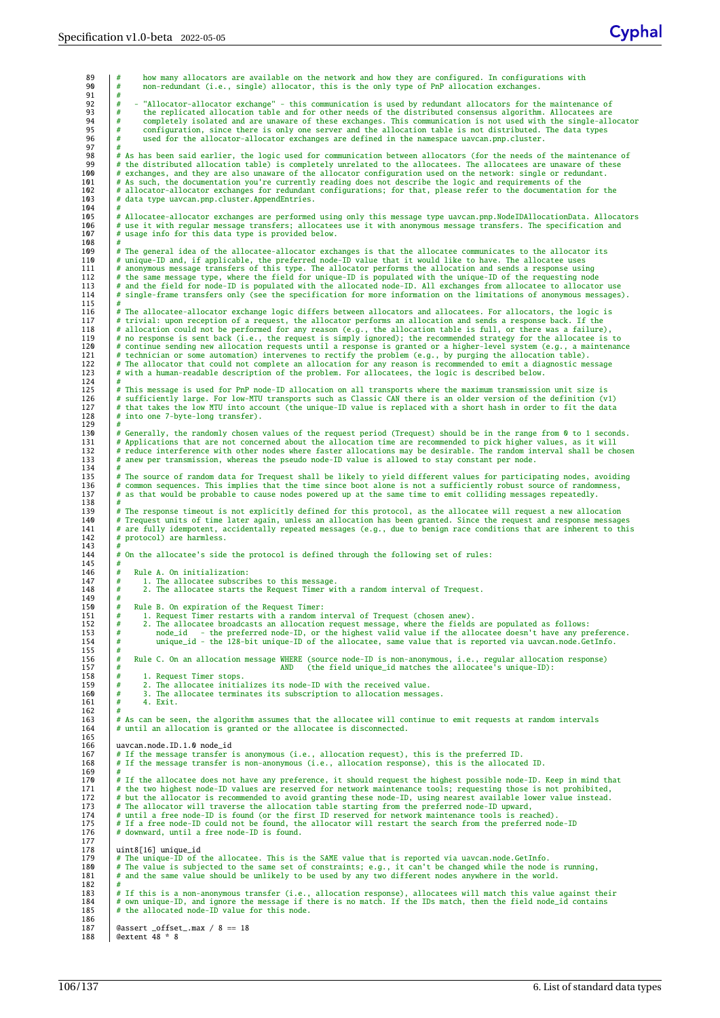89 # how many allocators are available on the network and how they are configured. In configurations with 90 # non-redundant (i.e., single) allocator, this is the only type of PnP allocation exchanges.  $\begin{array}{c|c} 91 & # \\ 92 & # \\ 93 & # \end{array}$ 92 degree - "Allocator-allocator exchange" - this communication is used by redundant allocators for the maintenance of<br>193 degree the replicated allocation table and for other needs of the distributed consensus algorithm. 4 demonstrated and are unaware of these exchanges. This communication is not used with the single-allocator<br>195 demonstrated prostice there is only one server and the allocation table is not distributed. The data types 96 # used for the allocator-allocator exchanges are defined in the namespace uavcan.pnp.cluster. 97<br>98 98  $#$  As has been said earlier, the logic used for communication between allocators (for the needs of the maintenance of  $#$  the distributed allocation table) is completely unrelated to the allocatees. The allocatees are 99  $\#$  the distributed allocation table) is completely unrelated to the allocatees. The allocatees are unaware of these<br>100  $\#$  exchanges, and they are also unaware of the allocator configuration used on the network: si # As such, the documentation you're currently reading does not describe the logic and requirements of the<br>102 # allocator-allocator exchanges for redundant configurations; for that, please refer to the documentation for th 103 # data type uavcan.pnp.cluster.AppendEntries.  $\frac{104}{105}$ # Allocatee-allocator exchanges are performed using only this message type uavcan.pnp.NodeIDAllocationData. Allocators 106 # use it with regular message transfers; allocatees use it with anonymous message transfers. The specification and 107 # usage info for this data type is provided below. 108<br>109 109  $#$  The general idea of the allocatee-allocator exchanges is that the allocatee communicates to the allocator its  $#$  unique-ID and, if annlicable, the preferred node-ID value that it would like to have. The allocatee 110 # unique-ID and, if applicable, the preferred node-ID value that it would like to have. The allocatee uses 111 # anonymous message transfers of this type. The allocator performs the allocation and sends a response using 112 # the same message type, where the field for unique-ID is populated with the unique-ID of the requesting node # and the field for node-ID is populated with the allocated node-ID. All exchanges from allocatee to allocator use<br>114 # single-frame transfers only (see the specification for more information on the limitations of anonymo  $\frac{115}{116}$ 116  $#$  The allocatee-allocator exchange logic differs between allocators and allocatees. For allocators, the logic is<br>117  $#$  trivial: upon reception of a request the allocator performs an allocation and sends a response # trivial: upon reception of a request, the allocator performs an allocation and sends a response back. If the<br>118 # allocation could not be performed for any reason (e.g., the allocation table is full, or there was a fail 119 # no response is sent back (i.e., the request is simply ignored); the recommended strategy for the allocatee is to # continue sending new allocation requests until a response is granted or a higher-level system (e.g., a maintenance<br>121 # technician or some automation) intervenes to rectify the problem (e.g., by purging the allocatio 122 # The allocator that could not complete an allocation for any reason is recommended to emit a diagnostic message<br>123 # with a human-readable description of the problem. For allocatees, the logic is described below. # with a human-readable description of the problem. For allocatees, the logic is described below  $124$ <br> $125$ 125 # This message is used for PnP node-ID allocation on all transports where the maximum transmission unit size is<br>126 # sufficiently large. For low-MTU transports such as Classic CAN there is an older version of the defi 126 | # sufficiently large. For low-MTU transports such as Classic CAN there is an older version of the definition (v1)<br>127 | # that takes the low MTU into account (the unique-ID value is replaced with a short hash in ord 129<br>130 130 # Generally, the randomly chosen values of the request period (Trequest) should be in the range from 0 to 1 seconds. # Applications that are not concerned about the allocation time are recommended to pick higher values, as it will<br>132 # reduce interference with other nodes where faster allocations may be desirable. The random interval sh  $\frac{134}{135}$ # The source of random data for Trequest shall be likely to yield different values for participating nodes, avoiding<br>136 # common sequences. This implies that the time since boot alone is not a sufficiently robust sourc 137 # as that would be probable to cause nodes powered up at the same time to emit colliding messages repeatedly.  $138$ <br> $139$ <sup>139</sup>  $\#$  The response timeout is not explicitly defined for this protocol, as the allocatee will request a new allocation  $\#$  Trequest units of time later again, unless an allocation has been granted. Since the request 140 ∣ # Trequest units of time later again, unless an allocation has been granted. Since the request and response messages<br>141 ∣ # are fully idempotent, accidentally repeated messages (e.g., due to benign race conditions 142 # protocol) are harmless. 143<br>144 144 # On the allocatee's side the protocol is defined through the following set of rules:  $145$ <br> $146$ 146 # Rule A. On initialization:<br>147 # 1. The allocatee subscri 147 # 1. The allocatee subscribes to this message. 148 # 2. The allocatee starts the Request Timer with a random interval of Trequest. 149<br>150 150 # Rule B. On expiration of the Request Timer:<br>151 # 1. Request Timer restarts with a random i 151 # 1. Request Timer restarts with a random interval of Trequest (chosen anew).<br>152 # 2. The allocatee broadcasts an allocation request message, where the fields #2. The allocatee broadcasts an allocation request message, where the fields are populated as follows:<br>153 #node\_id - the preferred node-ID, or the highest valid value if the allocatee doesn't have any preference.<br>154 #uni  $\begin{array}{c|c}\n154 \\
155 \\
156\n\end{array}$  # 156 # Rule C. On an allocation message WHERE (source node-ID is non-anonymous, i.e., regular allocation response)<br>157 # AND (the field unique\_id matches the allocatee's unique-ID): (the field unique\_id matches the allocatee's unique-ID): 158 # 1. Request Timer stops<br>159 # 2. The allocatee initi. 159 # 2. The allocatee initializes its node-ID with the received value. 160 # 3. The allocatee terminates its subscription to allocation messages. 161 # 4. Exit.  $\frac{162}{163}$  $\frac{n}{t}$  As can be seen, the algorithm assumes that the allocatee will continue to emit requests at random intervals # until an allocation is granted or the allocatee is disconnected.  $\frac{164}{165}$ uavcan.node.ID.1.0 node\_id 167 # If the message transfer is anonymous (i.e., allocation request), this is the preferred ID.<br>168 # If the message transfer is non-anonymous (i.e., allocation response), this is the allocate 168 # If the message transfer is non-anonymous (i.e., allocation response), this is the allocated ID. 169<br>170 170  $\#$  If the allocatee does not have any preference, it should request the highest possible node-ID. Keep in mind that  $\#$  the two highest pode-ID values are reserved for network maintenance tools: requesting those is 171 | # the two highest node-ID values are reserved for network maintenance tools; requesting those is not prohibited,<br>172 | # but the allocator is recommended to avoid granting these node-ID, using nearest available lo 173 # The allocator will traverse the allocation table starting from the preferred node-ID upward, 174 # until a free node-ID is found (or the first ID reserved for network maintenance tools is reached). 175 # If a free node-ID could not be found, the allocator will restart the search from the preferred node-ID 176 # downward, until a free node-ID is found. 177<br>178 178  $\begin{array}{|c|c|c|c|}\n\hline\n 179 & \# \text{ The unique-ID of}\n\end{array}$ 179  $\#$  The unique-ID of the allocatee. This is the SAME value that is reported via uavcan.node.GetInfo.<br>180  $\#$  The value is subjected to the same set of constraints: e.g., it can't be changed while the node 180  $#$  The value is subjected to the same set of constraints; e.g., it can't be changed while the node is running,<br>181  $#$  and the same value should be unlikely to be used by any two different nodes anywhere in the world. 182<br>183 # If this is a non-anonymous transfer (i.e., allocation response), allocatees will match this value against their<br>184 # own unique-ID, and ignore the message if there is no match. If the IDs match, then the field node\_id c 186 187 @assert \_offset\_.max / 8 == 18 188 @extent 48 \* 8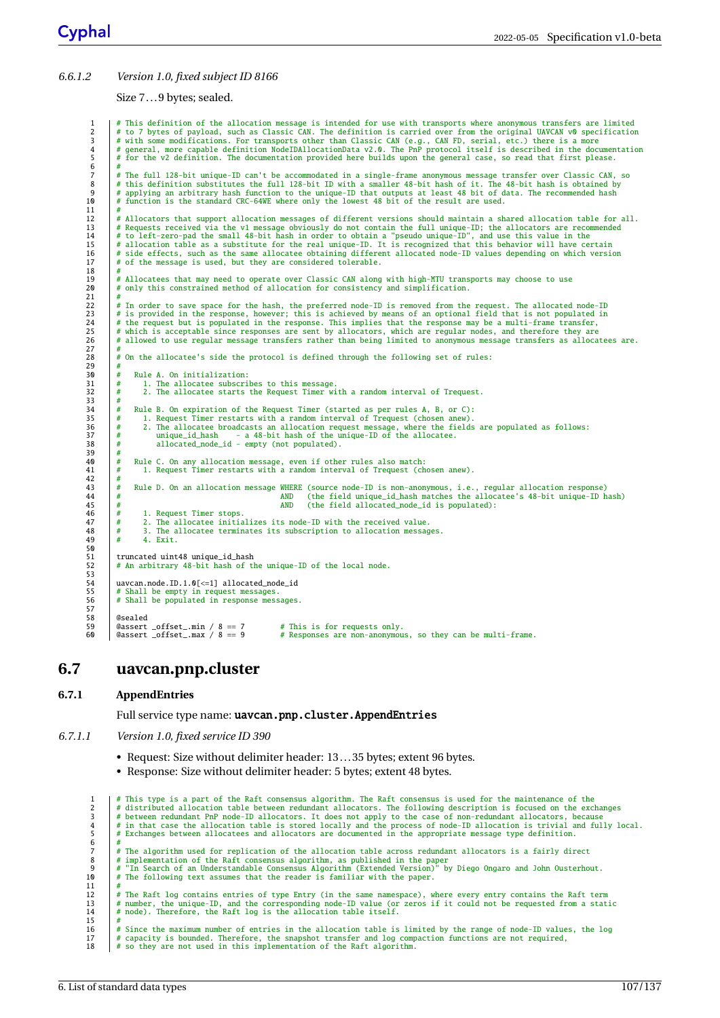#### *6.6.1.2 Version 1.0, fixed subject ID 8166*

Size 7... 9 bytes; sealed.

<sup>#</sup> This definition of the allocation message is intended for use with transports where anonymous transfers are limited<br><sup>#</sup> to 7 bytes of payload, such as Classic CAN. The definition is carried over from the original UAVCA # to 7 bytes of payload, such as Classic CAN. The definition is carried over from the original UAVCAN v0 specification<br># with some modifications. For transports other than Classic CAN (e.g., CAN FD, serial, etc.) there is  $\frac{6}{7}$ For the full 128-bit unique-ID can't be accommodated in a single-frame anonymous message transfer over Classic CAN, so<br>
4 this definition substitutes the full 128-bit ID with a smaller 48-bit hash of it. The 48-bit hash is  $\frac{11}{12}$ 4 Allocators that support allocation messages of different versions should maintain a shared allocation table for all.<br>
4 # Requests received via the v1 message obviously do not contain the full unique-ID; the allocators a # Requests received via the v1 message obviously do not contain the full unique-ID; the allocators are recommended<br>14 # to left-zero-pad the small 48-bit hash in order to obtain a "pseudo unique-ID", and use this value 16 # side effects, such as the same allocatee obtaining different allocated node-ID values depending on which version 17 # of the message is used, but they are considered tolerable. 18 # 19 # Allocatees that may need to operate over Classic CAN along with high-MTU transports may choose to use 20 # only this constrained method of allocation for consistency and simplification.  $\begin{array}{c} 21 \\ 22 \end{array}$ <sup>22</sup> # In order to save space for the hash, the preferred node-ID is removed from the request. The allocated node-ID<br><sup>23</sup> # is provided in the response, however: this is achieved by means of an optional field that is not p # is provided in the response, however; this is achieved by means of an optional field that is not populated in<br>24 | # the request but is populated in the response. This implies that the response may be a multi-frame trans % 25 a # which is acceptable since responses are sent by allocators, which are regular nodes, and therefore they are<br>26 a # allowed to use regular message transfers rather than being limited to anonymous message transfers  $\frac{27}{28}$ 28 # On the allocatee's side the protocol is defined through the following set of rules:  $\frac{29}{30}$ 30 # Rule A. On initialization: 31 # 1. The allocatee subscribes to this message. 32  $\#$  2. The allocatee starts the Request Timer with a random interval of Trequest. 33<br>33<br>34<br>35 34 # Rule B. On expiration of the Request Timer (started as per rules A, B, or C): 35 # 1. Request Timer restarts with a random interval of Trequest (chosen anew). 36 # 2. The allocatee broadcasts an allocation request message, where the fields are populated as follows: 37 # unique\_id\_hash - a 48-bit hash of the unique-ID of the allocatee. 38 # allocated\_node\_id - empty (not populated).  $\begin{array}{c|c} 39 & \# \\ 40 & \# \end{array}$ 40 # Rule C. On any allocation message, even if other rules also match:<br>
4 1 Request Timer restarts with a random interval of Trequest (ch 1. Request Timer restarts with a random interval of Trequest (chosen anew).  $41$ <br> $42$ <br> $43$ # Rule D. On an allocation message WHERE (source node-ID is non-anonymous, i.e., regular allocation response)<br>44 # # AND (the field unique id\_nash matches the allocatee's 48-bit unique-ID hash)<br>45 # AND (the field allocate 46 # 1. Request Timer stops<br>47 # 2. The allocatee initi 47 # 2. The allocatee initializes its node-ID with the received value. 3. The allocatee terminates its subscription to allocation messages.  $4.$  Exit. 50 51 truncated uint48 unique\_id\_hash<br>52 # An arbitrary 48-bit hash of tl # An arbitrary 48-bit hash of the unique-ID of the local node. 53 54 uavcan.node.ID.1.0[ $\leq$ =1] allocated\_node\_id<br>55 # Shall be empty in request messages. 55 # Shall be empty in request messages. 56 # Shall be populated in response messages. 57<br>58 58 @sealed 59 @assert \_offset\_.min / 8 == 7 # This is for requests only. 60  $\parallel$  @assert \_offset\_.max / 8 == 9 # Responses are non-anonymous, so they can be multi-frame.

### **6.7 uavcan.pnp.cluster**

#### **6.7.1 AppendEntries**

Full service type name: uavcan.pnp.cluster.AppendEntries

#### *6.7.1.1 Version 1.0, fixed service ID 390*

- Request: Size without delimiter header: 13... 35 bytes; extent 96 bytes.
- Response: Size without delimiter header: 5 bytes; extent 48 bytes.

```
# This type is a part of the Raft consensus algorithm. The Raft consensus is used for the maintenance of the<br># distributed allocation table between redundant allocators. The following description is focused on the exchange
 5 # Exchanges between allocatees and allocators are documented in the appropriate message type definition.
 \begin{array}{c} 6 \\ 7 \end{array}\stackrel{.}{''} The algorithm used for replication of the allocation table across redundant allocators is a fairly direct
  8 # implementation of the Raft consensus algorithm, as published in the paper
9 # "In Search of an Understandable Consensus Algorithm (Extended Version)" by Diego Ongaro and John Ousterhout.
10 # The following text assumes that the reader is familiar with the paper.
\frac{11}{12}# The Raft log contains entries of type Entry (in the same namespace), where every entry contains the Raft term<br>13     # number, the unique-ID, and the corresponding node-ID value (or zeros if it could not be requested fro
15<br>1616 # Since the maximum number of entries in the allocation table is limited by the range of node-ID values, the log<br>17 # capacity is bounded. Therefore, the spanshot transfer and log compaction functions are not requi
17 # capacity is bounded. Therefore, the snapshot transfer and log compaction functions are not required,
18 # so they are not used in this implementation of the Raft algorithm.
```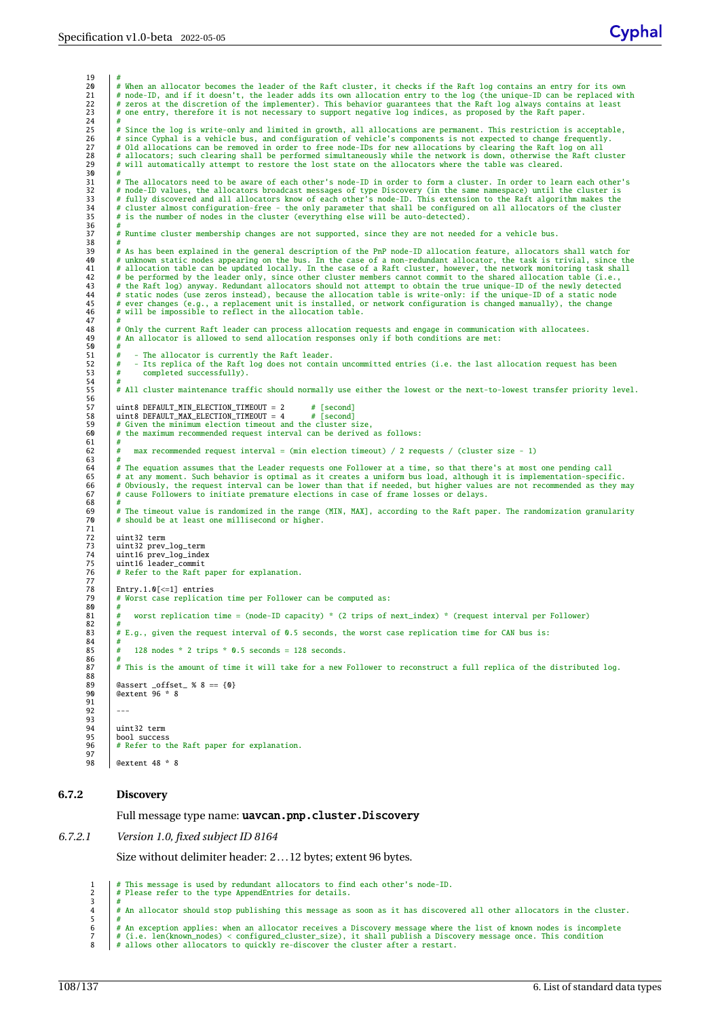$\frac{19}{20}$ <sup>20</sup>  $\mu$  When an allocator becomes the leader of the Raft cluster, it checks if the Raft log contains an entry for its own<br><sup>21</sup> # node-ID, and if it doesn't, the leader adds its own allocation entry to the log (the uniqu 21 # node-ID, and if it doesn't, the leader adds its own allocation entry to the log (the unique-ID can be replaced with <br>22 # zeros at the discretion of the implementer). This behavior guarantees that the Raft log always # zeros at the discretion of the implementer). This behavior guarantees that the Raft log always contains at least<br>23 # one entry, therefore it is not necessary to support negative log indices, as proposed by the Raft  $\frac{24}{25}$ <sup>#</sup> Since the log is write-only and limited in growth, all allocations are permanent. This restriction is acceptable,<br>
<sup>#</sup> since Cyphal is a vehicle bus, and configuration of vehicle's components is not expected to change # since Cyphal is a vehicle bus, and configuration of vehicle's components is not expected to change frequently.<br>27 # Old allocations can be removed in order to free node-IDs for new allocations by clearing the Raft log 28 # allocators; such clearing shall be performed simultaneously while the network is down, otherwise the Raft cluster<br>
4 # will automatically attempt to restore the lost state on the allocators where the table was cleared # will automatically attempt to restore the lost state on the allocators where the table was cleared.  $\frac{30}{31}$ # The allocators need to be aware of each other's node-ID in order to form a cluster. In order to learn each other's<br>32 # node-ID values, the allocators broadcast messages of type Discovery (in the same namespace) until th # fully discovered and all allocators know of each other's node-ID. This extension to the Raft algorithm makes the<br>34 # cluster almost configuration-free - the only parameter that shall be configured on all allocators 35 # is the number of nodes in the cluster (everything else will be auto-detected). 36<br>37 # Runtime cluster membership changes are not supported, since they are not needed for a vehicle bus 38<br>39  $\frac{39}{4}$  # As has been explained in the general description of the PnP node-ID allocation feature, allocators shall watch for  $\frac{40}{4}$  unknown static nodes appearing on the bus. In the case of a non-redundant allocato 40 # unknown static nodes appearing on the bus. In the case of a non-redundant allocator, the task is trivial, since the<br>41 # allocation table can be updated locally. In the case of a Raft cluster, however, the network mon 42 # be performed by the leader only, since other cluster members cannot commit to the shared allocation table (i.e., 43 | # the Raft log) anyway. Redundant allocators should not attempt to obtain the true unique-ID of the newly detected<br>44 | # static nodes (use zeros instead), because the allocation table is write-only: if the unique-ID 45 # ever changes (e.g., a replacement unit is installed, or network configuration is changed manually), the change 46 # will be impossible to reflect in the allocation table.  $\frac{47}{48}$ 48 # Only the current Raft leader can process allocation requests and engage in communication with allocatees. 49 # An allocator is allowed to send allocation responses only if both conditions are met:  $50$ <br>51 51  $\#$  - The allocator is currently the Raft leader.<br>52  $\#$  - Its replica of the Raft log does not contain  $\begin{array}{c} \text{52} \\ \text{53} \\ \text{54} \\ \text{55} \end{array}$  - Its replica of the Raft log does not contain uncommitted entries (i.e. the last allocation request has been completed successfully) 54<br>55 55 # All cluster maintenance traffic should normally use either the lowest or the next-to-lowest transfer priority level. 56<br>57 57 uint8 DEFAULT\_MIN\_ELECTION\_TIMEOUT = 2 # [second]<br>58 uint8 DEFAULT MAX ELECTION TIMEOUT = 4 # [second]  $uint8$  DEFAULT\_MAX\_ELECTION\_TIMEOUT = 4 59 # Given the minimum election timeout and the cluster size, # the maximum recommended request interval can be derived as follows: 61<br>62 max recommended request interval = (min election timeout) / 2 requests / (cluster size - 1) 63<br>64  $\begin{bmatrix} 4 & 4 \ 64 & 4 \end{bmatrix}$  The equation assumes that the Leader requests one Follower at a time, so that there's at most one pending call  $\begin{bmatrix} 4 & 4 \ 4 & 3 \end{bmatrix}$  at any moment. Such behavior is ontimal as it creates a u 4 at any moment. Such behavior is optimal as it creates a uniform bus load, although it is implementation-specific.<br>66 # Obviously, the request interval can be lower than that if needed, but higher values are not recommend  $68$  68 # The timeout value is randomized in the range (MIN, MAX], according to the Raft paper. The randomization granularity # should be at least one millisecond or higher.  $70$ <br> $71$ <br> $72$ 72 uint32 term<br>73 uint32 prev<br>74 uint16 prev uint32 prev\_log\_term 74 uint16 prev\_log\_index<br>75 uint16 leader\_commit 75 uint16 leader\_commit<br>76 # Refer to the Raft 1 # Refer to the Raft paper for explanation.  $\frac{77}{78}$ 78 Entry.1.0[<=1] entries<br>79 # Worst case replicati # Worst case replication time per Follower can be computed as: 80<br>81 worst replication time = (node-ID capacity) \* (2 trips of next\_index) \* (request interval per Follower)  $82$ 83 # E.g., given the request interval of 0.5 seconds, the worst case replication time for CAN bus is:  $84$ <br> $85$  $128$  nodes  $*$  2 trips  $*$  0.5 seconds = 128 seconds. 86<br>87 # This is the amount of time it will take for a new Follower to reconstruct a full replica of the distributed log. 88 89 @assert \_offset\_ % 8 == {0} 90 @extent 96 \* 8 91 92 93<br>94<br>95 uint32 term 95 bool success<br>96  $\#$  Refer to t 96 # Refer to the Raft paper for explanation. 97<br>98 Gextent  $48 * 8$ **6.7.2 Discovery** Full message type name: uavcan.pnp.cluster.Discovery *6.7.2.1 Version 1.0, fixed subject ID 8164* Size without delimiter header: 2... 12 bytes; extent 96 bytes. 1 # This message is used by redundant allocators to find each other's node-ID. 2 # Please refer to the type AppendEntries for details.  $\frac{3}{4}$  $\hat{\textbf{H}}$  An allocator should stop publishing this message as soon as it has discovered all other allocators in the cluster.

 $\overline{6}$  # An exception applies: when an allocator receives a Discovery message where the list of known nodes is incomplete

<sup>7</sup> # (i.e. len(known\_nodes) < configured\_cluster\_size), it shall publish a Discovery message once. This condition<br>
<sup>4</sup> allows other allocators to quickly re-discover the cluster after a restart.

# allows other allocators to quickly re-discover the cluster after a restart.

 $\overline{5}$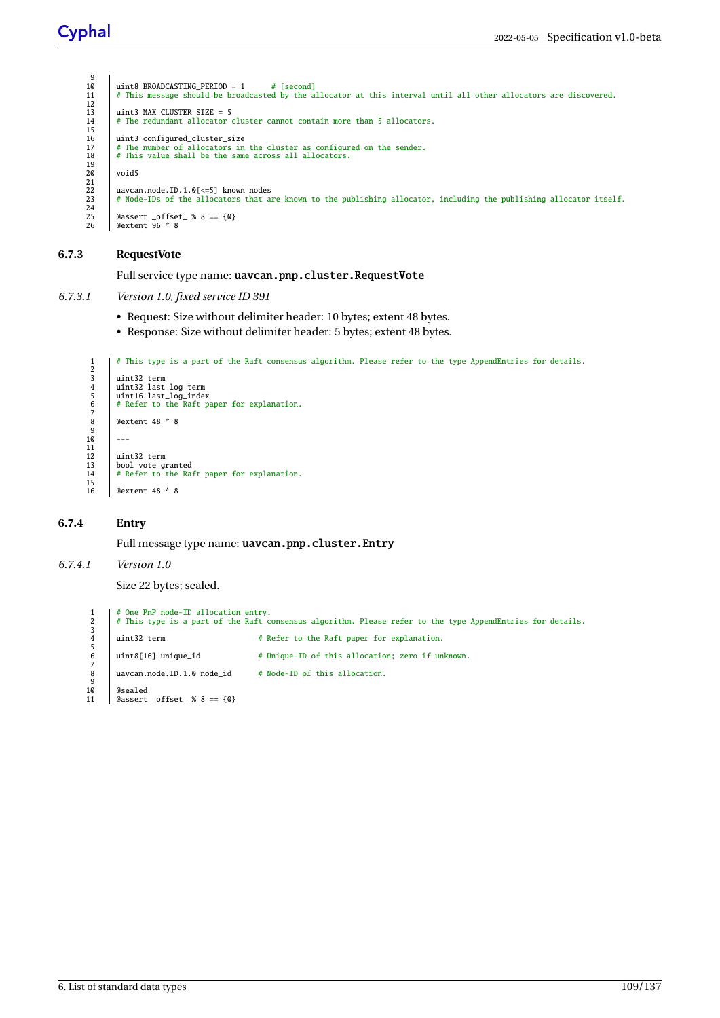```
\frac{9}{10}10 uint8 BROADCASTING_PERIOD = 1 # [second]<br>11 # This message should be broadcasted by the a
            This message should be broadcasted by the allocator at this interval until all other allocators are discovered.
12<br>13uint3 MAX_CLUSTER_SIZE = 5
          # The redundant allocator cluster cannot contain more than 5 allocators.
14<br>15<br>16<br>1716 uint3 configured_cluster_size
17 # The number of allocators in the cluster as configured on the sender.
18 # This value shall be the same across all allocators.
19<br>20void5
\frac{21}{22}uavcan.node.ID.1.0[<=5] known_nodes
          # Node-IDs of the allocators that are known to the publishing allocator, including the publishing allocator itself.
23<br>24<br>25
 25 @assert _offset_ % 8 == {0}
26 @extent 96 * 8
```
#### **6.7.3 RequestVote**

Full service type name: uavcan.pnp.cluster.RequestVote

- *6.7.3.1 Version 1.0, fixed service ID 391*
	- Request: Size without delimiter header: 10 bytes; extent 48 bytes.
	- Response: Size without delimiter header: 5 bytes; extent 48 bytes.

```
1 # This type is a part of the Raft consensus algorithm. Please refer to the type AppendEntries for details.
 \frac{2}{3}uint32 term
         uint32 last_log_term
 5 uint16 last_log_index<br>6 # Refer to the Raft paper for explanation.
 7
         8 @extent 48 * 8
\begin{array}{c|c} 9 \\ 10 \end{array} ---
\frac{11}{12}<br>\frac{12}{13}12 uint32 term
13 bool vote_granted
         # Refer to the Raft paper for explanation.
14<br>15<br>16@extent 48 * 8
```

```
6.7.4 Entry
```
Full message type name: uavcan.pnp.cluster.Entry

#### *6.7.4.1 Version 1.0*

Size 22 bytes; sealed.

```
1 # One PnP node-ID allocation entry.
2 # This type is a part of the Raft consensus algorithm. Please refer to the type AppendEntries for details.
 3
       uint32 term # Refer to the Raft paper for explanation.
 5
       uint8[16] unique_id # Unique-ID of this allocation; zero if unknown.
 7
       uavcan.node.ID.1.0 node id # Node-ID of this allocation.
 9
10 @sealed<br>11 @assert
       @asset_0 @asset_  % 8 == {0}
```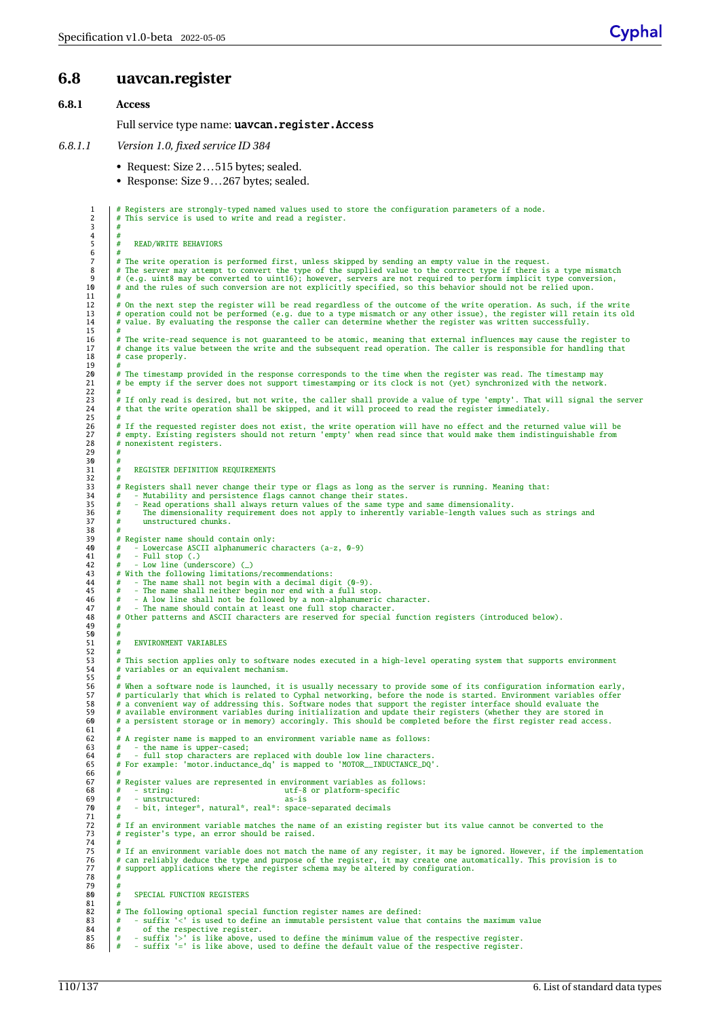### **6.8 uavcan.register**

#### **6.8.1 Access**

3 #  $\frac{4}{5}$ 

 $rac{6}{7}$ 

 $\frac{11}{12}$ 

15 #

 $\frac{19}{20}$ 

 $rac{22}{23}$ 

 $\frac{25}{26}$ 

29  $30$ <br> $31$ 

 $32$ <br> $33$ 

38<br>39

49  $\frac{50}{50}$ 

52<br>53<br>54

 $\frac{55}{56}$ 

 $61$ <br> $62$ <br> $63$ 

66<br>67<br>68

 $\frac{71}{72}$ 

74<br>75

 $\frac{81}{82}$ 

Full service type name: uavcan.register.Access

- *6.8.1.1 Version 1.0, fixed service ID 384*
	- Request: Size 2... 515 bytes; sealed.
	- Response: Size 9... 267 bytes; sealed.

1 # Registers are strongly-typed named values used to store the configuration parameters of a node.<br>2 # This service is used to write and read a register. # This service is used to write and read a register. 5 # READ/WRITE BEHAVIORS  $7$  # The write operation is performed first, unless skipped by sending an empty value in the request.<br>8 # The server may attemnt to convert the type of the supplied value to the correct type if there is 8 # The server may attempt to convert the type of the supplied value to the correct type if there is a type mismatch 4 (e.g. uint8 may be converted to uint16); however, servers are not required to perform implicit type conversion,<br>10 # and the rules of such conversion are not explicitly specified, so this behavior should not be relied up <sup>12</sup>  $\#$  On the next step the register will be read regardless of the outcome of the write operation. As such, if the write  $\#$  operation could not be performed (e.g. due to a type mismatch or any other issue), the regi # operation could not be performed (e.g. due to a type mismatch or any other issue), the register will retain its old<br>14 P # value. By evaluating the response the caller can determine whether the register was written succe # The write-read sequence is not guaranteed to be atomic, meaning that external influences may cause the register to<br>17 # change its value between the write and the subsequent read operation. The caller is responsible for 18 # case properly. 20 # The timestamp provided in the response corresponds to the time when the register was read. The timestamp may  $\#$  be empty if the server does not support timestamping or its clock is not (yet) synchronized with the ne 21 # be empty if the server does not support timestamping or its clock is not (yet) synchronized with the network. 23 # If only read is desired, but not write, the caller shall provide a value of type 'empty'. That will signal the server 24 # that the write operation shall be skipped, and it will proceed to read the register immediately. 4 If the requested register does not exist, the write operation will have no effect and the returned value will be<br>27 # empty. Existing registers should not return 'empty' when read since that would make them indistinguish REGISTER DEFINITION REQUIREMENTS <sup>33</sup> # Registers shall never change their type or flags as long as the server is running. Meaning that:<br><sup>34</sup> # - Mutability and persistence flags cannot change their states. 4 - Mutability and persistence flags cannot change their states.<br>35 # - Read operations shall always return values of the same type and same dimensionality.<br>36 # The dimensionality requirement does not apply to inherently 37 # unstructured chunks. 39 # Register name should contain only: 40 # - Lowercase ASCII alphanumeric characters (a-z, 0-9) 41 # - Full stop (.) 42 # - Low line (underscore) (\_) 43 # With the following limitations/recommendations:<br>
44 + The name shall not begin with a decimal dig<br>
45 + The name shall neither begin nor end with a 44 # - The name shall not begin with a decimal digit (0-9). 45 # - The name shall neither begin nor end with a full stop. 46 # - A low line shall not be followed by a non-alphanumeric character. 47 # - The name should contain at least one full stop character. 48 # Other patterns and ASCII characters are reserved for special function registers (introduced below). ENVIRONMENT VARTABLES 53 # This section applies only to software nodes executed in a high-level operating system that supports environment 54 # variables or an equivalent mechanism. 56 # When a software node is launched, it is usually necessary to provide some of its configuration information early, # particularly that which is related to Cyphal networking, before the node is started. Environment variables offer<br>58 # a convenient way of addressing this. Software nodes that support the register interface should evaluat 60 # a persistent storage or in memory) accoringly. This should be completed before the first register read access. 62 # A register name is mapped to an environment variable name as follows: 63 # - the name is upper-cased; 64 # - full stop characters are replaced with double low line characters. 65 # For example: 'motor.inductance\_dq' is mapped to 'MOTOR\_\_INDUCTANCE\_DQ'. 67 # Register values are represented in environment variables as follows: 68 # - string: utf-8 or platform-specific 69  $\begin{array}{c} \# \\ + \\ \end{array}$  - unstructured:  $\begin{array}{c} \text{as-is} \\ \text{70} \end{array}$  as-is bit, integer\*, natural\*, real\*: space-separated decimals  $72$   $\frac{1}{4}$  If an environment variable matches the name of an existing register but its value cannot be converted to the  $\frac{1}{4}$  register's type, an error should be raised. # register's type, an error should be raised. <sup>75</sup> # If an environment variable does not match the name of any register, it may be ignored. However, if the implementation<br>
<sup>#</sup> can reliably deduce the type and purpose of the register, it may create one automatically. T 76 # can reliably deduce the type and purpose of the register, it may create one automatically. This provision is to 77 # support applications where the register schema may be altered by configuration. 78 # 79 # 80 # SPECIAL FUNCTION REGISTERS 82 # The following optional special function register names are defined: 83 # - suffix '<' is used to define an immutable persistent value that contains the maximum value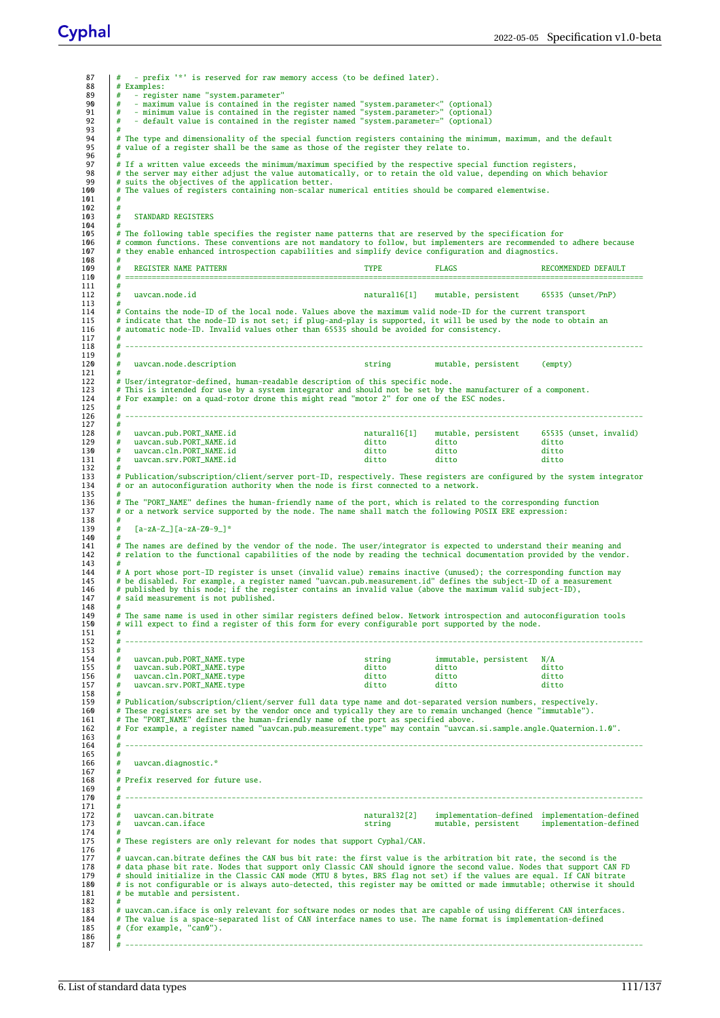87  $\#$  - prefix '\*' is reserved for raw memory access (to be defined later).<br>88  $\#$  Examples:  $\begin{array}{c|c}\n 88 & \# \text{ Examples:} \\
 89 & \# \text{ - reais}\n \end{array}$ 89  $\#$  - register name "system.parameter"<br>90  $\#$  - maximum value is contained in the 90 # - maximum value is contained in the register named "system.parameter<" (optional) 91 # - minimum value is contained in the register named "system.parameter>" (optional) 92 # - default value is contained in the register named "system.parameter=" (optional) 92<br>93<br>94 94 # The type and dimensionality of the special function registers containing the minimum, maximum, and the default 95 # value of a register shall be the same as those of the register they relate to. 96<br>97 97 # If a written value exceeds the minimum/maximum specified by the respective special function registers, 98 # the server may either adjust the value automatically, or to retain the old value, depending on which behavior 99 # suits the objectives of the application better. 100 # The values of registers containing non-scalar numerical entities should be compared elementwise.  $\begin{array}{cc} 101 & # \\ 102 & # \end{array}$ 103 # STANDARD REGISTERS 104<br>105 105 # The following table specifies the register name patterns that are reserved by the specification for<br>106 # common functions. These conventions are not mandatory to follow, but implementers are recommended t 106 # common functions. These conventions are not mandatory to follow, but implementers are recommended to adhere because 107 # they enable enhanced introspection capabilities and simplify device configuration and diagnostics. 108<br>109 109 # REGISTER NAME PATTERN TYPE FLAGS RECOMMENDED DEFAULT 110 # =====================================================================================================================  $\frac{111}{112}$ 112 # uavcan.node.id natural16[1] mutable, persistent 65535 (unset/PnP)  $\frac{113}{114}$ 114  $\#$  Contains the node-ID of the local node. Values above the maximum valid node-ID for the current transport  $\#$  indicate that the node-ID is not set; if plug-and-play is supported it will be used by the node to obt 115 # indicate that the node-ID is not set; if plug-and-play is supported, it will be used by the node to obtain an 116 # automatic node-ID. Invalid values other than 65535 should be avoided for consistency.  $117$   $\frac{1}{4}$ 118 # --------------------------------------------------------------------------------------------------------------------- 119<br>120 120 # uavcan.node.description string mutable, persistent (empty)  $\frac{121}{122}$ # User/integrator-defined, human-readable description of this specific node.<br>123 # This is intended for use by a system integrator and should not be set by the manufacturer of a component.<br>124 # For example: on a quad-roto  $\begin{array}{c|c} 125 & \# \\ 126 & \# \end{array}$ 126 # ---------------------------------------------------------------------------------------------------------------------  $\begin{array}{c|c} 127 \\ 128 \end{array}$  # 128 # uavcan.pub.PORT\_NAME.id natural16[1] mutable, persistent 65535 (unset, invalid)<br>129 # uavcan.sub.PORT\_NAME.id ditto ditto ditto ditto ditto 129 # uavcan.sub.PORT\_NAME.id ditto ditto ditto ditto ditto ditto ditto ditto ditto ditto ditto ditto ditto di 130 # uavcan.cln.PORT\_NAME.id ditto ditto ditto ditto ditto ditto ditto ditto ditto ditto ditto ditto ditto ditto ditto ditto ditto ditto ditto ditto ditto ditto ditto ditto ditto ditto ditto ditto ditto ditto ditto ditto uavcan.srv.PORT\_NAME.id  $\frac{132}{133}$ 133 # Publication/subscription/client/server port-ID, respectively. These registers are configured by the system integrator 134 # or an autoconfiguration authority when the node is first connected to a network. 135 # 136 # The "PORT\_NAME" defines the human-friendly name of the port, which is related to the corresponding function<br>137 # or a network service supported by the node. The name shall match the following POSIX ERE expression:  $138$ <br> $139$  $[a-zA-Z]$   $[a-zA-ZA-2A-9]$ <sup>\*</sup>  $\frac{140}{141}$ 141 | # The names are defined by the vendor of the node. The user/integrator is expected to understand their meaning and<br>142 | # relation to the functional capabilities of the node by reading the technical documentation p  $143$ <br> $144$ # A port whose port-ID register is unset (invalid value) remains inactive (unused); the corresponding function may<br>145 # be disabled. For example, a register named "uavcan.pub.measurement.id" defines the subject-ID of a me 147 # said measurement is not published. 148<br>149 149  $#$  The same name is used in other similar registers defined below. Network introspection and autoconfiguration tools  $#$  will expect to find a register of this form for every configurable port supported by the node. will expect to find a register of this form for every configurable port supported by the node. 151<br>152 152 # --------------------------------------------------------------------------------------------------------------------- 153<br>154 154 # uavcan.pub.PORT\_NAME.type string immutable, persistent N/A<br>155 # uavcan.sub.PORT\_NAME.type string ditto ditto ditto ditto 155 # uavcan.sub.PORT\_NAME.type ditto ditto ditto 156 # uavcan.cln.PORT\_NAME.type ditto ditto ditto 157 # uavcan.srv.PORT\_NAME.type ditto ditto ditto 158<br>159 # Publication/subscription/client/server full data type name and dot-separated version numbers, respectively.<br>160 # These registers are set by the vendor once and typically they are to remain unchanged (hence "immutable").  $\begin{array}{c} 162 \\ 163 \\ 164 \end{array}$ 164 # --------------------------------------------------------------------------------------------------------------------- 165<br>166 uavcan.diagnostic.\* 167<br>168 # Prefix reserved for future use. 169<br>170 170 # ---------------------------------------------------------------------------------------------------------------------  $\frac{171}{172}$ 172 # uavcan.can.bitrate natural32[2] implementation-defined implementation-defined<br>173 # uavcan.can.iface have string mutable, persistent implementation-defined implementation-defined 174<br>175 # These registers are only relevant for nodes that support Cyphal/CAN. 176<br>177 177  $#$  uavcan.can.bitrate defines the CAN bus bit rate: the first value is the arbitration bit rate, the second is the  $#$  data phase bit rate. Nodes that support CAN should incore the second value. Nodes that support CA 178 | # data phase bit rate. Nodes that support only Classic CAN should ignore the second value. Nodes that support CAN FD<br>179 | # should initialize in the Classic CAN mode (MTU 8 bytes, BRS flag not set) if the values are 180 # is not configurable or is always auto-detected, this register may be omitted or made immutable; otherwise it should 181 # be mutable and persistent. 182 # <sup>183</sup> # uavcan.can.iface is only relevant for software nodes or nodes that are capable of using different CAN interfaces.<br>184 # The value is a space-separated list of CAN interface names to use. The name format is implemen 184 # The value is a space-separated list of CAN interface names to use. The name format is implementation-defined 185 # (for example, "can0").  $\frac{186}{187}$ 187 # ---------------------------------------------------------------------------------------------------------------------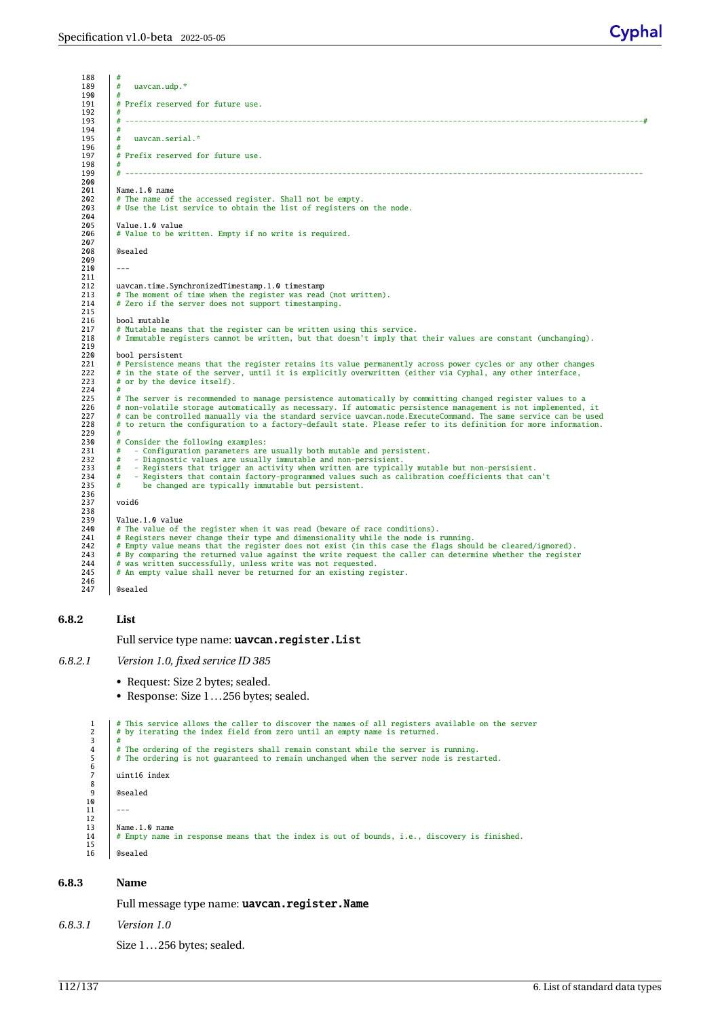188 #  $189$   $\frac{1}{4}$  uavcan.udp.\*  $\frac{190}{191}$ # Prefix reserved for future use.  $192$  #<br>193 #  $+$ 193 # ---------------------------------------------------------------------------------------------------------------------# 194<br>195 uavcan.serial.\* 196<br>197 # Prefix reserved for future use. 198<br>199 199 # --------------------------------------------------------------------------------------------------------------------- 200<br>201 201 Name.1.0 name<br>
202 # The name of<br>
203 # Use the Lis 202 # The name of the accessed register. Shall not be empty.<br>203 # Use the List service to obtain the list of registers on the node. 204 205 | Value.1.0 value<br>206 | # Value to be w 206 # Value to be written. Empty if no write is required. 207<br>208 208 @sealed 209  $210$ 211 212 uavcan.time.SynchronizedTimestamp.1.0 timestamp 213 # The moment of time when the register was read (not written). 214 # Zero if the server does not support timestamping.  $\frac{215}{216}$ 216 bool mutable<br>217 # Mutable me 217  $#$  Mutable means that the register can be written using this service.<br>218  $#$  Tummutable registers cannot be written but that doesn't imply that # Immutable registers cannot be written, but that doesn't imply that their values are constant (unchanging).  $219$ 220 bool persistent<br>221 # Persistence m 221  $#$  Persistence means that the register retains its value permanently across power cycles or any other changes<br>222  $#$  in the state of the server, until it is explicitly overwritten (either via Cyphal, any other inter 222 # in the state of the server, until it is explicitly overwritten (either via Cyphal, any other interface,  $#$  or by the device itself).  $\frac{224}{225}$ # The server is recommended to manage persistence automatically by committing changed register values to a<br>226 # non-volatile storage automatically as necessary. If automatic persistence management is not implemented, 228 # to return the configuration to a factory-default state. Please refer to its definition for more information. 229<br>230 230  $\#$  Consider the following examples:<br>231  $\#$  - Configuration parameters are % 231 # - Configuration parameters are usually both mutable and persistent.<br>232 # - Diagnostic values are usually immutable and non-persisient.<br>233 # - Registers that trigger an activity when written are typically mutable 234 # - Registers that contain factory-programmed values such as calibration coefficients that can't 235 # be changed are typically immutable but persistent. 236 237 void6 238<br>239 239  $\begin{array}{|c|c|c|c|}\n\hline\n\text{Value.1.0 value} \\
\text{value of} \\
\hline\n\end{array}$ <sup>240</sup> # The value of the register when it was read (beware of race conditions).<br><sup>241</sup> # Registers never change their type and dimensionality while the node is 241 # Registers never change their type and dimensionality while the node is running. 242 # Empty value means that the register does not exist (in this case the flags should be cleared/ignored). 243 # By comparing the returned value against the write request the caller can determine whether the register 244 # was written successfully, unless write was not requested. 245 # An empty value shall never be returned for an existing register.  $246$ @sealed **6.8.2 List** Full service type name: uavcan.register.List *6.8.2.1 Version 1.0, fixed service ID 385* • Request: Size 2 bytes; sealed. • Response: Size 1... 256 bytes; sealed. 1 # This service allows the caller to discover the names of all registers available on the server # by iterating the index field from zero until an empty name is returned.  $\begin{array}{c} 2 \\ 3 \\ 4 \\ 5 \end{array}$ 4 # The ordering of the registers shall remain constant while the server is running. 5 # The ordering is not guaranteed to remain unchanged when the server node is restarted. 6 uint16 index 8 9 @sealed  $\frac{9}{10}$ 11 --- 12  $13$  Name.1.0 name

**6.8.3 Name**

 $\frac{15}{16}$ 

Full message type name: uavcan.register.Name

14 # Empty name in response means that the index is out of bounds, i.e., discovery is finished.

*6.8.3.1 Version 1.0*

16 @sealed

Size 1... 256 bytes; sealed.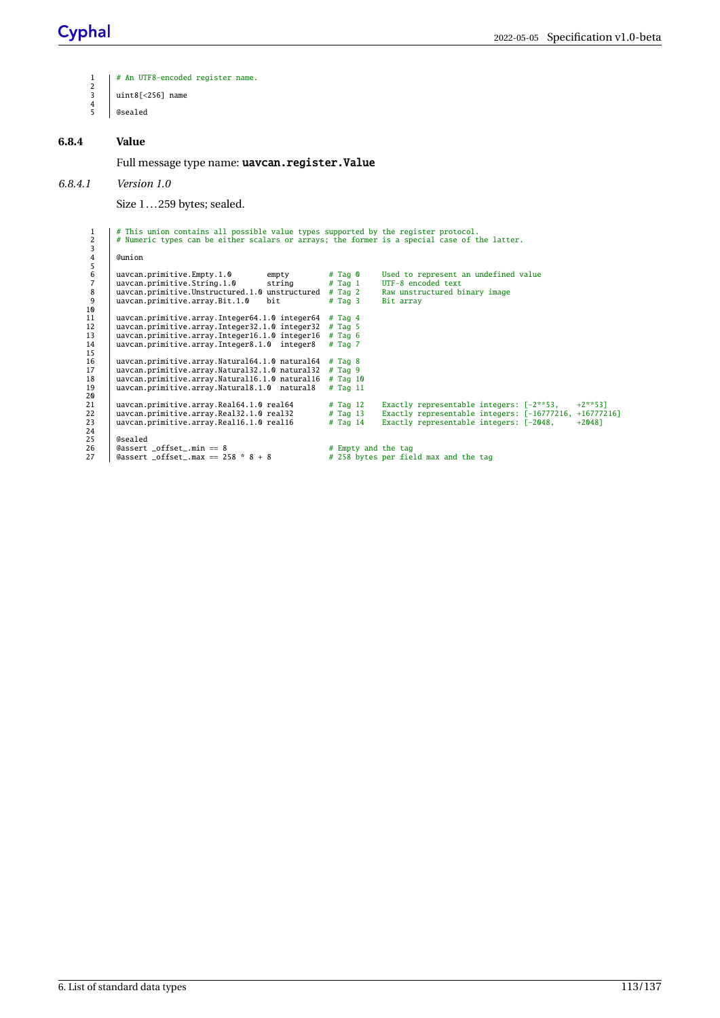- # An UTF8-encoded register name.  $\begin{array}{c} 1 \\ 2 \\ 3 \end{array}$ uint8[<256] name
- $\frac{4}{5}$ @sealed

#### **6.8.4 Value**

Full message type name: uavcan.register.Value

#### *6.8.4.1 Version 1.0*

Size 1... 259 bytes; sealed.

1 # This union contains all possible value types supported by the register protocol. 2 # Numeric types can be either scalars or arrays; the former is a special case of the latter.  $\begin{array}{c} 2 \\ 3 \\ 4 \end{array}$ **@union** 5 uavcan.primitive.Empty.1.0 empty # Tag 0 Used to represent an undefined value<br>uavcan.primitive.String.1.0 string # Tag 1 UTF-8 encoded text<br>uavcan.primitive.Unstructured.1.0 unstructured # Tag 2 Raw unstructured binary im 7 uavcan.primitive.String.1.0 string # Tag 1 UTF-8 encoded text 8 uavcan.primitive.Unstructured.1.0 unstructured # Tag 2 Raw unstructured binary image uavcan.primitive.array.Bit.1.0 bit # Tag 3 Bit array 10 11 uavcan.primitive.array.Integer64.1.0 integer64 # Tag 4 12 uavcan.primitive.array.Integer32.1.0 integer32 # Tag 5 13 uavcan.primitive.array.Integer16.1.0 integer16 # Tag 6 13 uavcan.primitive.array.Integer16.1.0 integer16 # Tag 6<br>14 uavcan.primitive.array.Integer8.1.0 integer8 # Tag 7  $14$ <br> $15$ <br> $16$ <br> $17$ 16 uavcan.primitive.array.Natural64.1.0 natural64 # Tag 8 17 uavcan.primitive.array.Natural32.1.0 natural32 # Tag 9 18 uavcan.primitive.array.Natural16.1.0 natural16 # Tag 10 18 uavcan.primitive.array.Natural16.1.0 natural16 # Tag 10<br>19 uavcan.primitive.array.Natural8.1.0 natural8 # Tag 11  $\frac{20}{21}$ 21 uavcan.primitive.array.Real64.1.0 real64 # Tag 12 Exactly representable integers: [-2\*\*53, +2\*\*53] 22 uavcan.primitive.array.Real32.1.0 real32 # Tag 13 Exactly representable integers: [-16777216, +16777216] 23 uavcan.primitive.array.Real16.1.0 real16 # Tag 14 Exactly representable integers: [-2048, +2048]  $22$ <br>  $23$ <br>  $24$ <br>  $25$ 25 @sealed<br>26 @assert<br>27 @assert  $\texttt{Qassert}$   $\texttt{offset\_min}$  == 8<br>  $\texttt{Qassert}$   $\texttt{offset\_max}$  == 258 \* 8 + 8 # Empty and the tag<br># 258 bytes per field max and the tag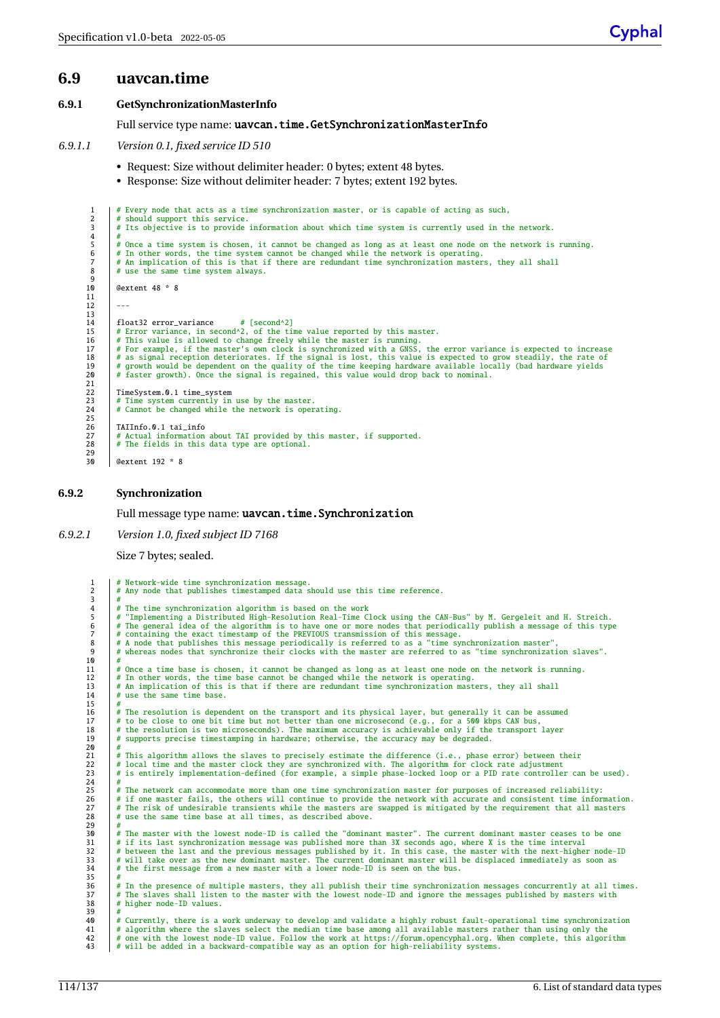### **6.9 uavcan.time**

```
6.9.1 GetSynchronizationMasterInfo
```
Full service type name: uavcan.time.GetSynchronizationMasterInfo

- *6.9.1.1 Version 0.1, fixed service ID 510*
	- Request: Size without delimiter header: 0 bytes; extent 48 bytes.
	- Response: Size without delimiter header: 7 bytes; extent 192 bytes.

```
1 | # Every node that acts as a time synchronization master, or is capable of acting as such,<br>2 | # should support this service.
 3 # Its objective is to provide information about which time system is currently used in the network.
 \frac{4}{5}5 # Once a time system is chosen, it cannot be changed as long as at least one node on the network is running.
  6 # In other words, the time system cannot be changed while the network is operating.
7 # An implication of this is that if there are redundant time synchronization masters, they all shall
           # use the same time system always.
\begin{array}{c} 8 \\ 9 \\ 10 \end{array}10 @extent 48 * 8
11
\overline{12}\frac{13}{14}14 float32 error_variance # [second<sup>x</sup>2]<br>15 # Error variance, in second<sup>x</sup>2, of the ti<br>16 # This value is allowed to change freely
# Error variance, in second^2, of the time value reported by this master.<br>16 # This value is allowed to change freely while the master is running.<br>17 # For example, if the master's own clock is synchronized with a GNSS, th
# as signal reception deteriorates. If the signal is lost, this value is expected to grow steadily, the rate of<br>19    | # growth would be dependent on the quality of the time keeping hardware available locally (bad hardwar
           # faster growth). Once the signal is regained, this value would drop back to nominal.
\frac{20}{21}<br>22
22 TimeSystem.0.1 time_system
23 # Time system currently in use by the master.
24 # Cannot be changed while the network is operating.
24<br>25<br>2626 TAIInfo.0.1 tai_info
27 | # Actual information about TAI provided by this master, if supported.<br>28 | # The fields in this data type are optional.
29
           30 @extent 192 * 8
```
#### **6.9.2 Synchronization**

Full message type name: uavcan.time.Synchronization

*6.9.2.1 Version 1.0, fixed subject ID 7168*

Size 7 bytes; sealed.

```
1 # Network-wide time synchronization message.
2 # Any node that publishes timestamped data should use this time reference.
 \frac{3}{4}4 # The time synchronization algorithm is based on the work<br>5 # "Implementing a Distributed High-Resolution Real-Time C
  4 "Implementing a Distributed High-Resolution Real-Time Clock using the CAN-Bus" by M. Gergeleit and H. Streich.<br>4 The general idea of the algorithm is to have one or more nodes that periodically publish a message of this 
10 \\ 11<sup>11</sup> # Once a time base is chosen, it cannot be changed as long as at least one node on the network is running.<br>
<sup>11</sup> # In other words, the time base cannot be changed while the network is operating.<br>
<sup>13</sup> # An implication
12 # In other words, the time base cannot be changed while the network is operating.
13 # An implication of this is that if there are redundant time synchronization masters, they all shall
14 # use the same time base.
\frac{15}{16}<sup>#</sup> The resolution is dependent on the transport and its physical layer, but generally it can be assumed <br><sup>#</sup> to be close to one bit time but not better than one microsecond (e.g., for a 500 kbps CAN bus.
17 # to be close to one bit time but not better than one microsecond (e.g., for a 500 kbps CAN bus,
18 # the resolution is two microseconds). The maximum accuracy is achievable only if the transport layer
           # supports precise timestamping in hardware; otherwise, the accuracy may be degraded.
\frac{19}{20}<br>\frac{21}{22}21 # This algorithm allows the slaves to precisely estimate the difference (i.e., phase error) between their
22 # local time and the master clock they are synchronized with. The algorithm for clock rate adjustment
23 # is entirely implementation-defined (for example, a simple phase-locked loop or a PID rate controller can be used).
^{24}_{25}25 # The network can accommodate more than one time synchronization master for purposes of increased reliability:<br>26 # if one master fails, the others will continue to provide the network with accurate and consistent time 
# if one master fails, the others will continue to provide the network with accurate and consistent time information.<br>27 P # The risk of undesirable transients while the masters are swapped is mitigated by the requirement 
           # use the same time base at all times, as described above.
\frac{28}{29}<br>30
           # The master with the lowest node-ID is called the "dominant master". The current dominant master ceases to be one
# if its last synchronization message was published more than 3X seconds ago, where X is the time interval<br>32 # between the last and the previous messages published by it. In this case, the master with the next-higher node
35 36\frac{4}{36} # In the presence of multiple masters, they all publish their time synchronization messages concurrently at all times.<br>37 # The slaves shall listen to the master with the lowest node-ID and ignore the messages 
           # The slaves shall listen to the master with the lowest node-ID and ignore the messages published by masters with
38 # higher node-ID values.
3940 # Currently, there is a work underway to develop and validate a highly robust fault-operational time synchronization<br>41 # algorithm where the slaves select the median time base among all available masters rather than us
```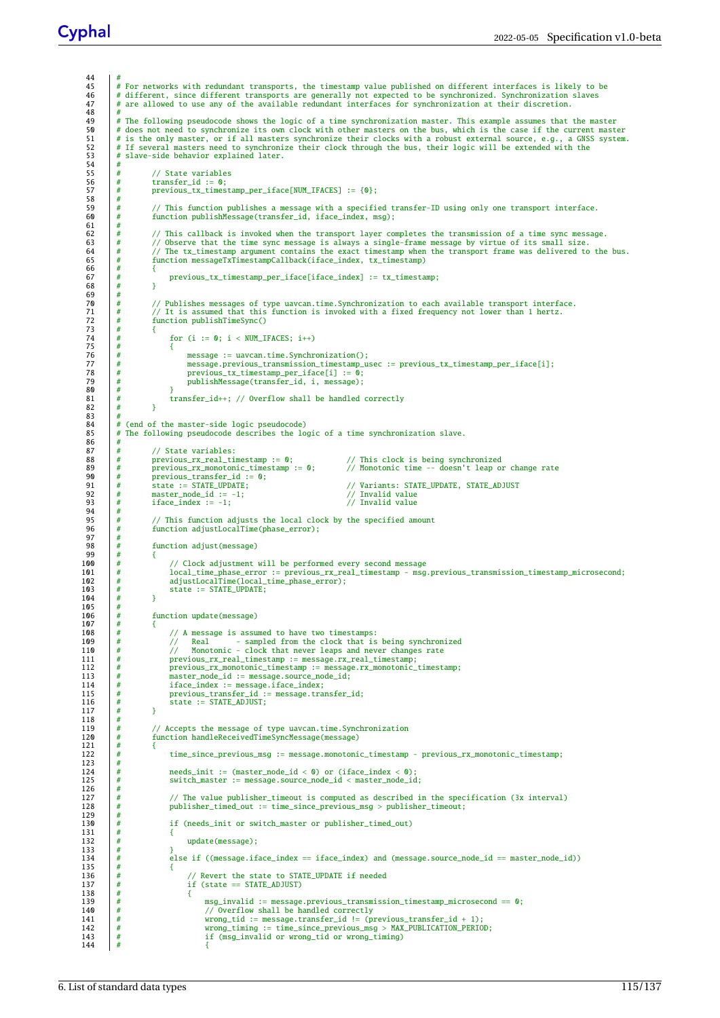44 # <sup>44</sup>  $\frac{4}{7}$  For networks with redundant transports, the timestamp value published on different interfaces is likely to be<br>46 # different, since different transports are generally not expected to be synchronized. Synchro 46 # different, since different transports are generally not expected to be synchronized. Synchronization slaves # are allowed to use any of the available redundant interfaces for synchronization at their discretion.  $47$ <br> $48$ <br> $49$ <br> $50$ # The following pseudocode shows the logic of a time synchronization master. This example assumes that the master<br>50 # does not need to synchronize its own clock with other masters on the bus, which is the case if the curr 51 | # is the only master, or if all masters synchronize their clocks with a robust external source, e.g., a GNSS system.<br>52 | # If several masters need to synchronize their clock through the bus, their logic will be exten 53 # slave-side behavior explained later.  $\frac{54}{55}$ 55  $\begin{array}{c|c} \n\text{#} \\
\text{#} \\
\text{transfer_id} := \text{0}; \\
\text{57} \\
\text{#} \\
\text{previous tx timest}\n\end{array}$ 56 # transfer\_id := 0; 57 # previous\_tx\_timestamp\_per\_iface[NUM\_IFACES] := {0};  $\frac{58}{59}$  $\begin{array}{c} 59 \\ 4 \end{array}$  // This function publishes a message with a specified transfer-ID using only one transport interface.<br>60  $\begin{array}{c} 4 \end{array}$  function publishMessage(transfer id. iface index. mso): function publishMessage(transfer\_id, iface\_index, msg);  $\begin{array}{c|c} 61 & # \\ 62 & # \end{array}$  $\begin{array}{lll}62 & # & // This callback is invoked when the transport layer completes the transmission of a time sync message. & \# & // Observe that the time sync message is always a single-frame message by virtue of its small size. & \# & // The tx timestamp argument contains the exact timestamp when the transport frame was delivered to the$ 63 # // Observe that the time sync message is always a single-frame message by virtue of its small size. 64 # // The tx\_timestamp argument contains the exact timestamp when the transport frame was delivered to the bus. 65 # function messageTxTimestampCallback(iface\_index, tx\_timestamp)  $\begin{array}{c|c}\n 65 & * \\
 \hline\n 66 & * \\
 \hline\n 67 & * \\
 \end{array}$ previous\_tx\_timestamp\_per\_iface[iface\_index] := tx\_timestamp;  $\begin{array}{c|c}\n 68 & \# \\
 69 & \# \n\end{array}$  $\begin{array}{c|c}\n 69 \\
 70 \\
 71 \\
 \hline\n\end{array}$ 70 # // Publishes messages of type uavcan.time.Synchronization to each available transport interface. 71 # // It is assumed that this function is invoked with a fixed frequency not lower than 1 hertz. # function publishTimeSync()  $\begin{array}{c|c} 72 & # \\ 73 & # \\ 74 & # \end{array}$ for (i :=  $0$ ; i < NUM\_IFACES; i++) 75 # { 76 # message := uavcan.time.Synchronization();<br>77 # message.previous transmission timestamp u 77 # message.previous\_transmission\_timestamp\_usec := previous\_tx\_timestamp\_per\_iface[i];<br>78 # previous\_tx\_timestamp\_per\_iface[i] := 0; 78 # previous\_tx\_timestamp\_per\_iface[i] := 0; 79 # publishMessage(transfer\_id, i, message);  $rac{80}{81}$ 81 # transfer\_id++; // Overflow shall be handled correctly 82  $83$ 84 # (end of the master-side logic pseudocode) 85 # The following pseudocode describes the logic of a time synchronization slave. 86<br>87 87  $\begin{array}{c} \# \end{array}$  // State variables:<br>88  $\begin{array}{c} \# \end{array}$  previous rx real timestamp := 0: 88 # previous\_rx\_real\_timestamp := 0; // This clock is being synchronized 89 # previous\_rx\_monotonic\_timestamp := 0; // Monotonic time -- doesn't leap or change rate 89<br>
90  $\#$  previous\_rx\_monotonic\_timestamp := 0;<br>
90  $\#$  previous\_transfer\_id := 0;<br>
91  $\#$  state := STATE\_UPDATE; 91 # state := STATE\_UPDATE;<br>92 # state := STATE\_UPDATE;<br>92 # master node id := -1:<br>// Invalid value 92  $\begin{array}{ll}\n\text{H} & \text{master node_id} & \text{:= -1;} \\
\text{93} & \text{#} & \text{iface_index} & \text{:= -1;} \\
\end{array}$  $#$  iface\_index := -1;  $\begin{array}{c|c}\n 94 \\
 95 \end{array}$  # 95 # // This function adjusts the local clock by the specified amount 96 # function adjustLocalTime(phase\_error);  $\begin{array}{c|c} 97 & \# \\ 98 & \# \end{array}$ 98  $\frac{4}{4}$  function adjust(message) 99 # { 100  $\frac{4}{\pi}$  // Clock adjustment will be performed every second message 101 # local\_time\_phase\_error := previous\_rx\_real\_timestamp - msg.previous\_transmission\_timestamp\_microsecond; 102 # adjustLocalTime(local\_time\_phase\_error); 103  $\#$  state := STATE\_UPDATE; 104  $\begin{array}{c|c}\n105 \\
106 \\
\hline\n\end{array}$  # function update(message)  $\begin{array}{ccccc} 107 & & \# & & \{108 & & \# & & \end{array}$ 108 # // A message is assumed to have two timestamps:<br>109 # // Real - sampled from the clock that is 109 # // Real - sampled from the clock that is being synchronized<br>110 # // Monotonic - clock that never leaps and never changes rate<br>111 # previous\_rx\_real\_timestamp := message.rx\_real\_timestamp; 112 # previous\_rx\_monotonic\_timestamp := message.rx\_monotonic\_timestamp; 113 # master\_node\_id := message.source\_node\_id; 114 # iface\_index := message.iface\_index;<br>115 # previous\_transfer\_id := message.transfer\_id;<br>116 # state := STATE\_ADJUST;  $\begin{array}{c|cc} 117 & # & & \end{array}$ <br>118 # 118<br>119 119 # // Accepts the message of type uavcan.time.Synchronization 120 # function handleReceivedTimeSyncMessage(message)  $\begin{array}{c|c} 121 & # \\ 122 & # \end{array}$ 122 # time\_since\_previous\_msg := message.monotonic\_timestamp - previous\_rx\_monotonic\_timestamp;<br>123 #  $\begin{array}{c|c} 1 & 2 & 3 \\ 1 & 2 & 4 \\ 1 & 2 & 4 \end{array}$ 124 # needs\_init := (master\_node\_id < 0) or (iface\_index < 0);<br>125 # switch master := message.source node id < master node ic 125 A switch\_master := message.source\_node\_id < master\_node\_id;<br>
# 126<br>127 127  $\#$  // The value publisher\_timeout is computed as described in the specification (3x interval)<br>128  $\#$  publisher timed out := time since previous msq > publisher timeout: 128 # publisher\_timed\_out := time\_since\_previous\_msg > publisher\_timeout;  $\begin{array}{c|c} 129 & # \\ 130 & # \end{array}$ 130 # if (needs\_init or switch\_master or publisher\_timed\_out)  $\begin{array}{c|c|c|c|c} 131 & # & & & & & \ & & & & & & 132 \end{array}$  $#$  update(message); 133<br>134 <sup>#</sup> else if ((message.iface\_index == iface\_index) and (message.source\_node\_id == master\_node\_id))<br><sup>#</sup>  $135$ <br> $136$ 136  $\frac{4}{137}$  // Revert the state to STATE\_UPDATE if needed 137  $\begin{array}{c} \n\text{#} \\
\text{#} \\
\text{138}\n\end{array}$ 138  $#$  { 139 # msg\_invalid := message.previous\_transmission\_timestamp\_microsecond == 0; 140 # // Overflow shall be handled correctly 110 # wrong\_tid := message.transfer\_id != (previous\_transfer\_id + 1);

142 # wrong\_timing := time\_since\_previous\_msg > MAX\_PUBLICATION\_PERIOD;<br>143 # if (msg\_invalid or wrong\_tid or wrong\_timing)

 $144$  # {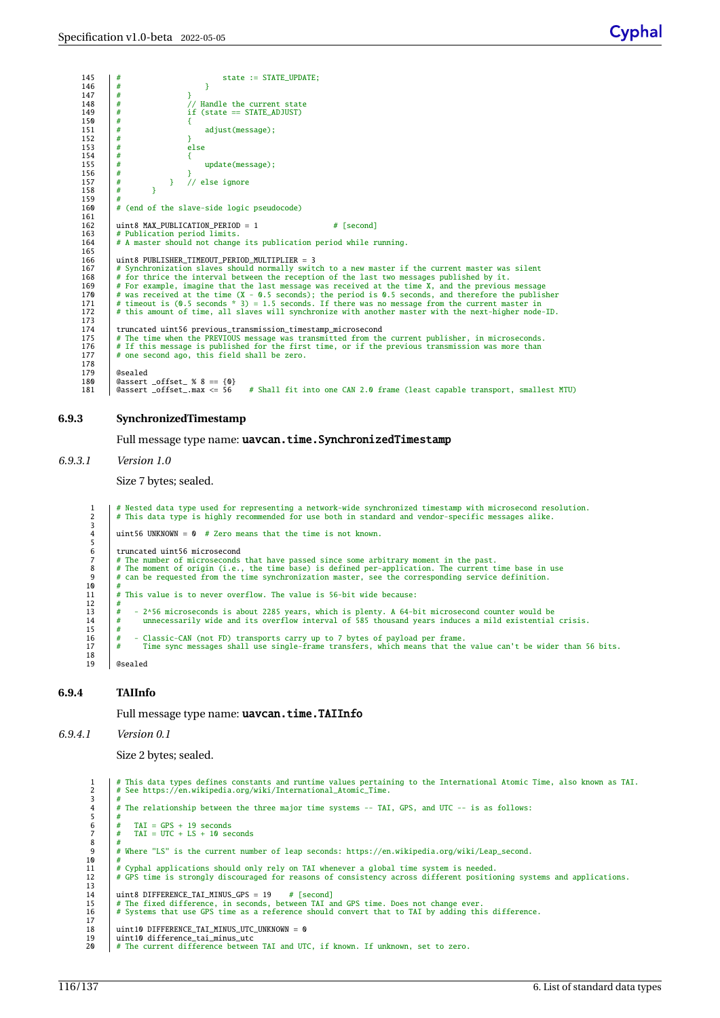```
145 \parallel \# state := STATE_UPDATE;
146 # \}\begin{array}{c|c}\n 147 & \# & \end{array} }
148 # // Handle the current state
149 # if (state == STATE_ADJUST)
\begin{array}{c|c|c|c|c|c|c|c|c} 150 & & \# & & \{151 & & \# & & \end{array}# adjust(message);<br># }
\frac{152}{153}# else
\begin{array}{c|c}\n 153 \\
 154 \\
 155\n \end{array} \begin{array}{c|c}\n \end{array}update(message);
\begin{array}{c|c}\n156 & \# \\
157 & \# \n\end{array}1/7 else ignore
\frac{15}{158}159<br>160
            # (end of the slave-side logic pseudocode)
161
162 uint8 MAX_PUBLICATION_PERIOD = 1 # [second]<br>163 # Publication period limits.
163 # Publication period limits.<br>164 # A master should not change
            # A master should not change its publication period while running.
\frac{165}{166}166 uint8 PUBLISHER_TIMEOUT_PERIOD_MULTIPLIER = 3
167 # Synchronization slaves should normally switch to a new master if the current master was silent
168 # for thrice the interval between the reception of the last two messages published by it.
# For example, imagine that the last message was received at the time X, and the previous message<br>170 # was received at the time (X - 0.5 seconds); the period is 0.5 seconds, and therefore the publisher<br>171 # timeout is (
173
174 truncated uint56 previous_transmission_timestamp_microsecond<br>175 # The time when the PREVIOUS message was transmitted from the
4 The time when the PREVIOUS message was transmitted from the current publisher, in microseconds.<br>176 # If this message is published for the first time, or if the previous transmission was more than<br>177 # one second ago, t
178<br>179
179 @sealed<br>180 @assert
180 @assert _offset_ % 8 == {0}<br>181 @assert _offset_.max <= 56
                                                           # Shall fit into one CAN 2.0 frame (least capable transport, smallest MTU)
```
#### **6.9.3 SynchronizedTimestamp**

Full message type name: uavcan.time.SynchronizedTimestamp

#### *6.9.3.1 Version 1.0*

Size 7 bytes; sealed.

|        | # Nested data type used for representing a network-wide synchronized timestamp with microsecond resolution.       |
|--------|-------------------------------------------------------------------------------------------------------------------|
| 2      | # This data type is highly recommended for use both in standard and vendor-specific messages alike.               |
| 3      |                                                                                                                   |
| 4      | uint56 UNKNOWN = $\theta$ # Zero means that the time is not known.                                                |
| 5<br>6 | truncated uint56 microsecond                                                                                      |
|        |                                                                                                                   |
|        | # The number of microseconds that have passed since some arbitrary moment in the past.                            |
| 8      | # The moment of origin (i.e., the time base) is defined per-application. The current time base in use             |
| - 9    | # can be requested from the time synchronization master, see the corresponding service definition.                |
| 10     | #                                                                                                                 |
| 11     | # This value is to never overflow. The value is 56-bit wide because:                                              |
| 12     | #                                                                                                                 |
| 13     | - 2^56 microseconds is about 2285 years, which is plenty. A 64-bit microsecond counter would be<br>#              |
| 14     | unnecessarily wide and its overflow interval of 585 thousand years induces a mild existential crisis.<br>#        |
| 15     | #                                                                                                                 |
| 16     | - Classic-CAN (not FD) transports carry up to 7 bytes of payload per frame.<br>#                                  |
| 17     | Time sync messages shall use single-frame transfers, which means that the value can't be wider than 56 bits.<br># |
| 18     |                                                                                                                   |
| 19     | @sealed                                                                                                           |
|        |                                                                                                                   |

#### **6.9.4 TAIInfo**

Full message type name: uavcan.time.TAIInfo

#### *6.9.4.1 Version 0.1*

Size 2 bytes; sealed.

```
1 | # This data types defines constants and runtime values pertaining to the International Atomic Time, also known as TAI.<br>2 | # See https://en.wikipedia.org/wiki/International_Atomic_Time.
 \begin{array}{c|c} 3 & \# \\ 4 & \# \end{array}4 # The relationship between the three major time systems -- TAI, GPS, and UTC -- is as follows:
 \frac{5}{6}6 # TAI = GPS + 19 seconds
7 # TAI = UTC + LS + 10 seconds
 7<br>8<br>9
          9 # Where "LS" is the current number of leap seconds: https://en.wikipedia.org/wiki/Leap_second.
10 11# Cyphal applications should only rely on TAI whenever a global time system is needed.
          # GPS time is strongly discouraged for reasons of consistency across different positioning systems and applications.
\frac{12}{13}<br>\frac{13}{14}uint8 DIFFERENCE_TAI_MINUS_GPS = 19   # [second]<br>15   # The fixed difference, in seconds, between TAI and GPS time. Does not change ever.<br>16   # Systems that use GPS time as a reference should convert that to TAI by adding
\begin{array}{c} 17 \\ 18 \end{array}18 uint10 DIFFERENCE_TAI_MINUS_UTC_UNKNOWN = \theta<br>19 uint10 difference tai minus utc
19 uint10 difference_tai_minus_utc
20 # The current difference between TAI and UTC, if known. If unknown, set to zero.
```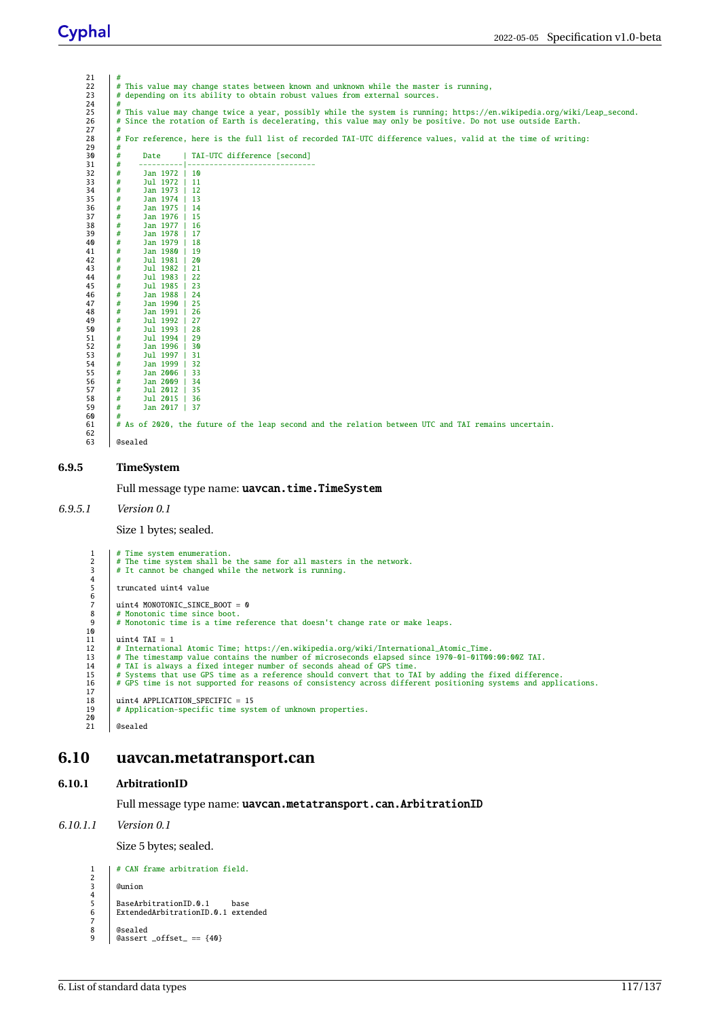| #      |                           |                                                                                                             |
|--------|---------------------------|-------------------------------------------------------------------------------------------------------------|
|        |                           | # For reference, here is the full list of recorded TAI-UTC difference values, valid at the time of writing: |
| #      | Date                      | TAI-UTC difference [second]                                                                                 |
| #<br># | --------<br>Jan 1972   10 |                                                                                                             |
| #      | Jul 1972   11             |                                                                                                             |
| #      | Jan 1973   12             |                                                                                                             |
| #      | Jan 1974   13             |                                                                                                             |
| #      | Jan 1975                  | 114                                                                                                         |
| #      | Jan 1976                  | l 15                                                                                                        |
|        | Jan $1977$   16           |                                                                                                             |
|        | Jan 1978                  | l 17                                                                                                        |
|        | Jan 1979                  | l 18                                                                                                        |
|        | Jan 1980                  | -19                                                                                                         |
|        | Jul 1981                  | 20                                                                                                          |
|        | Jul 1982                  | 21                                                                                                          |
|        | Jul 1983                  | 22                                                                                                          |
|        | Jul 1985                  | -23                                                                                                         |
|        | Jan 1988                  | 24                                                                                                          |
|        | Jan 1990                  | 25                                                                                                          |
|        | Jan 1991                  | 26                                                                                                          |
|        | Jul 1992                  | 27                                                                                                          |
|        | Jul 1993                  | 28                                                                                                          |
|        | Jul 1994                  | -29                                                                                                         |
|        | Jan 1996                  | 30                                                                                                          |
|        | Jul 1997                  | 31                                                                                                          |
|        | Jan 1999                  | -32                                                                                                         |
|        | Jan 2006                  | 33                                                                                                          |
|        | Jan 2009                  | 34                                                                                                          |
|        | Jul 2012                  | - 35                                                                                                        |
|        | Jul 2015 $\mid$ 36        |                                                                                                             |
|        | Jan 2017   37             |                                                                                                             |
|        |                           |                                                                                                             |
|        |                           | # As of 2020, the future of the leap second and the relation between UTC and TAI remains uncertain.         |
|        |                           |                                                                                                             |
|        | @sealed                   |                                                                                                             |

#### **6.9.5 TimeSystem**

Full message type name: uavcan.time.TimeSystem

#### *6.9.5.1 Version 0.1*

Size 1 bytes; sealed.

```
1 | # Time system enumeration.
  2 | # The time system shall be the same for all masters in the network.<br>3 | # It cannot be changed while the network is running.
  4
           5 truncated uint4 value
  6
           uint4 MONOTONIC SINCE BOOT = \theta8 # Monotonic time since boot.
9 # Monotonic time is a time reference that doesn't change rate or make leaps.
10
11 uint4 TAI = 1
12 # International Atomic Time; https://en.wikipedia.org/wiki/International_Atomic_Time.
# The timestamp value contains the number of microseconds elapsed since 1970-01-01T00:00:002 TAI.<br>14 # TAI is always a fixed integer number of seconds ahead of GPS time.<br>15 # Systems that use GPS time as a reference should
14<br>15<br>16<br>17<br>18<br>19
18 | uint4 APPLICATION_SPECIFIC = 15<br>19 | # Application-specific time system of unknown properties.
\begin{array}{c} 20 \\ 21 \end{array}@sealed
```
### **6.10 uavcan.metatransport.can**

#### **6.10.1 ArbitrationID**

Full message type name: uavcan.metatransport.can.ArbitrationID

#### *6.10.1.1 Version 0.1*

Size 5 bytes; sealed.

```
1 | # CAN frame arbitration field.
2
     @union
4
     5 BaseArbitrationID.0.1 base
     ExtendedArbitrationID.0.1 extended
-6789@sealed
     @assert offset = \{40\}
```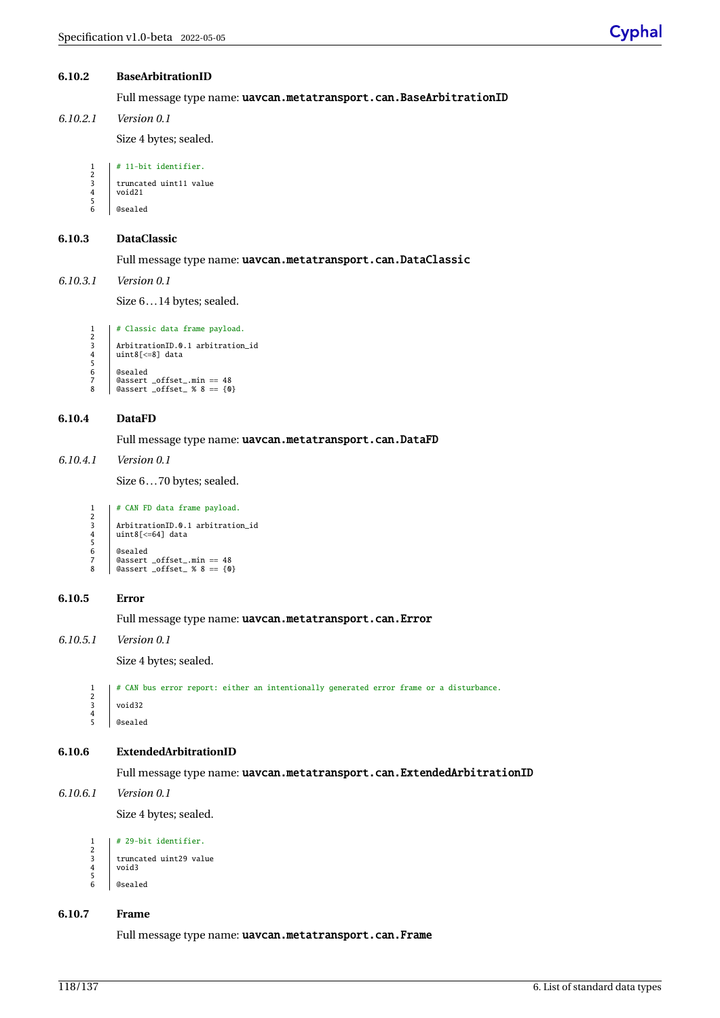#### **6.10.2 BaseArbitrationID**

Full message type name: uavcan.metatransport.can.BaseArbitrationID

*6.10.2.1 Version 0.1*

Size 4 bytes; sealed.

 $1 + 11$ -bit identifier.

 $\begin{array}{c} 2 \\ 3 \\ 4 \end{array}$ truncated uint11 value void<sub>21</sub>  $\frac{5}{6}$ 6 @sealed

#### **6.10.3 DataClassic**

Full message type name: uavcan.metatransport.can.DataClassic

*6.10.3.1 Version 0.1*

Size 6... 14 bytes; sealed.

| 1 | # Classic data frame payload.    |
|---|----------------------------------|
| 2 |                                  |
| 3 | ArbitrationID.0.1 arbitration id |
| 4 | uint8[<=8] data                  |
| 5 |                                  |
| 6 | @sealed                          |
| 7 | @assert offset .min == 48        |
| 8 | @assert _offset_ % $8 == \{0\}$  |

#### **6.10.4 DataFD**

Full message type name: uavcan.metatransport.can.DataFD

#### *6.10.4.1 Version 0.1*

Size 6... 70 bytes; sealed.

```
# CAN FD data frame payload.
 2
            3 ArbitrationID.0.1 arbitration_id
            uint8[<=64] data
 5
6 @sealed
\begin{array}{c|c}\n\overline{7} & \overline{0} & \overline{0} \\
\overline{7} & \overline{0} & \overline{0} \\
\overline{8} & \overline{0} & \overline{0} \\
\overline{1} & \overline{0} & \overline{0} \\
\end{array}@assert _offset_ % 8 == \{0\}
```
#### **6.10.5 Error**

Full message type name: uavcan.metatransport.can.Error

#### *6.10.5.1 Version 0.1*

Size 4 bytes; sealed.

# CAN bus error report: either an intentionally generated error frame or a disturbance.  $\begin{array}{c} 1 \\ 2 \\ 3 \end{array}$ void32  $\frac{4}{5}$ @sealed

#### **6.10.6 ExtendedArbitrationID**

Full message type name: uavcan.metatransport.can.ExtendedArbitrationID

*6.10.6.1 Version 0.1*

Size 4 bytes; sealed.

 $1$  | # 29-bit identifier.

 $\begin{array}{c|c} 3 & \text{truncated unit29 value} \\ 4 & \text{void3} \end{array}$ void3 6 @sealed

#### **6.10.7 Frame**

 $\frac{2}{3}$ 

 $\frac{5}{6}$ 

Full message type name: uavcan.metatransport.can.Frame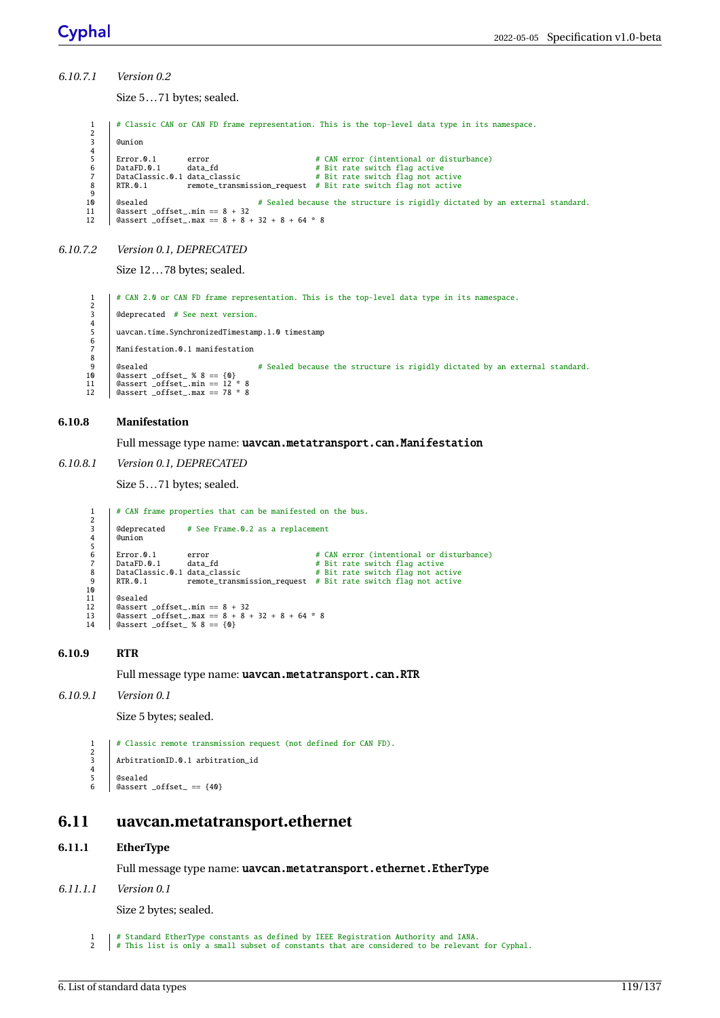#### *6.10.7.1 Version 0.2*

Size 5... 71 bytes; sealed.

```
# Classic CAN or CAN FD frame representation. This is the top-level data type in its namespace.
\frac{1}{2}@union
3<br>4<br>5<br>6<br>7
        Error.0.1 error \# CAN error (intentional or disturbance)<br>DataFD.0.1 data fd \# Rit rate switch flag active
        DataFD.0.1 data_fd # Bit rate switch flag active<br>DataClassic.0.1 data_classic # Bit rate switch flag not act
        PataClassic.0.1 data_classic # Bit rate switch flag not active<br>RTR.0.1 remote transmission request # Bit rate switch flag not active
                             remote_transmission_request # Bit rate switch flag not active
\begin{array}{c} 8 \\ 9 \\ 10 \end{array}10 @sealed # Sealed because the structure is rigidly dictated by an external standard.
11 @assert _offset_.min == 8 + 32
12 @assert _offset_.max == 8 + 8 + 32 + 8 + 64 * 8
```
#### *6.10.7.2 Version 0.1, DEPRECATED*

Size 12... 78 bytes; sealed.

1 | # CAN 2.0 or CAN FD frame representation. This is the top-level data type in its namespace.

 $\frac{2}{3}$ @deprecated # See next version. 4 uavcan.time.SynchronizedTimestamp.1.0 timestamp 6 Manifestation.0.1 manifestation  $\frac{8}{9}$ 9 @sealed # Sealed because the structure is rigidly dictated by an external standard.<br>10 @assert offset %  $8 == 60$ 10  $\downarrow$  0  $\downarrow$  0  $\downarrow$  0  $\downarrow$  0  $\downarrow$  0  $\downarrow$  0  $\downarrow$  0  $\downarrow$  0  $\downarrow$  0  $\downarrow$  0  $\downarrow$  0  $\downarrow$  0  $\downarrow$  0  $\downarrow$  0  $\downarrow$  0  $\downarrow$  0  $\downarrow$  0  $\downarrow$  0  $\downarrow$  0  $\downarrow$  0  $\downarrow$  0  $\downarrow$  0  $\downarrow$  0  $\downarrow$  0  $\downarrow$  0  $\downarrow$  0  $\downarrow$  0  $\$ 11 @assert \_offset\_.min == 12 \* 8 12 @assert \_offset\_.max == 78 \* 8

#### **6.10.8 Manifestation**

#### Full message type name: uavcan.metatransport.can.Manifestation

#### *6.10.8.1 Version 0.1, DEPRECATED*

Size 5... 71 bytes; sealed.

```
1 | # CAN frame properties that can be manifested on the bus.
 2
          @deprecated # See Frame.0.2 as a replacement
         aunion
 3456789
         Error.0.1 error # CAN error (intentional or disturbance)<br>DataFD.0.1 data_fd # Bit rate switch flag active
 7 DataFD.0.1 data_fd # Bit rate switch flag active
8 DataClassic.0.1 data_classic # Bit rate switch flag not active
         DataClassic.0.1 data_classic<br>
PataClassic.0.1 data_classic<br>
RTR.0.1 remote_transmission_request # Bit rate switch flag not active
10<br>1111 @sealed<br>12 @assert
12 @assert _offset_.min == 8 + 32
13 @assert _offset_.max == 8 + 8 + 32 + 8 + 64 * 8
14 @assert _offset_ % 8 == {0}
```
#### **6.10.9 RTR**

Full message type name: uavcan.metatransport.can.RTR

#### *6.10.9.1 Version 0.1*

Size 5 bytes; sealed.

1 # Classic remote transmission request (not defined for CAN FD).

- $\begin{array}{c} 2 \\ 3 \end{array}$ 3 ArbitrationID.0.1 arbitration\_id
- $\frac{4}{5}$ 5 @sealed<br>6 @assert
- $\text{Qasser} = \{40\}$

### **6.11 uavcan.metatransport.ethernet**

#### **6.11.1 EtherType**

Full message type name: uavcan.metatransport.ethernet.EtherType

#### *6.11.1.1 Version 0.1*

Size 2 bytes; sealed.

1 # Standard EtherType constants as defined by IEEE Registration Authority and IANA.<br>2 # This list is only a small subset of constants that are considered to be relevant <sup>#</sup> Standard Etherlype Constants as defined by the Registration memority sum change that  $\frac{1}{2}$  a small subset of constants that are considered to be relevant for Cyphal.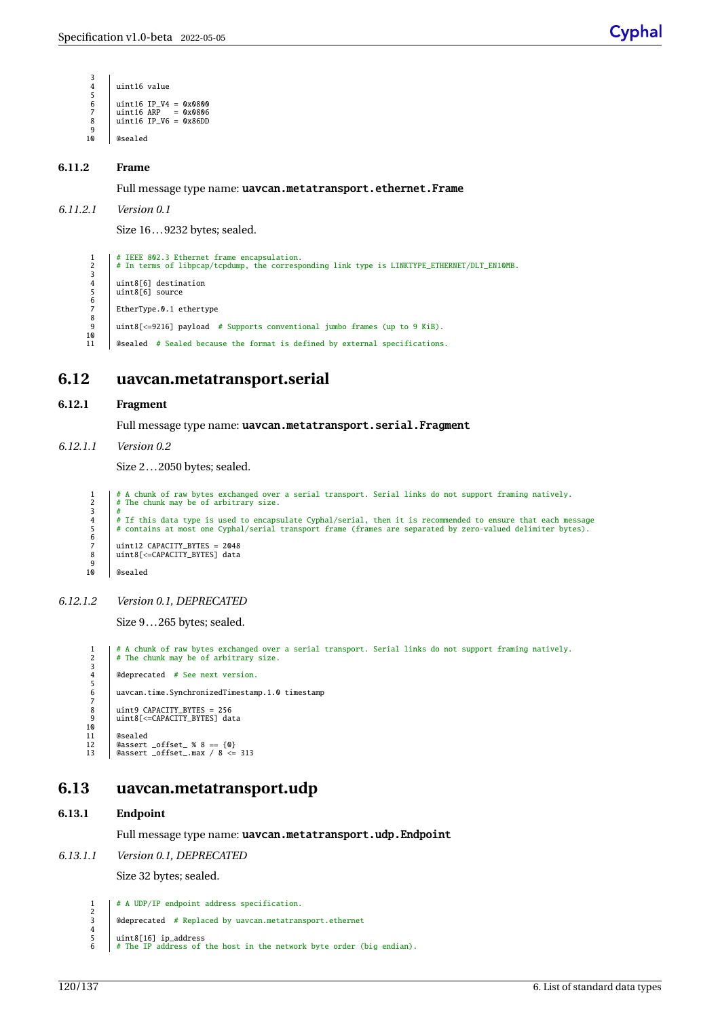```
\frac{3}{4}uint16 value
 \frac{5}{6}6 | uint16 IP_V4 = 0x0800<br>7 | uint16 ARP = 0x0806uint16 IP_V6 = 0x86DD\begin{array}{c} 8 \\ 9 \\ 10 \end{array}@sealed
```
#### **6.11.2 Frame**

Full message type name: uavcan.metatransport.ethernet.Frame

#### *6.11.2.1 Version 0.1*

Size 16... 9232 bytes; sealed.

1 # IEEE 802.3 Ethernet frame encapsulation. 2 # In terms of libpcap/tcpdump, the corresponding link type is LINKTYPE\_ETHERNET/DLT\_EN10MB.  $\begin{array}{c} 1 \\ 2 \\ 3 \\ 4 \\ 5 \end{array}$ 4 uint8[6] destination 5 uint8[6] source  $\frac{6}{7}$ EtherType.0.1 ethertype 8<br>9  $units$ [<=9216] payload # Supports conventional jumbo frames (up to 9 KiB).  $10$ <br> $11$ 11 @sealed # Sealed because the format is defined by external specifications.

## **6.12 uavcan.metatransport.serial**

#### **6.12.1 Fragment**

Full message type name: uavcan.metatransport.serial.Fragment

#### *6.12.1.1 Version 0.2*

Size 2... 2050 bytes; sealed.

```
1 # A chunk of raw bytes exchanged over a serial transport. Serial links do not support framing natively.
2 # The chunk may be of arbitrary size.
 \frac{2}{3}4 # If this data type is used to encapsulate Cyphal/serial, then it is recommended to ensure that each message
5 # contains at most one Cyphal/serial transport frame (frames are separated by zero-valued delimiter bytes).
 \begin{array}{c}\n4 \\
5 \\
6 \\
7 \\
8\n\end{array}7 uint12 CAPACITY_BYTES = 2048
8 uint8[<=CAPACITY_BYTES] data
  9
10 @sealed
```
#### *6.12.1.2 Version 0.1, DEPRECATED*

Size 9... 265 bytes; sealed.

1 # A chunk of raw bytes exchanged over a serial transport. Serial links do not support framing natively. 2 # The chunk may be of arbitrary size.  $\frac{2}{3}$ @deprecated # See next version.  $\frac{4}{5}$ uavcan.time.SynchronizedTimestamp.1.0 timestamp 7  $8$  uint9 CAPACITY\_BYTES = 256<br>9 uint8[<=CAPACITY\_BYTES] dat uint8[<=CAPACITY\_BYTES] data  $10$ <br> $11$ 11 **@sealed**<br>12 **@assert** 12 @assert \_offset\_ % 8 == {0} 13 @assert \_offset\_.max / 8 <= 313

## **6.13 uavcan.metatransport.udp**

#### **6.13.1 Endpoint**

Full message type name: uavcan.metatransport.udp.Endpoint

#### *6.13.1.1 Version 0.1, DEPRECATED*

Size 32 bytes; sealed.

- 1 | # A UDP/IP endpoint address specification.
- $\frac{2}{3}$ @deprecated # Replaced by uavcan.metatransport.ethernet
- $\frac{4}{5}$
- 5 uint8[16] ip\_address 6 # The IP address of the host in the network byte order (big endian).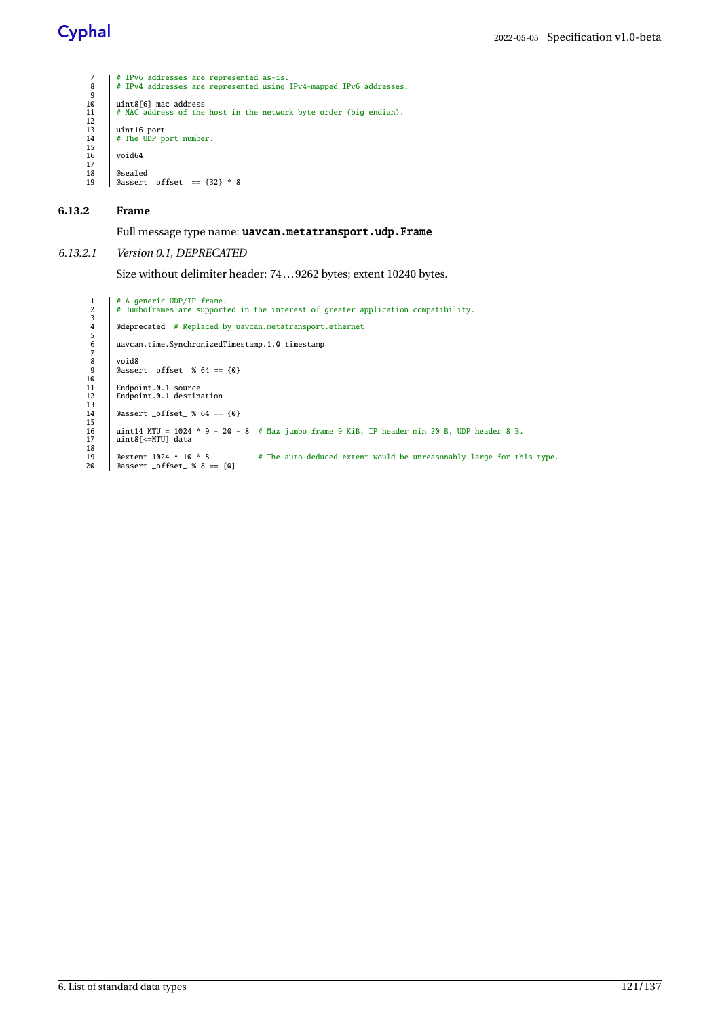```
7 # IPv6 addresses are represented as-is.
8 # IPv4 addresses are represented using IPv4-mapped IPv6 addresses.
 7<br>8<br>9
 10 | uint8[6] mac_address<br>11 | # MAC address of the host in the network byte order (big endian).
 12
 13 | uint16 port<br>14 | # The UDP port number.
 15
          void64
\frac{17}{18}<br>18
          18 @sealed
          @assert \_offset_ == {32} * 8
```
#### **6.13.2 Frame**

#### Full message type name: uavcan.metatransport.udp.Frame

## *6.13.2.1 Version 0.1, DEPRECATED*

Size without delimiter header: 74... 9262 bytes; extent 10240 bytes.

|          | # A generic UDP/IP frame.<br># Jumboframes are supported in the interest of greater application compatibility. |
|----------|----------------------------------------------------------------------------------------------------------------|
| 3<br>4   | @deprecated # Replaced by uavcan.metatransport.ethernet                                                        |
| 5<br>6   | uavcan.time.SynchronizedTimestamp.1.0 timestamp                                                                |
| 8        | void8                                                                                                          |
| 9<br>10  | $\text{Qasser}$ _offset_ % 64 == {0}                                                                           |
| 11       | Endpoint.0.1 source                                                                                            |
| 12<br>13 | Endpoint.0.1 destination                                                                                       |
| 14<br>15 | @assert offset % $64 == 9$                                                                                     |
| 16       | uint14 MTU = $1024 \div 9 - 20 - 8$ # Max jumbo frame 9 KiB, IP header min 20 B, UDP header 8 B.               |
| 17       | uint8[<=MTU] data                                                                                              |
| 18       |                                                                                                                |
| 19       | @extent 1024 * 10 * 8<br># The auto-deduced extent would be unreasonably large for this type.                  |
| 20       | @assert _offset_ % $8 == \{0\}$                                                                                |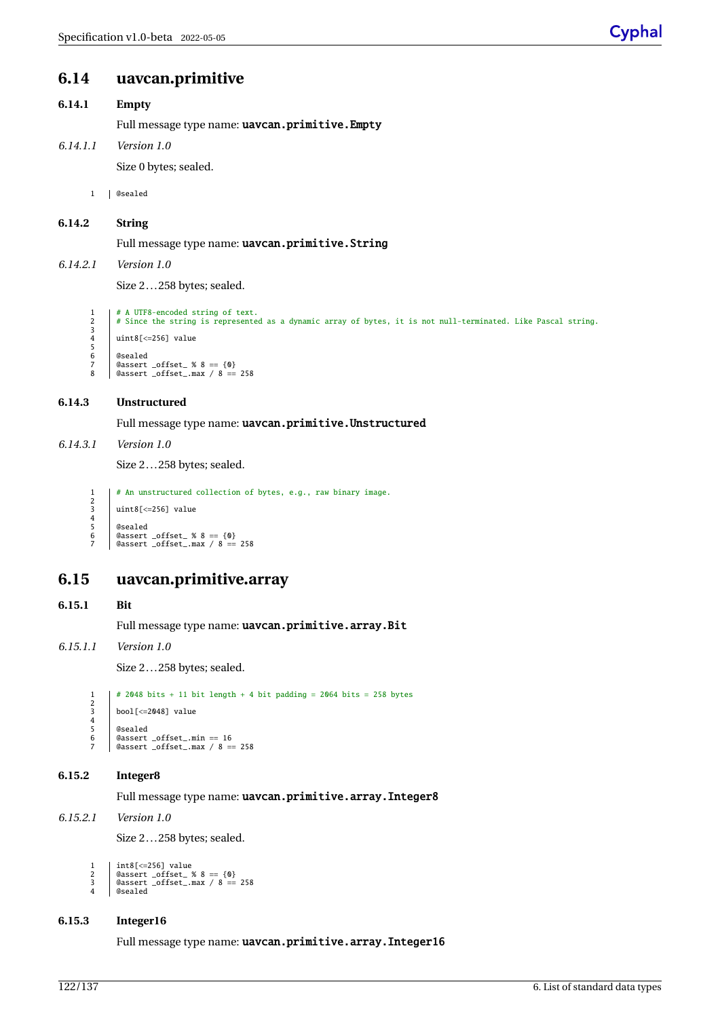## **6.14 uavcan.primitive**

#### **6.14.1 Empty**

Full message type name: uavcan.primitive.Empty

*6.14.1.1 Version 1.0* Size 0 bytes; sealed.

1 @sealed

#### **6.14.2 String**

Full message type name: uavcan.primitive.String

*6.14.2.1 Version 1.0*

Size 2... 258 bytes; sealed.

- 1 | # A UTF8-encoded string of text. # Since the string is represented as a dynamic array of bytes, it is not null-terminated. Like Pascal string.
- $\begin{array}{c} 2 \\ 3 \\ 4 \end{array}$ uint8[<=256] value
- $\begin{array}{c} 5 \\ 6 \\ 7 \end{array}$ 6 @sealed
- 7 @assert \_offset\_ % 8 == {0} 8 @assert \_offset\_.max / 8 == 258
- 

#### **6.14.3 Unstructured**

#### Full message type name: uavcan.primitive.Unstructured

*6.14.3.1 Version 1.0*

Size 2... 258 bytes; sealed.

```
1 | # An unstructured collection of bytes, e.g., raw binary image.
       uint8[<=256] value
5 @sealed<br>6 @assert<br>7 @assert
```
6 @assert \_offset\_ % 8 == {0} 7 @assert \_offset\_.max / 8 == 258

## **6.15 uavcan.primitive.array**

#### **6.15.1 Bit**

 $\frac{2}{3}$ 

 $\frac{4}{5}$ 

```
Full message type name: uavcan.primitive.array.Bit
```
#### *6.15.1.1 Version 1.0*

Size 2... 258 bytes; sealed.

1 |  $\#$  2048 bits + 11 bit length + 4 bit padding = 2064 bits = 258 bytes  $\frac{2}{3}$ bool[<=2048] value  $\frac{4}{5}$ 5 @sealed<br>6 @assert  $@asset_min == 16$  $\frac{3}{2}$   $\frac{3}{2}$   $\frac{3}{2}$   $\frac{3}{2}$   $\frac{3}{2}$   $\frac{3}{2}$   $\frac{3}{2}$   $\frac{3}{2}$   $\frac{3}{2}$   $\frac{3}{2}$   $\frac{3}{2}$   $\frac{3}{2}$   $\frac{3}{2}$   $\frac{3}{2}$   $\frac{3}{2}$   $\frac{3}{2}$   $\frac{3}{2}$   $\frac{3}{2}$   $\frac{3}{2}$   $\frac{3}{2}$   $\frac{3}{2}$   $\frac{3}{2}$ 

#### **6.15.2 Integer8**

Full message type name: uavcan.primitive.array.Integer8

#### *6.15.2.1 Version 1.0*

Size 2... 258 bytes; sealed.

- 1 int8[<=256] value 2 @assert \_offset\_ % 8 == {0} 3 @assert \_offset\_.max / 8 == 258 4 @sealed
- 

### **6.15.3 Integer16**

Full message type name: uavcan.primitive.array.Integer16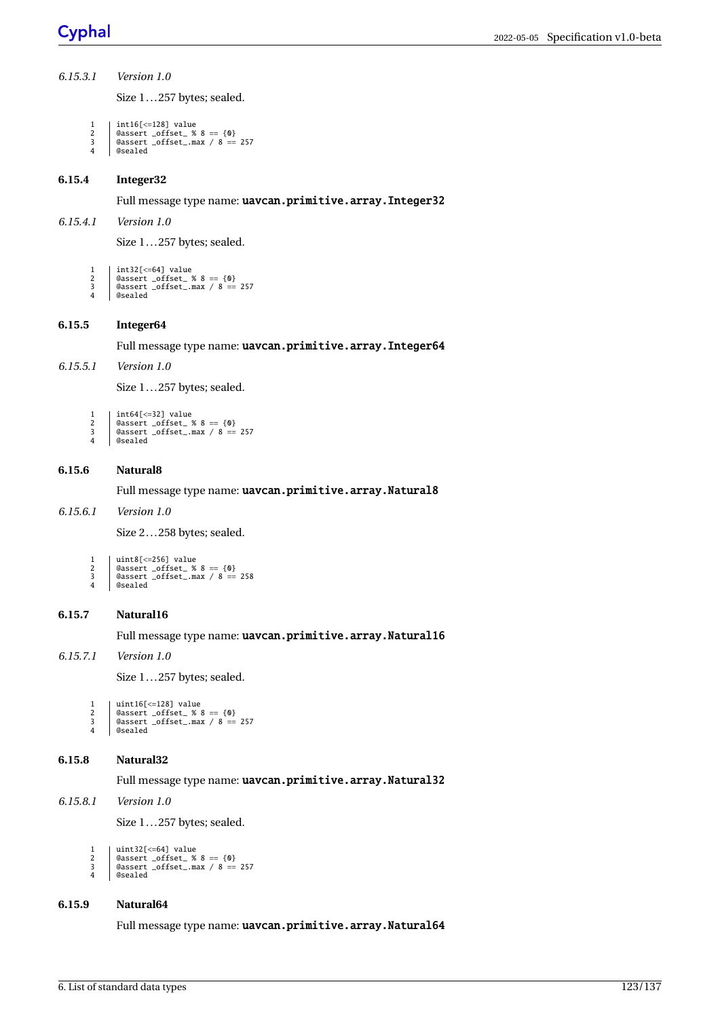#### *6.15.3.1 Version 1.0*

Size 1... 257 bytes; sealed.

| 1 | $\int$ int16 $\left[$ <=128 $\right]$ value |  |
|---|---------------------------------------------|--|
|   | $\&$ @assert _offset_ % 8 == {0}            |  |

2 @assert \_offset\_ % 8 == {0} 3 @assert \_offset\_.max / 8 == 257 3 **@assert**<br>4 **@sealed** 

#### **6.15.4 Integer32**

Full message type name: uavcan.primitive.array.Integer32

#### *6.15.4.1 Version 1.0*

Size 1... 257 bytes; sealed.

- $\begin{array}{c|c} 1 & \text{int32} \leqslant=64 \text{} \\ 2 & \text{dasset\_offset\_s} \end{array}$
- 2 @assert \_offset\_ % 8 == {0}
- 3 @assert \_offset\_.max / 8 == 257 4 @sealed

#### **6.15.5 Integer64**

Full message type name: uavcan.primitive.array.Integer64

#### *6.15.5.1 Version 1.0*

Size 1... 257 bytes; sealed.

- 1 int64[<=32] value 2 @assert \_offset\_ % 8 == {0} 3 @assert \_offset\_.max / 8 == 257
- 4 @sealed

#### **6.15.6 Natural8**

Full message type name: uavcan.primitive.array.Natural8

#### *6.15.6.1 Version 1.0*

Size 2... 258 bytes; sealed.

- 1 uint8[<=256] value 2 @assert \_offset\_ % 8 == {0} 3 @assert \_offset\_.max / 8 == 258
- 4 @sealed

#### **6.15.7 Natural16**

Full message type name: uavcan.primitive.array.Natural16

#### *6.15.7.1 Version 1.0*

Size 1... 257 bytes; sealed.

- 
- $\begin{array}{c|c} 1 & \text{uint16} <=128 \text{} \\ 2 & \text{dassert} & \text{offset} & 8 \\ 3 & \text{dassert} & \text{offset} & \text{max} \end{array}$ 2 @assert \_offset\_ % 8 == {0} 3 @assert \_offset\_.max / 8 == 257
- 4 @sealed

#### **6.15.8 Natural32**

Full message type name: uavcan.primitive.array.Natural32

#### *6.15.8.1 Version 1.0*

Size 1... 257 bytes; sealed.

```
1 uint32[<=64] value<br>2 @assert_offset_%
2 @assert _offset_ % 8 == {0}
3 @assert _offset_.max / 8 == 257
```
4 @sealed

#### **6.15.9 Natural64**

Full message type name: uavcan.primitive.array.Natural64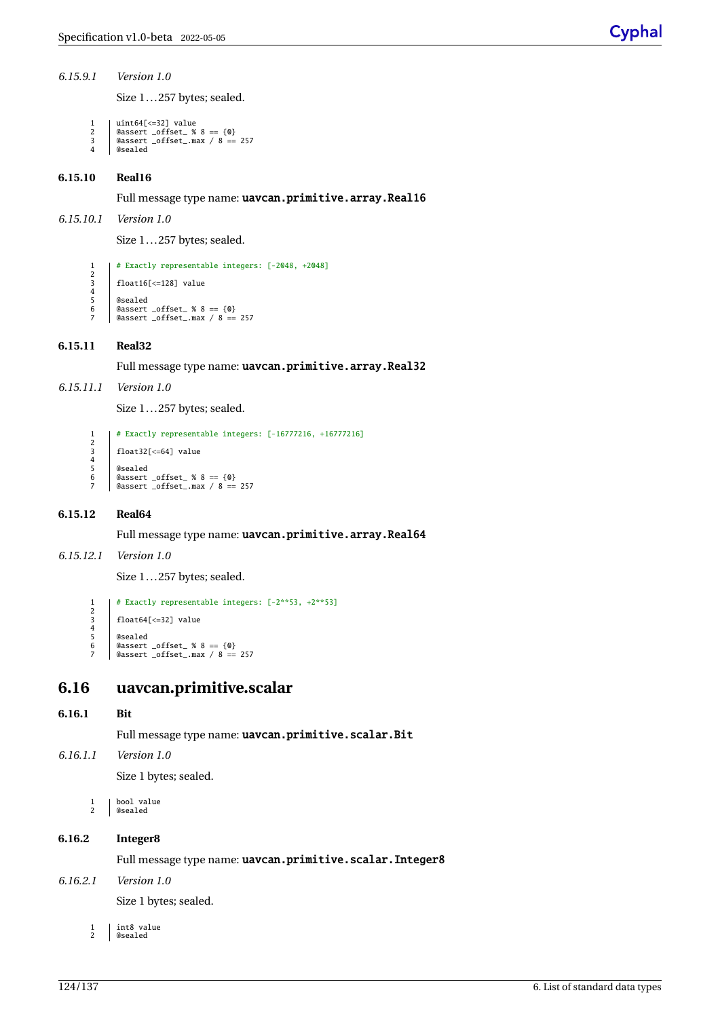#### *6.15.9.1 Version 1.0*

Size 1... 257 bytes; sealed.

- 
- 1 uint64[<=32] value 2 @assert \_offset\_ % 8 == {0} 3 @assert \_offset\_.max / 8 == 257
- 4 @sealed

#### **6.15.10 Real16**

Full message type name: uavcan.primitive.array.Real16

#### *6.15.10.1 Version 1.0*

Size 1... 257 bytes; sealed.

1 # Exactly representable integers: [-2048, +2048]

- $\frac{2}{3}$  $float16$ [<=128] value
- $\frac{4}{5}$
- 5 @sealed<br>6 @assert 6 @assert \_offset\_ % 8 == {0} 7 @assert \_offset\_.max / 8 == 257
- 

#### **6.15.11 Real32**

Full message type name: uavcan.primitive.array.Real32

#### *6.15.11.1 Version 1.0*

Size 1... 257 bytes; sealed.

1 # Exactly representable integers: [-16777216, +16777216]

- $\begin{array}{c} 1 \\ 2 \\ 3 \end{array}$  $float32[<=64]$  value
- $\frac{4}{5}$
- 5 @sealed<br>6 @assert<br>7 @assert 6 @assert \_offset\_ % 8 == {0} 7 @assert \_offset\_.max / 8 == 257

#### **6.15.12 Real64**

Full message type name: uavcan.primitive.array.Real64

#### *6.15.12.1 Version 1.0*

Size 1... 257 bytes; sealed.

# Exactly representable integers: [-2\*\*53, +2\*\*53]

- $\frac{1}{2}$ float64[<=32] value
- $\begin{array}{c} 3 \\ 4 \\ 5 \\ 6 \end{array}$ @sealed
- $\begin{array}{c|c} \text{S} & \text{S} & \text{S} & \text{S} & \text{S} & \text{S} & \text{S} & \text{S} & \text{S} & \text{S} & \text{S} & \text{S} & \text{S} & \text{S} & \text{S} & \text{S} & \text{S} & \text{S} & \text{S} & \text{S} & \text{S} & \text{S} & \text{S} & \text{S} & \text{S} & \text{S} & \text{S} & \text{S} & \text{S} & \text{S} & \text{S} & \text{S} & \text{S} & \text{S} & \text{S} & \$  $\frac{3}{2}$   $\frac{3}{2}$   $\frac{3}{2}$   $\frac{3}{2}$   $\frac{3}{2}$   $\frac{3}{2}$   $\frac{3}{2}$   $\frac{3}{2}$   $\frac{3}{2}$   $\frac{3}{2}$   $\frac{3}{2}$   $\frac{3}{2}$   $\frac{3}{2}$   $\frac{3}{2}$   $\frac{3}{2}$   $\frac{3}{2}$   $\frac{3}{2}$   $\frac{3}{2}$   $\frac{3}{2}$   $\frac{3}{2}$   $\frac{3}{2}$   $\frac{3}{2}$

## **6.16 uavcan.primitive.scalar**

#### **6.16.1 Bit**

Full message type name: uavcan.primitive.scalar.Bit

*6.16.1.1 Version 1.0*

Size 1 bytes; sealed.

1 bool value 2 @sealed

#### **6.16.2 Integer8**

Full message type name: uavcan.primitive.scalar.Integer8

*6.16.2.1 Version 1.0*

Size 1 bytes; sealed.

 $\begin{array}{c|c} 1 & \text{int8 value} \\ 2 & \text{dseud} \end{array}$ @sealed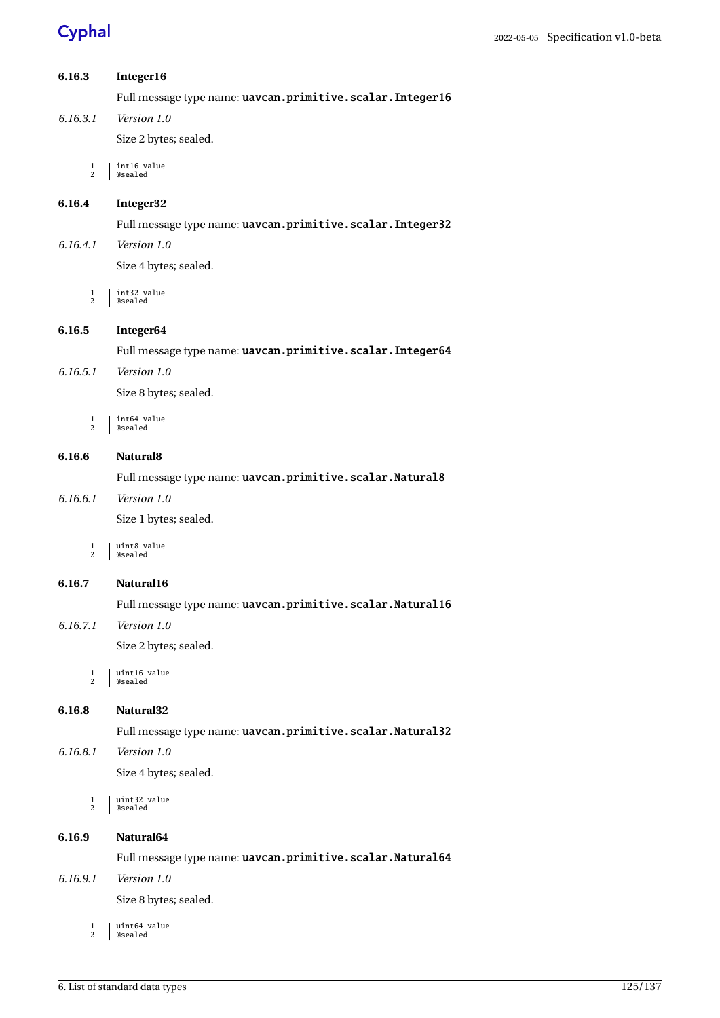# Cyphal

| 6.16.3              | Integer16                                                 |
|---------------------|-----------------------------------------------------------|
|                     | Full message type name: uavcan.primitive.scalar.Integer16 |
| 6.16.3.1            | Version 1.0                                               |
|                     | Size 2 bytes; sealed.                                     |
| 1<br>2              | int16 value<br>@sealed                                    |
| 6.16.4              | Integer32                                                 |
|                     | Full message type name: uavcan.primitive.scalar.Integer32 |
| 6.16.4.1            | Version 1.0                                               |
|                     | Size 4 bytes; sealed.                                     |
| 1<br>$\overline{2}$ | int32 value<br>@sealed                                    |
| 6.16.5              | Integer64                                                 |
|                     | Full message type name: uavcan.primitive.scalar.Integer64 |
| 6.16.5.1            | Version 1.0                                               |
|                     | Size 8 bytes; sealed.                                     |
| 1<br>2              | int64 value<br>@sealed                                    |
| 6.16.6              | Natural <sub>8</sub>                                      |
|                     | Full message type name: uavcan.primitive.scalar.Natural8  |
| 6.16.6.1            | Version 1.0                                               |
|                     | Size 1 bytes; sealed.                                     |
| 1<br>2              | uint8 value<br>@sealed                                    |
| 6.16.7              | Natural <sub>16</sub>                                     |
|                     | Full message type name: uavcan.primitive.scalar.Natural16 |
| 6.16.7.1            | Version 1.0                                               |
|                     | Size 2 bytes; sealed.                                     |
| 1<br>2              | uint16 value<br>@sealed                                   |
| 6.16.8              | Natural <sub>32</sub>                                     |
|                     | Full message type name: uavcan.primitive.scalar.Natural32 |
| 6.16.8.1            | Version 1.0                                               |
|                     | Size 4 bytes; sealed.                                     |
| 1<br>2              | uint32 value<br>@sealed                                   |
| 6.16.9              | Natural <sub>64</sub>                                     |
|                     | Full message type name: uavcan.primitive.scalar.Natural64 |
| 6.16.9.1            | Version 1.0                                               |
|                     | Size 8 bytes; sealed.                                     |
| 1<br>2              | uint64 value<br>@sealed                                   |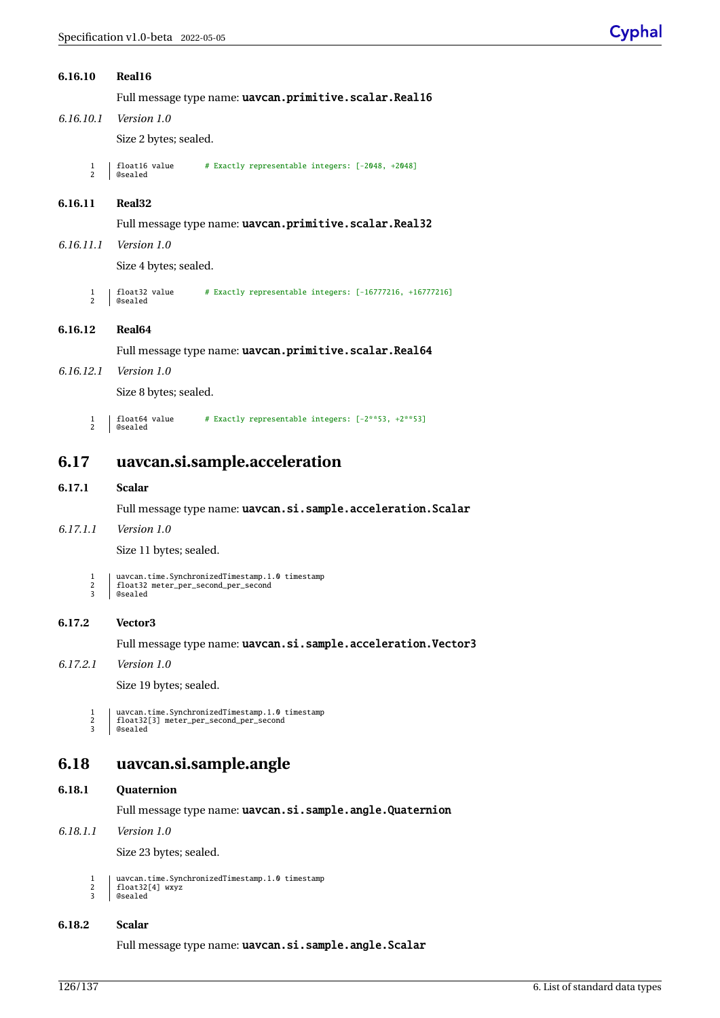**6.16.10 Real16**

|             | Full message type name: uavcan.primitive.scalar.Real16                                               |
|-------------|------------------------------------------------------------------------------------------------------|
| 6.16.10.1   | <i>Version 1.0</i>                                                                                   |
|             | Size 2 bytes; sealed.                                                                                |
| 1<br>2      | # Exactly representable integers: [-2048, +2048]<br>float16 value<br>@sealed                         |
| 6.16.11     | Real <sub>32</sub>                                                                                   |
|             | Full message type name: uavcan.primitive.scalar.Real32                                               |
| 6.16.11.1   | Version 1.0                                                                                          |
|             | Size 4 bytes; sealed.                                                                                |
| 1<br>2      | # Exactly representable integers: [-16777216, +16777216]<br>float32 value<br>@sealed                 |
| 6.16.12     | Real <sub>64</sub>                                                                                   |
|             | Full message type name: uavcan.primitive.scalar.Real64                                               |
| 6.16.12.1   | Version 1.0                                                                                          |
|             | Size 8 bytes; sealed.                                                                                |
| 1<br>2      | # Exactly representable integers: [-2**53, +2**53]<br>float64 value<br>@sealed                       |
| 6.17        | uavcan.si.sample.acceleration                                                                        |
|             |                                                                                                      |
| 6.17.1      | <b>Scalar</b>                                                                                        |
|             | Full message type name: uavcan.si.sample.acceleration.Scalar                                         |
| 6.17.1.1    | Version 1.0                                                                                          |
|             | Size 11 bytes; sealed.                                                                               |
| 1<br>2<br>3 | uavcan.time.SynchronizedTimestamp.1.0 timestamp<br>float32 meter_per_second_per_second<br>@sealed    |
| 6.17.2      | Vector3                                                                                              |
|             | Full message type name: uavcan.si.sample.acceleration.Vector3                                        |
| 6.17.2.1    | Version 1.0                                                                                          |
|             | Size 19 bytes; sealed.                                                                               |
| 1<br>2<br>3 | uavcan.time.SynchronizedTimestamp.1.0 timestamp<br>float32[3] meter_per_second_per_second<br>@sealed |
| 6.18        | uavcan.si.sample.angle                                                                               |
| 6.18.1      | Quaternion                                                                                           |
|             | Full message type name: uavcan.si.sample.angle.Quaternion                                            |
| 6.18.1.1    | Version 1.0                                                                                          |
|             | Size 23 bytes; sealed.                                                                               |

1 uavcan.time.SynchronizedTimestamp.1.0 timestamp 2 float32[4] wxyz 3 @sealed

#### **6.18.2 Scalar**

Full message type name: uavcan.si.sample.angle.Scalar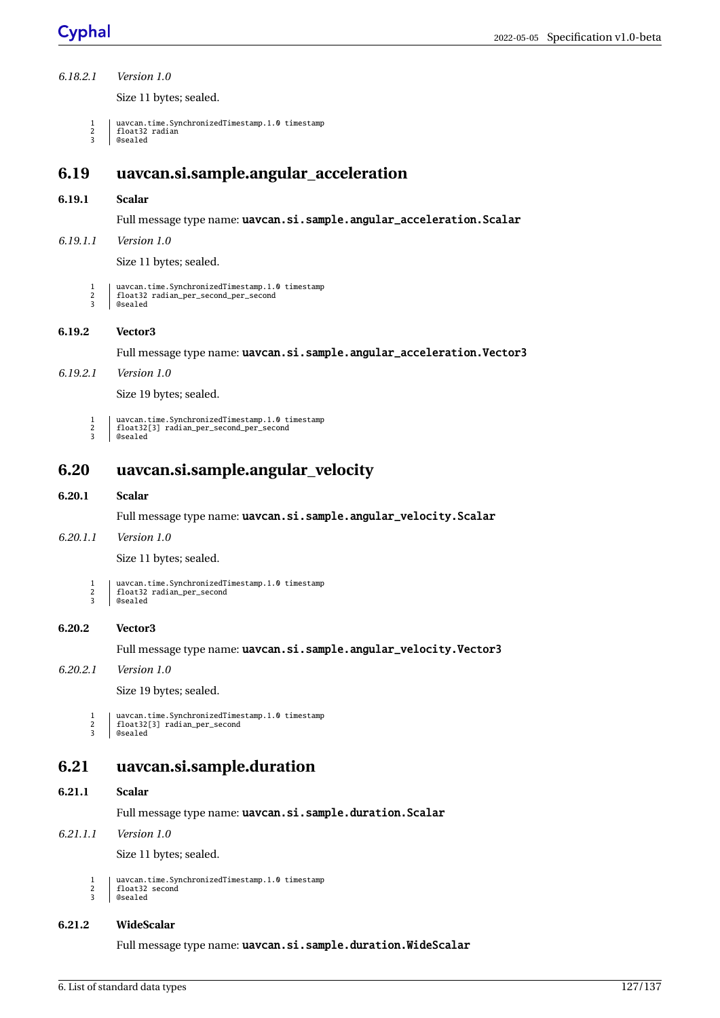| 6.18.2.1      | Version 1.0                                                                  |
|---------------|------------------------------------------------------------------------------|
|               | Size 11 bytes; sealed.                                                       |
| $\frac{2}{3}$ | uavcan.time.SynchronizedTimestamp.1.0 timestamp<br>float32 radian<br>@sealed |
| 6.19          | uavcan.si.sample.angular_acceleration                                        |
| 6.19.1        | <b>Scalar</b>                                                                |
|               | Full message type name: uavcan.si.sample.angular_acceleration.Scalar         |
| 6.19.1.1      | Version 1.0                                                                  |

Size 11 bytes; sealed.

- 1 uavcan.time.SynchronizedTimestamp.1.0 timestamp
- 2 float32 radian\_per\_second\_per\_second<br>3 @sealed @sealed

### **6.19.2 Vector3**

Full message type name: uavcan.si.sample.angular\_acceleration.Vector3

*6.19.2.1 Version 1.0*

Size 19 bytes; sealed.

1 uavcan.time.SynchronizedTimestamp.1.0 timestamp 2 float32[3] radian\_per\_second\_per\_second

3 @sealed

## **6.20 uavcan.si.sample.angular\_velocity**

#### **6.20.1 Scalar**

Full message type name: uavcan.si.sample.angular\_velocity.Scalar

#### *6.20.1.1 Version 1.0*

Size 11 bytes; sealed.

1 uavcan.time.SynchronizedTimestamp.1.0 timestamp 2 float32 radian\_per\_second

3 *@sealed* 

### **6.20.2 Vector3**

Full message type name: uavcan.si.sample.angular\_velocity.Vector3

*6.20.2.1 Version 1.0*

Size 19 bytes; sealed.

```
1 uavcan.time.SynchronizedTimestamp.1.0 timestamp
2 float32[3] radian_per_second<br>3 @sealed
      dsealed
```
## **6.21 uavcan.si.sample.duration**

### **6.21.1 Scalar**

Full message type name: uavcan.si.sample.duration.Scalar

*6.21.1.1 Version 1.0*

Size 11 bytes; sealed.

- 1 uavcan.time.SynchronizedTimestamp.1.0 timestamp<br>
1 dat32 second<br>
3 @sealed float32 second
- 3 @sealed

### **6.21.2 WideScalar**

Full message type name: uavcan.si.sample.duration.WideScalar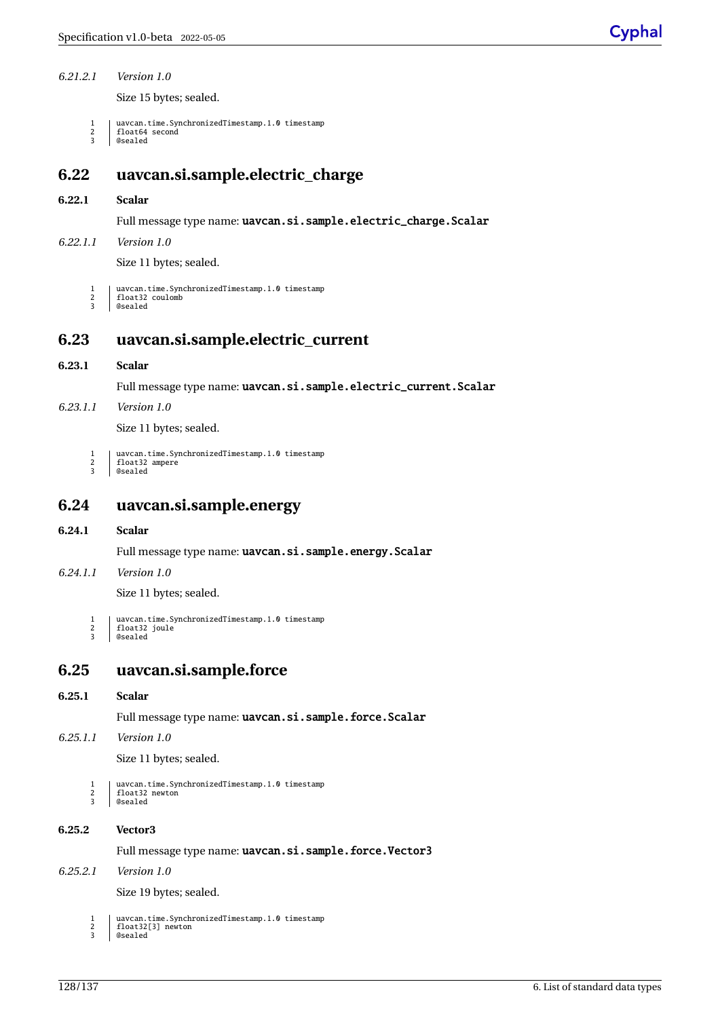#### *6.21.2.1 Version 1.0*

Size 15 bytes; sealed.

- 1 uavcan.time.SynchronizedTimestamp.1.0 timestamp<br>
1 dioat64 second<br>
3 @sealed float64 second
	- 3 @sealed

## **6.22 uavcan.si.sample.electric\_charge**

#### **6.22.1 Scalar**

Full message type name: uavcan.si.sample.electric\_charge.Scalar

#### *6.22.1.1 Version 1.0*

Size 11 bytes; sealed.

1 uavcan.time.SynchronizedTimestamp.1.0 timestamp 2 float32 coulomb<br>3 @sealed @sealed

## **6.23 uavcan.si.sample.electric\_current**

#### **6.23.1 Scalar**

Full message type name: uavcan.si.sample.electric\_current.Scalar

#### *6.23.1.1 Version 1.0*

Size 11 bytes; sealed.

1 uavcan.time.SynchronizedTimestamp.1.0 timestamp 2 float32 ampere<br>3 @sealed dsealed

## **6.24 uavcan.si.sample.energy**

#### **6.24.1 Scalar**

Full message type name: uavcan.si.sample.energy.Scalar

#### *6.24.1.1 Version 1.0*

Size 11 bytes; sealed.

```
1 uavcan.time.SynchronizedTimestamp.1.0 timestamp
\frac{1}{2} float 32 joule
      @sealed
```
## **6.25 uavcan.si.sample.force**

#### **6.25.1 Scalar**

Full message type name: uavcan.si.sample.force.Scalar

*6.25.1.1 Version 1.0*

Size 11 bytes; sealed.

1 uavcan.time.SynchronizedTimestamp.1.0 timestamp  $\begin{array}{c|c}\n2 & \text{float32 newton} \\
3 & \text{Ascaled}\n\end{array}$ @sealed

#### **6.25.2 Vector3**

Full message type name: uavcan.si.sample.force.Vector3

#### *6.25.2.1 Version 1.0*

Size 19 bytes; sealed.

- 1 uavcan.time.SynchronizedTimestamp.1.0 timestamp
- 2 | float32[3] newton<br>3 | @sealed @sealed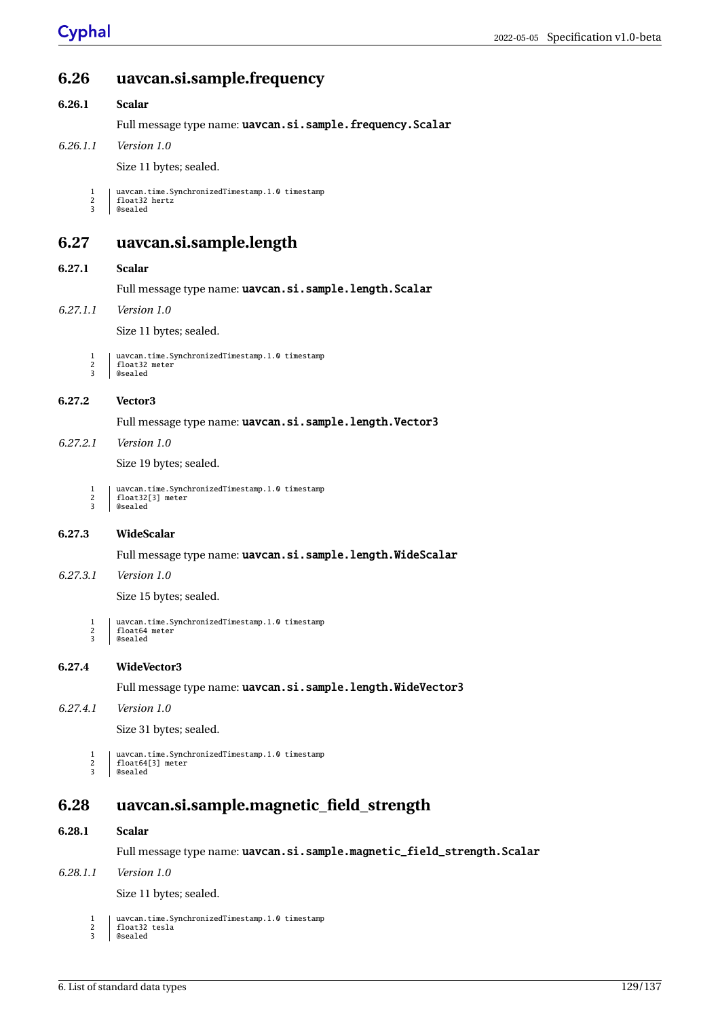| 6.26        | uavcan.si.sample.frequency                                                       |
|-------------|----------------------------------------------------------------------------------|
| 6.26.1      | <b>Scalar</b>                                                                    |
|             | Full message type name: uavcan.si.sample.frequency.Scalar                        |
| 6.26.1.1    | Version 1.0                                                                      |
|             | Size 11 bytes; sealed.                                                           |
| 1<br>2<br>3 | uavcan.time.SynchronizedTimestamp.1.0 timestamp<br>float32 hertz<br>@sealed      |
| 6.27        | uavcan.si.sample.length                                                          |
| 6.27.1      | <b>Scalar</b>                                                                    |
|             | Full message type name: uavcan.si.sample.length.Scalar                           |
| 6.27.1.1    | Version 1.0                                                                      |
|             | Size 11 bytes; sealed.                                                           |
| 1<br>2<br>3 | uavcan.time.SynchronizedTimestamp.1.0 timestamp<br>float32 meter<br>@sealed      |
| 6.27.2      | Vector3                                                                          |
|             | Full message type name: uavcan.si.sample.length.Vector3                          |
| 6.27.2.1    | Version 1.0                                                                      |
|             | Size 19 bytes; sealed.                                                           |
| 1<br>2<br>3 | uavcan.time.SynchronizedTimestamp.1.0 timestamp<br>$float32[3]$ meter<br>@sealed |
| 6.27.3      | WideScalar                                                                       |
|             | Full message type name: uavcan.si.sample.length.WideScalar                       |
| 6.27.3.1    | Version 1.0                                                                      |
|             | Size 15 bytes; sealed.                                                           |
| 1<br>2<br>3 | uavcan.time.SynchronizedTimestamp.1.0 timestamp<br>float64 meter<br>@sealed      |
| 6.27.4      | WideVector3                                                                      |
|             | Full message type name: uavcan.si.sample.length.WideVector3                      |
| 6.27.4.1    | Version 1.0                                                                      |
|             | Size 31 bytes; sealed.                                                           |
| 1<br>2<br>3 | uavcan.time.SynchronizedTimestamp.1.0 timestamp<br>$float64[3]$ meter<br>@sealed |
| 6.28        | uavcan.si.sample.magnetic_field_strength                                         |
| 6.28.1      | <b>Scalar</b>                                                                    |
|             | Full message type name: uavcan.si.sample.magnetic_field_strength.Scalar          |
| 6.28.1.1    | Version 1.0                                                                      |

Size 11 bytes; sealed.

1 uavcan.time.SynchronizedTimestamp.1.0 timestamp 2 float32 tesla 3 @sealed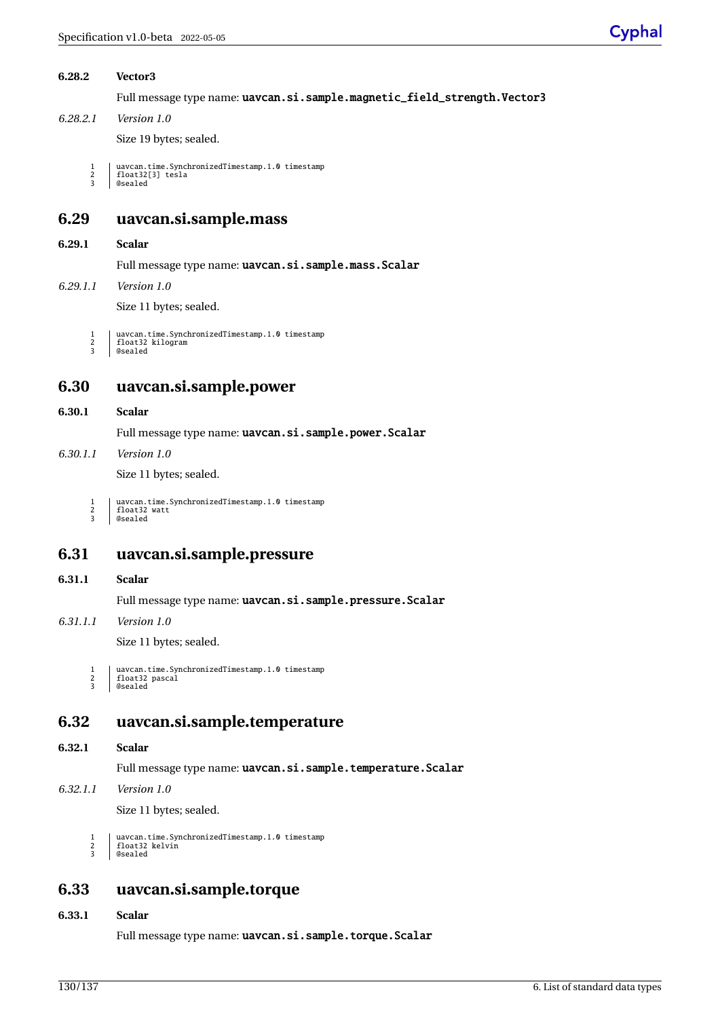| 6.28.2 | <b>Vector3</b> |  |
|--------|----------------|--|
|        |                |  |

Full message type name: uavcan.si.sample.magnetic\_field\_strength.Vector3

*6.28.2.1 Version 1.0*

Size 19 bytes; sealed.

```
1 uavcan.time.SynchronizedTimestamp.1.0 timestamp<br>
1 dioat32[3] tesla<br>
3 @sealed
        float32[3] tesla
```
@sealed

## **6.29 uavcan.si.sample.mass**

#### **6.29.1 Scalar**

Full message type name: uavcan.si.sample.mass.Scalar

*6.29.1.1 Version 1.0*

Size 11 bytes; sealed.

- 1 uavcan.time.SynchronizedTimestamp.1.0 timestamp
- 2 float32 kilogram<br>3 @sealed @sealed

## **6.30 uavcan.si.sample.power**

#### **6.30.1 Scalar**

Full message type name: uavcan.si.sample.power.Scalar

*6.30.1.1 Version 1.0*

Size 11 bytes; sealed.

- 1 uavcan.time.SynchronizedTimestamp.1.0 timestamp
- 2 | float32 watt<br>3 | @sealed @sealed

### **6.31 uavcan.si.sample.pressure**

#### **6.31.1 Scalar**

Full message type name: uavcan.si.sample.pressure.Scalar

*6.31.1.1 Version 1.0*

Size 11 bytes; sealed.

- 1 uavcan.time.SynchronizedTimestamp.1.0 timestamp<br>
3 desealed<br>
3 desealed float32 pascal
- 3 @sealed

## **6.32 uavcan.si.sample.temperature**

#### **6.32.1 Scalar**

Full message type name: uavcan.si.sample.temperature.Scalar

*6.32.1.1 Version 1.0*

Size 11 bytes; sealed.

- 1 uavcan.time.SynchronizedTimestamp.1.0 timestamp 2 float32 kelvin
- 2 | float32<br>3 | @sealed

## **6.33 uavcan.si.sample.torque**

### **6.33.1 Scalar**

Full message type name: uavcan.si.sample.torque.Scalar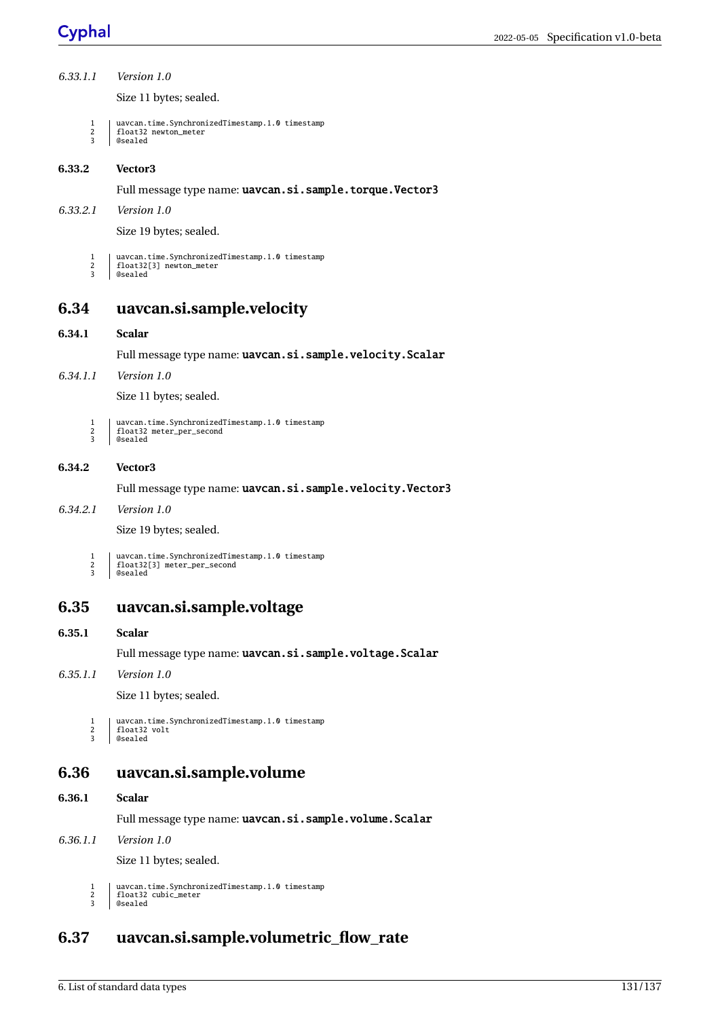| 6.33.1.1    | Version 1.0                                                                               |
|-------------|-------------------------------------------------------------------------------------------|
|             | Size 11 bytes; sealed.                                                                    |
| 1<br>2<br>3 | uavcan.time.SynchronizedTimestamp.1.0 timestamp<br>float32 newton_meter<br>@sealed        |
| 6.33.2      | Vector3                                                                                   |
|             | Full message type name: uavcan.si.sample.torque.Vector3                                   |
| 6.33.2.1    | Version 1.0                                                                               |
|             | Size 19 bytes; sealed.                                                                    |
| 1<br>2<br>3 | uavcan.time.SynchronizedTimestamp.1.0 timestamp<br>float32[3] newton_meter<br>@sealed     |
| 6.34        | uavcan.si.sample.velocity                                                                 |
| 6.34.1      | <b>Scalar</b>                                                                             |
|             | Full message type name: uavcan.si.sample.velocity.Scalar                                  |
| 6.34.1.1    | Version 1.0                                                                               |
|             | Size 11 bytes; sealed.                                                                    |
| 1<br>2<br>3 | uavcan.time.SynchronizedTimestamp.1.0 timestamp<br>float32 meter_per_second<br>@sealed    |
|             |                                                                                           |
| 6.34.2      | Vector3                                                                                   |
|             | Full message type name: uavcan.si.sample.velocity.Vector3                                 |
| 6.34.2.1    | Version 1.0                                                                               |
|             | Size 19 bytes; sealed.                                                                    |
| 1<br>2<br>3 | uavcan.time.SynchronizedTimestamp.1.0 timestamp<br>float32[3] meter_per_second<br>@sealed |
| 6.35        | uavcan.si.sample.voltage                                                                  |
| 6.35.1      | <b>Scalar</b>                                                                             |
|             | Full message type name: uavcan.si.sample.voltage.Scalar                                   |
| 6.35.1.1    | Version 1.0                                                                               |
|             | Size 11 bytes; sealed.                                                                    |
| 1<br>2<br>3 | uavcan.time.SynchronizedTimestamp.1.0 timestamp<br>float32 volt<br>@sealed                |
| 6.36        | uavcan.si.sample.volume                                                                   |
| 6.36.1      | <b>Scalar</b>                                                                             |

*6.36.1.1 Version 1.0*

Size 11 bytes; sealed.

- 1 uavcan.time.SynchronizedTimestamp.1.0 timestamp 2 float32 cubic\_meter 3 @sealed
- 

# **6.37 uavcan.si.sample.volumetric\_flow\_rate**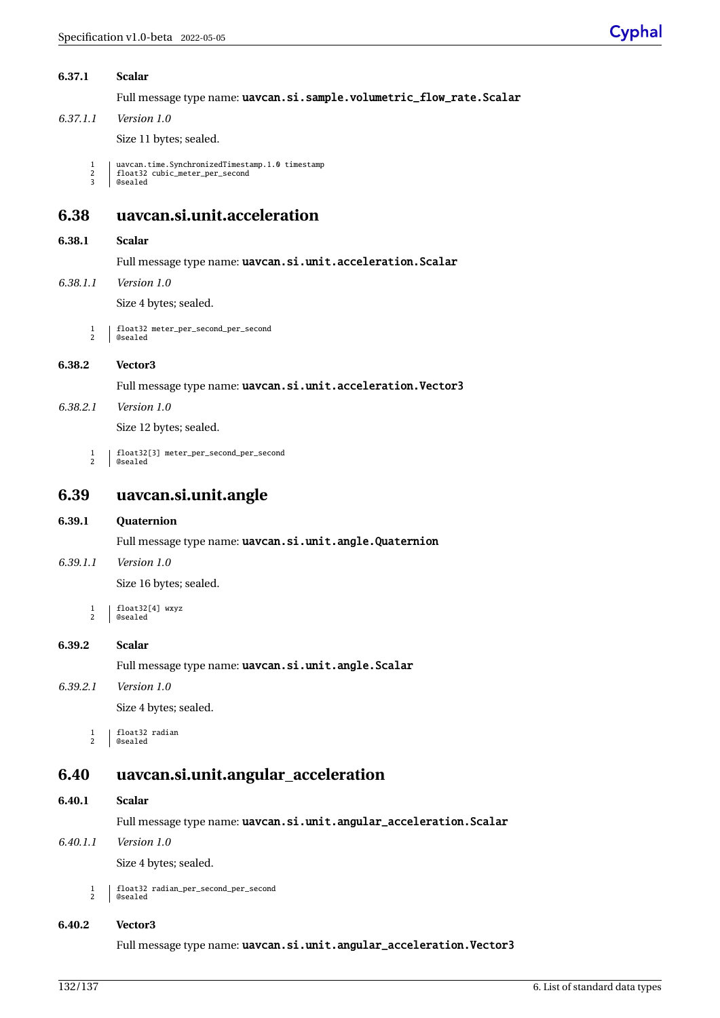| 6.37.1                         | <b>Scalar</b>                                                                                |
|--------------------------------|----------------------------------------------------------------------------------------------|
|                                | Full message type name: uavcan.si.sample.volumetric_flow_rate.Scalar                         |
| 6.37.1.1                       | Version 1.0                                                                                  |
|                                | Size 11 bytes; sealed.                                                                       |
| 1<br>2<br>3                    | uavcan.time.SynchronizedTimestamp.1.0 timestamp<br>float32 cubic_meter_per_second<br>@sealed |
| 6.38                           | uavcan.si.unit.acceleration                                                                  |
| 6.38.1                         | <b>Scalar</b>                                                                                |
|                                | Full message type name: uavcan.si.unit.acceleration.Scalar                                   |
| 6.38.1.1                       | Version 1.0                                                                                  |
|                                | Size 4 bytes; sealed.                                                                        |
| 1<br>2                         | float32 meter_per_second_per_second<br><b>@sealed</b>                                        |
| 6.38.2                         | Vector3                                                                                      |
|                                | Full message type name: uavcan.si.unit.acceleration.Vector3                                  |
| 6.38.2.1                       | Version 1.0                                                                                  |
|                                | Size 12 bytes; sealed.                                                                       |
| 1<br>2                         | float32[3] meter_per_second_per_second<br><b>@sealed</b>                                     |
| 6.39                           | uavcan.si.unit.angle                                                                         |
|                                |                                                                                              |
| 6.39.1                         | Quaternion                                                                                   |
|                                | Full message type name: uavcan.si.unit.angle.Quaternion                                      |
| 6.39.1.1                       | Version 1.0                                                                                  |
|                                | Size 16 bytes; sealed.                                                                       |
| $\mathbf{1}$<br>$\overline{c}$ | float32[4] wxyz<br>@sealed                                                                   |
| 6.39.2                         | <b>Scalar</b>                                                                                |
|                                | Full message type name: uavcan.si.unit.angle.Scalar                                          |
| 6.39.2.1                       | Version 1.0                                                                                  |
|                                | Size 4 bytes; sealed.                                                                        |
| 1<br>2                         | float32 radian<br>@sealed                                                                    |
| 6.40                           | uavcan.si.unit.angular_acceleration                                                          |
| 6.40.1                         | <b>Scalar</b>                                                                                |
|                                | Full message type name: uavcan.si.unit.angular_acceleration.Scalar                           |
| 6.40.1.1                       | Version 1.0                                                                                  |
|                                | Size 4 bytes; sealed.                                                                        |
| 1<br>2                         | float32 radian_per_second_per_second<br><b>@sealed</b>                                       |
| 6.40.2                         | Vector3                                                                                      |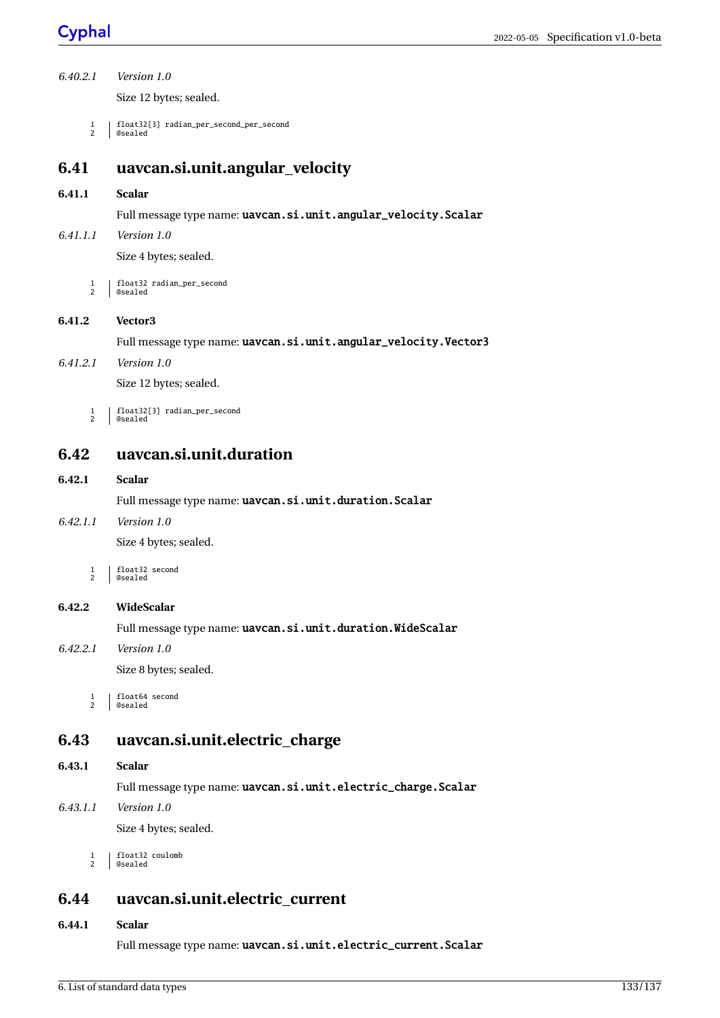| 6.40.2.1            | Version 1.0                                                     |
|---------------------|-----------------------------------------------------------------|
|                     | Size 12 bytes; sealed.                                          |
| $\mathbf{1}$<br>2   | float32[3] radian_per_second_per_second<br>@sealed              |
| 6.41                | uavcan.si.unit.angular_velocity                                 |
| 6.41.1              | <b>Scalar</b>                                                   |
|                     | Full message type name: uavcan.si.unit.angular_velocity.Scalar  |
| 6.41.1.1            | Version 1.0                                                     |
|                     | Size 4 bytes; sealed.                                           |
| 1<br>$\overline{a}$ | float32 radian_per_second<br>@sealed                            |
| 6.41.2              | Vector3                                                         |
|                     | Full message type name: uavcan.si.unit.angular_velocity.Vector3 |
| 6.41.2.1            | Version 1.0                                                     |
|                     | Size 12 bytes; sealed.                                          |
| 1<br>$\overline{c}$ | float32[3] radian_per_second<br>@sealed                         |
| 6.42                | uavcan.si.unit.duration                                         |
| 6.42.1              | <b>Scalar</b>                                                   |
|                     | Full message type name: uavcan.si.unit.duration.Scalar          |
| 6.42.1.1            | Version 1.0                                                     |
|                     | Size 4 bytes; sealed.                                           |
| 1<br>2              | float32 second<br>@sealed                                       |

#### **6.42.2 WideScalar**

Full message type name: uavcan.si.unit.duration.WideScalar

*6.42.2.1 Version 1.0* Size 8 bytes; sealed.

## **6.43 uavcan.si.unit.electric\_charge**

### **6.43.1 Scalar**

Full message type name: uavcan.si.unit.electric\_charge.Scalar

*6.43.1.1 Version 1.0* Size 4 bytes; sealed.

1 float32 coulomb 2 @sealed

## **6.44 uavcan.si.unit.electric\_current**

## **6.44.1 Scalar**

Full message type name: uavcan.si.unit.electric\_current.Scalar

<sup>1</sup> float64 second 2 @sealed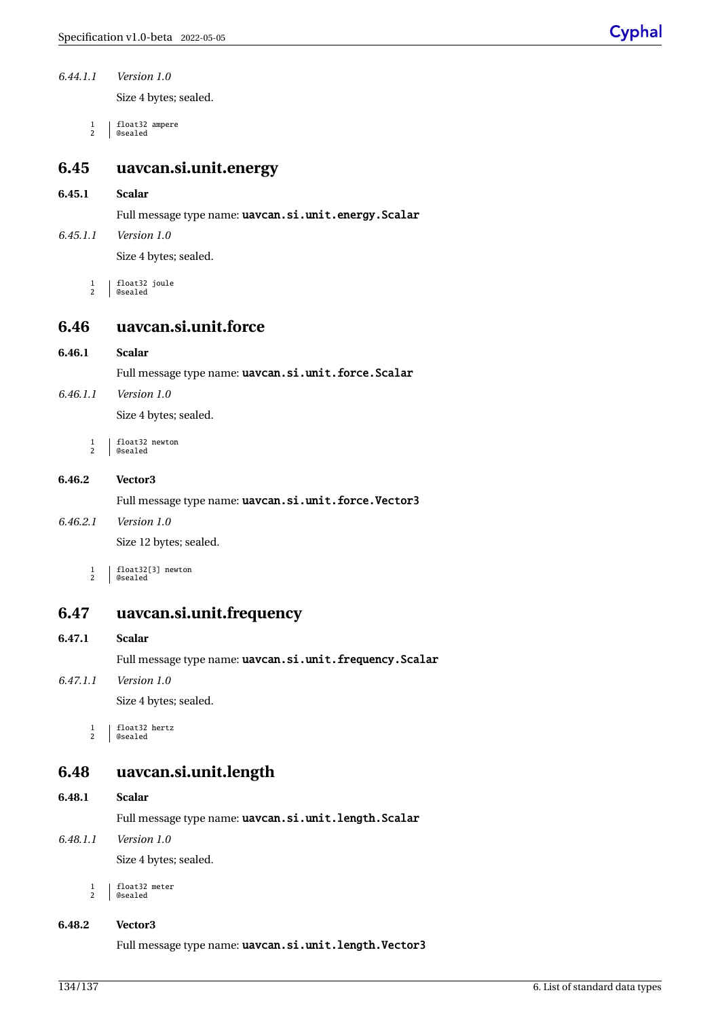| 6.44.1.1 | Version 1.0 |
|----------|-------------|
|          |             |

Size 4 bytes; sealed.

1 float32 ampere 2 @sealed

## **6.45 uavcan.si.unit.energy**

#### **6.45.1 Scalar**

Full message type name: uavcan.si.unit.energy.Scalar

- *6.45.1.1 Version 1.0* Size 4 bytes; sealed.
	- 1 float32 joule 2 @sealed

## **6.46 uavcan.si.unit.force**

**6.46.1 Scalar**

Full message type name: uavcan.si.unit.force.Scalar

*6.46.1.1 Version 1.0*

Size 4 bytes; sealed.

1 float32 newton 2 @sealed

## **6.46.2 Vector3**

Full message type name: uavcan.si.unit.force.Vector3

*6.46.2.1 Version 1.0* Size 12 bytes; sealed.

> 1 | float32[3] newton<br>2 | @sealed @sealed

## **6.47 uavcan.si.unit.frequency**

#### **6.47.1 Scalar**

Full message type name: uavcan.si.unit.frequency.Scalar

## *6.47.1.1 Version 1.0*

Size 4 bytes; sealed.

 $\begin{array}{c|c} 1 & \text{float32 hertz} \\ 2 & \text{dseud.} \end{array}$ 2 @sealed

## **6.48 uavcan.si.unit.length**

#### **6.48.1 Scalar**

Full message type name: uavcan.si.unit.length.Scalar

## *6.48.1.1 Version 1.0* Size 4 bytes; sealed.

 $\begin{array}{c|c} 1 & \text{float32 meter} \\ 2 & \text{dseud.} \end{array}$ assacss<br>@sealed

#### **6.48.2 Vector3**

Full message type name: uavcan.si.unit.length.Vector3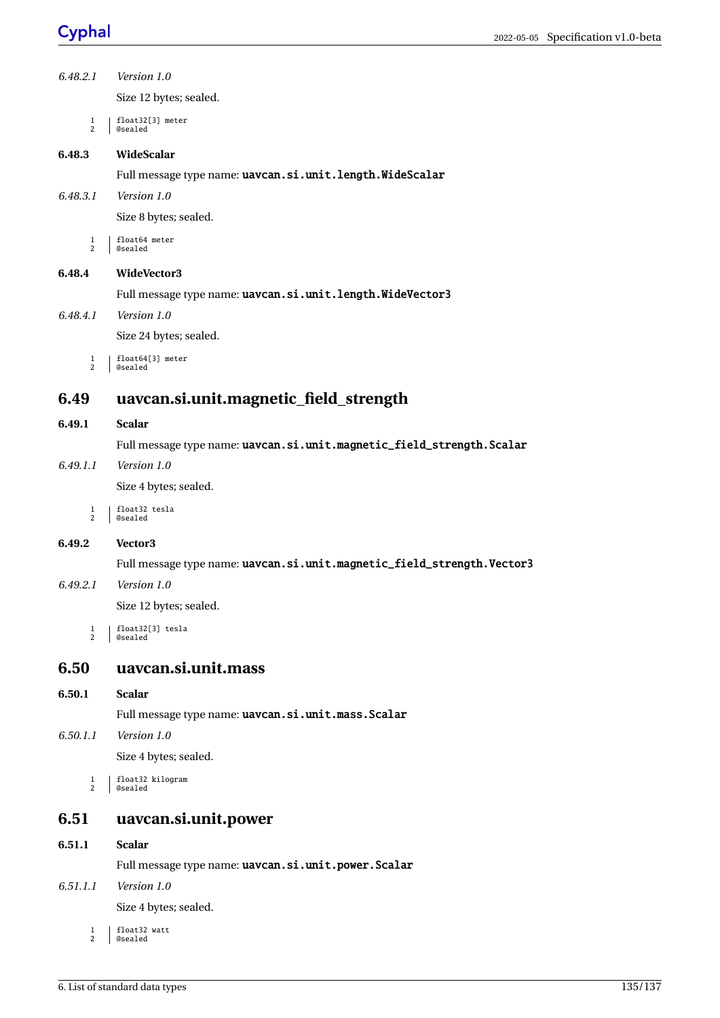| 6.48.2.1            | Version 1.0                                                            |
|---------------------|------------------------------------------------------------------------|
|                     | Size 12 bytes; sealed.                                                 |
| 1<br>$\overline{2}$ | float32[3] meter<br>@sealed                                            |
| 6.48.3              | WideScalar                                                             |
|                     | Full message type name: uavcan.si.unit.length.WideScalar               |
| 6.48.3.1            | Version 1.0                                                            |
|                     | Size 8 bytes; sealed.                                                  |
| 1<br>$\overline{2}$ | float64 meter<br>@sealed                                               |
| 6.48.4              | WideVector3                                                            |
|                     | Full message type name: uavcan.si.unit.length.WideVector3              |
| 6.48.4.1            | Version 1.0                                                            |
|                     | Size 24 bytes; sealed.                                                 |
| 1<br>$\overline{2}$ | float64[3] meter<br>@sealed                                            |
| 6.49                | uavcan.si.unit.magnetic_field_strength                                 |
| 6.49.1              | <b>Scalar</b>                                                          |
|                     | Full message type name: uavcan.si.unit.magnetic_field_strength.Scalar  |
| 6.49.1.1            | Version 1.0                                                            |
|                     | Size 4 bytes; sealed.                                                  |
| 1<br>$\overline{2}$ | float32 tesla<br><b>@sealed</b>                                        |
| 6.49.2              | Vector3                                                                |
|                     | Full message type name: uavcan.si.unit.magnetic_field_strength.Vector3 |
| 6.49.2.1            | Version 1.0                                                            |
|                     | Size 12 bytes; sealed.                                                 |
| 1<br>2              | float32[3] tesla<br>@sealed                                            |
| 6.50                | uavcan.si.unit.mass                                                    |
| 6.50.1              | <b>Scalar</b>                                                          |
|                     | Full message type name: uavcan.si.unit.mass.Scalar                     |
| 6.50.1.1            | Version 1.0                                                            |
|                     | Size 4 bytes; sealed.                                                  |
| 1<br>$\overline{2}$ | float32 kilogram<br><b>@sealed</b>                                     |
| 6.51                | uavcan.si.unit.power                                                   |
| 6.51.1              | <b>Scalar</b>                                                          |
|                     | Full message type name: uavcan.si.unit.power.Scalar                    |
| 6.51.1.1            | Version 1.0                                                            |
|                     | Size 4 bytes; sealed.                                                  |
|                     |                                                                        |

1 float32 watt 2 @sealed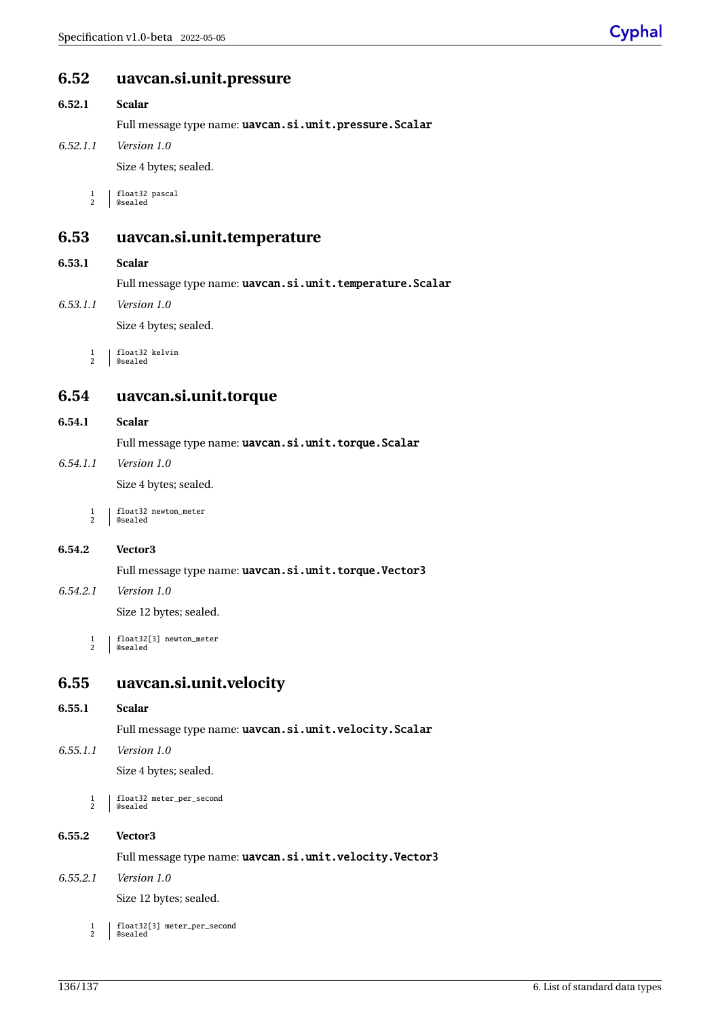## **6.52 uavcan.si.unit.pressure**

#### **6.52.1 Scalar**

Full message type name: uavcan.si.unit.pressure.Scalar

*6.52.1.1 Version 1.0* Size 4 bytes; sealed.

> $\begin{array}{c|c} 1 & \text{float32 pascal} \\ 2 & \text{dseudod} \end{array}$ @sealed

## **6.53 uavcan.si.unit.temperature**

#### **6.53.1 Scalar**

Full message type name: uavcan.si.unit.temperature.Scalar

*6.53.1.1 Version 1.0* Size 4 bytes; sealed.

> $\begin{array}{c|c} 1 & \text{float32 kelvin} \\ 2 & \text{Ascaled} \end{array}$ @sealed

## **6.54 uavcan.si.unit.torque**

#### **6.54.1 Scalar**

Full message type name: uavcan.si.unit.torque.Scalar

*6.54.1.1 Version 1.0*

Size 4 bytes; sealed.

1 float32 newton\_meter 2 @sealed

#### **6.54.2 Vector3**

Full message type name: uavcan.si.unit.torque.Vector3

*6.54.2.1 Version 1.0* Size 12 bytes; sealed.

> 1 | float32[3] newton\_meter<br>2 | @sealed @sealed

## **6.55 uavcan.si.unit.velocity**

#### **6.55.1 Scalar**

Full message type name: uavcan.si.unit.velocity.Scalar

- *6.55.1.1 Version 1.0* Size 4 bytes; sealed.
	- 1 float32 meter\_per\_second 2 @sealed

#### **6.55.2 Vector3**

Full message type name: uavcan.si.unit.velocity.Vector3

# *6.55.2.1 Version 1.0*

Size 12 bytes; sealed.

1 | float32[3] meter\_per\_second<br>2 | @sealed @sealed